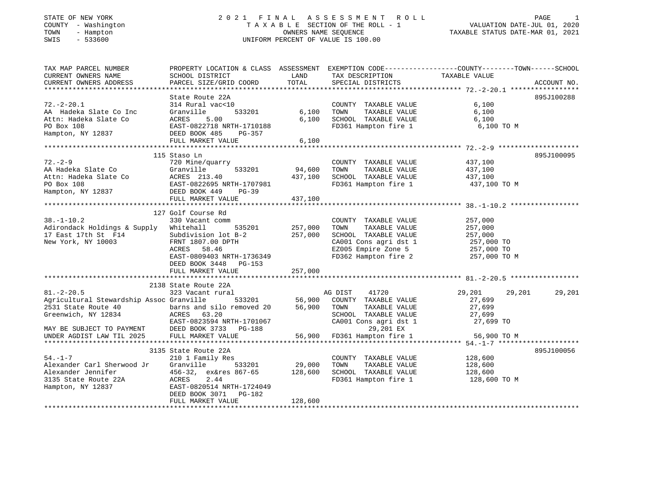## STATE OF NEW YORK 2 0 2 1 F I N A L A S S E S S M E N T R O L L PAGE 1COUNTY - Washington T A X A B L E SECTION OF THE ROLL - 1<br>
TOWN - Hampton COUNTERS NAME SEQUENCE<br>
SWIS - 533600 SWIS - 533600 UNIFORM PERCENT OF VALUE IS 100.00

| CURRENT OWNERS NAME<br>SCHOOL DISTRICT<br>LAND<br>TAX DESCRIPTION TAXABLE VALUE<br>State Route 22A<br>895J100288<br>COUNTY TAXABLE VALUE 6,100<br>314 Rural vac<10<br>533201 6,100<br>AA Hadeka Slate Co Inc Cranwille 533201<br>Attn: Hadeka Slate Co ACRES 5.00<br>PO Box 108 EAST-0822718 NRTH-1710188<br>Hampton, NY 12837 DEED BOOK 485 PG-357<br>FULL MARKET VALUE<br>TOWN TAXABLE VALUE 6,100<br>SCHOOL TAXABLE VALUE 6,100<br>6,100<br>FD361 Hampton fire 1 6,100 TO M<br>FULL MARKET VALUE<br>6,100<br>895J100095<br>115 Staso Ln<br>$72. - 2 - 9$<br>437,100<br>437,100<br>720 Mine/quarry<br>COUNTY TAXABLE VALUE<br>2.-2-9<br>AA Hadeka Slate Co Granville 533201 94,600<br>Attn: Hadeka Slate Co ACRES 213.40 437,100<br>PO Box 108 EAST-0822695 NRTH-1707981<br>Hampton, NY 12837 DEED NONG 449 PG-39<br>TOWN<br>TAXABLE VALUE<br>SCHOOL TAXABLE VALUE 437,100<br>FD361 Hampton fire 1 437,100<br>437,100 TO M<br>FULL MARKET VALUE<br>437,100<br>127 Golf Course Rd<br>$38. - 1 - 10.2$<br>COUNTY TAXABLE VALUE<br>257,000<br>330 Vacant comm<br>$535201$ 257,000<br>Adirondack Holdings & Supply Whitehall<br>TAXABLE VALUE<br>TOWN<br>257,000<br>257,000<br>257,000<br>17 East 17th St F14<br>New York, NY 10003 FRNT 1807.00 DPTH<br>Subdivision lot B-2<br>SCHOOL TAXABLE VALUE 257,000<br>CA001 Cons agri dst 1 257,000 TO<br>EZ005 Empire Zone 5 257,000 TO<br>ACRES 58.46<br>FD362 Hampton fire 2 257,000 TO M<br>EAST-0809403 NRTH-1736349<br>DEED BOOK 3448 PG-153<br>257,000<br>FULL MARKET VALUE<br>2138 State Route 22A<br>$81. - 2 - 20.5$<br>29,201<br>29,201<br>29,201<br>323 Vacant rural<br>1 MG DIST 41720<br>533201 56,900 COUNTY TAXABLE VALUE<br>Agricultural Stewardship Assoc Granville<br>27,699<br>barns and silo removed 20 $56,900$<br>ACRES $63.20$<br>TAXABLE VALUE 27,699<br>2531 State Route 40<br>TOWN<br>Greenwich, NY 12834<br>SCHOOL TAXABLE VALUE 27,699<br>CA001 Cons agri dst 1 27,699 TO<br>3135 State Route 22A<br>895J100056<br>128,600<br>$54. - 1 - 7$<br>210 1 Family Res<br>COUNTY TAXABLE VALUE<br>533201 29,000<br>Alexander Carl Sherwood Jr<br>Granville<br>TOWN<br>TAXABLE VALUE<br>128,600<br>456-32, ex&res 867-65 128,600<br>SCHOOL TAXABLE VALUE 128,600<br>Alexander Jennifer<br>3135 State Route 22A<br>Hampton, NY 12837<br>EAST-0820514 NRTH-1724049<br>FD361 Hampton fire 1 128,600 TO M<br>DEED BOOK 3071 PG-182<br>128,600<br>FULL MARKET VALUE | TAX MAP PARCEL NUMBER |  | PROPERTY LOCATION & CLASS ASSESSMENT EXEMPTION CODE---------------COUNTY-------TOWN-----SCHOOL |  |
|-----------------------------------------------------------------------------------------------------------------------------------------------------------------------------------------------------------------------------------------------------------------------------------------------------------------------------------------------------------------------------------------------------------------------------------------------------------------------------------------------------------------------------------------------------------------------------------------------------------------------------------------------------------------------------------------------------------------------------------------------------------------------------------------------------------------------------------------------------------------------------------------------------------------------------------------------------------------------------------------------------------------------------------------------------------------------------------------------------------------------------------------------------------------------------------------------------------------------------------------------------------------------------------------------------------------------------------------------------------------------------------------------------------------------------------------------------------------------------------------------------------------------------------------------------------------------------------------------------------------------------------------------------------------------------------------------------------------------------------------------------------------------------------------------------------------------------------------------------------------------------------------------------------------------------------------------------------------------------------------------------------------------------------------------------------------------------------------------------------------------------------------------------------------------------------------------------------------------------------------------------------------------------------------------------------------------------------------------------------------------------------------------------------------------------|-----------------------|--|------------------------------------------------------------------------------------------------|--|
|                                                                                                                                                                                                                                                                                                                                                                                                                                                                                                                                                                                                                                                                                                                                                                                                                                                                                                                                                                                                                                                                                                                                                                                                                                                                                                                                                                                                                                                                                                                                                                                                                                                                                                                                                                                                                                                                                                                                                                                                                                                                                                                                                                                                                                                                                                                                                                                                                             |                       |  |                                                                                                |  |
|                                                                                                                                                                                                                                                                                                                                                                                                                                                                                                                                                                                                                                                                                                                                                                                                                                                                                                                                                                                                                                                                                                                                                                                                                                                                                                                                                                                                                                                                                                                                                                                                                                                                                                                                                                                                                                                                                                                                                                                                                                                                                                                                                                                                                                                                                                                                                                                                                             |                       |  |                                                                                                |  |
|                                                                                                                                                                                                                                                                                                                                                                                                                                                                                                                                                                                                                                                                                                                                                                                                                                                                                                                                                                                                                                                                                                                                                                                                                                                                                                                                                                                                                                                                                                                                                                                                                                                                                                                                                                                                                                                                                                                                                                                                                                                                                                                                                                                                                                                                                                                                                                                                                             |                       |  |                                                                                                |  |
|                                                                                                                                                                                                                                                                                                                                                                                                                                                                                                                                                                                                                                                                                                                                                                                                                                                                                                                                                                                                                                                                                                                                                                                                                                                                                                                                                                                                                                                                                                                                                                                                                                                                                                                                                                                                                                                                                                                                                                                                                                                                                                                                                                                                                                                                                                                                                                                                                             |                       |  |                                                                                                |  |
|                                                                                                                                                                                                                                                                                                                                                                                                                                                                                                                                                                                                                                                                                                                                                                                                                                                                                                                                                                                                                                                                                                                                                                                                                                                                                                                                                                                                                                                                                                                                                                                                                                                                                                                                                                                                                                                                                                                                                                                                                                                                                                                                                                                                                                                                                                                                                                                                                             | $72. - 2 - 20.1$      |  |                                                                                                |  |
|                                                                                                                                                                                                                                                                                                                                                                                                                                                                                                                                                                                                                                                                                                                                                                                                                                                                                                                                                                                                                                                                                                                                                                                                                                                                                                                                                                                                                                                                                                                                                                                                                                                                                                                                                                                                                                                                                                                                                                                                                                                                                                                                                                                                                                                                                                                                                                                                                             |                       |  |                                                                                                |  |
|                                                                                                                                                                                                                                                                                                                                                                                                                                                                                                                                                                                                                                                                                                                                                                                                                                                                                                                                                                                                                                                                                                                                                                                                                                                                                                                                                                                                                                                                                                                                                                                                                                                                                                                                                                                                                                                                                                                                                                                                                                                                                                                                                                                                                                                                                                                                                                                                                             |                       |  |                                                                                                |  |
|                                                                                                                                                                                                                                                                                                                                                                                                                                                                                                                                                                                                                                                                                                                                                                                                                                                                                                                                                                                                                                                                                                                                                                                                                                                                                                                                                                                                                                                                                                                                                                                                                                                                                                                                                                                                                                                                                                                                                                                                                                                                                                                                                                                                                                                                                                                                                                                                                             |                       |  |                                                                                                |  |
|                                                                                                                                                                                                                                                                                                                                                                                                                                                                                                                                                                                                                                                                                                                                                                                                                                                                                                                                                                                                                                                                                                                                                                                                                                                                                                                                                                                                                                                                                                                                                                                                                                                                                                                                                                                                                                                                                                                                                                                                                                                                                                                                                                                                                                                                                                                                                                                                                             |                       |  |                                                                                                |  |
|                                                                                                                                                                                                                                                                                                                                                                                                                                                                                                                                                                                                                                                                                                                                                                                                                                                                                                                                                                                                                                                                                                                                                                                                                                                                                                                                                                                                                                                                                                                                                                                                                                                                                                                                                                                                                                                                                                                                                                                                                                                                                                                                                                                                                                                                                                                                                                                                                             |                       |  |                                                                                                |  |
|                                                                                                                                                                                                                                                                                                                                                                                                                                                                                                                                                                                                                                                                                                                                                                                                                                                                                                                                                                                                                                                                                                                                                                                                                                                                                                                                                                                                                                                                                                                                                                                                                                                                                                                                                                                                                                                                                                                                                                                                                                                                                                                                                                                                                                                                                                                                                                                                                             |                       |  |                                                                                                |  |
|                                                                                                                                                                                                                                                                                                                                                                                                                                                                                                                                                                                                                                                                                                                                                                                                                                                                                                                                                                                                                                                                                                                                                                                                                                                                                                                                                                                                                                                                                                                                                                                                                                                                                                                                                                                                                                                                                                                                                                                                                                                                                                                                                                                                                                                                                                                                                                                                                             |                       |  |                                                                                                |  |
|                                                                                                                                                                                                                                                                                                                                                                                                                                                                                                                                                                                                                                                                                                                                                                                                                                                                                                                                                                                                                                                                                                                                                                                                                                                                                                                                                                                                                                                                                                                                                                                                                                                                                                                                                                                                                                                                                                                                                                                                                                                                                                                                                                                                                                                                                                                                                                                                                             |                       |  |                                                                                                |  |
|                                                                                                                                                                                                                                                                                                                                                                                                                                                                                                                                                                                                                                                                                                                                                                                                                                                                                                                                                                                                                                                                                                                                                                                                                                                                                                                                                                                                                                                                                                                                                                                                                                                                                                                                                                                                                                                                                                                                                                                                                                                                                                                                                                                                                                                                                                                                                                                                                             |                       |  |                                                                                                |  |
|                                                                                                                                                                                                                                                                                                                                                                                                                                                                                                                                                                                                                                                                                                                                                                                                                                                                                                                                                                                                                                                                                                                                                                                                                                                                                                                                                                                                                                                                                                                                                                                                                                                                                                                                                                                                                                                                                                                                                                                                                                                                                                                                                                                                                                                                                                                                                                                                                             |                       |  |                                                                                                |  |
|                                                                                                                                                                                                                                                                                                                                                                                                                                                                                                                                                                                                                                                                                                                                                                                                                                                                                                                                                                                                                                                                                                                                                                                                                                                                                                                                                                                                                                                                                                                                                                                                                                                                                                                                                                                                                                                                                                                                                                                                                                                                                                                                                                                                                                                                                                                                                                                                                             |                       |  |                                                                                                |  |
|                                                                                                                                                                                                                                                                                                                                                                                                                                                                                                                                                                                                                                                                                                                                                                                                                                                                                                                                                                                                                                                                                                                                                                                                                                                                                                                                                                                                                                                                                                                                                                                                                                                                                                                                                                                                                                                                                                                                                                                                                                                                                                                                                                                                                                                                                                                                                                                                                             |                       |  |                                                                                                |  |
|                                                                                                                                                                                                                                                                                                                                                                                                                                                                                                                                                                                                                                                                                                                                                                                                                                                                                                                                                                                                                                                                                                                                                                                                                                                                                                                                                                                                                                                                                                                                                                                                                                                                                                                                                                                                                                                                                                                                                                                                                                                                                                                                                                                                                                                                                                                                                                                                                             |                       |  |                                                                                                |  |
|                                                                                                                                                                                                                                                                                                                                                                                                                                                                                                                                                                                                                                                                                                                                                                                                                                                                                                                                                                                                                                                                                                                                                                                                                                                                                                                                                                                                                                                                                                                                                                                                                                                                                                                                                                                                                                                                                                                                                                                                                                                                                                                                                                                                                                                                                                                                                                                                                             |                       |  |                                                                                                |  |
|                                                                                                                                                                                                                                                                                                                                                                                                                                                                                                                                                                                                                                                                                                                                                                                                                                                                                                                                                                                                                                                                                                                                                                                                                                                                                                                                                                                                                                                                                                                                                                                                                                                                                                                                                                                                                                                                                                                                                                                                                                                                                                                                                                                                                                                                                                                                                                                                                             |                       |  |                                                                                                |  |
|                                                                                                                                                                                                                                                                                                                                                                                                                                                                                                                                                                                                                                                                                                                                                                                                                                                                                                                                                                                                                                                                                                                                                                                                                                                                                                                                                                                                                                                                                                                                                                                                                                                                                                                                                                                                                                                                                                                                                                                                                                                                                                                                                                                                                                                                                                                                                                                                                             |                       |  |                                                                                                |  |
|                                                                                                                                                                                                                                                                                                                                                                                                                                                                                                                                                                                                                                                                                                                                                                                                                                                                                                                                                                                                                                                                                                                                                                                                                                                                                                                                                                                                                                                                                                                                                                                                                                                                                                                                                                                                                                                                                                                                                                                                                                                                                                                                                                                                                                                                                                                                                                                                                             |                       |  |                                                                                                |  |
|                                                                                                                                                                                                                                                                                                                                                                                                                                                                                                                                                                                                                                                                                                                                                                                                                                                                                                                                                                                                                                                                                                                                                                                                                                                                                                                                                                                                                                                                                                                                                                                                                                                                                                                                                                                                                                                                                                                                                                                                                                                                                                                                                                                                                                                                                                                                                                                                                             |                       |  |                                                                                                |  |
|                                                                                                                                                                                                                                                                                                                                                                                                                                                                                                                                                                                                                                                                                                                                                                                                                                                                                                                                                                                                                                                                                                                                                                                                                                                                                                                                                                                                                                                                                                                                                                                                                                                                                                                                                                                                                                                                                                                                                                                                                                                                                                                                                                                                                                                                                                                                                                                                                             |                       |  |                                                                                                |  |
|                                                                                                                                                                                                                                                                                                                                                                                                                                                                                                                                                                                                                                                                                                                                                                                                                                                                                                                                                                                                                                                                                                                                                                                                                                                                                                                                                                                                                                                                                                                                                                                                                                                                                                                                                                                                                                                                                                                                                                                                                                                                                                                                                                                                                                                                                                                                                                                                                             |                       |  |                                                                                                |  |
|                                                                                                                                                                                                                                                                                                                                                                                                                                                                                                                                                                                                                                                                                                                                                                                                                                                                                                                                                                                                                                                                                                                                                                                                                                                                                                                                                                                                                                                                                                                                                                                                                                                                                                                                                                                                                                                                                                                                                                                                                                                                                                                                                                                                                                                                                                                                                                                                                             |                       |  |                                                                                                |  |
|                                                                                                                                                                                                                                                                                                                                                                                                                                                                                                                                                                                                                                                                                                                                                                                                                                                                                                                                                                                                                                                                                                                                                                                                                                                                                                                                                                                                                                                                                                                                                                                                                                                                                                                                                                                                                                                                                                                                                                                                                                                                                                                                                                                                                                                                                                                                                                                                                             |                       |  |                                                                                                |  |
|                                                                                                                                                                                                                                                                                                                                                                                                                                                                                                                                                                                                                                                                                                                                                                                                                                                                                                                                                                                                                                                                                                                                                                                                                                                                                                                                                                                                                                                                                                                                                                                                                                                                                                                                                                                                                                                                                                                                                                                                                                                                                                                                                                                                                                                                                                                                                                                                                             |                       |  |                                                                                                |  |
|                                                                                                                                                                                                                                                                                                                                                                                                                                                                                                                                                                                                                                                                                                                                                                                                                                                                                                                                                                                                                                                                                                                                                                                                                                                                                                                                                                                                                                                                                                                                                                                                                                                                                                                                                                                                                                                                                                                                                                                                                                                                                                                                                                                                                                                                                                                                                                                                                             |                       |  |                                                                                                |  |
|                                                                                                                                                                                                                                                                                                                                                                                                                                                                                                                                                                                                                                                                                                                                                                                                                                                                                                                                                                                                                                                                                                                                                                                                                                                                                                                                                                                                                                                                                                                                                                                                                                                                                                                                                                                                                                                                                                                                                                                                                                                                                                                                                                                                                                                                                                                                                                                                                             |                       |  |                                                                                                |  |
|                                                                                                                                                                                                                                                                                                                                                                                                                                                                                                                                                                                                                                                                                                                                                                                                                                                                                                                                                                                                                                                                                                                                                                                                                                                                                                                                                                                                                                                                                                                                                                                                                                                                                                                                                                                                                                                                                                                                                                                                                                                                                                                                                                                                                                                                                                                                                                                                                             |                       |  |                                                                                                |  |
|                                                                                                                                                                                                                                                                                                                                                                                                                                                                                                                                                                                                                                                                                                                                                                                                                                                                                                                                                                                                                                                                                                                                                                                                                                                                                                                                                                                                                                                                                                                                                                                                                                                                                                                                                                                                                                                                                                                                                                                                                                                                                                                                                                                                                                                                                                                                                                                                                             |                       |  |                                                                                                |  |
|                                                                                                                                                                                                                                                                                                                                                                                                                                                                                                                                                                                                                                                                                                                                                                                                                                                                                                                                                                                                                                                                                                                                                                                                                                                                                                                                                                                                                                                                                                                                                                                                                                                                                                                                                                                                                                                                                                                                                                                                                                                                                                                                                                                                                                                                                                                                                                                                                             |                       |  |                                                                                                |  |
|                                                                                                                                                                                                                                                                                                                                                                                                                                                                                                                                                                                                                                                                                                                                                                                                                                                                                                                                                                                                                                                                                                                                                                                                                                                                                                                                                                                                                                                                                                                                                                                                                                                                                                                                                                                                                                                                                                                                                                                                                                                                                                                                                                                                                                                                                                                                                                                                                             |                       |  |                                                                                                |  |
|                                                                                                                                                                                                                                                                                                                                                                                                                                                                                                                                                                                                                                                                                                                                                                                                                                                                                                                                                                                                                                                                                                                                                                                                                                                                                                                                                                                                                                                                                                                                                                                                                                                                                                                                                                                                                                                                                                                                                                                                                                                                                                                                                                                                                                                                                                                                                                                                                             |                       |  |                                                                                                |  |
|                                                                                                                                                                                                                                                                                                                                                                                                                                                                                                                                                                                                                                                                                                                                                                                                                                                                                                                                                                                                                                                                                                                                                                                                                                                                                                                                                                                                                                                                                                                                                                                                                                                                                                                                                                                                                                                                                                                                                                                                                                                                                                                                                                                                                                                                                                                                                                                                                             |                       |  |                                                                                                |  |
|                                                                                                                                                                                                                                                                                                                                                                                                                                                                                                                                                                                                                                                                                                                                                                                                                                                                                                                                                                                                                                                                                                                                                                                                                                                                                                                                                                                                                                                                                                                                                                                                                                                                                                                                                                                                                                                                                                                                                                                                                                                                                                                                                                                                                                                                                                                                                                                                                             |                       |  |                                                                                                |  |
|                                                                                                                                                                                                                                                                                                                                                                                                                                                                                                                                                                                                                                                                                                                                                                                                                                                                                                                                                                                                                                                                                                                                                                                                                                                                                                                                                                                                                                                                                                                                                                                                                                                                                                                                                                                                                                                                                                                                                                                                                                                                                                                                                                                                                                                                                                                                                                                                                             |                       |  |                                                                                                |  |
|                                                                                                                                                                                                                                                                                                                                                                                                                                                                                                                                                                                                                                                                                                                                                                                                                                                                                                                                                                                                                                                                                                                                                                                                                                                                                                                                                                                                                                                                                                                                                                                                                                                                                                                                                                                                                                                                                                                                                                                                                                                                                                                                                                                                                                                                                                                                                                                                                             |                       |  |                                                                                                |  |
|                                                                                                                                                                                                                                                                                                                                                                                                                                                                                                                                                                                                                                                                                                                                                                                                                                                                                                                                                                                                                                                                                                                                                                                                                                                                                                                                                                                                                                                                                                                                                                                                                                                                                                                                                                                                                                                                                                                                                                                                                                                                                                                                                                                                                                                                                                                                                                                                                             |                       |  |                                                                                                |  |
|                                                                                                                                                                                                                                                                                                                                                                                                                                                                                                                                                                                                                                                                                                                                                                                                                                                                                                                                                                                                                                                                                                                                                                                                                                                                                                                                                                                                                                                                                                                                                                                                                                                                                                                                                                                                                                                                                                                                                                                                                                                                                                                                                                                                                                                                                                                                                                                                                             |                       |  |                                                                                                |  |
|                                                                                                                                                                                                                                                                                                                                                                                                                                                                                                                                                                                                                                                                                                                                                                                                                                                                                                                                                                                                                                                                                                                                                                                                                                                                                                                                                                                                                                                                                                                                                                                                                                                                                                                                                                                                                                                                                                                                                                                                                                                                                                                                                                                                                                                                                                                                                                                                                             |                       |  |                                                                                                |  |
|                                                                                                                                                                                                                                                                                                                                                                                                                                                                                                                                                                                                                                                                                                                                                                                                                                                                                                                                                                                                                                                                                                                                                                                                                                                                                                                                                                                                                                                                                                                                                                                                                                                                                                                                                                                                                                                                                                                                                                                                                                                                                                                                                                                                                                                                                                                                                                                                                             |                       |  |                                                                                                |  |
|                                                                                                                                                                                                                                                                                                                                                                                                                                                                                                                                                                                                                                                                                                                                                                                                                                                                                                                                                                                                                                                                                                                                                                                                                                                                                                                                                                                                                                                                                                                                                                                                                                                                                                                                                                                                                                                                                                                                                                                                                                                                                                                                                                                                                                                                                                                                                                                                                             |                       |  |                                                                                                |  |
|                                                                                                                                                                                                                                                                                                                                                                                                                                                                                                                                                                                                                                                                                                                                                                                                                                                                                                                                                                                                                                                                                                                                                                                                                                                                                                                                                                                                                                                                                                                                                                                                                                                                                                                                                                                                                                                                                                                                                                                                                                                                                                                                                                                                                                                                                                                                                                                                                             |                       |  |                                                                                                |  |
|                                                                                                                                                                                                                                                                                                                                                                                                                                                                                                                                                                                                                                                                                                                                                                                                                                                                                                                                                                                                                                                                                                                                                                                                                                                                                                                                                                                                                                                                                                                                                                                                                                                                                                                                                                                                                                                                                                                                                                                                                                                                                                                                                                                                                                                                                                                                                                                                                             |                       |  |                                                                                                |  |
|                                                                                                                                                                                                                                                                                                                                                                                                                                                                                                                                                                                                                                                                                                                                                                                                                                                                                                                                                                                                                                                                                                                                                                                                                                                                                                                                                                                                                                                                                                                                                                                                                                                                                                                                                                                                                                                                                                                                                                                                                                                                                                                                                                                                                                                                                                                                                                                                                             |                       |  |                                                                                                |  |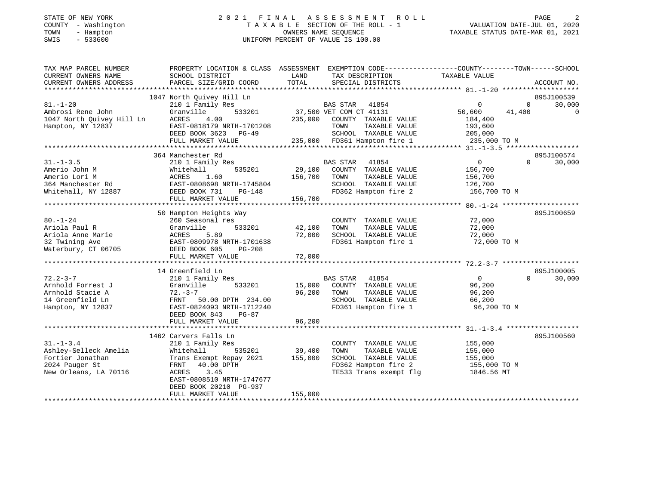## STATE OF NEW YORK 2 0 2 1 F I N A L A S S E S S M E N T R O L L PAGE 2 COUNTY - Washington T A X A B L E SECTION OF THE ROLL - 1<br>
TOWN - Hampton COUNERS NAME SEQUENCE<br>
SWIS - 533600 SWIS - 533600 UNIFORM PERCENT OF VALUE IS 100.00

-<br>VALUATION DATE-JUL 01, 2020<br>- 10 10 11 2021

| TAX MAP PARCEL NUMBER<br>CURRENT OWNERS NAME<br>CURRENT OWNERS ADDRESS                                  | PROPERTY LOCATION & CLASS ASSESSMENT EXEMPTION CODE---------------COUNTY-------TOWN-----SCHOOL<br>SCHOOL DISTRICT<br>PARCEL SIZE/GRID COORD                                                                 | LAND<br>TOTAL                | TAX DESCRIPTION<br>SPECIAL DISTRICTS                                                                                                                         | TAXABLE VALUE                                                                    | ACCOUNT NO.                                        |
|---------------------------------------------------------------------------------------------------------|-------------------------------------------------------------------------------------------------------------------------------------------------------------------------------------------------------------|------------------------------|--------------------------------------------------------------------------------------------------------------------------------------------------------------|----------------------------------------------------------------------------------|----------------------------------------------------|
| $81. - 1 - 20$<br>Ambrosi Rene John<br>1047 North Quivey Hill Ln<br>Hampton, NY 12837                   | 1047 North Ouivey Hill Ln<br>210 1 Family Res<br>533201<br>Granville<br>4.00<br>ACRES<br>EAST-0818179 NRTH-1701208<br>DEED BOOK 3623 PG-49<br>FULL MARKET VALUE                                             | 235,000                      | <b>BAS STAR</b><br>41854<br>37,500 VET COM CT 41131<br>COUNTY TAXABLE VALUE<br>TAXABLE VALUE<br>TOWN<br>SCHOOL TAXABLE VALUE<br>235,000 FD361 Hampton fire 1 | $\mathbf 0$<br>50,600<br>41,400<br>184,400<br>193,600<br>205,000<br>235,000 TO M | 895J100539<br>30,000<br>$\Omega$<br>$\overline{0}$ |
| $31. - 1 - 3.5$<br>Amerio John M<br>Amerio Lori M<br>364 Manchester Rd<br>Whitehall, NY 12887           | 364 Manchester Rd<br>210 1 Family Res<br>Whitehall<br>535201<br>ACRES 1.00<br>EAST-0808698 NRTH-1745804<br>DEED BOOK 731<br>$PG-148$<br>FULL MARKET VALUE                                                   | 29,100<br>156,700<br>156,700 | BAS STAR<br>41854<br>COUNTY TAXABLE VALUE<br>TOWN<br>TAXABLE VALUE<br>SCHOOL TAXABLE VALUE<br>FD362 Hampton fire 2                                           | $\overline{0}$<br>156,700<br>156,700<br>126,700<br>156,700 TO M                  | 895J100574<br>$\Omega$<br>30,000                   |
| $80. - 1 - 24$<br>Ariola Paul R<br>Ariola Anne Marie<br>32 Twining Ave<br>Waterbury, CT 06705           | 50 Hampton Heights Way<br>260 Seasonal res<br>533201<br>Granville<br>ACRES<br>5.89<br>EAST-0809978 NRTH-1701638<br>DEED BOOK 605<br>PG-208<br>FULL MARKET VALUE                                             | 42,100<br>72,000<br>72,000   | COUNTY TAXABLE VALUE<br>TOWN<br>TAXABLE VALUE<br>SCHOOL TAXABLE VALUE<br>FD361 Hampton fire 1                                                                | 72,000<br>72,000<br>72,000<br>72,000 TO M                                        | 895J100659                                         |
| $72.2 - 3 - 7$<br>Arnhold Forrest J<br>Arnhold Stacie A<br>14 Greenfield Ln<br>Hampton, NY 12837        | 14 Greenfield Ln<br>210 1 Family Res<br>533201<br>Granville<br>$72 - 3 - 7$<br>FRNT 50.00 DPTH 234.00<br>EAST-0824093 NRTH-1712240<br>DEED BOOK 843<br>PG-87<br>FULL MARKET VALUE                           | 15,000<br>96,200<br>96,200   | <b>BAS STAR</b><br>41854<br>COUNTY TAXABLE VALUE<br>TAXABLE VALUE<br>TOWN<br>SCHOOL TAXABLE VALUE<br>FD361 Hampton fire 1                                    | $\overline{0}$<br>96,200<br>96,200<br>66,200<br>96,200 TO M                      | 895J100005<br>$\Omega$<br>30,000                   |
| $31. - 1 - 3.4$<br>Ashley-Selleck Amelia<br>Fortier Jonathan<br>2024 Pauger St<br>New Orleans, LA 70116 | 1462 Carvers Falls Ln<br>210 1 Family Res<br>Whitehall<br>535201<br>Trans Exempt Repay 2021<br>FRNT 40.00 DPTH<br>ACRES<br>3.45<br>EAST-0808510 NRTH-1747677<br>DEED BOOK 20210 PG-937<br>FULL MARKET VALUE | 39,400<br>155,000<br>155,000 | COUNTY TAXABLE VALUE<br>TOWN<br>TAXABLE VALUE<br>SCHOOL TAXABLE VALUE<br>FD362 Hampton fire 2<br>TE533 Trans exempt flg                                      | 155,000<br>155,000<br>155,000<br>155,000 TO M<br>1846.56 MT                      | 895J100560                                         |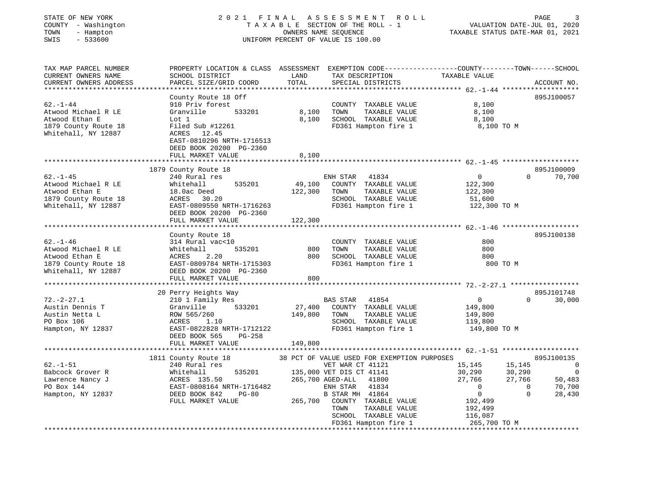| STATE OF NEW YORK |            |
|-------------------|------------|
| COUNTY<br>$\sim$  | Washington |
| TOWN              | - Hampton  |
| <b>CMTC</b>       | 533600     |

#### STATE OF NEW YORK 2 0 2 1 F I N A L A S S E S S M E N T R O L L PAGE 3 COUNTY - Washington T A X A B L E SECTION OF THE ROLL - 1 VALUATION DATE-JUL 01, 2020 TOWN - Hampton OWNERS NAME SEQUENCE TAXABLE STATUS DATE-MAR 01, 2021 SWIS - 533600 UNIFORM PERCENT OF VALUE IS 100.00

| TAX MAP PARCEL NUMBER<br>CURRENT OWNERS NAME<br>CURRENT OWNERS ADDRESS         | PROPERTY LOCATION & CLASS ASSESSMENT<br>SCHOOL DISTRICT<br>PARCEL SIZE/GRID COORD           | LAND<br>TOTAL     | EXEMPTION CODE-----------------COUNTY-------TOWN------SCHOOL<br>TAX DESCRIPTION<br>SPECIAL DISTRICTS | TAXABLE VALUE                         | ACCOUNT NO.                            |
|--------------------------------------------------------------------------------|---------------------------------------------------------------------------------------------|-------------------|------------------------------------------------------------------------------------------------------|---------------------------------------|----------------------------------------|
| ************************                                                       |                                                                                             |                   |                                                                                                      |                                       |                                        |
| $62 - 1 - 44$<br>Atwood Michael R LE<br>Atwood Ethan E<br>1879 County Route 18 | County Route 18 Off<br>910 Priv forest<br>533201<br>Granville<br>Lot 1<br>Filed Sub #12261  | 8,100<br>8,100    | COUNTY TAXABLE VALUE<br>TAXABLE VALUE<br>TOWN<br>SCHOOL TAXABLE VALUE<br>FD361 Hampton fire 1        | 8,100<br>8,100<br>8,100<br>8,100 TO M | 895J100057                             |
| Whitehall, NY 12887                                                            | ACRES<br>12.45<br>EAST-0810296 NRTH-1716513<br>DEED BOOK 20200 PG-2360<br>FULL MARKET VALUE | 8,100             |                                                                                                      |                                       |                                        |
|                                                                                |                                                                                             |                   |                                                                                                      |                                       |                                        |
| $62 - 1 - 45$<br>Atwood Michael R LE                                           | 1879 County Route 18<br>240 Rural res<br>535201<br>Whitehall                                | 49,100            | ENH STAR<br>41834<br>COUNTY TAXABLE VALUE                                                            | $\Omega$<br>122,300                   | 895J100009<br>70,700<br>$\Omega$       |
| Atwood Ethan E<br>1879 County Route 18                                         | 18.0ac Deed<br>ACRES<br>30.20                                                               | 122,300           | TAXABLE VALUE<br>TOWN<br>SCHOOL TAXABLE VALUE                                                        | 122,300<br>51,600                     |                                        |
| Whitehall, NY 12887                                                            | EAST-0809550 NRTH-1716263<br>DEED BOOK 20200 PG-2360<br>FULL MARKET VALUE                   | 122,300           | FD361 Hampton fire 1                                                                                 | 122,300 TO M                          |                                        |
|                                                                                | ******************                                                                          | **********        |                                                                                                      | ************** 62.-1-46               |                                        |
|                                                                                | County Route 18                                                                             |                   |                                                                                                      |                                       | 895J100138                             |
| $62. - 1 - 46$                                                                 | 314 Rural vac<10                                                                            |                   | COUNTY TAXABLE VALUE                                                                                 | 800                                   |                                        |
| Atwood Michael R LE                                                            | 535201<br>Whitehall                                                                         | 800               | TOWN<br>TAXABLE VALUE                                                                                | 800                                   |                                        |
| Atwood Ethan E                                                                 | 2.20<br>ACRES                                                                               | 800               | SCHOOL TAXABLE VALUE                                                                                 | 800                                   |                                        |
| 1879 County Route 18                                                           | EAST-0809784 NRTH-1715303                                                                   |                   | FD361 Hampton fire 1                                                                                 | 800 TO M                              |                                        |
| Whitehall, NY 12887                                                            | DEED BOOK 20200 PG-2360<br>FULL MARKET VALUE                                                | 800               |                                                                                                      |                                       |                                        |
|                                                                                |                                                                                             |                   |                                                                                                      |                                       |                                        |
|                                                                                | 20 Perry Heights Way                                                                        |                   |                                                                                                      |                                       | 895J101748                             |
| $72. - 2 - 27.1$<br>Austin Dennis T                                            | 210 1 Family Res<br>Granville<br>533201                                                     |                   | BAS STAR<br>41854<br>COUNTY TAXABLE VALUE                                                            | 0                                     | $\Omega$<br>30,000                     |
| Austin Netta L                                                                 | ROW 565/260                                                                                 | 27,400<br>149,800 | TAXABLE VALUE<br>TOWN                                                                                | 149,800<br>149,800                    |                                        |
| PO Box 106                                                                     | ACRES<br>1.10                                                                               |                   | SCHOOL TAXABLE VALUE                                                                                 | 119,800                               |                                        |
| Hampton, NY 12837                                                              | EAST-0822828 NRTH-1712122<br>DEED BOOK 565<br>$PG-258$                                      |                   | FD361 Hampton fire 1                                                                                 | 149,800 TO M                          |                                        |
|                                                                                | FULL MARKET VALUE                                                                           | 149,800           |                                                                                                      |                                       |                                        |
|                                                                                |                                                                                             |                   |                                                                                                      |                                       |                                        |
|                                                                                | 1811 County Route 18                                                                        |                   | 38 PCT OF VALUE USED FOR EXEMPTION PURPOSES                                                          |                                       | 895J100135                             |
| $62. - 1 - 51$                                                                 | 240 Rural res                                                                               |                   | VET WAR CT 41121                                                                                     | 15,145                                | 15,145<br>0                            |
| Babcock Grover R                                                               | 535201<br>Whitehall                                                                         |                   | 135,000 VET DIS CT 41141                                                                             | 30,290                                | 30,290                                 |
| Lawrence Nancy J                                                               | ACRES 135.50<br>EAST-0808164 NRTH-1716482                                                   |                   | 265,700 AGED-ALL<br>41800<br>ENH STAR<br>41834                                                       | 27,766<br>$\mathbf 0$                 | 27,766<br>50,483<br>70,700<br>$\Omega$ |
| PO Box 144                                                                     | $PG-80$                                                                                     |                   |                                                                                                      | $\mathsf{O}$                          | $\mathbf 0$                            |
| Hampton, NY 12837                                                              | DEED BOOK 842<br>FULL MARKET VALUE                                                          | 265,700           | B STAR MH 41864<br>COUNTY TAXABLE VALUE                                                              | 192,499                               | 28,430                                 |
|                                                                                |                                                                                             |                   | TOWN<br>TAXABLE VALUE                                                                                | 192,499                               |                                        |
|                                                                                |                                                                                             |                   | SCHOOL TAXABLE VALUE                                                                                 | 116,087                               |                                        |
|                                                                                |                                                                                             |                   | FD361 Hampton fire 1                                                                                 | 265,700 TO M                          |                                        |
|                                                                                |                                                                                             |                   |                                                                                                      |                                       |                                        |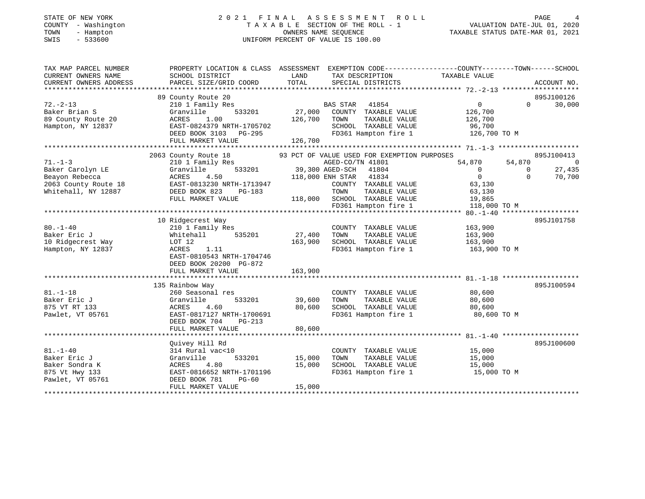#### STATE OF NEW YORK 2 0 2 1 F I N A L A S S E S S M E N T R O L L PAGE 4COUNTY - Washington T A X A B L E SECTION OF THE ROLL - 1 VALUATION DATE-JUL 01, 2020 TOWN - Hampton OWNERS NAME SEQUENCE TAXABLE STATUS DATE-MAR 01, 2021 SWIS - 533600 UNIFORM PERCENT OF VALUE IS 100.00

. درجية<br>2020 , VALUATION DATE-JUL 01<br>2021 - توجه بين محمد من المسلمات المتحد المتحد المتحد المتحد المتحد المتحد

| TAX MAP PARCEL NUMBER<br>CURRENT OWNERS NAME<br>CURRENT OWNERS ADDRESS | PROPERTY LOCATION & CLASS ASSESSMENT<br>SCHOOL DISTRICT<br>PARCEL SIZE/GRID COORD | LAND<br>TOTAL   | EXEMPTION CODE-----------------COUNTY-------TOWN------SCHOOL<br>TAX DESCRIPTION<br>SPECIAL DISTRICTS | TAXABLE VALUE  |          | ACCOUNT NO.    |
|------------------------------------------------------------------------|-----------------------------------------------------------------------------------|-----------------|------------------------------------------------------------------------------------------------------|----------------|----------|----------------|
|                                                                        |                                                                                   |                 |                                                                                                      |                |          |                |
|                                                                        | 89 County Route 20                                                                |                 |                                                                                                      |                |          | 895J100126     |
| $72. - 2 - 13$                                                         | 210 1 Family Res                                                                  |                 | <b>BAS STAR</b><br>41854                                                                             | $\Omega$       | $\Omega$ | 30,000         |
| Baker Brian S                                                          | 533201<br>Granville                                                               | 27,000          | COUNTY TAXABLE VALUE                                                                                 | 126,700        |          |                |
| 89 County Route 20                                                     | 1.00<br>ACRES                                                                     | 126,700         | TAXABLE VALUE<br>TOWN                                                                                | 126,700        |          |                |
| Hampton, NY 12837                                                      | EAST-0824379 NRTH-1705702                                                         |                 | SCHOOL TAXABLE VALUE                                                                                 | 96,700         |          |                |
|                                                                        | DEED BOOK 3103 PG-295                                                             |                 | FD361 Hampton fire 1                                                                                 | 126,700 TO M   |          |                |
|                                                                        | FULL MARKET VALUE                                                                 | 126,700         |                                                                                                      |                |          |                |
|                                                                        |                                                                                   |                 |                                                                                                      |                |          |                |
|                                                                        | 2063 County Route 18                                                              |                 | 93 PCT OF VALUE USED FOR EXEMPTION PURPOSES                                                          |                |          | 895J100413     |
| $71. - 1 - 3$                                                          | 210 1 Family Res                                                                  |                 | AGED-CO/TN 41801                                                                                     | 54,870         | 54,870   | $\overline{0}$ |
| Baker Carolyn LE                                                       | 533201<br>Granville                                                               | 39,300 AGED-SCH | 41804                                                                                                | $\overline{0}$ | $\Omega$ | 27,435         |
| Beayon Rebecca                                                         | ACRES<br>4.50                                                                     |                 | 118,000 ENH STAR 41834                                                                               | $\overline{0}$ | $\Omega$ | 70,700         |
| 2063 County Route 18                                                   | EAST-0813230 NRTH-1713947                                                         |                 | COUNTY TAXABLE VALUE                                                                                 | 63,130         |          |                |
| Whitehall, NY 12887                                                    | DEED BOOK 823<br>PG-183                                                           |                 | TOWN<br>TAXABLE VALUE                                                                                | 63,130         |          |                |
|                                                                        | FULL MARKET VALUE                                                                 |                 | 118,000 SCHOOL TAXABLE VALUE                                                                         | 19,865         |          |                |
|                                                                        |                                                                                   |                 | FD361 Hampton fire 1                                                                                 | 118,000 TO M   |          |                |
|                                                                        |                                                                                   |                 |                                                                                                      |                |          |                |
|                                                                        | 10 Ridgecrest Way                                                                 |                 |                                                                                                      |                |          | 895J101758     |
| $80. - 1 - 40$                                                         | 210 1 Family Res                                                                  |                 | COUNTY TAXABLE VALUE                                                                                 | 163,900        |          |                |
| Baker Eric J                                                           | 535201<br>Whitehall                                                               | 27,400          | TAXABLE VALUE<br>TOWN                                                                                | 163,900        |          |                |
| 10 Ridgecrest Way                                                      | LOT 12                                                                            | 163,900         | SCHOOL TAXABLE VALUE                                                                                 | 163,900        |          |                |
| Hampton, NY 12837                                                      | ACRES<br>1.11                                                                     |                 | FD361 Hampton fire 1                                                                                 | 163,900 ТО М   |          |                |
|                                                                        | EAST-0810543 NRTH-1704746                                                         |                 |                                                                                                      |                |          |                |
|                                                                        | DEED BOOK 20200 PG-872<br>FULL MARKET VALUE                                       | 163,900         |                                                                                                      |                |          |                |
|                                                                        |                                                                                   |                 |                                                                                                      |                |          |                |
|                                                                        | 135 Rainbow Way                                                                   |                 |                                                                                                      |                |          | 895J100594     |
| $81. - 1 - 18$                                                         | 260 Seasonal res                                                                  |                 | COUNTY TAXABLE VALUE                                                                                 | 80,600         |          |                |
| Baker Eric J                                                           | Granville<br>533201                                                               | 39,600          | TOWN<br>TAXABLE VALUE                                                                                | 80,600         |          |                |
| 875 VT RT 133                                                          | ACRES<br>4.60                                                                     | 80,600          | SCHOOL TAXABLE VALUE                                                                                 | 80,600         |          |                |
| Pawlet, VT 05761                                                       | EAST-0817127 NRTH-1700691                                                         |                 | FD361 Hampton fire 1                                                                                 | 80,600 TO M    |          |                |
|                                                                        | DEED BOOK 704<br>$PG-213$                                                         |                 |                                                                                                      |                |          |                |
|                                                                        | FULL MARKET VALUE                                                                 | 80,600          |                                                                                                      |                |          |                |
|                                                                        |                                                                                   |                 |                                                                                                      |                |          |                |
|                                                                        | Quivey Hill Rd                                                                    |                 |                                                                                                      |                |          | 895J100600     |
| $81. - 1 - 40$                                                         | 314 Rural vac<10                                                                  |                 | COUNTY TAXABLE VALUE                                                                                 | 15,000         |          |                |
| Baker Eric J                                                           | 533201<br>Granville                                                               | 15,000          | TAXABLE VALUE<br>TOWN                                                                                | 15,000         |          |                |
| Baker Sondra K                                                         | 4.80<br>ACRES                                                                     | 15,000          | SCHOOL TAXABLE VALUE                                                                                 | 15,000         |          |                |
| 875 Vt Hwy 133                                                         | EAST-0816652 NRTH-1701196                                                         |                 | FD361 Hampton fire 1                                                                                 | 15,000 TO M    |          |                |
| Pawlet, VT 05761                                                       | DEED BOOK 781<br>$PG-60$                                                          |                 |                                                                                                      |                |          |                |
|                                                                        | FULL MARKET VALUE                                                                 | 15,000          |                                                                                                      |                |          |                |
|                                                                        |                                                                                   |                 |                                                                                                      |                |          |                |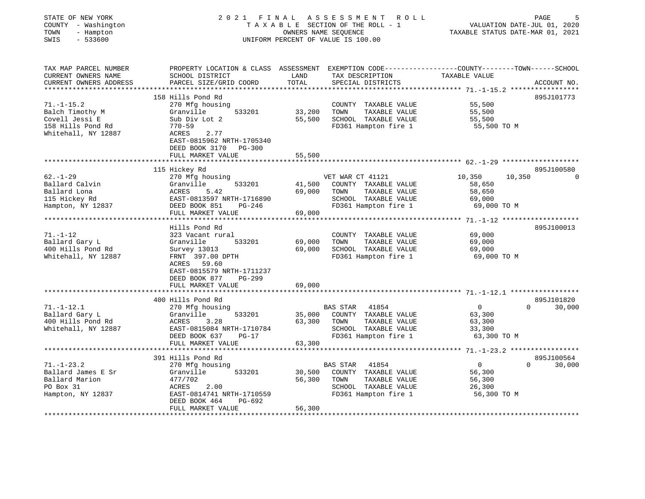| STATE OF NEW YORK<br>COUNTY - Washington<br>TOWN<br>- Hampton<br>SWIS<br>$-533600$ | 2021 FINAL ASSESSMENT<br>TAXABLE SECTION OF THE ROLL - 1<br>UNIFORM PERCENT OF VALUE IS 100.00  | PAGE<br>VALUATION DATE-JUL 01, 2020<br>TAXABLE STATUS DATE-MAR 01, 2021 |                                      |                  |                    |
|------------------------------------------------------------------------------------|-------------------------------------------------------------------------------------------------|-------------------------------------------------------------------------|--------------------------------------|------------------|--------------------|
| TAX MAP PARCEL NUMBER                                                              | PROPERTY LOCATION & CLASS ASSESSMENT EXEMPTION CODE---------------COUNTY-------TOWN------SCHOOL |                                                                         |                                      |                  |                    |
| CURRENT OWNERS NAME<br>CURRENT OWNERS ADDRESS                                      | SCHOOL DISTRICT<br>PARCEL SIZE/GRID COORD                                                       | LAND<br>TOTAL                                                           | TAX DESCRIPTION<br>SPECIAL DISTRICTS | TAXABLE VALUE    | ACCOUNT NO.        |
|                                                                                    | 158 Hills Pond Rd                                                                               |                                                                         |                                      |                  | 895J101773         |
| $71. - 1 - 15.2$                                                                   | 270 Mfg housing                                                                                 |                                                                         | COUNTY TAXABLE VALUE                 | 55,500           |                    |
| Balch Timothy M                                                                    | Granville<br>533201                                                                             | 33,200                                                                  | TOWN<br>TAXABLE VALUE                | 55,500           |                    |
| Covell Jessi E                                                                     | Sub Div Lot 2                                                                                   | 55,500                                                                  | SCHOOL TAXABLE VALUE                 | 55,500           |                    |
| 158 Hills Pond Rd                                                                  | $770 - 59$                                                                                      |                                                                         | FD361 Hampton fire 1                 | 55,500 TO M      |                    |
| Whitehall, NY 12887                                                                | ACRES<br>2.77                                                                                   |                                                                         |                                      |                  |                    |
|                                                                                    | EAST-0815962 NRTH-1705340                                                                       |                                                                         |                                      |                  |                    |
|                                                                                    | DEED BOOK 3170 PG-300                                                                           |                                                                         |                                      |                  |                    |
|                                                                                    | FULL MARKET VALUE                                                                               | 55,500                                                                  |                                      |                  |                    |
|                                                                                    |                                                                                                 |                                                                         |                                      |                  |                    |
|                                                                                    | 115 Hickey Rd                                                                                   |                                                                         |                                      |                  | 895J100580         |
| $62. - 1 - 29$                                                                     | 270 Mfg housing                                                                                 |                                                                         | VET WAR CT 41121                     | 10,350<br>10,350 |                    |
| Ballard Calvin                                                                     | Granville<br>533201                                                                             | 41,500                                                                  | COUNTY TAXABLE VALUE                 | 58,650           |                    |
| Ballard Lona                                                                       | ACRES<br>5.42                                                                                   | 69,000                                                                  | TAXABLE VALUE<br>TOWN                | 58,650           |                    |
| 115 Hickey Rd                                                                      | EAST-0813597 NRTH-1716890                                                                       |                                                                         | SCHOOL TAXABLE VALUE                 | 69,000           |                    |
| Hampton, NY 12837                                                                  | DEED BOOK 851<br>PG-246<br>FULL MARKET VALUE                                                    | 69,000                                                                  | FD361 Hampton fire 1                 | 69,000 TO M      |                    |
|                                                                                    |                                                                                                 |                                                                         |                                      |                  |                    |
|                                                                                    | Hills Pond Rd                                                                                   |                                                                         |                                      |                  | 895J100013         |
| $71. - 1 - 12$                                                                     | 323 Vacant rural                                                                                |                                                                         | COUNTY TAXABLE VALUE                 | 69,000           |                    |
| Ballard Gary L                                                                     | Granville<br>533201                                                                             | 69,000                                                                  | TOWN<br>TAXABLE VALUE                | 69,000           |                    |
| 400 Hills Pond Rd                                                                  | Survey 13013                                                                                    | 69,000                                                                  | SCHOOL TAXABLE VALUE                 | 69,000           |                    |
| Whitehall, NY 12887                                                                | FRNT 397.00 DPTH                                                                                |                                                                         | FD361 Hampton fire 1                 | 69,000 TO M      |                    |
|                                                                                    | ACRES 59.60                                                                                     |                                                                         |                                      |                  |                    |
|                                                                                    | EAST-0815579 NRTH-1711237                                                                       |                                                                         |                                      |                  |                    |
|                                                                                    | DEED BOOK 877<br>PG-299                                                                         |                                                                         |                                      |                  |                    |
|                                                                                    | FULL MARKET VALUE                                                                               | 69,000                                                                  |                                      |                  |                    |
|                                                                                    | ************************                                                                        |                                                                         |                                      |                  |                    |
|                                                                                    | 400 Hills Pond Rd                                                                               |                                                                         |                                      |                  | 895J101820         |
| $71. - 1 - 12.1$                                                                   | 270 Mfg housing                                                                                 |                                                                         | <b>BAS STAR</b><br>41854             | $\overline{0}$   | 30,000<br>$\Omega$ |
| Ballard Gary L                                                                     | 533201<br>Granville                                                                             | 35,000                                                                  | COUNTY TAXABLE VALUE                 | 63,300           |                    |
| 400 Hills Pond Rd                                                                  | ACRES<br>3.28                                                                                   | 63,300                                                                  | TOWN<br>TAXABLE VALUE                | 63,300           |                    |
| Whitehall, NY 12887                                                                | EAST-0815084 NRTH-1710784                                                                       |                                                                         | SCHOOL TAXABLE VALUE                 | 33,300           |                    |
|                                                                                    | DEED BOOK 637<br>$PG-17$<br>FULL MARKET VALUE                                                   | 63,300                                                                  | FD361 Hampton fire 1                 | 63,300 TO M      |                    |
|                                                                                    |                                                                                                 |                                                                         |                                      |                  |                    |
|                                                                                    | 391 Hills Pond Rd                                                                               |                                                                         |                                      |                  | 895J100564         |
| $71. - 1 - 23.2$                                                                   | 270 Mfg housing                                                                                 |                                                                         | BAS STAR<br>41854                    | $\overline{0}$   | 30,000<br>$\Omega$ |
| Ballard James E Sr                                                                 | Granville<br>533201                                                                             | 30,500                                                                  | COUNTY TAXABLE VALUE                 | 56,300           |                    |
| Ballard Marion                                                                     | 477/702                                                                                         | 56,300                                                                  | TOWN<br>TAXABLE VALUE                | 56,300           |                    |
| PO Box 31                                                                          | ACRES<br>2.00                                                                                   |                                                                         | SCHOOL TAXABLE VALUE                 | 26,300           |                    |
| Hampton, NY 12837                                                                  | EAST-0814741 NRTH-1710559                                                                       |                                                                         | FD361 Hampton fire 1                 | 56,300 TO M      |                    |
|                                                                                    | DEED BOOK 464<br>PG-692                                                                         |                                                                         |                                      |                  |                    |
|                                                                                    | FULL MARKET VALUE                                                                               | 56,300                                                                  |                                      |                  |                    |
|                                                                                    |                                                                                                 |                                                                         |                                      |                  |                    |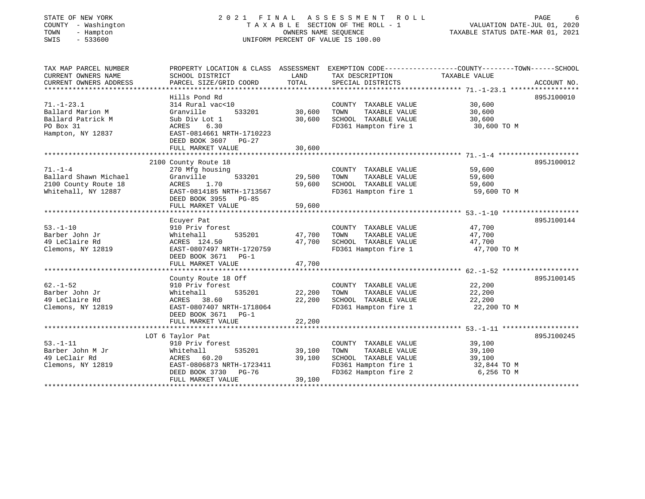## STATE OF NEW YORK 2 0 2 1 F I N A L A S S E S S M E N T R O L L PAGE 6COUNTY - Washington T A X A B L E SECTION OF THE ROLL - 1<br>
TOWN - Hampton COUNERS NAME SEQUENCE<br>
SWIS - 533600 SWIS - 533600 UNIFORM PERCENT OF VALUE IS 100.00

1100<br>VALUATION DATE-JUL 01, 2020

| TAX MAP PARCEL NUMBER  | PROPERTY LOCATION & CLASS ASSESSMENT |        |                       |               |             |
|------------------------|--------------------------------------|--------|-----------------------|---------------|-------------|
| CURRENT OWNERS NAME    | SCHOOL DISTRICT                      | LAND   | TAX DESCRIPTION       | TAXABLE VALUE |             |
| CURRENT OWNERS ADDRESS | PARCEL SIZE/GRID COORD               | TOTAL  | SPECIAL DISTRICTS     |               | ACCOUNT NO. |
|                        |                                      |        |                       |               |             |
|                        | Hills Pond Rd                        |        |                       |               | 895J100010  |
| $71. - 1 - 23.1$       | 314 Rural vac<10                     |        | COUNTY TAXABLE VALUE  | 30,600        |             |
| Ballard Marion M       | Granville<br>533201                  | 30,600 | TOWN<br>TAXABLE VALUE | 30,600        |             |
| Ballard Patrick M      | Sub Div Lot 1                        | 30,600 | SCHOOL TAXABLE VALUE  | 30,600        |             |
| PO Box 31              | 6.30<br>ACRES                        |        | FD361 Hampton fire 1  | 30,600 TO M   |             |
| Hampton, NY 12837      | EAST-0814661 NRTH-1710223            |        |                       |               |             |
|                        | DEED BOOK 3607 PG-27                 |        |                       |               |             |
|                        | FULL MARKET VALUE                    | 30,600 |                       |               |             |
|                        |                                      |        |                       |               |             |
|                        | 2100 County Route 18                 |        |                       |               | 895J100012  |
| $71. - 1 - 4$          | 270 Mfg housing                      |        | COUNTY TAXABLE VALUE  | 59,600        |             |
| Ballard Shawn Michael  | 533201<br>Granville                  | 29,500 | TOWN<br>TAXABLE VALUE | 59,600        |             |
| 2100 County Route 18   | ACRES<br>1.70                        | 59,600 | SCHOOL TAXABLE VALUE  | 59,600        |             |
| Whitehall, NY 12887    | EAST-0814185 NRTH-1713567            |        | FD361 Hampton fire 1  | 59,600 TO M   |             |
|                        | DEED BOOK 3955<br>$PG-85$            |        |                       |               |             |
|                        | FULL MARKET VALUE                    | 59,600 |                       |               |             |
|                        |                                      |        |                       |               |             |
|                        | Ecuyer Pat                           |        |                       |               | 895J100144  |
| $53. - 1 - 10$         | 910 Priv forest                      |        | COUNTY TAXABLE VALUE  | 47,700        |             |
| Barber John Jr         | Whitehall<br>535201                  | 47,700 | TAXABLE VALUE<br>TOWN | 47,700        |             |
| 49 LeClaire Rd         | ACRES 124.50                         | 47,700 | SCHOOL TAXABLE VALUE  | 47,700        |             |
| Clemons, NY 12819      | EAST-0807497 NRTH-1720759            |        | FD361 Hampton fire 1  | 47,700 TO M   |             |
|                        | DEED BOOK 3671 PG-1                  |        |                       |               |             |
|                        | FULL MARKET VALUE                    | 47,700 |                       |               |             |
|                        |                                      |        |                       |               |             |
|                        | County Route 18 Off                  |        |                       |               | 895J100145  |
| $62. - 1 - 52$         | 910 Priv forest                      |        | COUNTY TAXABLE VALUE  | 22,200        |             |
| Barber John Jr         | Whitehall<br>535201                  | 22,200 | TOWN<br>TAXABLE VALUE | 22,200        |             |
| 49 LeClaire Rd         | 38.60<br>ACRES                       | 22,200 | SCHOOL TAXABLE VALUE  | 22,200        |             |
| Clemons, NY 12819      | EAST-0807407 NRTH-1718064            |        | FD361 Hampton fire 1  | 22,200 TO M   |             |
|                        | DEED BOOK 3671<br>$PG-1$             |        |                       |               |             |
|                        | FULL MARKET VALUE                    | 22,200 |                       |               |             |
|                        |                                      |        |                       |               |             |
|                        | LOT 6 Taylor Pat                     |        |                       |               | 895J100245  |
| $53. - 1 - 11$         | 910 Priv forest                      |        | COUNTY TAXABLE VALUE  | 39,100        |             |
| Barber John M Jr       | Whitehall<br>535201                  | 39,100 | TOWN<br>TAXABLE VALUE | 39,100        |             |
| 49 LeClair Rd          | ACRES<br>60.20                       | 39,100 | SCHOOL TAXABLE VALUE  | 39,100        |             |
| Clemons, NY 12819      | EAST-0806873 NRTH-1723411            |        | FD361 Hampton fire 1  | 32,844 TO M   |             |
|                        | DEED BOOK 3730 PG-76                 |        | FD362 Hampton fire 2  | 6,256 TO M    |             |
|                        | FULL MARKET VALUE                    | 39,100 |                       |               |             |
|                        |                                      |        |                       |               |             |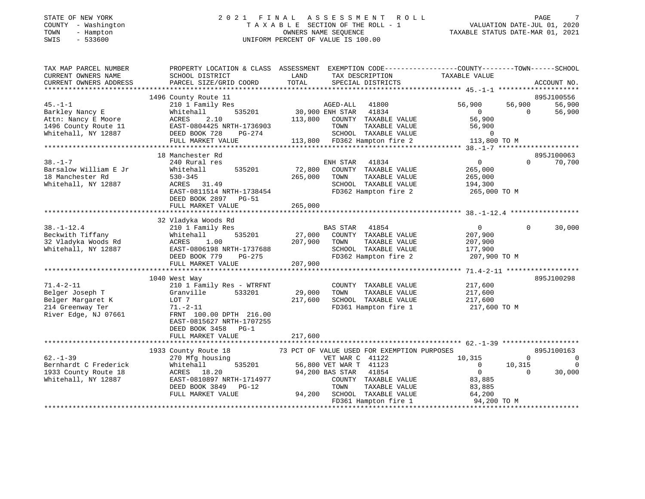## STATE OF NEW YORK 2 0 2 1 F I N A L A S S E S S M E N T R O L L PAGE 7COUNTY - Washington  $\begin{array}{ccc} 1 & 0 & 0 & 0 \\ -1 & 0 & 0 & 0 \\ 0 & 0 & 0 & 0 \\ 0 & 0 & 0 & 0 \\ 0 & 0 & 0 & 0 \\ 0 & 0 & 0 & 0 \\ 0 & 0 & 0 & 0 \\ 0 & 0 & 0 & 0 \\ 0 & 0 & 0 & 0 \\ 0 & 0 & 0 & 0 \\ 0 & 0 & 0 & 0 \\ 0 & 0 & 0 & 0 \\ 0 & 0 & 0 & 0 \\ 0 & 0 & 0 & 0 \\ 0 & 0 & 0 & 0 \\ 0 & 0 & 0 & 0 \\ 0$ SWIS - 533600 UNIFORM PERCENT OF VALUE IS 100.00

| TAX MAP PARCEL NUMBER  | PROPERTY LOCATION & CLASS ASSESSMENT EXEMPTION CODE----------------COUNTY-------TOWN------SCHOOL |                 |                                              |                       |                    |
|------------------------|--------------------------------------------------------------------------------------------------|-----------------|----------------------------------------------|-----------------------|--------------------|
| CURRENT OWNERS NAME    | SCHOOL DISTRICT                                                                                  | LAND            | TAX DESCRIPTION                              | TAXABLE VALUE         |                    |
|                        |                                                                                                  |                 |                                              |                       |                    |
| CURRENT OWNERS ADDRESS | PARCEL SIZE/GRID COORD                                                                           | TOTAL           | SPECIAL DISTRICTS                            |                       | ACCOUNT NO.        |
|                        |                                                                                                  |                 |                                              |                       |                    |
|                        | 1496 County Route 11                                                                             |                 |                                              |                       | 895J100556         |
| $45. - 1 - 1$          | 210 1 Family Res                                                                                 |                 | AGED-ALL<br>41800                            | 56,900                | 56,900<br>56,900   |
| Barkley Nancy E        | 535201<br>Whitehall                                                                              | 30,900 ENH STAR | 41834                                        | $\Omega$              | $\Omega$<br>56,900 |
| Attn: Nancy E Moore    | 2.10<br>ACRES                                                                                    | 113,800         | COUNTY TAXABLE VALUE                         | 56,900                |                    |
| 1496 County Route 11   | EAST-0804425 NRTH-1736903                                                                        |                 | TOWN<br>TAXABLE VALUE                        | 56,900                |                    |
|                        |                                                                                                  |                 |                                              | $\Omega$              |                    |
| Whitehall, NY 12887    | DEED BOOK 728<br>PG-274                                                                          |                 | SCHOOL TAXABLE VALUE                         |                       |                    |
|                        | FULL MARKET VALUE                                                                                |                 | 113,800 FD362 Hampton fire 2                 | 113,800 TO M          |                    |
|                        |                                                                                                  |                 |                                              |                       |                    |
|                        | 18 Manchester Rd                                                                                 |                 |                                              |                       | 895J100063         |
| $38. - 1 - 7$          | 240 Rural res                                                                                    |                 | ENH STAR<br>41834                            | $\overline{0}$        | $\Omega$<br>70,700 |
| Barsalow William E Jr  | Whitehall<br>535201                                                                              | 72,800          | COUNTY TAXABLE VALUE                         | 265,000               |                    |
| 18 Manchester Rd       | $530 - 345$                                                                                      | 265,000         | TAXABLE VALUE<br>TOWN                        | 265,000               |                    |
|                        |                                                                                                  |                 |                                              |                       |                    |
| Whitehall, NY 12887    | ACRES 31.49                                                                                      |                 | SCHOOL TAXABLE VALUE                         | 194,300               |                    |
|                        | EAST-0811514 NRTH-1738454                                                                        |                 | FD362 Hampton fire 2                         | 265,000 TO M          |                    |
|                        | DEED BOOK 2897 PG-51                                                                             |                 |                                              |                       |                    |
|                        | FULL MARKET VALUE                                                                                | 265,000         |                                              |                       |                    |
|                        |                                                                                                  |                 |                                              |                       |                    |
|                        | 32 Vladyka Woods Rd                                                                              |                 |                                              |                       |                    |
| $38. - 1 - 12.4$       | 210 1 Family Res                                                                                 |                 | BAS STAR 41854                               | $\circ$               | $\Omega$<br>30,000 |
| Beckwith Tiffany       | 535201<br>Whitehall                                                                              | 27,000          | COUNTY TAXABLE VALUE                         | 207,900               |                    |
|                        |                                                                                                  |                 |                                              |                       |                    |
| 32 Vladyka Woods Rd    | 1.00<br>ACRES                                                                                    | 207,900         | TAXABLE VALUE<br>TOWN                        | 207,900               |                    |
| Whitehall, NY 12887    | EAST-0806198 NRTH-1737688                                                                        |                 | SCHOOL TAXABLE VALUE                         | 177,900               |                    |
|                        | DEED BOOK 779<br>$PG-275$                                                                        |                 | FD362 Hampton fire 2                         | 207,900 TO M          |                    |
|                        | FULL MARKET VALUE                                                                                | 207,900         |                                              |                       |                    |
|                        |                                                                                                  |                 |                                              |                       |                    |
|                        | 1040 West Way                                                                                    |                 |                                              |                       | 895J100298         |
| $71.4 - 2 - 11$        | 210 1 Family Res - WTRFNT                                                                        |                 | COUNTY TAXABLE VALUE                         | 217,600               |                    |
| Belger Joseph T        | 533201<br>Granville                                                                              | 29,000          | TOWN<br>TAXABLE VALUE                        |                       |                    |
|                        |                                                                                                  |                 |                                              | 217,600               |                    |
| Belger Margaret K      | LOT 7                                                                                            | 217,600         | SCHOOL TAXABLE VALUE                         | 217,600               |                    |
| 214 Greenway Ter       | $71. - 2 - 11$                                                                                   |                 | FD361 Hampton fire 1                         | 217,600 TO M          |                    |
| River Edge, NJ 07661   | FRNT 100.00 DPTH 216.00                                                                          |                 |                                              |                       |                    |
|                        | EAST-0815627 NRTH-1707255                                                                        |                 |                                              |                       |                    |
|                        | DEED BOOK 3458<br>$PG-1$                                                                         |                 |                                              |                       |                    |
|                        | FULL MARKET VALUE                                                                                | 217,600         |                                              |                       |                    |
|                        |                                                                                                  |                 |                                              |                       |                    |
|                        |                                                                                                  |                 |                                              |                       |                    |
|                        | 1933 County Route 18                                                                             |                 | 73 PCT OF VALUE USED FOR EXEMPTION PURPOSES  |                       | 895J100163         |
| $62 - 1 - 39$          | 270 Mfg housing                                                                                  |                 | VET WAR C 41122                              | 10,315                | $\mathbf 0$<br>0   |
| Bernhardt C Frederick  | 535201<br>Whitehall                                                                              |                 | 56,800 VET WAR T 41123                       | $\mathbf{0}$          | 10,315             |
| 1933 County Route 18   | ACRES 18.20                                                                                      |                 | 94,200 BAS STAR<br>41854                     | $\overline{0}$        | $\Omega$<br>30,000 |
| Whitehall, NY 12887    | EAST-0810897 NRTH-1714977                                                                        |                 | COUNTY TAXABLE VALUE                         | 83,885                |                    |
|                        |                                                                                                  |                 |                                              |                       |                    |
|                        |                                                                                                  |                 |                                              |                       |                    |
|                        | DEED BOOK 3849<br>$PG-12$                                                                        |                 | TOWN<br>TAXABLE VALUE                        | 83,885                |                    |
|                        | FULL MARKET VALUE                                                                                | 94,200          | SCHOOL TAXABLE VALUE<br>FD361 Hampton fire 1 | 64,200<br>94,200 TO M |                    |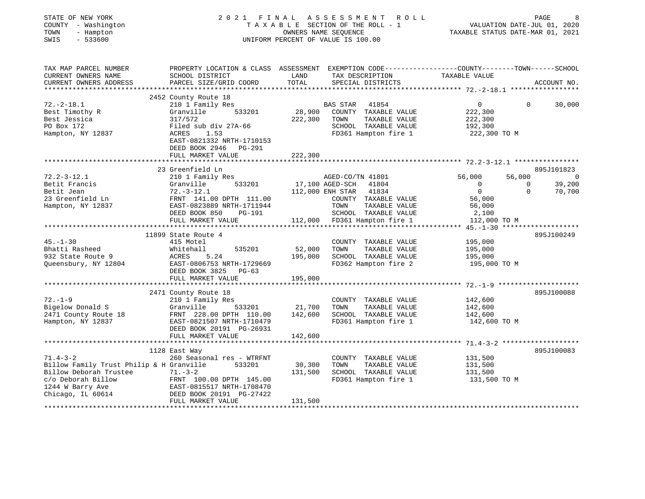| STATE OF NEW YORK<br>COUNTY - Washington<br>TOWN<br>- Hampton<br>SWIS<br>$-533600$ | 2021 FINAL                                                                                      |               | ASSESSMENT ROLL<br>TAXABLE SECTION OF THE ROLL - 1<br>OWNERS NAME SEQUENCE<br>UNIFORM PERCENT OF VALUE IS 100.00 |                         | PAGE<br>VALUATION DATE-JUL 01, 2020<br>TAXABLE STATUS DATE-MAR 01, 2021 |
|------------------------------------------------------------------------------------|-------------------------------------------------------------------------------------------------|---------------|------------------------------------------------------------------------------------------------------------------|-------------------------|-------------------------------------------------------------------------|
| TAX MAP PARCEL NUMBER                                                              | PROPERTY LOCATION & CLASS ASSESSMENT EXEMPTION CODE----------------COUNTY-------TOWN-----SCHOOL |               |                                                                                                                  |                         |                                                                         |
| CURRENT OWNERS NAME<br>CURRENT OWNERS ADDRESS<br>***********************           | SCHOOL DISTRICT<br>PARCEL SIZE/GRID COORD                                                       | LAND<br>TOTAL | TAX DESCRIPTION<br>SPECIAL DISTRICTS                                                                             | TAXABLE VALUE           | ACCOUNT NO.                                                             |
|                                                                                    | 2452 County Route 18                                                                            |               |                                                                                                                  |                         |                                                                         |
| $72. - 2 - 18.1$                                                                   | 210 1 Family Res                                                                                |               | <b>BAS STAR</b><br>41854                                                                                         | $\overline{0}$          | 30,000<br>$\Omega$                                                      |
| Best Timothy R                                                                     | Granville<br>533201                                                                             | 28,900        | COUNTY TAXABLE VALUE                                                                                             | 222,300                 |                                                                         |
| Best Jessica                                                                       | 317/572                                                                                         | 222,300       | TAXABLE VALUE<br>TOWN                                                                                            | 222,300                 |                                                                         |
| PO Box 172                                                                         | Filed sub div 27A-66                                                                            |               | SCHOOL TAXABLE VALUE                                                                                             | 192,300                 |                                                                         |
| Hampton, NY 12837                                                                  | ACRES<br>1.53<br>EAST-0821332 NRTH-1710153<br>DEED BOOK 2946 PG-291                             |               | FD361 Hampton fire 1                                                                                             | 222,300 TO M            |                                                                         |
|                                                                                    | FULL MARKET VALUE                                                                               | 222,300       |                                                                                                                  |                         |                                                                         |
|                                                                                    |                                                                                                 |               |                                                                                                                  |                         |                                                                         |
|                                                                                    | 23 Greenfield Ln                                                                                |               |                                                                                                                  |                         | 895J101823                                                              |
| $72.2 - 3 - 12.1$                                                                  | 210 1 Family Res                                                                                |               | AGED-CO/TN 41801                                                                                                 | 56,000                  | 56,000<br>$\overline{0}$                                                |
| Betit Francis                                                                      | Granville<br>533201                                                                             |               | 17,100 AGED-SCH<br>41804                                                                                         | $\overline{0}$          | 39,200<br>$\mathsf{O}$                                                  |
| Betit Jean                                                                         | $72.-3-12.1$                                                                                    |               | 112,000 ENH STAR 41834                                                                                           | $\overline{0}$          | $\Omega$<br>70,700                                                      |
| 23 Greenfield Ln                                                                   | FRNT 141.00 DPTH 111.00                                                                         |               | COUNTY TAXABLE VALUE                                                                                             | 56,000                  |                                                                         |
| Hampton, NY 12837                                                                  | EAST-0823889 NRTH-1711944                                                                       |               | TOWN<br>TAXABLE VALUE                                                                                            | 56,000                  |                                                                         |
|                                                                                    | DEED BOOK 850<br>PG-191<br>FULL MARKET VALUE                                                    |               | SCHOOL TAXABLE VALUE<br>112,000 FD361 Hampton fire 1                                                             | 2,100<br>112,000 TO M   |                                                                         |
|                                                                                    |                                                                                                 |               |                                                                                                                  |                         |                                                                         |
|                                                                                    | 11899 State Route 4                                                                             |               |                                                                                                                  |                         | 895J100249                                                              |
| $45. - 1 - 30$                                                                     | 415 Motel                                                                                       |               | COUNTY TAXABLE VALUE                                                                                             | 195,000                 |                                                                         |
| Bhatti Rasheed                                                                     | Whitehall<br>535201                                                                             | 52,000        | TAXABLE VALUE<br>TOWN                                                                                            | 195,000                 |                                                                         |
| 932 State Route 9                                                                  | 5.24<br>ACRES                                                                                   | 195,000       | SCHOOL TAXABLE VALUE                                                                                             | 195,000                 |                                                                         |
| Queensbury, NY 12804                                                               | EAST-0806753 NRTH-1729669<br>DEED BOOK 3825 PG-63                                               |               | FD362 Hampton fire 2                                                                                             | 195,000 TO M            |                                                                         |
|                                                                                    | FULL MARKET VALUE                                                                               | 195,000       |                                                                                                                  |                         |                                                                         |
|                                                                                    |                                                                                                 |               |                                                                                                                  |                         |                                                                         |
|                                                                                    | 2471 County Route 18                                                                            |               |                                                                                                                  |                         | 895J100088                                                              |
| $72. - 1 - 9$                                                                      | 210 1 Family Res                                                                                |               | COUNTY TAXABLE VALUE                                                                                             | 142,600                 |                                                                         |
| Bigelow Donald S                                                                   | Granville<br>533201                                                                             | 21,700        | TOWN<br>TAXABLE VALUE                                                                                            | 142,600                 |                                                                         |
| 2471 County Route 18                                                               | FRNT 228.00 DPTH 110.00<br>EAST-0821507 NRTH-1710479                                            | 142,600       | SCHOOL TAXABLE VALUE<br>FD361 Hampton fire 1                                                                     | 142,600<br>142,600 TO M |                                                                         |
| Hampton, NY 12837                                                                  | DEED BOOK 20191 PG-26931                                                                        |               |                                                                                                                  |                         |                                                                         |
|                                                                                    | FULL MARKET VALUE                                                                               | 142,600       |                                                                                                                  |                         |                                                                         |
|                                                                                    | ****************************                                                                    |               |                                                                                                                  |                         |                                                                         |
|                                                                                    | 1128 East Way                                                                                   |               |                                                                                                                  |                         | 895J100083                                                              |
| $71.4 - 3 - 2$                                                                     | 260 Seasonal res - WTRFNT                                                                       |               | COUNTY TAXABLE VALUE                                                                                             | 131,500                 |                                                                         |
| Billow Family Trust Philip & H Granville                                           | 533201                                                                                          | 30,300        | TOWN<br>TAXABLE VALUE                                                                                            | 131,500                 |                                                                         |
| Billow Deborah Trustee                                                             | $71. - 3 - 2$                                                                                   | 131,500       | SCHOOL TAXABLE VALUE                                                                                             | 131,500                 |                                                                         |
| c/o Deborah Billow                                                                 | FRNT 100.00 DPTH 145.00                                                                         |               | FD361 Hampton fire 1                                                                                             | 131,500 TO M            |                                                                         |
| 1244 W Barry Ave                                                                   | EAST-0815517 NRTH-1708470                                                                       |               |                                                                                                                  |                         |                                                                         |
| Chicago, IL 60614                                                                  | DEED BOOK 20191 PG-27422                                                                        |               |                                                                                                                  |                         |                                                                         |
|                                                                                    | FULL MARKET VALUE                                                                               | 131,500       |                                                                                                                  |                         |                                                                         |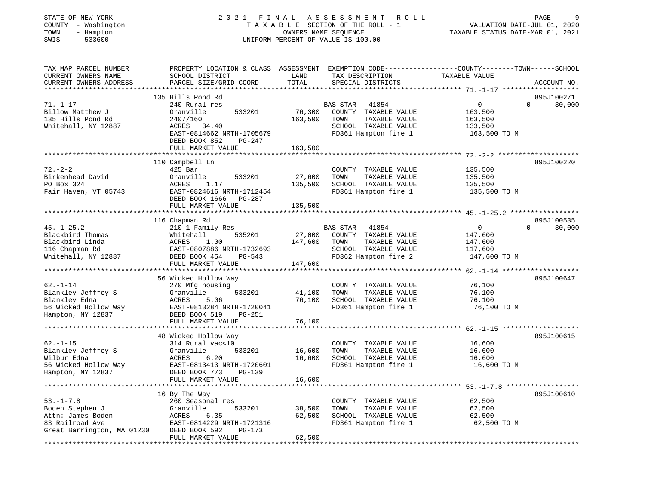|      | STATE OF NEW YORK   | 2021 FINAL ASSESSMENT ROLL         | PAGE                             | <b>Q</b> |
|------|---------------------|------------------------------------|----------------------------------|----------|
|      | COUNTY - Washington | TAXABLE SECTION OF THE ROLL - 1    | VALUATION DATE-JUL 01, 2020      |          |
| TOWN | - Hampton           | OWNERS NAME SEOUENCE               | TAXABLE STATUS DATE-MAR 01, 2021 |          |
| SWIS | $-533600$           | UNIFORM PERCENT OF VALUE IS 100.00 |                                  |          |

# COUNTRE SECTION OF THE ROLL - 1 VALUATION DATE-JUL 01, 2020<br>
CWNERS NAME SEQUENCE TAXABLE STATUS DATE-MAR 01, 2021

| TAX MAP PARCEL NUMBER<br>CURRENT OWNERS NAME<br>CURRENT OWNERS ADDRESS | PROPERTY LOCATION & CLASS ASSESSMENT<br>SCHOOL DISTRICT<br>PARCEL SIZE/GRID COORD | LAND<br>TOTAL                     | EXEMPTION CODE-----------------COUNTY-------TOWN------SCHOOL<br>TAX DESCRIPTION<br>SPECIAL DISTRICTS | TAXABLE VALUE | ACCOUNT NO.           |
|------------------------------------------------------------------------|-----------------------------------------------------------------------------------|-----------------------------------|------------------------------------------------------------------------------------------------------|---------------|-----------------------|
|                                                                        |                                                                                   | * * * * * * * * *                 |                                                                                                      |               |                       |
|                                                                        | 135 Hills Pond Rd                                                                 |                                   |                                                                                                      |               | 895J100271            |
| $71. - 1 - 17$                                                         | 240 Rural res                                                                     |                                   | BAS STAR<br>41854                                                                                    | 0             | $\mathbf 0$<br>30,000 |
| Billow Matthew J                                                       | Granville<br>533201                                                               | 76,300                            | COUNTY TAXABLE VALUE                                                                                 | 163,500       |                       |
| 135 Hills Pond Rd                                                      | 2407/160                                                                          | 163,500                           | TAXABLE VALUE<br>TOWN                                                                                | 163,500       |                       |
| Whitehall, NY 12887                                                    | ACRES<br>34.40                                                                    |                                   | SCHOOL TAXABLE VALUE                                                                                 | 133,500       |                       |
|                                                                        | EAST-0814662 NRTH-1705679                                                         |                                   | FD361 Hampton fire 1                                                                                 | 163,500 TO M  |                       |
|                                                                        | DEED BOOK 852<br>PG-247                                                           |                                   |                                                                                                      |               |                       |
|                                                                        | FULL MARKET VALUE                                                                 | 163,500                           |                                                                                                      |               |                       |
|                                                                        |                                                                                   |                                   |                                                                                                      |               |                       |
|                                                                        | 110 Campbell Ln                                                                   |                                   |                                                                                                      |               | 895J100220            |
| $72. - 2 - 2$                                                          | 425 Bar                                                                           |                                   | COUNTY TAXABLE VALUE                                                                                 | 135,500       |                       |
| Birkenhead David                                                       | Granville<br>533201                                                               | 27,600                            | TOWN<br>TAXABLE VALUE                                                                                | 135,500       |                       |
| PO Box 324                                                             | 1.17<br>ACRES                                                                     | 135,500                           | SCHOOL TAXABLE VALUE                                                                                 | 135,500       |                       |
| Fair Haven, VT 05743                                                   | EAST-0824616 NRTH-1712454                                                         |                                   | FD361 Hampton fire 1                                                                                 | 135,500 TO M  |                       |
|                                                                        | DEED BOOK 1666<br>PG-287<br>FULL MARKET VALUE                                     | 135,500                           |                                                                                                      |               |                       |
|                                                                        |                                                                                   |                                   |                                                                                                      |               |                       |
|                                                                        | 116 Chapman Rd                                                                    |                                   |                                                                                                      |               | 895J100535            |
| $45. - 1 - 25.2$                                                       | 210 1 Family Res                                                                  |                                   | BAS STAR<br>41854                                                                                    | 0             | 30,000<br>$\Omega$    |
| Blackbird Thomas                                                       | 535201<br>Whitehall                                                               | 27,000                            | COUNTY TAXABLE VALUE                                                                                 | 147,600       |                       |
| Blackbird Linda                                                        | ACRES<br>1.00                                                                     | 147,600                           | TOWN<br>TAXABLE VALUE                                                                                | 147,600       |                       |
| 116 Chapman Rd                                                         | EAST-0807886 NRTH-1732693                                                         |                                   | SCHOOL TAXABLE VALUE                                                                                 | 117,600       |                       |
| Whitehall, NY 12887                                                    | DEED BOOK 454<br>$PG-543$                                                         |                                   | FD362 Hampton fire 2                                                                                 | 147,600 TO M  |                       |
|                                                                        | FULL MARKET VALUE                                                                 | 147,600                           |                                                                                                      |               |                       |
|                                                                        |                                                                                   |                                   |                                                                                                      |               |                       |
|                                                                        | 56 Wicked Hollow Way                                                              |                                   |                                                                                                      |               | 895J100647            |
| $62. - 1 - 14$                                                         | 270 Mfg housing                                                                   |                                   | COUNTY TAXABLE VALUE                                                                                 | 76,100        |                       |
| Blankley Jeffrey S                                                     | Granville<br>533201                                                               | 41,100                            | TOWN<br>TAXABLE VALUE                                                                                | 76,100        |                       |
| Blankley Edna                                                          | ACRES<br>5.06                                                                     | 76,100                            | SCHOOL TAXABLE VALUE                                                                                 | 76,100        |                       |
| 56 Wicked Hollow Way                                                   | EAST-0813284 NRTH-1720041                                                         |                                   | FD361 Hampton fire 1                                                                                 | 76,100 TO M   |                       |
| Hampton, NY 12837                                                      | DEED BOOK 519<br><b>PG-251</b>                                                    |                                   |                                                                                                      |               |                       |
|                                                                        | FULL MARKET VALUE                                                                 | 76,100                            |                                                                                                      |               |                       |
|                                                                        | ****************************                                                      |                                   |                                                                                                      |               |                       |
|                                                                        | 48 Wicked Hollow Way                                                              |                                   |                                                                                                      |               | 895J100615            |
| $62. - 1 - 15$                                                         | 314 Rural vac<10                                                                  |                                   | COUNTY TAXABLE VALUE                                                                                 | 16,600        |                       |
| Blankley Jeffrey S                                                     | Granville<br>533201                                                               | 16,600                            | TOWN<br>TAXABLE VALUE                                                                                | 16,600        |                       |
| Wilbur Edna                                                            | ACRES<br>6.20                                                                     | 16,600                            | SCHOOL TAXABLE VALUE                                                                                 | 16,600        |                       |
| 56 Wicked Hollow Way                                                   | EAST-0813413 NRTH-1720601                                                         |                                   | FD361 Hampton fire 1                                                                                 | 16,600 TO M   |                       |
| Hampton, NY 12837                                                      | DEED BOOK 773<br>$PG-139$                                                         |                                   |                                                                                                      |               |                       |
|                                                                        | FULL MARKET VALUE                                                                 | 16,600<br>* * * * * * * * * * * * |                                                                                                      |               |                       |
|                                                                        | 16 By The Way                                                                     |                                   |                                                                                                      |               | 895J100610            |
| $53. - 1 - 7.8$                                                        | 260 Seasonal res                                                                  |                                   | COUNTY TAXABLE VALUE                                                                                 | 62,500        |                       |
| Boden Stephen J                                                        | 533201<br>Granville                                                               | 38,500                            | TOWN<br>TAXABLE VALUE                                                                                | 62,500        |                       |
| Attn: James Boden                                                      | ACRES<br>6.35                                                                     | 62,500                            | SCHOOL TAXABLE VALUE                                                                                 | 62,500        |                       |
| 83 Railroad Ave                                                        | EAST-0814229 NRTH-1721316                                                         |                                   | FD361 Hampton fire 1                                                                                 | 62,500 TO M   |                       |
| Great Barrington, MA 01230                                             | DEED BOOK 592<br>PG-173                                                           |                                   |                                                                                                      |               |                       |
|                                                                        | FULL MARKET VALUE                                                                 | 62,500                            |                                                                                                      |               |                       |
| ******************                                                     |                                                                                   |                                   |                                                                                                      |               |                       |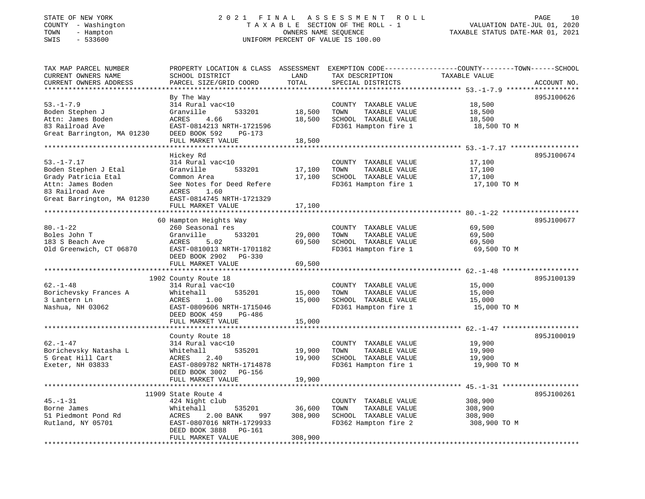#### STATE OF NEW YORK 2 0 2 1 F I N A L A S S E S S M E N T R O L L PAGE 10 COUNTY - Washington T A X A B L E SECTION OF THE ROLL - 1 VALUATION DATE-JUL 01, 2020 TOWN - Hampton OWNERS NAME SEQUENCE TAXABLE STATUS DATE-MAR 01, 2021 SWIS - 533600 UNIFORM PERCENT OF VALUE IS 100.00

| TAX MAP PARCEL NUMBER<br>CURRENT OWNERS NAME<br>CURRENT OWNERS ADDRESS                                                                | PROPERTY LOCATION & CLASS ASSESSMENT<br>SCHOOL DISTRICT<br>PARCEL SIZE/GRID COORD                                                                                   | LAND<br>TOTAL              | TAX DESCRIPTION<br>SPECIAL DISTRICTS                                                          | EXEMPTION CODE-----------------COUNTY-------TOWN------SCHOOL<br>TAXABLE VALUE              | ACCOUNT NO. |
|---------------------------------------------------------------------------------------------------------------------------------------|---------------------------------------------------------------------------------------------------------------------------------------------------------------------|----------------------------|-----------------------------------------------------------------------------------------------|--------------------------------------------------------------------------------------------|-------------|
|                                                                                                                                       |                                                                                                                                                                     | **********                 |                                                                                               | ********************************* 53.-1-7.9 *****                                          |             |
| $53. - 1 - 7.9$<br>Boden Stephen J<br>Attn: James Boden<br>83 Railroad Ave<br>Great Barrington, MA 01230                              | By The Way<br>314 Rural vac<10<br>Granville<br>533201<br>4.66<br>ACRES<br>EAST-0814213 NRTH-1721596<br>DEED BOOK 592<br>PG-173<br>FULL MARKET VALUE                 | 18,500<br>18,500<br>18,500 | COUNTY TAXABLE VALUE<br>TOWN<br>TAXABLE VALUE<br>SCHOOL TAXABLE VALUE<br>FD361 Hampton fire 1 | 18,500<br>18,500<br>18,500<br>18,500 TO M                                                  | 895J100626  |
|                                                                                                                                       |                                                                                                                                                                     |                            |                                                                                               |                                                                                            |             |
| $53. - 1 - 7.17$<br>Boden Stephen J Etal<br>Grady Patricia Etal<br>Attn: James Boden<br>83 Railroad Ave<br>Great Barrington, MA 01230 | Hickey Rd<br>314 Rural vac<10<br>Granville<br>533201<br>Common Area<br>See Notes for Deed Refere<br>ACRES<br>1.60<br>EAST-0814745 NRTH-1721329<br>FULL MARKET VALUE | 17,100<br>17,100<br>17,100 | COUNTY TAXABLE VALUE<br>TOWN<br>TAXABLE VALUE<br>SCHOOL TAXABLE VALUE<br>FD361 Hampton fire 1 | 17,100<br>17,100<br>17,100<br>17,100 TO M                                                  | 895J100674  |
|                                                                                                                                       | *****************************                                                                                                                                       | ************               |                                                                                               |                                                                                            |             |
| $80. - 1 - 22$<br>Boles John T<br>183 S Beach Ave<br>Old Greenwich, CT 06870                                                          | 60 Hampton Heights Way<br>260 Seasonal res<br>Granville<br>533201<br><b>ACRES</b><br>5.02<br>EAST-0810013 NRTH-1701182<br>DEED BOOK 2902 PG-330                     | 29,000<br>69,500           | COUNTY TAXABLE VALUE<br>TAXABLE VALUE<br>TOWN<br>SCHOOL TAXABLE VALUE<br>FD361 Hampton fire 1 | 69,500<br>69,500<br>69,500<br>69,500 TO M                                                  | 895J100677  |
|                                                                                                                                       | FULL MARKET VALUE                                                                                                                                                   | 69,500                     |                                                                                               |                                                                                            |             |
|                                                                                                                                       |                                                                                                                                                                     |                            |                                                                                               |                                                                                            |             |
| $62. - 1 - 48$<br>Borichevsky Frances A<br>3 Lantern Ln<br>Nashua, NH 03062                                                           | 1902 County Route 18<br>314 Rural vac<10<br>535201<br>Whitehall<br>ACRES<br>1.00<br>EAST-0809606 NRTH-1715046<br>DEED BOOK 459<br>PG-486<br>FULL MARKET VALUE       | 15,000<br>15,000<br>15,000 | COUNTY TAXABLE VALUE<br>TAXABLE VALUE<br>TOWN<br>SCHOOL TAXABLE VALUE<br>FD361 Hampton fire 1 | 15,000<br>15,000<br>15,000<br>15,000 TO M                                                  | 895J100139  |
|                                                                                                                                       |                                                                                                                                                                     |                            |                                                                                               |                                                                                            |             |
| $62. - 1 - 47$<br>Borichevsky Natasha L<br>5 Great Hill Cart<br>Exeter, NH 03833                                                      | County Route 18<br>314 Rural vac<10<br>Whitehall<br>535201<br>2.40<br>ACRES<br>EAST-0809782 NRTH-1714878<br>DEED BOOK 3002 PG-156                                   | 19,900<br>19,900           | COUNTY TAXABLE VALUE<br>TOWN<br>TAXABLE VALUE<br>SCHOOL TAXABLE VALUE<br>FD361 Hampton fire 1 | 19,900<br>19,900<br>19,900<br>19,900 TO M                                                  | 895J100019  |
|                                                                                                                                       | FULL MARKET VALUE                                                                                                                                                   | 19,900                     |                                                                                               |                                                                                            |             |
| $45. - 1 - 31$<br>Borne James<br>51 Piedmont Pond Rd<br>Rutland, NY 05701                                                             | *********************<br>11909 State Route 4<br>424 Night club<br>Whitehall<br>535201<br>2.00 BANK<br>ACRES<br>997<br>EAST-0807016 NRTH-1729933                     | 36,600<br>308,900          | COUNTY TAXABLE VALUE<br>TAXABLE VALUE<br>TOWN<br>SCHOOL TAXABLE VALUE<br>FD362 Hampton fire 2 | ********** $45. -1 -31$ *****************<br>308,900<br>308,900<br>308,900<br>308,900 TO M | 895J100261  |
|                                                                                                                                       | DEED BOOK 3888<br>PG-161<br>FULL MARKET VALUE                                                                                                                       | 308,900                    |                                                                                               |                                                                                            |             |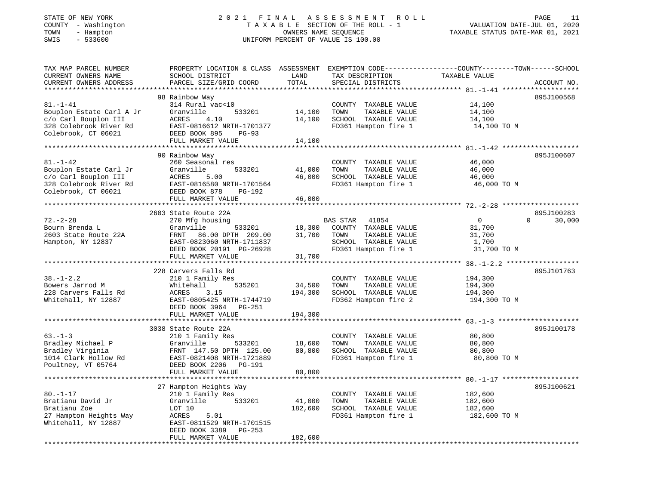## STATE OF NEW YORK 2 0 2 1 F I N A L A S S E S S M E N T R O L L PAGE 11COUNTY - Washington T A X A B L E SECTION OF THE ROLL - 1 VALUATION DATE-JUL 01, 2020 SWIS - 533600 UNIFORM PERCENT OF VALUE IS 100.00

--<br>VALUATION DATE-JUL 01, 2020<br>---- ---- ---- ---- --- 2021

| TAX MAP PARCEL NUMBER<br>CURRENT OWNERS NAME<br>CURRENT OWNERS ADDRESS                                              | PROPERTY LOCATION & CLASS ASSESSMENT<br>SCHOOL DISTRICT<br>PARCEL SIZE/GRID COORD                                                                                                                 | LAND<br>TOTAL<br>**********               | TAX DESCRIPTION<br>SPECIAL DISTRICTS                                                                               | EXEMPTION CODE-----------------COUNTY-------TOWN------SCHOOL<br>TAXABLE VALUE                                       | ACCOUNT NO.                      |
|---------------------------------------------------------------------------------------------------------------------|---------------------------------------------------------------------------------------------------------------------------------------------------------------------------------------------------|-------------------------------------------|--------------------------------------------------------------------------------------------------------------------|---------------------------------------------------------------------------------------------------------------------|----------------------------------|
| $81. - 1 - 41$<br>Bouplon Estate Carl A Jr<br>c/o Carl Bouplon III<br>328 Colebrook River Rd<br>Colebrook, CT 06021 | 98 Rainbow Way<br>314 Rural vac<10<br>Granville<br>533201<br>ACRES<br>4.10<br>EAST-0816612 NRTH-1701377<br>DEED BOOK 895<br>PG-93<br>FULL MARKET VALUE                                            | 14,100<br>14,100<br>14,100                | COUNTY TAXABLE VALUE<br>TOWN<br>TAXABLE VALUE<br>SCHOOL TAXABLE VALUE<br>FD361 Hampton fire 1                      | 14,100<br>14,100<br>14,100<br>14,100 TO M                                                                           | 895J100568                       |
| $81. - 1 - 42$<br>Bouplon Estate Carl Jr<br>c/o Carl Bouplon III<br>328 Colebrook River Rd<br>Colebrook, CT 06021   | 90 Rainbow Way<br>260 Seasonal res<br>Granville<br>533201<br>ACRES<br>5.00<br>EAST-0816580 NRTH-1701564<br>DEED BOOK 878<br>PG-192<br>FULL MARKET VALUE                                           | 41,000<br>46,000<br>46,000                | COUNTY TAXABLE VALUE<br>TAXABLE VALUE<br>TOWN<br>SCHOOL TAXABLE VALUE<br>FD361 Hampton fire 1                      | 46,000<br>46,000<br>46,000<br>46,000 TO M                                                                           | 895J100607                       |
| $72. - 2 - 28$<br>Bourn Brenda L<br>2603 State Route 22A<br>Hampton, NY 12837                                       | 2603 State Route 22A<br>270 Mfg housing<br>Granville<br>533201<br>FRNT 86.00 DPTH 209.00<br>EAST-0823060 NRTH-1711837<br>DEED BOOK 20191 PG-26928<br>FULL MARKET VALUE<br>*********************** | 18,300<br>31,700<br>31,700<br>*********** | BAS STAR<br>41854<br>COUNTY TAXABLE VALUE<br>TOWN<br>TAXABLE VALUE<br>SCHOOL TAXABLE VALUE<br>FD361 Hampton fire 1 | $\overline{0}$<br>31,700<br>31,700<br>1,700<br>31,700 TO M<br>********************** 38. -1-2.2 ******************* | 895J100283<br>$\Omega$<br>30,000 |
| $38. - 1 - 2.2$<br>Bowers Jarrod M<br>228 Carvers Falls Rd<br>Whitehall, NY 12887                                   | 228 Carvers Falls Rd<br>210 1 Family Res<br>535201<br>Whitehall<br>ACRES<br>3.15<br>EAST-0805425 NRTH-1744719<br>DEED BOOK 3964 PG-251<br>FULL MARKET VALUE                                       | 34,500<br>194,300<br>194,300              | COUNTY TAXABLE VALUE<br>TAXABLE VALUE<br>TOWN<br>SCHOOL TAXABLE VALUE<br>FD362 Hampton fire 2                      | 194,300<br>194,300<br>194,300<br>194,300 TO M                                                                       | 895J101763                       |
| $63 - 1 - 3$<br>Bradley Michael P<br>Bradley Virginia<br>1014 Clark Hollow Rd<br>Poultney, VT 05764                 | 3038 State Route 22A<br>210 1 Family Res<br>533201<br>Granville<br>FRNT 147.50 DPTH 125.00<br>EAST-0821408 NRTH-1721889<br>DEED BOOK 2206 PG-191<br>FULL MARKET VALUE                             | 18,600<br>80,800<br>80,800                | COUNTY TAXABLE VALUE<br>TAXABLE VALUE<br>TOWN<br>SCHOOL TAXABLE VALUE<br>FD361 Hampton fire 1                      | 80,800<br>80,800<br>80,800<br>80,800 TO M                                                                           | 895J100178                       |
| $80. - 1 - 17$<br>Bratianu David Jr<br>Bratianu Zoe<br>27 Hampton Heights Way<br>Whitehall, NY 12887                | 27 Hampton Heights Way<br>210 1 Family Res<br>Granville<br>533201<br>LOT 10<br>ACRES<br>5.01<br>EAST-0811529 NRTH-1701515<br>DEED BOOK 3389<br>PG-253<br>FULL MARKET VALUE                        | 41,000<br>182,600<br>182,600              | COUNTY TAXABLE VALUE<br>TOWN<br>TAXABLE VALUE<br>SCHOOL TAXABLE VALUE<br>FD361 Hampton fire 1                      | 182,600<br>182,600<br>182,600<br>182,600 TO M                                                                       | 895J100621                       |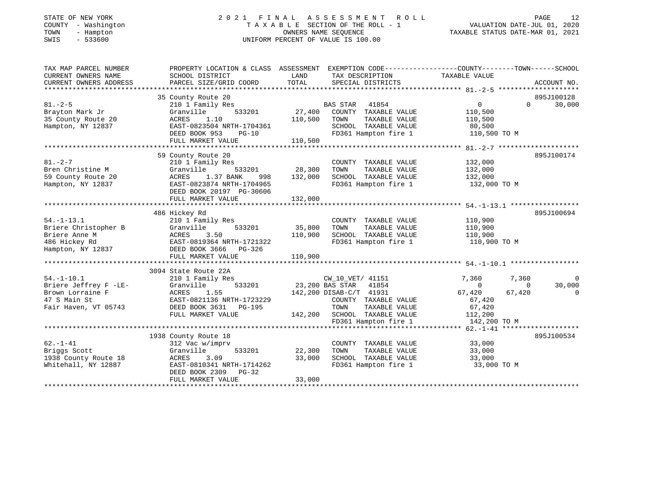| STATE OF NEW YORK |                          |                   |
|-------------------|--------------------------|-------------------|
| <b>COUNTY</b>     |                          | - Washington      |
| TOWN              | $\overline{\phantom{0}}$ | Hampton           |
| CFTT              |                          | $F \cap C \cap C$ |

#### STATE OF NEW YORK 2 0 2 1 F I N A L A S S E S S M E N T R O L L PAGE 12 COUNTY - Washington T A X A B L E SECTION OF THE ROLL - 1 VALUATION DATE-JUL 01, 2020 TOWN - Hampton OWNERS NAME SEQUENCE TAXABLE STATUS DATE-MAR 01, 2021 SWIS - 533600 UNIFORM PERCENT OF VALUE IS 100.00UNIFORM PERCENT OF VALUE IS 100.00

| TAX MAP PARCEL NUMBER<br>CURRENT OWNERS NAME<br>CURRENT OWNERS ADDRESS                                | PROPERTY LOCATION & CLASS ASSESSMENT EXEMPTION CODE---------------COUNTY-------TOWN-----SCHOOL<br>SCHOOL DISTRICT<br>PARCEL SIZE/GRID COORD                              | LAND<br>TOTAL                | TAX DESCRIPTION<br>SPECIAL DISTRICTS                                                                                                                          | TAXABLE VALUE                                                                                             | ACCOUNT NO.                    |
|-------------------------------------------------------------------------------------------------------|--------------------------------------------------------------------------------------------------------------------------------------------------------------------------|------------------------------|---------------------------------------------------------------------------------------------------------------------------------------------------------------|-----------------------------------------------------------------------------------------------------------|--------------------------------|
| $81. - 2 - 5$<br>Brayton Mark Jr<br>35 County Route 20<br>Hampton, NY 12837                           | 35 County Route 20<br>210 1 Family Res<br>Granville<br>533201<br>ACRES<br>1.10<br>EAST-0823504 NRTH-1704361<br>DEED BOOK 953<br>$PG-10$<br>FULL MARKET VALUE             | 27,400<br>110,500<br>110,500 | BAS STAR 41854<br>COUNTY TAXABLE VALUE<br>TAXABLE VALUE<br>TOWN<br>SCHOOL TAXABLE VALUE<br>FD361 Hampton fire 1                                               | $0 \qquad \qquad$<br>$\Omega$<br>110,500<br>110,500<br>80,500<br>110,500 TO M                             | 895J100128<br>30,000           |
| $81. - 2 - 7$<br>Bren Christine M<br>59 County Route 20<br>Hampton, NY 12837                          | 59 County Route 20<br>210 1 Family Res<br>Granville<br>533201<br>1.37 BANK<br>ACRES<br>998<br>EAST-0823874 NRTH-1704965<br>DEED BOOK 20197 PG-30606<br>FULL MARKET VALUE | 28,300<br>132,000<br>132,000 | COUNTY TAXABLE VALUE<br>TAXABLE VALUE<br>TOWN<br>SCHOOL TAXABLE VALUE<br>FD361 Hampton fire 1                                                                 | 132,000<br>132,000<br>132,000<br>132,000 TO M                                                             | 895J100174                     |
| $54. - 1 - 13.1$<br>Briere Christopher B<br>Briere Anne M<br>486 Hickey Rd<br>Hampton, NY 12837       | 486 Hickey Rd<br>210 1 Family Res<br>533201<br>Granville<br>3.50<br>ACRES<br>EAST-0819364 NRTH-1721322<br>DEED BOOK 3666 PG-326<br>FULL MARKET VALUE                     | 35,800<br>110,900<br>110,900 | COUNTY TAXABLE VALUE<br>TOWN<br>TAXABLE VALUE<br>SCHOOL TAXABLE VALUE<br>FD361 Hampton fire 1                                                                 | 110,900<br>110,900<br>110,900<br>110,900 TO M                                                             | 895J100694                     |
| $54. - 1 - 10.1$<br>Briere Jeffrey F -LE-<br>Brown Lorraine F<br>47 S Main St<br>Fair Haven, VT 05743 | 3094 State Route 22A<br>210 1 Family Res<br>533201<br>Granville<br>ACRES<br>1.55<br>EAST-0821136 NRTH-1723229<br>DEED BOOK 3631 PG-195<br>FULL MARKET VALUE              | 23,200 BAS STAR              | CW_10_VET/ 41151<br>41854<br>142,200 DISAB-C/T 41931<br>COUNTY TAXABLE VALUE<br>TOWN<br>TAXABLE VALUE<br>142,200 SCHOOL TAXABLE VALUE<br>FD361 Hampton fire 1 | 7,360<br>7,360<br>$\Omega$<br>$\Omega$<br>67,420<br>67,420<br>67,420<br>67,420<br>112,200<br>142,200 TO M | $\Omega$<br>30,000<br>$\Omega$ |
| $62. - 1 - 41$<br>Briggs Scott<br>1938 County Route 18<br>Whitehall, NY 12887                         | 1938 County Route 18<br>312 Vac w/imprv<br>Granville<br>533201<br>ACRES<br>3.09<br>EAST-0810341 NRTH-1714262<br>DEED BOOK 2309 PG-32<br>FULL MARKET VALUE                | 22,300<br>33,000<br>33,000   | COUNTY TAXABLE VALUE<br>TOWN<br>TAXABLE VALUE<br>SCHOOL TAXABLE VALUE<br>FD361 Hampton fire 1                                                                 | 33,000<br>33,000<br>33,000<br>33,000 TO M                                                                 | 895J100534                     |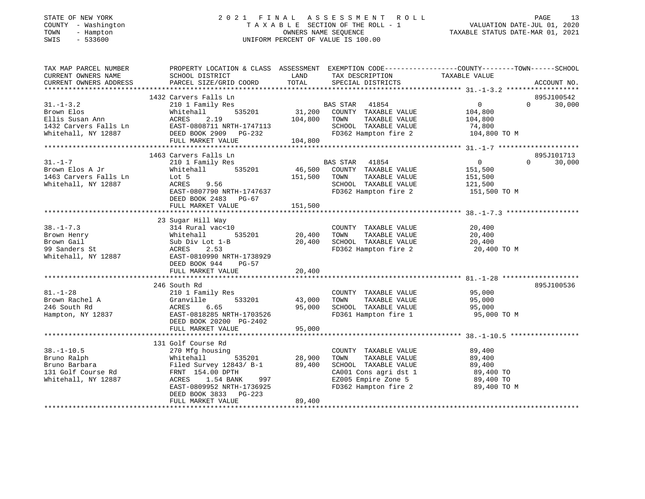## STATE OF NEW YORK 2 0 2 1 F I N A L A S S E S S M E N T R O L L PAGE 13COUNTY - Washington T A X A B L E SECTION OF THE ROLL - 1<br>
TOWN - Hampton - WASHINGTON DATE-JUL 000<br>
SWIS - 533600<br>
SWIS - 533600 SWIS - 533600 UNIFORM PERCENT OF VALUE IS 100.00

| TAX MAP PARCEL NUMBER<br>CURRENT OWNERS NAME                                 | PROPERTY LOCATION & CLASS ASSESSMENT EXEMPTION CODE---------------COUNTY-------TOWN------SCHOOL<br>SCHOOL DISTRICT                                                                                                                      | LAND          | TAX DESCRIPTION TAXABLE VALUE                                    |                                  |                    |
|------------------------------------------------------------------------------|-----------------------------------------------------------------------------------------------------------------------------------------------------------------------------------------------------------------------------------------|---------------|------------------------------------------------------------------|----------------------------------|--------------------|
| CURRENT OWNERS ADDRESS                                                       | PARCEL SIZE/GRID COORD                                                                                                                                                                                                                  | TOTAL         | SPECIAL DISTRICTS                                                |                                  | ACCOUNT NO.        |
|                                                                              | 1432 Carvers Falls Ln                                                                                                                                                                                                                   |               |                                                                  |                                  | 895J100542         |
| $31. - 1 - 3.2$                                                              | 210 1 Family Res                                                                                                                                                                                                                        |               | 1<br>535201 1231,200 COUNTY TAXABLE VALUE                        | $\overline{0}$                   | 30,000<br>$\Omega$ |
|                                                                              |                                                                                                                                                                                                                                         |               |                                                                  | 104,800                          |                    |
|                                                                              |                                                                                                                                                                                                                                         |               | TOWN<br>TAXABLE VALUE                                            | 104,800                          |                    |
|                                                                              |                                                                                                                                                                                                                                         |               | SCHOOL TAXABLE VALUE                                             | 74,800                           |                    |
|                                                                              |                                                                                                                                                                                                                                         |               | FD362 Hampton fire 2                                             | 104,800 TO M                     |                    |
|                                                                              | 31.-1-3.2<br>Brown Elos Mhitehall 535201 51,200<br>Ellis Susan Ann ACRES 2.19 104,800<br>1432 Carvers Falls Ln EAST-0808711 NRTH-1747113<br>Whitehall, NY 12887 DEED BOOK 2909 PG-232<br>FULL MARKET VALUE 104,800<br>TULL MARKET VALUE |               |                                                                  |                                  |                    |
|                                                                              |                                                                                                                                                                                                                                         |               |                                                                  |                                  |                    |
|                                                                              | 1463 Carvers Falls Ln                                                                                                                                                                                                                   |               |                                                                  |                                  | 895J101713         |
| $31. - 1 - 7$                                                                | 210 1 Family Res                                                                                                                                                                                                                        |               | BAS STAR 41854                                                   | $\overline{0}$                   | 30,000<br>$\Omega$ |
| Brown Elos A Jr                                                              | Whitehall                                                                                                                                                                                                                               |               | 535201 46,500 COUNTY TAXABLE VALUE                               | 151,500                          |                    |
| 1463 Carvers Falls Ln                                                        | Lot 5                                                                                                                                                                                                                                   | 151,500       | TOWN<br>TAXABLE VALUE                                            | 151,500                          |                    |
| Whitehall, NY 12887                                                          | ACRES<br>9.56                                                                                                                                                                                                                           |               | SCHOOL TAXABLE VALUE 121,500                                     |                                  |                    |
|                                                                              | EAST-0807790 NRTH-1747637                                                                                                                                                                                                               |               | FD362 Hampton fire 2                                             | 151,500 TO M                     |                    |
|                                                                              | DEED BOOK 2483 PG-67                                                                                                                                                                                                                    |               |                                                                  |                                  |                    |
|                                                                              |                                                                                                                                                                                                                                         |               |                                                                  |                                  |                    |
|                                                                              |                                                                                                                                                                                                                                         |               |                                                                  |                                  |                    |
|                                                                              | 23 Sugar Hill Way                                                                                                                                                                                                                       |               |                                                                  |                                  |                    |
| $38. - 1 - 7.3$                                                              | 314 Rural vac<10                                                                                                                                                                                                                        |               | COUNTY TAXABLE VALUE                                             | 20,400                           |                    |
| Brown Henry                                                                  | Whitehall                                                                                                                                                                                                                               | 535201 20,400 | TOWN<br>TAXABLE VALUE                                            | 20,400                           |                    |
| Brown Gail                                                                   | Sub Div Lot 1-B                                                                                                                                                                                                                         | 20,400        | SCHOOL TAXABLE VALUE                                             | 20,400                           |                    |
| Whiteha<br>Sub Div<br>NCRES<br>TT 19887<br>EAST-0<br>NEED I<br>99 Sanders St | 2.53                                                                                                                                                                                                                                    |               |                                                                  | FD362 Hampton fire 2 20,400 TO M |                    |
| Whitehall, NY 12887                                                          | EAST-0810990 NRTH-1738929                                                                                                                                                                                                               |               |                                                                  |                                  |                    |
|                                                                              | DEED BOOK 944<br>PG-57                                                                                                                                                                                                                  |               |                                                                  |                                  |                    |
|                                                                              | FULL MARKET VALUE                                                                                                                                                                                                                       | 20,400        |                                                                  |                                  |                    |
|                                                                              |                                                                                                                                                                                                                                         |               |                                                                  |                                  |                    |
|                                                                              | 246 South Rd                                                                                                                                                                                                                            |               |                                                                  |                                  | 895J100536         |
| $81. - 1 - 28$                                                               | 210 1 Family Res                                                                                                                                                                                                                        |               | COUNTY TAXABLE VALUE                                             | 95,000                           |                    |
|                                                                              | 533201 43,000<br>Granville                                                                                                                                                                                                              |               | TOWN                                                             | TAXABLE VALUE 95,000             |                    |
| 81.-1-28<br>Brown Rachel A Granvi<br>ACRES                                   | 6.65                                                                                                                                                                                                                                    | 95,000        | SCHOOL TAXABLE VALUE                                             | 95,000                           |                    |
|                                                                              | Hampton, NY 12837 EAST-0818285 NRTH-1703526                                                                                                                                                                                             |               |                                                                  | FD361 Hampton fire 1 95,000 TO M |                    |
|                                                                              | DEED BOOK 20200 PG-2402                                                                                                                                                                                                                 |               |                                                                  |                                  |                    |
|                                                                              | FULL MARKET VALUE                                                                                                                                                                                                                       | 95,000        |                                                                  |                                  |                    |
|                                                                              |                                                                                                                                                                                                                                         |               |                                                                  |                                  |                    |
|                                                                              | 131 Golf Course Rd                                                                                                                                                                                                                      |               |                                                                  |                                  |                    |
| $38. - 1 - 10.5$                                                             | 270 Mfg housing                                                                                                                                                                                                                         |               | COUNTY TAXABLE VALUE<br>TOWN      TAXABLE VALUE                  | 89,400                           |                    |
| Bruno Ralph                                                                  | Whitehall                                                                                                                                                                                                                               | 535201 28,900 |                                                                  | 89,400                           |                    |
|                                                                              |                                                                                                                                                                                                                                         |               | SCHOOL TAXABLE VALUE                                             |                                  |                    |
|                                                                              |                                                                                                                                                                                                                                         |               | CA001 Cons agri dst 1 89,400 TO<br>EZ005 Empire Zone 5 89,400 TO | 89,400<br>89,400 TO              |                    |
| Whitehall, NY 12887                                                          | ACRES<br>1.54 BANK                                                                                                                                                                                                                      | 997           |                                                                  |                                  |                    |
|                                                                              | EAST-0809952 NRTH-1736925                                                                                                                                                                                                               |               | FD362 Hampton fire 2                                             | 89,400 TO M                      |                    |
|                                                                              | DEED BOOK 3833<br>PG-223                                                                                                                                                                                                                |               |                                                                  |                                  |                    |
|                                                                              | FULL MARKET VALUE                                                                                                                                                                                                                       | 89,400        |                                                                  |                                  |                    |
|                                                                              |                                                                                                                                                                                                                                         |               |                                                                  |                                  |                    |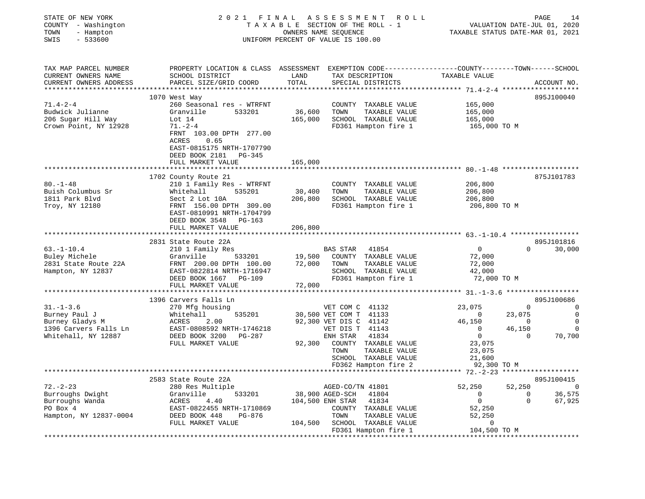| STATE OF NEW YORK<br>COUNTY - Washington<br>- Hampton<br>TOWN<br>$-533600$<br>SWIS                  |                                                                                                                                                                                                                                 | OWNERS NAME SEQUENCE                           | 2021 FINAL ASSESSMENT ROLL<br>TAXABLE SECTION OF THE ROLL - 1<br>UNIFORM PERCENT OF VALUE IS 100.00                                                                                                          | VALUATION DATE-JUL 01, 2020<br>TAXABLE STATUS DATE-MAR 01, 2021                                               | PAGE                                                             | 14                                                    |
|-----------------------------------------------------------------------------------------------------|---------------------------------------------------------------------------------------------------------------------------------------------------------------------------------------------------------------------------------|------------------------------------------------|--------------------------------------------------------------------------------------------------------------------------------------------------------------------------------------------------------------|---------------------------------------------------------------------------------------------------------------|------------------------------------------------------------------|-------------------------------------------------------|
| TAX MAP PARCEL NUMBER<br>CURRENT OWNERS NAME<br>CURRENT OWNERS ADDRESS<br>************************* | PROPERTY LOCATION & CLASS ASSESSMENT EXEMPTION CODE---------------COUNTY-------TOWN------SCHOOL<br>SCHOOL DISTRICT<br>PARCEL SIZE/GRID COORD                                                                                    | LAND<br>TOTAL                                  | TAX DESCRIPTION<br>SPECIAL DISTRICTS                                                                                                                                                                         | TAXABLE VALUE                                                                                                 |                                                                  | ACCOUNT NO.                                           |
| $71.4 - 2 - 4$<br>Budwick Julianne<br>206 Sugar Hill Way<br>Crown Point, NY 12928                   | 1070 West Way<br>260 Seasonal res - WTRFNT<br>Granville<br>533201<br>Lot $14$<br>$71. - 2 - 4$<br>FRNT 103.00 DPTH 277.00<br><b>ACRES</b><br>0.65<br>EAST-0815175 NRTH-1707790<br>DEED BOOK 2181<br>PG-345<br>FULL MARKET VALUE | 36,600<br>165,000<br>165,000                   | COUNTY TAXABLE VALUE<br>TOWN<br>TAXABLE VALUE<br>SCHOOL TAXABLE VALUE<br>FD361 Hampton fire 1                                                                                                                | 165,000<br>165,000<br>165,000<br>165,000 TO M                                                                 |                                                                  | 895J100040                                            |
|                                                                                                     |                                                                                                                                                                                                                                 |                                                |                                                                                                                                                                                                              |                                                                                                               |                                                                  |                                                       |
| $80. - 1 - 48$<br>Buish Columbus Sr<br>1811 Park Blvd<br>Troy, NY 12180                             | 1702 County Route 21<br>210 1 Family Res - WTRFNT<br>Whitehall<br>535201<br>Sect 2 Lot 10A<br>FRNT 156.00 DPTH 309.00<br>EAST-0810991 NRTH-1704799<br>DEED BOOK 3548 PG-163<br>FULL MARKET VALUE                                | 30,400<br>206,800<br>206,800                   | COUNTY TAXABLE VALUE<br>TOWN<br>TAXABLE VALUE<br>SCHOOL TAXABLE VALUE<br>FD361 Hampton fire 1                                                                                                                | 206,800<br>206,800<br>206,800<br>206,800 TO M                                                                 |                                                                  | 875J101783                                            |
|                                                                                                     |                                                                                                                                                                                                                                 |                                                |                                                                                                                                                                                                              |                                                                                                               |                                                                  |                                                       |
| $63. - 1 - 10.4$<br>Buley Michele<br>2831 State Route 22A<br>Hampton, NY 12837                      | 2831 State Route 22A<br>210 1 Family Res<br>533201<br>Granville<br>DEED BOOK 1667 PG-109                                                                                                                                        | 19,500<br>72,000                               | BAS STAR<br>41854<br>COUNTY TAXABLE VALUE<br>TOWN<br>TAXABLE VALUE<br>SCHOOL TAXABLE VALUE<br>FD361 Hampton fire 1                                                                                           | $\overline{0}$<br>72,000<br>72,000<br>42,000<br>72,000 TO M                                                   | $\Omega$                                                         | 895J101816<br>30,000                                  |
|                                                                                                     | FULL MARKET VALUE                                                                                                                                                                                                               | 72,000                                         |                                                                                                                                                                                                              | ******************** 31.-1-3.6 *******************                                                            |                                                                  |                                                       |
|                                                                                                     | 1396 Carvers Falls Ln                                                                                                                                                                                                           |                                                |                                                                                                                                                                                                              |                                                                                                               |                                                                  | 895J100686                                            |
| $31. - 1 - 3.6$<br>Burney Paul J<br>Burney Gladys M<br>1396 Carvers Falls Ln<br>Whitehall, NY 12887 | 270 Mfg housing<br>535201<br>Whitehall<br>ACRES<br>2.00<br>EAST-0808592 NRTH-1746218<br>DEED BOOK 3200 PG-287<br>FULL MARKET VALUE                                                                                              | 92,300                                         | VET COM C 41132<br>30,500 VET COM T 41133<br>92,300 VET DIS C 41142<br>VET DIS T 41143<br>41834<br>ENH STAR<br>COUNTY TAXABLE VALUE<br>TOWN<br>TAXABLE VALUE<br>SCHOOL TAXABLE VALUE<br>FD362 Hampton fire 2 | 23,075<br>$\sim$ 0<br>46,150<br>$\overline{0}$<br>$\overline{0}$<br>23,075<br>23,075<br>21,600<br>92,300 TO M | $\overline{0}$<br>23,075<br>$\sim$ 0<br>46,150<br>$\overline{0}$ | $\Omega$<br>0<br>$\overline{0}$<br>$\Omega$<br>70,700 |
|                                                                                                     |                                                                                                                                                                                                                                 |                                                |                                                                                                                                                                                                              |                                                                                                               |                                                                  |                                                       |
| $72. - 2 - 23$<br>Burroughs Dwight<br>Burroughs Wanda<br>Burroughs Wanda<br>Hampton, NY 12837-0004  | 2583 State Route 22A<br>280 Res Multiple<br>Granville<br>533201<br>ACRES<br>4.40<br>EAST-0822455 NRTH-1710869<br>DEED BOOK 448<br>PG-876<br>FULL MARKET VALUE                                                                   | 38,900 AGED-SCH<br>104,500 ENH STAR<br>104,500 | AGED-CO/TN 41801<br>41804<br>41834<br>COUNTY TAXABLE VALUE<br>TOWN<br>TAXABLE VALUE<br>SCHOOL TAXABLE VALUE<br>FD361 Hampton fire 1                                                                          | 52,250<br>$\overline{0}$<br>$\overline{0}$<br>52,250<br>52,250<br>$\mathbf 0$<br>104,500 TO M                 | 52,250<br>$\overline{0}$<br>$\Omega$                             | 895J100415<br>$\sim$ 0<br>36,575<br>67,925            |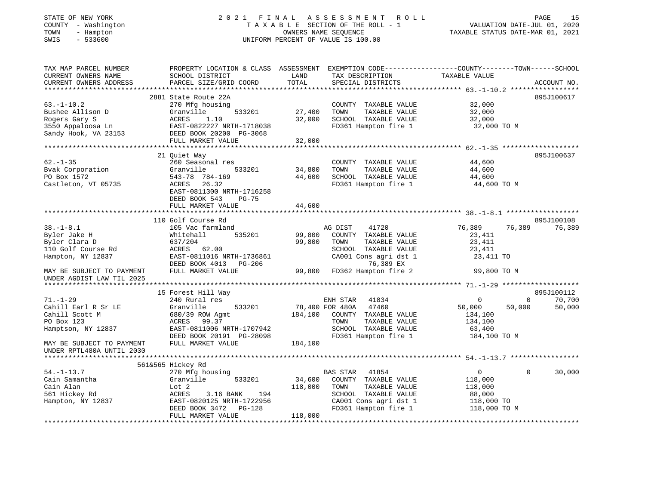### STATE OF NEW YORK 2 0 2 1 F I N A L A S S E S S M E N T R O L L PAGE 15 COUNTY - Washington T A X A B L E SECTION OF THE ROLL - 1 VALUATION DATE-JUL 01, 2020 TOWN - Hampton OWNERS NAME SEQUENCE TAXABLE STATUS DATE-MAR 01, 2021 SWIS - 533600 UNIFORM PERCENT OF VALUE IS 100.00

| TAX MAP PARCEL NUMBER     | PROPERTY LOCATION & CLASS ASSESSMENT |                 | EXEMPTION CODE-----------------COUNTY-------TOWN------SCHOOL |               |                          |
|---------------------------|--------------------------------------|-----------------|--------------------------------------------------------------|---------------|--------------------------|
| CURRENT OWNERS NAME       | SCHOOL DISTRICT                      | LAND            | TAX DESCRIPTION                                              | TAXABLE VALUE |                          |
| CURRENT OWNERS ADDRESS    | PARCEL SIZE/GRID COORD               | TOTAL           | SPECIAL DISTRICTS                                            |               | ACCOUNT NO.              |
|                           |                                      |                 |                                                              |               |                          |
|                           | 2881 State Route 22A                 |                 |                                                              |               | 895J100617               |
| $63. - 1 - 10.2$          | 270 Mfg housing                      |                 | COUNTY TAXABLE VALUE                                         | 32,000        |                          |
| Bushee Allison D          | Granville<br>533201                  | 27,400          | TAXABLE VALUE<br>TOWN                                        | 32,000        |                          |
| Rogers Gary S             | 1.10<br>ACRES                        | 32,000          | SCHOOL TAXABLE VALUE                                         | 32,000        |                          |
| 3550 Appaloosa Ln         | EAST-0822227 NRTH-1718038            |                 | FD361 Hampton fire 1                                         | 32,000 TO M   |                          |
| Sandy Hook, VA 23153      | DEED BOOK 20200 PG-3068              |                 |                                                              |               |                          |
|                           | FULL MARKET VALUE                    | 32,000          |                                                              |               |                          |
|                           |                                      |                 |                                                              |               |                          |
|                           | 21 Ouiet Way                         |                 |                                                              |               | 895J100637               |
| $62 - 1 - 35$             | 260 Seasonal res                     |                 | COUNTY TAXABLE VALUE                                         | 44,600        |                          |
| Bvak Corporation          | Granville<br>533201                  | 34,800          | TOWN<br>TAXABLE VALUE                                        | 44,600        |                          |
| PO Box 1572               | 543-78 784-169                       | 44,600          | SCHOOL TAXABLE VALUE                                         | 44,600        |                          |
| Castleton, VT 05735       | ACRES<br>26.32                       |                 | FD361 Hampton fire 1                                         | 44,600 TO M   |                          |
|                           | EAST-0811300 NRTH-1716258            |                 |                                                              |               |                          |
|                           | DEED BOOK 543<br>$PG-75$             |                 |                                                              |               |                          |
|                           | FULL MARKET VALUE                    | 44,600          |                                                              |               |                          |
|                           |                                      |                 |                                                              |               |                          |
|                           | 110 Golf Course Rd                   |                 |                                                              |               | 895J100108               |
| $38. - 1 - 8.1$           | 105 Vac farmland                     |                 | AG DIST<br>41720                                             | 76,389        | 76,389<br>76,389         |
| Byler Jake H              | Whitehall<br>535201                  | 99,800          | COUNTY TAXABLE VALUE                                         | 23,411        |                          |
| Byler Clara D             | 637/204                              | 99,800          | TAXABLE VALUE<br>TOWN                                        | 23,411        |                          |
| 110 Golf Course Rd        | ACRES 62.00                          |                 | SCHOOL TAXABLE VALUE                                         | 23,411        |                          |
| Hampton, NY 12837         | EAST-0811016 NRTH-1736861            |                 | CA001 Cons agri dst 1                                        | 23,411 TO     |                          |
|                           | DEED BOOK 4013 PG-206                |                 | 76,389 EX                                                    |               |                          |
| MAY BE SUBJECT TO PAYMENT | FULL MARKET VALUE                    |                 | 99,800 FD362 Hampton fire 2                                  | 99,800 TO M   |                          |
| UNDER AGDIST LAW TIL 2025 |                                      |                 |                                                              |               |                          |
|                           |                                      |                 |                                                              |               |                          |
|                           | 15 Forest Hill Way                   |                 |                                                              |               | 895J100112               |
| $71. - 1 - 29$            | 240 Rural res                        |                 | ENH STAR<br>41834                                            | $\mathbf 0$   | 70,700<br>$\overline{0}$ |
| Cahill Earl R Sr LE       | Granville<br>533201                  | 78,400 FOR 480A | 47460                                                        | 50,000        | 50,000<br>50,000         |
| Cahill Scott M            | 680/39 ROW Agmt                      | 184,100         | COUNTY TAXABLE VALUE                                         | 134,100       |                          |
| PO Box 123                | ACRES<br>99.37                       |                 | TOWN<br>TAXABLE VALUE                                        | 134,100       |                          |
| Hamptson, NY 12837        | EAST-0811006 NRTH-1707942            |                 | SCHOOL TAXABLE VALUE                                         | 63,400        |                          |
|                           | DEED BOOK 20191 PG-28098             |                 | FD361 Hampton fire 1                                         | 184,100 TO M  |                          |
| MAY BE SUBJECT TO PAYMENT | FULL MARKET VALUE                    | 184,100         |                                                              |               |                          |
| UNDER RPTL480A UNTIL 2030 |                                      |                 |                                                              |               |                          |
|                           |                                      |                 |                                                              |               |                          |
|                           | 561&565 Hickey Rd                    |                 |                                                              |               |                          |
| $54. - 1 - 13.7$          | 270 Mfg housing                      |                 | <b>BAS STAR</b><br>41854                                     | 0             | 30,000<br>$\Omega$       |
| Cain Samantha             | Granville<br>533201                  | 34,600          | COUNTY TAXABLE VALUE                                         | 118,000       |                          |
| Cain Alan                 | Lot 2                                | 118,000         | TOWN<br>TAXABLE VALUE                                        | 118,000       |                          |
| 561 Hickey Rd             | ACRES<br>3.16 BANK<br>194            |                 | SCHOOL TAXABLE VALUE                                         | 88,000        |                          |
| Hampton, NY 12837         | EAST-0820125 NRTH-1722956            |                 | CA001 Cons agri dst 1                                        | 118,000 TO    |                          |
|                           | PG-128<br>DEED BOOK 3472             |                 | FD361 Hampton fire 1                                         | 118,000 TO M  |                          |
|                           | FULL MARKET VALUE                    | 118,000         |                                                              |               |                          |
|                           |                                      |                 |                                                              |               |                          |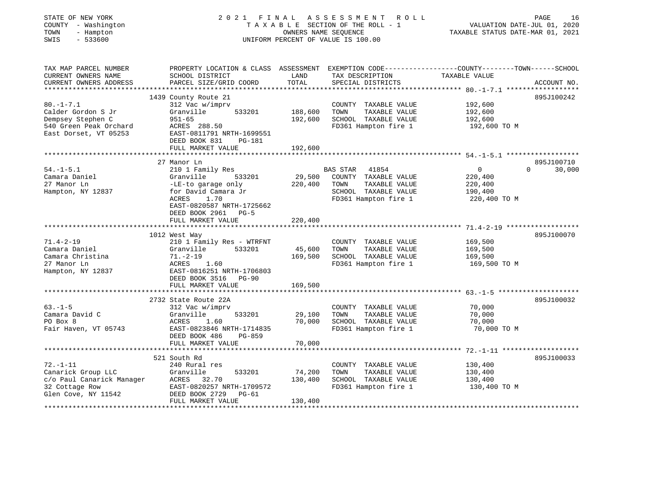| STATE OF NEW YORK   |           | 2021 FINAL ASSESSMENT ROLL         |                                  | PAGE | 16 |
|---------------------|-----------|------------------------------------|----------------------------------|------|----|
| COUNTY - Washington |           | TAXABLE SECTION OF THE ROLL - 1    | VALUATION DATE-JUL 01, 2020      |      |    |
| TOWN                | - Hampton | OWNERS NAME SEOUENCE               | TAXABLE STATUS DATE-MAR 01, 2021 |      |    |
| SWIS                | $-533600$ | UNIFORM PERCENT OF VALUE IS 100.00 |                                  |      |    |
|                     |           |                                    |                                  |      |    |
|                     |           |                                    |                                  |      |    |
|                     |           |                                    |                                  |      |    |

| TAX MAP PARCEL NUMBER<br>CURRENT OWNERS NAME<br>CURRENT OWNERS ADDRESS                                        | PROPERTY LOCATION & CLASS ASSESSMENT<br>SCHOOL DISTRICT<br>PARCEL SIZE/GRID COORD                                                                                                                    | LAND<br>TOTAL                 | TAX DESCRIPTION<br>SPECIAL DISTRICTS                                                                            | EXEMPTION CODE-----------------COUNTY-------TOWN------SCHOOL<br>TAXABLE VALUE | ACCOUNT NO.                      |
|---------------------------------------------------------------------------------------------------------------|------------------------------------------------------------------------------------------------------------------------------------------------------------------------------------------------------|-------------------------------|-----------------------------------------------------------------------------------------------------------------|-------------------------------------------------------------------------------|----------------------------------|
| $80. - 1 - 7.1$<br>Calder Gordon S Jr<br>Dempsey Stephen C<br>540 Green Peak Orchard<br>East Dorset, VT 05253 | 1439 County Route 21<br>312 Vac w/imprv<br>533201<br>Granville<br>$951 - 65$<br>ACRES 288.50<br>EAST-0811791 NRTH-1699551<br>DEED BOOK 831<br><b>PG-181</b><br>FULL MARKET VALUE                     | 188,600<br>192,600<br>192,600 | COUNTY TAXABLE VALUE<br>TOWN<br>TAXABLE VALUE<br>SCHOOL TAXABLE VALUE<br>FD361 Hampton fire 1                   | 192,600<br>192,600<br>192,600<br>192,600 TO M                                 | 895J100242                       |
| $54. - 1 - 5.1$<br>Camara Daniel<br>27 Manor Ln<br>Hampton, NY 12837                                          | 27 Manor Ln<br>210 1 Family Res<br>533201<br>Granville<br>-LE-to garage only<br>for David Camara Jr<br><b>ACRES</b><br>1.70<br>EAST-0820587 NRTH-1725662<br>DEED BOOK 2961 PG-5<br>FULL MARKET VALUE | 29,500<br>220,400<br>220,400  | BAS STAR 41854<br>COUNTY TAXABLE VALUE<br>TOWN<br>TAXABLE VALUE<br>SCHOOL TAXABLE VALUE<br>FD361 Hampton fire 1 | $\overline{0}$<br>220,400<br>220,400<br>190,400<br>220,400 TO M               | 895J100710<br>$\Omega$<br>30,000 |
| $71.4 - 2 - 19$<br>Camara Daniel<br>Camara Christina<br>27 Manor Ln<br>Hampton, NY 12837                      | 1012 West Way<br>210 1 Family Res - WTRFNT<br>Granville<br>533201<br>$71. - 2 - 19$<br>ACRES<br>1.60<br>EAST-0816251 NRTH-1706803<br>DEED BOOK 3516<br>$PG-90$<br>FULL MARKET VALUE                  | 45,600<br>169,500<br>169,500  | COUNTY TAXABLE VALUE<br>TOWN<br>TAXABLE VALUE<br>SCHOOL TAXABLE VALUE<br>FD361 Hampton fire 1                   | 169,500<br>169,500<br>169,500<br>169,500 TO M                                 | 895J100070                       |
| $63. -1 - 5$<br>Camara David C<br>PO Box 8<br>Fair Haven, VT 05743                                            | 2732 State Route 22A<br>312 Vac w/imprv<br>533201<br>Granville<br>ACRES<br>1.60<br>EAST-0823846 NRTH-1714835<br>DEED BOOK 486<br>$PG-859$<br>FULL MARKET VALUE                                       | 29,100<br>70,000<br>70,000    | COUNTY TAXABLE VALUE<br>TOWN<br>TAXABLE VALUE<br>SCHOOL TAXABLE VALUE<br>FD361 Hampton fire 1                   | 70,000<br>70,000<br>70,000<br>70,000 TO M                                     | 895J100032                       |
| $72. - 1 - 11$<br>Canarick Group LLC<br>c/o Paul Canarick Manager<br>32 Cottage Row<br>Glen Cove, NY 11542    | 521 South Rd<br>240 Rural res<br>Granville<br>533201<br>ACRES 32.70<br>EAST-0820257 NRTH-1709572<br>DEED BOOK 2729<br>$PG-61$<br>FULL MARKET VALUE                                                   | 74,200<br>130,400<br>130,400  | COUNTY TAXABLE VALUE<br>TOWN<br>TAXABLE VALUE<br>SCHOOL TAXABLE VALUE<br>FD361 Hampton fire 1                   | 130,400<br>130,400<br>130,400<br>130,400 TO M                                 | 895J100033                       |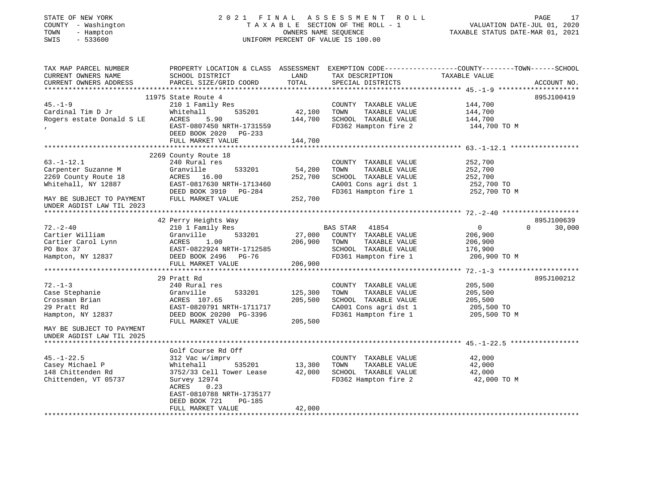| STATE OF NEW YORK<br>COUNTY - Washington<br>- Hampton<br>TOWN<br>$-533600$<br>SWIS                                                               |                                                                                                                                                                                          | OWNERS NAME SEQUENCE          | 2021 FINAL ASSESSMENT ROLL<br>TAXABLE SECTION OF THE ROLL - 1<br>UNIFORM PERCENT OF VALUE IS 100.00                    | PAGE<br>17<br>VALUATION DATE-JUL 01, 2020<br>TAXABLE STATUS DATE-MAR 01, 2021                                                   |
|--------------------------------------------------------------------------------------------------------------------------------------------------|------------------------------------------------------------------------------------------------------------------------------------------------------------------------------------------|-------------------------------|------------------------------------------------------------------------------------------------------------------------|---------------------------------------------------------------------------------------------------------------------------------|
| TAX MAP PARCEL NUMBER<br>CURRENT OWNERS NAME<br>CURRENT OWNERS ADDRESS                                                                           | SCHOOL DISTRICT<br>PARCEL SIZE/GRID COORD                                                                                                                                                | LAND<br>TOTAL                 | TAX DESCRIPTION<br>SPECIAL DISTRICTS                                                                                   | PROPERTY LOCATION & CLASS ASSESSMENT EXEMPTION CODE----------------COUNTY-------TOWN-----SCHOOL<br>TAXABLE VALUE<br>ACCOUNT NO. |
| $45. - 1 - 9$<br>Cardinal Tim D Jr<br>Rogers estate Donald S LE                                                                                  | 11975 State Route 4<br>210 1 Family Res<br>535201<br>Whitehall<br>ACRES<br>5.90<br>EAST-0807450 NRTH-1731559<br>DEED BOOK 2020<br>PG-233<br>FULL MARKET VALUE                            | 42,100<br>144,700<br>144,700  | COUNTY TAXABLE VALUE<br>TOWN<br>TAXABLE VALUE<br>SCHOOL TAXABLE VALUE<br>FD362 Hampton fire 2                          | 895J100419<br>144,700<br>144,700<br>144,700<br>144,700 TO M                                                                     |
|                                                                                                                                                  |                                                                                                                                                                                          |                               |                                                                                                                        |                                                                                                                                 |
| $63. - 1 - 12.1$<br>Carpenter Suzanne M<br>2269 County Route 18<br>Whitehall, NY 12887<br>MAY BE SUBJECT TO PAYMENT<br>UNDER AGDIST LAW TIL 2023 | 2269 County Route 18<br>240 Rural res<br>Granville<br>533201<br>ACRES 16.00<br>EAST-0817630 NRTH-1713460<br>DEED BOOK 3910 PG-284<br>FULL MARKET VALUE                                   | 54,200<br>252,700<br>252,700  | COUNTY TAXABLE VALUE<br>TAXABLE VALUE<br>TOWN<br>SCHOOL TAXABLE VALUE<br>CA001 Cons agri dst 1<br>FD361 Hampton fire 1 | 252,700<br>252,700<br>252,700<br>252,700 TO<br>252,700 TO M                                                                     |
|                                                                                                                                                  |                                                                                                                                                                                          |                               |                                                                                                                        |                                                                                                                                 |
| $72. - 2 - 40$<br>Cartier William<br>Cartier Carol Lynn<br>PO Box 37<br>Hampton, NY 12837                                                        | 42 Perry Heights Way<br>210 1 Family Res<br>Granville<br>533201<br>ACRES<br>1.00<br>EAST-0822924 NRTH-1712585<br>DEED BOOK 2496<br>PG-76<br>FULL MARKET VALUE                            | 27,000<br>206,900<br>206,900  | BAS STAR 41854<br>COUNTY TAXABLE VALUE<br>TOWN<br>TAXABLE VALUE<br>SCHOOL TAXABLE VALUE<br>FD361 Hampton fire 1        | 895J100639<br>$\overline{0}$<br>$\Omega$<br>30,000<br>206,900<br>206,900<br>176,900<br>206,900 TO M                             |
|                                                                                                                                                  |                                                                                                                                                                                          |                               |                                                                                                                        |                                                                                                                                 |
| $72. - 1 - 3$<br>Case Stephanie<br>Crossman Brian<br>29 Pratt Rd<br>Hampton, NY 12837                                                            | 29 Pratt Rd<br>240 Rural res<br>Granville<br>533201<br>ACRES 107.65<br>EAST-0820791 NRTH-1711717<br>DEED BOOK 20200 PG-3396<br>FULL MARKET VALUE                                         | 125,300<br>205,500<br>205,500 | COUNTY TAXABLE VALUE<br>TOWN<br>TAXABLE VALUE<br>SCHOOL TAXABLE VALUE<br>CA001 Cons agri dst 1<br>FD361 Hampton fire 1 | 895J100212<br>205,500<br>205,500<br>205,500<br>205,500 TO<br>205,500 TO M                                                       |
| MAY BE SUBJECT TO PAYMENT                                                                                                                        |                                                                                                                                                                                          |                               |                                                                                                                        |                                                                                                                                 |
| UNDER AGDIST LAW TIL 2025                                                                                                                        |                                                                                                                                                                                          |                               |                                                                                                                        |                                                                                                                                 |
| $45. - 1 - 22.5$<br>Casey Michael P<br>148 Chittenden Rd<br>Chittenden, VT 05737                                                                 | Golf Course Rd Off<br>312 Vac w/imprv<br>Whitehall<br>535201<br>3752/33 Cell Tower Lease<br>Survey 12974<br>ACRES<br>0.23<br>EAST-0810788 NRTH-1735177<br>DEED BOOK 721<br><b>PG-185</b> | 13,300<br>42,000              | COUNTY TAXABLE VALUE<br>TOWN<br>TAXABLE VALUE<br>SCHOOL TAXABLE VALUE<br>FD362 Hampton fire 2                          | 42,000<br>42,000<br>42,000<br>42,000 TO M                                                                                       |
|                                                                                                                                                  | FULL MARKET VALUE                                                                                                                                                                        | 42,000                        |                                                                                                                        |                                                                                                                                 |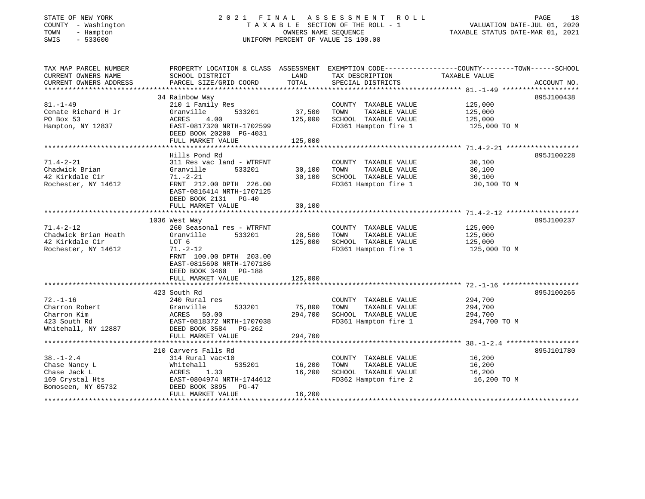## STATE OF NEW YORK 2 0 2 1 F I N A L A S S E S S M E N T R O L L PAGE 18COUNTY - Washington T A X A B L E SECTION OF THE ROLL - 1 VALUATION DATE-JUL 01, 2020 SWIS - 533600 UNIFORM PERCENT OF VALUE IS 100.00

| TAX MAP PARCEL NUMBER<br>CURRENT OWNERS NAME                                                                 | PROPERTY LOCATION & CLASS ASSESSMENT<br>SCHOOL DISTRICT | LAND    | TAX DESCRIPTION       | EXEMPTION CODE-----------------COUNTY-------TOWN------SCHOOL<br>TAXABLE VALUE |             |
|--------------------------------------------------------------------------------------------------------------|---------------------------------------------------------|---------|-----------------------|-------------------------------------------------------------------------------|-------------|
| CURRENT OWNERS ADDRESS                                                                                       | PARCEL SIZE/GRID COORD                                  | TOTAL   | SPECIAL DISTRICTS     |                                                                               | ACCOUNT NO. |
|                                                                                                              |                                                         |         |                       |                                                                               |             |
|                                                                                                              | 34 Rainbow Way                                          |         |                       |                                                                               | 895J100438  |
| $81. - 1 - 49$                                                                                               | 210 1 Family Res                                        |         | COUNTY TAXABLE VALUE  | 125,000                                                                       |             |
| Cenate Richard H Jr                                                                                          | Granville<br>533201                                     | 37,500  | TAXABLE VALUE<br>TOWN | 125,000                                                                       |             |
| PO Box 53                                                                                                    | 4.00<br>ACRES                                           | 125,000 | SCHOOL TAXABLE VALUE  | 125,000                                                                       |             |
| Hampton, NY 12837                                                                                            | EAST-0817320 NRTH-1702599                               |         | FD361 Hampton fire 1  | 125,000 TO M                                                                  |             |
|                                                                                                              | DEED BOOK 20200 PG-4031                                 |         |                       |                                                                               |             |
|                                                                                                              | FULL MARKET VALUE                                       | 125,000 |                       |                                                                               |             |
|                                                                                                              |                                                         |         |                       |                                                                               |             |
|                                                                                                              | Hills Pond Rd                                           |         |                       |                                                                               | 895J100228  |
| $71.4 - 2 - 21$                                                                                              | 311 Res vac land - WTRFNT                               |         | COUNTY TAXABLE VALUE  | 30,100                                                                        |             |
| Chadwick Brian                                                                                               | 533201<br>Granville                                     | 30,100  | TOWN<br>TAXABLE VALUE | 30,100                                                                        |             |
| 42 Kirkdale Cir                                                                                              | $71. - 2 - 21$                                          | 30,100  | SCHOOL TAXABLE VALUE  | 30,100                                                                        |             |
| Rochester, NY 14612                                                                                          | FRNT 212.00 DPTH 226.00                                 |         | FD361 Hampton fire 1  | 30,100 TO M                                                                   |             |
|                                                                                                              | EAST-0816414 NRTH-1707125                               |         |                       |                                                                               |             |
|                                                                                                              | DEED BOOK 2131 PG-40                                    |         |                       |                                                                               |             |
|                                                                                                              | FULL MARKET VALUE                                       | 30,100  |                       |                                                                               |             |
|                                                                                                              |                                                         |         |                       |                                                                               |             |
|                                                                                                              | 1036 West Way                                           |         |                       |                                                                               | 895J100237  |
| $71.4 - 2 - 12$                                                                                              | 260 Seasonal res - WTRFNT                               |         | COUNTY TAXABLE VALUE  | 125,000                                                                       |             |
| Chadwick Brian Heath                                                                                         | 533201<br>Granville                                     | 28,500  | TOWN<br>TAXABLE VALUE | 125,000                                                                       |             |
| 42 Kirkdale Cir                                                                                              | LOT 6                                                   | 125,000 | SCHOOL TAXABLE VALUE  | 125,000                                                                       |             |
| Rochester, NY 14612                                                                                          | $71. - 2 - 12$                                          |         | FD361 Hampton fire 1  | 125,000 TO M                                                                  |             |
|                                                                                                              | FRNT 100.00 DPTH 203.00                                 |         |                       |                                                                               |             |
|                                                                                                              | EAST-0815698 NRTH-1707186                               |         |                       |                                                                               |             |
|                                                                                                              | DEED BOOK 3460 PG-188                                   |         |                       |                                                                               |             |
|                                                                                                              | FULL MARKET VALUE                                       | 125,000 |                       |                                                                               |             |
|                                                                                                              |                                                         |         |                       |                                                                               |             |
|                                                                                                              | 423 South Rd                                            |         |                       |                                                                               | 895J100265  |
| $72. - 1 - 16$                                                                                               | 240 Rural res                                           |         | COUNTY TAXABLE VALUE  | 294,700                                                                       |             |
| Charron Robert                                                                                               | Granville<br>533201                                     | 75,800  | TOWN<br>TAXABLE VALUE | 294,700                                                                       |             |
| Charron Kim                                                                                                  | Granvi<br>ACRES<br>50.00                                | 294,700 | SCHOOL TAXABLE VALUE  | 294,700                                                                       |             |
| 423 South Rd                                                                                                 | EAST-0818372 NRTH-1707038                               |         | FD361 Hampton fire 1  | 294,700 TO M                                                                  |             |
| Whitehall, NY 12887                                                                                          | DEED BOOK 3584 PG-262                                   |         |                       |                                                                               |             |
|                                                                                                              | FULL MARKET VALUE                                       | 294,700 |                       |                                                                               |             |
|                                                                                                              |                                                         |         |                       |                                                                               |             |
|                                                                                                              | 210 Carvers Falls Rd                                    |         |                       |                                                                               | 895J101780  |
| $38. - 1 - 2.4$                                                                                              | 314 Rural vac<10                                        |         | COUNTY TAXABLE VALUE  | 16,200                                                                        |             |
| Chase Nancy L                                                                                                | 535201<br>Whitehall                                     | 16,200  | TAXABLE VALUE<br>TOWN | 16,200                                                                        |             |
| Chase Jack L                                                                                                 | ACRES<br>1.33                                           | 16,200  | SCHOOL TAXABLE VALUE  | 16,200                                                                        |             |
| 169 Crystal Hts                                                                                              | EAST-0804974 NRTH-1744612                               |         | FD362 Hampton fire 2  | 16,200 TO M                                                                   |             |
| 169 Crystal Hts                         EAST-0804974 NRTH<br>Bomoseen, NY 05732               DEED BOOK 3895 | PG-47                                                   |         |                       |                                                                               |             |
|                                                                                                              | FULL MARKET VALUE                                       | 16,200  |                       |                                                                               |             |
|                                                                                                              |                                                         |         |                       |                                                                               |             |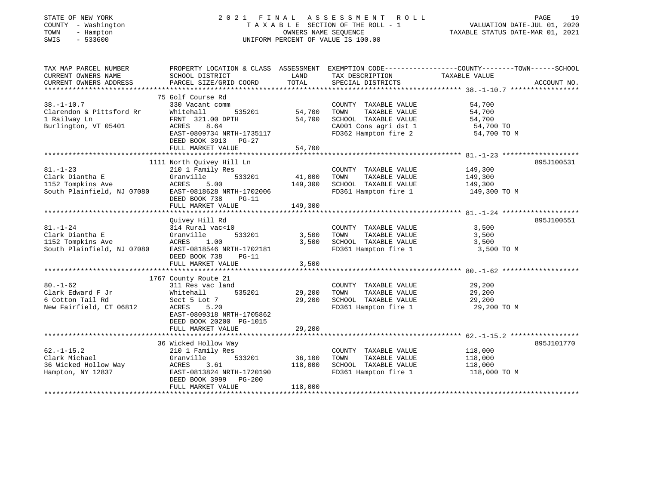| STATE OF NEW YORK<br>COUNTY - Washington<br>TOWN<br>- Hampton<br>SWIS<br>$-533600$   |                                                                                                                                                                     | OWNERS NAME SEQUENCE             | 2021 FINAL ASSESSMENT<br>ROLL<br>T A X A B L E SECTION OF THE ROLL - 1<br>UNIFORM PERCENT OF VALUE IS 100.00           | PAGE<br>19<br>VALUATION DATE-JUL 01, 2020<br>TAXABLE STATUS DATE-MAR 01, 2021                                                    |
|--------------------------------------------------------------------------------------|---------------------------------------------------------------------------------------------------------------------------------------------------------------------|----------------------------------|------------------------------------------------------------------------------------------------------------------------|----------------------------------------------------------------------------------------------------------------------------------|
| TAX MAP PARCEL NUMBER<br>CURRENT OWNERS NAME<br>CURRENT OWNERS ADDRESS               | SCHOOL DISTRICT<br>PARCEL SIZE/GRID COORD                                                                                                                           | LAND<br>TOTAL                    | TAX DESCRIPTION<br>SPECIAL DISTRICTS                                                                                   | PROPERTY LOCATION & CLASS ASSESSMENT EXEMPTION CODE---------------COUNTY-------TOWN-----SCHOOL<br>TAXABLE VALUE<br>ACCOUNT NO.   |
| $38. - 1 - 10.7$<br>Clarendon & Pittsford Rr<br>1 Railway Ln<br>Burlington, VT 05401 | 75 Golf Course Rd<br>330 Vacant comm<br>Whitehall<br>535201<br>FRNT 321.00 DPTH<br>8.64<br>ACRES<br>EAST-0809734 NRTH-1735117<br>DEED BOOK 3913 PG-27               | 54,700<br>54,700                 | COUNTY TAXABLE VALUE<br>TOWN<br>TAXABLE VALUE<br>SCHOOL TAXABLE VALUE<br>CA001 Cons agri dst 1<br>FD362 Hampton fire 2 | 54,700<br>54,700<br>54,700<br>54,700 TO<br>54,700 TO M                                                                           |
|                                                                                      | FULL MARKET VALUE                                                                                                                                                   | 54,700                           |                                                                                                                        |                                                                                                                                  |
| $81. - 1 - 23$<br>Clark Diantha E<br>1152 Tompkins Ave<br>South Plainfield, NJ 07080 | 1111 North Quivey Hill Ln<br>210 1 Family Res<br>533201<br>Granville<br>ACRES<br>5.00<br>EAST-0818628 NRTH-1702006<br>DEED BOOK 738<br>$PG-11$<br>FULL MARKET VALUE | 41,000<br>149,300<br>149,300     | COUNTY TAXABLE VALUE<br>TOWN<br>TAXABLE VALUE<br>SCHOOL TAXABLE VALUE<br>FD361 Hampton fire 1                          | 895J100531<br>149,300<br>149,300<br>149,300<br>149,300 TO M                                                                      |
|                                                                                      |                                                                                                                                                                     |                                  |                                                                                                                        |                                                                                                                                  |
| $81. - 1 - 24$<br>Clark Diantha E<br>1152 Tompkins Ave<br>South Plainfield, NJ 07080 | Quivey Hill Rd<br>314 Rural vac<10<br>Granville<br>533201<br>ACRES<br>1.00<br>EAST-0818546 NRTH-1702181<br>DEED BOOK 738<br>$PG-11$<br>FULL MARKET VALUE            | 3,500<br>3,500<br>3,500          | COUNTY TAXABLE VALUE<br>TAXABLE VALUE<br>TOWN<br>SCHOOL TAXABLE VALUE<br>FD361 Hampton fire 1                          | 895J100551<br>3,500<br>3,500<br>3,500<br>3,500 TO M                                                                              |
|                                                                                      |                                                                                                                                                                     |                                  |                                                                                                                        |                                                                                                                                  |
| $80. - 1 - 62$<br>Clark Edward F Jr<br>6 Cotton Tail Rd<br>New Fairfield, CT 06812   | 1767 County Route 21<br>311 Res vac land<br>535201<br>Whitehall<br>Sect 5 Lot 7<br>5.20<br>ACRES<br>EAST-0809318 NRTH-1705862                                       | 29,200<br>29,200                 | COUNTY TAXABLE VALUE<br>TAXABLE VALUE<br>TOWN<br>SCHOOL TAXABLE VALUE<br>FD361 Hampton fire 1                          | 29,200<br>29,200<br>29,200<br>29,200 TO M                                                                                        |
|                                                                                      | DEED BOOK 20200 PG-1015<br>FULL MARKET VALUE                                                                                                                        | 29,200                           |                                                                                                                        |                                                                                                                                  |
| $62. -1 - 15.2$<br>Clark Michael<br>36 Wicked Hollow Way<br>Hampton, NY 12837        | *********************<br>36 Wicked Hollow Way<br>210 1 Family Res<br>533201<br>Granville<br>ACRES<br>3.61<br>EAST-0813824 NRTH-1720190<br>DEED BOOK 3999 PG-200     | ***********<br>36,100<br>118,000 | COUNTY TAXABLE VALUE<br>TOWN<br>TAXABLE VALUE<br>SCHOOL TAXABLE VALUE<br>FD361 Hampton fire 1                          | ************************************ 62.-1-15.2 *****************<br>895J101770<br>118,000<br>118,000<br>118,000<br>118,000 TO M |
|                                                                                      | FULL MARKET VALUE                                                                                                                                                   | 118,000                          |                                                                                                                        |                                                                                                                                  |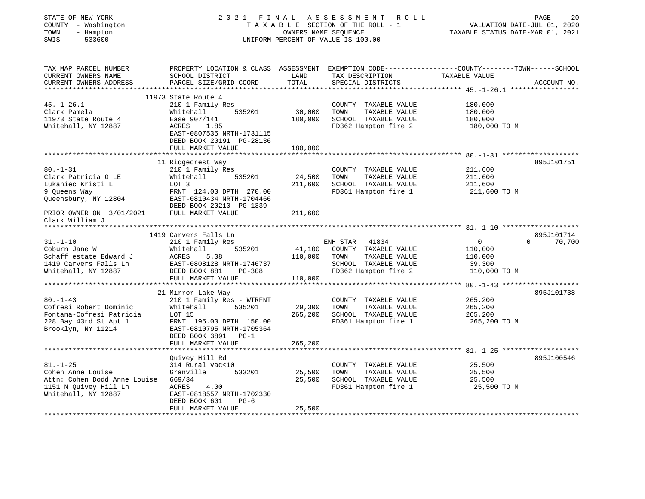| STATE OF NEW YORK<br>COUNTY - Washington<br>TOWN<br>- Hampton<br>SWIS<br>$-533600$ | 2021                                                                                                                                          | FINAL<br>OWNERS NAME SEQUENCE | A S S E S S M E N T<br>R O L L<br>TAXABLE SECTION OF THE ROLL - 1<br>UNIFORM PERCENT OF VALUE IS 100.00 | TAXABLE STATUS DATE-MAR 01, 2021 | PAGE<br>20<br>VALUATION DATE-JUL 01, 2020 |
|------------------------------------------------------------------------------------|-----------------------------------------------------------------------------------------------------------------------------------------------|-------------------------------|---------------------------------------------------------------------------------------------------------|----------------------------------|-------------------------------------------|
| TAX MAP PARCEL NUMBER<br>CURRENT OWNERS NAME<br>CURRENT OWNERS ADDRESS             | PROPERTY LOCATION & CLASS ASSESSMENT EXEMPTION CODE----------------COUNTY-------TOWN------SCHOOL<br>SCHOOL DISTRICT<br>PARCEL SIZE/GRID COORD | LAND<br>TOTAL                 | TAX DESCRIPTION<br>SPECIAL DISTRICTS                                                                    | TAXABLE VALUE                    | ACCOUNT NO.                               |
|                                                                                    | 11973 State Route 4                                                                                                                           |                               |                                                                                                         |                                  |                                           |
| $45. - 1 - 26.1$                                                                   | 210 1 Family Res                                                                                                                              |                               | COUNTY TAXABLE VALUE                                                                                    | 180,000                          |                                           |
| Clark Pamela                                                                       | 535201<br>Whitehall                                                                                                                           | 30,000                        | TOWN<br>TAXABLE VALUE                                                                                   | 180,000                          |                                           |
| 11973 State Route 4                                                                | Ease 907/141                                                                                                                                  | 180,000                       | SCHOOL TAXABLE VALUE                                                                                    | 180,000                          |                                           |
| Whitehall, NY 12887                                                                | ACRES<br>1.85<br>EAST-0807535 NRTH-1731115<br>DEED BOOK 20191 PG-28136                                                                        |                               | FD362 Hampton fire 2                                                                                    | 180,000 TO M                     |                                           |
|                                                                                    | FULL MARKET VALUE                                                                                                                             | 180,000                       |                                                                                                         |                                  |                                           |
|                                                                                    | 11 Ridgecrest Way                                                                                                                             |                               |                                                                                                         |                                  | 895J101751                                |
| $80. - 1 - 31$                                                                     | 210 1 Family Res                                                                                                                              |                               | COUNTY TAXABLE VALUE                                                                                    | 211,600                          |                                           |
| Clark Patricia G LE                                                                | 535201<br>Whitehall                                                                                                                           | 24,500                        | TOWN<br>TAXABLE VALUE                                                                                   | 211,600                          |                                           |
| Lukaniec Kristi L                                                                  | LOT 3                                                                                                                                         | 211,600                       | SCHOOL TAXABLE VALUE                                                                                    | 211,600                          |                                           |
| 9 Queens Way                                                                       | FRNT 124.00 DPTH 270.00                                                                                                                       |                               | FD361 Hampton fire 1                                                                                    | 211,600 TO M                     |                                           |
| Queensbury, NY 12804                                                               | EAST-0810434 NRTH-1704466                                                                                                                     |                               |                                                                                                         |                                  |                                           |
|                                                                                    | DEED BOOK 20210 PG-1339<br>FULL MARKET VALUE                                                                                                  | 211,600                       |                                                                                                         |                                  |                                           |
| PRIOR OWNER ON 3/01/2021<br>Clark William J                                        |                                                                                                                                               |                               |                                                                                                         |                                  |                                           |
|                                                                                    |                                                                                                                                               |                               |                                                                                                         |                                  |                                           |
|                                                                                    | 1419 Carvers Falls Ln                                                                                                                         |                               |                                                                                                         |                                  | 895J101714                                |
| $31. - 1 - 10$                                                                     | 210 1 Family Res                                                                                                                              |                               | ENH STAR<br>41834                                                                                       | $\circ$                          | 70,700<br>$\Omega$                        |
| Coburn Jane W                                                                      | Whitehall<br>535201                                                                                                                           | 41,100                        | COUNTY TAXABLE VALUE                                                                                    | 110,000                          |                                           |
| Schaff estate Edward J<br>1419 Carvers Falls Ln                                    | ACRES<br>5.08<br>EAST-0808128 NRTH-1746737                                                                                                    | 110,000                       | TAXABLE VALUE<br>TOWN<br>SCHOOL TAXABLE VALUE                                                           | 110,000<br>39,300                |                                           |
| Whitehall, NY 12887                                                                | DEED BOOK 881<br>PG-308                                                                                                                       |                               | FD362 Hampton fire 2                                                                                    | 110,000 TO M                     |                                           |
|                                                                                    | FULL MARKET VALUE                                                                                                                             | 110,000                       |                                                                                                         |                                  |                                           |
|                                                                                    |                                                                                                                                               |                               |                                                                                                         |                                  |                                           |
|                                                                                    | 21 Mirror Lake Way                                                                                                                            |                               |                                                                                                         |                                  | 895J101738                                |
| $80. - 1 - 43$                                                                     | 210 1 Family Res - WTRFNT                                                                                                                     |                               | COUNTY TAXABLE VALUE                                                                                    | 265,200                          |                                           |
| Cofresi Robert Dominic                                                             | Whitehall<br>535201                                                                                                                           | 29,300                        | TOWN<br>TAXABLE VALUE                                                                                   | 265,200                          |                                           |
| Fontana-Cofresi Patricia                                                           | LOT 15                                                                                                                                        | 265,200                       | SCHOOL TAXABLE VALUE                                                                                    | 265,200                          |                                           |
| 228 Bay 43rd St Apt 1                                                              | FRNT 195.00 DPTH 150.00                                                                                                                       |                               | FD361 Hampton fire 1                                                                                    | 265,200 TO M                     |                                           |
| Brooklyn, NY 11214                                                                 | EAST-0810795 NRTH-1705364<br>DEED BOOK 3891 PG-1                                                                                              |                               |                                                                                                         |                                  |                                           |
|                                                                                    | FULL MARKET VALUE                                                                                                                             | 265,200                       |                                                                                                         |                                  |                                           |
|                                                                                    |                                                                                                                                               |                               |                                                                                                         |                                  |                                           |
|                                                                                    | Quivey Hill Rd                                                                                                                                |                               |                                                                                                         |                                  | 895J100546                                |
| $81. - 1 - 25$                                                                     | 314 Rural vac<10                                                                                                                              |                               | COUNTY TAXABLE VALUE                                                                                    | 25,500                           |                                           |
| Cohen Anne Louise                                                                  | Granville<br>533201                                                                                                                           | 25,500                        | TOWN<br>TAXABLE VALUE                                                                                   | 25,500                           |                                           |
| Attn: Cohen Dodd Anne Louise                                                       | 669/34                                                                                                                                        | 25,500                        | SCHOOL TAXABLE VALUE                                                                                    | 25,500                           |                                           |
| 1151 N Quivey Hill Ln                                                              | ACRES<br>4.00                                                                                                                                 |                               | FD361 Hampton fire 1                                                                                    | 25,500 TO M                      |                                           |
| Whitehall, NY 12887                                                                | EAST-0818557 NRTH-1702330                                                                                                                     |                               |                                                                                                         |                                  |                                           |
|                                                                                    | DEED BOOK 601<br>$PG-6$<br>FULL MARKET VALUE                                                                                                  |                               |                                                                                                         |                                  |                                           |
|                                                                                    |                                                                                                                                               | 25,500                        |                                                                                                         |                                  |                                           |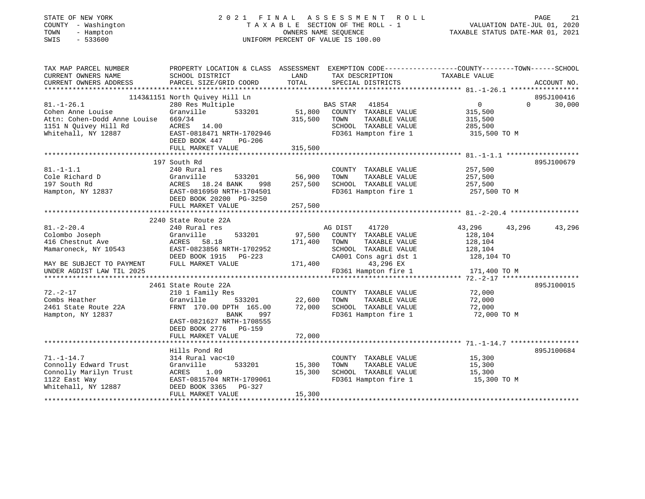| STATE OF NEW YORK<br>COUNTY - Washington<br>- Hampton<br>TOWN<br>SWIS<br>$-533600$ | 2021 FINAL<br>TAXABLE SECTION OF THE ROLL - 1<br>UNIFORM PERCENT OF VALUE IS 100.00                               | VALUATION DATE-JUL 01, 2020<br>TAXABLE STATUS DATE-MAR 01, 2021 | PAGE<br>21                                    |                  |                    |
|------------------------------------------------------------------------------------|-------------------------------------------------------------------------------------------------------------------|-----------------------------------------------------------------|-----------------------------------------------|------------------|--------------------|
| TAX MAP PARCEL NUMBER<br>CURRENT OWNERS NAME                                       | PROPERTY LOCATION & CLASS ASSESSMENT EXEMPTION CODE---------------COUNTY-------TOWN-----SCHOOL<br>SCHOOL DISTRICT | LAND                                                            | TAX DESCRIPTION                               | TAXABLE VALUE    |                    |
| CURRENT OWNERS ADDRESS                                                             | PARCEL SIZE/GRID COORD                                                                                            | TOTAL                                                           | SPECIAL DISTRICTS                             |                  | ACCOUNT NO.        |
|                                                                                    | 1143&1151 North Quivey Hill Ln                                                                                    |                                                                 |                                               |                  | 895J100416         |
| $81. - 1 - 26.1$                                                                   | 280 Res Multiple                                                                                                  |                                                                 | BAS STAR<br>41854                             | 0                | $\Omega$<br>30,000 |
| Cohen Anne Louise                                                                  | Granville<br>533201                                                                                               | 51,800                                                          | COUNTY TAXABLE VALUE                          | 315,500          |                    |
| Attn: Cohen-Dodd Anne Louise                                                       | 669/34                                                                                                            | 315,500                                                         | TOWN<br>TAXABLE VALUE                         | 315,500          |                    |
| 1151 N Quivey Hill Rd                                                              | ACRES 14.00                                                                                                       |                                                                 | SCHOOL TAXABLE VALUE                          | 285,500          |                    |
| Whitehall, NY 12887                                                                | EAST-0818471 NRTH-1702946<br>DEED BOOK 447<br>PG-206                                                              |                                                                 | FD361 Hampton fire 1                          | 315,500 TO M     |                    |
|                                                                                    | FULL MARKET VALUE                                                                                                 | 315,500                                                         |                                               |                  |                    |
|                                                                                    |                                                                                                                   |                                                                 |                                               |                  |                    |
|                                                                                    | 197 South Rd                                                                                                      |                                                                 |                                               |                  | 895J100679         |
| $81. - 1 - 1.1$                                                                    | 240 Rural res                                                                                                     |                                                                 | COUNTY TAXABLE VALUE                          | 257,500          |                    |
| Cole Richard D                                                                     | Granville<br>533201                                                                                               | 56,900                                                          | TOWN<br>TAXABLE VALUE                         | 257,500          |                    |
| 197 South Rd                                                                       | ACRES<br>18.24 BANK<br>998                                                                                        | 257,500                                                         | SCHOOL TAXABLE VALUE                          | 257,500          |                    |
| Hampton, NY 12837                                                                  | EAST-0816950 NRTH-1704501<br>DEED BOOK 20200 PG-3250                                                              |                                                                 | FD361 Hampton fire 1                          | 257,500 TO M     |                    |
|                                                                                    | FULL MARKET VALUE                                                                                                 | 257,500                                                         |                                               |                  |                    |
|                                                                                    |                                                                                                                   |                                                                 |                                               |                  |                    |
|                                                                                    | 2240 State Route 22A                                                                                              |                                                                 |                                               |                  |                    |
| $81. - 2 - 20.4$                                                                   | 240 Rural res                                                                                                     |                                                                 | AG DIST<br>41720                              | 43,296<br>43,296 | 43,296             |
| Colombo Joseph                                                                     | Granville<br>533201                                                                                               | 97,500                                                          | COUNTY TAXABLE VALUE                          | 128,104          |                    |
| 416 Chestnut Ave                                                                   | <b>ACRES</b><br>58.18                                                                                             | 171,400                                                         | TAXABLE VALUE<br>TOWN                         | 128,104          |                    |
| Mamaroneck, NY 10543                                                               | EAST-0823856 NRTH-1702952                                                                                         |                                                                 | SCHOOL TAXABLE VALUE                          | 128,104          |                    |
|                                                                                    | DEED BOOK 1915<br>PG-223                                                                                          |                                                                 | CA001 Cons agri dst 1                         | 128,104 TO       |                    |
| MAY BE SUBJECT TO PAYMENT                                                          | FULL MARKET VALUE                                                                                                 | 171,400                                                         | 43,296 EX                                     |                  |                    |
| UNDER AGDIST LAW TIL 2025                                                          |                                                                                                                   |                                                                 | FD361 Hampton fire 1                          | 171,400 TO M     |                    |
|                                                                                    |                                                                                                                   |                                                                 |                                               |                  |                    |
| $72. - 2 - 17$                                                                     | 2461 State Route 22A                                                                                              |                                                                 |                                               |                  | 895J100015         |
| Combs Heather                                                                      | 210 1 Family Res<br>Granville<br>533201                                                                           | 22,600                                                          | COUNTY TAXABLE VALUE<br>TAXABLE VALUE<br>TOWN | 72,000<br>72,000 |                    |
| 2461 State Route 22A                                                               | FRNT 170.00 DPTH 165.00                                                                                           | 72,000                                                          | SCHOOL TAXABLE VALUE                          | 72,000           |                    |
| Hampton, NY 12837                                                                  | <b>BANK</b><br>997                                                                                                |                                                                 | FD361 Hampton fire 1                          | 72,000 TO M      |                    |
|                                                                                    | EAST-0821627 NRTH-1708555                                                                                         |                                                                 |                                               |                  |                    |
|                                                                                    | DEED BOOK 2776 PG-159                                                                                             |                                                                 |                                               |                  |                    |
|                                                                                    | FULL MARKET VALUE                                                                                                 | 72,000                                                          |                                               |                  |                    |
|                                                                                    |                                                                                                                   |                                                                 |                                               |                  |                    |
|                                                                                    | Hills Pond Rd                                                                                                     |                                                                 |                                               |                  | 895J100684         |
| $71. - 1 - 14.7$                                                                   | 314 Rural vac<10                                                                                                  |                                                                 | COUNTY TAXABLE VALUE                          | 15,300           |                    |
| Connolly Edward Trust                                                              | Granville<br>533201                                                                                               | 15,300                                                          | TOWN<br>TAXABLE VALUE                         | 15,300           |                    |
| Connolly Marilyn Trust                                                             | <b>ACRES</b><br>1.09                                                                                              | 15,300                                                          | SCHOOL TAXABLE VALUE                          | 15,300           |                    |
| 1122 East Way<br>Whitehall, NY 12887                                               | EAST-0815704 NRTH-1709061<br>DEED BOOK 3365<br>PG-327                                                             |                                                                 | FD361 Hampton fire 1                          | 15,300 TO M      |                    |

\*\*\*\*\*\*\*\*\*\*\*\*\*\*\*\*\*\*\*\*\*\*\*\*\*\*\*\*\*\*\*\*\*\*\*\*\*\*\*\*\*\*\*\*\*\*\*\*\*\*\*\*\*\*\*\*\*\*\*\*\*\*\*\*\*\*\*\*\*\*\*\*\*\*\*\*\*\*\*\*\*\*\*\*\*\*\*\*\*\*\*\*\*\*\*\*\*\*\*\*\*\*\*\*\*\*\*\*\*\*\*\*\*\*\*\*\*\*\*\*\*\*\*\*\*\*\*\*\*\*\*\*

FULL MARKET VALUE 15,300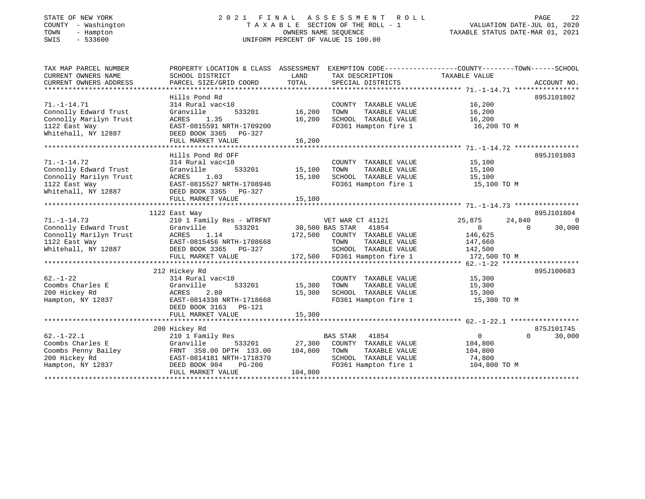#### STATE OF NEW YORK 2 0 2 1 F I N A L A S S E S S M E N T R O L L PAGE 22 COUNTY - Washington T A X A B L E SECTION OF THE ROLL - 1 VALUATION DATE-JUL 01, 2020 TOWN - Hampton OWNERS NAME SEQUENCE TAXABLE STATUS DATE-MAR 01, 2021 SWIS - 533600 UNIFORM PERCENT OF VALUE IS 100.00UNIFORM PERCENT OF VALUE IS 100.00

| SCHOOL DISTRICT<br>PARCEL SIZE/GRID COORD                                                                                                                | LAND<br>TOTAL                                           | TAX DESCRIPTION<br>SPECIAL DISTRICTS                                                          |                                                                                                | ACCOUNT NO.                                                                                                                                                                                                                                                                                                                                                                           |
|----------------------------------------------------------------------------------------------------------------------------------------------------------|---------------------------------------------------------|-----------------------------------------------------------------------------------------------|------------------------------------------------------------------------------------------------|---------------------------------------------------------------------------------------------------------------------------------------------------------------------------------------------------------------------------------------------------------------------------------------------------------------------------------------------------------------------------------------|
| Hills Pond Rd                                                                                                                                            |                                                         |                                                                                               |                                                                                                | 895J101802                                                                                                                                                                                                                                                                                                                                                                            |
| 314 Rural vac<10<br>533201<br>Granville<br>ACRES 1.35<br>EAST-0815591 NRTH-1709200                                                                       | 16,200                                                  | COUNTY TAXABLE VALUE<br>TOWN<br>TAXABLE VALUE<br>SCHOOL TAXABLE VALUE<br>FD361 Hampton fire 1 | 16,200<br>16,200<br>16,200 TO M                                                                |                                                                                                                                                                                                                                                                                                                                                                                       |
| FULL MARKET VALUE                                                                                                                                        | 16,200                                                  |                                                                                               |                                                                                                |                                                                                                                                                                                                                                                                                                                                                                                       |
| Hills Pond Rd OFF<br>314 Rural vac<10<br>533201<br>Granville<br>ACRES<br>1.03<br>EAST-0815527 NRTH-1708946<br>DEED BOOK 3365 PG-327<br>FULL MARKET VALUE | 15,100<br>15,100<br>15,100                              | COUNTY TAXABLE VALUE<br>TAXABLE VALUE<br>TOWN<br>SCHOOL TAXABLE VALUE                         | 15,100<br>15,100<br>15,100                                                                     | 895J101803                                                                                                                                                                                                                                                                                                                                                                            |
|                                                                                                                                                          |                                                         |                                                                                               |                                                                                                | 895J101804                                                                                                                                                                                                                                                                                                                                                                            |
| 210 1 Family Res - WTRFNT<br>Granville<br>533201<br>ACRES<br>1.14<br>EAST-0815456 NK10 1/0001<br>DEED BOOK 3365 PG-327<br>FULL MARKET VALUE              |                                                         | 41854                                                                                         | 25,875<br>$\Omega$<br>146,625<br>172,500 TO M                                                  | $\overline{0}$<br>30,000<br>$\Omega$                                                                                                                                                                                                                                                                                                                                                  |
|                                                                                                                                                          |                                                         |                                                                                               |                                                                                                | 895J100683                                                                                                                                                                                                                                                                                                                                                                            |
| 314 Rural vac<10<br>533201<br>Granville<br>ACRES<br>2.80<br>EAST-0814338 NRTH-1718668<br>DEED BOOK 3163 PG-121<br>FULL MARKET VALUE                      | 15,300<br>15,300<br>15,300                              | COUNTY TAXABLE VALUE<br>TOWN<br>TAXABLE VALUE                                                 | 15,300<br>15,300<br>15,300 TO M                                                                |                                                                                                                                                                                                                                                                                                                                                                                       |
| 200 Hickey Rd                                                                                                                                            |                                                         |                                                                                               |                                                                                                | 875J101745                                                                                                                                                                                                                                                                                                                                                                            |
| 210 1 Family Res<br>Granville<br>533201<br>FRNT 358.00 DPTH 133.00<br>EAST-0814181 NRTH-1718370<br>DEED BOOK 904<br>PG-200<br>FULL MARKET VALUE          | 104,800<br>104,800                                      | 41854<br>TOWN<br>TAXABLE VALUE<br>SCHOOL TAXABLE VALUE                                        | $\overline{0}$<br>104,800<br>104,800<br>74,800<br>104,800 TO M                                 | $\Omega$<br>30,000                                                                                                                                                                                                                                                                                                                                                                    |
|                                                                                                                                                          | DEED BOOK 3365 PG-327<br>1122 East Way<br>212 Hickey Rd | 16,200                                                                                        | PROPERTY LOCATION & CLASS ASSESSMENT<br>VET WAR CT 41121<br>30,500 BAS STAR<br><b>BAS STAR</b> | EXEMPTION CODE-----------------COUNTY-------TOWN------SCHOOL<br>TAXABLE VALUE<br>16, 200<br>FD361 Hampton fire 1 15,100 TO M<br>24,840<br>172,500 COUNTY TAXABLE VALUE<br>TOWN TAXABLE VALUE 147,660<br>SCHOOL TAXABLE VALUE 142,500<br>172,500 FD361 Hampton fire 1<br>15,300<br>SCHOOL TAXABLE VALUE<br>FD361 Hampton fire 1<br>27,300 COUNTY TAXABLE VALUE<br>FD361 Hampton fire 1 |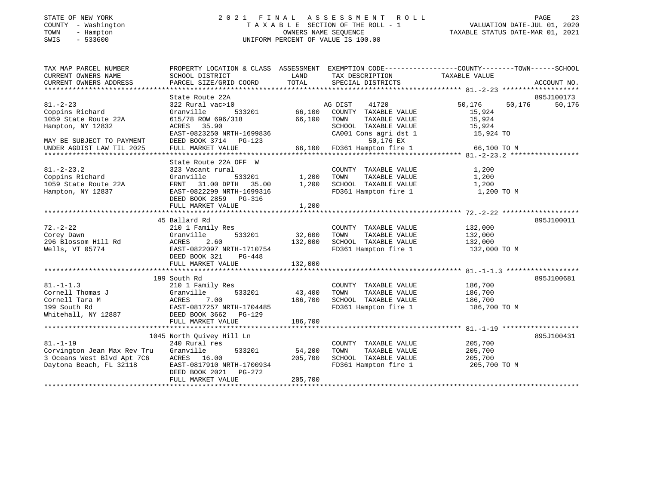## STATE OF NEW YORK 23 2021 FINAL ASSESSMENT ROLL PAGE 23 COUNTY - Washington T A X A B L E SECTION OF THE ROLL - 1<br>
TOWN - Hampton - WASHINGTON DATE-JUL 000<br>
SWIS - 533600<br>
SWIS - 533600 SWIS - 533600 UNIFORM PERCENT OF VALUE IS 100.00

| TAX MAP PARCEL NUMBER<br>CURRENT OWNERS NAME<br>CURRENT OWNERS ADDRESS | PROPERTY LOCATION & CLASS ASSESSMENT EXEMPTION CODE---------------COUNTY-------TOWN------SCHOOL<br>SCHOOL DISTRICT<br>PARCEL SIZE/GRID COORD | LAND<br>TOTAL | TAX DESCRIPTION<br>SPECIAL DISTRICTS          | TAXABLE VALUE    | ACCOUNT NO. |
|------------------------------------------------------------------------|----------------------------------------------------------------------------------------------------------------------------------------------|---------------|-----------------------------------------------|------------------|-------------|
|                                                                        | State Route 22A                                                                                                                              |               |                                               |                  | 895J100173  |
| $81. - 2 - 23$                                                         | 322 Rural vac>10                                                                                                                             |               | AG DIST<br>41720                              | 50,176<br>50,176 | 50,176      |
| Coppins Richard                                                        | Granville<br>533201                                                                                                                          | 66,100        | COUNTY TAXABLE VALUE                          | 15,924           |             |
| 1059 State Route 22A                                                   | 615/78 ROW 696/318                                                                                                                           | 66,100        | TOWN<br>TAXABLE VALUE                         | 15,924           |             |
| Hampton, NY 12832                                                      | ACRES 35.90                                                                                                                                  |               | SCHOOL TAXABLE VALUE                          | 15,924           |             |
|                                                                        | EAST-0823250 NRTH-1699836                                                                                                                    |               | CA001 Cons agri dst 1                         | 15,924 TO        |             |
| MAY BE SUBJECT TO PAYMENT                                              | DEED BOOK 3714 PG-123                                                                                                                        |               | 50,176 EX                                     |                  |             |
| UNDER AGDIST LAW TIL 2025                                              | FULL MARKET VALUE                                                                                                                            | 66,100        | FD361 Hampton fire 1                          | 66,100 TO M      |             |
|                                                                        |                                                                                                                                              |               |                                               |                  |             |
|                                                                        | State Route 22A OFF W                                                                                                                        |               |                                               |                  |             |
| $81. - 2 - 23.2$                                                       | 323 Vacant rural                                                                                                                             |               | COUNTY TAXABLE VALUE                          | 1,200            |             |
| Coppins Richard                                                        | Granville<br>533201                                                                                                                          | 1,200         | TOWN<br>TAXABLE VALUE                         | 1,200            |             |
| 1059 State Route 22A                                                   | 31.00 DPTH 35.00<br>FRNT                                                                                                                     | 1,200         | SCHOOL TAXABLE VALUE                          | 1,200            |             |
| Hampton, NY 12837                                                      | EAST-0822299 NRTH-1699316                                                                                                                    |               | FD361 Hampton fire 1                          | 1,200 TO M       |             |
|                                                                        | DEED BOOK 2859 PG-316                                                                                                                        |               |                                               |                  |             |
|                                                                        | FULL MARKET VALUE                                                                                                                            | 1,200         |                                               |                  |             |
|                                                                        |                                                                                                                                              |               |                                               |                  |             |
|                                                                        | 45 Ballard Rd                                                                                                                                |               |                                               |                  | 895J100011  |
| $72. - 2 - 22$                                                         | 210 1 Family Res                                                                                                                             |               | COUNTY TAXABLE VALUE                          | 132,000          |             |
| Corey Dawn                                                             | Granville<br>533201                                                                                                                          | 32,600        | TOWN<br>TAXABLE VALUE                         | 132,000          |             |
| 296 Blossom Hill Rd                                                    | 2.60<br>ACRES                                                                                                                                | 132,000       | SCHOOL TAXABLE VALUE                          | 132,000          |             |
| Wells, VT 05774                                                        | EAST-0822097 NRTH-1710754                                                                                                                    |               | FD361 Hampton fire 1                          | 132,000 TO M     |             |
|                                                                        | DEED BOOK 321<br>$PG-448$                                                                                                                    |               |                                               |                  |             |
|                                                                        | FULL MARKET VALUE                                                                                                                            | 132,000       |                                               |                  |             |
|                                                                        |                                                                                                                                              |               |                                               |                  |             |
| $81. - 1 - 1.3$                                                        | 199 South Rd                                                                                                                                 |               |                                               | 186,700          | 895J100681  |
| Cornell Thomas J                                                       | 210 1 Family Res<br>Granville<br>533201                                                                                                      | 43,400        | COUNTY TAXABLE VALUE<br>TOWN<br>TAXABLE VALUE | 186,700          |             |
| Cornell Tara M                                                         | ACRES<br>7.00                                                                                                                                | 186,700       | SCHOOL TAXABLE VALUE                          | 186,700          |             |
| 199 South Rd                                                           | EAST-0817257 NRTH-1704485                                                                                                                    |               | FD361 Hampton fire 1                          | 186,700 TO M     |             |
| Whitehall, NY 12887                                                    | DEED BOOK 3662 PG-129                                                                                                                        |               |                                               |                  |             |
|                                                                        | FULL MARKET VALUE                                                                                                                            | 186,700       |                                               |                  |             |
|                                                                        |                                                                                                                                              |               |                                               |                  |             |
|                                                                        | 1045 North Quivey Hill Ln                                                                                                                    |               |                                               |                  | 895J100431  |
| $81. - 1 - 19$                                                         | 240 Rural res                                                                                                                                |               | COUNTY TAXABLE VALUE                          | 205,700          |             |
| Corvington Jean Max Rev Tru                                            | Granville<br>533201                                                                                                                          | 54,200        | TOWN<br>TAXABLE VALUE                         | 205,700          |             |
| 3 Oceans West Blvd Apt 7C6                                             | ACRES 16.00                                                                                                                                  | 205,700       | SCHOOL TAXABLE VALUE                          | 205,700          |             |
| Daytona Beach, FL 32118                                                | EAST-0817910 NRTH-1700934                                                                                                                    |               | FD361 Hampton fire 1                          | 205,700 TO M     |             |
|                                                                        | DEED BOOK 2021    PG-272                                                                                                                     |               |                                               |                  |             |
|                                                                        | FULL MARKET VALUE                                                                                                                            | 205,700       |                                               |                  |             |
|                                                                        |                                                                                                                                              |               |                                               |                  |             |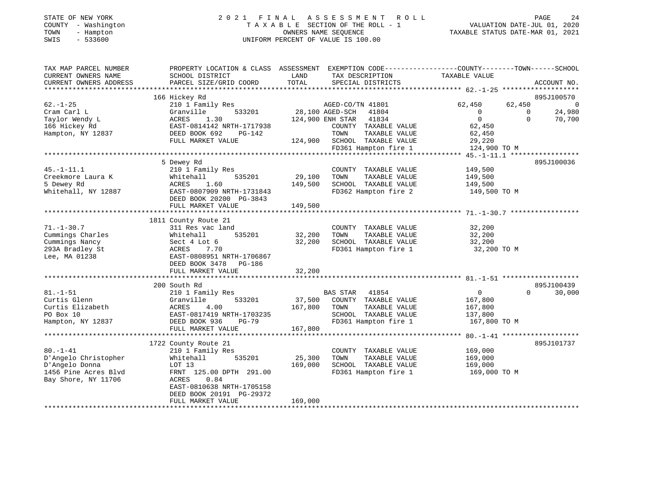#### STATE OF NEW YORK 2 0 2 1 F I N A L A S S E S S M E N T R O L L PAGE 24 COUNTY - Washington T A X A B L E SECTION OF THE ROLL - 1 VALUATION DATE-JUL 01, 2020 TOWN - Hampton OWNERS NAME SEQUENCE TAXABLE STATUS DATE-MAR 01, 2021 SWIS - 533600 UNIFORM PERCENT OF VALUE IS 100.00UNIFORM PERCENT OF VALUE IS 100.00

| TAX MAP PARCEL NUMBER<br>CURRENT OWNERS NAME | PROPERTY LOCATION & CLASS ASSESSMENT<br>SCHOOL DISTRICT | LAND            | TAX DESCRIPTION                               | EXEMPTION CODE----------------COUNTY-------TOWN------SCHOOL<br>TAXABLE VALUE |                          |
|----------------------------------------------|---------------------------------------------------------|-----------------|-----------------------------------------------|------------------------------------------------------------------------------|--------------------------|
| CURRENT OWNERS ADDRESS                       | PARCEL SIZE/GRID COORD                                  | TOTAL           | SPECIAL DISTRICTS                             |                                                                              | ACCOUNT NO.              |
|                                              | 166 Hickey Rd                                           |                 |                                               |                                                                              | 895J100570               |
| $62. - 1 - 25$                               | 210 1 Family Res                                        |                 | AGED-CO/TN 41801                              | 62,450<br>62,450                                                             | $\overline{0}$           |
| Cram Carl L                                  | Granville<br>533201                                     | 28,100 AGED-SCH | 41804                                         | $\overline{0}$                                                               | 24,980<br>$\overline{0}$ |
| Taylor Wendy L                               | ACRES<br>1.30                                           |                 | 41834<br>124,900 ENH STAR                     | $\Omega$                                                                     | $\Omega$<br>70,700       |
| 166 Hickey Rd                                | EAST-0814142 NRTH-1717938                               |                 | COUNTY TAXABLE VALUE                          | 62,450                                                                       |                          |
| Hampton, NY 12837                            | DEED BOOK 692<br>PG-142                                 |                 | TOWN<br>TAXABLE VALUE                         | 62,450                                                                       |                          |
|                                              | FULL MARKET VALUE                                       | 124,900         | SCHOOL TAXABLE VALUE                          | 29,220                                                                       |                          |
|                                              |                                                         |                 | FD361 Hampton fire 1                          | 124,900 TO M                                                                 |                          |
|                                              | 5 Dewey Rd                                              |                 |                                               |                                                                              | 895J100036               |
| $45. - 1 - 11.1$                             | 210 1 Family Res                                        |                 | COUNTY TAXABLE VALUE                          | 149,500                                                                      |                          |
| Creekmore Laura K                            | 535201<br>Whitehall                                     | 29,100          | TOWN<br>TAXABLE VALUE                         | 149,500                                                                      |                          |
| 5 Dewey Rd                                   | 1.60<br>ACRES                                           | 149,500         | SCHOOL TAXABLE VALUE                          | 149,500                                                                      |                          |
| Whitehall, NY 12887                          | EAST-0807909 NRTH-1731843                               |                 | FD362 Hampton fire 2                          | 149,500 TO M                                                                 |                          |
|                                              | DEED BOOK 20200 PG-3843                                 |                 |                                               |                                                                              |                          |
|                                              | FULL MARKET VALUE                                       | 149,500         |                                               |                                                                              |                          |
|                                              |                                                         |                 |                                               |                                                                              |                          |
|                                              | 1811 County Route 21                                    |                 |                                               |                                                                              |                          |
| $71. - 1 - 30.7$                             | 311 Res vac land                                        |                 | COUNTY TAXABLE VALUE                          | 32,200                                                                       |                          |
| Cummings Charles                             | 535201<br>Whitehall                                     | 32,200          | TOWN<br>TAXABLE VALUE                         | 32,200                                                                       |                          |
| Cummings Nancy                               | Sect 4 Lot 6                                            | 32,200          | SCHOOL TAXABLE VALUE                          | 32,200                                                                       |                          |
| 293A Bradley St                              | 7.70<br>ACRES                                           |                 | FD361 Hampton fire 1                          | 32,200 TO M                                                                  |                          |
| Lee, MA 01238                                | EAST-0808951 NRTH-1706867                               |                 |                                               |                                                                              |                          |
|                                              | DEED BOOK 3478<br>PG-186                                |                 |                                               |                                                                              |                          |
|                                              | FULL MARKET VALUE                                       | 32,200          |                                               |                                                                              |                          |
|                                              |                                                         |                 |                                               |                                                                              |                          |
|                                              | 200 South Rd                                            |                 |                                               |                                                                              | 895J100439<br>$\Omega$   |
| $81. - 1 - 51$                               | 210 1 Family Res                                        |                 | <b>BAS STAR</b><br>41854                      | $\mathbf{0}$                                                                 | 30,000                   |
| Curtis Glenn<br>Curtis Elizabeth             | 533201<br>Granville<br>4.00                             | 37,500          | COUNTY TAXABLE VALUE                          | 167,800                                                                      |                          |
| PO Box 10                                    | ACRES<br>EAST-0817419 NRTH-1703235                      | 167,800         | TOWN<br>TAXABLE VALUE<br>SCHOOL TAXABLE VALUE | 167,800<br>137,800                                                           |                          |
| Hampton, NY 12837                            | DEED BOOK 936<br>$PG-79$                                |                 | FD361 Hampton fire 1                          | 167,800 TO M                                                                 |                          |
|                                              | FULL MARKET VALUE                                       | 167,800         |                                               |                                                                              |                          |
|                                              |                                                         |                 |                                               |                                                                              |                          |
|                                              | 1722 County Route 21                                    |                 |                                               |                                                                              | 895J101737               |
| $80. - 1 - 41$                               | 210 1 Family Res                                        |                 | COUNTY TAXABLE VALUE                          | 169,000                                                                      |                          |
| D'Angelo Christopher                         | 535201<br>Whitehall                                     | 25,300          | TAXABLE VALUE<br>TOWN                         | 169,000                                                                      |                          |
| D'Angelo Donna                               | LOT 13                                                  | 169,000         | SCHOOL TAXABLE VALUE                          | 169,000                                                                      |                          |
| 1456 Pine Acres Blvd                         | FRNT 125.00 DPTH 291.00                                 |                 | FD361 Hampton fire 1                          | 169,000 TO M                                                                 |                          |
| Bay Shore, NY 11706                          | <b>ACRES</b><br>0.84                                    |                 |                                               |                                                                              |                          |
|                                              | EAST-0810638 NRTH-1705158                               |                 |                                               |                                                                              |                          |
|                                              | DEED BOOK 20191 PG-29372                                |                 |                                               |                                                                              |                          |
|                                              | FULL MARKET VALUE                                       | 169,000         |                                               |                                                                              |                          |
|                                              |                                                         |                 |                                               |                                                                              |                          |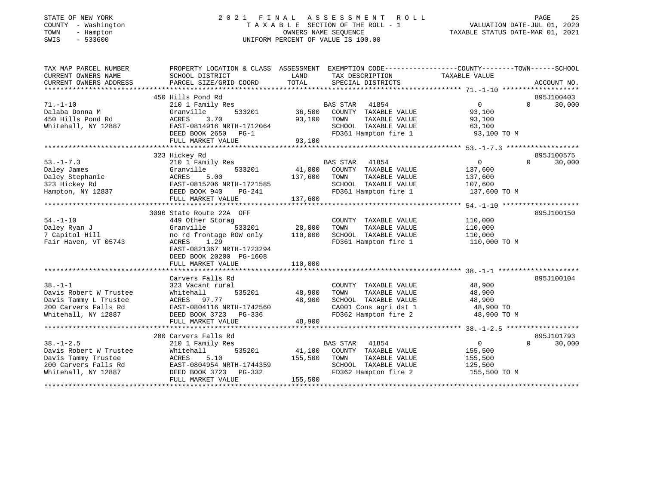| STATE OF NEW YORK |                   |
|-------------------|-------------------|
| COUNTY            | - Washington      |
| TOWN              | - Hampton         |
| $\alpha$          | $F \cap C \cap C$ |

#### STATE OF NEW YORK 2 0 2 1 F I N A L A S S E S S M E N T R O L L PAGE 25 COUNTY - Washington T A X A B L E SECTION OF THE ROLL - 1 VALUATION DATE-JUL 01, 2020 TOWN - Hampton OWNERS NAME SEQUENCE TAXABLE STATUS DATE-MAR 01, 2021 SWIS - 533600 UNIFORM PERCENT OF VALUE IS 100.00

| TAX MAP PARCEL NUMBER<br>CURRENT OWNERS NAME<br>CURRENT OWNERS ADDRESS                                          | PROPERTY LOCATION & CLASS ASSESSMENT<br>SCHOOL DISTRICT<br>PARCEL SIZE/GRID COORD                                                                                                            | LAND<br>TAX DESCRIPTION<br>TOTAL<br>SPECIAL DISTRICTS                                                                                                     | EXEMPTION CODE-----------------COUNTY-------TOWN------SCHOOL<br>TAXABLE VALUE<br>ACCOUNT NO.        |
|-----------------------------------------------------------------------------------------------------------------|----------------------------------------------------------------------------------------------------------------------------------------------------------------------------------------------|-----------------------------------------------------------------------------------------------------------------------------------------------------------|-----------------------------------------------------------------------------------------------------|
| $71. - 1 - 10$<br>Dalaba Donna M<br>450 Hills Pond Rd<br>Whitehall, NY 12887                                    | 450 Hills Pond Rd<br>210 1 Family Res<br>533201<br>Granville<br>3.70<br>ACRES<br>EAST-0814916 NRTH-1712064<br>DEED BOOK 2650<br>$PG-1$<br>FULL MARKET VALUE                                  | <b>BAS STAR</b><br>41854<br>36,500<br>COUNTY TAXABLE VALUE<br>93,100<br>TOWN<br>TAXABLE VALUE<br>SCHOOL TAXABLE VALUE<br>FD361 Hampton fire 1<br>93,100   | 895J100403<br>$\overline{0}$<br>$\Omega$<br>30,000<br>93,100<br>93,100<br>63,100<br>93,100 TO M     |
| $53. - 1 - 7.3$<br>Daley James<br>Daley Stephanie<br>323 Hickey Rd<br>Hampton, NY 12837                         | 323 Hickey Rd<br>210 1 Family Res<br>533201<br>Granville<br>5.00<br>ACRES<br>EAST-0815206 NRTH-1721585<br>DEED BOOK 940<br>PG-241<br>FULL MARKET VALUE                                       | BAS STAR<br>41854<br>41,000<br>COUNTY TAXABLE VALUE<br>137,600<br>TOWN<br>TAXABLE VALUE<br>SCHOOL TAXABLE VALUE<br>FD361 Hampton fire 1<br>137,600        | 895J100575<br>30,000<br>0<br>$\Omega$<br>137,600<br>137,600<br>107,600<br>137,600 TO M              |
| $54. - 1 - 10$<br>Daley Ryan J<br>7 Capitol Hill<br>Fair Haven, VT 05743                                        | 3096 State Route 22A OFF<br>449 Other Storag<br>Granville<br>533201<br>no rd frontage ROW only<br>ACRES<br>1.29<br>EAST-0821367 NRTH-1723294<br>DEED BOOK 20200 PG-1608<br>FULL MARKET VALUE | COUNTY TAXABLE VALUE<br>28,000<br>TOWN<br>TAXABLE VALUE<br>110,000<br>SCHOOL TAXABLE VALUE<br>FD361 Hampton fire 1<br>110,000                             | 895J100150<br>110,000<br>110,000<br>110,000<br>110,000 TO M                                         |
| $38. - 1 - 1$<br>Davis Robert W Trustee<br>Davis Tammy L Trustee<br>200 Carvers Falls Rd<br>Whitehall, NY 12887 | Carvers Falls Rd<br>323 Vacant rural<br>Whitehall<br>535201<br>97.77<br>ACRES<br>EAST-0804116 NRTH-1742560<br>DEED BOOK 3723<br>PG-336<br>FULL MARKET VALUE                                  | COUNTY TAXABLE VALUE<br>48,900<br>TOWN<br>TAXABLE VALUE<br>48,900<br>SCHOOL TAXABLE VALUE<br>CA001 Cons agri dst 1<br>FD362 Hampton fire 2<br>48,900      | 895J100104<br>48,900<br>48,900<br>48,900<br>48,900 TO<br>48,900 TO M                                |
| $38. - 1 - 2.5$<br>Davis Robert W Trustee<br>Davis Tammy Trustee<br>200 Carvers Falls Rd<br>Whitehall, NY 12887 | 200 Carvers Falls Rd<br>210 1 Family Res<br>535201<br>Whitehall<br>ACRES<br>5.10<br>EAST-0804954 NRTH-1744359<br>$PG-332$<br>DEED BOOK 3723<br>FULL MARKET VALUE                             | <b>BAS STAR</b><br>41854<br>41,100<br>COUNTY TAXABLE VALUE<br>155,500<br>TOWN<br>TAXABLE VALUE<br>SCHOOL TAXABLE VALUE<br>FD362 Hampton fire 2<br>155,500 | 895J101793<br>$\overline{0}$<br>30,000<br>$\Omega$<br>155,500<br>155,500<br>125,500<br>155,500 TO M |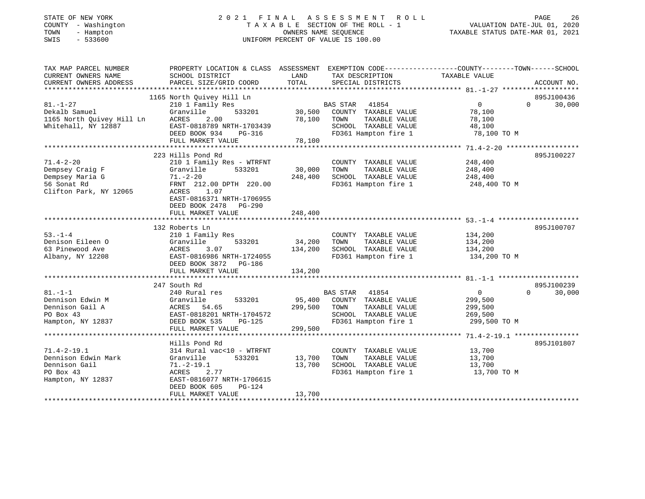| STATE OF NEW YORK |  |                   |  |
|-------------------|--|-------------------|--|
| COUNTY            |  | - Washington      |  |
| TOWN              |  | - Hampton         |  |
| QT T T Q          |  | $F \cap C \cap C$ |  |

## STATE OF NEW YORK 2 0 2 1 F I N A L A S S E S S M E N T R O L L PAGE 26T A X A B L E SECTION OF THE ROLL - 1<br>OWNERS NAME SEQUENCE SWIS - 533600 UNIFORM PERCENT OF VALUE IS 100.00

| TAX MAP PARCEL NUMBER<br>CURRENT OWNERS NAME<br>CURRENT OWNERS ADDRESS                         | PROPERTY LOCATION & CLASS ASSESSMENT<br>SCHOOL DISTRICT<br>PARCEL SIZE/GRID COORD                                                                                                         | LAND<br>TOTAL                | TAX DESCRIPTION TAXABLE VALUE<br>SPECIAL DISTRICTS                                                                 | EXEMPTION CODE----------------COUNTY-------TOWN------SCHOOL<br>ACCOUNT NO.                          |
|------------------------------------------------------------------------------------------------|-------------------------------------------------------------------------------------------------------------------------------------------------------------------------------------------|------------------------------|--------------------------------------------------------------------------------------------------------------------|-----------------------------------------------------------------------------------------------------|
| $81. - 1 - 27$<br>Dekalb Samuel<br>1165 North Quivey Hill Ln<br>Whitehall, NY 12887            | 1165 North Quivey Hill Ln<br>210 1 Family Res<br>Granville<br>533201<br>2.00<br>ACRES<br>EAST-0818789 NRTH-1703439<br>DEED BOOK 934<br>PG-316<br>FULL MARKET VALUE                        | 30,500<br>78,100<br>78,100   | BAS STAR<br>41854<br>COUNTY TAXABLE VALUE<br>TOWN<br>TAXABLE VALUE<br>SCHOOL TAXABLE VALUE<br>FD361 Hampton fire 1 | 895J100436<br>0<br>30,000<br>$\Omega$<br>78,100<br>78,100<br>48,100<br>78,100 TO M                  |
|                                                                                                |                                                                                                                                                                                           |                              |                                                                                                                    |                                                                                                     |
| $71.4 - 2 - 20$<br>Dempsey Craig F<br>Dempsey Maria G<br>56 Sonat Rd<br>Clifton Park, NY 12065 | 223 Hills Pond Rd<br>210 1 Family Res - WTRFNT<br>533201<br>Granville<br>$71. - 2 - 20$<br>FRNT 212.00 DPTH 220.00<br>1.07<br>ACRES<br>EAST-0816371 NRTH-1706955<br>DEED BOOK 2478 PG-290 | 30,000<br>248,400            | COUNTY TAXABLE VALUE<br>TOWN<br>TAXABLE VALUE<br>SCHOOL TAXABLE VALUE<br>FD361 Hampton fire 1                      | 895J100227<br>248,400<br>248,400<br>248,400<br>248,400 TO M                                         |
|                                                                                                | FULL MARKET VALUE                                                                                                                                                                         | 248,400                      |                                                                                                                    |                                                                                                     |
| $53. - 1 - 4$<br>Denison Eileen O<br>63 Pinewood Ave<br>Albany, NY 12208                       | 132 Roberts Ln<br>210 1 Family Res<br>Granville<br>533201<br>3.07<br>ACRES<br>EAST-0816986 NRTH-1724055<br>DEED BOOK 3872 PG-186                                                          | 34,200<br>134,200            | COUNTY TAXABLE VALUE<br>TOWN<br>TAXABLE VALUE<br>SCHOOL TAXABLE VALUE<br>FD361 Hampton fire 1                      | 895J100707<br>134,200<br>134,200<br>134,200<br>134,200 TO M                                         |
|                                                                                                | FULL MARKET VALUE                                                                                                                                                                         | 134,200                      |                                                                                                                    |                                                                                                     |
| $81. - 1 - 1$<br>Dennison Edwin M<br>Dennison Gail A<br>PO Box 43<br>Hampton, NY 12837         | 247 South Rd<br>240 Rural res<br>533201<br>Granville<br>ACRES<br>54.65<br>EAST-0818201 NRTH-1704572<br>DEED BOOK 535<br>PG-125<br>FULL MARKET VALUE                                       | 95,400<br>299,500<br>299,500 | BAS STAR 41854<br>COUNTY TAXABLE VALUE<br>TOWN<br>TAXABLE VALUE<br>SCHOOL TAXABLE VALUE<br>FD361 Hampton fire 1    | 895J100239<br>$\Omega$<br>30,000<br>$\overline{0}$<br>299,500<br>299,500<br>269,500<br>299,500 TO M |
| $71.4 - 2 - 19.1$<br>Dennison Edwin Mark<br>Dennison Gail<br>PO Box 43<br>Hampton, NY 12837    | Hills Pond Rd<br>314 Rural vac<10 - WTRFNT<br>Granville<br>533201<br>$71.-2-19.1$<br>ACRES<br>2.77<br>EAST-0816077 NRTH-1706615<br>DEED BOOK 605<br>PG-124<br>FULL MARKET VALUE           | 13,700<br>13,700<br>13,700   | COUNTY TAXABLE VALUE<br>TOWN<br>TAXABLE VALUE<br>SCHOOL TAXABLE VALUE<br>FD361 Hampton fire 1                      | 895J101807<br>13,700<br>13,700<br>13,700<br>13,700 TO M                                             |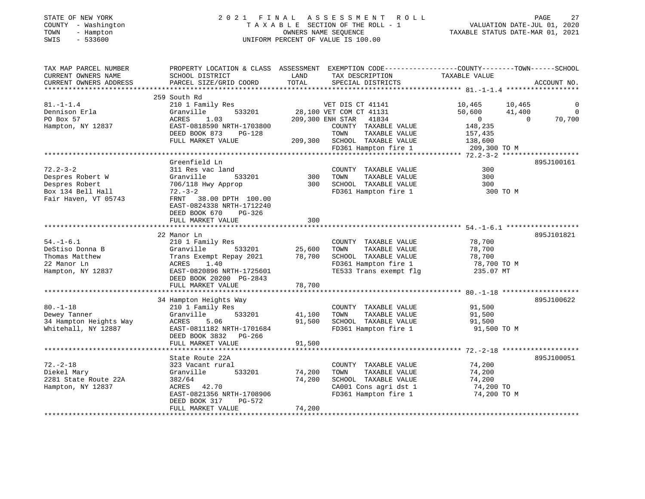## STATE OF NEW YORK 2 0 2 1 F I N A L A S S E S S M E N T R O L L PAGE 27COUNTY - Washington T A X A B L E SECTION OF THE ROLL - 1<br>
TOWN - Hampton OWNERS NAME SEQUENCE<br>
SWIS - 533600 SWIS - 533600 UNIFORM PERCENT OF VALUE IS 100.00

| TAX MAP PARCEL NUMBER<br>CURRENT OWNERS NAME<br>CURRENT OWNERS ADDRESS                            | PROPERTY LOCATION & CLASS ASSESSMENT<br>SCHOOL DISTRICT<br>PARCEL SIZE/GRID COORD                                                                                                                        | LAND<br>TOTAL              | TAX DESCRIPTION<br>SPECIAL DISTRICTS                                                                                                                                      | EXEMPTION CODE-----------------COUNTY-------TOWN------SCHOOL<br>TAXABLE VALUE                                       | ACCOUNT NO.                       |
|---------------------------------------------------------------------------------------------------|----------------------------------------------------------------------------------------------------------------------------------------------------------------------------------------------------------|----------------------------|---------------------------------------------------------------------------------------------------------------------------------------------------------------------------|---------------------------------------------------------------------------------------------------------------------|-----------------------------------|
| $81. - 1 - 1.4$<br>Dennison Erla<br>PO Box 57<br>Hampton, NY 12837                                | 259 South Rd<br>210 1 Family Res<br>Granville<br>533201<br>ACRES<br>1.03<br>EAST-0818590 NRTH-1703800<br>DEED BOOK 873<br>$PG-128$<br>FULL MARKET VALUE                                                  | 209,300                    | VET DIS CT 41141<br>28,100 VET COM CT 41131<br>209,300 ENH STAR<br>41834<br>COUNTY TAXABLE VALUE<br>TOWN<br>TAXABLE VALUE<br>SCHOOL TAXABLE VALUE<br>FD361 Hampton fire 1 | 10,465<br>10,465<br>50,600<br>41,400<br>$\overline{0}$<br>$\Omega$<br>148,235<br>157,435<br>138,600<br>209,300 TO M | $\mathbf 0$<br>$\Omega$<br>70,700 |
| $72.2 - 3 - 2$<br>Despres Robert W<br>Despres Robert<br>Box 134 Bell Hall<br>Fair Haven, VT 05743 | Greenfield Ln<br>311 Res vac land<br>533201<br>Granville<br>706/118 Hwy Approp<br>$72. - 3 - 2$<br>FRNT 38.00 DPTH 100.00<br>EAST-0824338 NRTH-1712240<br>DEED BOOK 670<br>$PG-326$<br>FULL MARKET VALUE | 300<br>300<br>300          | COUNTY TAXABLE VALUE<br>TOWN<br>TAXABLE VALUE<br>SCHOOL TAXABLE VALUE<br>FD361 Hampton fire 1                                                                             | 300<br>300<br>300<br>300 TO M                                                                                       | 895J100161                        |
| $54. - 1 - 6.1$<br>DeStiso Donna B<br>Thomas Matthew<br>22 Manor Ln<br>Hampton, NY 12837          | 22 Manor Ln<br>210 1 Family Res<br>Granville<br>533201<br>Trans Exempt Repay 2021<br>1.40<br>ACRES<br>EAST-0820896 NRTH-1725601<br>DEED BOOK 20200 PG-2843<br>FULL MARKET VALUE                          | 25,600<br>78,700<br>78,700 | COUNTY TAXABLE VALUE<br>TAXABLE VALUE<br>TOWN<br>SCHOOL TAXABLE VALUE<br>FD361 Hampton fire 1<br>TE533 Trans exempt flg                                                   | 78,700<br>78,700<br>78,700<br>78,700 TO M<br>235.07 MT                                                              | 895J101821                        |
| $80. - 1 - 18$<br>Dewey Tanner<br>34 Hampton Heights Way<br>Whitehall, NY 12887                   | 34 Hampton Heights Way<br>210 1 Family Res<br>533201<br>Granville<br>ACRES<br>5.06<br>EAST-0811182 NRTH-1701684<br>PG-266<br>DEED BOOK 3832<br>FULL MARKET VALUE                                         | 41,100<br>91,500<br>91,500 | COUNTY TAXABLE VALUE<br>TOWN<br>TAXABLE VALUE<br>SCHOOL TAXABLE VALUE<br>FD361 Hampton fire 1                                                                             | 91,500<br>91,500<br>91,500<br>91,500 TO M                                                                           | 895J100622                        |
| $72. - 2 - 18$<br>Diekel Mary<br>2281 State Route 22A<br>Hampton, NY 12837                        | State Route 22A<br>323 Vacant rural<br>Granville<br>533201<br>382/64<br>42.70<br>ACRES<br>EAST-0821356 NRTH-1708906<br>DEED BOOK 317<br>PG-572<br>FULL MARKET VALUE                                      | 74,200<br>74,200<br>74,200 | COUNTY TAXABLE VALUE<br>TOWN<br>TAXABLE VALUE<br>SCHOOL TAXABLE VALUE<br>CA001 Cons agri dst 1<br>FD361 Hampton fire 1                                                    | 74,200<br>74,200<br>74,200<br>74,200 TO<br>74,200 TO M                                                              | 895J100051                        |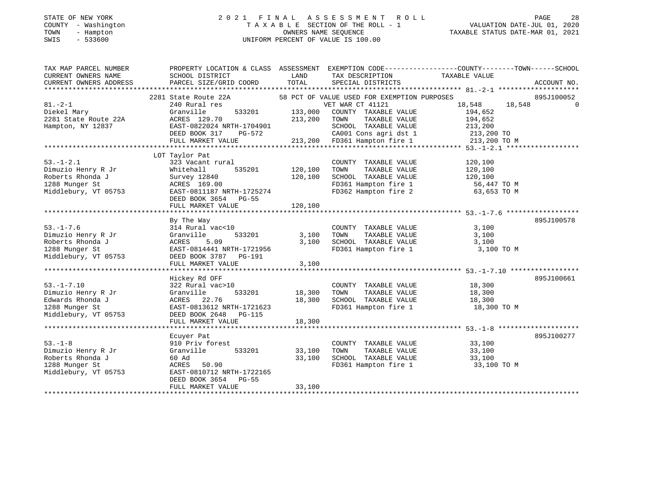#### STATE OF NEW YORK 2 0 2 1 F I N A L A S S E S S M E N T R O L L PAGE 28 COUNTY - Washington T A X A B L E SECTION OF THE ROLL - 1 VALUATION DATE-JUL 01, 2020 TOWN - Hampton OWNERS NAME SEQUENCE TAXABLE STATUS DATE-MAR 01, 2021 SWIS - 533600 UNIFORM PERCENT OF VALUE IS 100.00

| TAX MAP PARCEL NUMBER<br>CURRENT OWNERS NAME<br>CURRENT OWNERS ADDRESS                               | PROPERTY LOCATION & CLASS ASSESSMENT EXEMPTION CODE----------------COUNTY-------TOWN-----SCHOOL<br>SCHOOL DISTRICT<br>PARCEL SIZE/GRID COORD                        | LAND<br>TOTAL                 | TAX DESCRIPTION<br>SPECIAL DISTRICTS                                                                                                                                                              | TAXABLE VALUE                                                                                 | ACCOUNT NO.            |
|------------------------------------------------------------------------------------------------------|---------------------------------------------------------------------------------------------------------------------------------------------------------------------|-------------------------------|---------------------------------------------------------------------------------------------------------------------------------------------------------------------------------------------------|-----------------------------------------------------------------------------------------------|------------------------|
| $81 - 2 - 1$<br>Diekel Mary<br>2281 State Route 22A<br>Hampton, NY 12837                             | 2281 State Route 22A<br>240 Rural res<br>533201<br>Granville<br>ACRES 129.70<br>EAST-0822024 NRTH-1704901<br>DEED BOOK 317<br>PG-572<br>FULL MARKET VALUE           | 133,000<br>213,200            | 58 PCT OF VALUE USED FOR EXEMPTION PURPOSES<br>VET WAR CT 41121<br>COUNTY TAXABLE VALUE<br>TAXABLE VALUE<br>TOWN<br>SCHOOL TAXABLE VALUE<br>CA001 Cons agri dst 1<br>213,200 FD361 Hampton fire 1 | 18,548<br>18,548<br>194,652<br>194,652<br>213,200<br>213,200 TO<br>213.200 TO<br>213,200 TO M | 895J100052<br>$\Omega$ |
| $53. - 1 - 2.1$<br>Dimuzio Henry R Jr<br>Roberts Rhonda J<br>1288 Munger St<br>Middlebury, VT 05753  | LOT Taylor Pat<br>323 Vacant rural<br>Whitehall<br>535201<br>Survey 12840<br>ACRES 169.00<br>EAST-0811187 NRTH-1725274<br>DEED BOOK 3654 PG-55<br>FULL MARKET VALUE | 120,100<br>120,100<br>120,100 | COUNTY TAXABLE VALUE<br>TOWN<br>TAXABLE VALUE<br>SCHOOL TAXABLE VALUE<br>FD361 Hampton fire 1<br>FD362 Hampton fire 2                                                                             | 120,100<br>120,100<br>120,100<br>56,447 TO M<br>63,653 TO M                                   |                        |
| $53. - 1 - 7.6$<br>Dimuzio Henry R Jr<br>Roberts Rhonda J<br>1288 Munger St<br>Middlebury, VT 05753  | By The Way<br>314 Rural vac<10<br>Granville<br>533201<br>ACRES<br>5.09<br>EAST-0814441 NRTH-1721956<br>DEED BOOK 3787 PG-191<br>FULL MARKET VALUE                   | 3,100<br>3,100<br>3,100       | COUNTY TAXABLE VALUE<br>TAXABLE VALUE<br>TOWN<br>SCHOOL TAXABLE VALUE<br>FD361 Hampton fire 1                                                                                                     | 3,100<br>3,100<br>3,100<br>3,100 TO M                                                         | 895J100578             |
| $53. - 1 - 7.10$<br>Dimuzio Henry R Jr<br>Edwards Rhonda J<br>1288 Munger St<br>Middlebury, VT 05753 | Hickey Rd OFF<br>322 Rural vac>10<br>Granville<br>533201<br>ACRES 22.76<br>EAST-0813612 NRTH-1721623<br>DEED BOOK 2648<br><b>PG-115</b><br>FULL MARKET VALUE        | 18,300<br>18,300<br>18,300    | COUNTY TAXABLE VALUE<br>TOWN<br>TAXABLE VALUE<br>SCHOOL TAXABLE VALUE<br>FD361 Hampton fire 1                                                                                                     | 18,300<br>18,300<br>18,300<br>18,300 TO M                                                     | 895J100661             |
| $53. - 1 - 8$<br>Dimuzio Henry R Jr<br>Roberts Rhonda J<br>1288 Munger St<br>Middlebury, VT 05753    | Ecuyer Pat<br>910 Priv forest<br>Granville<br>533201<br>60 Ad<br>50.90<br>ACRES<br>EAST-0810712 NRTH-1722165<br>DEED BOOK 3654<br>$PG-55$<br>FULL MARKET VALUE      | 33,100<br>33,100<br>33,100    | COUNTY TAXABLE VALUE<br>TOWN<br>TAXABLE VALUE<br>SCHOOL TAXABLE VALUE<br>FD361 Hampton fire 1                                                                                                     | 33,100<br>33,100<br>33,100<br>33,100 TO M                                                     | 895J100277             |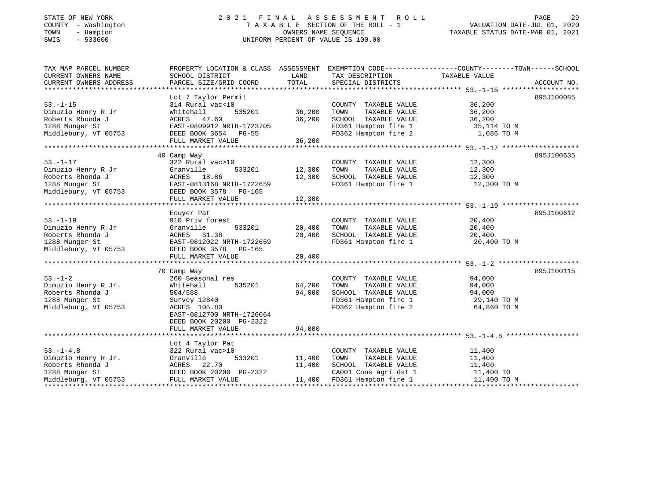### STATE OF NEW YORK 2 0 2 1 F I N A L A S S E S S M E N T R O L L PAGE 29 COUNTY - Washington T A X A B L E SECTION OF THE ROLL - 1 VALUATION DATE-JUL 01, 2020 TOWN - Hampton OWNERS NAME SEQUENCE TAXABLE STATUS DATE-MAR 01, 2021 SWIS - 533600 UNIFORM PERCENT OF VALUE IS 100.00

| TAX MAP PARCEL NUMBER<br>CURRENT OWNERS NAME<br>CURRENT OWNERS ADDRESS | PROPERTY LOCATION & CLASS ASSESSMENT<br>SCHOOL DISTRICT<br>PARCEL SIZE/GRID COORD | LAND<br>TOTAL | EXEMPTION CODE-----------------COUNTY-------TOWN------SCHOOL<br>TAX DESCRIPTION TAXABLE VALUE<br>SPECIAL DISTRICTS |                                   | ACCOUNT NO. |
|------------------------------------------------------------------------|-----------------------------------------------------------------------------------|---------------|--------------------------------------------------------------------------------------------------------------------|-----------------------------------|-------------|
|                                                                        |                                                                                   |               |                                                                                                                    |                                   |             |
|                                                                        | Lot 7 Taylor Permit                                                               |               |                                                                                                                    |                                   | 895J100085  |
| $53. - 1 - 15$                                                         | 314 Rural vac<10                                                                  |               | COUNTY TAXABLE VALUE                                                                                               | 36,200                            |             |
| Dimuzio Henry R Jr                                                     | Whitehall                                                                         | 535201 36,200 | TOWN<br>TAXABLE VALUE                                                                                              | 36,200                            |             |
| Roberts Rhonda J                                                       | ACRES 47.60<br>EAST-0809912 NRTH-1723705                                          | 36,200        | FD361 Hampton fire 1<br>FD362 Hampton fire 1                                                                       | 36,200                            |             |
| 1288 Munger St                                                         |                                                                                   |               |                                                                                                                    | $35,114$ TO M<br>$35,114$ TO M    |             |
| Middlebury, VT 05753                                                   | DEED BOOK 3654 PG-55                                                              |               | FD362 Hampton fire 2                                                                                               | 1,086 TO M                        |             |
|                                                                        | FULL MARKET VALUE                                                                 | 36,200        |                                                                                                                    |                                   |             |
|                                                                        |                                                                                   |               |                                                                                                                    |                                   |             |
|                                                                        | 40 Camp Way                                                                       |               |                                                                                                                    |                                   | 895J100635  |
| $53. - 1 - 17$                                                         | 322 Rural vac>10                                                                  |               | COUNTY TAXABLE VALUE                                                                                               | 12,300                            |             |
| Dimuzio Henry R Jr                                                     | 533201<br>Granville                                                               | 12,300        | TOWN<br>TAXABLE VALUE                                                                                              | 12,300                            |             |
| Roberts Rhonda J                                                       |                                                                                   | 12,300        | SCHOOL TAXABLE VALUE                                                                                               | 12,300                            |             |
| 1288 Munger St                                                         |                                                                                   |               | FD361 Hampton fire 1                                                                                               | 12,300 TO M                       |             |
| Middlebury, VT 05753                                                   | 1<br>ACRES 18.86<br>EAST-0813168 NRTH-1722659<br>DEED BOOK 3578 PG-165            |               |                                                                                                                    |                                   |             |
|                                                                        | FULL MARKET VALUE                                                                 | 12,300        |                                                                                                                    |                                   |             |
|                                                                        |                                                                                   |               |                                                                                                                    |                                   |             |
|                                                                        | Ecuyer Pat                                                                        |               |                                                                                                                    |                                   | 895J100612  |
| $53. - 1 - 19$                                                         | 910 Priv forest                                                                   |               | COUNTY TAXABLE VALUE                                                                                               | 20,400                            |             |
| Dimuzio Henry R Jr                                                     | 533201<br>Granville                                                               | 20,400        |                                                                                                                    | 20,400                            |             |
| Roberts Rhonda J                                                       | ACRES 31.38                                                                       | 20,400        | TOWN      TAXABLE VALUE<br>SCHOOL   TAXABLE VALUE                                                                  | 20,400                            |             |
| 1288 Munger St                                                         | EAST-0812022 NRTH-1722659                                                         |               | FD361 Hampton fire 1 20,400 TO M                                                                                   |                                   |             |
| Middlebury, VT 05753                                                   | DEED BOOK 3578 PG-165                                                             |               |                                                                                                                    |                                   |             |
|                                                                        |                                                                                   |               |                                                                                                                    |                                   |             |
|                                                                        |                                                                                   |               |                                                                                                                    |                                   |             |
|                                                                        | 70 Camp Way                                                                       |               |                                                                                                                    |                                   | 895J100115  |
| $53 - 1 - 2$                                                           | 260 Seasonal res                                                                  |               | COUNTY TAXABLE VALUE                                                                                               | 94,000                            |             |
| Dimuzio Henry R Jr.                                                    | 535201<br>Whitehall                                                               | 64,200        | TAXABLE VALUE<br>TOWN                                                                                              | 94,000                            |             |
| Roberts Rhonda J                                                       | 504/588                                                                           | 94,000        |                                                                                                                    |                                   |             |
|                                                                        |                                                                                   |               | SCHOOL TAXABLE VALUE<br>FD361 Hampton fire 1                                                                       | 94,000<br>29,140 TO M<br>220 TO M |             |
| 1288 Munger St                                                         | Survey 12840                                                                      |               |                                                                                                                    |                                   |             |
| Middleburg, VT 05753                                                   | ACRES 105.80                                                                      |               | FD362 Hampton fire 2                                                                                               | 64,860 TO M                       |             |
|                                                                        | EAST-0812700 NRTH-1726064                                                         |               |                                                                                                                    |                                   |             |
|                                                                        | DEED BOOK 20200 PG-2322                                                           |               |                                                                                                                    |                                   |             |
|                                                                        | FULL MARKET VALUE                                                                 | 94,000        |                                                                                                                    |                                   |             |
|                                                                        |                                                                                   |               |                                                                                                                    |                                   |             |
|                                                                        | Lot 4 Taylor Pat                                                                  |               |                                                                                                                    |                                   |             |
| $53. - 1 - 4.8$                                                        | 322 Rural vac>10                                                                  |               | COUNTY TAXABLE VALUE 11,400                                                                                        |                                   |             |
|                                                                        | 533201<br>Granville                                                               | 11,400        | TOWN TAXABLE VALUE 11,400<br>SCHOOL TAXABLE VALUE 11,400                                                           |                                   |             |
|                                                                        | ACRES 22.70                                                                       | 11,400        |                                                                                                                    |                                   |             |
| Jointzio Henry R Jr.<br>Roberts Rhonda J<br>1288 Munger St             | DEED BOOK 20200 PG-2322                                                           |               | CA001 Cons agri dst 1 11,400 TO                                                                                    |                                   |             |
| Middleburg, VT 05753                                                   | FULL MARKET VALUE                                                                 |               |                                                                                                                    | 11,400 TO M                       |             |
|                                                                        |                                                                                   |               | 11,400 FD361 Hampton fire 1                                                                                        |                                   |             |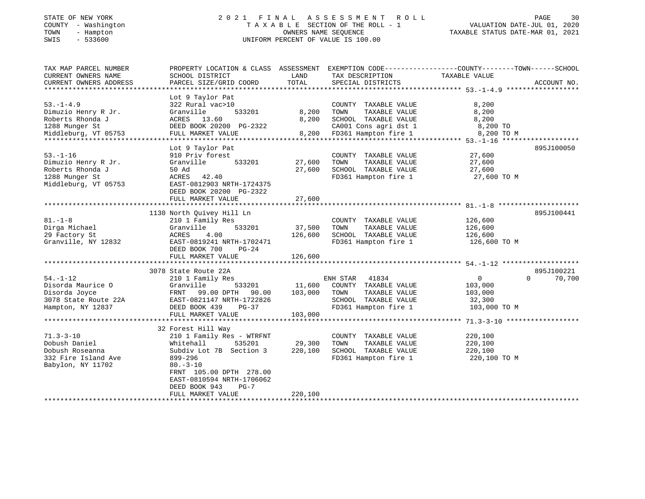## STATE OF NEW YORK 2 0 2 1 F I N A L A S S E S S M E N T R O L L PAGE 30COUNTY - Washington T A X A B L E SECTION OF THE ROLL - 1<br>
TOWN - Hampton DWNERS NAME SEQUENCE<br>
SWIS - 533600<br>
SWIS - 533600 SWIS - 533600 UNIFORM PERCENT OF VALUE IS 100.00

| TAX MAP PARCEL NUMBER<br>CURRENT OWNERS NAME<br>CURRENT OWNERS ADDRESS                               | PROPERTY LOCATION & CLASS ASSESSMENT<br>SCHOOL DISTRICT<br>PARCEL SIZE/GRID COORD                                                                                                                                                                                | LAND<br>TOTAL                | EXEMPTION CODE-----------------COUNTY-------TOWN------SCHOOL<br>TAX DESCRIPTION<br>SPECIAL DISTRICTS                   | TAXABLE VALUE                                               | ACCOUNT NO.                      |
|------------------------------------------------------------------------------------------------------|------------------------------------------------------------------------------------------------------------------------------------------------------------------------------------------------------------------------------------------------------------------|------------------------------|------------------------------------------------------------------------------------------------------------------------|-------------------------------------------------------------|----------------------------------|
| $53. - 1 - 4.9$<br>Dimuzio Henry R Jr.<br>Roberts Rhonda J<br>1288 Munger St<br>Middleburg, VT 05753 | Lot 9 Taylor Pat<br>322 Rural vac>10<br>Granville<br>533201<br>ACRES 13.60<br>DEED BOOK 20200 PG-2322<br>FULL MARKET VALUE                                                                                                                                       | 8,200<br>8,200<br>8,200      | COUNTY TAXABLE VALUE<br>TOWN<br>TAXABLE VALUE<br>SCHOOL TAXABLE VALUE<br>CA001 Cons agri dst 1<br>FD361 Hampton fire 1 | 8,200<br>8,200<br>8,200<br>8,200 TO<br>8,200 TO M           |                                  |
| $53. - 1 - 16$<br>Dimuzio Henry R Jr.<br>Roberts Rhonda J<br>1288 Munger St<br>Middleburg, VT 05753  | Lot 9 Taylor Pat<br>910 Priv forest<br>533201<br>Granville<br>50 Ad<br>ACRES<br>42.40<br>EAST-0812903 NRTH-1724375<br>DEED BOOK 20200 PG-2322<br>FULL MARKET VALUE                                                                                               | 27,600<br>27,600<br>27,600   | COUNTY TAXABLE VALUE<br>TAXABLE VALUE<br>TOWN<br>SCHOOL TAXABLE VALUE<br>FD361 Hampton fire 1                          | 27,600<br>27,600<br>27,600<br>27,600 TO M                   | 895J100050                       |
| $81. - 1 - 8$<br>Dirga Michael<br>29 Factory St<br>Granville, NY 12832                               | 1130 North Quivey Hill Ln<br>210 1 Family Res<br>533201<br>Granville<br>ACRES<br>4.00<br>EAST-0819241 NRTH-1702471<br>DEED BOOK 700<br>$PG-24$<br>FULL MARKET VALUE                                                                                              | 37,500<br>126,600<br>126,600 | COUNTY TAXABLE VALUE<br>TOWN<br>TAXABLE VALUE<br>SCHOOL TAXABLE VALUE<br>FD361 Hampton fire 1                          | 126,600<br>126,600<br>126,600<br>126,600 TO M               | 895J100441                       |
| $54. - 1 - 12$<br>Disorda Maurice O<br>Disorda Joyce<br>3078 State Route 22A<br>Hampton, NY 12837    | 3078 State Route 22A<br>210 1 Family Res<br>Granville<br>533201<br>FRNT 99.00 DPTH<br>90.00<br>EAST-0821147 NRTH-1722826<br>DEED BOOK 439<br>$PG-37$<br>FULL MARKET VALUE                                                                                        | 11,600<br>103,000<br>103,000 | ENH STAR<br>41834<br>COUNTY TAXABLE VALUE<br>TOWN<br>TAXABLE VALUE<br>SCHOOL TAXABLE VALUE<br>FD361 Hampton fire 1     | $\mathbf 0$<br>103,000<br>103,000<br>32,300<br>103,000 TO M | 895J100221<br>70,700<br>$\Omega$ |
| $71.3 - 3 - 10$<br>Dobush Daniel<br>Dobush Roseanna<br>332 Fire Island Ave<br>Babylon, NY 11702      | 32 Forest Hill Way<br>210 1 Family Res - WTRFNT<br>535201<br>Whitehall<br>Subdiv Lot 7B Section 3<br>899-296<br>$80. - 3 - 10$<br>FRNT 105.00 DPTH 278.00<br>EAST-0810594 NRTH-1706062<br>DEED BOOK 943<br>$PG-7$<br>FULL MARKET VALUE<br>********************** | 29,300<br>220,100<br>220,100 | COUNTY TAXABLE VALUE<br>TOWN<br>TAXABLE VALUE<br>SCHOOL TAXABLE VALUE<br>FD361 Hampton fire 1                          | 220,100<br>220,100<br>220,100<br>220,100 TO M               |                                  |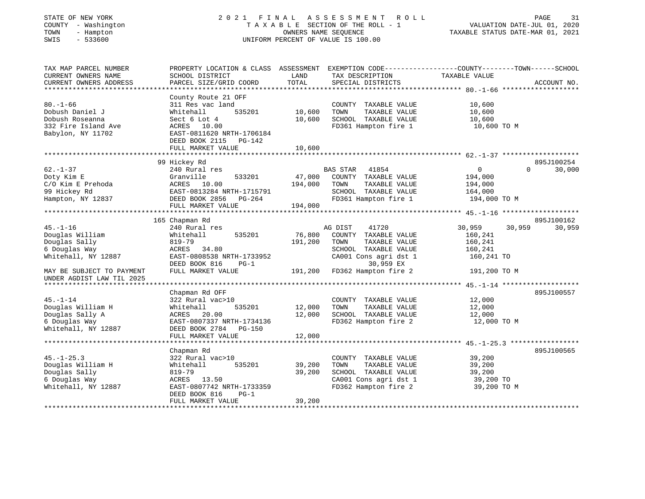### STATE OF NEW YORK 2 0 2 1 F I N A L A S S E S S M E N T R O L L PAGE 31 COUNTY - Washington T A X A B L E SECTION OF THE ROLL - 1 VALUATION DATE-JUL 01, 2020 TOWN - Hampton OWNERS NAME SEQUENCE TAXABLE STATUS DATE-MAR 01, 2021 TOWN - Hampton - 1999 - 1999 - 1999 - 1999 - 1999 - 1999 - 1999 - 1999 - 1999 - 1999 - 1999 - 1999 - 1999 - 19<br>
SWIS - 533600 - 1999 - 1999 - 1999 - 1999 - 1999 - 1999 - 1999 - 1999 - 1999 - 1999 - 1999 - 1999 - 1999 - 19

| TAX MAP PARCEL NUMBER<br>CURRENT OWNERS NAME<br>CURRENT OWNERS ADDRESS                           | PROPERTY LOCATION & CLASS ASSESSMENT EXEMPTION CODE----------------COUNTY-------TOWN------SCHOOL<br>SCHOOL DISTRICT<br>PARCEL SIZE/GRID COORD                     | LAND<br>TOTAL                     | TAX DESCRIPTION<br>SPECIAL DISTRICTS                                                                                            | TAXABLE VALUE                                                      | ACCOUNT NO.                      |
|--------------------------------------------------------------------------------------------------|-------------------------------------------------------------------------------------------------------------------------------------------------------------------|-----------------------------------|---------------------------------------------------------------------------------------------------------------------------------|--------------------------------------------------------------------|----------------------------------|
|                                                                                                  |                                                                                                                                                                   |                                   |                                                                                                                                 |                                                                    |                                  |
| $80. - 1 - 66$<br>Dobush Daniel J<br>Dobush Roseanna<br>332 Fire Island Ave<br>Babylon, NY 11702 | County Route 21 OFF<br>311 Res vac land<br>Whitehall<br>Sect 6 Lot 4<br>ACRES 10.00<br>EAST-0811620 NRTH-1706184<br>DEED BOOK 2115<br>PG-142<br>FULL MARKET VALUE | 535201 10,600<br>10,600<br>10,600 | COUNTY TAXABLE VALUE<br>TOWN<br>TAXABLE VALUE<br>SCHOOL TAXABLE VALUE<br>FD361 Hampton fire 1                                   | 10,600<br>10,600<br>10,600<br>10,600 TO M                          |                                  |
|                                                                                                  |                                                                                                                                                                   |                                   |                                                                                                                                 |                                                                    |                                  |
| $62. - 1 - 37$<br>Doty Kim E<br>C/O Kim E Prehoda<br>99 Hickey Rd<br>Hampton, NY 12837           | 99 Hickey Rd<br>240 Rural res<br>Granville<br>533201<br>ACRES 10.00<br>EAST-0813284 NRTH-1715791<br>DEED BOOK 2856 PG-264<br>FULL MARKET VALUE                    | 47,000<br>194,000<br>194,000      | BAS STAR 41854<br>COUNTY TAXABLE VALUE<br>TOWN<br>TAXABLE VALUE<br>SCHOOL TAXABLE VALUE<br>FD361 Hampton fire 1                 | $0 \qquad \qquad$<br>194,000<br>194,000<br>164,000<br>194,000 TO M | 895J100254<br>30,000<br>$\Omega$ |
|                                                                                                  | 165 Chapman Rd                                                                                                                                                    |                                   |                                                                                                                                 |                                                                    | 895J100162                       |
| $45. - 1 - 16$<br>Douglas William<br>Douglas Sally<br>6 Douglas Way<br>Whitehall, NY 12887       | 240 Rural res<br>535201<br>Whitehall<br>819-79<br>ACRES 34.80<br>EAST-0808538 NRTH-1733952<br>DEED BOOK 816<br>$PG-1$                                             | 76,800<br>191,200                 | 41720<br>AG DIST<br>COUNTY TAXABLE VALUE<br>TOWN<br>TAXABLE VALUE<br>SCHOOL TAXABLE VALUE<br>CA001 Cons agri dst 1<br>30,959 EX | 30,959<br>30,959<br>160,241<br>160,241<br>160,241<br>160,241 TO    | 30,959                           |
| MAY BE SUBJECT TO PAYMENT<br>UNDER AGDIST LAW TIL 2025                                           | FULL MARKET VALUE                                                                                                                                                 | 191,200                           | FD362 Hampton fire 2                                                                                                            | 191,200 TO M                                                       |                                  |
|                                                                                                  |                                                                                                                                                                   |                                   |                                                                                                                                 |                                                                    |                                  |
| $45. - 1 - 14$<br>Douglas William H<br>Douglas Sally A<br>6 Douglas Way<br>Whitehall, NY 12887   | Chapman Rd OFF<br>322 Rural vac>10<br>Whitehall<br>535201<br>ACRES 20.00<br>EAST-0807337 NRTH-1734136<br>DEED BOOK 2784 PG-150                                    | 12,000<br>12,000                  | COUNTY TAXABLE VALUE<br>TOWN<br>TAXABLE VALUE<br>SCHOOL TAXABLE VALUE<br>FD362 Hampton fire 2                                   | 12,000<br>12,000<br>12,000<br>12,000 TO M                          | 895J100557                       |
|                                                                                                  | FULL MARKET VALUE                                                                                                                                                 | 12,000                            |                                                                                                                                 |                                                                    |                                  |
|                                                                                                  |                                                                                                                                                                   |                                   |                                                                                                                                 |                                                                    | 895J100565                       |
| $45. - 1 - 25.3$<br>Douglas William H<br>Douglas Sally<br>6 Douglas Way<br>Whitehall, NY 12887   | Chapman Rd<br>322 Rural vac>10<br>535201<br>Whitehall<br>$819 - 79$<br>ACRES 13.50<br>EAST-0807742 NRTH-1733359<br>DEED BOOK 816<br>$PG-1$<br>FULL MARKET VALUE   | 39,200<br>39,200<br>39,200        | COUNTY TAXABLE VALUE<br>TOWN<br>TAXABLE VALUE<br>SCHOOL TAXABLE VALUE<br>CA001 Cons agri dst 1<br>FD362 Hampton fire 2          | 39,200<br>39,200<br>39,200<br>39,200 TO<br>39,200 TO M             |                                  |
|                                                                                                  |                                                                                                                                                                   |                                   |                                                                                                                                 |                                                                    |                                  |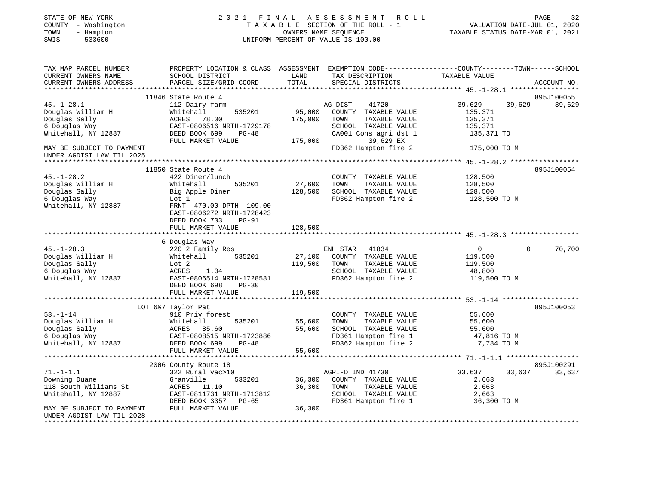| STATE OF NEW YORK<br>COUNTY - Washington<br>TOWN<br>- Hampton<br>$-533600$<br>SWIS | 2021<br>F I N A L                                                                                                  | OWNERS NAME SEQUENCE | ASSESSMENT<br>R O L L<br>TAXABLE SECTION OF THE ROLL - 1<br>UNIFORM PERCENT OF VALUE IS 100.00 | TAXABLE STATUS DATE-MAR 01, 2021 | $\mathop{\mathtt{PAGE}}$<br>VALUATION DATE-JUL 01, 2020 | 32          |
|------------------------------------------------------------------------------------|--------------------------------------------------------------------------------------------------------------------|----------------------|------------------------------------------------------------------------------------------------|----------------------------------|---------------------------------------------------------|-------------|
| TAX MAP PARCEL NUMBER<br>CURRENT OWNERS NAME                                       | PROPERTY LOCATION & CLASS ASSESSMENT EXEMPTION CODE---------------COUNTY-------TOWN------SCHOOL<br>SCHOOL DISTRICT | LAND<br>TOTAL        | TAX DESCRIPTION                                                                                | TAXABLE VALUE                    |                                                         |             |
| CURRENT OWNERS ADDRESS                                                             | PARCEL SIZE/GRID COORD                                                                                             |                      | SPECIAL DISTRICTS                                                                              |                                  |                                                         | ACCOUNT NO. |
|                                                                                    | 11846 State Route 4                                                                                                |                      |                                                                                                |                                  |                                                         | 895J100055  |
| $45. - 1 - 28.1$                                                                   | 112 Dairy farm                                                                                                     |                      | AG DIST<br>41720                                                                               | 39,629                           | 39,629                                                  | 39,629      |
| Douglas William H                                                                  | Whitehall<br>535201                                                                                                | 95,000               | COUNTY TAXABLE VALUE                                                                           | 135,371                          |                                                         |             |
| Douglas Sally                                                                      | ACRES 78.00                                                                                                        | 175,000              | TOWN<br>TAXABLE VALUE                                                                          | 135,371                          |                                                         |             |
| 6 Douglas Way                                                                      | EAST-0806516 NRTH-1729178                                                                                          |                      | SCHOOL TAXABLE VALUE                                                                           | 135,371                          |                                                         |             |
| Whitehall, NY 12887                                                                | DEED BOOK 699<br>PG-48                                                                                             |                      | CA001 Cons agri dst 1                                                                          | 135,371 TO                       |                                                         |             |
|                                                                                    | FULL MARKET VALUE                                                                                                  | 175,000              | 39,629 EX                                                                                      |                                  |                                                         |             |
| MAY BE SUBJECT TO PAYMENT                                                          |                                                                                                                    |                      | FD362 Hampton fire 2                                                                           | 175,000 TO M                     |                                                         |             |
| UNDER AGDIST LAW TIL 2025                                                          |                                                                                                                    |                      |                                                                                                |                                  |                                                         |             |
|                                                                                    |                                                                                                                    |                      |                                                                                                |                                  |                                                         |             |
|                                                                                    | 11850 State Route 4                                                                                                |                      |                                                                                                |                                  |                                                         | 895J100054  |
| $45. - 1 - 28.2$                                                                   | 422 Diner/lunch                                                                                                    |                      | COUNTY TAXABLE VALUE                                                                           | 128,500                          |                                                         |             |
| Douglas William H                                                                  | Whitehall<br>535201                                                                                                | 27,600               | TOWN<br>TAXABLE VALUE                                                                          | 128,500                          |                                                         |             |
| Douglas Sally                                                                      | Big Apple Diner                                                                                                    | 128,500              | SCHOOL TAXABLE VALUE                                                                           | 128,500                          |                                                         |             |
| 6 Douglas Way                                                                      | Lot 1                                                                                                              |                      | FD362 Hampton fire 2                                                                           | 128,500 TO M                     |                                                         |             |
| Whitehall, NY 12887                                                                | FRNT 470.00 DPTH 109.00                                                                                            |                      |                                                                                                |                                  |                                                         |             |
|                                                                                    | EAST-0806272 NRTH-1728423                                                                                          |                      |                                                                                                |                                  |                                                         |             |
|                                                                                    | <b>PG-91</b><br>DEED BOOK 703                                                                                      |                      |                                                                                                |                                  |                                                         |             |
|                                                                                    | FULL MARKET VALUE                                                                                                  | 128,500              |                                                                                                |                                  |                                                         |             |
|                                                                                    |                                                                                                                    |                      |                                                                                                |                                  |                                                         |             |
|                                                                                    | 6 Douglas Way                                                                                                      |                      |                                                                                                |                                  |                                                         |             |
| $45. - 1 - 28.3$                                                                   | 220 2 Family Res                                                                                                   |                      | ENH STAR<br>41834                                                                              | $\overline{0}$                   | $\Omega$                                                | 70,700      |
| Douglas William H                                                                  | Whitehall<br>535201                                                                                                | 27,100               | COUNTY TAXABLE VALUE                                                                           | 119,500                          |                                                         |             |
| Douglas Sally                                                                      | Lot 2                                                                                                              | 119,500              | TOWN<br>TAXABLE VALUE                                                                          | 119,500                          |                                                         |             |
| 6 Douglas Way                                                                      | ACRES<br>1.04                                                                                                      |                      | SCHOOL TAXABLE VALUE                                                                           | 48,800                           |                                                         |             |
| Whitehall, NY 12887                                                                | EAST-0806514 NRTH-1728581                                                                                          |                      | FD362 Hampton fire 2                                                                           | 119,500 TO M                     |                                                         |             |
|                                                                                    | DEED BOOK 698<br>$PG-30$                                                                                           |                      |                                                                                                |                                  |                                                         |             |
|                                                                                    | FULL MARKET VALUE                                                                                                  | 119,500              |                                                                                                |                                  |                                                         |             |
|                                                                                    |                                                                                                                    |                      |                                                                                                |                                  |                                                         |             |
|                                                                                    | LOT 6&7 Taylor Pat                                                                                                 |                      |                                                                                                |                                  |                                                         | 895J100053  |
| $53. - 1 - 14$                                                                     | 910 Priv forest                                                                                                    |                      | COUNTY TAXABLE VALUE                                                                           | 55,600                           |                                                         |             |
| Douglas William H                                                                  | Whitehall<br>535201                                                                                                | 55,600               | TOWN<br>TAXABLE VALUE                                                                          | 55,600                           |                                                         |             |
| Douglas Sally                                                                      | ACRES 85.60                                                                                                        | 55,600               | SCHOOL TAXABLE VALUE                                                                           | 55,600                           |                                                         |             |
| 6 Douglas Way                                                                      | EAST-0808515 NRTH-1723886                                                                                          |                      | FD361 Hampton fire 1                                                                           | 47,816 TO M                      |                                                         |             |
| Whitehall, NY 12887                                                                | DEED BOOK 699<br>$PG-48$                                                                                           |                      | FD362 Hampton fire 2                                                                           | 7,784 TO M                       |                                                         |             |
|                                                                                    | FULL MARKET VALUE                                                                                                  | 55,600               |                                                                                                |                                  |                                                         |             |
|                                                                                    |                                                                                                                    |                      |                                                                                                |                                  |                                                         |             |
|                                                                                    | 2006 County Route 18                                                                                               |                      |                                                                                                |                                  |                                                         | 895J100291  |
| $71. - 1 - 1.1$                                                                    | 322 Rural vac>10                                                                                                   |                      | AGRI-D IND 41730                                                                               | 33,637                           | 33,637                                                  | 33,637      |
| Downing Duane                                                                      | Granville<br>533201                                                                                                | 36,300               | COUNTY TAXABLE VALUE                                                                           | 2,663                            |                                                         |             |
| 118 South Williams St                                                              | ACRES<br>11.10                                                                                                     | 36,300               | TOWN<br>TAXABLE VALUE                                                                          | 2,663                            |                                                         |             |
| Whitehall, NY 12887                                                                | EAST-0811731 NRTH-1713812                                                                                          |                      | SCHOOL TAXABLE VALUE                                                                           | 2,663                            |                                                         |             |
|                                                                                    | DEED BOOK 3357 PG-65                                                                                               |                      | FD361 Hampton fire 1                                                                           | 36,300 TO M                      |                                                         |             |
| MAY BE SUBJECT TO PAYMENT                                                          | FULL MARKET VALUE                                                                                                  | 36,300               |                                                                                                |                                  |                                                         |             |
| UNDER AGDIST LAW TIL 2028                                                          |                                                                                                                    |                      |                                                                                                |                                  |                                                         |             |
|                                                                                    |                                                                                                                    |                      |                                                                                                |                                  |                                                         |             |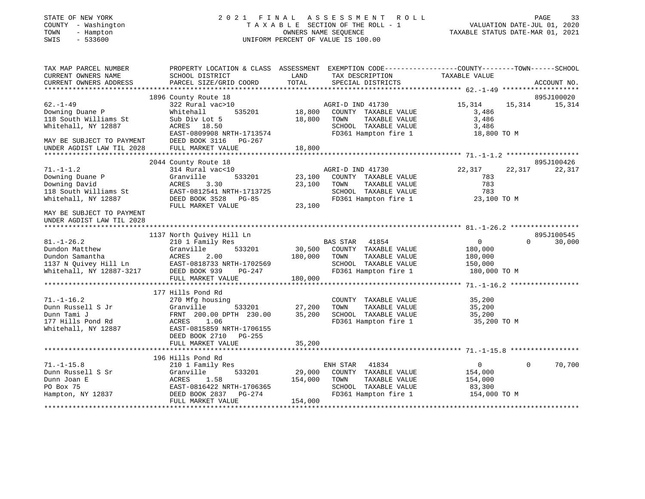| STATE OF NEW YORK |  |              |  |
|-------------------|--|--------------|--|
| COUNTY            |  | - Washington |  |
| TOWN              |  | - Hampton    |  |
| OMT O             |  | E 22500      |  |

## STATE OF NEW YORK 2 0 2 1 F I N A L A S S E S S M E N T R O L L PAGE 33T A X A B L E SECTION OF THE ROLL - 1<br>OWNERS NAME SEQUENCE SWIS - 533600 UNIFORM PERCENT OF VALUE IS 100.00

| TAX MAP PARCEL NUMBER<br>CURRENT OWNERS NAME<br>CURRENT OWNERS ADDRESS                                     | SCHOOL DISTRICT<br>PARCEL SIZE/GRID COORD                                                                                                         | PROPERTY LOCATION & CLASS ASSESSMENT EXEMPTION CODE---------------COUNTY-------TOWN------SCHOOL<br>TAX DESCRIPTION TAXABLE VALUE<br>LAND<br>TOTAL<br>SPECIAL DISTRICTS | ACCOUNT NO.                                                                          |
|------------------------------------------------------------------------------------------------------------|---------------------------------------------------------------------------------------------------------------------------------------------------|------------------------------------------------------------------------------------------------------------------------------------------------------------------------|--------------------------------------------------------------------------------------|
|                                                                                                            | 1896 County Route 18                                                                                                                              |                                                                                                                                                                        | 895J100020                                                                           |
| $62 - 1 - 49$<br>Downing Duane P<br>118 South Williams St<br>Whitehall, NY 12887                           | 322 Rural vac>10<br>Whitehall<br>Sub Div Lot 5<br>ACRES 18.50<br>EAST-0809908 NRTH-1713574                                                        | AGRI-D IND 41730<br>COUNTY TAXABLE VALUE<br>18,800<br>TAXABLE VALUE<br>TOWN<br>SCHOOL TAXABLE VALUE<br>FD361 Hampton fire 1                                            | 15,314 15,314<br>15,314<br>3,486<br>3,486<br>3,486<br>18,800 TO M                    |
| MAY BE SUBJECT TO PAYMENT<br>UNDER AGDIST LAW TIL 2028 FULL MARKET VALUE                                   | DEED BOOK 3116 PG-267                                                                                                                             | 18,800                                                                                                                                                                 |                                                                                      |
|                                                                                                            | 2044 County Route 18                                                                                                                              |                                                                                                                                                                        | 895J100426                                                                           |
| $71. - 1 - 1.2$<br>Downing Duane P<br>Downing David<br>118 South Williams St<br>Whitehall, NY 12887        | 314 Rural vac<10<br>533201<br>Granville<br>ACRES<br>3.30<br>EAST-0812541 NRTH-1713725<br>DEED BOOK 3528 PG-85<br>FULL MARKET VALUE                | AGRI-D IND 41730<br>23,100<br>COUNTY TAXABLE VALUE<br>23,100<br>TAXABLE VALUE<br>TOWN<br>SCHOOL TAXABLE VALUE 783<br>FD361 Hampton fire 1 23,100 TO M<br>23,100        | 22,317<br>22,317<br>22,317<br>783<br>783                                             |
| MAY BE SUBJECT TO PAYMENT<br>UNDER AGDIST LAW TIL 2028                                                     |                                                                                                                                                   |                                                                                                                                                                        |                                                                                      |
|                                                                                                            | 1137 North Quivey Hill Ln                                                                                                                         |                                                                                                                                                                        | 895J100545                                                                           |
| $81. - 1 - 26.2$<br>Dundon Matthew<br>Dundon Samantha<br>1137 N Quivey Hill Ln<br>Whitehall, NY 12887-3217 | 210 1 Family Res<br>Granville<br>ACRES<br>2.00<br>AURED 2.00<br>EAST-0818733 NRTH-1702569<br>TELL DEED ROOK 939 PG-247                            | BAS STAR 41854<br>533201 30,500 COUNTY TAXABLE VALUE<br>180,000 TOWN<br>TAXABLE VALUE<br>SCHOOL TAXABLE VALUE<br>FD361 Hampton fire 1 180,000 TO M                     | $\overline{0}$<br>$\Omega$<br>30,000<br>180,000<br>180,000<br>150,000                |
|                                                                                                            | FULL MARKET VALUE                                                                                                                                 | 180,000                                                                                                                                                                |                                                                                      |
|                                                                                                            | 177 Hills Pond Rd                                                                                                                                 |                                                                                                                                                                        |                                                                                      |
| $71. - 1 - 16.2$<br>Dunn Russell S Jr<br>Dunn Tami J<br>177 Hills Pond Rd<br>Whitehall, NY 12887           | 270 Mfg housing<br>Granville<br>533201<br>FRNT 200.00 DPTH 230.00<br>ACRES 1.06<br>EAST-0815859 NRTH-1706155<br>DEED BOOK 2710 PG-255             | COUNTY TAXABLE VALUE<br>TAXABLE VALUE<br>27,200<br>TOWN<br>35,200<br>SCHOOL TAXABLE VALUE<br>FD361 Hampton fire 1                                                      | 35,200<br>35,200<br>35,200<br>35,200 TO M                                            |
|                                                                                                            |                                                                                                                                                   |                                                                                                                                                                        |                                                                                      |
| $71. - 1 - 15.8$<br>Dunn Russell S Sr<br>Dunn Joan E<br>PO Box 75<br>Hampton, NY 12837                     | 196 Hills Pond Rd<br>210 1 Family Res<br>Granville<br>ACRES<br>1.58<br>EAST-0816422 NRTH-1706365<br>PG-274<br>DEED BOOK 2837<br>FULL MARKET VALUE | ENH STAR<br>41834<br>533201 29,000<br>COUNTY TAXABLE VALUE<br>154,000<br>TOWN<br>TAXABLE VALUE<br>FD361 Hampton fire 1<br>154,000                                      | 70,700<br>$\overline{0}$<br>$\Omega$<br>154,000<br>154,000<br>83,300<br>154,000 TO M |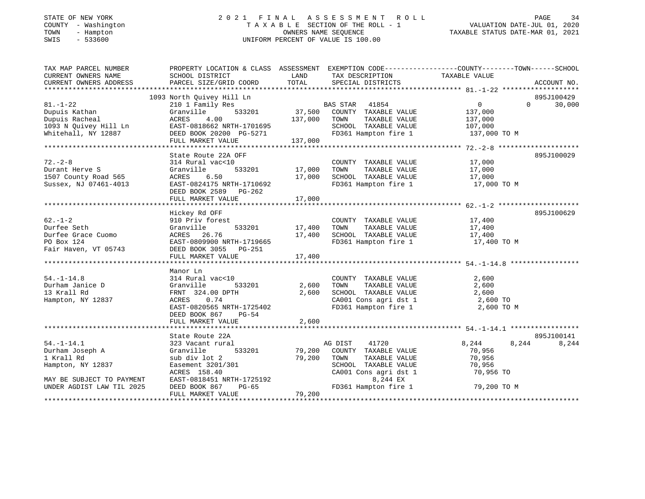#### STATE OF NEW YORK 2 0 2 1 F I N A L A S S E S S M E N T R O L L PAGE 34 COUNTY - Washington T A X A B L E SECTION OF THE ROLL - 1 VALUATION DATE-JUL 01, 2020 TOWN - Hampton OWNERS NAME SEQUENCE TAXABLE STATUS DATE-MAR 01, 2021 SWIS - 533600 UNIFORM PERCENT OF VALUE IS 100.00UNIFORM PERCENT OF VALUE IS 100.00

| TAX MAP PARCEL NUMBER<br>CURRENT OWNERS NAME<br>CURRENT OWNERS ADDRESS                                                       | PROPERTY LOCATION & CLASS ASSESSMENT EXEMPTION CODE---------------COUNTY-------TOWN------SCHOOL<br>SCHOOL DISTRICT<br>PARCEL SIZE/GRID COORD                                                        | LAND<br>TOTAL | TAX DESCRIPTION TAXABLE VALUE<br>SPECIAL DISTRICTS                         |                      | ACCOUNT NO.                      |
|------------------------------------------------------------------------------------------------------------------------------|-----------------------------------------------------------------------------------------------------------------------------------------------------------------------------------------------------|---------------|----------------------------------------------------------------------------|----------------------|----------------------------------|
|                                                                                                                              |                                                                                                                                                                                                     |               |                                                                            |                      |                                  |
| $81. - 1 - 22$                                                                                                               | 1093 North Quivey Hill Ln<br>210 1 Family Res<br>Granville 533201 37,500 COUNTY TAXABLE VALUE<br>137,000 TOWN TAXABLE VALUE<br>COUNTY TAXABLE VALUE<br>COUNTY TAXABLE VALUE<br>COUNTY TAXABLE VALUE |               |                                                                            | $\overline{0}$       | 895J100429<br>$\Omega$<br>30,000 |
| Dupuis Kathan                                                                                                                |                                                                                                                                                                                                     |               |                                                                            | 137,000              |                                  |
| Dupuis Racheal                                                                                                               |                                                                                                                                                                                                     |               |                                                                            | 137,000              |                                  |
|                                                                                                                              |                                                                                                                                                                                                     |               | SCHOOL TAXABLE VALUE                                                       | 107,000              |                                  |
| 1093 N Quivey Hill Ln               EAST-0818662 NRTH-1701695<br>Whitehall, NY 12887                 DEED BOOK 20200 PG-5271 |                                                                                                                                                                                                     |               | FD361 Hampton fire 1                                                       | 137,000 TO M         |                                  |
|                                                                                                                              | FULL MARKET VALUE                                                                                                                                                                                   | 137,000       |                                                                            |                      |                                  |
|                                                                                                                              |                                                                                                                                                                                                     |               |                                                                            |                      |                                  |
|                                                                                                                              | State Route 22A OFF                                                                                                                                                                                 |               |                                                                            |                      | 895J100029                       |
| $72 - 2 - 8$                                                                                                                 | 314 Rural vac<10                                                                                                                                                                                    |               | COUNTY TAXABLE VALUE<br>TOWN      TAXABLE VALUE                            | 17,000               |                                  |
| Durant Herve S                                                                                                               | Granville                                                                                                                                                                                           |               |                                                                            | 17,000               |                                  |
| 1507 County Road 565                                                                                                         | ACRES<br>6.50                                                                                                                                                                                       | 17,000        | SCHOOL TAXABLE VALUE 17,000<br>FD361 Hampton fire 1 17,000 TO M            |                      |                                  |
| Sussex, NJ 07461-4013                                                                                                        | EAST-0824175 NRTH-1710692                                                                                                                                                                           |               |                                                                            |                      |                                  |
|                                                                                                                              | DEED BOOK 2589<br>PG-262                                                                                                                                                                            |               |                                                                            |                      |                                  |
|                                                                                                                              | FULL MARKET VALUE                                                                                                                                                                                   | 17,000        |                                                                            |                      |                                  |
|                                                                                                                              |                                                                                                                                                                                                     |               |                                                                            |                      |                                  |
|                                                                                                                              | Hickey Rd OFF                                                                                                                                                                                       |               |                                                                            |                      | 895J100629                       |
| $62 - 1 - 2$                                                                                                                 | 910 Priv forest                                                                                                                                                                                     |               | COUNTY TAXABLE VALUE 17,400                                                |                      |                                  |
| Durfee Seth                                                                                                                  | Granville                                                                                                                                                                                           | 533201 17,400 | TOWN                                                                       | TAXABLE VALUE 17,400 |                                  |
| Durfee Grace Cuomo                                                                                                           | ACRES 26.76                                                                                                                                                                                         | 17,400        | SCHOOL TAXABLE VALUE<br>FD361 Hampton fire 1                               | 17,400               |                                  |
| PO Box 124                                                                                                                   | EAST-0809900 NRTH-1719665                                                                                                                                                                           |               |                                                                            | $17,400$ TO M        |                                  |
| Fair Haven, VT 05743                                                                                                         | DEED BOOK 3055 PG-251                                                                                                                                                                               |               |                                                                            |                      |                                  |
|                                                                                                                              |                                                                                                                                                                                                     |               |                                                                            |                      |                                  |
|                                                                                                                              |                                                                                                                                                                                                     |               |                                                                            |                      |                                  |
|                                                                                                                              | Manor Ln                                                                                                                                                                                            |               |                                                                            |                      |                                  |
| $54. - 1 - 14.8$                                                                                                             | 314 Rural vac<10                                                                                                                                                                                    |               | COUNTY TAXABLE VALUE                                                       | 2,600                |                                  |
| Durham Janice D                                                                                                              | Granville<br>533201                                                                                                                                                                                 | 2,600         | TAXABLE VALUE<br>TOWN<br>TOWN      TAXABLE VALUE<br>SCHOOL   TAXABLE VALUE | 2,600                |                                  |
| 13 Krall Rd                                                                                                                  | FRNT 324.00 DPTH                                                                                                                                                                                    | 2,600         |                                                                            | 2,600                |                                  |
| Hampton, NY 12837                                                                                                            | ACRES 0.74                                                                                                                                                                                          |               | CA001 Cons agri dst 1 $2,600$ TO                                           |                      |                                  |
|                                                                                                                              | EAST-0820565 NRTH-1725402                                                                                                                                                                           |               | FD361 Hampton fire 1                                                       | 2,600 TO M           |                                  |
|                                                                                                                              | DEED BOOK 867<br>PG-54                                                                                                                                                                              |               |                                                                            |                      |                                  |
|                                                                                                                              | FULL MARKET VALUE                                                                                                                                                                                   | 2,600         |                                                                            |                      |                                  |
|                                                                                                                              |                                                                                                                                                                                                     |               |                                                                            |                      |                                  |
| $54. - 1 - 14.1$                                                                                                             | State Route 22A                                                                                                                                                                                     |               |                                                                            |                      | 895J100141                       |
|                                                                                                                              | 323 Vacant rural                                                                                                                                                                                    | 533201 79,200 | AG DIST<br>41720                                                           | 8,244                | 8,244<br>8,244                   |
| Durham Joseph A                                                                                                              | Granville                                                                                                                                                                                           |               | COUNTY TAXABLE VALUE                                                       | 70,956               |                                  |
| 1 Krall Rd                                                                                                                   | sub div lot 2                                                                                                                                                                                       | 79,200        | TOWN<br>TAXABLE VALUE<br>SCHOOL TAXABLE VALUE                              | 70,956<br>70,956     |                                  |
| Hampton, NY 12837                                                                                                            | Easement 3201/301                                                                                                                                                                                   |               |                                                                            |                      |                                  |
|                                                                                                                              | ACRES 158.40<br>EAST-0818451 NRTH-1725192<br>DEED BOOK 867 PG-65                                                                                                                                    |               | CA001 Cons agri dst 1                                                      | 70,956 TO            |                                  |
| MAY BE SUBJECT TO PAYMENT<br>UNDER AGDIST LAW TIL 2025                                                                       |                                                                                                                                                                                                     |               | 8,244 EX<br>FD361 Hampton fire 1                                           | 79,200 TO M          |                                  |
|                                                                                                                              | FULL MARKET VALUE                                                                                                                                                                                   | 79,200        |                                                                            |                      |                                  |
|                                                                                                                              |                                                                                                                                                                                                     |               |                                                                            |                      |                                  |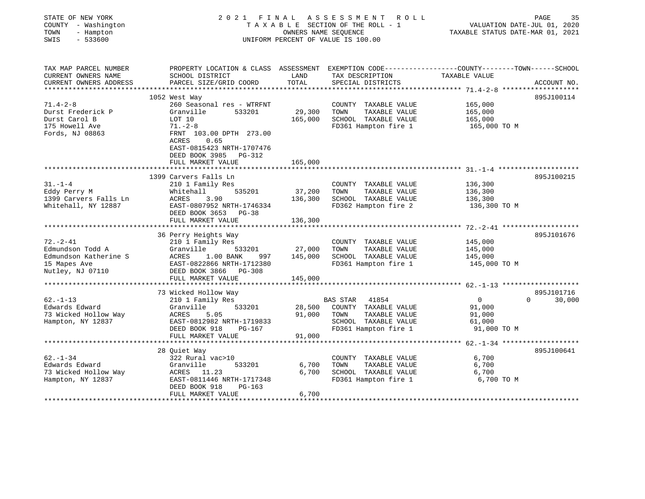| STATE OF NEW YORK<br>COUNTY - Washington<br>TOWN<br>- Hampton<br>SWIS<br>$-533600$ | 2021 FINAL                                                                                                         |         | A S S E S S M E N T<br>ROLL<br>T A X A B L E SECTION OF THE ROLL - 1<br>OWNERS NAME SEQUENCE<br>UNIFORM PERCENT OF VALUE IS 100.00 | VALUATION DATE-JUL 01, 2020<br>TAXABLE STATUS DATE-MAR 01, 2021   | PAGE<br>35  |
|------------------------------------------------------------------------------------|--------------------------------------------------------------------------------------------------------------------|---------|------------------------------------------------------------------------------------------------------------------------------------|-------------------------------------------------------------------|-------------|
| TAX MAP PARCEL NUMBER<br>CURRENT OWNERS NAME                                       | PROPERTY LOCATION & CLASS ASSESSMENT EXEMPTION CODE---------------COUNTY-------TOWN------SCHOOL<br>SCHOOL DISTRICT | LAND    | TAX DESCRIPTION                                                                                                                    | TAXABLE VALUE                                                     |             |
| CURRENT OWNERS ADDRESS                                                             | PARCEL SIZE/GRID COORD                                                                                             | TOTAL   | SPECIAL DISTRICTS                                                                                                                  |                                                                   | ACCOUNT NO. |
|                                                                                    | 1052 West Way                                                                                                      |         |                                                                                                                                    |                                                                   | 895J100114  |
| $71.4 - 2 - 8$                                                                     | 260 Seasonal res - WTRFNT                                                                                          |         | COUNTY TAXABLE VALUE                                                                                                               | 165,000                                                           |             |
| Durst Frederick P                                                                  | Granville<br>533201                                                                                                | 29,300  | TOWN<br>TAXABLE VALUE                                                                                                              | 165,000                                                           |             |
| Durst Carol B                                                                      | LOT 10                                                                                                             | 165,000 | SCHOOL TAXABLE VALUE                                                                                                               | 165,000                                                           |             |
| 175 Howell Ave                                                                     | $71. - 2 - 8$                                                                                                      |         | FD361 Hampton fire 1                                                                                                               | 165,000 TO M                                                      |             |
| Fords, NJ 08863                                                                    | FRNT 103.00 DPTH 273.00<br>0.65<br>ACRES                                                                           |         |                                                                                                                                    |                                                                   |             |
|                                                                                    | EAST-0815423 NRTH-1707476<br>DEED BOOK 3985 PG-312                                                                 |         |                                                                                                                                    |                                                                   |             |
|                                                                                    | FULL MARKET VALUE                                                                                                  | 165,000 |                                                                                                                                    |                                                                   |             |
|                                                                                    |                                                                                                                    |         |                                                                                                                                    |                                                                   |             |
| $31 - 1 - 4$                                                                       | 1399 Carvers Falls Ln                                                                                              |         |                                                                                                                                    |                                                                   | 895J100215  |
| Eddy Perry M                                                                       | 210 1 Family Res<br>535201<br>Whitehall                                                                            | 37,200  | COUNTY TAXABLE VALUE<br>TAXABLE VALUE<br>TOWN                                                                                      | 136,300<br>136,300                                                |             |
| 1399 Carvers Falls Ln                                                              | 3.90<br>ACRES                                                                                                      | 136,300 | SCHOOL TAXABLE VALUE                                                                                                               | 136,300                                                           |             |
| Whitehall, NY 12887                                                                | EAST-0807952 NRTH-1746334                                                                                          |         | FD362 Hampton fire 2                                                                                                               | 136,300 TO M                                                      |             |
|                                                                                    | DEED BOOK 3653 PG-38                                                                                               |         |                                                                                                                                    |                                                                   |             |
|                                                                                    | FULL MARKET VALUE                                                                                                  | 136,300 |                                                                                                                                    |                                                                   |             |
|                                                                                    |                                                                                                                    |         |                                                                                                                                    |                                                                   |             |
|                                                                                    | 36 Perry Heights Way                                                                                               |         |                                                                                                                                    |                                                                   | 895J101676  |
| $72. - 2 - 41$                                                                     | 210 1 Family Res                                                                                                   |         | COUNTY TAXABLE VALUE                                                                                                               | 145,000                                                           |             |
| Edmundson Todd A                                                                   | Granville<br>533201                                                                                                | 27,000  | TAXABLE VALUE<br>TOWN                                                                                                              | 145,000                                                           |             |
| Edmundson Katherine S                                                              | 1.00 BANK<br>ACRES<br>997                                                                                          | 145,000 | SCHOOL TAXABLE VALUE                                                                                                               | 145,000                                                           |             |
| 15 Mapes Ave                                                                       | EAST-0822866 NRTH-1712380                                                                                          |         | FD361 Hampton fire 1                                                                                                               | 145,000 TO M                                                      |             |
| Nutley, NJ 07110                                                                   | DEED BOOK 3866 PG-308                                                                                              |         |                                                                                                                                    |                                                                   |             |
|                                                                                    | FULL MARKET VALUE                                                                                                  | 145,000 |                                                                                                                                    |                                                                   |             |
|                                                                                    | ************************                                                                                           |         |                                                                                                                                    |                                                                   |             |
|                                                                                    | 73 Wicked Hollow Way                                                                                               |         |                                                                                                                                    |                                                                   | 895J101716  |
| $62 - 1 - 13$                                                                      | 210 1 Family Res                                                                                                   |         | BAS STAR<br>41854                                                                                                                  | $\overline{0}$<br>$\Omega$                                        | 30,000      |
| Edwards Edward                                                                     | Granville<br>533201                                                                                                | 28,500  | COUNTY TAXABLE VALUE                                                                                                               | 91,000                                                            |             |
| 73 Wicked Hollow Way                                                               | <b>ACRES</b><br>5.05                                                                                               | 91,000  | TOWN<br>TAXABLE VALUE                                                                                                              | 91,000                                                            |             |
| Hampton, NY 12837                                                                  | EAST-0812982 NRTH-1719833                                                                                          |         | SCHOOL TAXABLE VALUE                                                                                                               | 61,000                                                            |             |
|                                                                                    | DEED BOOK 918<br>$PG-167$                                                                                          |         | FD361 Hampton fire 1                                                                                                               | 91,000 TO M                                                       |             |
|                                                                                    | FULL MARKET VALUE                                                                                                  | 91,000  |                                                                                                                                    |                                                                   |             |
|                                                                                    |                                                                                                                    |         |                                                                                                                                    | ************************************ 62.-1-34 ******************* |             |
|                                                                                    | 28 Quiet Way                                                                                                       |         |                                                                                                                                    |                                                                   | 895J100641  |
| $62 - 1 - 34$                                                                      | 322 Rural vac>10                                                                                                   |         | COUNTY TAXABLE VALUE                                                                                                               | 6,700                                                             |             |
| Edwards Edward                                                                     | Granville<br>533201                                                                                                | 6,700   | TOWN<br>TAXABLE VALUE                                                                                                              | 6,700                                                             |             |
| 73 Wicked Hollow Way                                                               | ACRES<br>11.23                                                                                                     | 6,700   | SCHOOL TAXABLE VALUE                                                                                                               | 6,700                                                             |             |
| Hampton, NY 12837                                                                  | EAST-0811446 NRTH-1717348                                                                                          |         | FD361 Hampton fire 1                                                                                                               | 6,700 TO M                                                        |             |
|                                                                                    | DEED BOOK 918<br>$PG-163$                                                                                          |         |                                                                                                                                    |                                                                   |             |
|                                                                                    | FULL MARKET VALUE                                                                                                  | 6,700   |                                                                                                                                    |                                                                   |             |
|                                                                                    |                                                                                                                    |         |                                                                                                                                    |                                                                   |             |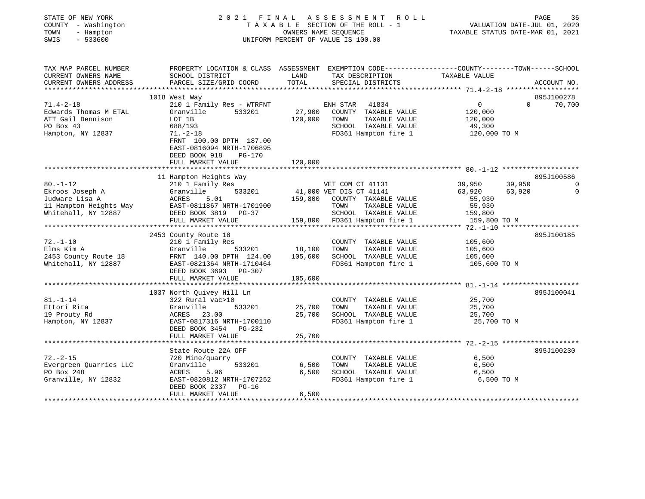| STATE OF NEW YORK |                   |
|-------------------|-------------------|
| COUNTY            | - Washington      |
| TOWN              | - Hampton         |
| $\alpha$          | $F \cap C \cap C$ |

#### STATE OF NEW YORK 2 0 2 1 F I N A L A S S E S S M E N T R O L L PAGE 36 COUNTY - Washington T A X A B L E SECTION OF THE ROLL - 1 VALUATION DATE-JUL 01, 2020 TOWN - Hampton OWNERS NAME SEQUENCE TAXABLE STATUS DATE-MAR 01, 2021 SWIS - 533600 UNIFORM PERCENT OF VALUE IS 100.00

| TAX MAP PARCEL NUMBER       | PROPERTY LOCATION & CLASS ASSESSMENT                   |         | EXEMPTION CODE-----------------COUNTY-------TOWN------SCHOOL |                       |          |                |
|-----------------------------|--------------------------------------------------------|---------|--------------------------------------------------------------|-----------------------|----------|----------------|
| CURRENT OWNERS NAME         | SCHOOL DISTRICT                                        | LAND    | TAX DESCRIPTION                                              | TAXABLE VALUE         |          |                |
| CURRENT OWNERS ADDRESS      | PARCEL SIZE/GRID COORD                                 | TOTAL   | SPECIAL DISTRICTS                                            |                       |          | ACCOUNT NO.    |
| **********************      |                                                        |         |                                                              |                       |          |                |
|                             | 1018 West Way                                          |         |                                                              |                       |          | 895J100278     |
| $71.4 - 2 - 18$             | 210 1 Family Res - WTRFNT                              |         | ENH STAR<br>41834                                            | $\mathbf{0}$          | $\Omega$ | 70,700         |
| Edwards Thomas M ETAL       | Granville<br>533201                                    | 27,900  | COUNTY TAXABLE VALUE                                         | 120,000               |          |                |
| ATT Gail Dennison           | LOT 1B                                                 | 120,000 | TOWN<br>TAXABLE VALUE                                        | 120,000               |          |                |
| PO Box 43                   | 688/193                                                |         | SCHOOL TAXABLE VALUE                                         | 49,300                |          |                |
| Hampton, NY 12837           | $71. - 2 - 18$<br>FRNT 100.00 DPTH 187.00              |         | FD361 Hampton fire 1                                         | 120,000 TO M          |          |                |
|                             | EAST-0816094 NRTH-1706895<br>DEED BOOK 918<br>$PG-170$ |         |                                                              |                       |          |                |
|                             | FULL MARKET VALUE                                      | 120,000 |                                                              |                       |          |                |
|                             |                                                        |         |                                                              |                       |          |                |
|                             | 11 Hampton Heights Way                                 |         |                                                              |                       |          | 895J100586     |
| $80. - 1 - 12$              | 210 1 Family Res                                       |         | VET COM CT 41131                                             | 39,950                | 39,950   | $\overline{0}$ |
| Ekroos Joseph A             | Granville<br>533201                                    |         | 41,000 VET DIS CT 41141                                      | 63,920                | 63,920   | 0              |
| Judware Lisa A              | ACRES<br>5.01                                          | 159,800 | COUNTY TAXABLE VALUE                                         | 55,930                |          |                |
| 11 Hampton Heights Way      | EAST-0811867 NRTH-1701900                              |         | TOWN<br>TAXABLE VALUE                                        | 55,930                |          |                |
| Whitehall, NY 12887         | DEED BOOK 3819 PG-37                                   |         | SCHOOL TAXABLE VALUE                                         | 159,800               |          |                |
|                             | FULL MARKET VALUE                                      |         | 159,800 FD361 Hampton fire 1                                 | 159,800 TO M          |          |                |
|                             |                                                        |         |                                                              |                       |          |                |
|                             | 2453 County Route 18                                   |         |                                                              |                       |          | 895J100185     |
| $72. - 1 - 10$              | 210 1 Family Res                                       |         | COUNTY TAXABLE VALUE                                         | 105,600               |          |                |
| Elms Kim A                  | 533201<br>Granville                                    | 18,100  | TOWN<br>TAXABLE VALUE                                        | 105,600               |          |                |
| 2453 County Route 18        | FRNT 140.00 DPTH 124.00                                | 105,600 | SCHOOL TAXABLE VALUE                                         | 105,600               |          |                |
| Whitehall, NY 12887         | EAST-0821364 NRTH-1710464<br>DEED BOOK 3693 PG-307     |         | FD361 Hampton fire 1                                         | 105,600 TO M          |          |                |
|                             | FULL MARKET VALUE                                      | 105,600 |                                                              |                       |          |                |
|                             |                                                        |         |                                                              |                       |          |                |
|                             | 1037 North Ouivey Hill Ln                              |         |                                                              |                       |          | 895J100041     |
| $81. - 1 - 14$              | 322 Rural vac>10                                       |         | COUNTY TAXABLE VALUE                                         | 25,700                |          |                |
| Ettori Rita<br>19 Prouty Rd | Granville<br>533201<br>ACRES                           | 25,700  | TAXABLE VALUE<br>TOWN<br>SCHOOL TAXABLE VALUE                | 25,700                |          |                |
| Hampton, NY 12837           | 23.00<br>EAST-0817316 NRTH-1700110                     | 25,700  | FD361 Hampton fire 1                                         | 25,700<br>25,700 TO M |          |                |
|                             |                                                        |         |                                                              |                       |          |                |
|                             | DEED BOOK 3454 PG-232<br>FULL MARKET VALUE             | 25,700  |                                                              |                       |          |                |
|                             |                                                        |         |                                                              |                       |          |                |
|                             | State Route 22A OFF                                    |         |                                                              |                       |          | 895J100230     |
| $72. - 2 - 15$              | 720 Mine/quarry                                        |         | COUNTY TAXABLE VALUE                                         | 6,500                 |          |                |
| Evergreen Quarries LLC      | 533201<br>Granville                                    | 6,500   | TAXABLE VALUE<br>TOWN                                        | 6,500                 |          |                |
| PO Box 248                  | ACRES<br>5.96                                          | 6,500   | SCHOOL TAXABLE VALUE                                         | 6,500                 |          |                |
| Granville, NY 12832         | EAST-0820812 NRTH-1707252                              |         | FD361 Hampton fire 1                                         | 6,500 TO M            |          |                |
|                             | DEED BOOK 2337 PG-16                                   |         |                                                              |                       |          |                |
|                             | FULL MARKET VALUE                                      | 6,500   |                                                              |                       |          |                |
|                             |                                                        |         |                                                              |                       |          |                |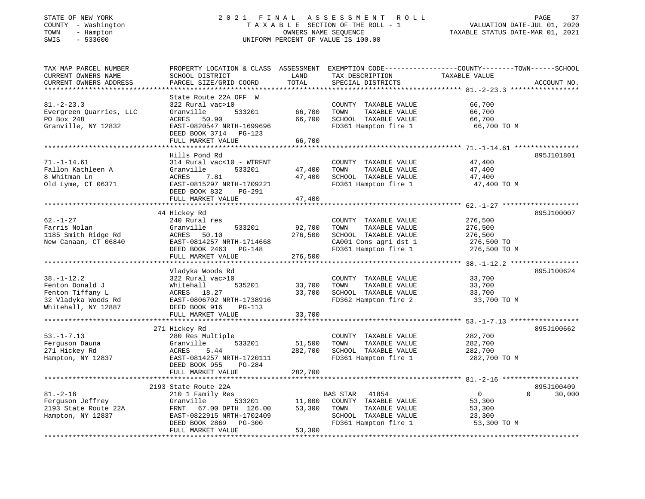# STATE OF NEW YORK 2 0 2 1 F I N A L A S S E S S M E N T R O L L PAGE 37COUNTY - Washington T A X A B L E SECTION OF THE ROLL - 1<br>
TOWN - Hampton COUNERS NAME SEQUENCE<br>
SWIS - 533600 SWIS - 533600 UNIFORM PERCENT OF VALUE IS 100.00

VALUATION DATE-JUL 01, 2020

| TAX MAP PARCEL NUMBER<br>CURRENT OWNERS NAME<br>CURRENT OWNERS ADDRESS | PROPERTY LOCATION & CLASS ASSESSMENT<br>SCHOOL DISTRICT<br>PARCEL SIZE/GRID COORD | LAND<br>TOTAL | TAX DESCRIPTION<br>SPECIAL DISTRICTS          | EXEMPTION CODE-----------------COUNTY-------TOWN------SCHOOL<br>TAXABLE VALUE<br>ACCOUNT NO. |
|------------------------------------------------------------------------|-----------------------------------------------------------------------------------|---------------|-----------------------------------------------|----------------------------------------------------------------------------------------------|
|                                                                        | State Route 22A OFF W                                                             |               |                                               |                                                                                              |
| $81. - 2 - 23.3$<br>Evergreen Quarries, LLC                            | 322 Rural vac>10<br>533201<br>Granville                                           | 66,700        | COUNTY TAXABLE VALUE<br>TOWN<br>TAXABLE VALUE | 66,700<br>66,700                                                                             |
| PO Box 248                                                             | ACRES<br>50.90                                                                    | 66,700        | SCHOOL TAXABLE VALUE                          | 66,700                                                                                       |
| Granville, NY 12832                                                    | EAST-0820547 NRTH-1699696<br>DEED BOOK 3714 PG-123                                |               | FD361 Hampton fire 1                          | 66,700 TO M                                                                                  |
|                                                                        | FULL MARKET VALUE                                                                 | 66,700        |                                               |                                                                                              |
|                                                                        |                                                                                   |               |                                               |                                                                                              |
|                                                                        | Hills Pond Rd                                                                     |               |                                               | 895J101801                                                                                   |
| $71. - 1 - 14.61$                                                      | 314 Rural vac<10 - WTRFNT                                                         |               | COUNTY TAXABLE VALUE                          | 47,400                                                                                       |
| Fallon Kathleen A                                                      | Granville<br>533201                                                               | 47,400        | TOWN<br>TAXABLE VALUE                         | 47,400                                                                                       |
| 8 Whitman Ln                                                           | 7.81<br>ACRES                                                                     | 47,400        | SCHOOL TAXABLE VALUE                          | 47,400                                                                                       |
| Old Lyme, CT 06371                                                     | EAST-0815297 NRTH-1709221                                                         |               | FD361 Hampton fire 1                          | 47,400 TO M                                                                                  |
|                                                                        | DEED BOOK 832<br>PG-291                                                           |               |                                               |                                                                                              |
|                                                                        | FULL MARKET VALUE                                                                 | 47,400        |                                               |                                                                                              |
|                                                                        | 44 Hickey Rd                                                                      |               |                                               | 895J100007                                                                                   |
| $62. - 1 - 27$                                                         | 240 Rural res                                                                     |               | COUNTY TAXABLE VALUE                          | 276,500                                                                                      |
| Farris Nolan                                                           | Granville<br>533201                                                               | 92,700        | TAXABLE VALUE<br>TOWN                         | 276,500                                                                                      |
| 1185 Smith Ridge Rd                                                    | 50.10<br>ACRES                                                                    | 276,500       | SCHOOL TAXABLE VALUE                          | 276,500                                                                                      |
| New Canaan, CT 06840                                                   | EAST-0814257 NRTH-1714668                                                         |               | CA001 Cons agri dst 1                         | 276,500 TO                                                                                   |
|                                                                        | DEED BOOK 2463 PG-148                                                             |               | FD361 Hampton fire 1                          | 276,500 TO M                                                                                 |
|                                                                        | FULL MARKET VALUE                                                                 | 276,500       |                                               |                                                                                              |
|                                                                        |                                                                                   |               |                                               |                                                                                              |
|                                                                        | Vladyka Woods Rd                                                                  |               |                                               | 895J100624                                                                                   |
| $38. - 1 - 12.2$                                                       | 322 Rural vac>10                                                                  |               | COUNTY TAXABLE VALUE                          | 33,700                                                                                       |
| Fenton Donald J                                                        | Whitehall<br>535201                                                               | 33,700        | TOWN<br>TAXABLE VALUE                         | 33,700                                                                                       |
| Fenton Tiffany L                                                       | ACRES 18.27                                                                       | 33,700        | SCHOOL TAXABLE VALUE                          | 33,700                                                                                       |
| 32 Vladyka Woods Rd                                                    | EAST-0806702 NRTH-1738916                                                         |               | FD362 Hampton fire 2                          | 33,700 TO M                                                                                  |
| Whitehall, NY 12887                                                    | DEED BOOK 916<br><b>PG-113</b>                                                    |               |                                               |                                                                                              |
|                                                                        | FULL MARKET VALUE                                                                 | 33,700        |                                               |                                                                                              |
|                                                                        |                                                                                   |               |                                               |                                                                                              |
|                                                                        | 271 Hickey Rd                                                                     |               |                                               | 895J100662                                                                                   |
| $53. - 1 - 7.13$                                                       | 280 Res Multiple                                                                  |               | COUNTY TAXABLE VALUE                          | 282,700                                                                                      |
| Ferguson Dauna                                                         | Granville<br>533201                                                               | 51,500        | TOWN<br>TAXABLE VALUE                         | 282,700                                                                                      |
| 271 Hickey Rd                                                          | 5.44<br>ACRES                                                                     | 282,700       | SCHOOL TAXABLE VALUE                          | 282,700                                                                                      |
| Hampton, NY 12837                                                      | EAST-0814257 NRTH-1720111                                                         |               | FD361 Hampton fire 1                          | 282,700 TO M                                                                                 |
|                                                                        | DEED BOOK 955<br>PG-284                                                           |               |                                               |                                                                                              |
|                                                                        | FULL MARKET VALUE                                                                 | 282,700       |                                               |                                                                                              |
|                                                                        |                                                                                   |               |                                               |                                                                                              |
|                                                                        | 2193 State Route 22A                                                              |               |                                               | 895J100409                                                                                   |
| $81. - 2 - 16$                                                         | 210 1 Family Res                                                                  |               | BAS STAR<br>41854                             | 0<br>$\Omega$<br>30,000                                                                      |
| Ferguson Jeffrey                                                       | Granville<br>533201                                                               | 11,000        | COUNTY TAXABLE VALUE                          | 53,300                                                                                       |
| 2193 State Route 22A                                                   | FRNT<br>67.00 DPTH 126.00                                                         | 53,300        | TOWN<br>TAXABLE VALUE                         | 53,300                                                                                       |
| Hampton, NY 12837                                                      | EAST-0822915 NRTH-1702409                                                         |               | SCHOOL TAXABLE VALUE                          | 23,300                                                                                       |
|                                                                        | DEED BOOK 2869<br>$PG-300$                                                        |               | FD361 Hampton fire 1                          | 53,300 TO M                                                                                  |
|                                                                        | FULL MARKET VALUE                                                                 | 53,300        |                                               |                                                                                              |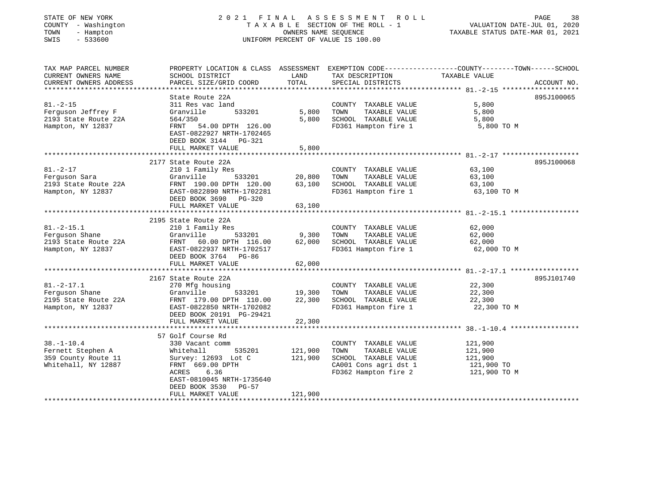| TATE OF NEW YORK   |  |                |  |  |
|--------------------|--|----------------|--|--|
| OUNTY - Washington |  |                |  |  |
| 'OWN               |  | - Hampton      |  |  |
| $- - - -$          |  | $\blacksquare$ |  |  |

#### STATE OF NEW YORK 2 0 2 1 F I N A L A S S E S S M E N T R O L L PAGE 38 COUNTY - Washington T A X A B L E SECTION OF THE ROLL - 1 VALUATION DATE-JUL 01, 2020 TOWN - Hampton OWNERS NAME SEQUENCE TAXABLE STATUS DATE-MAR 01, 2021 SWIS - 533600 UNIFORM PERCENT OF VALUE IS 100.00

| TAX MAP PARCEL NUMBER  |                            |         |                       | PROPERTY LOCATION & CLASS ASSESSMENT EXEMPTION CODE----------------COUNTY-------TOWN------SCHOOL |  |
|------------------------|----------------------------|---------|-----------------------|--------------------------------------------------------------------------------------------------|--|
| CURRENT OWNERS NAME    | SCHOOL DISTRICT            | LAND    | TAX DESCRIPTION       | TAXABLE VALUE                                                                                    |  |
| CURRENT OWNERS ADDRESS | PARCEL SIZE/GRID COORD     | TOTAL   | SPECIAL DISTRICTS     | ACCOUNT NO.                                                                                      |  |
|                        |                            |         |                       |                                                                                                  |  |
|                        | State Route 22A            |         |                       | 895J100065                                                                                       |  |
| $81. - 2 - 15$         | 311 Res vac land           |         | COUNTY TAXABLE VALUE  | 5,800                                                                                            |  |
| Ferquson Jeffrey F     | Granville<br>533201        | 5,800   | TAXABLE VALUE<br>TOWN | 5,800                                                                                            |  |
| 2193 State Route 22A   | 564/350                    | 5,800   | SCHOOL TAXABLE VALUE  | 5,800                                                                                            |  |
| Hampton, NY 12837      | FRNT 54.00 DPTH 126.00     |         | FD361 Hampton fire 1  | 5,800 TO M                                                                                       |  |
|                        | EAST-0822927 NRTH-1702465  |         |                       |                                                                                                  |  |
|                        | DEED BOOK 3144 PG-321      |         |                       |                                                                                                  |  |
|                        | FULL MARKET VALUE          | 5,800   |                       |                                                                                                  |  |
|                        |                            |         |                       |                                                                                                  |  |
|                        | 2177 State Route 22A       |         |                       | 895J100068                                                                                       |  |
| $81. - 2 - 17$         | 210 1 Family Res           |         | COUNTY TAXABLE VALUE  | 63,100                                                                                           |  |
| Ferquson Sara          | 533201 20,800<br>Granville |         | TOWN<br>TAXABLE VALUE | 63,100                                                                                           |  |
| 2193 State Route 22A   | FRNT 190.00 DPTH 120.00    | 63,100  | SCHOOL TAXABLE VALUE  | 63,100                                                                                           |  |
| Hampton, NY 12837      | EAST-0822890 NRTH-1702281  |         | FD361 Hampton fire 1  | 63,100 TO M                                                                                      |  |
|                        | DEED BOOK 3690 PG-320      |         |                       |                                                                                                  |  |
|                        | FULL MARKET VALUE          | 63,100  |                       |                                                                                                  |  |
|                        |                            |         |                       |                                                                                                  |  |
|                        | 2195 State Route 22A       |         |                       |                                                                                                  |  |
| $81. -2 - 15.1$        | 210 1 Family Res           |         | COUNTY TAXABLE VALUE  | 62,000                                                                                           |  |
| Ferguson Shane         | Granville<br>533201        | 9,300   | TOWN<br>TAXABLE VALUE | 62,000                                                                                           |  |
| 2193 State Route 22A   | FRNT 60.00 DPTH 116.00     | 62,000  | SCHOOL TAXABLE VALUE  | 62,000                                                                                           |  |
| Hampton, NY 12837      | EAST-0822937 NRTH-1702517  |         | FD361 Hampton fire 1  | 62,000 TO M                                                                                      |  |
|                        | DEED BOOK 3764 PG-86       |         |                       |                                                                                                  |  |
|                        | FULL MARKET VALUE          | 62,000  |                       |                                                                                                  |  |
|                        |                            |         |                       |                                                                                                  |  |
|                        | 2167 State Route 22A       |         |                       | 895J101740                                                                                       |  |
| $81. - 2 - 17.1$       | 270 Mfg housing            |         | COUNTY TAXABLE VALUE  | 22,300                                                                                           |  |
| Ferguson Shane         | 533201 19,300<br>Granville |         | TOWN<br>TAXABLE VALUE | 22,300                                                                                           |  |
| 2195 State Route 22A   | FRNT 179.00 DPTH 110.00    | 22,300  | SCHOOL TAXABLE VALUE  | 22,300                                                                                           |  |
| Hampton, NY 12837      | EAST-0822850 NRTH-1702082  |         | FD361 Hampton fire 1  | 22,300 TO M                                                                                      |  |
|                        | DEED BOOK 20191 PG-29421   |         |                       |                                                                                                  |  |
|                        | FULL MARKET VALUE          | 22,300  |                       |                                                                                                  |  |
|                        |                            |         |                       |                                                                                                  |  |
|                        | 57 Golf Course Rd          |         |                       |                                                                                                  |  |
| $38. - 1 - 10.4$       | 330 Vacant comm            |         | COUNTY TAXABLE VALUE  | 121,900                                                                                          |  |
| Fernett Stephen A      | Whitehall<br>535201        | 121,900 | TOWN<br>TAXABLE VALUE | 121,900                                                                                          |  |
| 359 County Route 11    | Survey: 12693 Lot C        | 121,900 | SCHOOL TAXABLE VALUE  | 121,900                                                                                          |  |
| Whitehall, NY 12887    | FRNT 669.00 DPTH           |         | CA001 Cons agri dst 1 | 121,900 TO                                                                                       |  |
|                        | ACRES 6.36                 |         | FD362 Hampton fire 2  | 121,900 TO M                                                                                     |  |
|                        | EAST-0810045 NRTH-1735640  |         |                       |                                                                                                  |  |
|                        | DEED BOOK 3530 PG-57       |         |                       |                                                                                                  |  |
|                        | FULL MARKET VALUE          | 121,900 |                       |                                                                                                  |  |
|                        |                            |         |                       |                                                                                                  |  |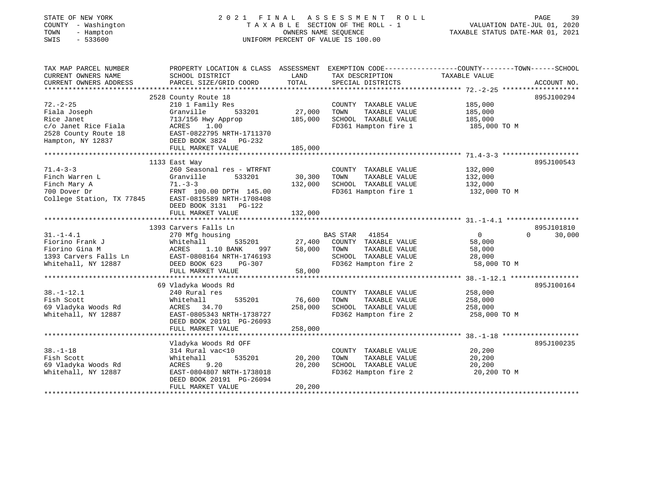| STATE OF NEW YORK<br>COUNTY - Washington<br>- Hampton<br>TOWN<br>SWIS<br>$-533600$                                |                                                                                                                                                                                   | OWNERS NAME SEQUENCE         | 2021 FINAL ASSESSMENT<br>ROLL<br>T A X A B L E SECTION OF THE ROLL - 1<br>UNIFORM PERCENT OF VALUE IS 100.00    | PAGE<br>39<br>VALUATION DATE-JUL 01, 2020<br>TAXABLE STATUS DATE-MAR 01, 2021                                                  |
|-------------------------------------------------------------------------------------------------------------------|-----------------------------------------------------------------------------------------------------------------------------------------------------------------------------------|------------------------------|-----------------------------------------------------------------------------------------------------------------|--------------------------------------------------------------------------------------------------------------------------------|
| TAX MAP PARCEL NUMBER<br>CURRENT OWNERS NAME<br>CURRENT OWNERS ADDRESS                                            | SCHOOL DISTRICT<br>PARCEL SIZE/GRID COORD                                                                                                                                         | LAND<br>TOTAL                | TAX DESCRIPTION<br>SPECIAL DISTRICTS                                                                            | PROPERTY LOCATION & CLASS ASSESSMENT EXEMPTION CODE---------------COUNTY-------TOWN-----SCHOOL<br>TAXABLE VALUE<br>ACCOUNT NO. |
| $72. - 2 - 25$<br>Fiala Joseph<br>Rice Janet<br>c/o Janet Rice Fiala<br>2528 County Route 18<br>Hampton, NY 12837 | 2528 County Route 18<br>210 1 Family Res<br>Granville<br>533201<br>713/156 Hwy Approp<br>ACRES<br>1.00<br>EAST-0822795 NRTH-1711370<br>DEED BOOK 3824 PG-232<br>FULL MARKET VALUE | 27,000<br>185,000<br>185,000 | COUNTY TAXABLE VALUE<br>TAXABLE VALUE<br>TOWN<br>SCHOOL TAXABLE VALUE<br>FD361 Hampton fire 1                   | 895J100294<br>185,000<br>185,000<br>185,000<br>185,000 TO M                                                                    |
|                                                                                                                   |                                                                                                                                                                                   |                              |                                                                                                                 |                                                                                                                                |
| $71.4 - 3 - 3$<br>Finch Warren L<br>Finch Mary A<br>700 Dover Dr<br>College Station, TX 77845                     | 1133 East Way<br>260 Seasonal res - WTRFNT<br>533201<br>Granville<br>$71. - 3 - 3$<br>FRNT 100.00 DPTH 145.00<br>EAST-0815589 NRTH-1708408<br>DEED BOOK 3131 PG-122               | 30,300<br>132,000            | COUNTY TAXABLE VALUE<br>TAXABLE VALUE<br>TOWN<br>SCHOOL TAXABLE VALUE<br>FD361 Hampton fire 1                   | 895J100543<br>132,000<br>132,000<br>132,000<br>132,000 TO M                                                                    |
|                                                                                                                   | FULL MARKET VALUE                                                                                                                                                                 | 132,000                      |                                                                                                                 |                                                                                                                                |
|                                                                                                                   |                                                                                                                                                                                   |                              |                                                                                                                 |                                                                                                                                |
| $31. - 1 - 4.1$<br>Fiorino Frank J<br>Fiorino Gina M<br>1393 Carvers Falls Ln<br>Whitehall, NY 12887              | 1393 Carvers Falls Ln<br>270 Mfg housing<br>Whitehall<br>535201<br>1.10 BANK<br>ACRES<br>997<br>EAST-0808164 NRTH-1746193<br>DEED BOOK 623<br>PG-307<br>FULL MARKET VALUE         | 27,400<br>58,000<br>58,000   | BAS STAR 41854<br>COUNTY TAXABLE VALUE<br>TAXABLE VALUE<br>TOWN<br>SCHOOL TAXABLE VALUE<br>FD362 Hampton fire 2 | 895J101810<br>$\overline{0}$<br>$\Omega$<br>30,000<br>58,000<br>58,000<br>28,000<br>58,000 TO M                                |
| *********************                                                                                             |                                                                                                                                                                                   |                              |                                                                                                                 |                                                                                                                                |
| $38. - 1 - 12.1$<br>Fish Scott<br>69 Vladyka Woods Rd<br>Whitehall, NY 12887                                      | 69 Vladyka Woods Rd<br>240 Rural res<br>Whitehall<br>535201<br>ACRES 34.70<br>EAST-0805343 NRTH-1738727<br>DEED BOOK 20191 PG-26093                                               | 76,600<br>258,000            | COUNTY TAXABLE VALUE<br>TOWN<br>TAXABLE VALUE<br>SCHOOL TAXABLE VALUE<br>FD362 Hampton fire 2                   | 895J100164<br>258,000<br>258,000<br>258,000<br>258,000 TO M                                                                    |
|                                                                                                                   | FULL MARKET VALUE                                                                                                                                                                 | 258,000                      |                                                                                                                 |                                                                                                                                |
| $38. - 1 - 18$<br>Fish Scott<br>69 Vladyka Woods Rd<br>Whitehall, NY 12887                                        | Vladyka Woods Rd OFF<br>314 Rural vac<10<br>535201<br>Whitehall<br>9.20<br>ACRES<br>EAST-0804807 NRTH-1738018<br>DEED BOOK 20191 PG-26094                                         | 20,200<br>20,200             | COUNTY TAXABLE VALUE<br>TOWN<br>TAXABLE VALUE<br>SCHOOL TAXABLE VALUE<br>FD362 Hampton fire 2                   | 895J100235<br>20,200<br>20,200<br>20,200<br>20,200 TO M                                                                        |
|                                                                                                                   | FULL MARKET VALUE                                                                                                                                                                 | 20,200                       |                                                                                                                 |                                                                                                                                |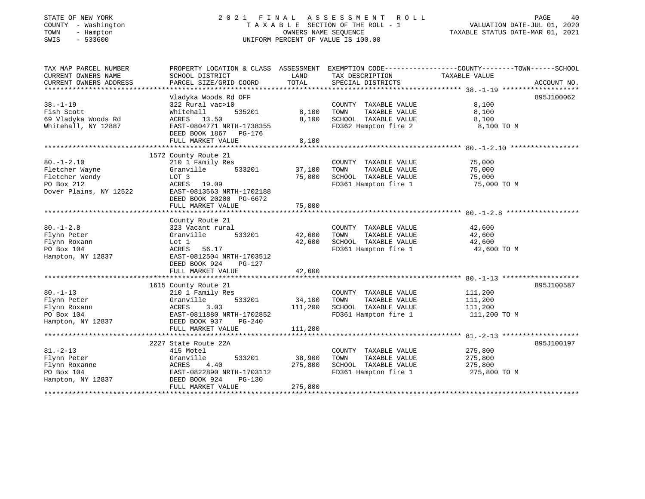| STATE OF NEW YORK |  |              |  |
|-------------------|--|--------------|--|
| COUNTY            |  | - Washington |  |
| TOWN              |  | - Hampton    |  |
| CLIT <sub>C</sub> |  | E 22500      |  |

#### STATE OF NEW YORK 2 0 2 1 F I N A L A S S E S S M E N T R O L L PAGE 40TA X A B L E SECTION OF THE ROLL - 1 OWNERS NAME SEQUENCE TAXABLE STATUS DATE-MAR 01, 2021 SWIS - 533600 UNIFORM PERCENT OF VALUE IS 100.00

|  | PAGE                             | 4 ( |
|--|----------------------------------|-----|
|  | VALUATION DATE-JUL 01, 2020      |     |
|  | PAYARLE CTATHIC DATELMAR 01 2021 |     |

TAX MAP PARCEL NUMBER PROPERTY LOCATION & CLASS ASSESSMENT EXEMPTION CODE---------------COUNTY-------TOWN------SCHOOL CURRENT OWNERS NAME SCHOOL DISTRICT LAND TAX DESCRIPTION TAXABLE VALUE CURRENT OWNERS ADDRESS PARCEL SIZE/GRID COORD TOTAL SPECIAL DISTRICTS ACCOUNT NO. \*\*\*\*\*\*\*\*\*\*\*\*\*\*\*\*\*\*\*\*\*\*\*\*\*\*\*\*\*\*\*\*\*\*\*\*\*\*\*\*\*\*\*\*\*\*\*\*\*\*\*\*\*\*\*\*\*\*\*\*\*\*\*\*\*\*\*\*\*\*\*\*\*\*\*\*\*\*\*\*\*\*\*\*\*\*\*\*\*\*\*\*\*\*\*\*\*\*\*\*\*\*\* 38.-1-19 \*\*\*\*\*\*\*\*\*\*\*\*\*\*\*\*\*\*\*895J100062 Vladyka Woods Rd OFF 38.-1-19 322 Rural vac>10 COUNTY TAXABLE VALUE 8,100 Fish Scott Whitehall 535201 8,100 TOWN TAXABLE VALUE 8,100 69 Vladyka Woods Rd ACRES 13.50 8,100 SCHOOL TAXABLE VALUE 8,100 Whitehall, NY 12887 EAST-0804771 NRTH-1738355 FD362 Hampton fire 2 8,100 TO M DEED BOOK 1867 PG-176FULL MARKET VALUE 8,100 \*\*\*\*\*\*\*\*\*\*\*\*\*\*\*\*\*\*\*\*\*\*\*\*\*\*\*\*\*\*\*\*\*\*\*\*\*\*\*\*\*\*\*\*\*\*\*\*\*\*\*\*\*\*\*\*\*\*\*\*\*\*\*\*\*\*\*\*\*\*\*\*\*\*\*\*\*\*\*\*\*\*\*\*\*\*\*\*\*\*\*\*\*\*\*\*\*\*\*\*\*\*\* 80.-1-2.10 \*\*\*\*\*\*\*\*\*\*\*\*\*\*\*\*\* 1572 County Route 21 80.-1-2.10 210 1 Family Res COUNTY TAXABLE VALUE 75,000 Fletcher Wayne Granville 533201 37,100 TOWN TAXABLE VALUE 75,000 Fletcher Wendy LOT 3 LOT 3 75,000 SCHOOL TAXABLE VALUE 75,000 75 000 75,000 75,000 75,000 75,000 75,000 75,000 PO Box 212 **ACRES** 19.09 **FD361 Hampton fire 1** 75,000 TO M Dover Plains, NY 12522 EAST-0813563 NRTH-1702188 DEED BOOK 20200 PG-6672 FULL MARKET VALUE 75,000 \*\*\*\*\*\*\*\*\*\*\*\*\*\*\*\*\*\*\*\*\*\*\*\*\*\*\*\*\*\*\*\*\*\*\*\*\*\*\*\*\*\*\*\*\*\*\*\*\*\*\*\*\*\*\*\*\*\*\*\*\*\*\*\*\*\*\*\*\*\*\*\*\*\*\*\*\*\*\*\*\*\*\*\*\*\*\*\*\*\*\*\*\*\*\*\*\*\*\*\*\*\*\* 80.-1-2.8 \*\*\*\*\*\*\*\*\*\*\*\*\*\*\*\*\*\* County Route 21 80.-1-2.8 323 Vacant rural COUNTY TAXABLE VALUE 42,600 Flynn Peter Granville 533201 42,600 TOWN TAXABLE VALUE 42,600 Flynn Roxann Lot 1 42,600 SCHOOL TAXABLE VALUE 42,600 PO Box 104 ACRES 56.17 FD361 Hampton fire 1 42,600 TO M Hampton, NY 12837 EAST-0812504 NRTH-1703512 DEED BOOK 924 PG-127FULL MARKET VALUE 42,600 \*\*\*\*\*\*\*\*\*\*\*\*\*\*\*\*\*\*\*\*\*\*\*\*\*\*\*\*\*\*\*\*\*\*\*\*\*\*\*\*\*\*\*\*\*\*\*\*\*\*\*\*\*\*\*\*\*\*\*\*\*\*\*\*\*\*\*\*\*\*\*\*\*\*\*\*\*\*\*\*\*\*\*\*\*\*\*\*\*\*\*\*\*\*\*\*\*\*\*\*\*\*\* 80.-1-13 \*\*\*\*\*\*\*\*\*\*\*\*\*\*\*\*\*\*\* 1615 County Route 21 895J100587 80.-1-13 210 1 Family Res COUNTY TAXABLE VALUE 111,200 Flynn Peter Granville 533201 34,100 TOWN TAXABLE VALUE 111,200 Flynn Roxann ACRES 3.03 111,200 SCHOOL TAXABLE VALUE 111,200 PO Box 104 EAST-0811880 NRTH-1702852 FD361 Hampton fire 1 111,200 TO M Hampton, NY 12837 DEED BOOK 937 PG-240 FULL MARKET VALUE 111,200 \*\*\*\*\*\*\*\*\*\*\*\*\*\*\*\*\*\*\*\*\*\*\*\*\*\*\*\*\*\*\*\*\*\*\*\*\*\*\*\*\*\*\*\*\*\*\*\*\*\*\*\*\*\*\*\*\*\*\*\*\*\*\*\*\*\*\*\*\*\*\*\*\*\*\*\*\*\*\*\*\*\*\*\*\*\*\*\*\*\*\*\*\*\*\*\*\*\*\*\*\*\*\* 81.-2-13 \*\*\*\*\*\*\*\*\*\*\*\*\*\*\*\*\*\*\* 2227 State Route 22A 895J10019781.-2-13 415 Motel COUNTY TAXABLE VALUE 275,800 Flynn Peter Granville 533201 38,900 TOWN TAXABLE VALUE 275,800 Flynn Roxanne ACRES 4.40 275,800 SCHOOL TAXABLE VALUE 275,800 PO Box 104 EAST-0822890 NRTH-1703112 FD361 Hampton fire 1 275,800 TO M Hampton, NY 12837 DEED BOOK 924 PG-130 FULL MARKET VALUE 275,800 \*\*\*\*\*\*\*\*\*\*\*\*\*\*\*\*\*\*\*\*\*\*\*\*\*\*\*\*\*\*\*\*\*\*\*\*\*\*\*\*\*\*\*\*\*\*\*\*\*\*\*\*\*\*\*\*\*\*\*\*\*\*\*\*\*\*\*\*\*\*\*\*\*\*\*\*\*\*\*\*\*\*\*\*\*\*\*\*\*\*\*\*\*\*\*\*\*\*\*\*\*\*\*\*\*\*\*\*\*\*\*\*\*\*\*\*\*\*\*\*\*\*\*\*\*\*\*\*\*\*\*\*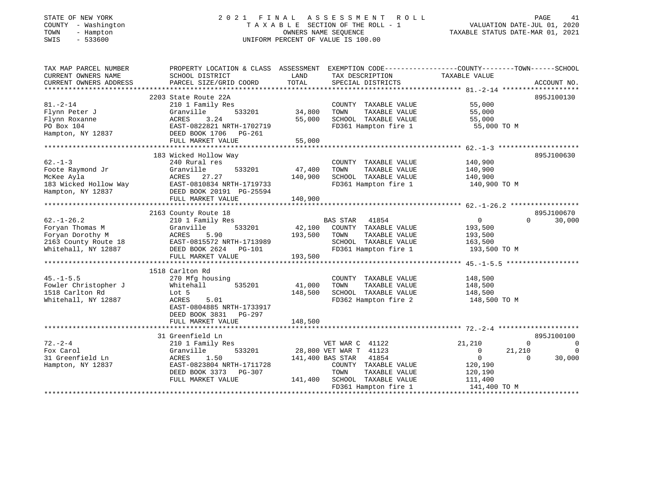#### STATE OF NEW YORK 2 0 2 1 F I N A L A S S E S S M E N T R O L L PAGE 41 COUNTY - Washington T A X A B L E SECTION OF THE ROLL - 1 VALUATION DATE-JUL 01, 2020 TOWN - Hampton OWNERS NAME SEQUENCE TAXABLE STATUS DATE-MAR 01, 2021 SWIS - 533600 UNIFORM PERCENT OF VALUE IS 100.00

| TAX MAP PARCEL NUMBER<br>CURRENT OWNERS NAME | PROPERTY LOCATION & CLASS ASSESSMENT EXEMPTION CODE---------------COUNTY-------TOWN-----SCHOOL<br>SCHOOL DISTRICT | LAND    | TAX DESCRIPTION                   | TAXABLE VALUE           |                            |
|----------------------------------------------|-------------------------------------------------------------------------------------------------------------------|---------|-----------------------------------|-------------------------|----------------------------|
| CURRENT OWNERS ADDRESS                       | PARCEL SIZE/GRID COORD                                                                                            | TOTAL   | SPECIAL DISTRICTS                 |                         | ACCOUNT NO.                |
|                                              |                                                                                                                   |         |                                   |                         |                            |
|                                              | 2203 State Route 22A                                                                                              |         |                                   |                         | 895J100130                 |
| $81. - 2 - 14$                               | 210 1 Family Res                                                                                                  |         | COUNTY TAXABLE VALUE              | 55,000                  |                            |
| Flynn Peter J                                | Granville<br>533201                                                                                               | 34,800  | TOWN<br>TAXABLE VALUE             | 55,000                  |                            |
| Flynn Roxanne                                | ACRES<br>3.24                                                                                                     | 55,000  | SCHOOL TAXABLE VALUE              | 55,000                  |                            |
| PO Box 104                                   | EAST-0822821 NRTH-1702719                                                                                         |         | FD361 Hampton fire 1              | 55,000 TO M             |                            |
| Hampton, NY 12837                            | EAST-0822021 11.1.1.<br>DEED BOOK 1706 PG-261                                                                     |         |                                   |                         |                            |
|                                              | FULL MARKET VALUE                                                                                                 | 55,000  |                                   |                         |                            |
|                                              |                                                                                                                   |         |                                   |                         |                            |
|                                              | 183 Wicked Hollow Way                                                                                             |         |                                   |                         | 895J100630                 |
| $62 - 1 - 3$                                 | 240 Rural res                                                                                                     |         | COUNTY TAXABLE VALUE              | 140,900                 |                            |
| Foote Raymond Jr                             | 533201<br>Granville                                                                                               | 47,400  | TAXABLE VALUE<br>TOWN             | 140,900                 |                            |
| McKee Ayla                                   | ACRES 27.27                                                                                                       | 140,900 | SCHOOL TAXABLE VALUE              | 140,900                 |                            |
| 183 Wicked Hollow Way                        | EAST-0810834 NRTH-1719733                                                                                         |         | FD361 Hampton fire 1 140,900 TO M |                         |                            |
| Hampton, NY 12837                            | DEED BOOK 20191 PG-25594                                                                                          |         |                                   |                         |                            |
|                                              | FULL MARKET VALUE                                                                                                 | 140,900 |                                   |                         |                            |
|                                              |                                                                                                                   |         |                                   |                         |                            |
|                                              | 2163 County Route 18                                                                                              |         |                                   |                         | 895J100670                 |
| $62. - 1 - 26.2$                             | 210 1 Family Res                                                                                                  |         | <b>BAS STAR</b><br>41854          | $\overline{0}$          | 30,000<br>$\Omega$         |
| Foryan Thomas M                              | 533201<br>Granville                                                                                               |         | 42,100 COUNTY TAXABLE VALUE       | 193,500                 |                            |
| Foryan Dorothy M                             | 5.90<br>ACRES                                                                                                     | 193,500 | TOWN<br>TAXABLE VALUE             | 193,500                 |                            |
| 2163 County Route 18                         | EAST-0815572 NRTH-1713989                                                                                         |         | SCHOOL TAXABLE VALUE              | 163,500                 |                            |
| Whitehall, NY 12887                          | DEED BOOK 2624 PG-101                                                                                             |         | FD361 Hampton fire 1              | 193,500 TO M            |                            |
|                                              | FULL MARKET VALUE                                                                                                 | 193,500 |                                   |                         |                            |
|                                              |                                                                                                                   |         |                                   |                         |                            |
|                                              | 1518 Carlton Rd                                                                                                   |         |                                   |                         |                            |
| $45. - 1 - 5.5$                              | 270 Mfg housing                                                                                                   |         | COUNTY TAXABLE VALUE              | 148,500                 |                            |
| Fowler Christopher J                         | 535201<br>Whitehall                                                                                               | 41,000  | TAXABLE VALUE<br>TOWN             | 148,500                 |                            |
| 1518 Carlton Rd                              | Lot 5                                                                                                             | 148,500 | SCHOOL TAXABLE VALUE              | 148,500                 |                            |
| Whitehall, NY 12887                          | 5.01<br>ACRES                                                                                                     |         | FD362 Hampton fire 2              | 148,500 TO M            |                            |
|                                              | EAST-0804885 NRTH-1733917                                                                                         |         |                                   |                         |                            |
|                                              | DEED BOOK 3831<br>PG-297                                                                                          |         |                                   |                         |                            |
|                                              | FULL MARKET VALUE                                                                                                 | 148,500 |                                   |                         |                            |
|                                              |                                                                                                                   |         |                                   |                         |                            |
|                                              | 31 Greenfield Ln                                                                                                  |         |                                   |                         | 895J100100                 |
| $72 - 2 - 4$                                 | 210 1 Family Res                                                                                                  |         | VET WAR C 41122                   | 21,210                  | $\Omega$<br>$\overline{0}$ |
| Fox Carol                                    | Granville<br>533201                                                                                               |         | 28,800 VET WAR T 41123            | $\circ$<br>21,210       | 0                          |
| 31 Greenfield Ln                             | ACRES<br>1.50                                                                                                     |         | 41854<br>141,400 BAS STAR         | $\overline{0}$          | 30,000<br>$\Omega$         |
| Hampton, NY 12837                            | EAST-0823804 NRTH-1711728                                                                                         |         | COUNTY TAXABLE VALUE              | 120,190                 |                            |
|                                              | DEED BOOK 3373 PG-307                                                                                             |         | TOWN<br>TAXABLE VALUE             |                         |                            |
|                                              | FULL MARKET VALUE                                                                                                 |         | 141,400 SCHOOL TAXABLE VALUE      | 120,190                 |                            |
|                                              |                                                                                                                   |         | FD361 Hampton fire 1              | 111,400<br>141,400 TO M |                            |
|                                              |                                                                                                                   |         |                                   |                         |                            |
|                                              |                                                                                                                   |         |                                   |                         |                            |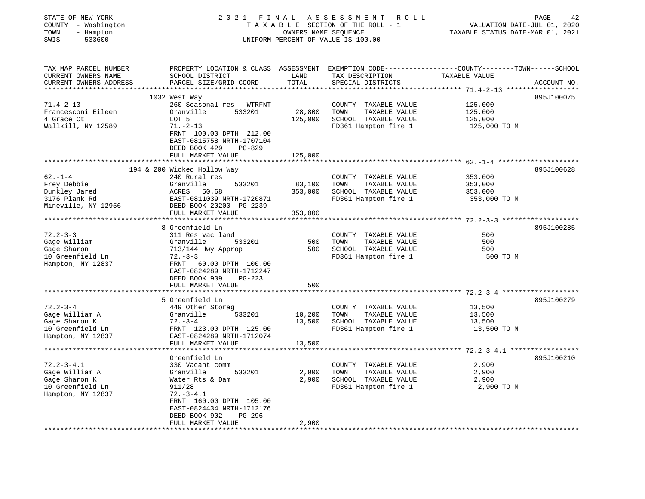| STATE OF NEW YORK<br>COUNTY - Washington<br>- Hampton<br>TOWN<br>$-533600$<br>SWIS | 2021 FINAL                                                                      | OWNERS NAME SEQUENCE | ASSESSMENT ROLL<br>TAXABLE SECTION OF THE ROLL - 1<br>UNIFORM PERCENT OF VALUE IS 100.00                                                 | VALUATION DATE-JUL 01, 2020<br>TAXABLE STATUS DATE-MAR 01, 2021 | PAGE<br>42  |
|------------------------------------------------------------------------------------|---------------------------------------------------------------------------------|----------------------|------------------------------------------------------------------------------------------------------------------------------------------|-----------------------------------------------------------------|-------------|
| TAX MAP PARCEL NUMBER<br>CURRENT OWNERS NAME<br>CURRENT OWNERS ADDRESS             | SCHOOL DISTRICT<br>PARCEL SIZE/GRID COORD                                       | LAND<br>TOTAL        | PROPERTY LOCATION & CLASS ASSESSMENT EXEMPTION CODE----------------COUNTY-------TOWN------SCHOOL<br>TAX DESCRIPTION<br>SPECIAL DISTRICTS | TAXABLE VALUE                                                   | ACCOUNT NO. |
|                                                                                    | 1032 West Way                                                                   |                      |                                                                                                                                          |                                                                 | 895J100075  |
| $71.4 - 2 - 13$                                                                    | 260 Seasonal res - WTRFNT                                                       |                      | COUNTY TAXABLE VALUE                                                                                                                     | 125,000                                                         |             |
| Francesconi Eileen                                                                 | 533201<br>Granville                                                             | 28,800               | TOWN<br>TAXABLE VALUE                                                                                                                    | 125,000                                                         |             |
| 4 Grace Ct                                                                         | LOT 5                                                                           | 125,000              | SCHOOL TAXABLE VALUE                                                                                                                     | 125,000                                                         |             |
| Wallkill, NY 12589                                                                 | $71. - 2 - 13$                                                                  |                      | FD361 Hampton fire 1                                                                                                                     | 125,000 TO M                                                    |             |
|                                                                                    | FRNT 100.00 DPTH 212.00<br>EAST-0815758 NRTH-1707104<br>DEED BOOK 429<br>PG-829 |                      |                                                                                                                                          |                                                                 |             |
|                                                                                    | FULL MARKET VALUE                                                               | 125,000              |                                                                                                                                          |                                                                 |             |
|                                                                                    | 194 & 200 Wicked Hollow Way                                                     |                      |                                                                                                                                          |                                                                 | 895J100628  |
| $62 - 1 - 4$                                                                       | 240 Rural res                                                                   |                      | COUNTY TAXABLE VALUE                                                                                                                     | 353,000                                                         |             |
| Frey Debbie                                                                        | 533201<br>Granville                                                             | 83,100               | TOWN<br>TAXABLE VALUE                                                                                                                    | 353,000                                                         |             |
| Dunkley Jared                                                                      | ACRES 50.68                                                                     | 353,000              | SCHOOL TAXABLE VALUE                                                                                                                     | 353,000                                                         |             |
| 3176 Plank Rd                                                                      | EAST-0811039 NRTH-1720871                                                       |                      | FD361 Hampton fire 1                                                                                                                     | 353,000 TO M                                                    |             |
| Mineville, NY 12956                                                                | DEED BOOK 20200 PG-2239                                                         |                      |                                                                                                                                          |                                                                 |             |
|                                                                                    | FULL MARKET VALUE                                                               | 353,000              |                                                                                                                                          |                                                                 |             |
|                                                                                    |                                                                                 |                      |                                                                                                                                          |                                                                 |             |
|                                                                                    | 8 Greenfield Ln                                                                 |                      |                                                                                                                                          |                                                                 | 895J100285  |
| $72.2 - 3 - 3$                                                                     | 311 Res vac land                                                                |                      | COUNTY TAXABLE VALUE                                                                                                                     | 500                                                             |             |
| Gage William                                                                       | Granville<br>533201                                                             | 500                  | TOWN<br>TAXABLE VALUE                                                                                                                    | 500                                                             |             |
| Gage Sharon                                                                        | 713/144 Hwy Approp                                                              | 500                  | SCHOOL TAXABLE VALUE                                                                                                                     | 500                                                             |             |
| 10 Greenfield Ln                                                                   | $72. - 3 - 3$                                                                   |                      | FD361 Hampton fire 1                                                                                                                     | 500 TO M                                                        |             |
| Hampton, NY 12837                                                                  | FRNT 60.00 DPTH 100.00<br>EAST-0824289 NRTH-1712247<br>DEED BOOK 909<br>PG-223  |                      |                                                                                                                                          |                                                                 |             |
|                                                                                    | FULL MARKET VALUE                                                               | 500                  |                                                                                                                                          |                                                                 |             |
|                                                                                    | 5 Greenfield Ln                                                                 |                      |                                                                                                                                          |                                                                 | 895J100279  |
| $72.2 - 3 - 4$                                                                     | 449 Other Storag                                                                |                      | COUNTY TAXABLE VALUE                                                                                                                     | 13,500                                                          |             |
| Gage William A                                                                     | Granville<br>533201                                                             | 10,200               | TOWN<br>TAXABLE VALUE                                                                                                                    | 13,500                                                          |             |
| Gage Sharon K                                                                      | $72. - 3 - 4$                                                                   | 13,500               | SCHOOL TAXABLE VALUE                                                                                                                     | 13,500                                                          |             |
| 10 Greenfield Ln                                                                   | FRNT 123.00 DPTH 125.00                                                         |                      | FD361 Hampton fire 1                                                                                                                     | 13,500 TO M                                                     |             |
| Hampton, NY 12837                                                                  | EAST-0824289 NRTH-1712074                                                       |                      |                                                                                                                                          |                                                                 |             |
|                                                                                    | FULL MARKET VALUE                                                               | 13,500               |                                                                                                                                          |                                                                 |             |
|                                                                                    | ********************                                                            |                      |                                                                                                                                          |                                                                 |             |
|                                                                                    | Greenfield Ln                                                                   |                      |                                                                                                                                          |                                                                 | 895J100210  |
| $72.2 - 3 - 4.1$                                                                   | 330 Vacant comm                                                                 |                      | COUNTY TAXABLE VALUE                                                                                                                     | 2,900                                                           |             |
| Gage William A                                                                     | Granville<br>533201                                                             | 2,900                | TOWN<br>TAXABLE VALUE                                                                                                                    | 2,900                                                           |             |
| Gage Sharon K                                                                      | Water Rts & Dam                                                                 | 2,900                | SCHOOL TAXABLE VALUE                                                                                                                     | 2,900                                                           |             |
| 10 Greenfield Ln                                                                   | 911/28                                                                          |                      | FD361 Hampton fire 1                                                                                                                     | 2,900 TO M                                                      |             |
| Hampton, NY 12837                                                                  | $72. - 3 - 4.1$                                                                 |                      |                                                                                                                                          |                                                                 |             |
|                                                                                    | FRNT 160.00 DPTH 105.00                                                         |                      |                                                                                                                                          |                                                                 |             |
|                                                                                    | EAST-0824434 NRTH-1712176                                                       |                      |                                                                                                                                          |                                                                 |             |
|                                                                                    | DEED BOOK 902<br>PG-296<br>FULL MARKET VALUE                                    | 2,900                |                                                                                                                                          |                                                                 |             |
|                                                                                    |                                                                                 |                      |                                                                                                                                          |                                                                 |             |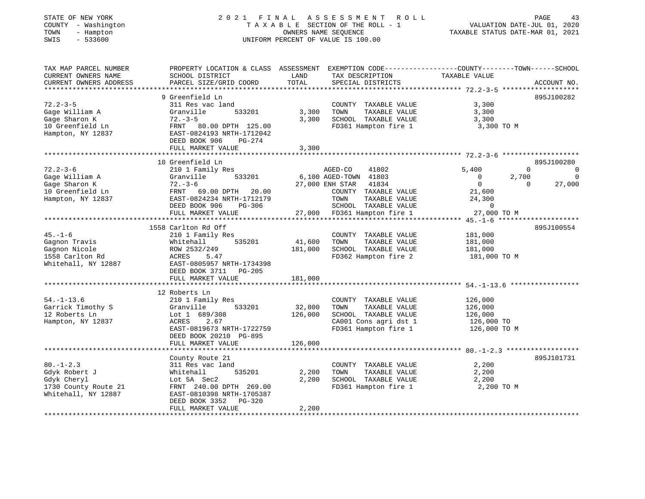#### STATE OF NEW YORK 2 0 2 1 F I N A L A S S E S S M E N T R O L L PAGE 43 COUNTY - Washington T A X A B L E SECTION OF THE ROLL - 1 VALUATION DATE-JUL 01, 2020 TOWN - Hampton OWNERS NAME SEQUENCE TAXABLE STATUS DATE-MAR 01, 2021 SWIS - 533600 UNIFORM PERCENT OF VALUE IS 100.00

| TAX MAP PARCEL NUMBER<br>CURRENT OWNERS NAME<br>CURRENT OWNERS ADDRESS                     | PROPERTY LOCATION & CLASS ASSESSMENT<br>SCHOOL DISTRICT<br>PARCEL SIZE/GRID COORD                                                                                                    | LAND<br>TOTAL                | EXEMPTION CODE----------------COUNTY-------TOWN------SCHOOL<br>TAX DESCRIPTION<br>SPECIAL DISTRICTS                                                                    | TAXABLE VALUE                                                                                | ACCOUNT NO.                                              |
|--------------------------------------------------------------------------------------------|--------------------------------------------------------------------------------------------------------------------------------------------------------------------------------------|------------------------------|------------------------------------------------------------------------------------------------------------------------------------------------------------------------|----------------------------------------------------------------------------------------------|----------------------------------------------------------|
| $72.2 - 3 - 5$<br>Gage William A<br>Gage Sharon K<br>10 Greenfield Ln<br>Hampton, NY 12837 | 9 Greenfield Ln<br>311 Res vac land<br>Granville<br>533201<br>$72. - 3 - 5$<br>FRNT 80.00 DPTH 125.00<br>EAST-0824193 NRTH-1712042<br>DEED BOOK 906<br>$PG-274$<br>FULL MARKET VALUE | 3,300<br>3,300<br>3,300      | COUNTY TAXABLE VALUE<br>TAXABLE VALUE<br>TOWN<br>SCHOOL TAXABLE VALUE<br>FD361 Hampton fire 1                                                                          | 3,300<br>3,300<br>3,300<br>3,300 TO M                                                        | 895J100282                                               |
|                                                                                            | 10 Greenfield Ln                                                                                                                                                                     |                              |                                                                                                                                                                        |                                                                                              | 895J100280                                               |
| $72.2 - 3 - 6$<br>Gage William A<br>Gage Sharon K<br>10 Greenfield Ln<br>Hampton, NY 12837 | 210 1 Family Res<br>Granville<br>533201<br>$72. - 3 - 6$<br>FRNT 69.00 DPTH<br>20.00<br>EAST-0824234 NRTH-1712179<br>DEED BOOK 906<br>PG-306<br>FULL MARKET VALUE                    | 27,000                       | AGED-CO<br>41802<br>6,100 AGED-TOWN 41803<br>41834<br>27,000 ENH STAR<br>COUNTY TAXABLE VALUE<br>TOWN<br>TAXABLE VALUE<br>SCHOOL TAXABLE VALUE<br>FD361 Hampton fire 1 | 5,400<br>$\mathbf{0}$<br>$\overline{0}$<br>21,600<br>24,300<br>$\overline{0}$<br>27,000 TO M | $\Omega$<br>0<br>2,700<br>$\Omega$<br>27,000<br>$\Omega$ |
|                                                                                            |                                                                                                                                                                                      |                              |                                                                                                                                                                        |                                                                                              |                                                          |
| $45. - 1 - 6$<br>Gagnon Travis<br>Gagnon Nicole<br>1558 Carlton Rd<br>Whitehall, NY 12887  | 1558 Carlton Rd Off<br>210 1 Family Res<br>535201<br>Whitehall<br>ROW 2532/249<br>ACRES<br>5.47<br>EAST-0805957 NRTH-1734398<br>DEED BOOK 3711<br>PG-205<br>FULL MARKET VALUE        | 41,600<br>181,000<br>181,000 | COUNTY TAXABLE VALUE<br>TOWN<br>TAXABLE VALUE<br>SCHOOL TAXABLE VALUE<br>FD362 Hampton fire 2                                                                          | 181,000<br>181,000<br>181,000<br>181,000 TO M                                                | 895J100554                                               |
|                                                                                            | *******************************                                                                                                                                                      |                              |                                                                                                                                                                        |                                                                                              |                                                          |
| $54. - 1 - 13.6$<br>Garrick Timothy S<br>12 Roberts Ln<br>Hampton, NY 12837                | 12 Roberts Ln<br>210 1 Family Res<br>Granville<br>533201<br>Lot 1 689/308<br>ACRES<br>2.67<br>EAST-0819673 NRTH-1722759<br>DEED BOOK 20210 PG-895                                    | 32,800<br>126,000            | COUNTY TAXABLE VALUE<br>TOWN<br>TAXABLE VALUE<br>SCHOOL TAXABLE VALUE<br>CA001 Cons agri dst 1<br>FD361 Hampton fire 1                                                 | 126,000<br>126,000<br>126,000<br>126,000 TO<br>126,000 TO M                                  |                                                          |
|                                                                                            | FULL MARKET VALUE                                                                                                                                                                    | 126,000                      |                                                                                                                                                                        |                                                                                              |                                                          |
| $80. - 1 - 2.3$<br>Gdyk Robert J<br>Gdyk Cheryl                                            | County Route 21<br>311 Res vac land<br>535201<br>Whitehall<br>Lot 5A Sec2                                                                                                            | 2,200<br>2,200               | COUNTY TAXABLE VALUE<br>TOWN<br>TAXABLE VALUE<br>SCHOOL TAXABLE VALUE                                                                                                  | 2,200<br>2,200<br>2,200                                                                      | 895J101731                                               |
| 1730 County Route 21<br>Whitehall, NY 12887                                                | FRNT 240.00 DPTH 269.00<br>EAST-0810398 NRTH-1705387<br>DEED BOOK 3352<br>PG-320<br>FULL MARKET VALUE                                                                                | 2,200                        | FD361 Hampton fire 1                                                                                                                                                   | 2,200 TO M                                                                                   |                                                          |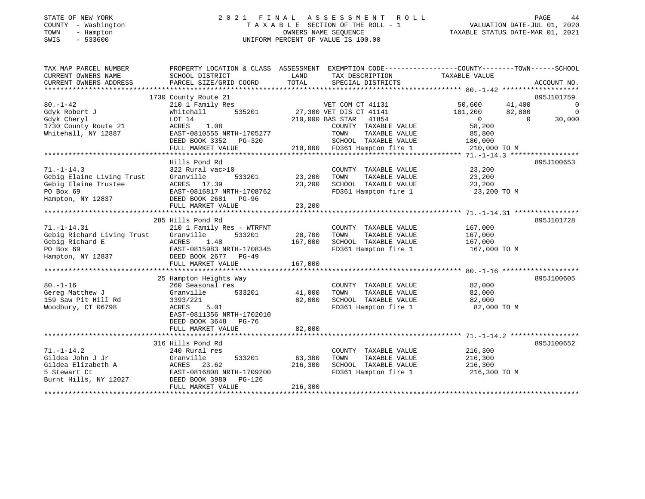#### STATE OF NEW YORK 2 0 2 1 F I N A L A S S E S S M E N T R O L L PAGE 44COUNTY - Washington T A X A B L E SECTION OF THE ROLL - 1 VALUATION DATE-JUL 01, 2020 TOWN - Hampton OWNERS NAME SEQUENCE TAXABLE STATUS DATE-MAR 01, 2021 SWIS - 533600 UNIFORM PERCENT OF VALUE IS 100.00

| TAX MAP PARCEL NUMBER<br>CURRENT OWNERS NAME<br>CURRENT OWNERS ADDRESS                                  | PROPERTY LOCATION & CLASS ASSESSMENT<br>SCHOOL DISTRICT<br>PARCEL SIZE/GRID COORD                                                                                           | LAND<br>TOTAL                | EXEMPTION CODE-----------------COUNTY-------TOWN------SCHOOL<br>TAX DESCRIPTION<br>SPECIAL DISTRICTS                                                          | TAXABLE VALUE                                                                                          | ACCOUNT NO.                                                    |
|---------------------------------------------------------------------------------------------------------|-----------------------------------------------------------------------------------------------------------------------------------------------------------------------------|------------------------------|---------------------------------------------------------------------------------------------------------------------------------------------------------------|--------------------------------------------------------------------------------------------------------|----------------------------------------------------------------|
| $80. - 1 - 42$<br>Gdyk Robert J<br>Gdyk Cheryl<br>1730 County Route 21<br>Whitehall, NY 12887           | 1730 County Route 21<br>210 1 Family Res<br>535201<br>Whitehall<br>LOT 14<br>1.08<br>ACRES<br>EAST-0810555 NRTH-1705277<br>DEED BOOK 3352 PG-320<br>FULL MARKET VALUE       | 210,000 BAS STAR             | VET COM CT 41131<br>27,300 VET DIS CT 41141<br>41854<br>COUNTY TAXABLE VALUE<br>TAXABLE VALUE<br>TOWN<br>SCHOOL TAXABLE VALUE<br>210,000 FD361 Hampton fire 1 | 41,400<br>50,600<br>82,800<br>101,200<br>$\overline{0}$<br>58,200<br>85,800<br>180,000<br>210,000 TO M | 895J101759<br>$\overline{0}$<br>$\Omega$<br>$\Omega$<br>30,000 |
| $71. - 1 - 14.3$<br>Gebig Elaine Living Trust<br>Gebig Elaine Trustee<br>PO Box 69<br>Hampton, NY 12837 | Hills Pond Rd<br>322 Rural vac>10<br>Granville<br>533201<br>ACRES 17.39<br>EAST-0816817 NRTH-1708762<br>DEED BOOK 2681<br>PG-96<br>FULL MARKET VALUE                        | 23,200<br>23,200<br>23,200   | COUNTY TAXABLE VALUE<br>TOWN<br>TAXABLE VALUE<br>SCHOOL TAXABLE VALUE<br>FD361 Hampton fire 1                                                                 | 23,200<br>23,200<br>23,200<br>23,200 TO M                                                              | 895J100653                                                     |
| $71. - 1 - 14.31$<br>Gebig Richard Living Trust<br>Gebig Richard E<br>PO Box 69<br>Hampton, NY 12837    | 285 Hills Pond Rd<br>210 1 Family Res - WTRFNT<br>Granville<br>533201<br>ACRES<br>1.48<br>EAST-0815983 NRTH-1708345<br>DEED BOOK 2677 PG-49<br>FULL MARKET VALUE            | 28,700<br>167,000<br>167,000 | COUNTY TAXABLE VALUE<br>TAXABLE VALUE<br>TOWN<br>SCHOOL TAXABLE VALUE<br>FD361 Hampton fire 1                                                                 | 167,000<br>167,000<br>167,000<br>167,000 TO M                                                          | 895J101728                                                     |
| $80. - 1 - 16$<br>Gereg Matthew J<br>159 Saw Pit Hill Rd<br>Woodbury, CT 06798                          | 25 Hampton Heights Way<br>260 Seasonal res<br>533201<br>Granville<br>3393/221<br>5.01<br>ACRES<br>EAST-0811356 NRTH-1702010<br>DEED BOOK 3648<br>PG-76<br>FULL MARKET VALUE | 41,000<br>82,000<br>82,000   | COUNTY TAXABLE VALUE<br>TOWN<br>TAXABLE VALUE<br>SCHOOL TAXABLE VALUE<br>FD361 Hampton fire 1                                                                 | 82,000<br>82,000<br>82,000<br>82,000 TO M                                                              | 895J100605                                                     |
| $71. - 1 - 14.2$<br>Gildea John J Jr<br>Gildea Elizabeth A<br>5 Stewart Ct<br>Burnt Hills, NY 12027     | 316 Hills Pond Rd<br>240 Rural res<br>Granville<br>533201<br>ACRES<br>23.62<br>EAST-0816808 NRTH-1709200<br>DEED BOOK 3980<br>PG-126<br>FULL MARKET VALUE                   | 63,300<br>216,300<br>216,300 | COUNTY TAXABLE VALUE<br>TOWN<br>TAXABLE VALUE<br>SCHOOL TAXABLE VALUE<br>FD361 Hampton fire 1                                                                 | 216,300<br>216,300<br>216,300<br>216,300 TO M                                                          | 895J100652                                                     |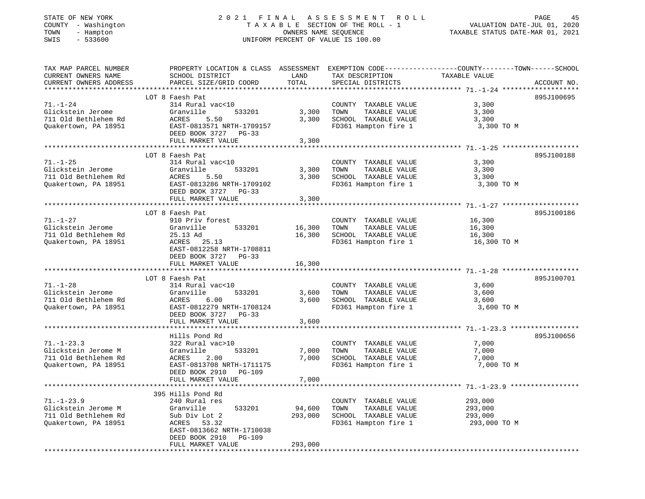| - Washington<br>COUNTY<br>TOWN<br>- Hampton<br>SWIS<br>$-533600$ | TAXABLE SECTION OF THE ROLL - 1<br>OWNERS NAME SEQUENCE<br>UNIFORM PERCENT OF VALUE IS 100.00 |               |                                      | VALUATION DATE-JUL 01, 2020<br>TAXABLE STATUS DATE-MAR 01, 2021                                 |  |
|------------------------------------------------------------------|-----------------------------------------------------------------------------------------------|---------------|--------------------------------------|-------------------------------------------------------------------------------------------------|--|
| TAX MAP PARCEL NUMBER                                            |                                                                                               |               |                                      | PROPERTY LOCATION & CLASS ASSESSMENT EXEMPTION CODE---------------COUNTY-------TOWN------SCHOOL |  |
| CURRENT OWNERS NAME<br>CURRENT OWNERS ADDRESS                    | SCHOOL DISTRICT<br>PARCEL SIZE/GRID COORD                                                     | LAND<br>TOTAL | TAX DESCRIPTION<br>SPECIAL DISTRICTS | TAXABLE VALUE<br>ACCOUNT NO.                                                                    |  |
| ***********************                                          |                                                                                               |               |                                      |                                                                                                 |  |
|                                                                  | LOT 8 Faesh Pat                                                                               |               |                                      | 895J100695                                                                                      |  |
| $71. - 1 - 24$                                                   | 314 Rural vac<10                                                                              |               | COUNTY TAXABLE VALUE                 | 3,300                                                                                           |  |
| Glickstein Jerome                                                | 533201<br>Granville                                                                           | 3,300         | TAXABLE VALUE<br>TOWN                | 3,300                                                                                           |  |
| 711 Old Bethlehem Rd                                             | ACRES<br>5.50                                                                                 | 3,300         | SCHOOL TAXABLE VALUE                 | 3,300                                                                                           |  |
| Quakertown, PA 18951                                             | EAST-0813571 NRTH-1709157<br>DEED BOOK 3727 PG-33                                             |               | FD361 Hampton fire 1                 | 3,300 TO M                                                                                      |  |
|                                                                  | FULL MARKET VALUE                                                                             | 3,300         |                                      |                                                                                                 |  |
|                                                                  | LOT 8 Faesh Pat                                                                               |               |                                      | 895J100188                                                                                      |  |
| $71. - 1 - 25$                                                   | 314 Rural vac<10                                                                              |               | COUNTY TAXABLE VALUE                 | 3,300                                                                                           |  |
| Glickstein Jerome                                                | Granville<br>533201                                                                           | 3,300         | TAXABLE VALUE<br>TOWN                | 3,300                                                                                           |  |
| 711 Old Bethlehem Rd                                             | ACRES<br>5.50                                                                                 | 3,300         | SCHOOL TAXABLE VALUE                 | 3,300                                                                                           |  |
| Quakertown, PA 18951                                             | EAST-0813286 NRTH-1709102                                                                     |               | FD361 Hampton fire 1                 | 3,300 TO M                                                                                      |  |
|                                                                  | DEED BOOK 3727 PG-33                                                                          |               |                                      |                                                                                                 |  |
|                                                                  | FULL MARKET VALUE                                                                             | 3,300         |                                      |                                                                                                 |  |
|                                                                  | LOT 8 Faesh Pat                                                                               |               |                                      | 895J100186                                                                                      |  |
| $71. - 1 - 27$                                                   | 910 Priv forest                                                                               |               | COUNTY TAXABLE VALUE                 | 16,300                                                                                          |  |
| Glickstein Jerome                                                | 533201<br>Granville                                                                           | 16,300        | TAXABLE VALUE<br>TOWN                | 16,300                                                                                          |  |
| 711 Old Bethlehem Rd                                             | 25.13 Ad                                                                                      | 16,300        | SCHOOL TAXABLE VALUE                 | 16,300                                                                                          |  |
| Quakertown, PA 18951                                             | ACRES 25.13<br>EAST-0812258 NRTH-1708811                                                      |               | FD361 Hampton fire 1                 | 16,300 TO M                                                                                     |  |
|                                                                  | DEED BOOK 3727 PG-33<br>FULL MARKET VALUE                                                     | 16,300        |                                      |                                                                                                 |  |
|                                                                  |                                                                                               |               |                                      |                                                                                                 |  |
|                                                                  | LOT 8 Faesh Pat                                                                               |               |                                      | 895J100701                                                                                      |  |
| $71. - 1 - 28$                                                   | 314 Rural vac<10                                                                              |               | COUNTY TAXABLE VALUE                 | 3,600                                                                                           |  |
| Glickstein Jerome                                                | 533201<br>Granville                                                                           | 3,600         | TOWN<br>TAXABLE VALUE                | 3,600                                                                                           |  |
| 711 Old Bethlehem Rd                                             | 6.00<br>ACRES                                                                                 | 3,600         | SCHOOL TAXABLE VALUE                 | 3,600                                                                                           |  |
| Quakertown, PA 18951                                             | EAST-0812279 NRTH-1708124                                                                     |               | FD361 Hampton fire 1                 | 3,600 TO M                                                                                      |  |
|                                                                  | DEED BOOK 3727 PG-33<br>FULL MARKET VALUE                                                     | 3,600         |                                      |                                                                                                 |  |
|                                                                  |                                                                                               |               |                                      |                                                                                                 |  |
|                                                                  | Hills Pond Rd                                                                                 |               |                                      | 895J100656                                                                                      |  |
| $71. - 1 - 23.3$                                                 | 322 Rural vac>10                                                                              |               | COUNTY TAXABLE VALUE                 | 7,000                                                                                           |  |
| Glickstein Jerome M                                              | Granville<br>533201                                                                           | 7,000         | TOWN<br>TAXABLE VALUE                | 7,000                                                                                           |  |
| 711 Old Bethlehem Rd                                             | 2.00<br>ACRES                                                                                 | 7,000         | SCHOOL TAXABLE VALUE                 | 7,000                                                                                           |  |
| Quakertown, PA 18951                                             | EAST-0813708 NRTH-1711175                                                                     |               | FD361 Hampton fire 1                 | 7,000 TO M                                                                                      |  |
|                                                                  | DEED BOOK 2910<br>PG-109                                                                      |               |                                      |                                                                                                 |  |
| **********************                                           | FULL MARKET VALUE<br>*************                                                            | 7,000         |                                      | *************************** 71.-1-23.9 **************                                           |  |
|                                                                  | 395 Hills Pond Rd                                                                             |               |                                      |                                                                                                 |  |
| $71. - 1 - 23.9$                                                 | 240 Rural res                                                                                 |               | COUNTY TAXABLE VALUE                 | 293,000                                                                                         |  |
| Glickstein Jerome M                                              | Granville<br>533201                                                                           | 94,600        | TOWN<br>TAXABLE VALUE                | 293,000                                                                                         |  |
| 711 Old Bethlehem Rd                                             | Sub Div Lot 2                                                                                 | 293,000       | SCHOOL TAXABLE VALUE                 | 293,000                                                                                         |  |
| Quakertown, PA 18951                                             | ACRES<br>53.32                                                                                |               | FD361 Hampton fire 1                 | 293,000 TO M                                                                                    |  |
|                                                                  | EAST-0813662 NRTH-1710038<br>DEED BOOK 2910<br>PG-109                                         |               |                                      |                                                                                                 |  |
|                                                                  | FULL MARKET VALUE                                                                             | 293,000       |                                      |                                                                                                 |  |
|                                                                  |                                                                                               |               |                                      |                                                                                                 |  |

# STATE OF NEW YORK 2 0 2 1 F I N A L A S S E S S M E N T R O L L PAGE 45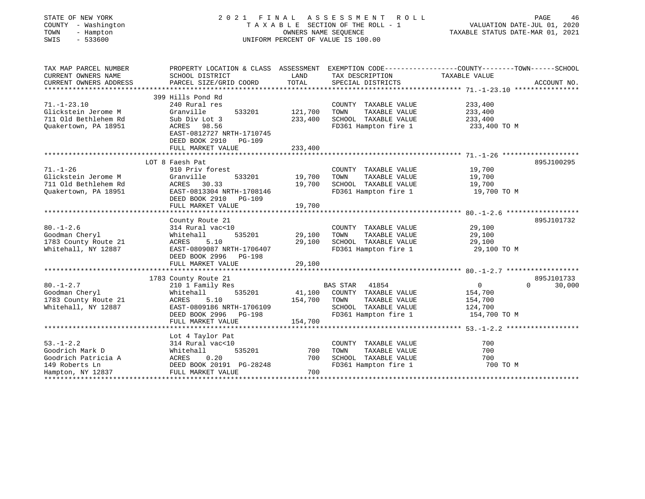| STATE OF NEW YORK<br>COUNTY - Washington<br>TOWN<br>- Hampton<br>$-533600$<br>SWIS               | 2021<br>FINAL<br>A S S E S S M E N T<br>R O L L<br>TAXABLE SECTION OF THE ROLL - 1<br>OWNERS NAME SEOUENCE<br>UNIFORM PERCENT OF VALUE IS 100.00            |                              |                                                                                                                 | PAGE<br>46<br>VALUATION DATE-JUL 01, 2020<br>TAXABLE STATUS DATE-MAR 01, 2021 |                                  |  |
|--------------------------------------------------------------------------------------------------|-------------------------------------------------------------------------------------------------------------------------------------------------------------|------------------------------|-----------------------------------------------------------------------------------------------------------------|-------------------------------------------------------------------------------|----------------------------------|--|
| TAX MAP PARCEL NUMBER<br>CURRENT OWNERS NAME<br>CURRENT OWNERS ADDRESS                           | PROPERTY LOCATION & CLASS ASSESSMENT EXEMPTION CODE---------------COUNTY-------TOWN-----SCHOOL<br>SCHOOL DISTRICT<br>PARCEL SIZE/GRID COORD                 | LAND<br>TOTAL                | TAX DESCRIPTION<br>SPECIAL DISTRICTS                                                                            | TAXABLE VALUE                                                                 | ACCOUNT NO.                      |  |
|                                                                                                  | 399 Hills Pond Rd                                                                                                                                           |                              |                                                                                                                 |                                                                               |                                  |  |
| $71. - 1 - 23.10$<br>Glickstein Jerome M<br>711 Old Bethlehem Rd<br>Ouakertown, PA 18951         | 240 Rural res<br>Granville<br>533201<br>Sub Div Lot 3<br>ACRES 98.56<br>EAST-0812727 NRTH-1710745                                                           | 121,700<br>233,400           | COUNTY TAXABLE VALUE<br>TOWN<br>TAXABLE VALUE<br>SCHOOL TAXABLE VALUE<br>FD361 Hampton fire 1                   | 233,400<br>233,400<br>233,400<br>233,400 TO M                                 |                                  |  |
|                                                                                                  | DEED BOOK 2910 PG-109                                                                                                                                       |                              |                                                                                                                 |                                                                               |                                  |  |
|                                                                                                  | FULL MARKET VALUE                                                                                                                                           | 233,400                      |                                                                                                                 |                                                                               |                                  |  |
|                                                                                                  | LOT 8 Faesh Pat                                                                                                                                             |                              |                                                                                                                 |                                                                               | 895J100295                       |  |
| $71. - 1 - 26$<br>Glickstein Jerome M<br>711 Old Bethlehem Rd<br>Quakertown, PA 18951            | 910 Priv forest<br>Granville<br>533201<br>ACRES 30.33<br>EAST-0813304 NRTH-1708146<br>DEED BOOK 2910 PG-109                                                 | 19,700<br>19,700             | COUNTY TAXABLE VALUE<br>TAXABLE VALUE<br>TOWN<br>SCHOOL TAXABLE VALUE<br>FD361 Hampton fire 1                   | 19,700<br>19,700<br>19,700<br>19,700 TO M                                     |                                  |  |
|                                                                                                  | FULL MARKET VALUE<br>****************************                                                                                                           | 19,700                       |                                                                                                                 | ************************* 80.-1-2.6                                           |                                  |  |
| $80. - 1 - 2.6$<br>Goodman Cheryl<br>1783 County Route 21<br>Whitehall, NY 12887                 | County Route 21<br>314 Rural vac<10<br>Whitehall<br>535201<br>5.10<br>ACRES<br>EAST-0809087 NRTH-1706407<br>DEED BOOK 2996 PG-198<br>FULL MARKET VALUE      | 29,100<br>29,100<br>29,100   | COUNTY TAXABLE VALUE<br>TAXABLE VALUE<br>TOWN<br>SCHOOL TAXABLE VALUE<br>FD361 Hampton fire 1                   | 29,100<br>29,100<br>29,100<br>29,100 TO M                                     | 895J101732                       |  |
|                                                                                                  |                                                                                                                                                             |                              |                                                                                                                 |                                                                               |                                  |  |
| $80. - 1 - 2.7$<br>Goodman Cheryl<br>1783 County Route 21<br>Whitehall, NY 12887                 | 1783 County Route 21<br>210 1 Family Res<br>535201<br>Whitehall<br>ACRES<br>5.10<br>EAST-0809186 NRTH-1706109<br>DEED BOOK 2996 PG-198<br>FULL MARKET VALUE | 41,100<br>154,700<br>154,700 | BAS STAR 41854<br>COUNTY TAXABLE VALUE<br>TAXABLE VALUE<br>TOWN<br>SCHOOL TAXABLE VALUE<br>FD361 Hampton fire 1 | $\overline{0}$<br>154,700<br>154,700<br>124,700<br>154,700 TO M               | 895J101733<br>$\Omega$<br>30,000 |  |
|                                                                                                  | Lot 4 Taylor Pat                                                                                                                                            |                              |                                                                                                                 |                                                                               |                                  |  |
| $53. - 1 - 2.2$<br>Goodrich Mark D<br>Goodrich Patricia A<br>149 Roberts Ln<br>Hampton, NY 12837 | 314 Rural vac<10<br>Whitehall<br>535201<br>ACRES<br>0.20<br>DEED BOOK 20191 PG-28248<br>FULL MARKET VALUE                                                   | 700<br>700<br>700            | COUNTY TAXABLE VALUE<br>TOWN<br>TAXABLE VALUE<br>SCHOOL TAXABLE VALUE<br>FD361 Hampton fire 1                   | 700<br>700<br>700<br>700 TO M                                                 |                                  |  |
|                                                                                                  |                                                                                                                                                             |                              |                                                                                                                 |                                                                               |                                  |  |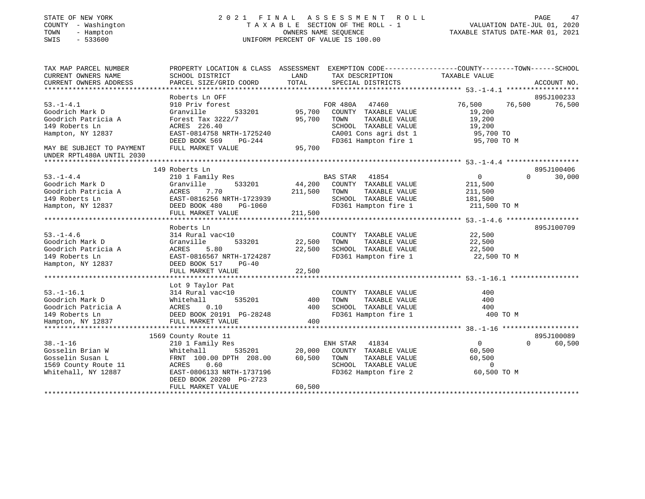| STATE OF NEW YORK<br>COUNTY - Washington<br>TOWN<br>- Hampton<br>$-533600$<br>SWIS                                                                         |                                                                                                                                                                              | OWNERS NAME SEQUENCE       | 2021 FINAL ASSESSMENT ROLL<br>TAXABLE SECTION OF THE ROLL - 1<br>UNIFORM PERCENT OF VALUE IS 100.00                                         | VALUATION DATE-JUL 01, 2020<br>TAXABLE STATUS DATE-MAR 01, 2021            | PAGE<br>47                       |
|------------------------------------------------------------------------------------------------------------------------------------------------------------|------------------------------------------------------------------------------------------------------------------------------------------------------------------------------|----------------------------|---------------------------------------------------------------------------------------------------------------------------------------------|----------------------------------------------------------------------------|----------------------------------|
| TAX MAP PARCEL NUMBER<br>CURRENT OWNERS NAME<br>CURRENT OWNERS ADDRESS<br>************************                                                         | PROPERTY LOCATION & CLASS ASSESSMENT EXEMPTION CODE---------------COUNTY-------TOWN-----SCHOOL<br>SCHOOL DISTRICT<br>PARCEL SIZE/GRID COORD<br>****************************  | LAND<br>TOTAL              | TAX DESCRIPTION<br>SPECIAL DISTRICTS                                                                                                        | TAXABLE VALUE                                                              | ACCOUNT NO.                      |
| $53. - 1 - 4.1$<br>Goodrich Mark D<br>Goodrich Patricia A<br>149 Roberts Ln<br>Hampton, NY 12837<br>MAY BE SUBJECT TO PAYMENT<br>UNDER RPTL480A UNTIL 2030 | Roberts Ln OFF<br>910 Priv forest<br>Granville<br>533201<br>Forest Tax $3222/7$<br>ACRES 226.40<br>EAST-0814758 NRTH-1725240<br>DEED BOOK 569<br>PG-244<br>FULL MARKET VALUE | 95,700<br>95,700<br>95,700 | FOR 480A<br>47460<br>COUNTY TAXABLE VALUE<br>TAXABLE VALUE<br>TOWN<br>SCHOOL TAXABLE VALUE<br>CA001 Cons agri dst 1<br>FD361 Hampton fire 1 | 76,500<br>76,500<br>19,200<br>19,200<br>19,200<br>95,700 TO<br>95,700 TO M | 895J100233<br>76,500             |
|                                                                                                                                                            |                                                                                                                                                                              |                            |                                                                                                                                             |                                                                            |                                  |
| $53. - 1 - 4.4$<br>Goodrich Mark D<br>Goodrich Patricia A<br>149 Roberts Ln<br>Hampton, NY 12837                                                           | 149 Roberts Ln<br>210 1 Family Res<br>533201<br>Granville<br>ACRES<br>7.70<br>EAST-0816256 NRTH-1723939<br>DEED BOOK 480<br>PG-1060                                          | 44,200<br>211,500          | <b>BAS STAR</b><br>41854<br>COUNTY TAXABLE VALUE<br>TOWN<br>TAXABLE VALUE<br>SCHOOL TAXABLE VALUE<br>FD361 Hampton fire 1                   | $\overline{0}$<br>211,500<br>211,500<br>181,500<br>211,500 TO M            | 895J100406<br>30,000<br>$\Omega$ |
|                                                                                                                                                            | FULL MARKET VALUE<br>**********************************                                                                                                                      | 211,500                    | ****************************                                                                                                                | ************* 53.-1-4.6 *******************                                |                                  |
| $53. - 1 - 4.6$<br>Goodrich Mark D<br>Goodrich Patricia A<br>149 Roberts Ln<br>Hampton, NY 12837                                                           | Roberts Ln<br>314 Rural vac<10<br>533201<br>Granville<br>ACRES<br>5.80<br>EAST-0816567 NRTH-1724287<br>DEED BOOK 517<br>$PG-40$<br>FULL MARKET VALUE                         | 22,500<br>22,500<br>22,500 | COUNTY TAXABLE VALUE<br>TAXABLE VALUE<br>TOWN<br>SCHOOL TAXABLE VALUE<br>FD361 Hampton fire 1                                               | 22,500<br>22,500<br>22,500<br>22,500 TO M                                  | 895J100709                       |
| $53. - 1 - 16.1$<br>Goodrich Mark D<br>Goodrich Patricia A<br>149 Roberts Ln<br>Hampton, NY 12837                                                          | Lot 9 Taylor Pat<br>314 Rural vac<10<br>535201<br>Whitehall<br>ACRES<br>0.10<br>DEED BOOK 20191 PG-28248<br>FULL MARKET VALUE                                                | 400<br>400<br>400          | COUNTY TAXABLE VALUE<br>TAXABLE VALUE<br>TOWN<br>SCHOOL TAXABLE VALUE<br>FD361 Hampton fire 1                                               | 400<br>400<br>400<br>400 TO M                                              |                                  |
|                                                                                                                                                            | 1569 County Route 11                                                                                                                                                         |                            |                                                                                                                                             |                                                                            | 895J100089                       |
| $38. - 1 - 16$<br>Gosselin Brian W<br>Gosselin Susan L<br>1569 County Route 11<br>Whitehall, NY 12887                                                      | 210 1 Family Res<br>Whitehall<br>535201<br>FRNT 100.00 DPTH 208.00<br>ACRES<br>0.60<br>EAST-0806133 NRTH-1737196<br>DEED BOOK 20200 PG-2723<br>FULL MARKET VALUE             | 20,000<br>60,500<br>60,500 | ENH STAR<br>41834<br>COUNTY TAXABLE VALUE<br>TAXABLE VALUE<br>TOWN<br>SCHOOL TAXABLE VALUE<br>FD362 Hampton fire 2                          | $\overline{0}$<br>60,500<br>60,500<br>$\overline{0}$<br>60,500 TO M        | $\Omega$<br>60,500               |
|                                                                                                                                                            |                                                                                                                                                                              |                            |                                                                                                                                             |                                                                            |                                  |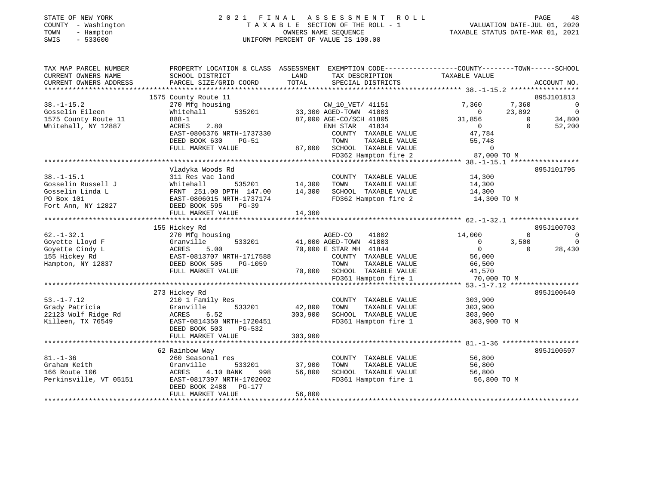#### STATE OF NEW YORK 2 0 2 1 F I N A L A S S E S S M E N T R O L L PAGE 48 COUNTY - Washington T A X A B L E SECTION OF THE ROLL - 1 VALUATION DATE-JUL 01, 2020 TOWN - Hampton OWNERS NAME SEQUENCE TAXABLE STATUS DATE-MAR 01, 2021 SWIS - 533600 UNIFORM PERCENT OF VALUE IS 100.00

| TAX MAP PARCEL NUMBER<br>CURRENT OWNERS NAME | PROPERTY LOCATION & CLASS ASSESSMENT<br>SCHOOL DISTRICT | LAND<br>TAX DESCRIPTION         | EXEMPTION CODE-----------------COUNTY-------TOWN------SCHOOL<br>TAXABLE VALUE |
|----------------------------------------------|---------------------------------------------------------|---------------------------------|-------------------------------------------------------------------------------|
| CURRENT OWNERS ADDRESS                       | PARCEL SIZE/GRID COORD                                  | TOTAL<br>SPECIAL DISTRICTS      | ACCOUNT NO.                                                                   |
|                                              |                                                         |                                 |                                                                               |
|                                              | 1575 County Route 11                                    |                                 | 895J101813                                                                    |
| $38. - 1 - 15.2$                             | 270 Mfg housing                                         | CW 10 VET/ 41151                | 7,360<br>7,360<br>$\overline{0}$                                              |
| Gosselin Eileen                              | 535201<br>Whitehall                                     | 33,300 AGED-TOWN 41803          | 23,892<br>$\overline{0}$<br>$\mathbf{0}$                                      |
| 1575 County Route 11                         | $888 - 1$                                               | 87,000 AGE-CO/SCH 41805         | 31,856<br>$\Omega$<br>34,800                                                  |
| Whitehall, NY 12887                          | 2.80<br>ACRES                                           | ENH STAR<br>41834               | $\mathbf{0}$<br>$\Omega$<br>52,200                                            |
|                                              | EAST-0806376 NRTH-1737330                               | COUNTY TAXABLE VALUE            | 47,784                                                                        |
|                                              | DEED BOOK 630<br>$PG-51$                                | TOWN<br>TAXABLE VALUE           | 55,748                                                                        |
|                                              | FULL MARKET VALUE                                       | 87,000<br>SCHOOL TAXABLE VALUE  | $\circ$                                                                       |
|                                              |                                                         | FD362 Hampton fire 2            | 87,000 TO M                                                                   |
|                                              |                                                         |                                 |                                                                               |
|                                              | Vladyka Woods Rd                                        |                                 | 895J101795                                                                    |
| $38. - 1 - 15.1$                             | 311 Res vac land                                        | COUNTY TAXABLE VALUE            | 14,300                                                                        |
| Gosselin Russell J                           | Whitehall<br>535201                                     | 14,300<br>TOWN<br>TAXABLE VALUE | 14,300                                                                        |
| Gosselin Linda L                             | FRNT 251.00 DPTH 147.00                                 | 14,300<br>SCHOOL TAXABLE VALUE  | 14,300                                                                        |
| PO Box 101                                   | EAST-0806015 NRTH-1737174                               | FD362 Hampton fire 2            | 14,300 TO M                                                                   |
| Fort Ann, NY 12827                           | DEED BOOK 595<br>$PG-39$                                |                                 |                                                                               |
|                                              | FULL MARKET VALUE                                       | 14,300                          |                                                                               |
|                                              |                                                         |                                 |                                                                               |
|                                              | 155 Hickey Rd                                           |                                 | 895J100703                                                                    |
| $62. - 1 - 32.1$                             | 270 Mfg housing                                         | AGED-CO<br>41802                | 14,000<br>$\Omega$<br>$\mathbf 0$                                             |
| Goyette Lloyd F                              | Granville<br>533201                                     | 41,000 AGED-TOWN 41803          | $\mathbf 0$<br>3,500                                                          |
| Goyette Cindy L                              | ACRES<br>5.00                                           | 70,000 E STAR MH 41844          | $\overline{0}$<br>$\Omega$<br>28,430                                          |
| 155 Hickey Rd                                | EAST-0813707 NRTH-1717588                               | COUNTY TAXABLE VALUE            | 56,000                                                                        |
| Hampton, NY 12837                            | DEED BOOK 505<br>PG-1059                                | TOWN<br>TAXABLE VALUE           | 66,500                                                                        |
|                                              | FULL MARKET VALUE                                       | 70,000<br>SCHOOL TAXABLE VALUE  | 41,570                                                                        |
|                                              |                                                         | FD361 Hampton fire 1            | 70,000 TO M                                                                   |
|                                              |                                                         |                                 |                                                                               |
|                                              | 273 Hickey Rd                                           |                                 | 895J100640                                                                    |
| $53. - 1 - 7.12$                             | 210 1 Family Res                                        | COUNTY TAXABLE VALUE            | 303,900                                                                       |
| Grady Patricia                               | Granville<br>533201                                     | 42,800<br>TOWN<br>TAXABLE VALUE | 303,900                                                                       |
| 22123 Wolf Ridge Rd                          | 6.52<br><b>ACRES</b>                                    | 303,900<br>SCHOOL TAXABLE VALUE | 303,900                                                                       |
| Killeen, TX 76549                            | EAST-0814350 NRTH-1720451                               | FD361 Hampton fire 1            | 303,900 TO M                                                                  |
|                                              | DEED BOOK 503<br>$PG-532$                               |                                 |                                                                               |
|                                              | FULL MARKET VALUE                                       | 303,900                         |                                                                               |
|                                              |                                                         |                                 |                                                                               |
|                                              | 62 Rainbow Way                                          |                                 | 895J100597                                                                    |
| $81. - 1 - 36$                               | 260 Seasonal res                                        | COUNTY TAXABLE VALUE            | 56,800                                                                        |
| Graham Keith                                 | Granville<br>533201                                     | 37,900<br>TOWN<br>TAXABLE VALUE | 56,800                                                                        |
| 166 Route 106                                | 4.10 BANK<br>ACRES<br>998                               | 56,800<br>SCHOOL TAXABLE VALUE  | 56,800                                                                        |
| Perkinsville, VT 05151                       | EAST-0817397 NRTH-1702002                               | FD361 Hampton fire 1            | 56,800 TO M                                                                   |
|                                              | DEED BOOK 2488<br>PG-177                                |                                 |                                                                               |
|                                              | FULL MARKET VALUE                                       | 56,800                          |                                                                               |
|                                              |                                                         |                                 |                                                                               |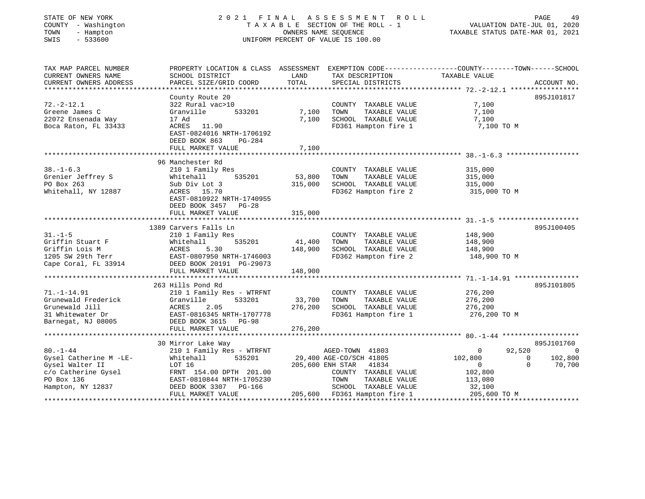| STATE OF NEW YORK<br>COUNTY - Washington<br>TOWN<br>- Hampton<br>SWIS<br>$-533600$                                                           | 2021 FINAL ASSESSMENT ROLL<br>T A X A B L E SECTION OF THE ROLL - 1<br>OWNERS NAME SEQUENCE<br>UNIFORM PERCENT OF VALUE IS 100.00                                | PAGE<br>VALUATION DATE-JUL 01, 2020<br>TAXABLE STATUS DATE-MAR 01, 2021 | 49                                                                                                                                                                            |                                                                                                                                |                                     |
|----------------------------------------------------------------------------------------------------------------------------------------------|------------------------------------------------------------------------------------------------------------------------------------------------------------------|-------------------------------------------------------------------------|-------------------------------------------------------------------------------------------------------------------------------------------------------------------------------|--------------------------------------------------------------------------------------------------------------------------------|-------------------------------------|
| TAX MAP PARCEL NUMBER<br>CURRENT OWNERS NAME<br>CURRENT OWNERS ADDRESS                                                                       | SCHOOL DISTRICT<br>PARCEL SIZE/GRID COORD                                                                                                                        | LAND<br>TOTAL                                                           | TAX DESCRIPTION<br>SPECIAL DISTRICTS                                                                                                                                          | PROPERTY LOCATION & CLASS ASSESSMENT EXEMPTION CODE---------------COUNTY-------TOWN-----SCHOOL<br>TAXABLE VALUE<br>ACCOUNT NO. |                                     |
|                                                                                                                                              |                                                                                                                                                                  |                                                                         |                                                                                                                                                                               |                                                                                                                                |                                     |
| $72. - 2 - 12.1$<br>Greene James C<br>22072 Ensenada Way<br>Boca Raton, FL 33433                                                             | County Route 20<br>322 Rural vac>10<br>533201<br>Granville<br>17 Ad<br>ACRES 11.90<br>EAST-0824016 NRTH-1706192<br>DEED BOOK 863<br>$PG-284$                     | 7,100                                                                   | COUNTY TAXABLE VALUE<br>TOWN<br>TAXABLE VALUE<br>7,100 SCHOOL TAXABLE VALUE<br>FD361 Hampton fire 1                                                                           | 895J101817<br>7,100<br>7,100<br>7,100<br>7,100 TO M                                                                            |                                     |
|                                                                                                                                              | FULL MARKET VALUE                                                                                                                                                | 7,100                                                                   |                                                                                                                                                                               |                                                                                                                                |                                     |
|                                                                                                                                              |                                                                                                                                                                  |                                                                         |                                                                                                                                                                               |                                                                                                                                |                                     |
| $38. - 1 - 6.3$<br>Grenier Jeffrey S<br>PO Box 263<br>Whitehall, NY 12887                                                                    | 96 Manchester Rd<br>210 1 Family Res<br>535201<br>Whitehall<br>Sub Div Lot 3<br>ACRES 15.70<br>EAST-0810922 NRTH-1740955<br>DEED BOOK 3457 PG-28                 | 53,800<br>315,000                                                       | COUNTY TAXABLE VALUE<br>TOWN<br>TAXABLE VALUE<br>SCHOOL TAXABLE VALUE<br>FD362 Hampton fire 2 315,000 TO M                                                                    | 315,000<br>315,000<br>315,000                                                                                                  |                                     |
|                                                                                                                                              | FULL MARKET VALUE                                                                                                                                                | 315,000                                                                 |                                                                                                                                                                               |                                                                                                                                |                                     |
|                                                                                                                                              |                                                                                                                                                                  |                                                                         |                                                                                                                                                                               |                                                                                                                                |                                     |
| $31. - 1 - 5$<br>Griffin Stuart F<br>Griffin Lois M<br>1205 SW 29th Terr<br>Cape Coral, FL 33914                                             | 1389 Carvers Falls Ln<br>210 1 Family Res<br>535201<br>Whitehall<br>ACRES<br>5.30<br>EAST-0807950 NRTH-1746003<br>DEED BOOK 20191 PG-29073                       | 41,400                                                                  | COUNTY TAXABLE VALUE<br>TOWN<br>TAXABLE VALUE<br>148,900 SCHOOL TAXABLE VALUE<br>FD362 Hampton fire 2                                                                         | 895J100405<br>148,900<br>148,900<br>148,900<br>148,900<br>148,900 TO M                                                         |                                     |
|                                                                                                                                              | FULL MARKET VALUE                                                                                                                                                | 148,900                                                                 |                                                                                                                                                                               |                                                                                                                                |                                     |
| $71. - 1 - 14.91$<br>Grunewald Frederick<br>Grunewald Jill<br>31 Whitewater Dr<br>Barnegat, NJ 08005                                         | 263 Hills Pond Rd<br>210 1 Family Res - WTRFNT<br>Granville<br>533201<br>ACRES<br>2.05<br>EAST-0816345 NRTH-1707778<br>DEED BOOK 3615 PG-98<br>FULL MARKET VALUE | 33,700<br>276,200<br>276,200                                            | COUNTY TAXABLE VALUE<br>TAXABLE VALUE<br>TOWN<br>SCHOOL TAXABLE VALUE<br>FD361 Hampton fire 1                                                                                 | 895J101805<br>276,200<br>276,200<br>276,200<br>276,200 TO M                                                                    |                                     |
|                                                                                                                                              | 30 Mirror Lake Way                                                                                                                                               |                                                                         |                                                                                                                                                                               | 895J101760                                                                                                                     |                                     |
| $80. - 1 - 44$<br>Gysel Catherine M -LE-<br>Gysel Walter II<br>C/o Catherine Gysel<br>C/o Catherine Gysel<br>PO Box 136<br>Hampton, NY 12837 | 210 1 Family Res - WTRFNT<br>535201<br>Whitehall<br>LOT 16<br>FRNT 154.00 DPTH 201.00<br>EAST-0810844 NRTH-1705230<br>DEED BOOK 3307 PG-166<br>FULL MARKET VALUE |                                                                         | AGED-TOWN 41803<br>29,400 AGE-CO/SCH 41805<br>205,600 ENH STAR 41834<br>COUNTY TAXABLE VALUE<br>TAXABLE VALUE<br>TOWN<br>SCHOOL TAXABLE VALUE<br>205,600 FD361 Hampton fire 1 | 92,520<br>$\overline{0}$<br>102,800<br>$\overline{0}$<br>$\Omega$<br>$\sim$ 0<br>102,800<br>113,080<br>32,100<br>205,600 TO M  | $\overline{0}$<br>102,800<br>70,700 |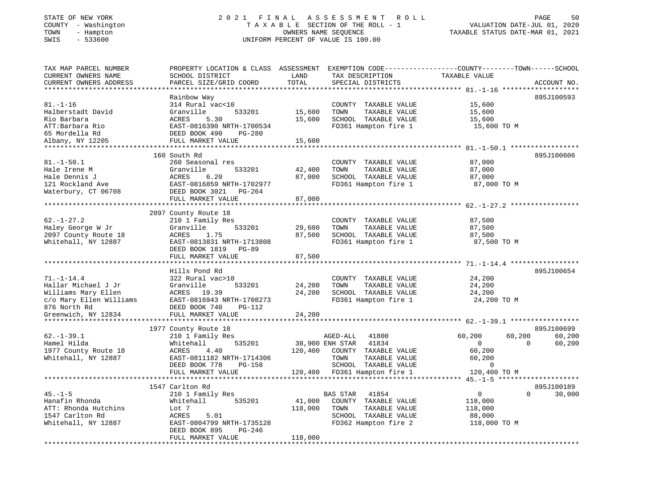# STATE OF NEW YORK 2 0 2 1 F I N A L A S S E S S M E N T R O L L PAGE 50COUNTY - Washington T A X A B L E SECTION OF THE ROLL - 1<br>
T A X A B L E SECTION OF THE ROLL - 1<br>
TOWN - Hampton DATES NAME SEQUENCE<br>
SWIS - 533600 SWIS - 533600 UNIFORM PERCENT OF VALUE IS 100.00

VALUATION DATE-JUL 01, 2020

| TAX MAP PARCEL NUMBER<br>CURRENT OWNERS NAME | PROPERTY LOCATION & CLASS ASSESSMENT EXEMPTION CODE----------------COUNTY-------TOWN-----SCHOOL<br>SCHOOL DISTRICT | LAND    | TAX DESCRIPTION                               | TAXABLE VALUE    |                    |
|----------------------------------------------|--------------------------------------------------------------------------------------------------------------------|---------|-----------------------------------------------|------------------|--------------------|
| CURRENT OWNERS ADDRESS                       | PARCEL SIZE/GRID COORD                                                                                             | TOTAL   | SPECIAL DISTRICTS                             |                  | ACCOUNT NO.        |
|                                              |                                                                                                                    |         |                                               |                  |                    |
| $81. - 1 - 16$                               | Rainbow Way                                                                                                        |         |                                               |                  | 895J100593         |
| Halberstadt David                            | 314 Rural vac<10<br>Granville<br>533201                                                                            | 15,600  | COUNTY TAXABLE VALUE<br>TOWN<br>TAXABLE VALUE | 15,600<br>15,600 |                    |
|                                              |                                                                                                                    |         |                                               |                  |                    |
| Rio Barbara                                  | ACRES<br>5.30<br>EAST-0816390 NRTH-1700534                                                                         | 15,600  | SCHOOL TAXABLE VALUE                          | 15,600           |                    |
| ATT:Barbara Rio<br>65 Mordella Rd            | DEED BOOK 490<br>PG-280                                                                                            |         | FD361 Hampton fire 1                          | 15,600 TO M      |                    |
|                                              |                                                                                                                    |         |                                               |                  |                    |
| Albany, NY 12205                             | FULL MARKET VALUE                                                                                                  | 15,600  |                                               |                  |                    |
|                                              | 160 South Rd                                                                                                       |         |                                               |                  | 895J100606         |
| $81. - 1 - 50.1$                             | 260 Seasonal res                                                                                                   |         | COUNTY TAXABLE VALUE                          | 87,000           |                    |
| Hale Irene M                                 | Granville<br>533201                                                                                                | 42,400  | TOWN<br>TAXABLE VALUE                         | 87,000           |                    |
| Hale Dennis J                                | ACRES<br>6.20                                                                                                      | 87,000  | SCHOOL TAXABLE VALUE                          | 87,000           |                    |
| 121 Rockland Ave                             | EAST-0816859 NRTH-1702977                                                                                          |         | FD361 Hampton fire 1                          | 87,000 TO M      |                    |
| Waterbury, CT 06708                          | DEED BOOK 3021<br>PG-264                                                                                           |         |                                               |                  |                    |
|                                              | FULL MARKET VALUE                                                                                                  | 87,000  |                                               |                  |                    |
|                                              |                                                                                                                    |         |                                               |                  |                    |
|                                              | 2097 County Route 18                                                                                               |         |                                               |                  |                    |
| $62. - 1 - 27.2$                             | 210 1 Family Res                                                                                                   |         | COUNTY TAXABLE VALUE                          | 87,500           |                    |
| Haley George W Jr                            | 533201<br>Granville                                                                                                | 29,600  | TAXABLE VALUE<br>TOWN                         | 87,500           |                    |
| 2097 County Route 18                         | 1.75<br>ACRES                                                                                                      | 87,500  | SCHOOL TAXABLE VALUE                          | 87,500           |                    |
| Whitehall, NY 12887                          | EAST-0813831 NRTH-1713808                                                                                          |         | FD361 Hampton fire 1                          | 87,500 TO M      |                    |
|                                              | DEED BOOK 1819 PG-89                                                                                               |         |                                               |                  |                    |
|                                              | FULL MARKET VALUE                                                                                                  | 87,500  |                                               |                  |                    |
|                                              |                                                                                                                    |         |                                               |                  |                    |
|                                              | Hills Pond Rd                                                                                                      |         |                                               |                  | 895J100654         |
| $71. - 1 - 14.4$                             | 322 Rural vac>10                                                                                                   |         | COUNTY TAXABLE VALUE                          | 24,200           |                    |
| Hallar Michael J Jr                          | 533201<br>Granville                                                                                                | 24,200  | TOWN<br>TAXABLE VALUE                         | 24,200           |                    |
| Williams Mary Ellen                          | ACRES 19.39                                                                                                        | 24,200  | SCHOOL TAXABLE VALUE                          | 24,200           |                    |
| c/o Mary Ellen Williams                      | EAST-0816943 NRTH-1708273<br>DEED BOOK 740 PG-112                                                                  |         | FD361 Hampton fire 1                          | 24,200 TO M      |                    |
| 876 North Rd                                 |                                                                                                                    |         |                                               |                  |                    |
| Greenwich, NY 12834                          | FULL MARKET VALUE                                                                                                  | 24,200  |                                               |                  |                    |
|                                              |                                                                                                                    |         |                                               |                  |                    |
|                                              | 1977 County Route 18                                                                                               |         |                                               |                  | 895J100699         |
| $62. - 1 - 39.1$                             | 210 1 Family Res                                                                                                   |         | AGED-ALL<br>41800                             | 60,200<br>60,200 | 60,200             |
| Hamel Hilda                                  | 535201<br>Whitehall                                                                                                |         | 38,900 ENH STAR<br>41834                      | $\overline{0}$   | $\Omega$<br>60,200 |
| 1977 County Route 18                         | ACRES<br>4.40                                                                                                      | 120,400 | COUNTY TAXABLE VALUE                          | 60,200           |                    |
| Whitehall, NY 12887                          | EAST-0811182 NRTH-1714306                                                                                          |         | TOWN<br>TAXABLE VALUE                         | 60,200           |                    |
|                                              | DEED BOOK 778<br>PG-158                                                                                            |         | SCHOOL TAXABLE VALUE                          | $\Omega$         |                    |
|                                              | FULL MARKET VALUE                                                                                                  |         | 120,400 FD361 Hampton fire 1                  | 120,400 TO M     |                    |
|                                              | **************************                                                                                         |         |                                               |                  |                    |
|                                              | 1547 Carlton Rd                                                                                                    |         |                                               |                  | 895J100189         |
| $45. - 1 - 5$                                | 210 1 Family Res                                                                                                   |         | BAS STAR<br>41854                             | $\overline{0}$   | $\Omega$<br>30,000 |
| Hanafin Rhonda                               | 535201<br>Whitehall                                                                                                | 41,000  | COUNTY TAXABLE VALUE                          | 118,000          |                    |
| ATT: Rhonda Hutchins                         | Lot 7                                                                                                              | 118,000 | TOWN<br>TAXABLE VALUE                         | 118,000          |                    |
| 1547 Carlton Rd                              | ACRES<br>5.01                                                                                                      |         | SCHOOL TAXABLE VALUE                          | 88,000           |                    |
| Whitehall, NY 12887                          | EAST-0804799 NRTH-1735128                                                                                          |         | FD362 Hampton fire 2                          | 118,000 TO M     |                    |
|                                              | DEED BOOK 895<br>PG-246                                                                                            |         |                                               |                  |                    |
|                                              | FULL MARKET VALUE                                                                                                  | 118,000 |                                               |                  |                    |
|                                              |                                                                                                                    |         |                                               |                  |                    |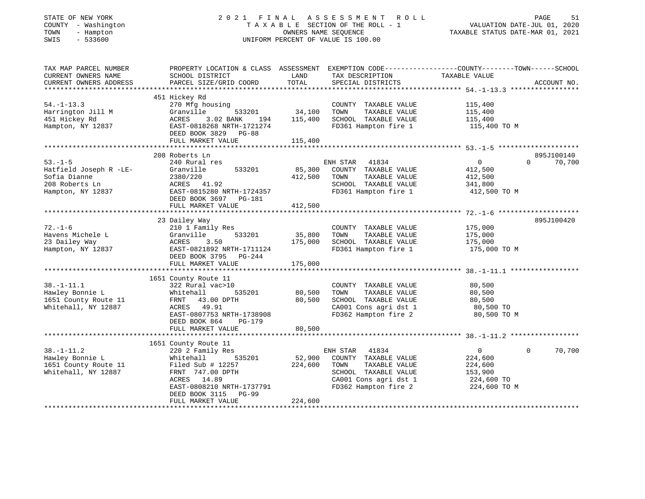#### STATE OF NEW YORK 2 0 2 1 F I N A L A S S E S S M E N T R O L L PAGE 51 COUNTY - Washington T A X A B L E SECTION OF THE ROLL - 1 VALUATION DATE-JUL 01, 2020 TOWN - Hampton OWNERS NAME SEQUENCE TAXABLE STATUS DATE-MAR 01, 2021 SWIS - 533600 UNIFORM PERCENT OF VALUE IS 100.00

| TAX MAP PARCEL NUMBER<br>CURRENT OWNERS NAME<br>CURRENT OWNERS ADDRESS                        | PROPERTY LOCATION & CLASS ASSESSMENT<br>SCHOOL DISTRICT<br>PARCEL SIZE/GRID COORD                                                                                                                         | LAND<br>TOTAL                | EXEMPTION CODE-----------------COUNTY-------TOWN------SCHOOL<br>TAX DESCRIPTION<br>SPECIAL DISTRICTS                                        | TAXABLE VALUE                                                                 | ACCOUNT NO.                      |
|-----------------------------------------------------------------------------------------------|-----------------------------------------------------------------------------------------------------------------------------------------------------------------------------------------------------------|------------------------------|---------------------------------------------------------------------------------------------------------------------------------------------|-------------------------------------------------------------------------------|----------------------------------|
| $54. - 1 - 13.3$<br>Harrington Jill M<br>451 Hickey Rd<br>Hampton, NY 12837                   | 451 Hickey Rd<br>270 Mfg housing<br>Granville<br>533201<br>3.02 BANK<br>ACRES<br>194<br>EAST-0818268 NRTH-1721274<br>DEED BOOK 3829 PG-88<br>FULL MARKET VALUE                                            | 34,100<br>115,400<br>115,400 | COUNTY TAXABLE VALUE<br>TAXABLE VALUE<br>TOWN<br>SCHOOL TAXABLE VALUE<br>FD361 Hampton fire 1                                               | 115,400<br>115,400<br>115,400<br>115,400 TO M                                 |                                  |
|                                                                                               |                                                                                                                                                                                                           |                              |                                                                                                                                             |                                                                               |                                  |
| $53 - 1 - 5$<br>Hatfield Joseph R -LE-<br>Sofia Dianne<br>208 Roberts Ln<br>Hampton, NY 12837 | 208 Roberts Ln<br>240 Rural res<br>Granville<br>533201<br>2380/220<br>ACRES 41.92<br>EAST-0815280 NRTH-1724357<br>DEED BOOK 3697 PG-181<br>FULL MARKET VALUE                                              | 85,300<br>412,500<br>412,500 | ENH STAR<br>41834<br>COUNTY TAXABLE VALUE<br>TOWN<br>TAXABLE VALUE<br>SCHOOL TAXABLE VALUE<br>FD361 Hampton fire 1                          | $\mathbf{0}$<br>412,500<br>412,500<br>341,800<br>412,500 TO M                 | 895J100140<br>$\Omega$<br>70,700 |
|                                                                                               |                                                                                                                                                                                                           |                              |                                                                                                                                             |                                                                               | 895J100420                       |
| $72. - 1 - 6$<br>Havens Michele L<br>23 Dailey Way<br>Hampton, NY 12837                       | 23 Dailey Way<br>210 1 Family Res<br>533201<br>Granville<br>3.50<br>ACRES<br>EAST-0821892 NRTH-1711124<br>DEED BOOK 3795<br>PG-244<br>FULL MARKET VALUE                                                   | 35,800<br>175,000<br>175,000 | COUNTY TAXABLE VALUE<br>TOWN<br>TAXABLE VALUE<br>SCHOOL TAXABLE VALUE<br>FD361 Hampton fire 1                                               | 175,000<br>175,000<br>175,000<br>175,000 TO M                                 |                                  |
| $38. - 1 - 11.1$<br>Hawley Bonnie L<br>1651 County Route 11<br>Whitehall, NY 12887            | 1651 County Route 11<br>322 Rural vac>10<br>535201<br>Whitehall<br>FRNT 43.00 DPTH<br>ACRES 49.91<br>EAST-0807753 NRTH-1738908<br>DEED BOOK 864<br>PG-179<br>FULL MARKET VALUE                            | 80,500<br>80,500<br>80,500   | COUNTY TAXABLE VALUE<br>TAXABLE VALUE<br>TOWN<br>SCHOOL TAXABLE VALUE<br>CA001 Cons agri dst 1<br>FD362 Hampton fire 2                      | 80,500<br>80,500<br>80,500<br>80,500 TO<br>80,500 TO M                        |                                  |
|                                                                                               |                                                                                                                                                                                                           |                              |                                                                                                                                             |                                                                               |                                  |
| $38. - 1 - 11.2$<br>Hawley Bonnie L<br>1651 County Route 11<br>Whitehall, NY 12887            | 1651 County Route 11<br>220 2 Family Res<br>535201<br>Whitehall<br>Filed Sub $\#$ 12257<br>FRNT 747.00 DPTH<br>ACRES 14.89<br>EAST-0808210 NRTH-1737791<br>DEED BOOK 3115<br>$PG-99$<br>FULL MARKET VALUE | 52,900<br>224,600<br>224,600 | ENH STAR<br>41834<br>COUNTY TAXABLE VALUE<br>TAXABLE VALUE<br>TOWN<br>SCHOOL TAXABLE VALUE<br>CA001 Cons agri dst 1<br>FD362 Hampton fire 2 | $\overline{0}$<br>224,600<br>224,600<br>153,900<br>224,600 TO<br>224,600 TO M | $\Omega$<br>70,700               |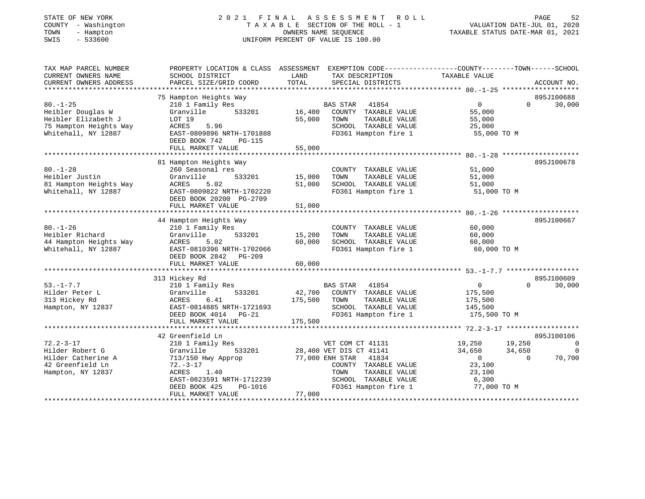#### STATE OF NEW YORK 2 0 2 1 F I N A L A S S E S S M E N T R O L L PAGE 52 COUNTY - Washington T A X A B L E SECTION OF THE ROLL - 1 VALUATION DATE-JUL 01, 2020 TOWN - Hampton OWNERS NAME SEQUENCE TAXABLE STATUS DATE-MAR 01, 2021 SWIS - 533600 UNIFORM PERCENT OF VALUE IS 100.00UNIFORM PERCENT OF VALUE IS 100.00

| TAX MAP PARCEL NUMBER                         | PROPERTY LOCATION & CLASS ASSESSMENT                        |               | EXEMPTION CODE-----------------COUNTY-------TOWN------SCHOOL |                    |          |                |
|-----------------------------------------------|-------------------------------------------------------------|---------------|--------------------------------------------------------------|--------------------|----------|----------------|
| CURRENT OWNERS NAME<br>CURRENT OWNERS ADDRESS | SCHOOL DISTRICT<br>PARCEL SIZE/GRID COORD                   | LAND<br>TOTAL | TAX DESCRIPTION<br>SPECIAL DISTRICTS                         | TAXABLE VALUE      |          | ACCOUNT NO.    |
| ************************                      |                                                             |               |                                                              |                    |          |                |
|                                               | 75 Hampton Heights Way                                      |               |                                                              |                    |          | 895J100688     |
| $80. - 1 - 25$                                | 210 1 Family Res                                            |               | <b>BAS STAR</b><br>41854                                     | $\Omega$           | $\Omega$ | 30,000         |
| Heibler Douglas W                             | Granville<br>533201                                         | 16,400        | COUNTY TAXABLE VALUE                                         | 55,000             |          |                |
| Heibler Elizabeth J                           | LOT 19                                                      | 55,000        | TOWN<br>TAXABLE VALUE                                        | 55,000             |          |                |
| 75 Hampton Heights Way                        | ACRES<br>5.96                                               |               | SCHOOL TAXABLE VALUE                                         | 25,000             |          |                |
| Whitehall, NY 12887                           | EAST-0809896 NRTH-1701888<br>DEED BOOK 742<br><b>PG-115</b> |               | FD361 Hampton fire 1                                         | 55,000 TO M        |          |                |
|                                               | FULL MARKET VALUE                                           | 55,000        |                                                              |                    |          |                |
|                                               | 81 Hampton Heights Way                                      |               |                                                              |                    |          | 895J100678     |
| $80. - 1 - 28$                                | 260 Seasonal res                                            |               | COUNTY TAXABLE VALUE                                         | 51,000             |          |                |
| Heibler Justin                                | Granville<br>533201                                         | 15,000        | TAXABLE VALUE<br>TOWN                                        | 51,000             |          |                |
| 81 Hampton Heights Way                        | <b>ACRES</b><br>5.02                                        | 51,000        | SCHOOL TAXABLE VALUE                                         | 51,000             |          |                |
| Whitehall, NY 12887                           | EAST-0809822 NRTH-1702220                                   |               | FD361 Hampton fire 1                                         | 51,000 TO M        |          |                |
|                                               | DEED BOOK 20200 PG-2709                                     |               |                                                              |                    |          |                |
|                                               | FULL MARKET VALUE                                           | 51,000        |                                                              |                    |          |                |
|                                               |                                                             |               |                                                              |                    |          |                |
|                                               | 44 Hampton Heights Way                                      |               |                                                              |                    |          | 895J100667     |
| $80. - 1 - 26$                                | 210 1 Family Res                                            |               | COUNTY TAXABLE VALUE                                         | 60,000             |          |                |
| Heibler Richard                               | 533201<br>Granville                                         | 15,200        | TOWN<br>TAXABLE VALUE                                        | 60,000             |          |                |
| 44 Hampton Heights Way                        | 5.02<br>ACRES                                               | 60,000        | SCHOOL TAXABLE VALUE                                         | 60,000             |          |                |
| Whitehall, NY 12887                           | EAST-0810396 NRTH-1702066                                   |               | FD361 Hampton fire 1                                         | 60,000 TO M        |          |                |
|                                               | DEED BOOK 2842<br>$PG-209$                                  |               |                                                              |                    |          |                |
|                                               | FULL MARKET VALUE                                           | 60,000        |                                                              |                    |          |                |
|                                               |                                                             |               |                                                              |                    |          |                |
|                                               | 313 Hickey Rd                                               |               |                                                              |                    |          | 895J100609     |
| $53. - 1 - 7.7$                               | 210 1 Family Res                                            |               | <b>BAS STAR</b><br>41854                                     | $\mathbf{0}$       | $\Omega$ | 30,000         |
| Hilder Peter L                                | Granville<br>533201<br>6.41                                 | 42,700        | COUNTY TAXABLE VALUE                                         | 175,500            |          |                |
| 313 Hickey Rd<br>Hampton, NY 12837            | ACRES<br>EAST-0814885 NRTH-1721693                          | 175,500       | TOWN<br>TAXABLE VALUE<br>SCHOOL TAXABLE VALUE                | 175,500<br>145,500 |          |                |
|                                               | DEED BOOK 4014<br>$PG-21$                                   |               | FD361 Hampton fire 1                                         | 175,500 TO M       |          |                |
|                                               | FULL MARKET VALUE                                           | 175,500       |                                                              |                    |          |                |
|                                               |                                                             |               |                                                              |                    |          |                |
|                                               | 42 Greenfield Ln                                            |               |                                                              |                    |          | 895J100106     |
| $72.2 - 3 - 17$                               | 210 1 Family Res                                            |               | VET COM CT 41131                                             | 19,250             | 19,250   | $\overline{0}$ |
| Hilder Robert G                               | Granville<br>533201                                         |               | 28,400 VET DIS CT 41141                                      | 34,650             | 34,650   | $\Omega$       |
| Hilder Catherine A                            | 713/150 Hwy Approp                                          |               | 77,000 ENH STAR<br>41834                                     | $\Omega$           | $\Omega$ | 70,700         |
| 42 Greenfield Ln                              | $72. - 3 - 17$                                              |               | COUNTY TAXABLE VALUE                                         | 23,100             |          |                |
| Hampton, NY 12837                             | <b>ACRES</b><br>1.40                                        |               | TAXABLE VALUE<br>TOWN                                        | 23,100             |          |                |
|                                               | EAST-0823591 NRTH-1712239                                   |               | SCHOOL TAXABLE VALUE                                         | 6,300              |          |                |
|                                               | DEED BOOK 425<br>PG-1016                                    |               | FD361 Hampton fire 1                                         | 77,000 TO M        |          |                |
|                                               | FULL MARKET VALUE                                           | 77,000        |                                                              |                    |          |                |
|                                               |                                                             |               |                                                              |                    |          |                |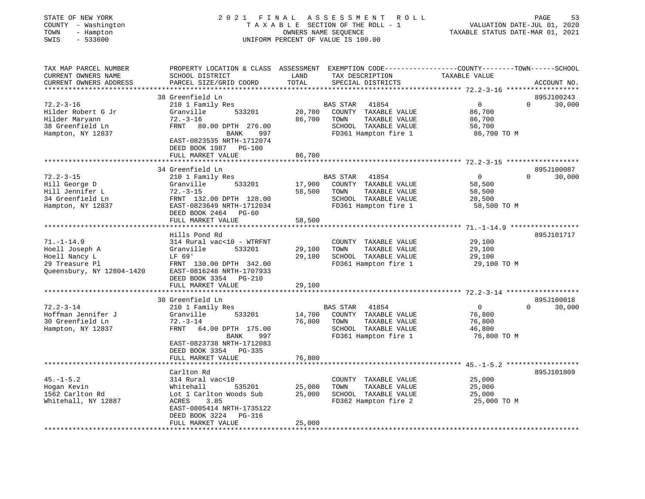| STATE OF NEW YORK<br>COUNTY - Washington<br>- Hampton<br>TOWN<br>$-533600$<br>SWIS                   | ASSESSMENT<br>2021 FINAL<br>ROLL<br>TAXABLE SECTION OF THE ROLL - 1<br>OWNERS NAME SEOUENCE<br>UNIFORM PERCENT OF VALUE IS 100.00 |               |                                      | PAGE<br>53<br>VALUATION DATE-JUL 01, 2020<br>TAXABLE STATUS DATE-MAR 01, 2021                |
|------------------------------------------------------------------------------------------------------|-----------------------------------------------------------------------------------------------------------------------------------|---------------|--------------------------------------|----------------------------------------------------------------------------------------------|
| TAX MAP PARCEL NUMBER<br>CURRENT OWNERS NAME<br>CURRENT OWNERS ADDRESS<br>************************** | PROPERTY LOCATION & CLASS ASSESSMENT<br>SCHOOL DISTRICT<br>PARCEL SIZE/GRID COORD                                                 | LAND<br>TOTAL | TAX DESCRIPTION<br>SPECIAL DISTRICTS | EXEMPTION CODE-----------------COUNTY-------TOWN------SCHOOL<br>TAXABLE VALUE<br>ACCOUNT NO. |
|                                                                                                      | 38 Greenfield Ln                                                                                                                  |               |                                      | 895J100243                                                                                   |
| $72.2 - 3 - 16$                                                                                      | 210 1 Family Res                                                                                                                  |               | <b>BAS STAR</b><br>41854             | $\mathbf 0$<br>0<br>30,000                                                                   |
| Hilder Robert G Jr                                                                                   | 533201<br>Granville                                                                                                               | 20,700        | COUNTY TAXABLE VALUE                 | 86,700                                                                                       |
| Hilder Maryann                                                                                       | $72. - 3 - 16$                                                                                                                    | 86,700        | TOWN<br>TAXABLE VALUE                | 86,700                                                                                       |
| 38 Greenfield Ln                                                                                     | FRNT<br>80.00 DPTH 276.00                                                                                                         |               | SCHOOL TAXABLE VALUE                 | 56,700                                                                                       |
| Hampton, NY 12837                                                                                    | <b>BANK</b><br>997                                                                                                                |               | FD361 Hampton fire 1                 | 86,700 TO M                                                                                  |
|                                                                                                      | EAST-0823535 NRTH-1712074<br>DEED BOOK 1987<br>PG-100                                                                             |               |                                      |                                                                                              |
|                                                                                                      | FULL MARKET VALUE<br>***********************************                                                                          | 86,700        |                                      |                                                                                              |
|                                                                                                      | 34 Greenfield Ln                                                                                                                  |               |                                      | 895J100087                                                                                   |
| $72.2 - 3 - 15$                                                                                      | 210 1 Family Res                                                                                                                  |               | <b>BAS STAR</b><br>41854             | $\overline{0}$<br>30,000<br>0                                                                |
| Hill George D                                                                                        | Granville<br>533201                                                                                                               | 17,900        | COUNTY TAXABLE VALUE                 | 58,500                                                                                       |
| Hill Jennifer L                                                                                      | $72. - 3 - 15$                                                                                                                    | 58,500        | TAXABLE VALUE<br>TOWN                | 58,500                                                                                       |
| 34 Greenfield Ln                                                                                     | FRNT 132.00 DPTH 128.00                                                                                                           |               | SCHOOL TAXABLE VALUE                 | 28,500                                                                                       |
| Hampton, NY 12837                                                                                    | EAST-0823649 NRTH-1712034                                                                                                         |               | FD361 Hampton fire 1                 | 58,500 TO M                                                                                  |
|                                                                                                      | DEED BOOK 2464 PG-60                                                                                                              |               |                                      |                                                                                              |
|                                                                                                      | FULL MARKET VALUE                                                                                                                 | 58,500        |                                      |                                                                                              |
|                                                                                                      |                                                                                                                                   |               |                                      | *********** 71.-1-14.9 ***************                                                       |
|                                                                                                      | Hills Pond Rd                                                                                                                     |               |                                      | 895J101717                                                                                   |
| $71. - 1 - 14.9$                                                                                     | 314 Rural vac<10 - WTRFNT                                                                                                         |               | COUNTY TAXABLE VALUE                 | 29,100                                                                                       |
| Hoell Joseph A                                                                                       | Granville<br>533201                                                                                                               | 29,100        | TAXABLE VALUE<br>TOWN                | 29,100                                                                                       |
| Hoell Nancy L                                                                                        | LF 69'                                                                                                                            | 29,100        | SCHOOL TAXABLE VALUE                 | 29,100                                                                                       |
| 29 Treasure Pl                                                                                       | FRNT 130.00 DPTH 342.00                                                                                                           |               | FD361 Hampton fire 1                 | 29,100 TO M                                                                                  |
| Queensbury, NY 12804-1420                                                                            | EAST-0816248 NRTH-1707933                                                                                                         |               |                                      |                                                                                              |
|                                                                                                      | DEED BOOK 3354 PG-210                                                                                                             |               |                                      |                                                                                              |
|                                                                                                      | FULL MARKET VALUE<br>********************                                                                                         | 29,100        |                                      |                                                                                              |
|                                                                                                      | 30 Greenfield Ln                                                                                                                  |               |                                      | 895J100018                                                                                   |
| $72.2 - 3 - 14$                                                                                      | 210 1 Family Res                                                                                                                  |               | <b>BAS STAR</b><br>41854             | $\circ$<br>$\Omega$<br>30,000                                                                |
| Hoffman Jennifer J                                                                                   | Granville<br>533201                                                                                                               | 14,700        | COUNTY TAXABLE VALUE                 | 76,800                                                                                       |
| 30 Greenfield Ln                                                                                     | $72. - 3 - 14$                                                                                                                    | 76,800        | TAXABLE VALUE<br>TOWN                | 76,800                                                                                       |
| Hampton, NY 12837                                                                                    | <b>FRNT</b><br>64.00 DPTH 175.00                                                                                                  |               | SCHOOL TAXABLE VALUE                 | 46,800                                                                                       |
|                                                                                                      | <b>BANK</b><br>997                                                                                                                |               | FD361 Hampton fire 1                 | 76,800 TO M                                                                                  |
|                                                                                                      | EAST-0823738 NRTH-1712083                                                                                                         |               |                                      |                                                                                              |
|                                                                                                      | DEED BOOK 3354 PG-335                                                                                                             |               |                                      |                                                                                              |
|                                                                                                      | FULL MARKET VALUE                                                                                                                 | 76,800        |                                      |                                                                                              |
|                                                                                                      |                                                                                                                                   |               |                                      |                                                                                              |
|                                                                                                      | Carlton Rd                                                                                                                        |               |                                      | 895J101809                                                                                   |
| $45. - 1 - 5.2$                                                                                      | 314 Rural vac<10                                                                                                                  |               | COUNTY TAXABLE VALUE                 | 25,000                                                                                       |
| Hogan Kevin                                                                                          | Whitehall<br>535201                                                                                                               | 25,000        | TAXABLE VALUE<br>TOWN                | 25,000                                                                                       |
| 1562 Carlton Rd                                                                                      | Lot 1 Carlton Woods Sub                                                                                                           | 25,000        | SCHOOL TAXABLE VALUE                 | 25,000                                                                                       |
| Whitehall, NY 12887                                                                                  | 3.85<br>ACRES                                                                                                                     |               | FD362 Hampton fire 2                 | 25,000 TO M                                                                                  |
|                                                                                                      | EAST-0805414 NRTH-1735122                                                                                                         |               |                                      |                                                                                              |
|                                                                                                      | DEED BOOK 3224<br>PG-316                                                                                                          |               |                                      |                                                                                              |
|                                                                                                      | FULL MARKET VALUE                                                                                                                 | 25,000        |                                      |                                                                                              |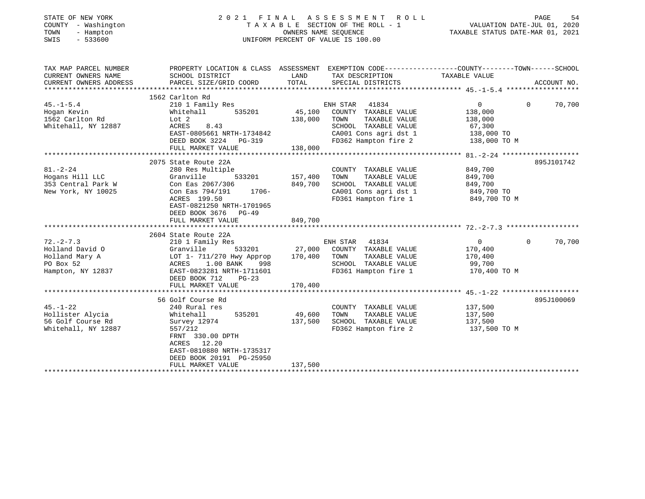| STATE OF NEW YORK<br>COUNTY - Washington<br>TOWN<br>- Hampton<br>SWIS<br>$-533600$     | 2021 FINAL ASSESSMENT ROLL<br>TAXABLE SECTION OF THE ROLL - 1<br>OWNERS NAME SEQUENCE<br>UNIFORM PERCENT OF VALUE IS 100.00                                                                               |                               |                                                                                                                                             | VALUATION DATE-JUL 01, 2020<br>TAXABLE STATUS DATE-MAR 01, 2021              | PAGE<br>54         |
|----------------------------------------------------------------------------------------|-----------------------------------------------------------------------------------------------------------------------------------------------------------------------------------------------------------|-------------------------------|---------------------------------------------------------------------------------------------------------------------------------------------|------------------------------------------------------------------------------|--------------------|
| TAX MAP PARCEL NUMBER<br>CURRENT OWNERS NAME<br>CURRENT OWNERS ADDRESS                 | PROPERTY LOCATION & CLASS ASSESSMENT EXEMPTION CODE----------------COUNTY-------TOWN------SCHOOL<br>SCHOOL DISTRICT<br>PARCEL SIZE/GRID COORD                                                             | LAND<br>TOTAL                 | TAX DESCRIPTION<br>SPECIAL DISTRICTS                                                                                                        | TAXABLE VALUE                                                                | ACCOUNT NO.        |
| $45. - 1 - 5.4$<br>Hogan Kevin<br>1562 Carlton Rd<br>Whitehall, NY 12887               | 1562 Carlton Rd<br>210 1 Family Res<br>535201<br>Whitehall<br>Lot 2<br>ACRES<br>8.43<br>EAST-0805661 NRTH-1734842<br>DEED BOOK 3224<br><b>PG-319</b><br>FULL MARKET VALUE                                 | 45,100<br>138,000<br>138,000  | ENH STAR<br>41834<br>COUNTY TAXABLE VALUE<br>TAXABLE VALUE<br>TOWN<br>SCHOOL TAXABLE VALUE<br>CA001 Cons agri dst 1<br>FD362 Hampton fire 2 | $\overline{0}$<br>138,000<br>138,000<br>67,300<br>138,000 TO<br>138,000 TO M | $\Omega$<br>70,700 |
|                                                                                        |                                                                                                                                                                                                           |                               |                                                                                                                                             |                                                                              |                    |
| $81. - 2 - 24$<br>Hogans Hill LLC<br>353 Central Park W<br>New York, NY 10025          | 2075 State Route 22A<br>280 Res Multiple<br>Granville<br>533201<br>Con Eas 2067/306<br>1706-<br>Con Eas 794/191<br>ACRES 199.50<br>EAST-0821250 NRTH-1701965<br>DEED BOOK 3676 PG-49<br>FULL MARKET VALUE | 157,400<br>849,700<br>849,700 | COUNTY TAXABLE VALUE<br>TOWN<br>TAXABLE VALUE<br>SCHOOL TAXABLE VALUE<br>CA001 Cons agri dst 1<br>FD361 Hampton fire 1                      | 849,700<br>849,700<br>849,700<br>849,700 TO<br>849,700 TO M                  | 895J101742         |
|                                                                                        | 2604 State Route 22A                                                                                                                                                                                      |                               |                                                                                                                                             |                                                                              |                    |
| $72. - 2 - 7.3$<br>Holland David O<br>Holland Mary A<br>PO Box 52<br>Hampton, NY 12837 | 210 1 Family Res<br>533201<br>Granville<br>LOT 1- 711/270 Hwy Approp<br>1.00 BANK<br>ACRES<br>998<br>EAST-0823281 NRTH-1711601<br>$PG-23$                                                                 | 27,000<br>170,400             | ENH STAR<br>41834<br>COUNTY TAXABLE VALUE<br>TOWN<br>TAXABLE VALUE<br>SCHOOL TAXABLE VALUE<br>FD361 Hampton fire 1                          | $\overline{0}$<br>170,400<br>170,400<br>99,700<br>170,400 TO M               | 70,700<br>$\Omega$ |
|                                                                                        | DEED BOOK 712<br>FULL MARKET VALUE                                                                                                                                                                        | 170,400                       |                                                                                                                                             |                                                                              |                    |
|                                                                                        |                                                                                                                                                                                                           |                               |                                                                                                                                             |                                                                              |                    |
| $45. - 1 - 22$<br>Hollister Alycia<br>56 Golf Course Rd<br>Whitehall, NY 12887         | 56 Golf Course Rd<br>240 Rural res<br>Whitehall<br>535201<br>Survey 12974<br>557/212<br>FRNT 330.00 DPTH<br>ACRES<br>12.20<br>EAST-0810880 NRTH-1735317<br>DEED BOOK 20191 PG-25950                       | 49,600<br>137,500             | COUNTY TAXABLE VALUE<br>TOWN<br>TAXABLE VALUE<br>SCHOOL TAXABLE VALUE<br>FD362 Hampton fire 2                                               | 137,500<br>137,500<br>137,500<br>137,500 TO M                                | 895J100069         |
|                                                                                        | FULL MARKET VALUE                                                                                                                                                                                         | 137,500                       |                                                                                                                                             |                                                                              |                    |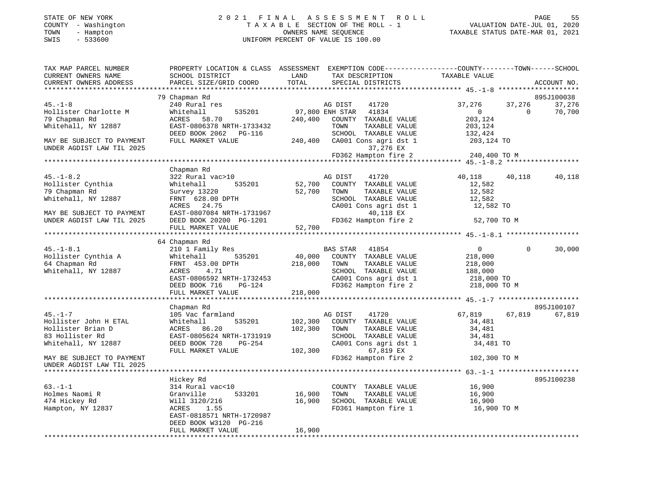#### STATE OF NEW YORK 2 0 2 1 F I N A L A S S E S S M E N T R O L L PAGE 55 COUNTY - Washington T A X A B L E SECTION OF THE ROLL - 1 VALUATION DATE-JUL 01, 2020 TOWN - Hampton OWNERS NAME SEQUENCE TAXABLE STATUS DATE-MAR 01, 2021 SWIS - 533600 UNIFORM PERCENT OF VALUE IS 100.00

| TAX MAP PARCEL NUMBER<br>CURRENT OWNERS NAME<br>CURRENT OWNERS ADDRESS | PROPERTY LOCATION & CLASS ASSESSMENT EXEMPTION CODE----------------COUNTY-------TOWN-----SCHOOL<br>SCHOOL DISTRICT<br>PARCEL SIZE/GRID COORD | LAND<br>TOTAL | TAX DESCRIPTION<br>SPECIAL DISTRICTS                               | TAXABLE VALUE                        |                | ACCOUNT NO.          |
|------------------------------------------------------------------------|----------------------------------------------------------------------------------------------------------------------------------------------|---------------|--------------------------------------------------------------------|--------------------------------------|----------------|----------------------|
|                                                                        |                                                                                                                                              |               |                                                                    |                                      |                |                      |
| $45. - 1 - 8$                                                          | 79 Chapman Rd<br>240 Rural res<br>535201                                                                                                     |               | AG DIST 41720<br>97,800 ENH STAR 41834                             | 37,276                               | 37,276         | 895J100038<br>37,276 |
| Hollister Charlotte M<br>79 Chapman Rd<br>Whitehall, NY 12887          | Whitehall<br>ACRES 58.70<br>EAST-0806378 NRTH-1733432                                                                                        | 240,400       | COUNTY TAXABLE VALUE<br>TOWN<br>TAXABLE VALUE                      | $\overline{0}$<br>203,124<br>203,124 | $\overline{0}$ | 70,700               |
| MAY BE SUBJECT TO PAYMENT<br>UNDER AGDIST LAW TIL 2025                 | DEED BOOK 2062 PG-116<br>FULL MARKET VALUE                                                                                                   |               | SCHOOL TAXABLE VALUE<br>240,400 CA001 Cons agri dst 1<br>37,276 EX | 132,424<br>203,124 TO                |                |                      |
|                                                                        |                                                                                                                                              |               | FD362 Hampton fire 2 240,400 TO M                                  |                                      |                |                      |
|                                                                        |                                                                                                                                              |               |                                                                    |                                      |                |                      |
|                                                                        | Chapman Rd                                                                                                                                   |               |                                                                    |                                      |                |                      |
| $45. - 1 - 8.2$<br>Hollister Cynthia                                   | 322 Rural vac>10<br>535201<br>Whitehall                                                                                                      |               | AG DIST<br>41720<br>52,700 COUNTY TAXABLE VALUE                    | 40,118 40,118<br>12,582              |                | 40,118               |
| 79 Chapman Rd                                                          | Survey 13220                                                                                                                                 | 52,700 TOWN   | TAXABLE VALUE                                                      | 12,582                               |                |                      |
| Whitehall, NY 12887                                                    | FRNT 628.00 DPTH                                                                                                                             |               | SCHOOL TAXABLE VALUE                                               | 12,582                               |                |                      |
|                                                                        | ACRES 24.75                                                                                                                                  |               | SCHOOL TAXABLE VALUE 12,582<br>CA001 Cons agri dst 1 12,582 TO     |                                      |                |                      |
| MAY BE SUBJECT TO PAYMENT                                              | EAST-0807084 NRTH-1731967                                                                                                                    |               | 40,118 EX                                                          |                                      |                |                      |
| UNDER AGDIST LAW TIL 2025                                              | DEED BOOK 20200 PG-1201<br>FULL MARKET VALUE 52,700                                                                                          |               | FD362 Hampton fire 2 52,700 TO M                                   |                                      |                |                      |
|                                                                        |                                                                                                                                              | 52,700        |                                                                    |                                      |                |                      |
|                                                                        | 64 Chapman Rd                                                                                                                                |               |                                                                    |                                      |                |                      |
| $45. - 1 - 8.1$                                                        | 210 1 Family Res                                                                                                                             |               | BAS STAR 41854                                                     | $0 \qquad \qquad$                    | $\Omega$       | 30,000               |
| Hollister Cynthia A                                                    | Whitehall<br>535201                                                                                                                          | 40,000        | COUNTY TAXABLE VALUE                                               | 218,000                              |                |                      |
| 64 Chapman Rd                                                          | FRNT 453.00 DPTH                                                                                                                             | 218,000       | TOWN<br>TAXABLE VALUE                                              | 218,000                              |                |                      |
| Whitehall, NY 12887                                                    | ACRES<br>4.71                                                                                                                                |               | SCHOOL TAXABLE VALUE                                               | 188,000                              |                |                      |
|                                                                        | EAST-0806592 NRTH-1732453                                                                                                                    |               | CA001 Cons agri dst 1                                              | 218,000 TO                           |                |                      |
|                                                                        | DEED BOOK 716<br>PG-124                                                                                                                      |               | FD362 Hampton fire 2 218,000 TO M                                  |                                      |                |                      |
|                                                                        | FULL MARKET VALUE                                                                                                                            | 218,000       |                                                                    |                                      |                |                      |
|                                                                        |                                                                                                                                              |               |                                                                    |                                      |                |                      |
| $45. - 1 - 7$                                                          | Chapman Rd                                                                                                                                   |               |                                                                    |                                      |                | 895J100107           |
|                                                                        | 105 Vac farmland                                                                                                                             | 102,300       | AG DIST<br>41720                                                   | 67,819                               | 67,819         | 67,819               |
| Hollister John H ETAL                                                  | 535201<br>Whitehall                                                                                                                          |               | COUNTY TAXABLE VALUE                                               | 34,481                               |                |                      |
| Hollister Brian D<br>83 Hollister Rd                                   | ACRES 86.20<br>EAST-0805624 NRTH-1731919                                                                                                     | 102,300       | TOWN<br>TAXABLE VALUE<br>SCHOOL TAXABLE VALUE                      | 34,481                               |                |                      |
| Whitehall, NY 12887                                                    | DEED BOOK 728<br>PG-254                                                                                                                      |               | CA001 Cons agri dst 1                                              | 34,481<br>34,481 TO                  |                |                      |
|                                                                        | FULL MARKET VALUE                                                                                                                            | 102,300       | 67,819 EX                                                          |                                      |                |                      |
| MAY BE SUBJECT TO PAYMENT                                              |                                                                                                                                              |               | FD362 Hampton fire 2                                               | 102,300 TO M                         |                |                      |
| UNDER AGDIST LAW TIL 2025                                              |                                                                                                                                              |               |                                                                    |                                      |                |                      |
|                                                                        | Hickey Rd                                                                                                                                    |               |                                                                    |                                      |                | 895J100238           |
| $63. - 1 - 1$                                                          | 314 Rural vac<10                                                                                                                             |               | COUNTY TAXABLE VALUE                                               | 16,900                               |                |                      |
| Holmes Naomi R                                                         | 533201<br>Granville                                                                                                                          | 16,900        | TOWN<br>TAXABLE VALUE                                              | 16,900                               |                |                      |
| 474 Hickey Rd                                                          | Will 3120/216                                                                                                                                | 16,900        | SCHOOL TAXABLE VALUE 16,900                                        |                                      |                |                      |
| Hampton, NY 12837                                                      | ACRES 1.55                                                                                                                                   |               | FD361 Hampton fire 1                                               | 16,900 TO M                          |                |                      |
|                                                                        | EAST-0818571 NRTH-1720987                                                                                                                    |               |                                                                    |                                      |                |                      |
|                                                                        | DEED BOOK W3120 PG-216                                                                                                                       |               |                                                                    |                                      |                |                      |
|                                                                        | FULL MARKET VALUE                                                                                                                            | 16,900        |                                                                    |                                      |                |                      |
|                                                                        |                                                                                                                                              |               |                                                                    |                                      |                |                      |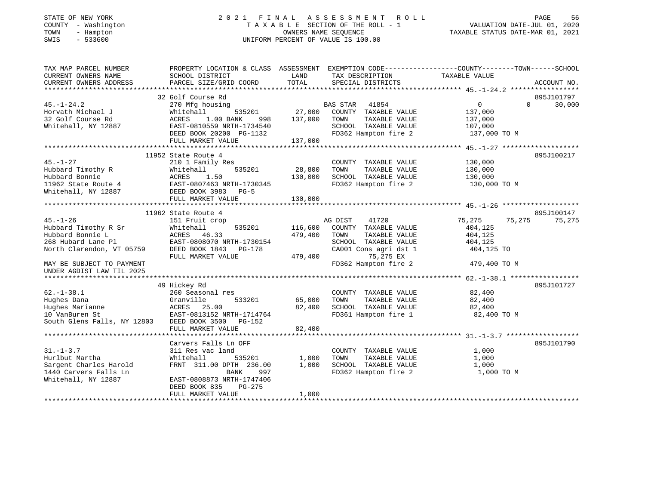| STATE OF NEW YORK    |  |                   |  |
|----------------------|--|-------------------|--|
| COUNTY               |  | - Washington      |  |
| TOWN                 |  | - Hampton         |  |
| $\sim$ $\sim$ $\sim$ |  | $F \cap T \cap A$ |  |

#### STATE OF NEW YORK 2 0 2 1 F I N A L A S S E S S M E N T R O L L PAGE 56T A X A B L E SECTION OF THE ROLL - 1<br>OWNERS NAME SEQUENCE SWIS - 533600 UNIFORM PERCENT OF VALUE IS 100.00

| TAX MAP PARCEL NUMBER<br>CURRENT OWNERS NAME | SCHOOL DISTRICT                                  | LAND    | TAX DESCRIPTION                               | PROPERTY LOCATION & CLASS ASSESSMENT EXEMPTION CODE---------------COUNTY-------TOWN-----SCHOOL<br>TAXABLE VALUE |             |
|----------------------------------------------|--------------------------------------------------|---------|-----------------------------------------------|-----------------------------------------------------------------------------------------------------------------|-------------|
| CURRENT OWNERS ADDRESS                       | PARCEL SIZE/GRID COORD                           | TOTAL   | SPECIAL DISTRICTS                             |                                                                                                                 | ACCOUNT NO. |
|                                              |                                                  |         |                                               |                                                                                                                 |             |
|                                              | 32 Golf Course Rd                                |         |                                               |                                                                                                                 | 895J101797  |
| $45. - 1 - 24.2$                             | 270 Mfg housing                                  | 27,000  | <b>BAS STAR</b><br>41854                      | $\overline{0}$<br>$\Omega$                                                                                      | 30,000      |
| Horvath Michael J<br>32 Golf Course Rd       | Whitehall<br>535201<br>ACRES<br>1.00 BANK<br>998 | 137,000 | COUNTY TAXABLE VALUE<br>TOWN<br>TAXABLE VALUE | 137,000<br>137,000                                                                                              |             |
| Whitehall, NY 12887                          | EAST-0810559 NRTH-1734540                        |         | SCHOOL TAXABLE VALUE                          | 107,000                                                                                                         |             |
|                                              | DEED BOOK 20200 PG-1132                          |         | FD362 Hampton fire 2                          | 137,000 TO M                                                                                                    |             |
|                                              | FULL MARKET VALUE                                | 137,000 |                                               |                                                                                                                 |             |
|                                              |                                                  |         |                                               |                                                                                                                 |             |
|                                              | 11952 State Route 4                              |         |                                               |                                                                                                                 | 895J100217  |
| $45. - 1 - 27$                               | 210 1 Family Res                                 |         | COUNTY TAXABLE VALUE                          | 130,000                                                                                                         |             |
| Hubbard Timothy R                            | 535201<br>Whitehall                              | 28,800  | TAXABLE VALUE<br>TOWN                         | 130,000                                                                                                         |             |
| Hubbard Bonnie                               | ACRES<br>1.50                                    | 130,000 | SCHOOL TAXABLE VALUE                          | 130,000                                                                                                         |             |
| 11962 State Route 4                          | EAST-0807463 NRTH-1730345                        |         | FD362 Hampton fire 2                          | 130,000 TO M                                                                                                    |             |
| Whitehall, NY 12887                          | DEED BOOK 3983<br>$PG-5$                         |         |                                               |                                                                                                                 |             |
|                                              | FULL MARKET VALUE                                | 130,000 |                                               |                                                                                                                 |             |
|                                              |                                                  |         |                                               |                                                                                                                 |             |
|                                              | 11962 State Route 4                              |         |                                               |                                                                                                                 | 895J100147  |
| $45. - 1 - 26$                               | 151 Fruit crop                                   |         | AG DIST<br>41720                              | 75,275<br>75,275                                                                                                | 75,275      |
| Hubbard Timothy R Sr                         | 535201<br>Whitehall                              | 116,600 | COUNTY TAXABLE VALUE                          | 404,125                                                                                                         |             |
| Hubbard Bonnie L                             | ACRES 46.33                                      | 479,400 | TOWN<br>TAXABLE VALUE                         | 404,125                                                                                                         |             |
| 268 Hubard Lane Pl                           | EAST-0808070 NRTH-1730154                        |         | SCHOOL TAXABLE VALUE                          | 404,125                                                                                                         |             |
| North Clarendon, VT 05759                    | DEED BOOK 1843<br>PG-178                         |         | CA001 Cons agri dst 1                         | 404,125 TO                                                                                                      |             |
|                                              | FULL MARKET VALUE                                | 479,400 | 75,275 EX                                     |                                                                                                                 |             |
| MAY BE SUBJECT TO PAYMENT                    |                                                  |         | FD362 Hampton fire 2                          | 479,400 TO M                                                                                                    |             |
| UNDER AGDIST LAW TIL 2025                    |                                                  |         |                                               |                                                                                                                 |             |
|                                              |                                                  |         |                                               |                                                                                                                 |             |
|                                              | 49 Hickey Rd                                     |         |                                               |                                                                                                                 | 895J101727  |
| $62. - 1 - 38.1$                             | 260 Seasonal res                                 |         | COUNTY TAXABLE VALUE                          | 82,400                                                                                                          |             |
| Hughes Dana                                  | 533201<br>Granville                              | 65,000  | TAXABLE VALUE<br>TOWN                         | 82,400                                                                                                          |             |
| Hughes Marianne                              | ACRES 25.00                                      | 82,400  | SCHOOL TAXABLE VALUE                          | 82,400                                                                                                          |             |
| 10 VanBuren St                               | EAST-0813152 NRTH-1714764                        |         | FD361 Hampton fire 1                          | 82,400 TO M                                                                                                     |             |
| South Glens Falls, NY 12803                  | DEED BOOK 3500 PG-152                            |         |                                               |                                                                                                                 |             |
|                                              | FULL MARKET VALUE                                | 82,400  |                                               |                                                                                                                 |             |
|                                              |                                                  |         |                                               |                                                                                                                 |             |
|                                              | Carvers Falls Ln OFF                             |         |                                               |                                                                                                                 | 895J101790  |
| $31. - 1 - 3.7$                              | 311 Res vac land                                 |         | COUNTY TAXABLE VALUE                          | 1,000                                                                                                           |             |
| Hurlbut Martha                               | Whitehall<br>535201                              | 1,000   | TOWN<br>TAXABLE VALUE                         | 1,000                                                                                                           |             |
| Sargent Charles Harold                       | FRNT 311.00 DPTH 236.00                          | 1,000   | SCHOOL TAXABLE VALUE                          | 1,000                                                                                                           |             |
| 1440 Carvers Falls Ln                        | <b>BANK</b><br>997                               |         | FD362 Hampton fire 2                          | 1,000 TO M                                                                                                      |             |
| Whitehall, NY 12887                          | EAST-0808873 NRTH-1747406                        |         |                                               |                                                                                                                 |             |
|                                              | DEED BOOK 835<br>$PG-275$<br>FULL MARKET VALUE   |         |                                               |                                                                                                                 |             |
|                                              |                                                  | 1,000   |                                               |                                                                                                                 |             |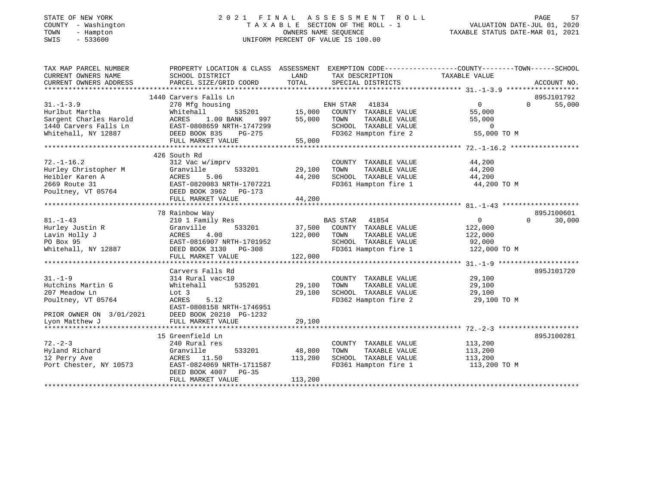| STATE OF NEW YORK    |                   |              |
|----------------------|-------------------|--------------|
| COUNTY               |                   | - Washington |
| TOWN                 | - Hampton         |              |
| $\sim$ $\sim$ $\sim$ | $F \cap T \cap A$ |              |

#### STATE OF NEW YORK 2 0 2 1 F I N A L A S S E S S M E N T R O L L PAGE 57T A X A B L E SECTION OF THE ROLL - 1<br>OWNERS NAME SEQUENCE SWIS - 533600 UNIFORM PERCENT OF VALUE IS 100.00

| TAX MAP PARCEL NUMBER<br>CURRENT OWNERS NAME<br>CURRENT OWNERS ADDRESS                                      | PROPERTY LOCATION & CLASS ASSESSMENT EXEMPTION CODE---------------COUNTY-------TOWN-----SCHOOL<br>SCHOOL DISTRICT<br>PARCEL SIZE/GRID COORD                               | LAND<br>TOTAL                     | TAX DESCRIPTION TAXABLE VALUE<br>SPECIAL DISTRICTS                                                                               |                                                                | ACCOUNT NO.                      |
|-------------------------------------------------------------------------------------------------------------|---------------------------------------------------------------------------------------------------------------------------------------------------------------------------|-----------------------------------|----------------------------------------------------------------------------------------------------------------------------------|----------------------------------------------------------------|----------------------------------|
| $31. - 1 - 3.9$<br>Hurlbut Martha<br>Sargent Charles Harold<br>1440 Carvers Falls Ln<br>Whitehall, NY 12887 | 1440 Carvers Falls Ln<br>270 Mfg housing<br>Whitehall<br>ACRES<br>$1.00$ BANK<br>997<br>EAST-0808659 NRTH-1747299<br>DEED BOOK 835<br>PG-275<br>FULL MARKET VALUE         | 535201 15,000<br>55,000<br>55,000 | ENH STAR 41834<br>COUNTY TAXABLE VALUE<br>TOWN<br>TAXABLE VALUE<br>SCHOOL TAXABLE VALUE<br>FD362 Hampton fire 2                  | $\Omega$<br>55,000<br>55,000<br>$\overline{0}$<br>55,000 TO M  | 895J101792<br>55,000<br>$\Omega$ |
| $72. - 1 - 16.2$<br>Hurley Christopher M<br>Heibler Karen A<br>2669 Route 31<br>Poultney, VT 05764          | 426 South Rd<br>312 Vac w/imprv<br>533201<br>Granville<br>ACRES<br>5.06<br>EAST-0820083 NRTH-1707221<br>EAST-0820000 111111<br>DEED BOOK 3962 PG-173<br>FULL MARKET VALUE | 29,100<br>44,200<br>44,200        | COUNTY TAXABLE VALUE<br>TAXABLE VALUE<br>TOWN<br>SCHOOL TAXABLE VALUE<br>FD361 Hampton fire 1                                    | 44,200<br>44,200<br>44,200<br>44,200 TO M                      |                                  |
|                                                                                                             | 78 Rainbow Way                                                                                                                                                            |                                   |                                                                                                                                  |                                                                | 895J100601                       |
| $81. - 1 - 43$<br>Hurley Justin R<br>Lavin Holly J<br>PO Box 95<br>Whitehall, NY 12887                      | 210 1 Family Res<br>533201<br>Granville<br>ACRES<br>4.00<br>EAST-0816907 NRTH-1701952<br>DEED BOOK 3130 PG-308<br>FULL MARKET VALUE                                       | 122,000<br>122,000                | <b>BAS STAR</b><br>41854<br>37,500 COUNTY TAXABLE VALUE<br>TOWN<br>TAXABLE VALUE<br>SCHOOL TAXABLE VALUE<br>FD361 Hampton fire 1 | $\overline{0}$<br>122,000<br>122,000<br>92,000<br>122,000 TO M | $\Omega$<br>30,000               |
|                                                                                                             | Carvers Falls Rd                                                                                                                                                          |                                   |                                                                                                                                  |                                                                | 895J101720                       |
| $31. - 1 - 9$<br>Hutchins Martin G<br>207 Meadow Ln<br>Poultney, VT 05764                                   | 314 Rural vac<10<br>535201<br>Whitehall<br>Lot 3<br>ACRES<br>5.12<br>EAST-0808158 NRTH-1746951                                                                            | 29,100<br>29,100                  | COUNTY TAXABLE VALUE<br>TAXABLE VALUE<br>TOWN<br>SCHOOL TAXABLE VALUE<br>FD362 Hampton fire 2                                    | 29,100<br>29,100<br>29,100<br>29,100 TO M                      |                                  |
| PRIOR OWNER ON 3/01/2021<br>Lyon Matthew J                                                                  | DEED BOOK 20210 PG-1232<br>FULL MARKET VALUE                                                                                                                              | 29,100                            |                                                                                                                                  |                                                                |                                  |
|                                                                                                             |                                                                                                                                                                           |                                   |                                                                                                                                  |                                                                |                                  |
|                                                                                                             | 15 Greenfield Ln                                                                                                                                                          |                                   |                                                                                                                                  |                                                                | 895J100281                       |
| $72. - 2 - 3$                                                                                               | 240 Rural res                                                                                                                                                             |                                   | COUNTY TAXABLE VALUE                                                                                                             | 113,200                                                        |                                  |
| Hyland Richard                                                                                              | 533201<br>Granville                                                                                                                                                       | 48,800                            | TOWN<br>TAXABLE VALUE                                                                                                            | 113,200                                                        |                                  |
| 12 Perry Ave<br>Port Chester, NY 10573                                                                      | ACRES 11.50<br>EAST-0824069 NRTH-1711587<br>DEED BOOK 4007<br>PG-35<br>FULL MARKET VALUE                                                                                  | 113,200<br>113,200                | SCHOOL TAXABLE VALUE<br>FD361 Hampton fire 1                                                                                     | 113,200<br>113,200 TO M                                        |                                  |
|                                                                                                             |                                                                                                                                                                           |                                   |                                                                                                                                  |                                                                |                                  |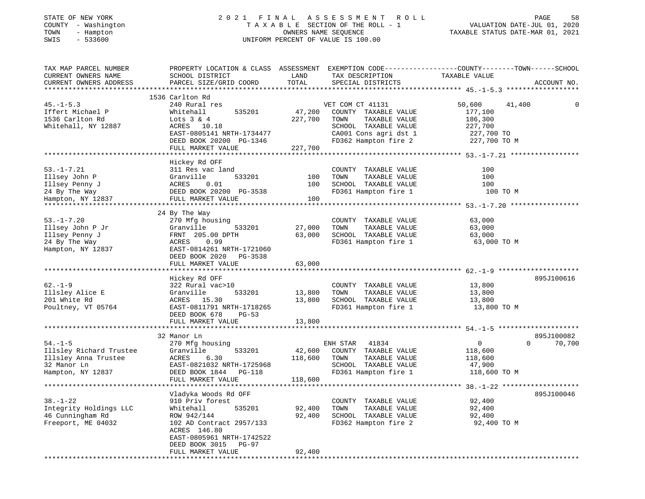| STATE OF NEW YORK<br>COUNTY - Washington<br>TOWN - Hampton<br>SWIS - 533600 |                 | 2021 FINAL ASSESSMEN<br>TAXABLE SECTION OF THE ROL<br>OWNERS NAME SEOUENCE<br>UNIFORM PERCENT OF VALUE IS 100.00 |
|-----------------------------------------------------------------------------|-----------------|------------------------------------------------------------------------------------------------------------------|
| TAX MAP PARCEL NUMBER<br>$C$ האגדג ספסדגיטס סייראים                         | COULON DICEPTOM | PROPERTY LOCATION & CLASS ASSESSMENT EXEMPTION COD<br><b>TANTO</b><br>may prochibe                               |

58

TOWN - Hampton OWNERS NAME SEQUENCE TAXABLE STATUS DATE-MAR 01, 2021

| TAX MAP PARCEL NUMBER                             |                           | LAND    |                       | PROPERTY LOCATION & CLASS ASSESSMENT EXEMPTION CODE----------------COUNTY-------TOWN------SCHOOL<br>TAXABLE VALUE |             |
|---------------------------------------------------|---------------------------|---------|-----------------------|-------------------------------------------------------------------------------------------------------------------|-------------|
| CURRENT OWNERS NAME                               | SCHOOL DISTRICT           |         | TAX DESCRIPTION       |                                                                                                                   |             |
| CURRENT OWNERS ADDRESS<br>*********************** | PARCEL SIZE/GRID COORD    | TOTAL   | SPECIAL DISTRICTS     |                                                                                                                   | ACCOUNT NO. |
|                                                   | 1536 Carlton Rd           |         |                       |                                                                                                                   |             |
| $45. - 1 - 5.3$                                   | 240 Rural res             |         | VET COM CT 41131      | 50,600<br>41,400                                                                                                  |             |
| Iffert Michael P                                  | Whitehall<br>535201       | 47,200  | COUNTY TAXABLE VALUE  | 177,100                                                                                                           |             |
| 1536 Carlton Rd                                   | Lots $3 & 4$              | 227,700 | TOWN<br>TAXABLE VALUE | 186,300                                                                                                           |             |
| Whitehall, NY 12887                               | ACRES<br>10.18            |         | SCHOOL TAXABLE VALUE  | 227,700                                                                                                           |             |
|                                                   | EAST-0805141 NRTH-1734477 |         | CA001 Cons agri dst 1 | 227,700 TO                                                                                                        |             |
|                                                   | DEED BOOK 20200 PG-1346   |         | FD362 Hampton fire 2  | 227,700 TO M                                                                                                      |             |
|                                                   |                           |         |                       |                                                                                                                   |             |
|                                                   | FULL MARKET VALUE         | 227,700 |                       |                                                                                                                   |             |
|                                                   | Hickey Rd OFF             |         |                       |                                                                                                                   |             |
| $53. - 1 - 7.21$                                  | 311 Res vac land          |         | COUNTY TAXABLE VALUE  | 100                                                                                                               |             |
| Illsey John P                                     | Granville<br>533201       | 100     | TOWN<br>TAXABLE VALUE | 100                                                                                                               |             |
| Illsey Penny J                                    | 0.01<br>ACRES             | 100     | SCHOOL TAXABLE VALUE  | 100                                                                                                               |             |
| 24 By The Way                                     | DEED BOOK 20200 PG-3538   |         | FD361 Hampton fire 1  | 100 TO M                                                                                                          |             |
| Hampton, NY 12837                                 | FULL MARKET VALUE         | 100     |                       |                                                                                                                   |             |
|                                                   |                           |         |                       |                                                                                                                   |             |
|                                                   | 24 By The Way             |         |                       |                                                                                                                   |             |
| $53. - 1 - 7.20$                                  | 270 Mfg housing           |         | COUNTY TAXABLE VALUE  | 63,000                                                                                                            |             |
| Illsey John P Jr                                  | Granville<br>533201       | 27,000  | TOWN<br>TAXABLE VALUE | 63,000                                                                                                            |             |
| Illsey Penny J                                    | FRNT 205.00 DPTH          | 63,000  | SCHOOL TAXABLE VALUE  | 63,000                                                                                                            |             |
| 24 By The Way                                     | ACRES<br>0.99             |         | FD361 Hampton fire 1  | 63,000 TO M                                                                                                       |             |
| Hampton, NY 12837                                 | EAST-0814261 NRTH-1721060 |         |                       |                                                                                                                   |             |
|                                                   | DEED BOOK 2020 PG-3538    |         |                       |                                                                                                                   |             |
|                                                   | FULL MARKET VALUE         | 63,000  |                       |                                                                                                                   |             |
|                                                   |                           |         |                       |                                                                                                                   |             |
|                                                   | Hickey Rd OFF             |         |                       |                                                                                                                   | 895J100616  |
| $62 - 1 - 9$                                      | 322 Rural vac>10          |         | COUNTY TAXABLE VALUE  | 13,800                                                                                                            |             |
| Illsley Alice E                                   | 533201<br>Granville       | 13,800  | TAXABLE VALUE<br>TOWN | 13,800                                                                                                            |             |
| 201 White Rd                                      | ACRES 15.30               | 13,800  | SCHOOL TAXABLE VALUE  | 13,800                                                                                                            |             |
| Poultney, VT 05764                                | EAST-0811791 NRTH-1718265 |         | FD361 Hampton fire 1  | 13,800 TO M                                                                                                       |             |
|                                                   | DEED BOOK 678<br>$PG-53$  |         |                       |                                                                                                                   |             |
|                                                   | FULL MARKET VALUE         | 13,800  |                       |                                                                                                                   |             |
|                                                   |                           |         |                       |                                                                                                                   |             |
|                                                   | 32 Manor Ln               |         |                       |                                                                                                                   | 895J100082  |
| $54. - 1 - 5$                                     | 270 Mfg housing           |         | ENH STAR 41834        | $\overline{0}$<br>$\Omega$                                                                                        | 70,700      |
| Illsley Richard Trustee                           | 533201<br>Granville       | 42,600  | COUNTY TAXABLE VALUE  | 118,600                                                                                                           |             |
| Illsley Anna Trustee                              | ACRES<br>6.30             | 118,600 | TOWN<br>TAXABLE VALUE | 118,600                                                                                                           |             |
| 32 Manor Ln                                       | EAST-0821032 NRTH-1725968 |         | SCHOOL TAXABLE VALUE  | 47,900                                                                                                            |             |
| Hampton, NY 12837                                 | DEED BOOK 1844 PG-118     |         | FD361 Hampton fire 1  | 118,600 TO M                                                                                                      |             |
|                                                   | FULL MARKET VALUE         | 118,600 |                       |                                                                                                                   |             |
|                                                   |                           |         |                       |                                                                                                                   |             |
|                                                   | Vladyka Woods Rd OFF      |         |                       |                                                                                                                   | 895J100046  |
| $38. - 1 - 22$                                    | 910 Priv forest           |         | COUNTY TAXABLE VALUE  | 92,400                                                                                                            |             |
| Integrity Holdings LLC                            | 535201<br>Whitehall       | 92,400  | TAXABLE VALUE<br>TOWN | 92,400                                                                                                            |             |
| 46 Cunningham Rd                                  | ROW 942/144               | 92,400  | SCHOOL TAXABLE VALUE  | 92,400                                                                                                            |             |
| Freeport, ME 04032                                | 102 AD Contract 2957/133  |         | FD362 Hampton fire 2  | 92,400 TO M                                                                                                       |             |
|                                                   | ACRES 146.80              |         |                       |                                                                                                                   |             |
|                                                   | EAST-0805961 NRTH-1742522 |         |                       |                                                                                                                   |             |
|                                                   | DEED BOOK 3015<br>PG-97   |         |                       |                                                                                                                   |             |
|                                                   | FULL MARKET VALUE         | 92,400  |                       |                                                                                                                   |             |
|                                                   |                           |         |                       |                                                                                                                   |             |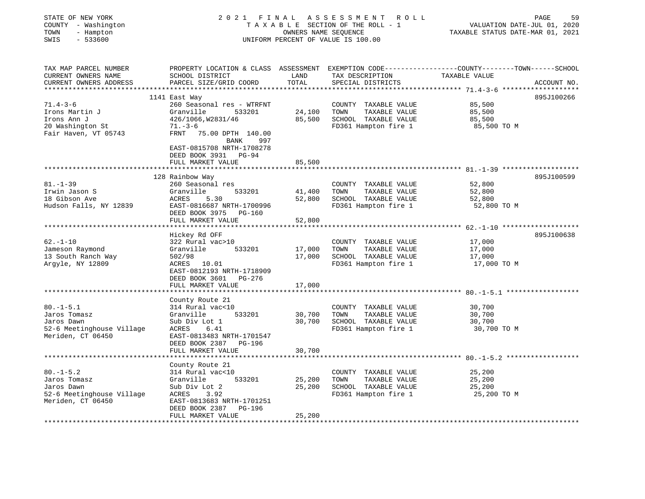| STATE OF NEW YORK<br>COUNTY - Washington<br>TOWN<br>- Hampton<br>SWIS<br>$-533600$ | 2021 FINAL                                                                            | OWNERS NAME SEQUENCE | ASSESSMENT ROLL<br>TAXABLE SECTION OF THE ROLL - 1<br>UNIFORM PERCENT OF VALUE IS 100.00 | PAGE<br>59<br>VALUATION DATE-JUL 01, 2020<br>TAXABLE STATUS DATE-MAR 01, 2021                                                   |
|------------------------------------------------------------------------------------|---------------------------------------------------------------------------------------|----------------------|------------------------------------------------------------------------------------------|---------------------------------------------------------------------------------------------------------------------------------|
| TAX MAP PARCEL NUMBER<br>CURRENT OWNERS NAME<br>CURRENT OWNERS ADDRESS             | SCHOOL DISTRICT<br>PARCEL SIZE/GRID COORD                                             | LAND<br>TOTAL        | TAX DESCRIPTION<br>SPECIAL DISTRICTS                                                     | PROPERTY LOCATION & CLASS ASSESSMENT EXEMPTION CODE---------------COUNTY-------TOWN------SCHOOL<br>TAXABLE VALUE<br>ACCOUNT NO. |
|                                                                                    | 1141 East Way                                                                         |                      |                                                                                          | 895J100266                                                                                                                      |
| $71.4 - 3 - 6$                                                                     | 260 Seasonal res - WTRFNT                                                             |                      | COUNTY TAXABLE VALUE                                                                     | 85,500                                                                                                                          |
| Irons Martin J                                                                     | Granville<br>533201                                                                   | 24,100               | TOWN<br>TAXABLE VALUE                                                                    | 85,500                                                                                                                          |
| Irons Ann J                                                                        | 426/1066, W2831/46                                                                    | 85,500               | SCHOOL TAXABLE VALUE                                                                     | 85,500                                                                                                                          |
| 20 Washington St                                                                   | $71. - 3 - 6$                                                                         |                      | FD361 Hampton fire 1                                                                     | 85,500 TO M                                                                                                                     |
| Fair Haven, VT 05743                                                               | FRNT 75.00 DPTH 140.00                                                                |                      |                                                                                          |                                                                                                                                 |
|                                                                                    | BANK<br>997<br>EAST-0815708 NRTH-1708278<br>DEED BOOK 3931 PG-94<br>FULL MARKET VALUE | 85,500               |                                                                                          |                                                                                                                                 |
|                                                                                    |                                                                                       |                      |                                                                                          |                                                                                                                                 |
| $81. - 1 - 39$                                                                     | 128 Rainbow Way<br>260 Seasonal res                                                   |                      | COUNTY TAXABLE VALUE                                                                     | 895J100599<br>52,800                                                                                                            |
| Irwin Jason S                                                                      | Granville<br>533201                                                                   | 41,400               | TAXABLE VALUE<br>TOWN                                                                    | 52,800                                                                                                                          |
| 18 Gibson Ave                                                                      | ACRES<br>5.30                                                                         | 52,800               | SCHOOL TAXABLE VALUE                                                                     | 52,800                                                                                                                          |
| Hudson Falls, NY 12839                                                             | EAST-0816687 NRTH-1700996                                                             |                      | FD361 Hampton fire 1                                                                     | 52,800 TO M                                                                                                                     |
|                                                                                    | DEED BOOK 3975 PG-160                                                                 |                      |                                                                                          |                                                                                                                                 |
|                                                                                    | FULL MARKET VALUE                                                                     | 52,800               |                                                                                          |                                                                                                                                 |
|                                                                                    | Hickey Rd OFF                                                                         |                      |                                                                                          | 895J100638                                                                                                                      |
| $62. - 1 - 10$                                                                     | 322 Rural vac>10                                                                      |                      | COUNTY TAXABLE VALUE                                                                     | 17,000                                                                                                                          |
| Jameson Raymond                                                                    | Granville<br>533201                                                                   | 17,000               | TOWN<br>TAXABLE VALUE                                                                    | 17,000                                                                                                                          |
| 13 South Ranch Way                                                                 | 502/98                                                                                | 17,000               | SCHOOL TAXABLE VALUE                                                                     | 17,000                                                                                                                          |
| Argyle, NY 12809                                                                   | 10.01<br>ACRES                                                                        |                      | FD361 Hampton fire 1                                                                     | 17,000 TO M                                                                                                                     |
|                                                                                    | EAST-0812193 NRTH-1718909                                                             |                      |                                                                                          |                                                                                                                                 |
|                                                                                    | DEED BOOK 3601 PG-276                                                                 |                      |                                                                                          |                                                                                                                                 |
|                                                                                    | FULL MARKET VALUE                                                                     | 17,000               |                                                                                          |                                                                                                                                 |
|                                                                                    |                                                                                       |                      |                                                                                          |                                                                                                                                 |
|                                                                                    | County Route 21                                                                       |                      |                                                                                          |                                                                                                                                 |
| $80. -1 - 5.1$                                                                     | 314 Rural vac<10                                                                      |                      | COUNTY TAXABLE VALUE                                                                     | 30,700                                                                                                                          |
| Jaros Tomasz                                                                       | 533201<br>Granville                                                                   | 30,700               | TAXABLE VALUE<br>TOWN                                                                    | 30,700                                                                                                                          |
| Jaros Dawn                                                                         | Sub Div Lot 1                                                                         | 30,700               | SCHOOL TAXABLE VALUE                                                                     | 30,700                                                                                                                          |
| 52-6 Meetinghouse Village                                                          | ACRES<br>6.41                                                                         |                      | FD361 Hampton fire 1                                                                     | 30,700 TO M                                                                                                                     |
| Meriden, CT 06450                                                                  | EAST-0813483 NRTH-1701547                                                             |                      |                                                                                          |                                                                                                                                 |
|                                                                                    | DEED BOOK 2387 PG-196                                                                 |                      |                                                                                          |                                                                                                                                 |
|                                                                                    | FULL MARKET VALUE                                                                     | 30,700               |                                                                                          |                                                                                                                                 |
|                                                                                    |                                                                                       |                      |                                                                                          |                                                                                                                                 |
|                                                                                    | County Route 21                                                                       |                      |                                                                                          |                                                                                                                                 |
| $80. - 1 - 5.2$                                                                    | 314 Rural vac<10                                                                      |                      | COUNTY TAXABLE VALUE                                                                     | 25,200                                                                                                                          |
| Jaros Tomasz                                                                       | Granville<br>533201                                                                   | 25,200               | TOWN<br>TAXABLE VALUE                                                                    | 25,200                                                                                                                          |
| Jaros Dawn                                                                         | Sub Div Lot 2                                                                         | 25,200               | SCHOOL TAXABLE VALUE                                                                     | 25,200                                                                                                                          |
| 52-6 Meetinghouse Village                                                          | ACRES<br>3.92                                                                         |                      | FD361 Hampton fire 1                                                                     | 25,200 TO M                                                                                                                     |
| Meriden, CT 06450                                                                  | EAST-0813683 NRTH-1701251                                                             |                      |                                                                                          |                                                                                                                                 |
|                                                                                    | DEED BOOK 2387<br>PG-196<br>FULL MARKET VALUE                                         | 25,200               |                                                                                          |                                                                                                                                 |
|                                                                                    |                                                                                       |                      |                                                                                          |                                                                                                                                 |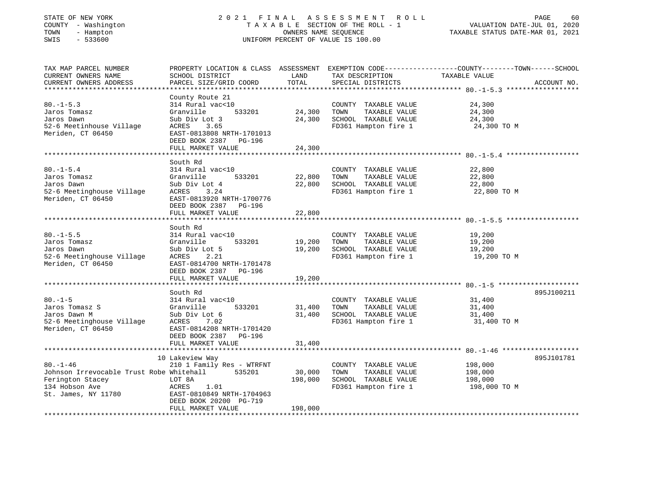#### STATE OF NEW YORK 2 0 2 1 F I N A L A S S E S S M E N T R O L L PAGE 60COUNTY - Washington T A X A B L E SECTION OF THE ROLL - 1 TOWN - Hampton OWNERS NAME SEQUENCE TAXABLE STATUS DATE-MAR 01, 2021 UNIFORM PERCENT OF VALUE IS 100.00

TAX MAP PARCEL NUMBER PROPERTY LOCATION & CLASS ASSESSMENT EXEMPTION CODE---------------COUNTY-------TOWN------SCHOOL

VALUATION DATE-JUL 01, 2020

CURRENT OWNERS NAME SCHOOL DISTRICT AND TAX DESCRIPTION TAXABLE VALUE CURRENT OWNERS ADDRESS **EXELUS PARCEL SIZE/GRID COORD** TOTAL SPECIAL DISTRICTS TO THE SPECIAL OUR BECOUNT NO. \*\*\*\*\*\*\*\*\*\*\*\*\*\*\*\*\*\*\*\*\*\*\*\*\*\*\*\*\*\*\*\*\*\*\*\*\*\*\*\*\*\*\*\*\*\*\*\*\*\*\*\*\*\*\*\*\*\*\*\*\*\*\*\*\*\*\*\*\*\*\*\*\*\*\*\*\*\*\*\*\*\*\*\*\*\*\*\*\*\*\*\*\*\*\*\*\*\*\*\*\*\*\* 80.-1-5.3 \*\*\*\*\*\*\*\*\*\*\*\*\*\*\*\*\*\* County Route 21 80.-1-5.3 314 Rural vac<10 COUNTY TAXABLE VALUE 24,300<br>
Jaros Tomasz Granville 533201 24,300 TOWN TAXABLE VALUE 24,300<br>
Jaros Dawn Sub Div Lot 3 24,300 SCHOOL TAXABLE VALUE 24,300<br>
52-6 Meetinhouse Village acres 3.65 ED261 Jaros Tomasz Granville 533201 24,300 TOWN TAXABLE VALUE 24,300 Jaros Dawn Sub Div Lot 3 24,300 SCHOOL TAXABLE VALUE 24,300 52-6 Meetinhouse Village ACRES 3.65 FD361 Hampton fire 1 24,300 TO M Meriden, CT 06450 EAST-0813808 NRTH-1701013 DEED BOOK 2387 PG-196 FULL MARKET VALUE 24,300 \*\*\*\*\*\*\*\*\*\*\*\*\*\*\*\*\*\*\*\*\*\*\*\*\*\*\*\*\*\*\*\*\*\*\*\*\*\*\*\*\*\*\*\*\*\*\*\*\*\*\*\*\*\*\*\*\*\*\*\*\*\*\*\*\*\*\*\*\*\*\*\*\*\*\*\*\*\*\*\*\*\*\*\*\*\*\*\*\*\*\*\*\*\*\*\*\*\*\*\*\*\*\* 80.-1-5.4 \*\*\*\*\*\*\*\*\*\*\*\*\*\*\*\*\*\* South Rd80.-1-5.4 314 Rural vac<10 COUNTY TAXABLE VALUE 22,800 Jaros Tomasz Granville 533201 22,800 TOWN TAXABLE VALUE 22,800 Jaros Dawn Sub Div Lot 4 22,800 SCHOOL TAXABLE VALUE 22,800 52-6 Meetinghouse Village ACRES 3.24 FD361 Hampton fire 1 22,800 TO M Meriden, CT 06450 EAST-0813920 NRTH-1700776 DEED BOOK 2387 PG-196 FULL MARKET VALUE 22,800 \*\*\*\*\*\*\*\*\*\*\*\*\*\*\*\*\*\*\*\*\*\*\*\*\*\*\*\*\*\*\*\*\*\*\*\*\*\*\*\*\*\*\*\*\*\*\*\*\*\*\*\*\*\*\*\*\*\*\*\*\*\*\*\*\*\*\*\*\*\*\*\*\*\*\*\*\*\*\*\*\*\*\*\*\*\*\*\*\*\*\*\*\*\*\*\*\*\*\*\*\*\*\* 80.-1-5.5 \*\*\*\*\*\*\*\*\*\*\*\*\*\*\*\*\*\* South Rd80.-1-5.5 314 Rural vac<10 COUNTY TAXABLE VALUE 19,200 Jaros Tomasz Granville 533201 19,200 TOWN TAXABLE VALUE 19,200 Jaros Dawn Sub Div Lot 5 19,200 SCHOOL TAXABLE VALUE 19,200 52-6 Meetinghouse Village ACRES 2.21 FD361 Hampton fire 1 19,200 TO M Meriden, CT 06450 EAST-0814700 NRTH-1701478 DEED BOOK 2387 PG-196FULL MARKET VALUE 19,200 \*\*\*\*\*\*\*\*\*\*\*\*\*\*\*\*\*\*\*\*\*\*\*\*\*\*\*\*\*\*\*\*\*\*\*\*\*\*\*\*\*\*\*\*\*\*\*\*\*\*\*\*\*\*\*\*\*\*\*\*\*\*\*\*\*\*\*\*\*\*\*\*\*\*\*\*\*\*\*\*\*\*\*\*\*\*\*\*\*\*\*\*\*\*\*\*\*\*\*\*\*\*\* 80.-1-5 \*\*\*\*\*\*\*\*\*\*\*\*\*\*\*\*\*\*\*\* South Rd 895J10021180.-1-5 314 Rural vac<10 COUNTY TAXABLE VALUE 31,400 Jaros Tomasz S Granville 533201 31,400 TOWN TAXABLE VALUE 31,400 Jaros Dawn M Sub Div Lot 6 31,400 SCHOOL TAXABLE VALUE 31,400 52-6 Meetinghouse Village ACRES 7.02 FD361 Hampton fire 1 31,400 TO M Meriden, CT 06450 EAST-0814208 NRTH-1701420 DEED BOOK 2387 PG-196FULL MARKET VALUE 31,400 \*\*\*\*\*\*\*\*\*\*\*\*\*\*\*\*\*\*\*\*\*\*\*\*\*\*\*\*\*\*\*\*\*\*\*\*\*\*\*\*\*\*\*\*\*\*\*\*\*\*\*\*\*\*\*\*\*\*\*\*\*\*\*\*\*\*\*\*\*\*\*\*\*\*\*\*\*\*\*\*\*\*\*\*\*\*\*\*\*\*\*\*\*\*\*\*\*\*\*\*\*\*\* 80.-1-46 \*\*\*\*\*\*\*\*\*\*\*\*\*\*\*\*\*\*\* 10 Lakeview Way 895J101781 80.-1-46 210 1 Family Res - WTRFNT COUNTY TAXABLE VALUE 198,000 Johnson Irrevocable Trust Robe Whitehall 535201 30,000 TOWN TAXABLE VALUE 198,000 Ferington Stacey LOT 8A 198,000 SCHOOL TAXABLE VALUE 198,000 134 Hobson Ave ACRES 1.01 FD361 Hampton fire 1 198,000 TO M St. James, NY 11780 EAST-0810849 NRTH-1704963 DEED BOOK 20200 PG-719FULL MARKET VALUE 198,000 \*\*\*\*\*\*\*\*\*\*\*\*\*\*\*\*\*\*\*\*\*\*\*\*\*\*\*\*\*\*\*\*\*\*\*\*\*\*\*\*\*\*\*\*\*\*\*\*\*\*\*\*\*\*\*\*\*\*\*\*\*\*\*\*\*\*\*\*\*\*\*\*\*\*\*\*\*\*\*\*\*\*\*\*\*\*\*\*\*\*\*\*\*\*\*\*\*\*\*\*\*\*\*\*\*\*\*\*\*\*\*\*\*\*\*\*\*\*\*\*\*\*\*\*\*\*\*\*\*\*\*\*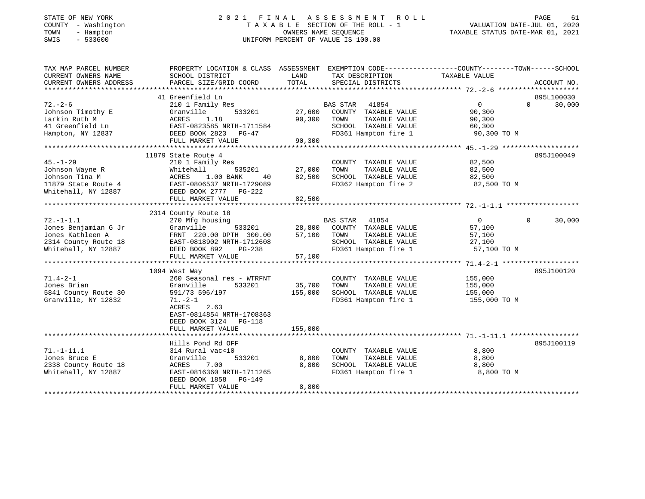# STATE OF NEW YORK 2 0 2 1 F I N A L A S S E S S M E N T R O L L PAGE 61COUNTY - Washington T A X A B L E SECTION OF THE ROLL - 1<br>
TOWN - Hampton DWNERS NAME SEQUENCE<br>
SWIS - 533600 DWIFORM PERCENT OF VALUE IS 100.00 SWIS - 533600 UNIFORM PERCENT OF VALUE IS 100.00

| TAX MAP PARCEL NUMBER<br>CURRENT OWNERS NAME<br>CURRENT OWNERS ADDRESS                                     | PROPERTY LOCATION & CLASS ASSESSMENT<br>SCHOOL DISTRICT<br>PARCEL SIZE/GRID COORD                                                                                                                          | LAND<br>TOTAL                              | EXEMPTION CODE-----------------COUNTY-------TOWN------SCHOOL<br>TAX DESCRIPTION<br>SPECIAL DISTRICTS                      | TAXABLE VALUE                                                                                           | ACCOUNT NO.                      |
|------------------------------------------------------------------------------------------------------------|------------------------------------------------------------------------------------------------------------------------------------------------------------------------------------------------------------|--------------------------------------------|---------------------------------------------------------------------------------------------------------------------------|---------------------------------------------------------------------------------------------------------|----------------------------------|
| $72. - 2 - 6$<br>Johnson Timothy E<br>Larkin Ruth M<br>41 Greenfield Ln<br>Hampton, NY 12837               | 41 Greenfield Ln<br>210 1 Family Res<br>Granville<br>533201<br>1.18<br>ACRES<br>EAST-0823585 NRTH-1711584<br>DEED BOOK 2823 PG-47<br>FULL MARKET VALUE<br>*****************************                    | 27,600<br>90,300<br>90,300<br>************ | <b>BAS STAR</b><br>41854<br>COUNTY TAXABLE VALUE<br>TAXABLE VALUE<br>TOWN<br>SCHOOL TAXABLE VALUE<br>FD361 Hampton fire 1 | $\Omega$<br>90,300<br>90,300<br>60,300<br>90,300 TO M<br>**************** 45.-1-29 ******************** | 895L100030<br>$\Omega$<br>30,000 |
| $45. - 1 - 29$<br>Johnson Wayne R<br>Johnson Tina M<br>11879 State Route 4<br>Whitehall, NY 12887          | 11879 State Route 4<br>210 1 Family Res<br>Whitehall<br>535201<br>ACRES<br>1.00 BANK<br>40<br>EAST-0806537 NRTH-1729089<br>DEED BOOK 2777 PG-222<br>FULL MARKET VALUE                                      | 27,000<br>82,500<br>82,500                 | COUNTY TAXABLE VALUE<br>TOWN<br>TAXABLE VALUE<br>SCHOOL TAXABLE VALUE<br>FD362 Hampton fire 2                             | 82,500<br>82,500<br>82,500<br>82,500 TO M                                                               | 895J100049                       |
| $72. - 1 - 1.1$<br>Jones Benjamian G Jr<br>Jones Kathleen A<br>2314 County Route 18<br>Whitehall, NY 12887 | 2314 County Route 18<br>270 Mfg housing<br>533201<br>Granville<br>FRNT 220.00 DPTH 300.00<br>EAST-0818902 NRTH-1712608<br>DEED BOOK 892<br>PG-238<br>FULL MARKET VALUE                                     | 28,800<br>57,100<br>57,100                 | BAS STAR 41854<br>COUNTY TAXABLE VALUE<br>TAXABLE VALUE<br>TOWN<br>SCHOOL TAXABLE VALUE<br>FD361 Hampton fire 1           | $\overline{0}$<br>57,100<br>57,100<br>27,100<br>57,100 TO M                                             | 30,000<br>$\Omega$               |
| $71.4 - 2 - 1$<br>Jones Brian<br>5841 County Route 30<br>Granville, NY 12832                               | 1094 West Way<br>260 Seasonal res - WTRFNT<br>Granville<br>533201<br>591/73 596/197<br>$71. - 2 - 1$<br>2.63<br>ACRES<br>EAST-0814854 NRTH-1708363<br>DEED BOOK 3124<br><b>PG-118</b><br>FULL MARKET VALUE | 35,700<br>155,000<br>155,000               | COUNTY TAXABLE VALUE<br>TOWN<br>TAXABLE VALUE<br>SCHOOL TAXABLE VALUE<br>FD361 Hampton fire 1                             | 155,000<br>155,000<br>155,000<br>155,000 TO M                                                           | 895J100120                       |
| $71. - 1 - 11.1$<br>Jones Bruce E<br>2338 County Route 18<br>Whitehall, NY 12887                           | Hills Pond Rd OFF<br>314 Rural vac<10<br>Granville<br>533201<br>ACRES<br>7.00<br>EAST-0816360 NRTH-1711265<br>DEED BOOK 1858<br><b>PG-149</b><br>FULL MARKET VALUE                                         | 8,800<br>8,800<br>8,800                    | COUNTY TAXABLE VALUE<br>TOWN<br>TAXABLE VALUE<br>SCHOOL TAXABLE VALUE<br>FD361 Hampton fire 1                             | 8,800<br>8,800<br>8,800<br>8,800 TO M                                                                   | 895J100119                       |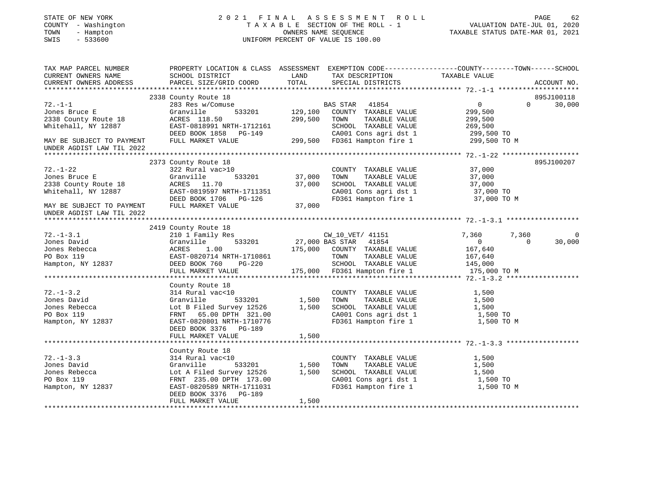| STATE OF NEW YORK<br>COUNTY - Washington<br>TOWN<br>- Hampton<br>SWIS<br>$-533600$                                                                         |                                                                                                                                                                                                 |                            | 2021 FINAL ASSESSMENT ROLL<br>T A X A B L E SECTION OF THE ROLL - 1<br>OWNERS NAME SEQUENCE<br>OWNERS NAME SEQUENCE<br>UNIFORM PERCENT OF VALUE IS 100.00    | VALUATION DATE-JUL 01, 2020<br>TAXABLE STATUS DATE-MAR 01, 2021                                                  | PAGE<br>62           |
|------------------------------------------------------------------------------------------------------------------------------------------------------------|-------------------------------------------------------------------------------------------------------------------------------------------------------------------------------------------------|----------------------------|--------------------------------------------------------------------------------------------------------------------------------------------------------------|------------------------------------------------------------------------------------------------------------------|----------------------|
| TAX MAP PARCEL NUMBER<br>CURRENT OWNERS NAME<br>CURRENT OWNERS ADDRESS                                                                                     | SCHOOL DISTRICT<br>PARCEL SIZE/GRID COORD                                                                                                                                                       | LAND<br>TOTAL              | TAX DESCRIPTION<br>SPECIAL DISTRICTS                                                                                                                         | PROPERTY LOCATION & CLASS ASSESSMENT EXEMPTION CODE---------------COUNTY-------TOWN------SCHOOL<br>TAXABLE VALUE | ACCOUNT NO.          |
| $72. - 1 - 1$<br>Jones Bruce E<br>2338 County Route 18<br>Whitehall, NY 12887<br>MAY BE SUBJECT TO PAYMENT<br>UNDER AGDIST LAW TIL 2022                    | 2338 County Route 18<br>283 Res w/Comuse<br>533201<br>Granville<br>ACRES 118.50<br>EAST-0818991 NRTH-1712161<br>DEED BOOK 1858 PG-149<br>FULL MARKET VALUE                                      | 129,100<br>299,500         | BAS STAR 41854<br>COUNTY TAXABLE VALUE<br>TAXABLE VALUE<br>TOWN<br>SCHOOL TAXABLE VALUE<br>CA001 Cons agri dst 1<br>299,500 FD361 Hampton fire 1             | $0 \qquad \qquad$<br>$\Omega$<br>299,500<br>299,500<br>269,500<br>299,500 TO<br>299,500 TO M                     | 895J100118<br>30,000 |
| $72. - 1 - 22$<br>Jones Bruce E<br>2338 County Route 18<br>Whitehall, NY 12887<br>MAY BE SUBJECT TO PAYMENT FULL MARKET VALUE<br>UNDER AGDIST LAW TIL 2022 | 2373 County Route 18<br>322 Rural vac>10<br>Granville<br>533201<br>ACRES 11.70<br>EAST-0819597 NRTH-1711351<br>DEED BOOK 1706 PG-126                                                            | 37,000<br>37,000<br>37,000 | COUNTY TAXABLE VALUE<br>TAXABLE VALUE<br>TOWN<br>SCHOOL TAXABLE VALUE<br>CA001 Cons agri dst 1<br>FD361 Hampton fire 1                                       | 37,000<br>37,000<br>37,000<br>37,000 TO<br>37,000 TO M                                                           | 895J100207           |
| $72. - 1 - 3.1$<br>Jones David<br>Jones Rebecca<br>PO Box 119<br>Hampton, NY 12837                                                                         | 2419 County Route 18<br>210 1 Family Res<br>533201<br>Granville<br>1.00<br>ACRES<br>EAST-0820714 NRTH-1710861<br>DEED BOOK 760 PG-220<br>DEED BOOK 760<br>PG-220<br>FULL MARKET VALUE           |                            | CW_10_VET/ 41151<br>27,000 BAS STAR 41854<br>175,000 COUNTY TAXABLE VALUE<br>TOWN<br>TAXABLE VALUE<br>SCHOOL TAXABLE VALUE<br>$175,000$ FD361 Hampton fire 1 | 7,360<br>7,360<br>$\overline{0}$<br>$\Omega$<br>167,640<br>167,640<br>145,000<br>175,000 TO M                    | 0<br>30,000          |
| $72. - 1 - 3.2$<br>Jones David<br>Jones Rebecca<br>PO Box 119<br>Hampton, NY 12837                                                                         | County Route 18<br>314 Rural vac<10<br>Granville<br>533201<br>Lot B Filed Survey 12526<br>FRNT 65.00 DPTH 321.00<br>EAST-0820801 NRTH-1710776<br>DEED BOOK 3376 PG-189<br>FULL MARKET VALUE     | 1,500<br>1,500<br>1,500    | COUNTY TAXABLE VALUE<br>TAXABLE VALUE<br>TOWN<br>SCHOOL TAXABLE VALUE<br>CA001 Cons agri dst 1<br>FD361 Hampton fire 1                                       | 1,500<br>1,500<br>1,500<br>1,500 TO<br>1,500 TO M                                                                |                      |
| $72. - 1 - 3.3$<br>Jones David<br>Jones Rebecca<br>PO Box 119<br>Hampton, NY 12837                                                                         | County Route 18<br>314 Rural vac<10<br>533201<br>Granville<br>Lot A Filed Survey 12526<br>FRNT 235.00 DPTH 173.00<br>EAST-0820589 NRTH-1711031<br>DEED BOOK 3376<br>PG-189<br>FULL MARKET VALUE | 1,500<br>1,500<br>1,500    | COUNTY TAXABLE VALUE<br>TAXABLE VALUE<br>TOWN<br>SCHOOL TAXABLE VALUE<br>CA001 Cons agri dst 1<br>FD361 Hampton fire 1                                       | 1,500<br>1,500<br>1,500<br>1,500 TO<br>1,500 TO M                                                                |                      |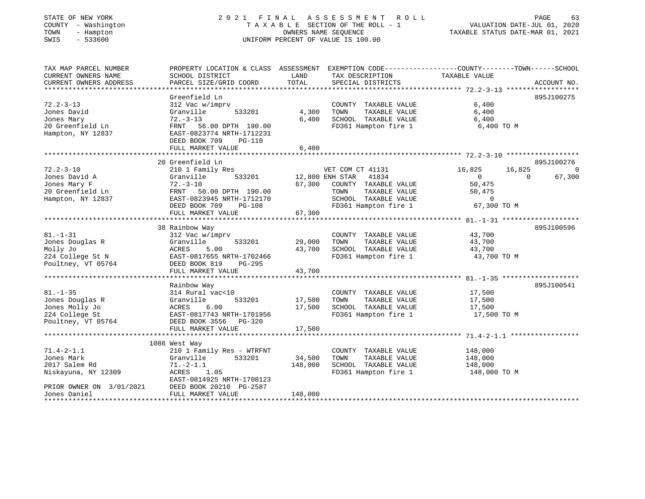# STATE OF NEW YORK 2 0 2 1 F I N A L A S S E S S M E N T R O L L PAGE 63COUNTY - Washington T A X A B L E SECTION OF THE ROLL - 1<br>
TOWN - Hampton OWNERS NAME SEQUENCE<br>
SWIS - 533600<br>
ONIE - 1 UNIFORM PERCENT OF VALUE IS 100.00 SWIS - 533600 UNIFORM PERCENT OF VALUE IS 100.00

VALUATION DATE-JUL 01, 2020

| LAND<br>TAXABLE VALUE<br>SCHOOL DISTRICT<br>TAX DESCRIPTION<br>TOTAL<br>PARCEL SIZE/GRID COORD<br>SPECIAL DISTRICTS<br>ACCOUNT NO.<br>Greenfield Ln<br>895J100275<br>6,400<br>$72.2 - 3 - 13$<br>312 Vac w/imprv<br>COUNTY TAXABLE VALUE<br>533201<br>4,300<br>TAXABLE VALUE<br>6,400<br>Jones David<br>Granville<br>TOWN<br>6,400<br>SCHOOL TAXABLE VALUE<br>Jones Mary<br>$72. - 3 - 13$<br>6,400<br>20 Greenfield Ln<br>FRNT 56.00 DPTH 190.00<br>FD361 Hampton fire 1<br>6,400 TO M<br>Hampton, NY 12837<br>EAST-0823774 NRTH-1712231<br>DEED BOOK 709<br><b>PG-110</b><br>6,400<br>FULL MARKET VALUE<br>20 Greenfield Ln<br>895J100276<br>210 1 Family Res<br>16,825<br>16,825<br>VET COM CT 41131<br>$\Omega$<br>533201<br>12,800 ENH STAR<br>41834<br>67,300<br>Granville<br>$\overline{0}$<br>$\Omega$<br>$72. - 3 - 10$<br>67,300<br>COUNTY TAXABLE VALUE<br>50,475<br>TAXABLE VALUE<br>FRNT 50.00 DPTH 190.00<br>TOWN<br>50,475<br>SCHOOL TAXABLE VALUE<br>Hampton, NY 12837<br>EAST-0823945 NRTH-1712170<br>$\overline{0}$<br>FD361 Hampton fire 1<br>67,300 TO M<br>DEED BOOK 709<br><b>PG-108</b><br>67,300<br>FULL MARKET VALUE<br>895J100596<br>38 Rainbow Way<br>312 Vac w/imprv<br>COUNTY TAXABLE VALUE<br>43,700<br>533201<br>29,000<br>TOWN<br>TAXABLE VALUE<br>Granville<br>43,700<br>ACRES<br>5.00<br>43,700<br>SCHOOL TAXABLE VALUE<br>43,700<br>224 College St N<br>FD361 Hampton fire 1<br>EAST-0817655 NRTH-1702466<br>43,700 TO M<br>Poultney, VT 05764<br>DEED BOOK 819<br>PG-295<br>43,700<br>FULL MARKET VALUE<br>895J100541<br>Rainbow Way<br>$81. - 1 - 35$<br>COUNTY TAXABLE VALUE 17,500<br>314 Rural vac<10<br>533201<br>17,500<br>TAXABLE VALUE<br>Jones Douglas R<br>Granville<br>TOWN<br>17,500<br>17,500<br>Jones Molly Jo<br>ACRES<br>6.00<br>SCHOOL TAXABLE VALUE<br>17,500<br>FD361 Hampton fire 1<br>EAST-0817743 NRTH-1701956<br>17,500 TO M<br>DEED BOOK 3556 PG-320<br>FULL MARKET VALUE<br>17,500<br>1086 West Way<br>$71.4 - 2 - 1.1$<br>210 1 Family Res - WTRFNT<br>148,000<br>COUNTY TAXABLE VALUE<br>34,500<br>TAXABLE VALUE<br>Jones Mark<br>Granville<br>533201<br>TOWN<br>148,000<br>2017 Salem Rd<br>148,000<br>SCHOOL TAXABLE VALUE<br>148,000<br>$71.-2-1.1$<br>FD361 Hampton fire 1<br>Niskayuna, NY 12309<br>ACRES 1.05<br>148,000 TO M<br>EAST-0814925 NRTH-1708123<br>PRIOR OWNER ON 3/01/2021<br>DEED BOOK 20210 PG-2587<br>148,000<br>Jones Daniel<br>FULL MARKET VALUE | TAX MAP PARCEL NUMBER  | PROPERTY LOCATION & CLASS ASSESSMENT EXEMPTION CODE---------------COUNTY-------TOWN------SCHOOL |  |  |
|----------------------------------------------------------------------------------------------------------------------------------------------------------------------------------------------------------------------------------------------------------------------------------------------------------------------------------------------------------------------------------------------------------------------------------------------------------------------------------------------------------------------------------------------------------------------------------------------------------------------------------------------------------------------------------------------------------------------------------------------------------------------------------------------------------------------------------------------------------------------------------------------------------------------------------------------------------------------------------------------------------------------------------------------------------------------------------------------------------------------------------------------------------------------------------------------------------------------------------------------------------------------------------------------------------------------------------------------------------------------------------------------------------------------------------------------------------------------------------------------------------------------------------------------------------------------------------------------------------------------------------------------------------------------------------------------------------------------------------------------------------------------------------------------------------------------------------------------------------------------------------------------------------------------------------------------------------------------------------------------------------------------------------------------------------------------------------------------------------------------------------------------------------------------------------------------------------------------------------------------------------------------------------------------------------------------------------------------------------------------------------------------------------------------------------------|------------------------|-------------------------------------------------------------------------------------------------|--|--|
|                                                                                                                                                                                                                                                                                                                                                                                                                                                                                                                                                                                                                                                                                                                                                                                                                                                                                                                                                                                                                                                                                                                                                                                                                                                                                                                                                                                                                                                                                                                                                                                                                                                                                                                                                                                                                                                                                                                                                                                                                                                                                                                                                                                                                                                                                                                                                                                                                                        | CURRENT OWNERS NAME    |                                                                                                 |  |  |
|                                                                                                                                                                                                                                                                                                                                                                                                                                                                                                                                                                                                                                                                                                                                                                                                                                                                                                                                                                                                                                                                                                                                                                                                                                                                                                                                                                                                                                                                                                                                                                                                                                                                                                                                                                                                                                                                                                                                                                                                                                                                                                                                                                                                                                                                                                                                                                                                                                        | CURRENT OWNERS ADDRESS |                                                                                                 |  |  |
|                                                                                                                                                                                                                                                                                                                                                                                                                                                                                                                                                                                                                                                                                                                                                                                                                                                                                                                                                                                                                                                                                                                                                                                                                                                                                                                                                                                                                                                                                                                                                                                                                                                                                                                                                                                                                                                                                                                                                                                                                                                                                                                                                                                                                                                                                                                                                                                                                                        |                        |                                                                                                 |  |  |
|                                                                                                                                                                                                                                                                                                                                                                                                                                                                                                                                                                                                                                                                                                                                                                                                                                                                                                                                                                                                                                                                                                                                                                                                                                                                                                                                                                                                                                                                                                                                                                                                                                                                                                                                                                                                                                                                                                                                                                                                                                                                                                                                                                                                                                                                                                                                                                                                                                        |                        |                                                                                                 |  |  |
|                                                                                                                                                                                                                                                                                                                                                                                                                                                                                                                                                                                                                                                                                                                                                                                                                                                                                                                                                                                                                                                                                                                                                                                                                                                                                                                                                                                                                                                                                                                                                                                                                                                                                                                                                                                                                                                                                                                                                                                                                                                                                                                                                                                                                                                                                                                                                                                                                                        |                        |                                                                                                 |  |  |
|                                                                                                                                                                                                                                                                                                                                                                                                                                                                                                                                                                                                                                                                                                                                                                                                                                                                                                                                                                                                                                                                                                                                                                                                                                                                                                                                                                                                                                                                                                                                                                                                                                                                                                                                                                                                                                                                                                                                                                                                                                                                                                                                                                                                                                                                                                                                                                                                                                        |                        |                                                                                                 |  |  |
|                                                                                                                                                                                                                                                                                                                                                                                                                                                                                                                                                                                                                                                                                                                                                                                                                                                                                                                                                                                                                                                                                                                                                                                                                                                                                                                                                                                                                                                                                                                                                                                                                                                                                                                                                                                                                                                                                                                                                                                                                                                                                                                                                                                                                                                                                                                                                                                                                                        |                        |                                                                                                 |  |  |
|                                                                                                                                                                                                                                                                                                                                                                                                                                                                                                                                                                                                                                                                                                                                                                                                                                                                                                                                                                                                                                                                                                                                                                                                                                                                                                                                                                                                                                                                                                                                                                                                                                                                                                                                                                                                                                                                                                                                                                                                                                                                                                                                                                                                                                                                                                                                                                                                                                        |                        |                                                                                                 |  |  |
|                                                                                                                                                                                                                                                                                                                                                                                                                                                                                                                                                                                                                                                                                                                                                                                                                                                                                                                                                                                                                                                                                                                                                                                                                                                                                                                                                                                                                                                                                                                                                                                                                                                                                                                                                                                                                                                                                                                                                                                                                                                                                                                                                                                                                                                                                                                                                                                                                                        |                        |                                                                                                 |  |  |
|                                                                                                                                                                                                                                                                                                                                                                                                                                                                                                                                                                                                                                                                                                                                                                                                                                                                                                                                                                                                                                                                                                                                                                                                                                                                                                                                                                                                                                                                                                                                                                                                                                                                                                                                                                                                                                                                                                                                                                                                                                                                                                                                                                                                                                                                                                                                                                                                                                        |                        |                                                                                                 |  |  |
|                                                                                                                                                                                                                                                                                                                                                                                                                                                                                                                                                                                                                                                                                                                                                                                                                                                                                                                                                                                                                                                                                                                                                                                                                                                                                                                                                                                                                                                                                                                                                                                                                                                                                                                                                                                                                                                                                                                                                                                                                                                                                                                                                                                                                                                                                                                                                                                                                                        |                        |                                                                                                 |  |  |
|                                                                                                                                                                                                                                                                                                                                                                                                                                                                                                                                                                                                                                                                                                                                                                                                                                                                                                                                                                                                                                                                                                                                                                                                                                                                                                                                                                                                                                                                                                                                                                                                                                                                                                                                                                                                                                                                                                                                                                                                                                                                                                                                                                                                                                                                                                                                                                                                                                        |                        |                                                                                                 |  |  |
|                                                                                                                                                                                                                                                                                                                                                                                                                                                                                                                                                                                                                                                                                                                                                                                                                                                                                                                                                                                                                                                                                                                                                                                                                                                                                                                                                                                                                                                                                                                                                                                                                                                                                                                                                                                                                                                                                                                                                                                                                                                                                                                                                                                                                                                                                                                                                                                                                                        | $72.2 - 3 - 10$        |                                                                                                 |  |  |
|                                                                                                                                                                                                                                                                                                                                                                                                                                                                                                                                                                                                                                                                                                                                                                                                                                                                                                                                                                                                                                                                                                                                                                                                                                                                                                                                                                                                                                                                                                                                                                                                                                                                                                                                                                                                                                                                                                                                                                                                                                                                                                                                                                                                                                                                                                                                                                                                                                        | Jones David A          |                                                                                                 |  |  |
|                                                                                                                                                                                                                                                                                                                                                                                                                                                                                                                                                                                                                                                                                                                                                                                                                                                                                                                                                                                                                                                                                                                                                                                                                                                                                                                                                                                                                                                                                                                                                                                                                                                                                                                                                                                                                                                                                                                                                                                                                                                                                                                                                                                                                                                                                                                                                                                                                                        | Jones Mary F           |                                                                                                 |  |  |
|                                                                                                                                                                                                                                                                                                                                                                                                                                                                                                                                                                                                                                                                                                                                                                                                                                                                                                                                                                                                                                                                                                                                                                                                                                                                                                                                                                                                                                                                                                                                                                                                                                                                                                                                                                                                                                                                                                                                                                                                                                                                                                                                                                                                                                                                                                                                                                                                                                        | 20 Greenfield Ln       |                                                                                                 |  |  |
|                                                                                                                                                                                                                                                                                                                                                                                                                                                                                                                                                                                                                                                                                                                                                                                                                                                                                                                                                                                                                                                                                                                                                                                                                                                                                                                                                                                                                                                                                                                                                                                                                                                                                                                                                                                                                                                                                                                                                                                                                                                                                                                                                                                                                                                                                                                                                                                                                                        |                        |                                                                                                 |  |  |
|                                                                                                                                                                                                                                                                                                                                                                                                                                                                                                                                                                                                                                                                                                                                                                                                                                                                                                                                                                                                                                                                                                                                                                                                                                                                                                                                                                                                                                                                                                                                                                                                                                                                                                                                                                                                                                                                                                                                                                                                                                                                                                                                                                                                                                                                                                                                                                                                                                        |                        |                                                                                                 |  |  |
|                                                                                                                                                                                                                                                                                                                                                                                                                                                                                                                                                                                                                                                                                                                                                                                                                                                                                                                                                                                                                                                                                                                                                                                                                                                                                                                                                                                                                                                                                                                                                                                                                                                                                                                                                                                                                                                                                                                                                                                                                                                                                                                                                                                                                                                                                                                                                                                                                                        |                        |                                                                                                 |  |  |
|                                                                                                                                                                                                                                                                                                                                                                                                                                                                                                                                                                                                                                                                                                                                                                                                                                                                                                                                                                                                                                                                                                                                                                                                                                                                                                                                                                                                                                                                                                                                                                                                                                                                                                                                                                                                                                                                                                                                                                                                                                                                                                                                                                                                                                                                                                                                                                                                                                        |                        |                                                                                                 |  |  |
|                                                                                                                                                                                                                                                                                                                                                                                                                                                                                                                                                                                                                                                                                                                                                                                                                                                                                                                                                                                                                                                                                                                                                                                                                                                                                                                                                                                                                                                                                                                                                                                                                                                                                                                                                                                                                                                                                                                                                                                                                                                                                                                                                                                                                                                                                                                                                                                                                                        |                        |                                                                                                 |  |  |
|                                                                                                                                                                                                                                                                                                                                                                                                                                                                                                                                                                                                                                                                                                                                                                                                                                                                                                                                                                                                                                                                                                                                                                                                                                                                                                                                                                                                                                                                                                                                                                                                                                                                                                                                                                                                                                                                                                                                                                                                                                                                                                                                                                                                                                                                                                                                                                                                                                        | $81. - 1 - 31$         |                                                                                                 |  |  |
|                                                                                                                                                                                                                                                                                                                                                                                                                                                                                                                                                                                                                                                                                                                                                                                                                                                                                                                                                                                                                                                                                                                                                                                                                                                                                                                                                                                                                                                                                                                                                                                                                                                                                                                                                                                                                                                                                                                                                                                                                                                                                                                                                                                                                                                                                                                                                                                                                                        | Jones Douglas R        |                                                                                                 |  |  |
|                                                                                                                                                                                                                                                                                                                                                                                                                                                                                                                                                                                                                                                                                                                                                                                                                                                                                                                                                                                                                                                                                                                                                                                                                                                                                                                                                                                                                                                                                                                                                                                                                                                                                                                                                                                                                                                                                                                                                                                                                                                                                                                                                                                                                                                                                                                                                                                                                                        | Molly Jo               |                                                                                                 |  |  |
|                                                                                                                                                                                                                                                                                                                                                                                                                                                                                                                                                                                                                                                                                                                                                                                                                                                                                                                                                                                                                                                                                                                                                                                                                                                                                                                                                                                                                                                                                                                                                                                                                                                                                                                                                                                                                                                                                                                                                                                                                                                                                                                                                                                                                                                                                                                                                                                                                                        |                        |                                                                                                 |  |  |
|                                                                                                                                                                                                                                                                                                                                                                                                                                                                                                                                                                                                                                                                                                                                                                                                                                                                                                                                                                                                                                                                                                                                                                                                                                                                                                                                                                                                                                                                                                                                                                                                                                                                                                                                                                                                                                                                                                                                                                                                                                                                                                                                                                                                                                                                                                                                                                                                                                        |                        |                                                                                                 |  |  |
|                                                                                                                                                                                                                                                                                                                                                                                                                                                                                                                                                                                                                                                                                                                                                                                                                                                                                                                                                                                                                                                                                                                                                                                                                                                                                                                                                                                                                                                                                                                                                                                                                                                                                                                                                                                                                                                                                                                                                                                                                                                                                                                                                                                                                                                                                                                                                                                                                                        |                        |                                                                                                 |  |  |
|                                                                                                                                                                                                                                                                                                                                                                                                                                                                                                                                                                                                                                                                                                                                                                                                                                                                                                                                                                                                                                                                                                                                                                                                                                                                                                                                                                                                                                                                                                                                                                                                                                                                                                                                                                                                                                                                                                                                                                                                                                                                                                                                                                                                                                                                                                                                                                                                                                        |                        |                                                                                                 |  |  |
|                                                                                                                                                                                                                                                                                                                                                                                                                                                                                                                                                                                                                                                                                                                                                                                                                                                                                                                                                                                                                                                                                                                                                                                                                                                                                                                                                                                                                                                                                                                                                                                                                                                                                                                                                                                                                                                                                                                                                                                                                                                                                                                                                                                                                                                                                                                                                                                                                                        |                        |                                                                                                 |  |  |
|                                                                                                                                                                                                                                                                                                                                                                                                                                                                                                                                                                                                                                                                                                                                                                                                                                                                                                                                                                                                                                                                                                                                                                                                                                                                                                                                                                                                                                                                                                                                                                                                                                                                                                                                                                                                                                                                                                                                                                                                                                                                                                                                                                                                                                                                                                                                                                                                                                        |                        |                                                                                                 |  |  |
|                                                                                                                                                                                                                                                                                                                                                                                                                                                                                                                                                                                                                                                                                                                                                                                                                                                                                                                                                                                                                                                                                                                                                                                                                                                                                                                                                                                                                                                                                                                                                                                                                                                                                                                                                                                                                                                                                                                                                                                                                                                                                                                                                                                                                                                                                                                                                                                                                                        |                        |                                                                                                 |  |  |
|                                                                                                                                                                                                                                                                                                                                                                                                                                                                                                                                                                                                                                                                                                                                                                                                                                                                                                                                                                                                                                                                                                                                                                                                                                                                                                                                                                                                                                                                                                                                                                                                                                                                                                                                                                                                                                                                                                                                                                                                                                                                                                                                                                                                                                                                                                                                                                                                                                        |                        |                                                                                                 |  |  |
|                                                                                                                                                                                                                                                                                                                                                                                                                                                                                                                                                                                                                                                                                                                                                                                                                                                                                                                                                                                                                                                                                                                                                                                                                                                                                                                                                                                                                                                                                                                                                                                                                                                                                                                                                                                                                                                                                                                                                                                                                                                                                                                                                                                                                                                                                                                                                                                                                                        | 224 College St         |                                                                                                 |  |  |
|                                                                                                                                                                                                                                                                                                                                                                                                                                                                                                                                                                                                                                                                                                                                                                                                                                                                                                                                                                                                                                                                                                                                                                                                                                                                                                                                                                                                                                                                                                                                                                                                                                                                                                                                                                                                                                                                                                                                                                                                                                                                                                                                                                                                                                                                                                                                                                                                                                        | Poultney, VT 05764     |                                                                                                 |  |  |
|                                                                                                                                                                                                                                                                                                                                                                                                                                                                                                                                                                                                                                                                                                                                                                                                                                                                                                                                                                                                                                                                                                                                                                                                                                                                                                                                                                                                                                                                                                                                                                                                                                                                                                                                                                                                                                                                                                                                                                                                                                                                                                                                                                                                                                                                                                                                                                                                                                        |                        |                                                                                                 |  |  |
|                                                                                                                                                                                                                                                                                                                                                                                                                                                                                                                                                                                                                                                                                                                                                                                                                                                                                                                                                                                                                                                                                                                                                                                                                                                                                                                                                                                                                                                                                                                                                                                                                                                                                                                                                                                                                                                                                                                                                                                                                                                                                                                                                                                                                                                                                                                                                                                                                                        |                        |                                                                                                 |  |  |
|                                                                                                                                                                                                                                                                                                                                                                                                                                                                                                                                                                                                                                                                                                                                                                                                                                                                                                                                                                                                                                                                                                                                                                                                                                                                                                                                                                                                                                                                                                                                                                                                                                                                                                                                                                                                                                                                                                                                                                                                                                                                                                                                                                                                                                                                                                                                                                                                                                        |                        |                                                                                                 |  |  |
|                                                                                                                                                                                                                                                                                                                                                                                                                                                                                                                                                                                                                                                                                                                                                                                                                                                                                                                                                                                                                                                                                                                                                                                                                                                                                                                                                                                                                                                                                                                                                                                                                                                                                                                                                                                                                                                                                                                                                                                                                                                                                                                                                                                                                                                                                                                                                                                                                                        |                        |                                                                                                 |  |  |
|                                                                                                                                                                                                                                                                                                                                                                                                                                                                                                                                                                                                                                                                                                                                                                                                                                                                                                                                                                                                                                                                                                                                                                                                                                                                                                                                                                                                                                                                                                                                                                                                                                                                                                                                                                                                                                                                                                                                                                                                                                                                                                                                                                                                                                                                                                                                                                                                                                        |                        |                                                                                                 |  |  |
|                                                                                                                                                                                                                                                                                                                                                                                                                                                                                                                                                                                                                                                                                                                                                                                                                                                                                                                                                                                                                                                                                                                                                                                                                                                                                                                                                                                                                                                                                                                                                                                                                                                                                                                                                                                                                                                                                                                                                                                                                                                                                                                                                                                                                                                                                                                                                                                                                                        |                        |                                                                                                 |  |  |
|                                                                                                                                                                                                                                                                                                                                                                                                                                                                                                                                                                                                                                                                                                                                                                                                                                                                                                                                                                                                                                                                                                                                                                                                                                                                                                                                                                                                                                                                                                                                                                                                                                                                                                                                                                                                                                                                                                                                                                                                                                                                                                                                                                                                                                                                                                                                                                                                                                        |                        |                                                                                                 |  |  |
|                                                                                                                                                                                                                                                                                                                                                                                                                                                                                                                                                                                                                                                                                                                                                                                                                                                                                                                                                                                                                                                                                                                                                                                                                                                                                                                                                                                                                                                                                                                                                                                                                                                                                                                                                                                                                                                                                                                                                                                                                                                                                                                                                                                                                                                                                                                                                                                                                                        |                        |                                                                                                 |  |  |
|                                                                                                                                                                                                                                                                                                                                                                                                                                                                                                                                                                                                                                                                                                                                                                                                                                                                                                                                                                                                                                                                                                                                                                                                                                                                                                                                                                                                                                                                                                                                                                                                                                                                                                                                                                                                                                                                                                                                                                                                                                                                                                                                                                                                                                                                                                                                                                                                                                        |                        |                                                                                                 |  |  |
|                                                                                                                                                                                                                                                                                                                                                                                                                                                                                                                                                                                                                                                                                                                                                                                                                                                                                                                                                                                                                                                                                                                                                                                                                                                                                                                                                                                                                                                                                                                                                                                                                                                                                                                                                                                                                                                                                                                                                                                                                                                                                                                                                                                                                                                                                                                                                                                                                                        |                        |                                                                                                 |  |  |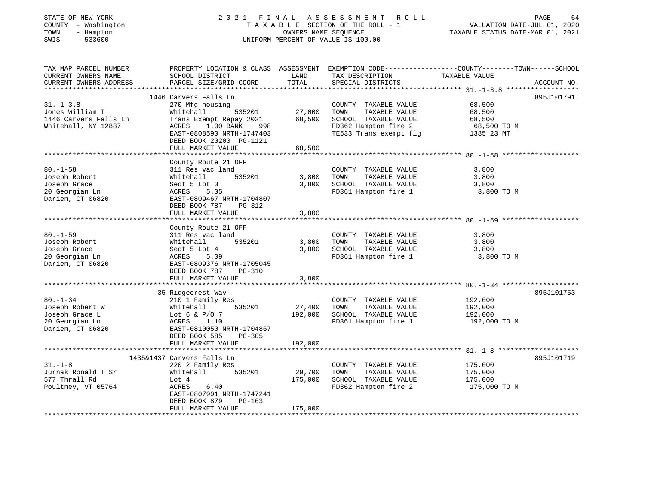| STATE OF NEW YORK<br>- Washington<br>COUNTY<br>TOWN<br>- Hampton<br>SWIS<br>$-533600$ |                                                                                         |                                                                                         | 2021 FINAL ASSESSMENT ROLL<br>TAXABLE SECTION OF THE ROLL - 1<br>OWNERS NAME SEOUENCE<br>UNIFORM PERCENT OF VALUE IS 100.00 | VALUATION DATE-JUL 01, 2020<br>TAXABLE STATUS DATE-MAR 01, 2021 | 64<br>PAGE  |
|---------------------------------------------------------------------------------------|-----------------------------------------------------------------------------------------|-----------------------------------------------------------------------------------------|-----------------------------------------------------------------------------------------------------------------------------|-----------------------------------------------------------------|-------------|
| TAX MAP PARCEL NUMBER                                                                 | PROPERTY LOCATION & CLASS ASSESSMENT                                                    |                                                                                         |                                                                                                                             | EXEMPTION CODE-----------------COUNTY-------TOWN------SCHOOL    |             |
| CURRENT OWNERS NAME                                                                   | SCHOOL DISTRICT                                                                         | <b>EXAMPLE THE STATE OF STATE OF STATE OF STATE OF STATE OF STATE OF STATE OF STATE</b> | TAX DESCRIPTION                                                                                                             | TAXABLE VALUE                                                   |             |
|                                                                                       | CURRENT OWNERS ADDRESS         PARCEL SIZE/GRID COORD       TOTAL     SPECIAL DISTRICTS |                                                                                         |                                                                                                                             |                                                                 | ACCOUNT NO. |
|                                                                                       |                                                                                         |                                                                                         |                                                                                                                             |                                                                 |             |
|                                                                                       | 1446 Carvers Falls Ln                                                                   |                                                                                         |                                                                                                                             |                                                                 | 895J101791  |
| $31. - 1 - 3.8$                                                                       | 270 Mfg housing                                                                         |                                                                                         | TAXABLE VALUE<br>COUNTY                                                                                                     | 68,500                                                          |             |
| Jones William T                                                                       | Whitehall 535201                                                                        | 27,000                                                                                  | TOWN<br>TAXABLE VALUE                                                                                                       | 68,500                                                          |             |
| 1446 Carvers Falls Ln                                                                 | Trans Exempt Repay 2021 68,500                                                          |                                                                                         | SCHOOL TAXABLE VALUE                                                                                                        | 68,500                                                          |             |
| Whitehall, NY 12887                                                                   | $1.00$ BANK<br>ACRES<br>998                                                             |                                                                                         | FD362 Hampton fire 2 68,500 TO M                                                                                            |                                                                 |             |
|                                                                                       | EAST-0808590 NRTH-1747403                                                               |                                                                                         | TE533 Trans exempt flg                                                                                                      | 1385.23 MT                                                      |             |
|                                                                                       | DEED BOOK 20200 PG-1121                                                                 |                                                                                         |                                                                                                                             |                                                                 |             |
|                                                                                       | prit to a shortched that the                                                            | $\sim$ $\sim$ $\sim$ $\sim$                                                             |                                                                                                                             |                                                                 |             |

|                                                                                                            | FULL MARKET VALUE                                                                                                                                                               | 68,500            |                                                                                                            |                               |            |
|------------------------------------------------------------------------------------------------------------|---------------------------------------------------------------------------------------------------------------------------------------------------------------------------------|-------------------|------------------------------------------------------------------------------------------------------------|-------------------------------|------------|
|                                                                                                            |                                                                                                                                                                                 |                   |                                                                                                            |                               |            |
| $80. - 1 - 58$<br>Joseph Robert<br>Joseph Grace<br>20 Georgian Ln<br>Darien, CT 06820                      | County Route 21 OFF<br>311 Res vac land<br>535201 3,800<br>Whitehall<br>Sect 5 Lot 3<br>ACRES 5.05<br>EAST-0809467 NRTH-1704807<br>DEED BOOK 787<br>PG-312<br>FULL MARKET VALUE | 3,800<br>3,800    | COUNTY TAXABLE VALUE<br>TOWN<br>TAXABLE VALUE<br>SCHOOL TAXABLE VALUE<br>FD361 Hampton fire 1 3,800 TO M   | 3,800<br>3,800<br>3,800       |            |
|                                                                                                            | County Route 21 OFF                                                                                                                                                             |                   |                                                                                                            |                               |            |
| $80. - 1 - 59$<br>Joseph Robert North States and Sea<br>Joseph Grace<br>20 Georgian Ln<br>Darien, CT 06820 | 311 Res vac land<br>535201 3,800 TOWN<br>Whitehall<br>Sect 5 Lot 4<br><b>ACRES</b><br>5.09<br>EAST-0809376 NRTH-1705045<br>DEED BOOK 787<br>$PG-310$                            | 3,800             | COUNTY TAXABLE VALUE<br>TAXABLE VALUE<br>SCHOOL TAXABLE VALUE<br>FD361 Hampton fire 1 3,800 TO M           | 3,800<br>3,800<br>3,800       |            |
|                                                                                                            | FULL MARKET VALUE                                                                                                                                                               | 3,800             |                                                                                                            |                               |            |
|                                                                                                            |                                                                                                                                                                                 |                   |                                                                                                            |                               |            |
| $80. - 1 - 34$<br>Joseph Robert W<br>Joseph Grace L<br>20 Georgian Ln                                      | 35 Ridgecrest Way<br>210 1 Family Res<br>Whitehall<br>535201 27,400<br>Lot 6 & $P/O$ 7<br>ACRES 1.10                                                                            | 192,000           | COUNTY TAXABLE VALUE<br>TOWN<br>TAXABLE VALUE<br>SCHOOL TAXABLE VALUE<br>FD361 Hampton fire 1 192,000 TO M | 192,000<br>192,000<br>192,000 | 895J101753 |
| Darien, CT 06820                                                                                           | EAST-0810050 NRTH-1704867<br>DEED BOOK 585<br>PG-305<br>FULL MARKET VALUE                                                                                                       | 192,000           |                                                                                                            |                               |            |
|                                                                                                            | 1435&1437 Carvers Falls Ln                                                                                                                                                      |                   |                                                                                                            |                               | 895J101719 |
| $31. - 1 - 8$<br>Jurnak Ronald T Sr<br>577 Thrall Rd<br>Poultney, VT 05764                                 | 220 2 Family Res<br>Whitehall<br>535201<br>Lot 4<br>ACRES<br>6.40<br>EAST-0807991 NRTH-1747241                                                                                  | 29,700<br>175,000 | COUNTY TAXABLE VALUE<br>TAXABLE VALUE<br>TOWN<br>SCHOOL TAXABLE VALUE<br>FD362 Hampton fire 2 175,000 TO M | 175,000<br>175,000<br>175,000 |            |
|                                                                                                            | DEED BOOK 879<br>$PG-163$<br>FULL MARKET VALUE                                                                                                                                  | 175,000           |                                                                                                            |                               |            |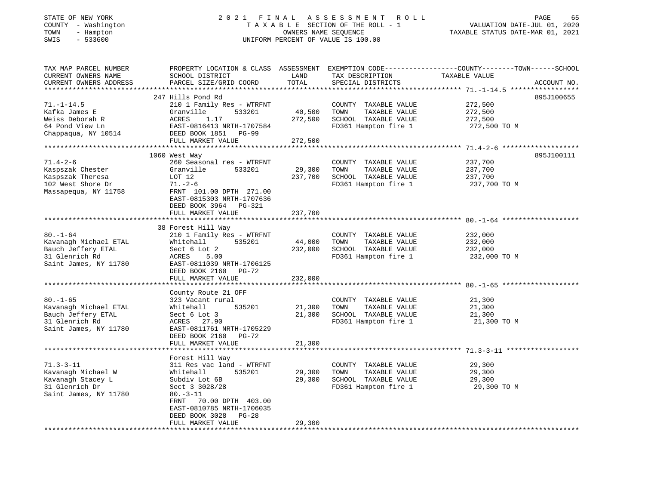# STATE OF NEW YORK 2 0 2 1 F I N A L A S S E S S M E N T R O L L PAGE 65COUNTY - Washington T A X A B L E SECTION OF THE ROLL - 1<br>
TOWN - Hampton OWNERS NAME SEQUENCE<br>
SWIS - 533600 SWIS - 533600 UNIFORM PERCENT OF VALUE IS 100.00

| TAX MAP PARCEL NUMBER<br>CURRENT OWNERS NAME<br>CURRENT OWNERS ADDRESS                              | PROPERTY LOCATION & CLASS ASSESSMENT<br>SCHOOL DISTRICT<br>PARCEL SIZE/GRID COORD                                                   | LAND<br>TOTAL     | TAX DESCRIPTION<br>SPECIAL DISTRICTS                                                          | EXEMPTION CODE-----------------COUNTY-------TOWN------SCHOOL<br>TAXABLE VALUE | ACCOUNT NO. |
|-----------------------------------------------------------------------------------------------------|-------------------------------------------------------------------------------------------------------------------------------------|-------------------|-----------------------------------------------------------------------------------------------|-------------------------------------------------------------------------------|-------------|
|                                                                                                     |                                                                                                                                     |                   |                                                                                               |                                                                               |             |
| $71. - 1 - 14.5$<br>Kafka James E                                                                   | 247 Hills Pond Rd<br>210 1 Family Res - WTRFNT<br>Granville<br>533201                                                               | 40,500            | COUNTY TAXABLE VALUE<br>TOWN<br>TAXABLE VALUE                                                 | 272,500<br>272,500                                                            | 895J100655  |
| Weiss Deborah R<br>64 Pond View Ln<br>Chappaqua, NY 10514                                           | ACRES<br>1.17<br>EAST-0816413 NRTH-1707584<br>DEED BOOK 1851<br>$PG-99$                                                             | 272,500           | SCHOOL TAXABLE VALUE<br>FD361 Hampton fire 1                                                  | 272,500<br>272,500 TO M                                                       |             |
|                                                                                                     | FULL MARKET VALUE                                                                                                                   | 272,500           |                                                                                               |                                                                               |             |
|                                                                                                     |                                                                                                                                     |                   |                                                                                               |                                                                               |             |
|                                                                                                     | 1060 West Way                                                                                                                       |                   |                                                                                               |                                                                               | 895J100111  |
| $71.4 - 2 - 6$<br>Kaspszak Chester<br>Kaspszak Theresa<br>102 West Shore Dr<br>Massapequa, NY 11758 | 260 Seasonal res - WTRFNT<br>Granville<br>533201<br>LOT 12<br>$71. - 2 - 6$<br>FRNT 101.00 DPTH 271.00<br>EAST-0815303 NRTH-1707636 | 29,300<br>237,700 | COUNTY TAXABLE VALUE<br>TOWN<br>TAXABLE VALUE<br>SCHOOL TAXABLE VALUE<br>FD361 Hampton fire 1 | 237,700<br>237,700<br>237,700<br>237,700 TO M                                 |             |
|                                                                                                     | DEED BOOK 3964 PG-321                                                                                                               |                   |                                                                                               |                                                                               |             |
|                                                                                                     | FULL MARKET VALUE                                                                                                                   | 237,700           |                                                                                               |                                                                               |             |
|                                                                                                     | 38 Forest Hill Way                                                                                                                  |                   |                                                                                               |                                                                               |             |
| $80. - 1 - 64$<br>Kavanagh Michael ETAL<br>Bauch Jeffery ETAL<br>31 Glenrich Rd                     | 210 1 Family Res - WTRFNT<br>535201<br>Whitehall<br>Sect 6 Lot 2<br>ACRES<br>5.00                                                   | 44,000<br>232,000 | COUNTY TAXABLE VALUE<br>TOWN<br>TAXABLE VALUE<br>SCHOOL TAXABLE VALUE<br>FD361 Hampton fire 1 | 232,000<br>232,000<br>232,000<br>232,000 TO M                                 |             |
| Saint James, NY 11780                                                                               | EAST-0811039 NRTH-1706125<br>DEED BOOK 2160<br>$PG-72$<br>FULL MARKET VALUE                                                         | 232,000           |                                                                                               |                                                                               |             |
|                                                                                                     | ************************                                                                                                            | *************     |                                                                                               | ************************************ 80. -1-65 *******                        |             |
| $80. - 1 - 65$<br>Kavanagh Michael ETAL<br>Bauch Jeffery ETAL<br>31 Glenrich Rd                     | County Route 21 OFF<br>323 Vacant rural<br>535201<br>Whitehall<br>Sect 6 Lot 3<br>ACRES 27.90                                       | 21,300<br>21,300  | COUNTY TAXABLE VALUE<br>TAXABLE VALUE<br>TOWN<br>SCHOOL TAXABLE VALUE<br>FD361 Hampton fire 1 | 21,300<br>21,300<br>21,300<br>21,300 TO M                                     |             |
| Saint James, NY 11780                                                                               | EAST-0811761 NRTH-1705229<br>DEED BOOK 2160<br>$PG-72$<br>FULL MARKET VALUE                                                         | 21,300            |                                                                                               |                                                                               |             |
|                                                                                                     |                                                                                                                                     |                   |                                                                                               |                                                                               |             |
| $71.3 - 3 - 11$                                                                                     | Forest Hill Way<br>311 Res vac land - WTRFNT                                                                                        |                   | COUNTY TAXABLE VALUE                                                                          | 29,300                                                                        |             |
| Kavanagh Michael W<br>Kavanagh Stacey L<br>31 Glenrich Dr<br>Saint James, NY 11780                  | Whitehall<br>535201<br>Subdiv Lot 6B<br>Sect 3 3028/28<br>$80. -3 - 11$<br>70.00 DPTH 403.00<br>FRNT<br>EAST-0810785 NRTH-1706035   | 29,300<br>29,300  | TOWN<br>TAXABLE VALUE<br>SCHOOL TAXABLE VALUE<br>FD361 Hampton fire 1                         | 29,300<br>29,300<br>29,300 TO M                                               |             |
|                                                                                                     | DEED BOOK 3028<br>$PG-28$<br>FULL MARKET VALUE                                                                                      | 29,300            |                                                                                               |                                                                               |             |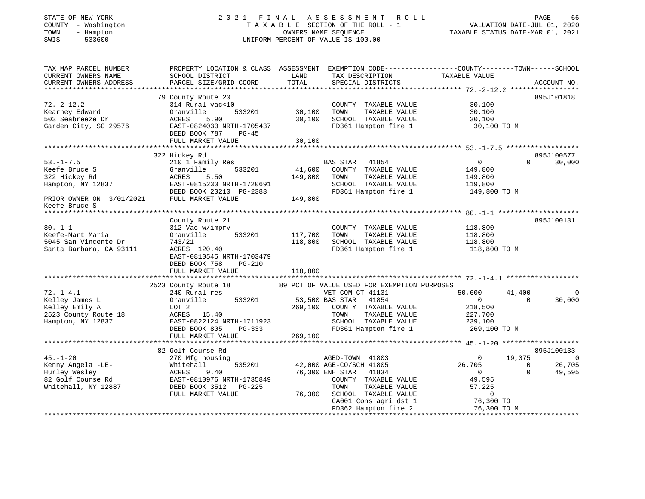# STATE OF NEW YORK 2 0 2 1 F I N A L A S S E S S M E N T R O L L PAGE 66COUNTY - Washington T A X A B L E SECTION OF THE ROLL - 1<br>
TOWN - Hampton DWNERS NAME SEQUENCE<br>
SWIS - 533600<br>
SWIS - 533600 SWIS - 533600 UNIFORM PERCENT OF VALUE IS 100.00

VALUATION DATE-JUL 01, 2020

| TAX MAP PARCEL NUMBER<br>CURRENT OWNERS NAME<br>CURRENT OWNERS ADDRESS                                              | PROPERTY LOCATION & CLASS ASSESSMENT<br>SCHOOL DISTRICT<br>PARCEL SIZE/GRID COORD                                                                                       | LAND<br>TOTAL                 | TAX DESCRIPTION<br>SPECIAL DISTRICTS                                                                                                                                                             | EXEMPTION CODE-----------------COUNTY-------TOWN------SCHOOL<br>TAXABLE VALUE                                                                | ACCOUNT NO.                         |
|---------------------------------------------------------------------------------------------------------------------|-------------------------------------------------------------------------------------------------------------------------------------------------------------------------|-------------------------------|--------------------------------------------------------------------------------------------------------------------------------------------------------------------------------------------------|----------------------------------------------------------------------------------------------------------------------------------------------|-------------------------------------|
| $72. - 2 - 12.2$<br>Kearney Edward<br>503 Seabreeze Dr<br>Garden City, SC 29576                                     | 79 County Route 20<br>314 Rural vac<10<br>Granville<br>533201<br>ACRES<br>5.90<br>EAST-0824030 NRTH-1705437<br>DEED BOOK 787<br>$PG-45$<br>FULL MARKET VALUE            | 30,100<br>30,100<br>30,100    | COUNTY TAXABLE VALUE<br>TOWN<br>TAXABLE VALUE<br>SCHOOL TAXABLE VALUE<br>FD361 Hampton fire 1                                                                                                    | 30,100<br>30,100<br>30,100<br>30,100 TO M                                                                                                    | 895J101818                          |
|                                                                                                                     | 322 Hickey Rd                                                                                                                                                           |                               |                                                                                                                                                                                                  |                                                                                                                                              | 895J100577                          |
| $53. - 1 - 7.5$<br>Keefe Bruce S<br>322 Hickey Rd<br>Hampton, NY 12837<br>PRIOR OWNER ON 3/01/2021<br>Keefe Bruce S | 210 1 Family Res<br>Granville<br>533201<br>ACRES<br>5.50<br>EAST-0815230 NRTH-1720691<br>DEED BOOK 20210 PG-2383<br>FULL MARKET VALUE                                   | 41,600<br>149,800<br>149,800  | <b>BAS STAR</b><br>41854<br>COUNTY TAXABLE VALUE<br>TOWN<br>TAXABLE VALUE<br>SCHOOL TAXABLE VALUE<br>FD361 Hampton fire 1                                                                        | $\overline{0}$<br>$\Omega$<br>149,800<br>149,800<br>119,800<br>149,800 TO M                                                                  | 30,000                              |
|                                                                                                                     |                                                                                                                                                                         |                               |                                                                                                                                                                                                  |                                                                                                                                              |                                     |
| $80. -1 - 1$<br>Keefe-Mart Maria<br>5045 San Vincente Dr<br>Santa Barbara, CA 93111                                 | County Route 21<br>312 Vac w/imprv<br>533201<br>Granville<br>743/21<br>ACRES 120.40<br>EAST-0810545 NRTH-1703479<br>DEED BOOK 758<br><b>PG-210</b><br>FULL MARKET VALUE | 117,700<br>118,800<br>118,800 | COUNTY TAXABLE VALUE<br>TAXABLE VALUE<br>TOWN<br>SCHOOL TAXABLE VALUE<br>FD361 Hampton fire 1                                                                                                    | 118,800<br>118,800<br>118,800<br>118,800 TO M                                                                                                | 895J100131                          |
|                                                                                                                     | 2523 County Route 18                                                                                                                                                    |                               | 89 PCT OF VALUE USED FOR EXEMPTION PURPOSES                                                                                                                                                      |                                                                                                                                              |                                     |
| $72. - 1 - 4.1$<br>Kelley James L<br>Kelley Emily A<br>2523 County Route 18<br>Hampton, NY 12837                    | 240 Rural res<br>Granville<br>533201<br>LOT 2<br>ACRES 15.40<br>EAST-0822124 NRTH-1711923<br>DEED BOOK 805<br>PG-333<br>FULL MARKET VALUE                               | 269,100<br>269,100            | VET COM CT 41131<br>53,500 BAS STAR<br>41854<br>COUNTY TAXABLE VALUE<br>TAXABLE VALUE<br>TOWN<br>SCHOOL TAXABLE VALUE<br>FD361 Hampton fire 1                                                    | 50,600<br>41,400<br>$\overline{0}$<br>$\Omega$<br>218,500<br>227,700<br>239,100<br>269,100 TO M                                              | 0<br>30,000                         |
|                                                                                                                     |                                                                                                                                                                         |                               |                                                                                                                                                                                                  |                                                                                                                                              |                                     |
| $45. - 1 - 20$<br>Kenny Angela -LE-<br>Hurley Wesley<br>82 Golf Course Rd<br>Whitehall, NY 12887                    | 82 Golf Course Rd<br>270 Mfg housing<br>535201<br>Whitehall<br>ACRES<br>9.40<br>EAST-0810976 NRTH-1735849<br>DEED BOOK 3512<br>PG-225<br>FULL MARKET VALUE              | 76,300                        | AGED-TOWN 41803<br>42,000 AGE-CO/SCH 41805<br>76,300 ENH STAR<br>41834<br>COUNTY TAXABLE VALUE<br>TOWN<br>TAXABLE VALUE<br>SCHOOL TAXABLE VALUE<br>CA001 Cons agri dst 1<br>FD362 Hampton fire 2 | 19,075<br>$\mathbf{0}$<br>26,705<br>$\overline{0}$<br>$\Omega$<br>$\Omega$<br>49,595<br>57,225<br>$\overline{0}$<br>76,300 TO<br>76,300 TO M | 895J100133<br>0<br>26,705<br>49,595 |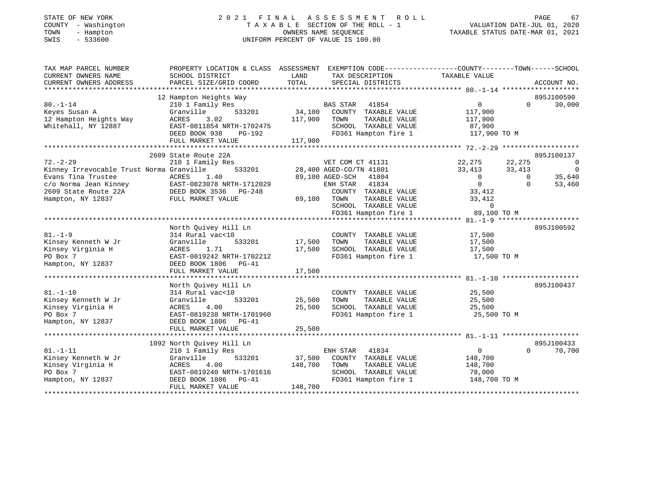# STATE OF NEW YORK 2 0 2 1 F I N A L A S S E S S M E N T R O L L PAGE 67COUNTY - Washington T A X A B L E SECTION OF THE ROLL - 1<br>
TOWN - Hampton COUNERS NAME SEQUENCE<br>
SWIS - 533600 SWIS - 533600 UNIFORM PERCENT OF VALUE IS 100.00

VALUATION DATE-JUL 01, 2020

| TAX MAP PARCEL NUMBER<br>CURRENT OWNERS NAME<br>CURRENT OWNERS ADDRESS<br>*************************                                                    | PROPERTY LOCATION & CLASS ASSESSMENT<br>SCHOOL DISTRICT<br>PARCEL SIZE/GRID COORD                                                                                    | LAND<br>TOTAL                | EXEMPTION CODE----------------COUNTY-------TOWN------SCHOOL<br>TAX DESCRIPTION<br>SPECIAL DISTRICTS                                                                                           | TAXABLE VALUE                                                                                             |                                          | ACCOUNT NO.                                                     |
|--------------------------------------------------------------------------------------------------------------------------------------------------------|----------------------------------------------------------------------------------------------------------------------------------------------------------------------|------------------------------|-----------------------------------------------------------------------------------------------------------------------------------------------------------------------------------------------|-----------------------------------------------------------------------------------------------------------|------------------------------------------|-----------------------------------------------------------------|
| $80. - 1 - 14$<br>Keyes Susan A<br>12 Hampton Heights Way<br>Whitehall, NY 12887                                                                       | 12 Hampton Heights Way<br>210 1 Family Res<br>533201<br>Granville<br>ACRES<br>3.02<br>EAST-0811854 NRTH-1702475<br>DEED BOOK 938<br>PG-192<br>FULL MARKET VALUE      | 34,100<br>117,900<br>117,900 | <b>BAS STAR</b><br>41854<br>COUNTY TAXABLE VALUE<br>TAXABLE VALUE<br>TOWN<br>SCHOOL TAXABLE VALUE<br>FD361 Hampton fire 1                                                                     | $\Omega$<br>117,900<br>117,900<br>87,900<br>117,900 TO M                                                  | $\Omega$                                 | 895J100590<br>30,000                                            |
| $72. - 2 - 29$<br>Kinney Irrevocable Trust Norma Granville<br>Evans Tina Trustee<br>c/o Norma Jean Kinney<br>2609 State Route 22A<br>Hampton, NY 12837 | 2609 State Route 22A<br>210 1 Family Res<br>533201<br>1.40<br>ACRES<br>EAST-0823078 NRTH-1712029<br>DEED BOOK 3536<br>PG-248<br>FULL MARKET VALUE                    | 89,100                       | VET COM CT 41131<br>28,400 AGED-CO/TN 41801<br>89,100 AGED-SCH<br>41804<br>ENH STAR<br>41834<br>COUNTY TAXABLE VALUE<br>TOWN<br>TAXABLE VALUE<br>SCHOOL TAXABLE VALUE<br>FD361 Hampton fire 1 | 22,275<br>33,413<br>$\overline{0}$<br>$\overline{0}$<br>33,412<br>33,412<br>$\overline{0}$<br>89,100 TO M | 22,275<br>33,413<br>$\Omega$<br>$\Omega$ | 895J100137<br>0<br>$\overline{\phantom{0}}$<br>35,640<br>53,460 |
| $81. - 1 - 9$<br>Kinsey Kenneth W Jr<br>Kinsey Virginia H<br>PO Box 7<br>Hampton, NY 12837                                                             | North Ouivey Hill Ln<br>314 Rural vac<10<br>Granville<br>533201<br>ACRES<br>1.71<br>EAST-0819242 NRTH-1702212<br>DEED BOOK 1806<br>$PG-41$<br>FULL MARKET VALUE      | 17,500<br>17,500<br>17,500   | COUNTY TAXABLE VALUE<br>TOWN<br>TAXABLE VALUE<br>SCHOOL TAXABLE VALUE<br>FD361 Hampton fire 1                                                                                                 | 17,500<br>17,500<br>17,500<br>17,500 TO M                                                                 |                                          | 895J100592                                                      |
| $81. - 1 - 10$<br>Kinsey Kenneth W Jr<br>Kinsey Virginia H<br>PO Box 7<br>Hampton, NY 12837                                                            | North Ouivey Hill Ln<br>314 Rural vac<10<br>Granville<br>533201<br>ACRES<br>4.00<br>EAST-0819238 NRTH-1701960<br>DEED BOOK 1806<br>$PG-41$<br>FULL MARKET VALUE      | 25,500<br>25,500<br>25,500   | COUNTY TAXABLE VALUE<br>TOWN<br>TAXABLE VALUE<br>SCHOOL TAXABLE VALUE<br>FD361 Hampton fire 1                                                                                                 | 25,500<br>25,500<br>25,500<br>25,500 TO M                                                                 |                                          | 895J100437                                                      |
| $81. - 1 - 11$<br>Kinsey Kenneth W Jr<br>Kinsey Virginia H<br>PO Box 7<br>Hampton, NY 12837                                                            | 1092 North Quivey Hill Ln<br>210 1 Family Res<br>Granville<br>533201<br>4.00<br>ACRES<br>EAST-0819240 NRTH-1701616<br>DEED BOOK 1806<br>$PG-41$<br>FULL MARKET VALUE | 37,500<br>148,700<br>148,700 | ENH STAR<br>41834<br>COUNTY TAXABLE VALUE<br>TOWN<br>TAXABLE VALUE<br>SCHOOL TAXABLE VALUE<br>FD361 Hampton fire 1                                                                            | $\Omega$<br>148,700<br>148,700<br>78,000<br>148,700 TO M                                                  | $\Omega$                                 | 895J100433<br>70,700                                            |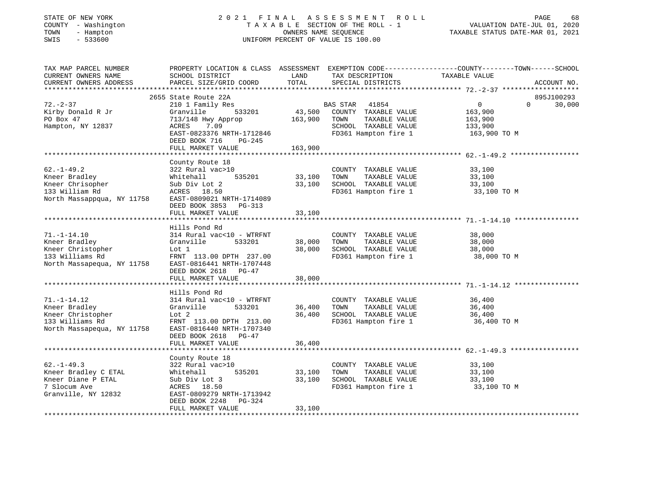# STATE OF NEW YORK 2 0 2 1 F I N A L A S S E S S M E N T R O L L PAGE 68COUNTY - Washington T A X A B L E SECTION OF THE ROLL - 1<br>
TOWN - Hampton DWNERS NAME SEQUENCE<br>
SWIS - 533600 DWIFORM PERCENT OF VALUE IS 100.00 SWIS - 533600 UNIFORM PERCENT OF VALUE IS 100.00

| TAX MAP PARCEL NUMBER<br>CURRENT OWNERS NAME<br>CURRENT OWNERS ADDRESS                                   | SCHOOL DISTRICT<br>PARCEL SIZE/GRID COORD                                                                                                                                       | LAND<br>TOTAL              | TAX DESCRIPTION<br>SPECIAL DISTRICTS                                                                                      | PROPERTY LOCATION & CLASS ASSESSMENT EXEMPTION CODE---------------COUNTY-------TOWN------SCHOOL<br>TAXABLE VALUE<br>ACCOUNT NO. |
|----------------------------------------------------------------------------------------------------------|---------------------------------------------------------------------------------------------------------------------------------------------------------------------------------|----------------------------|---------------------------------------------------------------------------------------------------------------------------|---------------------------------------------------------------------------------------------------------------------------------|
| $72. - 2 - 37$<br>Kirby Donald R Jr<br>PO Box 47<br>Hampton, NY 12837                                    | 2655 State Route 22A<br>210 1 Family Res<br>533201<br>Granville<br>713/148 Hwy Approp<br>7.09<br>ACRES<br>EAST-0823376 NRTH-1712846<br>DEED BOOK 716<br>$PG-245$                | 43,500<br>163,900          | <b>BAS STAR</b><br>41854<br>COUNTY TAXABLE VALUE<br>TAXABLE VALUE<br>TOWN<br>SCHOOL TAXABLE VALUE<br>FD361 Hampton fire 1 | 895J100293<br>$\overline{0}$<br>$\Omega$<br>30,000<br>163,900<br>163,900<br>133,900<br>163,900 TO M                             |
|                                                                                                          | FULL MARKET VALUE                                                                                                                                                               | 163,900                    |                                                                                                                           |                                                                                                                                 |
| $62. - 1 - 49.2$<br>Kneer Bradley<br>Kneer Chrisopher<br>133 William Rd<br>North Massappqua, NY 11758    | County Route 18<br>322 Rural vac>10<br>535201<br>Whitehall<br>Sub Div Lot 2<br>ACRES 18.50<br>EAST-0809021 NRTH-1714089<br>DEED BOOK 3853<br>PG-313<br>FULL MARKET VALUE        | 33,100<br>33,100<br>33,100 | COUNTY TAXABLE VALUE<br>TOWN<br>TAXABLE VALUE<br>SCHOOL TAXABLE VALUE<br>FD361 Hampton fire 1                             | 33,100<br>33,100<br>33,100<br>33,100 TO M                                                                                       |
|                                                                                                          | Hills Pond Rd                                                                                                                                                                   |                            |                                                                                                                           |                                                                                                                                 |
| $71. - 1 - 14.10$<br>Kneer Bradley<br>Kneer Christopher<br>133 Williams Rd<br>North Massapequa, NY 11758 | 314 Rural vac<10 - WTRFNT<br>Granville<br>533201<br>Lot 1<br>FRNT 113.00 DPTH 237.00<br>EAST-0816441 NRTH-1707448<br>DEED BOOK 2618 PG-47                                       | 38,000<br>38,000           | COUNTY TAXABLE VALUE<br>TOWN<br>TAXABLE VALUE<br>SCHOOL TAXABLE VALUE<br>FD361 Hampton fire 1                             | 38,000<br>38,000<br>38,000<br>38,000 TO M                                                                                       |
|                                                                                                          | FULL MARKET VALUE                                                                                                                                                               | 38,000                     |                                                                                                                           |                                                                                                                                 |
| $71. - 1 - 14.12$<br>Kneer Bradley<br>Kneer Christopher<br>133 Williams Rd<br>North Massapequa, NY 11758 | Hills Pond Rd<br>314 Rural vac<10 - WTRFNT<br>533201<br>Granville<br>Lot 2<br>FRNT 113.00 DPTH 213.00<br>EAST-0816440 NRTH-1707340<br>DEED BOOK 2618 PG-47<br>FULL MARKET VALUE | 36,400<br>36,400<br>36,400 | COUNTY TAXABLE VALUE<br>TAXABLE VALUE<br>TOWN<br>SCHOOL TAXABLE VALUE<br>FD361 Hampton fire 1                             | 36,400<br>36,400<br>36,400<br>36,400 TO M                                                                                       |
|                                                                                                          |                                                                                                                                                                                 |                            |                                                                                                                           |                                                                                                                                 |
| $62. -1 - 49.3$<br>Kneer Bradley C ETAL<br>Kneer Diane P ETAL<br>7 Slocum Ave<br>Granville, NY 12832     | County Route 18<br>322 Rural vac>10<br>535201<br>Whitehall<br>Sub Div Lot 3<br>ACRES 18.50<br>EAST-0809279 NRTH-1713942<br>DEED BOOK 2248<br>$PG-324$                           | 33,100<br>33,100           | COUNTY TAXABLE VALUE<br>TAXABLE VALUE<br>TOWN<br>SCHOOL TAXABLE VALUE<br>FD361 Hampton fire 1                             | 33,100<br>33,100<br>33,100<br>33,100 TO M                                                                                       |
|                                                                                                          | FULL MARKET VALUE                                                                                                                                                               | 33,100                     |                                                                                                                           |                                                                                                                                 |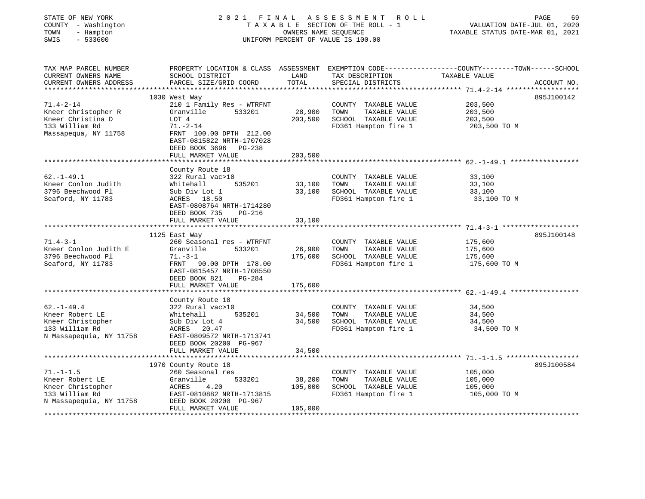| STATE OF NEW YORK<br>COUNTY - Washington<br>TOWN<br>- Hampton<br>SWIS<br>$-533600$ | 2021 FINAL                                             | OWNERS NAME SEQUENCE | ASSESSMENT<br>ROLL<br>TAXABLE SECTION OF THE ROLL - 1<br>UNIFORM PERCENT OF VALUE IS 100.00 | PAGE<br>69<br>VALUATION DATE-JUL 01, 2020<br>TAXABLE STATUS DATE-MAR 01, 2021                                    |
|------------------------------------------------------------------------------------|--------------------------------------------------------|----------------------|---------------------------------------------------------------------------------------------|------------------------------------------------------------------------------------------------------------------|
| TAX MAP PARCEL NUMBER<br>CURRENT OWNERS NAME                                       | SCHOOL DISTRICT                                        | LAND                 | TAX DESCRIPTION                                                                             | PROPERTY LOCATION & CLASS ASSESSMENT EXEMPTION CODE---------------COUNTY-------TOWN------SCHOOL<br>TAXABLE VALUE |
| CURRENT OWNERS ADDRESS                                                             | PARCEL SIZE/GRID COORD                                 | TOTAL                | SPECIAL DISTRICTS                                                                           | ACCOUNT NO.                                                                                                      |
|                                                                                    | 1030 West Way                                          |                      |                                                                                             | 895J100142                                                                                                       |
| $71.4 - 2 - 14$                                                                    | 210 1 Family Res - WTRFNT                              |                      | COUNTY TAXABLE VALUE                                                                        | 203,500                                                                                                          |
| Kneer Christopher R                                                                | Granville<br>533201                                    | 28,900               | TOWN<br>TAXABLE VALUE                                                                       | 203,500                                                                                                          |
| Kneer Christina D                                                                  | LOT 4                                                  | 203,500              | SCHOOL TAXABLE VALUE                                                                        | 203,500                                                                                                          |
| 133 William Rd                                                                     | $71. - 2 - 14$                                         |                      | FD361 Hampton fire 1                                                                        | 203,500 TO M                                                                                                     |
| Massapequa, NY 11758                                                               | FRNT 100.00 DPTH 212.00<br>EAST-0815822 NRTH-1707028   |                      |                                                                                             |                                                                                                                  |
|                                                                                    | DEED BOOK 3696<br><b>PG-238</b><br>FULL MARKET VALUE   | 203,500              |                                                                                             |                                                                                                                  |
|                                                                                    |                                                        |                      |                                                                                             |                                                                                                                  |
|                                                                                    | County Route 18                                        |                      |                                                                                             |                                                                                                                  |
| $62. -1 - 49.1$                                                                    | 322 Rural vac>10                                       |                      | COUNTY TAXABLE VALUE                                                                        | 33,100                                                                                                           |
| Kneer Conlon Judith                                                                | 535201<br>Whitehall                                    | 33,100               | TOWN<br>TAXABLE VALUE                                                                       | 33,100                                                                                                           |
| 3796 Beechwood Pl                                                                  | Sub Div Lot 1                                          | 33,100               | SCHOOL TAXABLE VALUE                                                                        | 33,100                                                                                                           |
| Seaford, NY 11783                                                                  | ACRES 18.50<br>EAST-0808764 NRTH-1714280               |                      | FD361 Hampton fire 1                                                                        | 33,100 TO M                                                                                                      |
|                                                                                    | DEED BOOK 735<br><b>PG-216</b>                         |                      |                                                                                             |                                                                                                                  |
|                                                                                    | FULL MARKET VALUE                                      | 33,100               |                                                                                             |                                                                                                                  |
|                                                                                    |                                                        |                      |                                                                                             |                                                                                                                  |
|                                                                                    | 1125 East Way                                          |                      |                                                                                             | 895J100148                                                                                                       |
| $71.4 - 3 - 1$                                                                     | 260 Seasonal res - WTRFNT                              |                      | COUNTY TAXABLE VALUE                                                                        | 175,600                                                                                                          |
| Kneer Conlon Judith E                                                              | Granville<br>533201                                    | 26,900               | TOWN<br>TAXABLE VALUE                                                                       | 175,600                                                                                                          |
| 3796 Beechwood Pl                                                                  | $71. - 3 - 1$                                          | 175,600              | SCHOOL TAXABLE VALUE                                                                        | 175,600                                                                                                          |
| Seaford, NY 11783                                                                  | FRNT<br>90.00 DPTH 178.00<br>EAST-0815457 NRTH-1708550 |                      | FD361 Hampton fire 1                                                                        | 175,600 TO M                                                                                                     |
|                                                                                    | DEED BOOK 821<br>$PG-284$                              |                      |                                                                                             |                                                                                                                  |
|                                                                                    | FULL MARKET VALUE                                      | 175,600              |                                                                                             |                                                                                                                  |
|                                                                                    | ******************                                     |                      | ****************************** 62.-1-49.4                                                   |                                                                                                                  |
|                                                                                    | County Route 18                                        |                      |                                                                                             |                                                                                                                  |
| $62. - 1 - 49.4$                                                                   | 322 Rural vac>10                                       |                      | COUNTY TAXABLE VALUE                                                                        | 34,500                                                                                                           |
| Kneer Robert LE                                                                    | 535201<br>Whitehall                                    | 34,500               | TOWN<br>TAXABLE VALUE                                                                       | 34,500                                                                                                           |
| Kneer Christopher                                                                  | Sub Div Lot 4                                          | 34,500               | SCHOOL TAXABLE VALUE                                                                        | 34,500                                                                                                           |
| 133 William Rd<br>N Massapequia, NY 11758                                          | ACRES<br>20.47<br>EAST-0809572 NRTH-1713741            |                      | FD361 Hampton fire 1                                                                        | 34,500 TO M                                                                                                      |
|                                                                                    | DEED BOOK 20200 PG-967                                 |                      |                                                                                             |                                                                                                                  |
|                                                                                    | FULL MARKET VALUE                                      | 34,500               |                                                                                             |                                                                                                                  |
|                                                                                    |                                                        |                      |                                                                                             |                                                                                                                  |
|                                                                                    | 1970 County Route 18                                   |                      |                                                                                             | 895J100584                                                                                                       |
| $71. - 1 - 1.5$                                                                    | 260 Seasonal res                                       |                      | COUNTY TAXABLE VALUE                                                                        | 105,000                                                                                                          |
| Kneer Robert LE                                                                    | Granville<br>533201                                    | 38,200               | TOWN<br>TAXABLE VALUE                                                                       | 105,000                                                                                                          |
| Kneer Christopher<br>133 William Rd                                                | ACRES<br>4.20<br>EAST-0810882 NRTH-1713815             | 105,000              | SCHOOL TAXABLE VALUE<br>FD361 Hampton fire 1                                                | 105,000<br>105,000 TO M                                                                                          |
| N Massapequia, NY 11758                                                            | DEED BOOK 20200 PG-967                                 |                      |                                                                                             |                                                                                                                  |
|                                                                                    | FULL MARKET VALUE                                      | 105,000              |                                                                                             |                                                                                                                  |
|                                                                                    |                                                        |                      |                                                                                             |                                                                                                                  |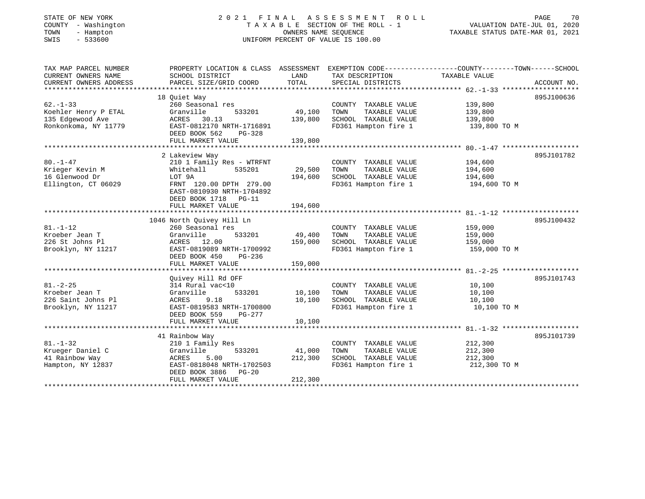# STATE OF NEW YORK 2 0 2 1 F I N A L A S S E S S M E N T R O L L PAGE 70COUNTY - Washington T A X A B L E SECTION OF THE ROLL - 1<br>
TOWN - Hampton OWNERS NAME SEQUENCE<br>
SWIS - 533600 SWIS - 533600 UNIFORM PERCENT OF VALUE IS 100.00

| TAX MAP PARCEL NUMBER  | PROPERTY LOCATION & CLASS ASSESSMENT              |                        | EXEMPTION CODE-----------------COUNTY-------TOWN------SCHOOL |               |             |
|------------------------|---------------------------------------------------|------------------------|--------------------------------------------------------------|---------------|-------------|
| CURRENT OWNERS NAME    | SCHOOL DISTRICT                                   | LAND                   | TAX DESCRIPTION                                              | TAXABLE VALUE |             |
| CURRENT OWNERS ADDRESS | PARCEL SIZE/GRID COORD                            | TOTAL                  | SPECIAL DISTRICTS                                            |               | ACCOUNT NO. |
|                        |                                                   |                        |                                                              |               |             |
|                        | 18 Ouiet Way                                      |                        |                                                              |               | 895J100636  |
| $62 - 1 - 33$          | 260 Seasonal res                                  |                        | COUNTY TAXABLE VALUE                                         | 139,800       |             |
| Koehler Henry P ETAL   | Granville<br>533201                               | 49,100                 | TOWN<br>TAXABLE VALUE                                        | 139,800       |             |
| 135 Edgewood Ave       | ACRES 30.13                                       | 139,800                | SCHOOL TAXABLE VALUE                                         | 139,800       |             |
| Ronkonkoma, NY 11779   | EAST-0812170 NRTH-1716891                         |                        | FD361 Hampton fire 1                                         | 139,800 TO M  |             |
|                        | DEED BOOK 562<br>$PG-328$                         |                        |                                                              |               |             |
|                        | FULL MARKET VALUE<br>***************************  | 139,800<br>*********** | ********************************** 80.-1-47                  |               |             |
|                        | 2 Lakeview Way                                    |                        |                                                              |               | 895J101782  |
| $80. - 1 - 47$         | 210 1 Family Res - WTRFNT                         |                        | COUNTY TAXABLE VALUE                                         | 194,600       |             |
| Krieger Kevin M        | 535201<br>Whitehall                               | 29,500                 | TOWN<br>TAXABLE VALUE                                        | 194,600       |             |
| 16 Glenwood Dr         | LOT 9A                                            | 194,600                | SCHOOL TAXABLE VALUE                                         | 194,600       |             |
| Ellington, CT 06029    | FRNT 120.00 DPTH 279.00                           |                        | FD361 Hampton fire 1                                         | 194,600 TO M  |             |
|                        | EAST-0810930 NRTH-1704892                         |                        |                                                              |               |             |
|                        | DEED BOOK 1718 PG-11                              |                        |                                                              |               |             |
|                        | FULL MARKET VALUE                                 | 194,600                |                                                              |               |             |
|                        |                                                   |                        |                                                              |               |             |
|                        | 1046 North Quivey Hill Ln                         |                        |                                                              |               | 895J100432  |
| $81. - 1 - 12$         | 260 Seasonal res                                  |                        | COUNTY TAXABLE VALUE                                         | 159,000       |             |
| Kroeber Jean T         | Granville<br>533201                               | 49,400                 | TOWN<br>TAXABLE VALUE                                        | 159,000       |             |
| 226 St Johns Pl        | ACRES 12.00                                       | 159,000                | SCHOOL TAXABLE VALUE                                         | 159,000       |             |
| Brooklyn, NY 11217     | EAST-0819089 NRTH-1700992                         |                        | FD361 Hampton fire 1                                         | 159,000 TO M  |             |
|                        | DEED BOOK 450<br>$PG-236$                         |                        |                                                              |               |             |
|                        | FULL MARKET VALUE                                 | 159,000                |                                                              |               |             |
|                        |                                                   |                        |                                                              |               |             |
|                        | Quivey Hill Rd OFF                                |                        |                                                              |               | 895J101743  |
| $81. - 2 - 25$         | 314 Rural vac<10                                  |                        | COUNTY TAXABLE VALUE                                         | 10,100        |             |
| Kroeber Jean T         | 533201<br>Granville                               | 10,100                 | TOWN<br>TAXABLE VALUE                                        | 10,100        |             |
| 226 Saint Johns Pl     | ACRES<br>9.18                                     | 10,100                 | SCHOOL TAXABLE VALUE                                         | 10,100        |             |
| Brooklyn, NY 11217     | EAST-0819583 NRTH-1700800                         |                        | FD361 Hampton fire 1                                         | 10,100 TO M   |             |
|                        | DEED BOOK 559<br>PG-277                           |                        |                                                              |               |             |
|                        | FULL MARKET VALUE                                 | 10,100                 |                                                              |               |             |
|                        |                                                   |                        |                                                              |               |             |
|                        | 41 Rainbow Way                                    |                        |                                                              |               | 895J101739  |
| $81. - 1 - 32$         | 210 1 Family Res                                  |                        | COUNTY TAXABLE VALUE                                         | 212,300       |             |
| Krueger Daniel C       | Granville<br>533201                               | 41,000                 | TOWN<br>TAXABLE VALUE                                        | 212,300       |             |
| 41 Rainbow Way         | ACRES<br>5.00                                     | 212,300                | SCHOOL TAXABLE VALUE                                         | 212,300       |             |
| Hampton, NY 12837      | EAST-0818048 NRTH-1702503<br>DEED BOOK 3886 PG-20 |                        | FD361 Hampton fire 1                                         | 212,300 TO M  |             |
|                        | FULL MARKET VALUE                                 | 212,300                |                                                              |               |             |
|                        |                                                   |                        |                                                              |               |             |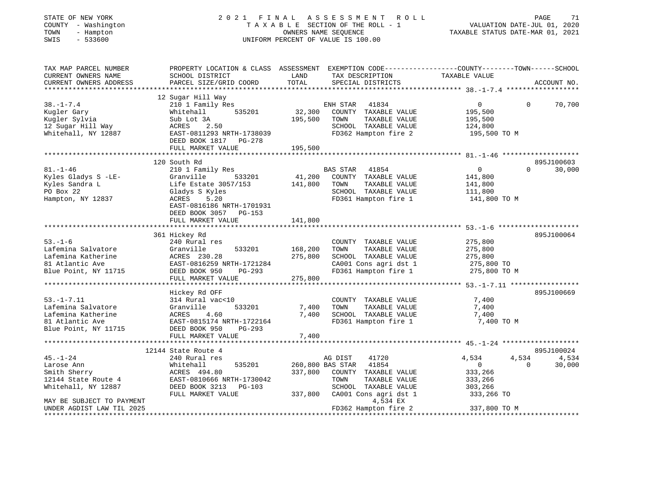| STATE OF NEW YORK<br>COUNTY - Washington<br>- Hampton<br>TOWN<br>$-533600$<br>SWIS          |                                                                                                                                             |                   | 2021 FINAL ASSESSMENT ROLL<br>TAXABLE SECTION OF THE ROLL - 1<br>OWNERS NAME SEQUENCE<br>UNIFORM PERCENT OF VALUE IS 100.00 | VALUATION DATE-JUL 01, 2020<br>TAXABLE STATUS DATE-MAR 01, 2021 | PAGE<br>71         |
|---------------------------------------------------------------------------------------------|---------------------------------------------------------------------------------------------------------------------------------------------|-------------------|-----------------------------------------------------------------------------------------------------------------------------|-----------------------------------------------------------------|--------------------|
| TAX MAP PARCEL NUMBER<br>CURRENT OWNERS NAME<br>CURRENT OWNERS ADDRESS                      | PROPERTY LOCATION & CLASS ASSESSMENT EXEMPTION CODE---------------COUNTY-------TOWN-----SCHOOL<br>SCHOOL DISTRICT<br>PARCEL SIZE/GRID COORD | LAND<br>TOTAL     | TAX DESCRIPTION<br>SPECIAL DISTRICTS                                                                                        | TAXABLE VALUE                                                   | ACCOUNT NO.        |
|                                                                                             |                                                                                                                                             |                   |                                                                                                                             |                                                                 |                    |
| $38. - 1 - 7.4$<br>Kugler Gary<br>Kugler Sylvia<br>12 Sugar Hill Way<br>Whitehall, NY 12887 | 12 Sugar Hill Way<br>210 1 Family Res<br>535201<br>Whitehall<br>Sub Lot 3A<br>ACRES 2.50<br>EAST-0811293 NRTH-1738039                       | 32,300<br>195,500 | ENH STAR<br>41834<br>COUNTY TAXABLE VALUE<br>TOWN<br>TAXABLE VALUE<br>SCHOOL TAXABLE VALUE<br>FD362 Hampton fire 2          | 0<br>195,500<br>195,500<br>124,800<br>195,500 TO M              | 70,700<br>$\Omega$ |
|                                                                                             | DEED BOOK 1817 PG-278                                                                                                                       |                   |                                                                                                                             |                                                                 |                    |
|                                                                                             | FULL MARKET VALUE                                                                                                                           | 195,500           |                                                                                                                             |                                                                 |                    |
|                                                                                             | 120 South Rd                                                                                                                                |                   |                                                                                                                             |                                                                 | 895J100603         |
| $81. - 1 - 46$<br>Kyles Gladys S -LE-                                                       | 210 1 Family Res<br>Granville<br>533201                                                                                                     | 41,200            | BAS STAR 41854<br>COUNTY TAXABLE VALUE                                                                                      | $\overline{0}$<br>141,800                                       | $\Omega$<br>30,000 |
| Kyles Sandra L                                                                              | Life Estate 3057/153                                                                                                                        | 141,800           | TOWN<br>TAXABLE VALUE                                                                                                       | 141,800                                                         |                    |
| PO Box 22                                                                                   | Gladys S Kyles                                                                                                                              |                   | SCHOOL TAXABLE VALUE                                                                                                        | 111,800                                                         |                    |
| Hampton, NY 12837                                                                           | ACRES 5.20<br>EAST-0816186 NRTH-1701931<br>DEED BOOK 3057 PG-153                                                                            |                   | FD361 Hampton fire 1                                                                                                        | 141,800 TO M                                                    |                    |
|                                                                                             | FULL MARKET VALUE                                                                                                                           | 141,800           |                                                                                                                             |                                                                 |                    |
|                                                                                             | 361 Hickey Rd                                                                                                                               |                   |                                                                                                                             |                                                                 | 895J100064         |
| $53. - 1 - 6$                                                                               | 240 Rural res                                                                                                                               |                   | COUNTY TAXABLE VALUE                                                                                                        | 275,800                                                         |                    |
| Lafemina Salvatore                                                                          | Granville<br>533201                                                                                                                         | 168,200           | TOWN<br>TAXABLE VALUE                                                                                                       | 275,800                                                         |                    |
| Lafemina Katherine<br>81 Atlantic Ave                                                       | ACRES 230.28<br>EAST-0816259 NRTH-1721284                                                                                                   | 275,800           | SCHOOL TAXABLE VALUE<br>CA001 Cons agri dst 1                                                                               | 275,800<br>275,800 TO                                           |                    |
| Blue Point, NY 11715                                                                        | DEED BOOK 950<br>PG-293                                                                                                                     |                   | FD361 Hampton fire 1                                                                                                        | 275,800 TO M                                                    |                    |
|                                                                                             | FULL MARKET VALUE                                                                                                                           | 275,800           |                                                                                                                             |                                                                 |                    |
|                                                                                             |                                                                                                                                             |                   |                                                                                                                             |                                                                 |                    |
|                                                                                             | Hickey Rd OFF                                                                                                                               |                   |                                                                                                                             |                                                                 | 895J100669         |
| $53. - 1 - 7.11$<br>Lafemina Salvatore                                                      | 314 Rural vac<10<br>Granville<br>533201                                                                                                     | 7,400             | COUNTY TAXABLE VALUE<br>TOWN<br>TAXABLE VALUE                                                                               | 7,400<br>7,400                                                  |                    |
| Lafemina Katherine                                                                          | 4.60<br>ACRES                                                                                                                               | 7,400             | SCHOOL TAXABLE VALUE                                                                                                        | 7,400                                                           |                    |
| 81 Atlantic Ave                                                                             | EAST-0815174 NRTH-1722164                                                                                                                   |                   | FD361 Hampton fire 1                                                                                                        | 7,400 TO M                                                      |                    |
| Blue Point, NY 11715                                                                        | DEED BOOK 950<br>PG-293                                                                                                                     |                   |                                                                                                                             |                                                                 |                    |
|                                                                                             | FULL MARKET VALUE                                                                                                                           | 7,400             |                                                                                                                             |                                                                 |                    |
|                                                                                             | 12144 State Route 4                                                                                                                         |                   |                                                                                                                             |                                                                 | 895J100024         |
| $45. - 1 - 24$                                                                              | 240 Rural res                                                                                                                               |                   | AG DIST<br>41720                                                                                                            | 4,534<br>4,534                                                  | 4,534              |
| Larose Ann                                                                                  | Whitehall<br>535201                                                                                                                         |                   | 260,800 BAS STAR<br>41854                                                                                                   | $\overline{0}$                                                  | $\Omega$<br>30,000 |
| Smith Sherry                                                                                | ACRES 494.80                                                                                                                                |                   | 337,800 COUNTY TAXABLE VALUE                                                                                                | 333,266                                                         |                    |
| 12144 State Route 4                                                                         | EAST-0810666 NRTH-1730042                                                                                                                   |                   | TOWN<br>TAXABLE VALUE                                                                                                       | 333,266                                                         |                    |
| Whitehall, NY 12887                                                                         | DEED BOOK 3213 PG-103                                                                                                                       |                   | SCHOOL TAXABLE VALUE                                                                                                        | 303,266                                                         |                    |
|                                                                                             | FULL MARKET VALUE                                                                                                                           |                   | 337,800 CA001 Cons agri dst 1                                                                                               | 333,266 TO                                                      |                    |
| MAY BE SUBJECT TO PAYMENT<br>UNDER AGDIST LAW TIL 2025                                      |                                                                                                                                             |                   | 4,534 EX<br>FD362 Hampton fire 2                                                                                            | 337,800 TO M                                                    |                    |
|                                                                                             |                                                                                                                                             |                   |                                                                                                                             |                                                                 |                    |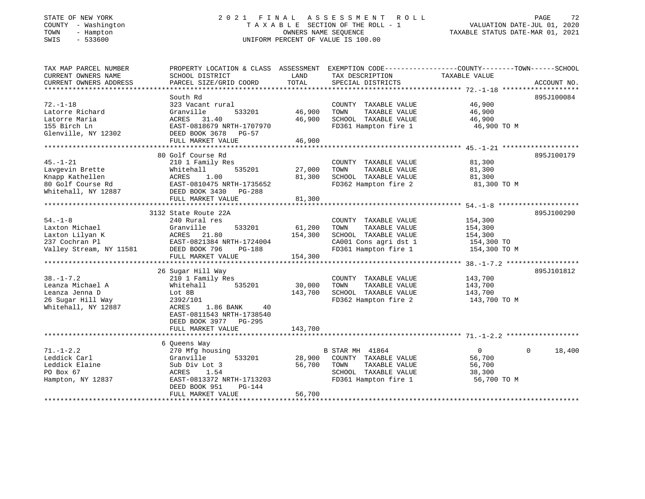# STATE OF NEW YORK 2 0 2 1 F I N A L A S S E S S M E N T R O L L PAGE 72COUNTY - Washington T A X A B L E SECTION OF THE ROLL - 1<br>
TOWN - Hampton DWNERS NAME SEQUENCE<br>
SWIS - 533600<br>
SWIS - 533600 SWIS - 533600 UNIFORM PERCENT OF VALUE IS 100.00

| TAX MAP PARCEL NUMBER<br>CURRENT OWNERS NAME | PROPERTY LOCATION & CLASS ASSESSMENT<br>SCHOOL DISTRICT | LAND    | EXEMPTION CODE-----------------COUNTY-------TOWN------SCHOOL<br>TAX DESCRIPTION | TAXABLE VALUE  |                          |
|----------------------------------------------|---------------------------------------------------------|---------|---------------------------------------------------------------------------------|----------------|--------------------------|
| CURRENT OWNERS ADDRESS                       | PARCEL SIZE/GRID COORD                                  | TOTAL   | SPECIAL DISTRICTS                                                               |                | ACCOUNT NO.              |
|                                              |                                                         |         |                                                                                 |                |                          |
|                                              | South Rd                                                |         |                                                                                 |                | 895J100084               |
| $72. - 1 - 18$                               | 323 Vacant rural                                        |         | COUNTY TAXABLE VALUE                                                            | 46,900         |                          |
| Latorre Richard                              | 533201<br>Granville                                     | 46,900  | TOWN<br>TAXABLE VALUE                                                           | 46,900         |                          |
| Latorre Maria                                | ACRES<br>31.40                                          | 46,900  | SCHOOL TAXABLE VALUE                                                            | 46,900         |                          |
| 155 Birch Ln                                 | EAST-0818679 NRTH-1707970                               |         | FD361 Hampton fire 1                                                            | 46,900 TO M    |                          |
| Glenville, NY 12302                          | DEED BOOK 3678 PG-57                                    |         |                                                                                 |                |                          |
|                                              | FULL MARKET VALUE                                       | 46,900  |                                                                                 |                |                          |
|                                              |                                                         |         |                                                                                 |                |                          |
|                                              | 80 Golf Course Rd                                       |         |                                                                                 |                | 895J100179               |
| $45. - 1 - 21$                               | 210 1 Family Res                                        |         | COUNTY TAXABLE VALUE                                                            | 81,300         |                          |
| Lavgevin Brette                              | Whitehall<br>535201                                     | 27,000  | TOWN<br>TAXABLE VALUE                                                           | 81,300         |                          |
| Knapp Kathellen                              | ACRES<br>1.00                                           | 81,300  | SCHOOL TAXABLE VALUE                                                            | 81,300         |                          |
| 80 Golf Course Rd                            | EAST-0810475 NRTH-1735652                               |         | FD362 Hampton fire 2                                                            | 81,300 TO M    |                          |
| Whitehall, NY 12887                          | DEED BOOK 3430<br>PG-288                                |         |                                                                                 |                |                          |
|                                              | FULL MARKET VALUE                                       | 81,300  |                                                                                 |                |                          |
|                                              |                                                         |         |                                                                                 |                |                          |
|                                              | 3132 State Route 22A                                    |         |                                                                                 |                | 895J100290               |
| $54. - 1 - 8$                                |                                                         |         |                                                                                 |                |                          |
| Laxton Michael                               | 240 Rural res<br>533201                                 |         | COUNTY TAXABLE VALUE                                                            | 154,300        |                          |
|                                              | Granville                                               | 61,200  | TOWN<br>TAXABLE VALUE                                                           | 154,300        |                          |
| Laxton Lilyan K                              | ACRES 21.80                                             | 154,300 | SCHOOL TAXABLE VALUE                                                            | 154,300        |                          |
| 237 Cochran Pl                               | EAST-0821384 NRTH-1724004                               |         | CA001 Cons agri dst 1                                                           | 154,300 TO     |                          |
| Valley Stream, NY 11581                      | DEED BOOK 796<br>PG-188                                 |         | FD361 Hampton fire 1                                                            | 154,300 TO M   |                          |
|                                              | FULL MARKET VALUE                                       | 154,300 |                                                                                 |                |                          |
|                                              |                                                         |         |                                                                                 |                |                          |
|                                              | 26 Sugar Hill Way                                       |         |                                                                                 |                | 895J101812               |
| $38. - 1 - 7.2$                              | 210 1 Family Res                                        |         | COUNTY TAXABLE VALUE                                                            | 143,700        |                          |
| Leanza Michael A                             | 535201<br>Whitehall                                     | 30,000  | TOWN<br>TAXABLE VALUE                                                           | 143,700        |                          |
| Leanza Jenna D                               | Lot 8B                                                  | 143,700 | SCHOOL TAXABLE VALUE                                                            | 143,700        |                          |
| 26 Sugar Hill Way                            | 2392/101                                                |         | FD362 Hampton fire 2                                                            | 143,700 TO M   |                          |
| Whitehall, NY 12887                          | ACRES<br>1.86 BANK<br>40                                |         |                                                                                 |                |                          |
|                                              | EAST-0811543 NRTH-1738540                               |         |                                                                                 |                |                          |
|                                              | DEED BOOK 3977 PG-295                                   |         |                                                                                 |                |                          |
|                                              | FULL MARKET VALUE                                       | 143,700 |                                                                                 |                |                          |
|                                              |                                                         |         |                                                                                 |                |                          |
|                                              | 6 Queens Way                                            |         |                                                                                 |                |                          |
| $71. - 1 - 2.2$                              | 270 Mfg housing                                         |         | B STAR MH 41864                                                                 | $\overline{0}$ | 18,400<br>$\overline{0}$ |
| Leddick Carl                                 | 533201<br>Granville                                     | 28,900  | COUNTY TAXABLE VALUE                                                            | 56,700         |                          |
| Leddick Elaine                               | Sub Div Lot 3                                           | 56,700  | TAXABLE VALUE<br>TOWN                                                           | 56,700         |                          |
| PO Box 67                                    | ACRES<br>1.54                                           |         | SCHOOL TAXABLE VALUE                                                            | 38,300         |                          |
| Hampton, NY 12837                            | EAST-0813372 NRTH-1713203                               |         | FD361 Hampton fire 1                                                            | 56,700 TO M    |                          |
|                                              | PG-144<br>DEED BOOK 951                                 |         |                                                                                 |                |                          |
|                                              | FULL MARKET VALUE                                       | 56,700  |                                                                                 |                |                          |
|                                              |                                                         |         |                                                                                 |                |                          |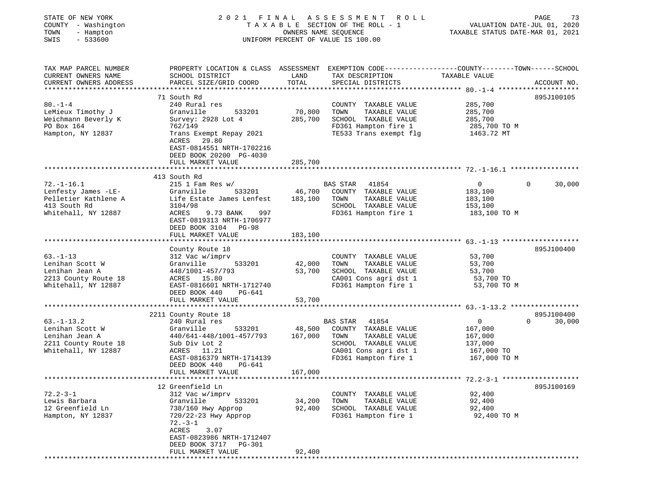| STATE OF NEW YORK<br>COUNTY - Washington<br>TOWN<br>- Hampton<br>SWIS<br>$-533600$                     | 2021 FINAL                                                                                                                                                                                                     |                              | A S S E S S M E N T<br>ROLL<br>TAXABLE SECTION OF THE ROLL - 1<br>OWNERS NAME SEQUENCE<br>UNIFORM PERCENT OF VALUE IS 100.00             | VALUATION DATE-JUL 01, 2020<br>TAXABLE STATUS DATE-MAR 01, 2021               | PAGE<br>73         |
|--------------------------------------------------------------------------------------------------------|----------------------------------------------------------------------------------------------------------------------------------------------------------------------------------------------------------------|------------------------------|------------------------------------------------------------------------------------------------------------------------------------------|-------------------------------------------------------------------------------|--------------------|
| TAX MAP PARCEL NUMBER<br>CURRENT OWNERS NAME<br>CURRENT OWNERS ADDRESS                                 | PROPERTY LOCATION & CLASS ASSESSMENT EXEMPTION CODE---------------COUNTY-------TOWN------SCHOOL<br>SCHOOL DISTRICT<br>PARCEL SIZE/GRID COORD                                                                   | LAND<br>TOTAL                | TAX DESCRIPTION<br>SPECIAL DISTRICTS                                                                                                     | TAXABLE VALUE                                                                 | ACCOUNT NO.        |
| $80. -1 - 4$<br>LeMieux Timothy J<br>Weichmann Beverly K<br>PO Box 164<br>Hampton, NY 12837            | 71 South Rd<br>240 Rural res<br>Granville<br>533201<br>Survey: 2928 Lot 4<br>762/149<br>Trans Exempt Repay 2021<br>ACRES<br>29.80<br>EAST-0814551 NRTH-1702216<br>DEED BOOK 20200 PG-4030<br>FULL MARKET VALUE | 70,800<br>285,700<br>285,700 | COUNTY TAXABLE VALUE<br>TOWN<br>TAXABLE VALUE<br>SCHOOL TAXABLE VALUE<br>FD361 Hampton fire 1<br>TE533 Trans exempt flg                  | 285,700<br>285,700<br>285,700<br>285,700 TO M<br>1463.72 MT                   | 895J100105         |
|                                                                                                        |                                                                                                                                                                                                                |                              |                                                                                                                                          |                                                                               |                    |
| $72. - 1 - 16.1$<br>Lenfesty James -LE-<br>Pelletier Kathlene A<br>413 South Rd<br>Whitehall, NY 12887 | 413 South Rd<br>$215$ 1 Fam Res w/<br>Granville<br>533201<br>Life Estate James Lenfest<br>3104/98<br>ACRES<br>9.73 BANK<br>997<br>EAST-0819313 NRTH-1706977<br>DEED BOOK 3104 PG-98                            | 46,700<br>183,100            | BAS STAR 41854<br>COUNTY TAXABLE VALUE<br>TAXABLE VALUE<br>TOWN<br>SCHOOL TAXABLE VALUE<br>FD361 Hampton fire 1                          | $\overline{0}$<br>183,100<br>183,100<br>153,100<br>183,100 TO M               | $\Omega$<br>30,000 |
|                                                                                                        | FULL MARKET VALUE                                                                                                                                                                                              | 183,100                      |                                                                                                                                          |                                                                               |                    |
| $63 - 1 - 13$                                                                                          | County Route 18<br>312 Vac w/imprv                                                                                                                                                                             |                              | COUNTY TAXABLE VALUE                                                                                                                     | 53,700                                                                        | 895J100400         |
| Lenihan Scott W<br>Lenihan Jean A<br>2213 County Route 18<br>Whitehall, NY 12887                       | Granville<br>533201<br>448/1001-457/793<br>ACRES 15.80<br>EAST-0816601 NRTH-1712740<br>DEED BOOK 440<br>PG-641                                                                                                 | 42,000<br>53,700             | TAXABLE VALUE<br>TOWN<br>SCHOOL TAXABLE VALUE<br>CA001 Cons agri dst 1<br>FD361 Hampton fire 1                                           | 53,700<br>53,700<br>53,700 TO<br>53,700 TO M                                  |                    |
|                                                                                                        | FULL MARKET VALUE                                                                                                                                                                                              | 53,700                       |                                                                                                                                          |                                                                               |                    |
|                                                                                                        | 2211 County Route 18                                                                                                                                                                                           |                              |                                                                                                                                          |                                                                               | 895J100400         |
| $63. - 1 - 13.2$<br>Lenihan Scott W<br>Lenihan Jean A<br>2211 County Route 18<br>Whitehall, NY 12887   | 240 Rural res<br>Granville<br>533201<br>440/641-448/1001-457/793<br>Sub Div Lot 2<br>ACRES 11.21<br>EAST-0816379 NRTH-1714139<br>DEED BOOK 440<br>PG-641                                                       | 48,500<br>167,000<br>167,000 | BAS STAR 41854<br>COUNTY TAXABLE VALUE<br>TOWN<br>TAXABLE VALUE<br>SCHOOL TAXABLE VALUE<br>CA001 Cons agri dst 1<br>FD361 Hampton fire 1 | $\overline{0}$<br>167,000<br>167,000<br>137,000<br>167,000 TO<br>167,000 TO M | $\Omega$<br>30,000 |
|                                                                                                        | FULL MARKET VALUE                                                                                                                                                                                              |                              |                                                                                                                                          |                                                                               |                    |
|                                                                                                        | 12 Greenfield Ln                                                                                                                                                                                               |                              |                                                                                                                                          |                                                                               | 895J100169         |
| $72.2 - 3 - 1$<br>Lewis Barbara<br>12 Greenfield Ln<br>Hampton, NY 12837                               | 312 Vac w/imprv<br>Granville<br>533201<br>738/160 Hwy Approp<br>720/22-23 Hwy Approp<br>$72. - 3 - 1$<br>ACRES<br>3.07<br>EAST-0823986 NRTH-1712407                                                            | 34,200<br>92,400             | COUNTY TAXABLE VALUE<br>TOWN<br>TAXABLE VALUE<br>SCHOOL TAXABLE VALUE<br>FD361 Hampton fire 1                                            | 92,400<br>92,400<br>92,400<br>92,400 TO M                                     |                    |
|                                                                                                        | DEED BOOK 3717<br><b>PG-301</b><br>FULL MARKET VALUE                                                                                                                                                           | 92,400                       |                                                                                                                                          |                                                                               |                    |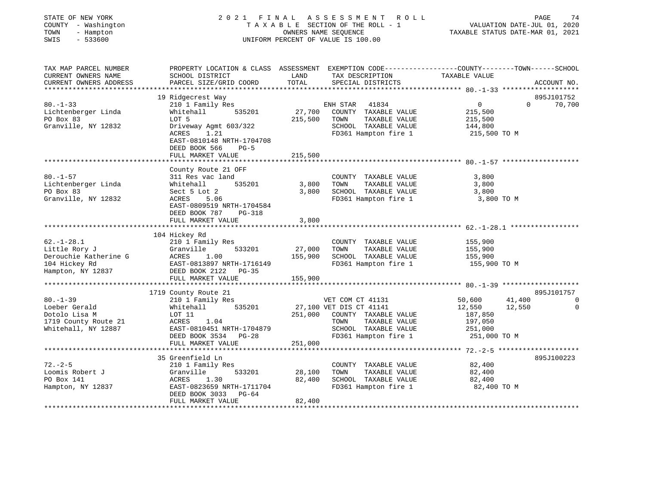| STATE OF NEW YORK<br>COUNTY - Washington<br>TOWN<br>- Hampton<br>SWIS<br>$-533600$               | 2021<br>FINAL                                                                                                                                                                                | OWNERS NAME SEOUENCE         | A S S E S S M E N T A O L L<br>TAXABLE SECTION OF THE ROLL - 1<br>UNIFORM PERCENT OF VALUE IS 100.00                                                         | VALUATION DATE-JUL 01, 2020<br>TAXABLE STATUS DATE-MAR 01, 2021             | 74<br>PAGE                                     |
|--------------------------------------------------------------------------------------------------|----------------------------------------------------------------------------------------------------------------------------------------------------------------------------------------------|------------------------------|--------------------------------------------------------------------------------------------------------------------------------------------------------------|-----------------------------------------------------------------------------|------------------------------------------------|
| TAX MAP PARCEL NUMBER<br>CURRENT OWNERS NAME<br>CURRENT OWNERS ADDRESS                           | PROPERTY LOCATION & CLASS ASSESSMENT EXEMPTION CODE---------------COUNTY-------TOWN-----SCHOOL<br>SCHOOL DISTRICT<br>PARCEL SIZE/GRID COORD                                                  | LAND<br>TOTAL                | TAX DESCRIPTION<br>SPECIAL DISTRICTS                                                                                                                         | TAXABLE VALUE                                                               | ACCOUNT NO.                                    |
| $80. - 1 - 33$<br>Lichtenberger Linda<br>PO Box 83<br>Granville, NY 12832                        | 19 Ridgecrest Way<br>210 1 Family Res<br>535201<br>Whitehall<br>LOT 5<br>Driveway Agmt 603/322<br>ACRES<br>1.21<br>EAST-0810148 NRTH-1704708<br>DEED BOOK 566<br>$PG-5$<br>FULL MARKET VALUE | 215,500 TOWN<br>215,500      | ENH STAR 41834<br>35201 27,700 COUNTY TAXABLE VALUE<br>TAXABLE VALUE<br>SCHOOL TAXABLE VALUE<br>FD361 Hampton fire 1                                         | $\overline{0}$<br>$\Omega$<br>215,500<br>215,500<br>144,800<br>215,500 TO M | 895J101752<br>70,700                           |
| $80. - 1 - 57$<br>Lichtenberger Linda<br>PO Box 83<br>Granville, NY 12832                        | County Route 21 OFF<br>311 Res vac land<br>535201<br>Whitehall<br>Sect 5 Lot 2<br>5.06<br>ACRES<br>EAST-0809519 NRTH-1704584<br>DEED BOOK 787<br>PG-318<br>FULL MARKET VALUE                 | 3,800 TOWN<br>3,800<br>3,800 | COUNTY TAXABLE VALUE<br>TAXABLE VALUE<br>SCHOOL TAXABLE VALUE<br>FD361 Hampton fire 1                                                                        | 3,800<br>3,800<br>3,800<br>3,800 TO M                                       |                                                |
| $62. - 1 - 28.1$<br>Little Rory J<br>Derouchie Katherine G<br>104 Hickey Rd<br>Hampton, NY 12837 | 104 Hickey Rd<br>210 1 Family Res<br>Granville<br>533201<br>ACRES<br>1.00<br>EAST-0813897 NRTH-1716149<br>DEED BOOK 2122    PG-35<br>FULL MARKET VALUE                                       | 27,000<br>155,900<br>155,900 | COUNTY TAXABLE VALUE<br>TAXABLE VALUE<br>TOWN<br>SCHOOL TAXABLE VALUE<br>FD361 Hampton fire 1                                                                | 155,900<br>155,900<br>155,900<br>155,900 TO M                               |                                                |
| $80 - 1 - 39$<br>Loeber Gerald<br>Dotolo Lisa M<br>1719 County Route 21<br>Whitehall, NY 12887   | 1719 County Route 21<br>210 1 Family Res<br>535201<br>Whitehall<br>LOT 11<br>ACRES<br>1.04<br>EAST-0810451 NRTH-1704879<br>DEED BOOK 3534 PG-28<br>FULL MARKET VALUE                         | 251,000                      | VET COM CT 41131<br>27,100 VET DIS CT 41141<br>251,000 COUNTY TAXABLE VALUE<br>TAXABLE VALUE<br>TOWN<br>SCHOOL TAXABLE VALUE 251,000<br>FD361 Hampton fire 1 | 50,600<br>41,400<br>12,550<br>12,550<br>187,850<br>197,050<br>251,000 TO M  | 895J101757<br>$\overline{0}$<br>$\overline{0}$ |
|                                                                                                  | 35 Greenfield Ln                                                                                                                                                                             |                              |                                                                                                                                                              |                                                                             | 895J100223                                     |

\*\*\*\*\*\*\*\*\*\*\*\*\*\*\*\*\*\*\*\*\*\*\*\*\*\*\*\*\*\*\*\*\*\*\*\*\*\*\*\*\*\*\*\*\*\*\*\*\*\*\*\*\*\*\*\*\*\*\*\*\*\*\*\*\*\*\*\*\*\*\*\*\*\*\*\*\*\*\*\*\*\*\*\*\*\*\*\*\*\*\*\*\*\*\*\*\*\*\*\*\*\*\*\*\*\*\*\*\*\*\*\*\*\*\*\*\*\*\*\*\*\*\*\*\*\*\*\*\*\*\*\*

35 Greenfield Ln

FULL MARKET VALUE 82,400

72.-2-5 210 1 Family Res COUNTY TAXABLE VALUE 82,400 Loomis Robert J Granville 533201 28,100 TOWN TAXABLE VALUE 82,400 PO Box 141 ACRES 1.30 82,400 SCHOOL TAXABLE VALUE 82,400 Hampton, NY 12837 EAST-0823659 NRTH-1711704 FD361 Hampton fire 1 82,400 TO M DEED BOOK 3033 PG-64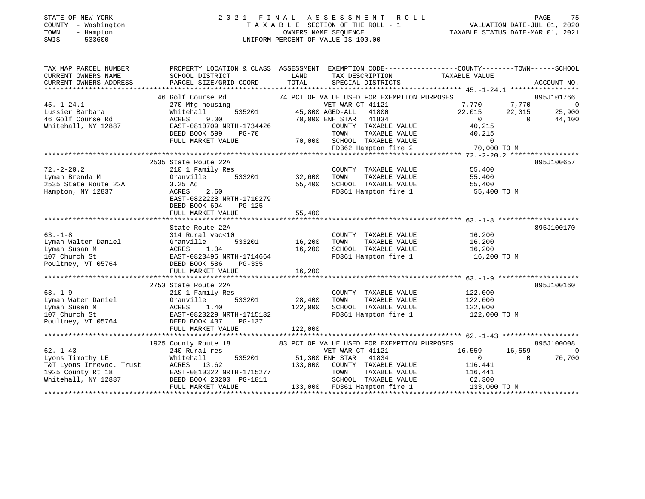| STATE OF NEW YORK                |              |
|----------------------------------|--------------|
| COUNTY                           | - Washington |
| TOWN<br>$\overline{\phantom{0}}$ | Hampton      |
| CM T C                           | 522600       |

#### STATE OF NEW YORK 2 0 2 1 F I N A L A S S E S S M E N T R O L L PAGE 75 COUNTY - Washington T A X A B L E SECTION OF THE ROLL - 1 VALUATION DATE-JUL 01, 2020 OWNERS NAME SEQUENCE TAXABLE STATUS DATE-MAR 01, 2021 SWIS - 533600 UNIFORM PERCENT OF VALUE IS 100.00

TAX MAP PARCEL NUMBER PROPERTY LOCATION & CLASS ASSESSMENT EXEMPTION CODE------------------COUNTY--------TOWN------SCHOOL CURRENT OWNERS NAME SCHOOL DISTRICT LAND TAX DESCRIPTION TAXABLE VALUE CURRENT OWNERS ADDRESS PARCEL SIZE/GRID COORD TOTAL SPECIAL DISTRICTS ACCOUNT NO. \*\*\*\*\*\*\*\*\*\*\*\*\*\*\*\*\*\*\*\*\*\*\*\*\*\*\*\*\*\*\*\*\*\*\*\*\*\*\*\*\*\*\*\*\*\*\*\*\*\*\*\*\*\*\*\*\*\*\*\*\*\*\*\*\*\*\*\*\*\*\*\*\*\*\*\*\*\*\*\*\*\*\*\*\*\*\*\*\*\*\*\*\*\*\*\*\*\*\*\*\*\*\* 45.-1-24.1 \*\*\*\*\*\*\*\*\*\*\*\*\*\*\*\*\*46 Golf Course Rd 30 74 PCT OF VALUE USED FOR EXEMPTION PURPOSES 46 270 Mfg housing 370 Mfg to the State Transform of the VET WAR CT 41121 30 7,770 7,770 3 895J101766 Lussier Barbara Whitehall 535201 45,800 AGED-ALL 41800 22,015 22,015 25,900 46 Golf Course Rd ACRES 9.00 70,000 ENH STAR 41834 0 0 44,100 Whitehall, NY 12887 EAST-0810709 NRTH-1734426 COUNTY TAXABLE VALUE 40,215 DEED BOOK 599 PG-70 TOWN TAXABLE VALUE 40,215 FULL MARKET VALUE 70,000 SCHOOL TAXABLE VALUE 0 FD362 Hampton fire 2 70,000 TO M \*\*\*\*\*\*\*\*\*\*\*\*\*\*\*\*\*\*\*\*\*\*\*\*\*\*\*\*\*\*\*\*\*\*\*\*\*\*\*\*\*\*\*\*\*\*\*\*\*\*\*\*\*\*\*\*\*\*\*\*\*\*\*\*\*\*\*\*\*\*\*\*\*\*\*\*\*\*\*\*\*\*\*\*\*\*\*\*\*\*\*\*\*\*\*\*\*\*\*\*\*\*\* 72.-2-20.2 \*\*\*\*\*\*\*\*\*\*\*\*\*\*\*\*\* 2535 State Route 22A 895J10065772.-2-20.2 210 1 Family Res COUNTY TAXABLE VALUE 55,400 Lyman Brenda M Granville 533201 32,600 TOWN TAXABLE VALUE 55,400 2535 State Route 22A 3.25 Ad 55,400 SCHOOL TAXABLE VALUE 55,400 Hampton, NY 12837 ACRES 2.60 FD361 Hampton fire 1 55,400 TO M EAST-0822228 NRTH-1710279 DEED BOOK 694 PG-125FULL MARKET VALUE 55,400 \*\*\*\*\*\*\*\*\*\*\*\*\*\*\*\*\*\*\*\*\*\*\*\*\*\*\*\*\*\*\*\*\*\*\*\*\*\*\*\*\*\*\*\*\*\*\*\*\*\*\*\*\*\*\*\*\*\*\*\*\*\*\*\*\*\*\*\*\*\*\*\*\*\*\*\*\*\*\*\*\*\*\*\*\*\*\*\*\*\*\*\*\*\*\*\*\*\*\*\*\*\*\* 63.-1-8 \*\*\*\*\*\*\*\*\*\*\*\*\*\*\*\*\*\*\*\*State Route 22A 895J100170 63.-1-8 314 Rural vac<10 COUNTY TAXABLE VALUE 16,200 Lyman Walter Daniel Granville 533201 16,200 TOWN TAXABLE VALUE 16,200 Lyman Susan M ACRES 1.34 16,200 SCHOOL TAXABLE VALUE 16,200 107 Church St Church St EAST-0823495 NRTH-1714664<br>107 Church St EAST-0823495 NRTH-1714664<br>16,200 TO M<br>FD361 Hampton fire 1 16,200 TO M<br>FD361 Hampton fire 1 Poultney, VT 05764 DEED BOOK 586 PG-335 FULL MARKET VALUE 16,200 \*\*\*\*\*\*\*\*\*\*\*\*\*\*\*\*\*\*\*\*\*\*\*\*\*\*\*\*\*\*\*\*\*\*\*\*\*\*\*\*\*\*\*\*\*\*\*\*\*\*\*\*\*\*\*\*\*\*\*\*\*\*\*\*\*\*\*\*\*\*\*\*\*\*\*\*\*\*\*\*\*\*\*\*\*\*\*\*\*\*\*\*\*\*\*\*\*\*\*\*\*\*\* 63.-1-9 \*\*\*\*\*\*\*\*\*\*\*\*\*\*\*\*\*\*\*\* 2753 State Route 22A 895J10016063.-1-9 210 1 Family Res COUNTY TAXABLE VALUE 122,000 Lyman Water Daniel Granville 533201 28,400 TOWN TAXABLE VALUE 122,000 Lyman Susan M ACRES 1.40 122,000 SCHOOL TAXABLE VALUE 122,000 111 Church St 212,000 Transfer Changes 1111 122,000 Exposition Church St 22,000 TO M<br>107 Church St 22,000 TO M Poultney, VT 05764 DEED BOOK 437 PG-137 FULL MARKET VALUE 1977 1998. \*\*\*\*\*\*\*\*\*\*\*\*\*\*\*\*\*\*\*\*\*\*\*\*\*\*\*\*\*\*\*\*\*\*\*\*\*\*\*\*\*\*\*\*\*\*\*\*\*\*\*\*\*\*\*\*\*\*\*\*\*\*\*\*\*\*\*\*\*\*\*\*\*\*\*\*\*\*\*\*\*\*\*\*\*\*\*\*\*\*\*\*\*\*\*\*\*\*\*\*\*\*\* 62.-1-43 \*\*\*\*\*\*\*\*\*\*\*\*\*\*\*\*\*\*\*1925 County Route 18 83 PCT OF VALUE USED FOR EXEMPTION PURPOSES 895J100008

| $62. - 1 - 43$           | 240 Rural res             | VET WAR CT 41121                | 16,559<br>16,559 |        |
|--------------------------|---------------------------|---------------------------------|------------------|--------|
| Lyons Timothy LE         | 535201<br>Whitehall       | 51,300 ENH STAR 41834           |                  | 70,700 |
| T&T Lyons Irrevoc. Trust | ACRES 13.62               | 133,000<br>COUNTY TAXABLE VALUE | 116,441          |        |
| 1925 County Rt 18        | EAST-0810322 NRTH-1715277 | TAXABLE VALUE<br>TOWN           | 116,441          |        |
| Whitehall, NY 12887      | DEED BOOK 20200 PG-1811   | SCHOOL TAXABLE VALUE            | 62,300           |        |
|                          | FULL MARKET VALUE         | FD361 Hampton fire 1<br>133,000 | 133,000 TO M     |        |
|                          |                           |                                 |                  |        |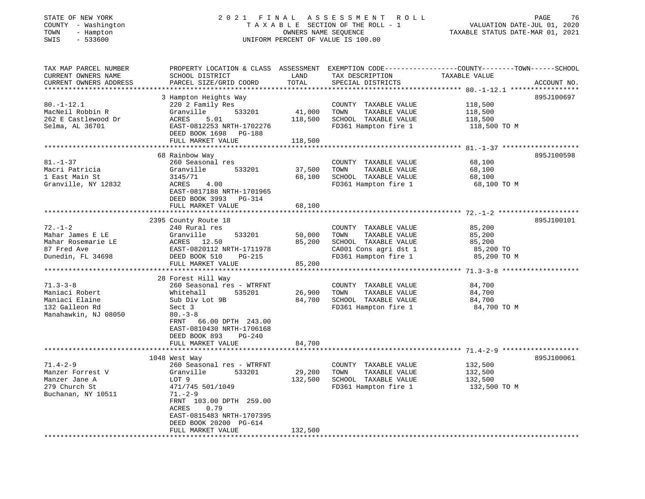# STATE OF NEW YORK 2 0 2 1 F I N A L A S S E S S M E N T R O L L PAGE 76COUNTY - Washington T A X A B L E SECTION OF THE ROLL - 1<br>
TOWN - Hampton COUNERS NAME SEQUENCE<br>
SWIS - 533600 SWIS - 533600 UNIFORM PERCENT OF VALUE IS 100.00

 $\begin{tabular}{ccccc} \textbf{Value} & \textbf{Value} \\ \textbf{VALUATION} & \textbf{DATE-JUL} & 01, & 2020 \\ \hline \end{tabular}$ 

| TAX MAP PARCEL NUMBER<br>CURRENT OWNERS NAME<br>CURRENT OWNERS ADDRESS                                      | PROPERTY LOCATION & CLASS ASSESSMENT<br>SCHOOL DISTRICT<br>PARCEL SIZE/GRID COORD                                                                                                                                  | LAND<br>TOTAL               | TAX DESCRIPTION<br>SPECIAL DISTRICTS                                                                                   | EXEMPTION CODE-----------------COUNTY-------TOWN------SCHOOL<br>TAXABLE VALUE | ACCOUNT NO. |
|-------------------------------------------------------------------------------------------------------------|--------------------------------------------------------------------------------------------------------------------------------------------------------------------------------------------------------------------|-----------------------------|------------------------------------------------------------------------------------------------------------------------|-------------------------------------------------------------------------------|-------------|
| *************************<br>$80. - 1 - 12.1$<br>MacNeil Robbin R<br>262 E Castlewood Dr<br>Selma, AL 36701 | 3 Hampton Heights Way<br>220 2 Family Res<br>533201<br>Granville<br>ACRES<br>5.01<br>EAST-0812253 NRTH-1702276                                                                                                     | 41,000<br>118,500           | COUNTY TAXABLE VALUE<br>TOWN<br>TAXABLE VALUE<br>SCHOOL TAXABLE VALUE<br>FD361 Hampton fire 1                          | 118,500<br>118,500<br>118,500<br>118,500 TO M                                 | 895J100697  |
|                                                                                                             | DEED BOOK 1698<br>PG-188<br>FULL MARKET VALUE                                                                                                                                                                      | 118,500                     |                                                                                                                        |                                                                               |             |
|                                                                                                             |                                                                                                                                                                                                                    |                             |                                                                                                                        |                                                                               |             |
| $81. - 1 - 37$<br>Macri Patricia<br>1 East Main St<br>Granville, NY 12832                                   | 68 Rainbow Way<br>260 Seasonal res<br>Granville<br>533201<br>3145/71<br>ACRES<br>4.00<br>EAST-0817188 NRTH-1701965<br>DEED BOOK 3993 PG-314<br>FULL MARKET VALUE                                                   | 37,500<br>68,100<br>68,100  | COUNTY TAXABLE VALUE<br>TAXABLE VALUE<br>TOWN<br>SCHOOL TAXABLE VALUE<br>FD361 Hampton fire 1                          | 68,100<br>68,100<br>68,100<br>68,100 TO M                                     | 895J100598  |
|                                                                                                             | ************************                                                                                                                                                                                           |                             |                                                                                                                        |                                                                               |             |
| $72. - 1 - 2$<br>Mahar James E LE<br>Mahar Rosemarie LE<br>87 Fred Ave<br>Dunedin, FL 34698                 | 2395 County Route 18<br>240 Rural res<br>533201<br>Granville<br>ACRES<br>12.50<br>EAST-0820112 NRTH-1711978<br>DEED BOOK 510<br>$PG-215$                                                                           | 50,000<br>85,200<br>85,200  | COUNTY TAXABLE VALUE<br>TAXABLE VALUE<br>TOWN<br>SCHOOL TAXABLE VALUE<br>CA001 Cons agri dst 1<br>FD361 Hampton fire 1 | 85,200<br>85,200<br>85,200<br>85,200 TO<br>85,200 TO M                        | 895J100101  |
|                                                                                                             | FULL MARKET VALUE                                                                                                                                                                                                  |                             |                                                                                                                        |                                                                               |             |
| $71.3 - 3 - 8$<br>Maniaci Robert<br>Maniaci Elaine<br>132 Galleon Rd<br>Manahawkin, NJ 08050                | 28 Forest Hill Way<br>260 Seasonal res - WTRFNT<br>535201<br>Whitehall<br>Sub Div Lot 9B<br>Sect 3<br>$80 - 3 - 8$<br>FRNT<br>66.00 DPTH 243.00<br>EAST-0810430 NRTH-1706168<br>DEED BOOK 893<br>$PG-240$          | 26,900<br>84,700            | COUNTY TAXABLE VALUE<br>TOWN<br>TAXABLE VALUE<br>SCHOOL TAXABLE VALUE<br>FD361 Hampton fire 1                          | 84,700<br>84,700<br>84,700<br>84,700 TO M                                     |             |
|                                                                                                             | FULL MARKET VALUE                                                                                                                                                                                                  | 84,700<br>* * * * * * * * * |                                                                                                                        | ************************ 71.4-2-9                                             |             |
| $71.4 - 2 - 9$<br>Manzer Forrest V<br>Manzer Jane A<br>279 Church St<br>Buchanan, NY 10511                  | 1048 West Way<br>260 Seasonal res - WTRFNT<br>Granville<br>533201<br>LOT 9<br>471/745 501/1049<br>$71. - 2 - 9$<br>FRNT 103.00 DPTH 259.00<br>0.79<br>ACRES<br>EAST-0815483 NRTH-1707395<br>DEED BOOK 20200 PG-614 | 29,200<br>132,500           | COUNTY TAXABLE VALUE<br>TOWN<br>TAXABLE VALUE<br>SCHOOL TAXABLE VALUE<br>FD361 Hampton fire 1                          | 132,500<br>132,500<br>132,500<br>132,500 TO M                                 | 895J100061  |
|                                                                                                             | FULL MARKET VALUE                                                                                                                                                                                                  | 132,500                     |                                                                                                                        |                                                                               |             |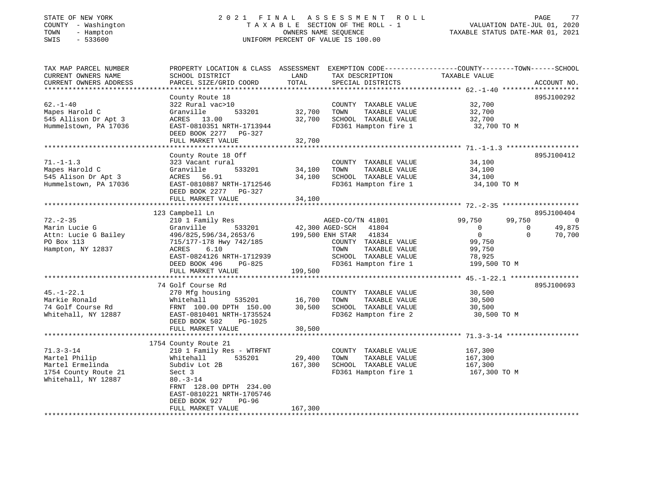|                                           |     | STATE OF NEW YORK    |
|-------------------------------------------|-----|----------------------|
| <b>COUNTY</b>                             |     | - Washington         |
| TOWN                                      | $-$ | Hampton              |
| $C$ <sub><math>T</math></sub> $T$ $T$ $C$ |     | $F \cap C \cap \cap$ |

## STATE OF NEW YORK 2 0 2 1 F I N A L A S S E S S M E N T R O L L PAGE 77T A X A B L E SECTION OF THE ROLL - 1<br>OWNERS NAME SEQUENCE SWIS - 533600 UNIFORM PERCENT OF VALUE IS 100.00

VALUATION DATE-JUL 01, 2020

| TAX MAP PARCEL NUMBER    | PROPERTY LOCATION & CLASS ASSESSMENT EXEMPTION CODE----------------COUNTY-------TOWN------SCHOOL |         |                                     |                                                  |                    |
|--------------------------|--------------------------------------------------------------------------------------------------|---------|-------------------------------------|--------------------------------------------------|--------------------|
| CURRENT OWNERS NAME      | SCHOOL DISTRICT                                                                                  | LAND    | TAX DESCRIPTION                     | TAXABLE VALUE                                    |                    |
| CURRENT OWNERS ADDRESS   | PARCEL SIZE/GRID COORD                                                                           | TOTAL   | SPECIAL DISTRICTS                   |                                                  | ACCOUNT NO.        |
| ************************ |                                                                                                  |         |                                     |                                                  |                    |
|                          | County Route 18                                                                                  |         |                                     |                                                  | 895J100292         |
| $62 - 1 - 40$            | 322 Rural vac>10                                                                                 |         | COUNTY TAXABLE VALUE                | 32,700                                           |                    |
| Mapes Harold C           | 533201<br>Granville                                                                              | 32,700  | TOWN<br>TAXABLE VALUE               | 32,700                                           |                    |
| 545 Allison Dr Apt 3     | ACRES 13.00                                                                                      | 32,700  | SCHOOL TAXABLE VALUE                | 32,700                                           |                    |
| Hummelstown, PA 17036    | EAST-0810351 NRTH-1713944                                                                        |         | FD361 Hampton fire 1                | 32,700 TO M                                      |                    |
|                          | DEED BOOK 2277 PG-327                                                                            |         |                                     |                                                  |                    |
|                          | FULL MARKET VALUE                                                                                | 32,700  |                                     |                                                  |                    |
|                          |                                                                                                  |         |                                     |                                                  |                    |
|                          | County Route 18 Off                                                                              |         |                                     |                                                  | 895J100412         |
| $71. - 1 - 1.3$          | 323 Vacant rural                                                                                 |         | COUNTY TAXABLE VALUE                | 34,100                                           |                    |
| Mapes Harold C           | 533201<br>Granville                                                                              | 34,100  | TOWN<br>TAXABLE VALUE               | 34,100                                           |                    |
| 545 Alison Dr Apt 3      | ACRES<br>56.91                                                                                   | 34,100  | SCHOOL TAXABLE VALUE                | 34,100                                           |                    |
| Hummelstown, PA 17036    | EAST-0810887 NRTH-1712546                                                                        |         | FD361 Hampton fire 1                | 34,100 TO M                                      |                    |
|                          | DEED BOOK 2277 PG-327                                                                            |         |                                     |                                                  |                    |
|                          | FULL MARKET VALUE                                                                                | 34,100  |                                     |                                                  |                    |
|                          |                                                                                                  |         |                                     |                                                  |                    |
|                          | 123 Campbell Ln                                                                                  |         |                                     |                                                  | 895J100404         |
| $72. - 2 - 35$           | 210 1 Family Res                                                                                 |         | AGED-CO/TN 41801                    | 99,750<br>99,750                                 | $\overline{0}$     |
| Marin Lucie G            | 533201<br>Granville                                                                              |         | 42,300 AGED-SCH 41804               | $\overline{0}$                                   | 49,875<br>$\Omega$ |
| Attn: Lucie G Bailey     | 496/825,596/34,2653/6 199,500 ENH STAR 41834                                                     |         |                                     | $\overline{0}$                                   | 70,700<br>$\Omega$ |
| PO Box 113               | 715/177-178 Hwy 742/185                                                                          |         | COUNTY TAXABLE VALUE                | 99,750                                           |                    |
| Hampton, NY 12837        | 6.10<br>ACRES                                                                                    |         | TOWN<br>TAXABLE VALUE               | 99,750                                           |                    |
|                          | EAST-0824126 NRTH-1712939                                                                        |         | SCHOOL TAXABLE VALUE                | 78,925                                           |                    |
|                          | DEED BOOK 496<br>PG-825                                                                          |         | FD361 Hampton fire 1                | 199,500 TO M                                     |                    |
|                          | FULL MARKET VALUE                                                                                | 199,500 |                                     |                                                  |                    |
|                          |                                                                                                  |         |                                     | ****************** 45.-1-22.1 ****************** |                    |
|                          | 74 Golf Course Rd                                                                                |         |                                     |                                                  | 895J100693         |
| $45. - 1 - 22.1$         | 270 Mfg housing                                                                                  |         | COUNTY TAXABLE VALUE                | 30,500                                           |                    |
| Markie Ronald            | 535201<br>Whitehall                                                                              | 16,700  | TOWN<br>TAXABLE VALUE               | 30,500                                           |                    |
| 74 Golf Course Rd        | FRNT 100.00 DPTH 150.00                                                                          | 30,500  | SCHOOL TAXABLE VALUE                | 30,500                                           |                    |
| Whitehall, NY 12887      | EAST-0810401 NRTH-1735524                                                                        |         | FD362 Hampton fire 2                | 30,500 TO M                                      |                    |
|                          | DEED BOOK 502<br>PG-1025                                                                         |         |                                     |                                                  |                    |
|                          | FULL MARKET VALUE                                                                                | 30,500  |                                     |                                                  |                    |
|                          |                                                                                                  |         |                                     |                                                  |                    |
|                          | 1754 County Route 21                                                                             |         |                                     |                                                  |                    |
| $71.3 - 3 - 14$          | 210 1 Family Res - WTRFNT                                                                        |         | COUNTY TAXABLE VALUE                | 167,300                                          |                    |
| Martel Philip            | Whitehall<br>535201                                                                              | 29,400  | TOWN<br>TAXABLE VALUE               | 167,300                                          |                    |
| Martel Ermelinda         | Subdiv Lot 2B                                                                                    | 167,300 | SCHOOL TAXABLE VALUE                | 167,300                                          |                    |
| 1754 County Route 21     | Sect 3                                                                                           |         | FD361 Hampton fire 1                | 167,300 TO M                                     |                    |
| Whitehall, NY 12887      | $80. - 3 - 14$                                                                                   |         |                                     |                                                  |                    |
|                          | FRNT 128.00 DPTH 234.00                                                                          |         |                                     |                                                  |                    |
|                          | EAST-0810221 NRTH-1705746                                                                        |         |                                     |                                                  |                    |
|                          | DEED BOOK 927<br>$PG-96$                                                                         |         |                                     |                                                  |                    |
|                          | FULL MARKET VALUE                                                                                | 167,300 |                                     |                                                  |                    |
|                          |                                                                                                  |         | *********************************** |                                                  |                    |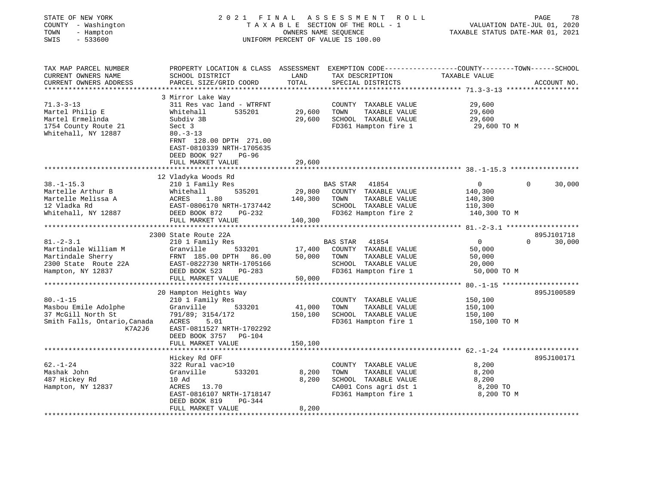| STATE OF NEW YORK<br>COUNTY - Washington<br>TOWN<br>- Hampton<br>SWIS<br>$-533600$ |                                                      |         | 2021 FINAL ASSESSMENT<br>R O L L<br>TAXABLE SECTION OF THE ROLL - 1<br>OWNERS NAME SEQUENCE<br>UNIFORM PERCENT OF VALUE IS 100.00 | PAGE<br>78<br>VALUATION DATE-JUL 01, 2020<br>TAXABLE STATUS DATE-MAR 01, 2021                                    |
|------------------------------------------------------------------------------------|------------------------------------------------------|---------|-----------------------------------------------------------------------------------------------------------------------------------|------------------------------------------------------------------------------------------------------------------|
| TAX MAP PARCEL NUMBER<br>CURRENT OWNERS NAME                                       | SCHOOL DISTRICT                                      | LAND    | TAX DESCRIPTION                                                                                                                   | PROPERTY LOCATION & CLASS ASSESSMENT EXEMPTION CODE----------------COUNTY-------TOWN-----SCHOOL<br>TAXABLE VALUE |
| CURRENT OWNERS ADDRESS                                                             | PARCEL SIZE/GRID COORD                               | TOTAL   | SPECIAL DISTRICTS                                                                                                                 | ACCOUNT NO.                                                                                                      |
|                                                                                    |                                                      |         |                                                                                                                                   |                                                                                                                  |
| $71.3 - 3 - 13$                                                                    | 3 Mirror Lake Way                                    |         | COUNTY TAXABLE VALUE                                                                                                              | 29,600                                                                                                           |
| Martel Philip E                                                                    | 311 Res vac land - WTRFNT<br>Whitehall<br>535201     | 29,600  | TOWN<br>TAXABLE VALUE                                                                                                             | 29,600                                                                                                           |
| Martel Ermelinda                                                                   | Subdiv 3B                                            | 29,600  | SCHOOL TAXABLE VALUE                                                                                                              | 29,600                                                                                                           |
| 1754 County Route 21                                                               | Sect 3                                               |         | FD361 Hampton fire 1                                                                                                              | 29,600 TO M                                                                                                      |
| Whitehall, NY 12887                                                                | $80. -3 - 13$                                        |         |                                                                                                                                   |                                                                                                                  |
|                                                                                    | FRNT 128.00 DPTH 271.00                              |         |                                                                                                                                   |                                                                                                                  |
|                                                                                    | EAST-0810339 NRTH-1705635                            |         |                                                                                                                                   |                                                                                                                  |
|                                                                                    | DEED BOOK 927<br>$PG-96$                             |         |                                                                                                                                   |                                                                                                                  |
|                                                                                    | FULL MARKET VALUE                                    | 29,600  |                                                                                                                                   |                                                                                                                  |
|                                                                                    |                                                      |         |                                                                                                                                   |                                                                                                                  |
| $38. - 1 - 15.3$                                                                   | 12 Vladyka Woods Rd<br>210 1 Family Res              |         | BAS STAR 41854                                                                                                                    | $\overline{0}$<br>$\Omega$<br>30,000                                                                             |
| Martelle Arthur B                                                                  | Whitehall<br>535201                                  | 29,800  | COUNTY TAXABLE VALUE                                                                                                              | 140,300                                                                                                          |
| Martelle Melissa A                                                                 | ACRES<br>1.80                                        | 140,300 | TOWN<br>TAXABLE VALUE                                                                                                             | 140,300                                                                                                          |
| 12 Vladka Rd                                                                       | EAST-0806170 NRTH-1737442                            |         | SCHOOL TAXABLE VALUE                                                                                                              | 110,300                                                                                                          |
| Whitehall, NY 12887                                                                | DEED BOOK 872<br>PG-232                              |         | FD362 Hampton fire 2                                                                                                              | 140,300 TO M                                                                                                     |
|                                                                                    | FULL MARKET VALUE                                    | 140,300 |                                                                                                                                   |                                                                                                                  |
|                                                                                    |                                                      |         |                                                                                                                                   |                                                                                                                  |
|                                                                                    | 2300 State Route 22A                                 |         |                                                                                                                                   | 895J101718                                                                                                       |
| $81. - 2 - 3.1$                                                                    | 210 1 Family Res                                     |         | <b>BAS STAR</b><br>41854                                                                                                          | $\overline{0}$<br>30,000<br>$\Omega$                                                                             |
| Martindale William M                                                               | Granville<br>533201                                  | 17,400  | COUNTY TAXABLE VALUE                                                                                                              | 50,000                                                                                                           |
| Martindale Sherry                                                                  | FRNT 185.00 DPTH 86.00                               | 50,000  | TOWN<br>TAXABLE VALUE                                                                                                             | 50,000                                                                                                           |
| 2300 State Route 22A<br>Hampton, NY 12837                                          | EAST-0822730 NRTH-1705166<br>DEED BOOK 523<br>PG-283 |         | SCHOOL TAXABLE VALUE<br>FD361 Hampton fire 1                                                                                      | 20,000<br>50,000 TO M                                                                                            |
|                                                                                    | FULL MARKET VALUE                                    | 50,000  |                                                                                                                                   |                                                                                                                  |
|                                                                                    |                                                      |         |                                                                                                                                   |                                                                                                                  |
|                                                                                    | 20 Hampton Heights Way                               |         |                                                                                                                                   | 895J100589                                                                                                       |
| $80. - 1 - 15$                                                                     | 210 1 Family Res                                     |         | COUNTY TAXABLE VALUE                                                                                                              | 150,100                                                                                                          |
| Masbou Emile Adolphe                                                               | Granville<br>533201                                  | 41,000  | TAXABLE VALUE<br>TOWN                                                                                                             | 150,100                                                                                                          |
| 37 McGill North St                                                                 | 791/89; 3154/172                                     | 150,100 | SCHOOL TAXABLE VALUE                                                                                                              | 150,100                                                                                                          |
| Smith Falls, Ontario, Canada                                                       | ACRES<br>5.01                                        |         | FD361 Hampton fire 1                                                                                                              | 150,100 TO M                                                                                                     |
| K7A2J6                                                                             | EAST-0811527 NRTH-1702292<br>DEED BOOK 3757 PG-104   |         |                                                                                                                                   |                                                                                                                  |
|                                                                                    | FULL MARKET VALUE                                    | 150,100 |                                                                                                                                   |                                                                                                                  |
|                                                                                    |                                                      |         |                                                                                                                                   |                                                                                                                  |
|                                                                                    | Hickey Rd OFF                                        |         |                                                                                                                                   | 895J100171                                                                                                       |
| $62. - 1 - 24$                                                                     | 322 Rural vac>10                                     |         | COUNTY TAXABLE VALUE                                                                                                              | 8,200                                                                                                            |
| Mashak John                                                                        | Granville<br>533201                                  | 8,200   | TOWN<br>TAXABLE VALUE                                                                                                             | 8,200                                                                                                            |
| 487 Hickey Rd                                                                      | 10 Ad                                                | 8,200   | SCHOOL TAXABLE VALUE                                                                                                              | 8,200                                                                                                            |
| Hampton, NY 12837                                                                  | ACRES 13.70                                          |         | CA001 Cons agri dst 1                                                                                                             | 8,200 TO                                                                                                         |
|                                                                                    | EAST-0816107 NRTH-1718147                            |         | FD361 Hampton fire 1                                                                                                              | 8,200 TO M                                                                                                       |
|                                                                                    | DEED BOOK 819<br>PG-344                              |         |                                                                                                                                   |                                                                                                                  |
|                                                                                    | FULL MARKET VALUE                                    | 8,200   |                                                                                                                                   |                                                                                                                  |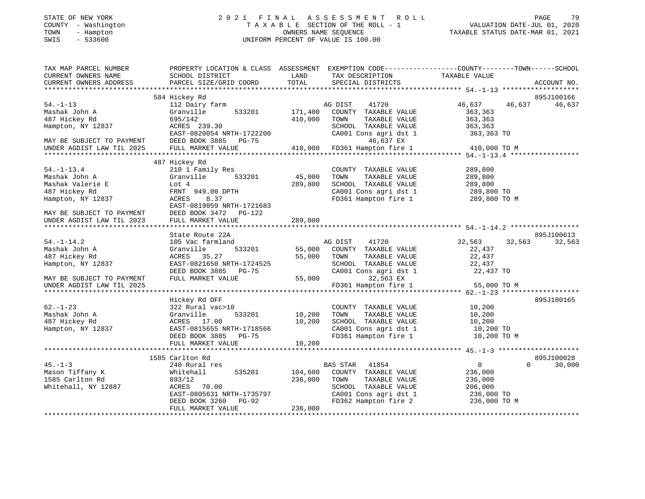# STATE OF NEW YORK 2 0 2 1 F I N A L A S S E S S M E N T R O L L PAGE 79COUNTY - Washington T A X A B L E SECTION OF THE ROLL - 1<br>
TOWN - Hampton OWNERS NAME SEQUENCE<br>
SWIS - 533600 SWIS - 533600 UNIFORM PERCENT OF VALUE IS 100.00

VALUATION DATE-JUL 01, 2020

| TAX MAP PARCEL NUMBER<br>CURRENT OWNERS NAME<br>CURRENT OWNERS ADDRESS | SCHOOL DISTRICT<br>PARCEL SIZE/GRID COORD | LAND<br>TAX DESCRIPTION<br>TOTAL<br>SPECIAL DISTRICTS | PROPERTY LOCATION & CLASS ASSESSMENT EXEMPTION CODE---------------COUNTY-------TOWN------SCHOOL<br>TAXABLE VALUE<br>ACCOUNT NO. |
|------------------------------------------------------------------------|-------------------------------------------|-------------------------------------------------------|---------------------------------------------------------------------------------------------------------------------------------|
|                                                                        |                                           |                                                       |                                                                                                                                 |
|                                                                        | 584 Hickey Rd                             |                                                       | 895J100166                                                                                                                      |
| $54. - 1 - 13$<br>Mashak John A                                        | 112 Dairy farm<br>Granville<br>533201     | AG DIST<br>41720<br>171,400<br>COUNTY TAXABLE VALUE   | 46,637<br>46,637<br>46,637<br>363,363                                                                                           |
| 487 Hickey Rd                                                          | 695/142                                   | 410,000<br>TOWN<br>TAXABLE VALUE                      | 363,363                                                                                                                         |
| Hampton, NY 12837                                                      | ACRES 239.30                              | SCHOOL TAXABLE VALUE                                  | 363,363                                                                                                                         |
|                                                                        | EAST-0820054 NRTH-1722200                 | CA001 Cons agri dst 1                                 | 363,363 TO                                                                                                                      |
| MAY BE SUBJECT TO PAYMENT                                              | DEED BOOK 3885 PG-75                      | 46,637 EX                                             |                                                                                                                                 |
| UNDER AGDIST LAW TIL 2025                                              | FULL MARKET VALUE                         | 410,000<br>FD361 Hampton fire 1                       | 410,000 TO M                                                                                                                    |
|                                                                        | 487 Hickey Rd                             |                                                       |                                                                                                                                 |
| $54. - 1 - 13.4$                                                       | 210 1 Family Res                          | COUNTY TAXABLE VALUE                                  | 289,800                                                                                                                         |
| Mashak John A                                                          | 533201<br>Granville                       | 45,000<br>TOWN<br>TAXABLE VALUE                       | 289,800                                                                                                                         |
| Mashak Valerie E                                                       | Lot 4                                     | 289,800<br>SCHOOL TAXABLE VALUE                       | 289,800                                                                                                                         |
| 487 Hickey Rd                                                          | FRNT 949.00 DPTH                          | CA001 Cons agri dst 1                                 | 289,800 TO                                                                                                                      |
| Hampton, NY 12837                                                      | ACRES<br>8.37                             | FD361 Hampton fire 1                                  | 289,800 TO M                                                                                                                    |
|                                                                        | EAST-0819059 NRTH-1721683                 |                                                       |                                                                                                                                 |
| MAY BE SUBJECT TO PAYMENT                                              | DEED BOOK 3472 PG-122                     |                                                       |                                                                                                                                 |
| UNDER AGDIST LAW TIL 2023                                              | FULL MARKET VALUE                         | 289,800                                               |                                                                                                                                 |
|                                                                        |                                           |                                                       |                                                                                                                                 |
|                                                                        | State Route 22A                           |                                                       | 895J100613                                                                                                                      |
| $54. - 1 - 14.2$                                                       | 105 Vac farmland                          | AG DIST 41720                                         | 32,563<br>32,563<br>32,563                                                                                                      |
| Mashak John A                                                          | 533201<br>Granville                       | 55,000<br>COUNTY TAXABLE VALUE                        | 22,437                                                                                                                          |
| 487 Hickey Rd                                                          | ACRES 35.27                               | 55,000<br>TAXABLE VALUE<br>TOWN                       | 22,437                                                                                                                          |
| Hampton, NY 12837                                                      | EAST-0821650 NRTH-1724525                 | SCHOOL TAXABLE VALUE                                  | 22,437                                                                                                                          |
|                                                                        | DEED BOOK 3885 PG-75                      | CA001 Cons agri dst 1                                 | 22,437 TO                                                                                                                       |
| MAY BE SUBJECT TO PAYMENT                                              | FULL MARKET VALUE                         | 55,000<br>32,563 EX                                   |                                                                                                                                 |
| UNDER AGDIST LAW TIL 2025                                              |                                           | FD361 Hampton fire 1                                  | 55,000 TO M                                                                                                                     |
|                                                                        | Hickey Rd OFF                             |                                                       | 895J100165                                                                                                                      |
| $62. - 1 - 23$                                                         | 322 Rural vac>10                          | COUNTY TAXABLE VALUE                                  | 10,200                                                                                                                          |
| Mashak John A                                                          | Granville                                 | 533201 10,200<br>TAXABLE VALUE<br>TOWN                | 10,200                                                                                                                          |
| 487 Hickey Rd                                                          | ACRES 17.00                               | 10,200<br>SCHOOL TAXABLE VALUE                        | 10,200                                                                                                                          |
| Hampton, NY 12837                                                      | EAST-0815655 NRTH-1718566                 | CA001 Cons agri dst 1                                 | 10,200 TO                                                                                                                       |
|                                                                        | DEED BOOK 3885 PG-75                      | FD361 Hampton fire 1                                  | 10,200 TO M                                                                                                                     |
|                                                                        | FULL MARKET VALUE                         | 10,200                                                |                                                                                                                                 |
|                                                                        |                                           |                                                       |                                                                                                                                 |
|                                                                        | 1585 Carlton Rd                           |                                                       | 895J100028                                                                                                                      |
| $45. - 1 - 3$                                                          | 240 Rural res                             | BAS STAR 41854                                        | $\overline{0}$<br>$\Omega$<br>30,000                                                                                            |
| Mason Tiffany K                                                        | 535201<br>Whitehall                       | 104,600<br>COUNTY TAXABLE VALUE                       | 236,000                                                                                                                         |
| 1585 Carlton Rd                                                        | 893/12                                    | TAXABLE VALUE<br>236,000<br>TOWN                      | 236,000                                                                                                                         |
| Whitehall, NY 12887                                                    | ACRES 70.00                               | SCHOOL TAXABLE VALUE                                  | 206,000                                                                                                                         |
|                                                                        | EAST-0805631 NRTH-1735797                 |                                                       | 236,000 TO<br>236,000 TO                                                                                                        |
|                                                                        | DEED BOOK 3260 PG-92                      | CA001 Cons agri dst 1<br>FD362 Hampton fire 2         | 236,000 TO M                                                                                                                    |
|                                                                        | FULL MARKET VALUE                         | 236,000                                               |                                                                                                                                 |
|                                                                        |                                           |                                                       |                                                                                                                                 |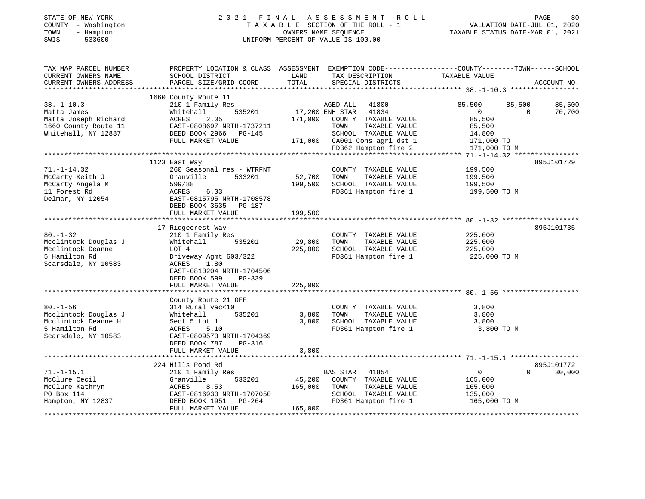# STATE OF NEW YORK 2 0 2 1 F I N A L A S S E S S M E N T R O L L PAGE 80COUNTY - Washington T A X A B L E SECTION OF THE ROLL - 1<br>
TOWN - Hampton DWNERS NAME SEQUENCE<br>
SWIS - 533600<br>
SWIS - 533600 SWIS - 533600 UNIFORM PERCENT OF VALUE IS 100.00

VALUATION DATE-JUL 01, 2020

| TAX MAP PARCEL NUMBER<br>CURRENT OWNERS NAME<br>CURRENT OWNERS ADDRESS | PROPERTY LOCATION & CLASS ASSESSMENT<br>SCHOOL DISTRICT<br>PARCEL SIZE/GRID COORD | LAND<br>TOTAL  | TAX DESCRIPTION<br>SPECIAL DISTRICTS                                          | EXEMPTION CODE-----------------COUNTY-------TOWN------SCHOOL<br>TAXABLE VALUE | ACCOUNT NO.                  |
|------------------------------------------------------------------------|-----------------------------------------------------------------------------------|----------------|-------------------------------------------------------------------------------|-------------------------------------------------------------------------------|------------------------------|
| $38. - 1 - 10.3$<br>Matta James                                        | 1660 County Route 11<br>210 1 Family Res<br>535201<br>Whitehall                   |                | AGED-ALL<br>41800<br>17,200 ENH STAR 41834                                    | 85,500<br>85,500<br>$\Omega$                                                  | 85,500<br>70,700<br>$\Omega$ |
| Matta Joseph Richard<br>1660 County Route 11                           | 2.05<br>ACRES<br>EAST-0808697 NRTH-1737211                                        |                | 171,000 COUNTY TAXABLE VALUE<br>TOWN<br>TAXABLE VALUE                         | 85,500<br>85,500                                                              |                              |
| Whitehall, NY 12887                                                    | DEED BOOK 2966 PG-145<br>FULL MARKET VALUE                                        |                | SCHOOL TAXABLE VALUE<br>171,000 CA001 Cons agri dst 1<br>FD362 Hampton fire 2 | 14,800<br>171,000 TO<br>171,000 TO M                                          |                              |
|                                                                        |                                                                                   |                |                                                                               |                                                                               |                              |
|                                                                        | 1123 East Way                                                                     |                |                                                                               |                                                                               | 895J101729                   |
| $71. - 1 - 14.32$                                                      | 260 Seasonal res - WTRFNT                                                         |                | COUNTY TAXABLE VALUE                                                          | 199,500                                                                       |                              |
| McCarty Keith J                                                        | Granville<br>533201                                                               | 52,700         | TOWN<br>TAXABLE VALUE                                                         | 199,500                                                                       |                              |
| McCarty Angela M                                                       | 599/88                                                                            | 199,500        | SCHOOL TAXABLE VALUE                                                          | 199,500                                                                       |                              |
| 11 Forest Rd<br>Delmar, NY 12054                                       | 6.03<br>ACRES<br>EAST-0815795 NRTH-1708578<br>DEED BOOK 3635 PG-187               |                |                                                                               | FD361 Hampton fire 1 199,500 TO M                                             |                              |
|                                                                        | FULL MARKET VALUE                                                                 | 199,500        |                                                                               |                                                                               |                              |
|                                                                        | 17 Ridgecrest Way                                                                 |                |                                                                               |                                                                               | 895J101735                   |
| $80. - 1 - 32$                                                         | 210 1 Family Res                                                                  |                | COUNTY TAXABLE VALUE                                                          | 225,000                                                                       |                              |
| Mcclintock Douglas J                                                   | 535201<br>Whitehall                                                               | 29,800         | TOWN<br>TAXABLE VALUE                                                         | 225,000                                                                       |                              |
| Mcclintock Deanne                                                      | LOT 4                                                                             | 225,000        | SCHOOL TAXABLE VALUE                                                          | 225,000                                                                       |                              |
| 5 Hamilton Rd<br>Scarsdale, NY 10583                                   | Driveway Agmt 603/322<br>1.80<br>ACRES                                            |                | FD361 Hampton fire 1                                                          | 225,000 TO M                                                                  |                              |
|                                                                        | EAST-0810204 NRTH-1704506<br>DEED BOOK 599<br>PG-339                              |                |                                                                               |                                                                               |                              |
|                                                                        | FULL MARKET VALUE                                                                 | 225,000        |                                                                               |                                                                               |                              |
|                                                                        |                                                                                   |                |                                                                               |                                                                               |                              |
|                                                                        | County Route 21 OFF                                                               |                |                                                                               |                                                                               |                              |
| $80. - 1 - 56$                                                         | 314 Rural vac<10<br>535201                                                        |                | COUNTY TAXABLE VALUE<br>TOWN                                                  | 3,800                                                                         |                              |
| Mcclintock Douglas J<br>Mcclintock Deanne H                            | Whitehall<br>Sect 5 Lot 1                                                         | 3,800<br>3,800 | TAXABLE VALUE<br>SCHOOL TAXABLE VALUE                                         | 3,800<br>3,800                                                                |                              |
| 5 Hamilton Rd                                                          | ACRES<br>5.10                                                                     |                | FD361 Hampton fire 1                                                          | 3,800 TO M                                                                    |                              |
| Scarsdale, NY 10583                                                    | EAST-0809573 NRTH-1704369                                                         |                |                                                                               |                                                                               |                              |
|                                                                        | DEED BOOK 787<br>PG-316                                                           |                |                                                                               |                                                                               |                              |
|                                                                        | FULL MARKET VALUE                                                                 | 3,800          |                                                                               |                                                                               |                              |
|                                                                        |                                                                                   |                |                                                                               |                                                                               |                              |
|                                                                        | 224 Hills Pond Rd                                                                 |                |                                                                               |                                                                               | 895J101772                   |
| $71. - 1 - 15.1$                                                       | 210 1 Family Res                                                                  |                | <b>BAS STAR</b><br>41854                                                      | $\overline{0}$                                                                | $\Omega$<br>30,000           |
| McClure Cecil                                                          | Granville<br>533201                                                               | 45,200         | COUNTY TAXABLE VALUE                                                          | 165,000                                                                       |                              |
| McClure Kathryn                                                        | ACRES<br>8.53                                                                     | 165,000        | TOWN<br>TAXABLE VALUE                                                         | 165,000                                                                       |                              |
| PO Box 114                                                             | EAST-0816930 NRTH-1707050                                                         |                | SCHOOL TAXABLE VALUE                                                          | 135,000                                                                       |                              |
| Hampton, NY 12837                                                      | DEED BOOK 1951 PG-264<br>FULL MARKET VALUE                                        | 165,000        | FD361 Hampton fire 1                                                          | 165,000 TO M                                                                  |                              |
|                                                                        |                                                                                   |                |                                                                               |                                                                               |                              |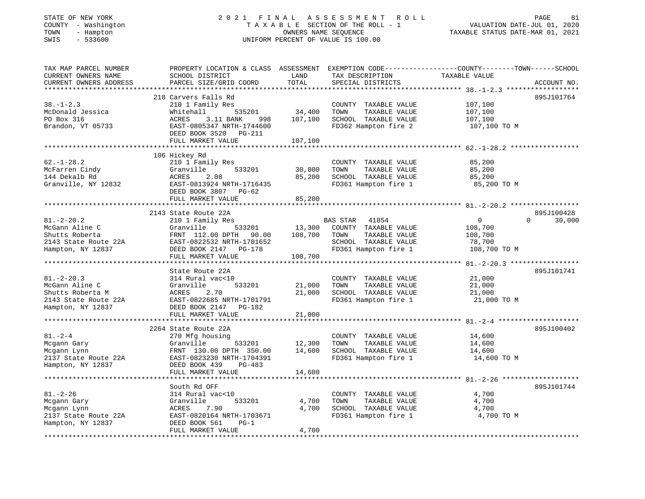# STATE OF NEW YORK 2 0 2 1 F I N A L A S S E S S M E N T R O L L PAGE 81COUNTY - Washington T A X A B L E SECTION OF THE ROLL - 1<br>
TOWN - Hampton DWNERS NAME SEQUENCE<br>
SWIS - 533600<br>
SWIS - 533600 SWIS - 533600 UNIFORM PERCENT OF VALUE IS 100.00

VALUATION DATE-JUL 01, 2020

| TAX MAP PARCEL NUMBER                               | PROPERTY LOCATION & CLASS ASSESSMENT EXEMPTION CODE---------------COUNTY-------TOWN-----SCHOOL |               |                       |                                                |                    |
|-----------------------------------------------------|------------------------------------------------------------------------------------------------|---------------|-----------------------|------------------------------------------------|--------------------|
| CURRENT OWNERS NAME                                 | SCHOOL DISTRICT                                                                                | LAND          | TAX DESCRIPTION       | TAXABLE VALUE                                  |                    |
| CURRENT OWNERS ADDRESS<br>************************* | PARCEL SIZE/GRID COORD                                                                         | TOTAL         | SPECIAL DISTRICTS     |                                                | ACCOUNT NO.        |
|                                                     |                                                                                                |               |                       |                                                |                    |
|                                                     | 218 Carvers Falls Rd                                                                           |               |                       |                                                | 895J101764         |
| $38. - 1 - 2.3$                                     | 210 1 Family Res                                                                               |               | COUNTY TAXABLE VALUE  | 107,100                                        |                    |
| McDonald Jessica                                    | 535201<br>Whitehall                                                                            | 34,400        | TOWN<br>TAXABLE VALUE | 107,100                                        |                    |
| PO Box 316                                          | 3.11 BANK<br>ACRES<br>998                                                                      | 107,100       | SCHOOL TAXABLE VALUE  | 107,100                                        |                    |
| Brandon, VT 05733                                   | EAST-0805347 NRTH-1744600<br>DEED BOOK 3520 PG-211                                             |               | FD362 Hampton fire 2  | 107,100 TO M                                   |                    |
|                                                     | FULL MARKET VALUE                                                                              | 107,100       |                       |                                                |                    |
|                                                     |                                                                                                |               |                       |                                                |                    |
|                                                     | 106 Hickey Rd                                                                                  |               |                       |                                                |                    |
| $62. - 1 - 28.2$                                    | 210 1 Family Res                                                                               |               | COUNTY TAXABLE VALUE  | 85,200                                         |                    |
| McFarren Cindy                                      | Granville<br>533201                                                                            | 30,800        | TOWN<br>TAXABLE VALUE | 85,200                                         |                    |
| 144 Dekalb Rd                                       | ACRES<br>2.08                                                                                  | 85,200        | SCHOOL TAXABLE VALUE  | 85,200                                         |                    |
| Granville, NY 12832                                 | EAST-0813924 NRTH-1716435                                                                      |               | FD361 Hampton fire 1  | 85,200 TO M                                    |                    |
|                                                     | DEED BOOK 3807<br>$PG-62$                                                                      |               |                       |                                                |                    |
|                                                     | FULL MARKET VALUE                                                                              | 85,200        |                       |                                                |                    |
|                                                     | ***********************                                                                        | ************* |                       | ******************************* 81.-2-20.2 *** |                    |
|                                                     | 2143 State Route 22A                                                                           |               |                       |                                                | 895J100428         |
| $81. - 2 - 20.2$                                    | 210 1 Family Res                                                                               |               | BAS STAR 41854        | $\mathbf{0}$                                   | 30,000<br>$\Omega$ |
| McGann Aline C                                      | Granville<br>533201                                                                            | 13,300        | COUNTY TAXABLE VALUE  | 108,700                                        |                    |
| Shutts Roberta                                      | FRNT 112.00 DPTH<br>90.00                                                                      | 108,700       | TAXABLE VALUE<br>TOWN | 108,700                                        |                    |
| 2143 State Route 22A                                | EAST-0822532 NRTH-1701652                                                                      |               | SCHOOL TAXABLE VALUE  | 78,700                                         |                    |
| Hampton, NY 12837                                   | DEED BOOK 2147 PG-178                                                                          |               | FD361 Hampton fire 1  | 108,700 TO M                                   |                    |
|                                                     | FULL MARKET VALUE                                                                              | 108,700       |                       |                                                |                    |
|                                                     | ********************                                                                           |               |                       |                                                |                    |
|                                                     | State Route 22A                                                                                |               |                       |                                                | 895J101741         |
| $81. - 2 - 20.3$                                    | 314 Rural vac<10                                                                               |               | COUNTY TAXABLE VALUE  | 21,000                                         |                    |
| McGann Aline C                                      | Granville<br>533201                                                                            | 21,000        | TAXABLE VALUE<br>TOWN | 21,000                                         |                    |
| Shutts Roberta M                                    | ACRES<br>2.70                                                                                  | 21,000        | SCHOOL TAXABLE VALUE  | 21,000                                         |                    |
| 2143 State Route 22A                                | EAST-0822685 NRTH-1701791                                                                      |               | FD361 Hampton fire 1  | 21,000 TO M                                    |                    |
| Hampton, NY 12837                                   | DEED BOOK 2147<br>PG-182                                                                       |               |                       |                                                |                    |
|                                                     | FULL MARKET VALUE                                                                              | 21,000        |                       |                                                |                    |
|                                                     |                                                                                                |               |                       |                                                |                    |
|                                                     | 2264 State Route 22A                                                                           |               |                       |                                                | 895J100402         |
| $81 - 2 - 4$                                        | 270 Mfg housing                                                                                |               | COUNTY TAXABLE VALUE  | 14,600                                         |                    |
| Mcgann Gary                                         | 533201<br>Granville                                                                            | 12,300        | TAXABLE VALUE<br>TOWN | 14,600                                         |                    |
| Mcgann Lynn                                         | FRNT 130.00 DPTH 350.00                                                                        | 14,600        | SCHOOL TAXABLE VALUE  | 14,600                                         |                    |
| 2137 State Route 22A                                | EAST-0823230 NRTH-1704391                                                                      |               | FD361 Hampton fire 1  | 14,600 TO M                                    |                    |
| Hampton, NY 12837                                   | DEED BOOK 439<br>PG-483                                                                        |               |                       |                                                |                    |
|                                                     | FULL MARKET VALUE                                                                              | 14,600        |                       |                                                |                    |
|                                                     |                                                                                                |               |                       |                                                |                    |
|                                                     | South Rd OFF                                                                                   |               |                       |                                                | 895J101744         |
| $81. - 2 - 26$                                      | 314 Rural vac<10                                                                               |               | COUNTY TAXABLE VALUE  | 4,700                                          |                    |
| Mcgann Gary                                         | Granville<br>533201                                                                            | 4,700         | TAXABLE VALUE<br>TOWN | 4,700                                          |                    |
| Mcgann Lynn                                         | ACRES<br>7.90                                                                                  | 4,700         | SCHOOL TAXABLE VALUE  | 4,700                                          |                    |
| 2137 State Route 22A                                | EAST-0820164 NRTH-1703671                                                                      |               | FD361 Hampton fire 1  | 4,700 TO M                                     |                    |
| Hampton, NY 12837                                   | DEED BOOK 561<br>$PG-1$                                                                        |               |                       |                                                |                    |
|                                                     | FULL MARKET VALUE                                                                              | 4,700         |                       |                                                |                    |
|                                                     |                                                                                                |               |                       |                                                |                    |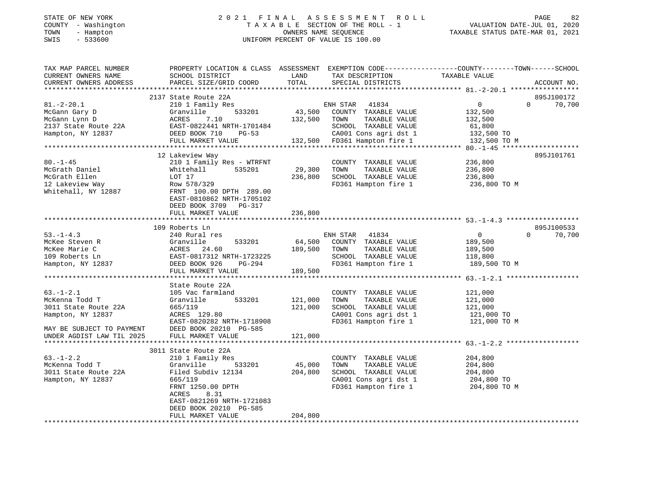#### STATE OF NEW YORK 2 0 2 1 F I N A L A S S E S S M E N T R O L L PAGE 82 COUNTY - Washington T A X A B L E SECTION OF THE ROLL - 1 VALUATION DATE-JUL 01, 2020 TOWN - Hampton OWNERS NAME SEQUENCE TAXABLE STATUS DATE-MAR 01, 2021 SWIS - 533600 UNIFORM PERCENT OF VALUE IS 100.00UNIFORM PERCENT OF VALUE IS 100.00

| TAX MAP PARCEL NUMBER<br>CURRENT OWNERS NAME<br>CURRENT OWNERS ADDRESS                                      | PROPERTY LOCATION & CLASS ASSESSMENT<br>SCHOOL DISTRICT<br>PARCEL SIZE/GRID COORD                                                                                                             | LAND<br>TOTAL                | TAX DESCRIPTION<br>SPECIAL DISTRICTS                                                                                   | EXEMPTION CODE-----------------COUNTY-------TOWN------SCHOOL<br>TAXABLE VALUE | ACCOUNT NO.                      |
|-------------------------------------------------------------------------------------------------------------|-----------------------------------------------------------------------------------------------------------------------------------------------------------------------------------------------|------------------------------|------------------------------------------------------------------------------------------------------------------------|-------------------------------------------------------------------------------|----------------------------------|
|                                                                                                             |                                                                                                                                                                                               |                              |                                                                                                                        |                                                                               |                                  |
|                                                                                                             | 2137 State Route 22A                                                                                                                                                                          |                              |                                                                                                                        |                                                                               | 895J100172                       |
| $81.-2-20.1$<br>McGann Gary D<br>McGann Lynn D                                                              | 210 1 Family Res<br>533201<br>Granville<br>7.10<br>ACRES                                                                                                                                      | 43,500<br>132,500            | ENH STAR<br>41834<br>COUNTY TAXABLE VALUE<br>TOWN<br>TAXABLE VALUE                                                     | $\overline{0}$<br>132,500<br>132,500                                          | $\Omega$<br>70,700               |
| 2137 State Route 22A<br>Hampton, NY 12837                                                                   | EAST-0822441 NRTH-1701484<br>DEED BOOK 710<br>$PG-53$<br>FULL MARKET VALUE                                                                                                                    |                              | SCHOOL TAXABLE VALUE<br>CA001 Cons agri dst 1<br>132,500 FD361 Hampton fire 1                                          | 61,800<br>132,500 TO<br>132,500 TO M                                          |                                  |
|                                                                                                             |                                                                                                                                                                                               |                              |                                                                                                                        |                                                                               |                                  |
| $80. - 1 - 45$<br>McGrath Daniel<br>McGrath Ellen<br>12 Lakeview Way<br>Whitehall, NY 12887                 | 12 Lakeview Way<br>210 1 Family Res - WTRFNT<br>Whitehall<br>535201<br>LOT 17<br>Row 578/329<br>FRNT 100.00 DPTH 289.00<br>EAST-0810862 NRTH-1705102<br>DEED BOOK 3709 PG-317                 | 29,300<br>236,800            | COUNTY TAXABLE VALUE<br>TOWN<br>TAXABLE VALUE<br>SCHOOL TAXABLE VALUE<br>FD361 Hampton fire 1                          | 236,800<br>236,800<br>236,800<br>236,800 TO M                                 | 895J101761                       |
|                                                                                                             | FULL MARKET VALUE                                                                                                                                                                             | 236,800                      |                                                                                                                        |                                                                               |                                  |
|                                                                                                             |                                                                                                                                                                                               |                              |                                                                                                                        |                                                                               |                                  |
| $53. - 1 - 4.3$<br>McKee Steven R<br>McKee Marie C<br>109 Roberts Ln<br>Hampton, NY 12837                   | 109 Roberts Ln<br>240 Rural res<br>Granville<br>533201<br>ACRES 24.60<br>EAST-0817312 NRTH-1723225<br>DEED BOOK 926<br>PG-294<br>FULL MARKET VALUE                                            | 64,500<br>189,500<br>189,500 | ENH STAR 41834<br>COUNTY TAXABLE VALUE<br>TOWN<br>TAXABLE VALUE<br>SCHOOL TAXABLE VALUE<br>FD361 Hampton fire 1        | $\mathbf{0}$<br>189,500<br>189,500<br>118,800<br>189,500 TO M                 | 895J100533<br>$\Omega$<br>70,700 |
|                                                                                                             | State Route 22A                                                                                                                                                                               |                              |                                                                                                                        |                                                                               |                                  |
| $63. - 1 - 2.1$<br>McKenna Todd T<br>3011 State Route 22A<br>Hampton, NY 12837<br>MAY BE SUBJECT TO PAYMENT | 105 Vac farmland<br>Granville<br>533201<br>665/119<br>ACRES 129.80<br>EAST-0820282 NRTH-1718908<br>DEED BOOK 20210 PG-585                                                                     | 121,000<br>121,000           | COUNTY TAXABLE VALUE<br>TOWN<br>TAXABLE VALUE<br>SCHOOL TAXABLE VALUE<br>CA001 Cons agri dst 1<br>FD361 Hampton fire 1 | 121,000<br>121,000<br>121,000<br>121,000 TO<br>121,000 TO M                   |                                  |
| UNDER AGDIST LAW TIL 2025                                                                                   | FULL MARKET VALUE                                                                                                                                                                             | 121,000                      |                                                                                                                        |                                                                               |                                  |
|                                                                                                             |                                                                                                                                                                                               |                              |                                                                                                                        |                                                                               |                                  |
| $63. - 1 - 2.2$<br>McKenna Todd T<br>3011 State Route 22A<br>Hampton, NY 12837                              | 3011 State Route 22A<br>210 1 Family Res<br>533201<br>Granville<br>Filed Subdiv 12134<br>665/119<br>FRNT 1250.00 DPTH<br>ACRES<br>8.31<br>EAST-0821269 NRTH-1721083<br>DEED BOOK 20210 PG-585 | 45,000<br>204,800            | COUNTY TAXABLE VALUE<br>TAXABLE VALUE<br>TOWN<br>SCHOOL TAXABLE VALUE<br>CA001 Cons agri dst 1<br>FD361 Hampton fire 1 | 204,800<br>204,800<br>204,800<br>204,800 TO<br>204,800 TO M                   |                                  |
|                                                                                                             | FULL MARKET VALUE                                                                                                                                                                             | 204,800                      |                                                                                                                        |                                                                               |                                  |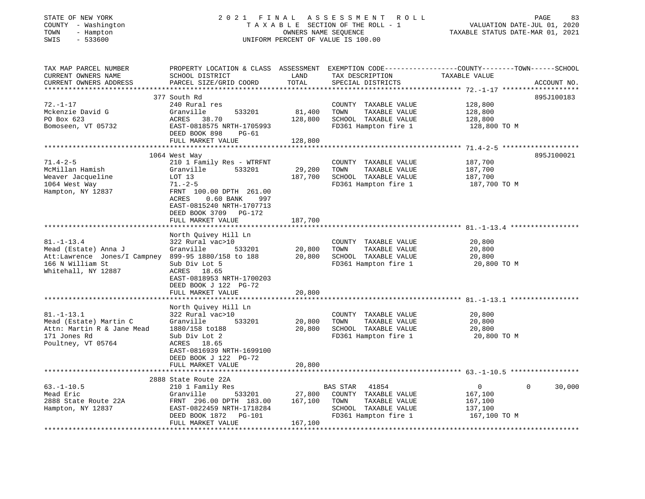| STATE OF NEW YORK |  |              |
|-------------------|--|--------------|
| COUNTY            |  | - Washington |
| TOWN              |  | - Hampton    |
|                   |  | $-0.200$     |

## STATE OF NEW YORK 2 0 2 1 F I N A L A S S E S S M E N T R O L L PAGE 83T A X A B L E SECTION OF THE ROLL - 1<br>OWNERS NAME SEQUENCE SWIS - 533600 UNIFORM PERCENT OF VALUE IS 100.00

| TAX MAP PARCEL NUMBER<br>CURRENT OWNERS NAME        | PROPERTY LOCATION & CLASS ASSESSMENT<br>SCHOOL DISTRICT | LAND    | TAX DESCRIPTION                               | EXEMPTION CODE-----------------COUNTY-------TOWN------SCHOOL<br>TAXABLE VALUE |             |
|-----------------------------------------------------|---------------------------------------------------------|---------|-----------------------------------------------|-------------------------------------------------------------------------------|-------------|
| CURRENT OWNERS ADDRESS                              | PARCEL SIZE/GRID COORD                                  | TOTAL   | SPECIAL DISTRICTS                             |                                                                               | ACCOUNT NO. |
|                                                     | 377 South Rd                                            |         |                                               |                                                                               | 895J100183  |
| $72. - 1 - 17$                                      | 240 Rural res                                           |         | COUNTY TAXABLE VALUE                          | 128,800                                                                       |             |
| Mckenzie David G                                    | Granville<br>533201                                     | 81,400  | TOWN<br>TAXABLE VALUE                         | 128,800                                                                       |             |
| PO Box 623                                          | ACRES<br>38.70                                          | 128,800 | SCHOOL TAXABLE VALUE                          | 128,800                                                                       |             |
| Bomoseen, VT 05732                                  | EAST-0818575 NRTH-1705993                               |         | FD361 Hampton fire 1                          | 128,800 TO M                                                                  |             |
|                                                     | DEED BOOK 898<br>$PG-61$                                |         |                                               |                                                                               |             |
|                                                     | FULL MARKET VALUE                                       | 128,800 |                                               |                                                                               |             |
|                                                     |                                                         |         |                                               |                                                                               |             |
|                                                     | 1064 West Way                                           |         |                                               |                                                                               | 895J100021  |
| $71.4 - 2 - 5$                                      | 210 1 Family Res - WTRFNT                               |         | COUNTY TAXABLE VALUE                          | 187,700                                                                       |             |
| McMillan Hamish                                     | Granville<br>533201                                     | 29,200  | TOWN<br>TAXABLE VALUE                         | 187,700                                                                       |             |
| Weaver Jacqueline                                   | LOT 13                                                  | 187,700 | SCHOOL TAXABLE VALUE                          | 187,700                                                                       |             |
| 1064 West Way                                       | $71. - 2 - 5$                                           |         | FD361 Hampton fire 1                          | 187,700 TO M                                                                  |             |
| Hampton, NY 12837                                   | FRNT 100.00 DPTH 261.00                                 |         |                                               |                                                                               |             |
|                                                     | ACRES<br>$0.60$ BANK<br>997                             |         |                                               |                                                                               |             |
|                                                     | EAST-0815240 NRTH-1707713                               |         |                                               |                                                                               |             |
|                                                     | DEED BOOK 3709 PG-172                                   |         |                                               |                                                                               |             |
|                                                     | FULL MARKET VALUE                                       | 187,700 |                                               |                                                                               |             |
|                                                     |                                                         |         |                                               |                                                                               |             |
|                                                     | North Quivey Hill Ln                                    |         |                                               |                                                                               |             |
| $81. - 1 - 13.4$                                    | 322 Rural vac>10                                        |         | COUNTY TAXABLE VALUE                          | 20,800                                                                        |             |
| Mead (Estate) Anna J                                | Granville<br>533201                                     | 20,800  | TAXABLE VALUE<br>TOWN                         | 20,800                                                                        |             |
| Att:Lawrence Jones/I Campney 899-95 1880/158 to 188 |                                                         | 20,800  | SCHOOL TAXABLE VALUE                          | 20,800                                                                        |             |
| 166 N William St                                    | Sub Div Lot 5                                           |         | FD361 Hampton fire 1                          | 20,800 TO M                                                                   |             |
| Whitehall, NY 12887                                 | ACRES 18.65                                             |         |                                               |                                                                               |             |
|                                                     | EAST-0818953 NRTH-1700203                               |         |                                               |                                                                               |             |
|                                                     | DEED BOOK J 122 PG-72                                   |         |                                               |                                                                               |             |
|                                                     | FULL MARKET VALUE                                       | 20,800  |                                               |                                                                               |             |
|                                                     | North Quivey Hill Ln                                    |         |                                               |                                                                               |             |
| $81. - 1 - 13.1$                                    |                                                         |         |                                               |                                                                               |             |
| Mead (Estate) Martin C                              | 322 Rural vac>10<br>533201<br>Granville                 | 20,800  | COUNTY TAXABLE VALUE<br>TAXABLE VALUE<br>TOWN | 20,800<br>20,800                                                              |             |
| Attn: Martin R & Jane Mead                          | 1880/158 to188                                          | 20,800  | SCHOOL TAXABLE VALUE                          | 20,800                                                                        |             |
| 171 Jones Rd                                        | Sub Div Lot 2                                           |         | FD361 Hampton fire 1                          | 20,800 TO M                                                                   |             |
| Poultney, VT 05764                                  | ACRES 18.65                                             |         |                                               |                                                                               |             |
|                                                     | EAST-0816939 NRTH-1699100                               |         |                                               |                                                                               |             |
|                                                     | DEED BOOK J 122 PG-72                                   |         |                                               |                                                                               |             |
|                                                     | FULL MARKET VALUE                                       | 20,800  |                                               |                                                                               |             |
|                                                     |                                                         |         |                                               |                                                                               |             |
|                                                     | 2888 State Route 22A                                    |         |                                               |                                                                               |             |
| $63. - 1 - 10.5$                                    | 210 1 Family Res                                        |         | BAS STAR<br>41854                             | $\Omega$<br>$\mathbf{0}$                                                      | 30,000      |
| Mead Eric                                           | Granville<br>533201                                     | 27,800  | COUNTY TAXABLE VALUE                          | 167,100                                                                       |             |
| 2888 State Route 22A                                | FRNT 296.00 DPTH 183.00                                 | 167,100 | TAXABLE VALUE<br>TOWN                         | 167,100                                                                       |             |
| Hampton, NY 12837                                   | EAST-0822459 NRTH-1718284                               |         | SCHOOL TAXABLE VALUE                          | 137,100                                                                       |             |
|                                                     | DEED BOOK 1872 PG-101                                   |         | FD361 Hampton fire 1                          | 167,100 TO M                                                                  |             |
|                                                     | FULL MARKET VALUE                                       | 167,100 |                                               |                                                                               |             |
|                                                     |                                                         |         |                                               |                                                                               |             |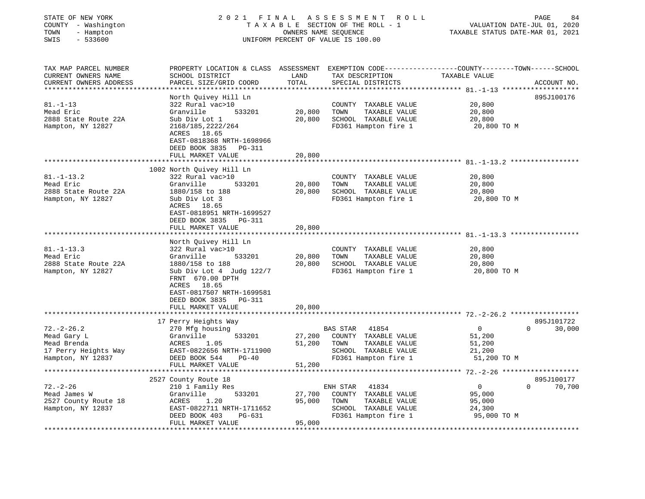| STATE OF NEW YORK<br>COUNTY - Washington<br>TOWN<br>- Hampton<br>SWIS<br>$-533600$                  | 2021 FINAL                                                                                                        |                  | ASSESSMENT<br>ROLL<br>TAXABLE SECTION OF THE ROLL - 1<br>OWNERS NAME SEQUENCE<br>UNIFORM PERCENT OF VALUE IS 100.00 | PAGE<br>VALUATION DATE-JUL 01, 2020<br>TAXABLE STATUS DATE-MAR 01, 2021                                           | 84          |
|-----------------------------------------------------------------------------------------------------|-------------------------------------------------------------------------------------------------------------------|------------------|---------------------------------------------------------------------------------------------------------------------|-------------------------------------------------------------------------------------------------------------------|-------------|
| TAX MAP PARCEL NUMBER<br>CURRENT OWNERS NAME<br>CURRENT OWNERS ADDRESS<br>************************* | SCHOOL DISTRICT<br>PARCEL SIZE/GRID COORD                                                                         | LAND<br>TOTAL    | TAX DESCRIPTION<br>SPECIAL DISTRICTS                                                                                | PROPERTY LOCATION & CLASS ASSESSMENT EXEMPTION CODE----------------COUNTY-------TOWN------SCHOOL<br>TAXABLE VALUE | ACCOUNT NO. |
|                                                                                                     | North Quivey Hill Ln                                                                                              |                  |                                                                                                                     |                                                                                                                   | 895J100176  |
| $81. - 1 - 13$                                                                                      | 322 Rural vac>10                                                                                                  |                  | COUNTY TAXABLE VALUE                                                                                                | 20,800                                                                                                            |             |
| Mead Eric                                                                                           | 533201<br>Granville                                                                                               | 20,800           | TOWN<br>TAXABLE VALUE                                                                                               | 20,800                                                                                                            |             |
| 2888 State Route 22A                                                                                | Sub Div Lot 1                                                                                                     | 20,800           | SCHOOL TAXABLE VALUE                                                                                                | 20,800                                                                                                            |             |
| Hampton, NY 12827                                                                                   | 2168/185, 2222/264<br>ACRES 18.65<br>EAST-0818368 NRTH-1698966<br>DEED BOOK 3835<br>PG-311<br>FULL MARKET VALUE   | 20,800           | FD361 Hampton fire 1                                                                                                | 20,800 TO M                                                                                                       |             |
|                                                                                                     |                                                                                                                   |                  |                                                                                                                     |                                                                                                                   |             |
|                                                                                                     | 1002 North Quivey Hill Ln                                                                                         |                  |                                                                                                                     |                                                                                                                   |             |
| $81. - 1 - 13.2$                                                                                    | 322 Rural vac>10                                                                                                  |                  | COUNTY TAXABLE VALUE                                                                                                | 20,800                                                                                                            |             |
| Mead Eric                                                                                           | Granville<br>533201                                                                                               | 20,800           | TAXABLE VALUE<br>TOWN                                                                                               | 20,800                                                                                                            |             |
| 2888 State Route 22A                                                                                | 1880/158 to 188                                                                                                   | 20,800           | SCHOOL TAXABLE VALUE                                                                                                | 20,800                                                                                                            |             |
| Hampton, NY 12827                                                                                   | Sub Div Lot 3<br>ACRES 18.65<br>EAST-0818951 NRTH-1699527<br>DEED BOOK 3835<br><b>PG-311</b><br>FULL MARKET VALUE | 20,800           | FD361 Hampton fire 1                                                                                                | 20,800 TO M                                                                                                       |             |
|                                                                                                     |                                                                                                                   |                  |                                                                                                                     |                                                                                                                   |             |
|                                                                                                     | North Quivey Hill Ln                                                                                              |                  |                                                                                                                     |                                                                                                                   |             |
| $81. - 1 - 13.3$                                                                                    | 322 Rural vac>10                                                                                                  |                  | COUNTY TAXABLE VALUE                                                                                                | 20,800                                                                                                            |             |
| Mead Eric<br>2888 State Route 22A                                                                   | Granville<br>533201<br>1880/158 to 188                                                                            | 20,800<br>20,800 | TOWN<br>TAXABLE VALUE<br>SCHOOL TAXABLE VALUE                                                                       | 20,800<br>20,800                                                                                                  |             |
| Hampton, NY 12827                                                                                   | Sub Div Lot 4 Judg 122/7<br>FRNT 670.00 DPTH<br>ACRES 18.65<br>EAST-0817507 NRTH-1699581<br>DEED BOOK 3835 PG-311 |                  | FD361 Hampton fire 1                                                                                                | 20,800 TO M                                                                                                       |             |
|                                                                                                     | FULL MARKET VALUE<br>*******************                                                                          | 20,800           |                                                                                                                     |                                                                                                                   |             |
|                                                                                                     | 17 Perry Heights Way                                                                                              |                  |                                                                                                                     |                                                                                                                   | 895J101722  |
| $72. - 2 - 26.2$                                                                                    | 270 Mfg housing                                                                                                   |                  | BAS STAR<br>41854                                                                                                   | $\mathbf 0$<br>$\Omega$                                                                                           | 30,000      |
| Mead Gary L                                                                                         | Granville<br>533201                                                                                               | 27,200           | COUNTY TAXABLE VALUE                                                                                                | 51,200                                                                                                            |             |
| Mead Brenda                                                                                         | ACRES<br>1.05                                                                                                     | 51,200           | TAXABLE VALUE<br>TOWN                                                                                               | 51,200                                                                                                            |             |
| 17 Perry Heights Way                                                                                | EAST-0822656 NRTH-1711900                                                                                         |                  | SCHOOL TAXABLE VALUE                                                                                                | 21,200                                                                                                            |             |
| Hampton, NY 12837                                                                                   | DEED BOOK 544<br>$PG-40$                                                                                          |                  | FD361 Hampton fire 1                                                                                                | 51,200 TO M                                                                                                       |             |
|                                                                                                     | FULL MARKET VALUE                                                                                                 | 51,200           |                                                                                                                     |                                                                                                                   |             |
|                                                                                                     |                                                                                                                   | *************    |                                                                                                                     |                                                                                                                   |             |
|                                                                                                     | 2527 County Route 18                                                                                              |                  |                                                                                                                     |                                                                                                                   | 895J100177  |
| $72. - 2 - 26$                                                                                      | 210 1 Family Res                                                                                                  |                  | ENH STAR<br>41834                                                                                                   | $\overline{0}$<br>$\Omega$                                                                                        | 70,700      |
| Mead James W                                                                                        | Granville<br>533201                                                                                               | 27,700<br>95,000 | COUNTY TAXABLE VALUE                                                                                                | 95,000                                                                                                            |             |
| 2527 County Route 18<br>Hampton, NY 12837                                                           | ACRES<br>1.20<br>EAST-0822711 NRTH-1711652                                                                        |                  | TOWN<br>TAXABLE VALUE<br>SCHOOL TAXABLE VALUE                                                                       | 95,000<br>24,300                                                                                                  |             |
|                                                                                                     | DEED BOOK 403<br>PG-631                                                                                           |                  | FD361 Hampton fire 1                                                                                                | 95,000 TO M                                                                                                       |             |
|                                                                                                     | FULL MARKET VALUE                                                                                                 | 95,000           |                                                                                                                     |                                                                                                                   |             |
|                                                                                                     |                                                                                                                   |                  |                                                                                                                     |                                                                                                                   |             |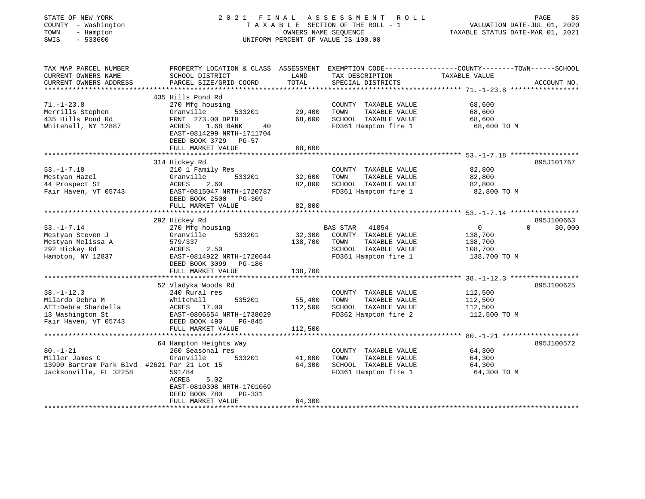| STATE OF NEW YORK<br>COUNTY - Washington<br>TOWN<br>- Hampton<br>$-533600$<br>SWIS | 2021 FINAL                                                                    | OWNERS NAME SEQUENCE | ASSESSMENT ROLL<br>TAXABLE SECTION OF THE ROLL - 1<br>UNIFORM PERCENT OF VALUE IS 100.00 | PAGE<br>VALUATION DATE-JUL 01, 2020<br>TAXABLE STATUS DATE-MAR 01, 2021                         | 85     |
|------------------------------------------------------------------------------------|-------------------------------------------------------------------------------|----------------------|------------------------------------------------------------------------------------------|-------------------------------------------------------------------------------------------------|--------|
| TAX MAP PARCEL NUMBER                                                              |                                                                               |                      |                                                                                          | PROPERTY LOCATION & CLASS ASSESSMENT EXEMPTION CODE---------------COUNTY-------TOWN------SCHOOL |        |
| CURRENT OWNERS NAME                                                                | SCHOOL DISTRICT                                                               | LAND                 | TAX DESCRIPTION                                                                          | TAXABLE VALUE                                                                                   |        |
| CURRENT OWNERS ADDRESS<br>**********************                                   | PARCEL SIZE/GRID COORD                                                        | TOTAL                | SPECIAL DISTRICTS                                                                        | ACCOUNT NO.                                                                                     |        |
|                                                                                    | 435 Hills Pond Rd                                                             |                      |                                                                                          |                                                                                                 |        |
| $71. - 1 - 23.8$                                                                   | 270 Mfg housing                                                               |                      | COUNTY TAXABLE VALUE                                                                     | 68,600                                                                                          |        |
| Merrills Stephen                                                                   | Granville<br>533201                                                           | 29,400               | TOWN<br>TAXABLE VALUE                                                                    | 68,600                                                                                          |        |
| 435 Hills Pond Rd                                                                  | FRNT 273.00 DPTH                                                              | 68,600               | SCHOOL TAXABLE VALUE                                                                     | 68,600                                                                                          |        |
| Whitehall, NY 12887                                                                | ACRES<br>1.68 BANK<br>40<br>EAST-0814299 NRTH-1711704<br>DEED BOOK 3729 PG-57 | 68,600               | FD361 Hampton fire 1                                                                     | 68,600 TO M                                                                                     |        |
|                                                                                    | FULL MARKET VALUE                                                             |                      |                                                                                          |                                                                                                 |        |
|                                                                                    | 314 Hickey Rd                                                                 |                      |                                                                                          | 895J101767                                                                                      |        |
| $53. - 1 - 7.18$                                                                   | 210 1 Family Res                                                              |                      | COUNTY TAXABLE VALUE                                                                     | 82,800                                                                                          |        |
| Mestyan Hazel                                                                      | Granville<br>533201                                                           | 32,600               | TOWN<br>TAXABLE VALUE                                                                    | 82,800                                                                                          |        |
| 44 Prospect St                                                                     | 2.60<br>ACRES                                                                 | 82,800               | SCHOOL TAXABLE VALUE                                                                     | 82,800                                                                                          |        |
| Fair Haven, VT 05743                                                               | EAST-0815047 NRTH-1720787<br>DEED BOOK 2500 PG-309                            |                      | FD361 Hampton fire 1                                                                     | 82,800 TO M                                                                                     |        |
|                                                                                    | FULL MARKET VALUE                                                             | 82,800               |                                                                                          |                                                                                                 |        |
|                                                                                    |                                                                               |                      |                                                                                          | 895J100663                                                                                      |        |
| $53. - 1 - 7.14$                                                                   | 292 Hickey Rd<br>270 Mfg housing                                              |                      | BAS STAR<br>41854                                                                        | $\overline{0}$<br>$\Omega$                                                                      | 30,000 |
| Mestyan Steven J                                                                   | Granville<br>533201                                                           | 32,300               | COUNTY TAXABLE VALUE                                                                     | 138,700                                                                                         |        |
| Mestyan Melissa A                                                                  | 579/337                                                                       | 138,700              | TOWN<br>TAXABLE VALUE                                                                    | 138,700                                                                                         |        |
| 292 Hickey Rd                                                                      | ACRES<br>2.50                                                                 |                      | SCHOOL TAXABLE VALUE                                                                     | 108,700                                                                                         |        |
| Hampton, NY 12837                                                                  | EAST-0814922 NRTH-1720644                                                     |                      | FD361 Hampton fire 1                                                                     | 138,700 TO M                                                                                    |        |
|                                                                                    | DEED BOOK 3099 PG-186                                                         |                      |                                                                                          |                                                                                                 |        |
|                                                                                    | FULL MARKET VALUE                                                             | 138,700              |                                                                                          |                                                                                                 |        |
|                                                                                    |                                                                               |                      |                                                                                          | $38. - 1 - 12.3$ ******************                                                             |        |
| $38. - 1 - 12.3$                                                                   | 52 Vladyka Woods Rd<br>240 Rural res                                          |                      | COUNTY TAXABLE VALUE                                                                     | 895J100625<br>112,500                                                                           |        |
| Milardo Debra M                                                                    | 535201<br>Whitehall                                                           | 55,400               | TOWN<br>TAXABLE VALUE                                                                    | 112,500                                                                                         |        |
| ATT:Debra Sbardella                                                                | ACRES 17.00                                                                   | 112,500              | SCHOOL TAXABLE VALUE                                                                     | 112,500                                                                                         |        |
| 13 Washington St                                                                   | EAST-0806654 NRTH-1738029                                                     |                      | FD362 Hampton fire 2                                                                     | 112,500 TO M                                                                                    |        |
| Fair Haven, VT 05743                                                               | DEED BOOK 490<br>PG-845                                                       |                      |                                                                                          |                                                                                                 |        |
|                                                                                    | FULL MARKET VALUE                                                             | 112,500              |                                                                                          |                                                                                                 |        |
|                                                                                    |                                                                               |                      |                                                                                          |                                                                                                 |        |
|                                                                                    | 64 Hampton Heights Way                                                        |                      |                                                                                          | 895J100572                                                                                      |        |
| $80. - 1 - 21$                                                                     | 260 Seasonal res                                                              |                      | COUNTY TAXABLE VALUE                                                                     | 64,300                                                                                          |        |
| Miller James C                                                                     | Granville<br>533201                                                           | 41,000<br>64,300     | TOWN<br>TAXABLE VALUE                                                                    | 64,300                                                                                          |        |
| 13990 Bartram Park Blvd #2621 Par 21 Lot 15<br>Jacksonville, FL 32258              | 591/84                                                                        |                      | SCHOOL TAXABLE VALUE<br>FD361 Hampton fire 1                                             | 64,300<br>64,300 TO M                                                                           |        |
|                                                                                    | ACRES<br>5.02                                                                 |                      |                                                                                          |                                                                                                 |        |
|                                                                                    | EAST-0810308 NRTH-1701069                                                     |                      |                                                                                          |                                                                                                 |        |
|                                                                                    | DEED BOOK 780<br>PG-331                                                       |                      |                                                                                          |                                                                                                 |        |
|                                                                                    | FULL MARKET VALUE                                                             | 64,300               |                                                                                          |                                                                                                 |        |
|                                                                                    |                                                                               |                      |                                                                                          |                                                                                                 |        |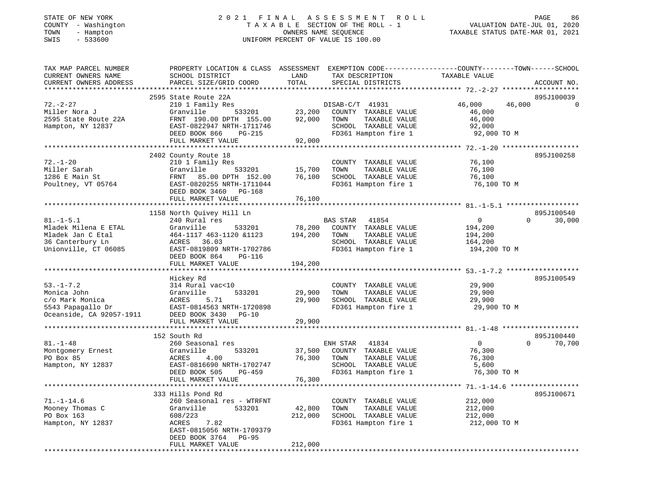| COUNTY - Washington<br>TOWN<br>- Hampton<br>SWIS<br>$-533600$                                            | TAXABLE SECTION OF THE ROLL - 1<br>OWNERS NAME SEOUENCE<br>UNIFORM PERCENT OF VALUE IS 100.00                                                                          |                                                   |                                                                                                                    | TAXABLE STATUS DATE-MAR 01, 2021                              | VALUATION DATE-JUL 01, 2020      |
|----------------------------------------------------------------------------------------------------------|------------------------------------------------------------------------------------------------------------------------------------------------------------------------|---------------------------------------------------|--------------------------------------------------------------------------------------------------------------------|---------------------------------------------------------------|----------------------------------|
| TAX MAP PARCEL NUMBER<br>CURRENT OWNERS NAME<br>CURRENT OWNERS ADDRESS<br>***********************        | PROPERTY LOCATION & CLASS ASSESSMENT EXEMPTION CODE---------------COUNTY-------TOWN------SCHOOL<br>SCHOOL DISTRICT<br>PARCEL SIZE/GRID COORD                           | LAND<br>TOTAL                                     | TAX DESCRIPTION<br>SPECIAL DISTRICTS                                                                               | TAXABLE VALUE                                                 | ACCOUNT NO.                      |
|                                                                                                          | 2595 State Route 22A                                                                                                                                                   |                                                   |                                                                                                                    |                                                               | 895J100039                       |
| $72. - 2 - 27$<br>Miller Nora J<br>2595 State Route 22A<br>Hampton, NY 12837                             | 210 1 Family Res<br>Granville<br>533201<br>FRNT 190.00 DPTH 155.00<br>EAST-0822947 NRTH-1711746<br>DEED BOOK 866<br>PG-215                                             | 23,200<br>92,000                                  | DISAB-C/T 41931<br>COUNTY TAXABLE VALUE<br>TOWN<br>TAXABLE VALUE<br>SCHOOL TAXABLE VALUE<br>FD361 Hampton fire 1   | 46,000<br>46,000<br>46,000<br>46,000<br>92,000<br>92,000 TO M | $\Omega$                         |
|                                                                                                          | FULL MARKET VALUE                                                                                                                                                      | 92,000                                            |                                                                                                                    |                                                               |                                  |
| $72. - 1 - 20$<br>Miller Sarah<br>1286 E Main St<br>Poultney, VT 05764                                   | 2402 County Route 18<br>210 1 Family Res<br>Granville<br>533201<br>FRNT<br>85.00 DPTH 152.00<br>EAST-0820255 NRTH-1711044<br>DEED BOOK 3460 PG-168                     | 15,700<br>76,100                                  | COUNTY TAXABLE VALUE<br>TAXABLE VALUE<br>TOWN<br>SCHOOL TAXABLE VALUE<br>FD361 Hampton fire 1                      | 76,100<br>76,100<br>76,100<br>76,100 TO M                     | 895J100258                       |
|                                                                                                          | FULL MARKET VALUE                                                                                                                                                      | 76,100                                            |                                                                                                                    |                                                               |                                  |
| $81. - 1 - 5.1$<br>Mladek Milena E ETAL<br>Mladek Jan C Etal<br>36 Canterbury Ln<br>Unionville, CT 06085 | 1158 North Quivey Hill Ln<br>240 Rural res<br>Granville<br>533201<br>464-1117 463-1120 &1123<br>36.03<br>ACRES<br>EAST-0819809 NRTH-1702786<br>DEED BOOK 864<br>PG-116 | 78,200<br>194,200                                 | BAS STAR<br>41854<br>COUNTY TAXABLE VALUE<br>TOWN<br>TAXABLE VALUE<br>SCHOOL TAXABLE VALUE<br>FD361 Hampton fire 1 | $\circ$<br>194,200<br>194,200<br>164,200<br>194,200 TO M      | 895J100540<br>$\Omega$<br>30,000 |
|                                                                                                          | FULL MARKET VALUE                                                                                                                                                      | 194,200                                           |                                                                                                                    |                                                               |                                  |
|                                                                                                          |                                                                                                                                                                        |                                                   |                                                                                                                    |                                                               |                                  |
| $53. - 1 - 7.2$<br>Monica John<br>c/o Mark Monica<br>5543 Papagallo Dr<br>Oceanside, CA 92057-1911       | Hickey Rd<br>314 Rural vac<10<br>533201<br>Granville<br>ACRES<br>5.71<br>EAST-0814563 NRTH-1720898<br>DEED BOOK 3430<br>$PG-10$                                        | 29,900<br>29,900                                  | COUNTY TAXABLE VALUE<br>TOWN<br>TAXABLE VALUE<br>SCHOOL TAXABLE VALUE<br>FD361 Hampton fire 1                      | 29,900<br>29,900<br>29,900<br>29,900 TO M                     | 895J100549                       |
|                                                                                                          | FULL MARKET VALUE                                                                                                                                                      | 29,900                                            |                                                                                                                    |                                                               |                                  |
| $81. - 1 - 48$<br>Montgomery Ernest<br>PO Box 85<br>Hampton, NY 12837                                    | 152 South Rd<br>260 Seasonal res<br>Granville<br>533201<br>ACRES<br>4.00<br>EAST-0816690 NRTH-1702747<br>DEED BOOK 505<br>$PG-459$<br>FULL MARKET VALUE                | 37,500<br>76,300<br>76,300<br>* * * * * * * * * * | ENH STAR<br>41834<br>COUNTY TAXABLE VALUE<br>TAXABLE VALUE<br>TOWN<br>SCHOOL TAXABLE VALUE<br>FD361 Hampton fire 1 | $\overline{0}$<br>76,300<br>76,300<br>5,600<br>76,300 TO M    | 895J100440<br>$\Omega$<br>70,700 |
|                                                                                                          | 333 Hills Pond Rd                                                                                                                                                      |                                                   |                                                                                                                    | $71. - 1 - 14.6$ ***************                              | 895J100671                       |
| $71. - 1 - 14.6$<br>Mooney Thomas C<br>PO Box 163<br>Hampton, NY 12837                                   | 260 Seasonal res - WTRFNT<br>Granville<br>533201<br>608/223<br>ACRES<br>7.82<br>EAST-0815056 NRTH-1709379<br>DEED BOOK 3764 PG-95                                      | 42,800<br>212,000                                 | COUNTY TAXABLE VALUE<br>TOWN<br>TAXABLE VALUE<br>SCHOOL TAXABLE VALUE<br>FD361 Hampton fire 1                      | 212,000<br>212,000<br>212,000<br>212,000 TO M                 |                                  |
|                                                                                                          | FULL MARKET VALUE                                                                                                                                                      | 212,000                                           |                                                                                                                    |                                                               |                                  |

\*\*\*\*\*\*\*\*\*\*\*\*\*\*\*\*\*\*\*\*\*\*\*\*\*\*\*\*\*\*\*\*\*\*\*\*\*\*\*\*\*\*\*\*\*\*\*\*\*\*\*\*\*\*\*\*\*\*\*\*\*\*\*\*\*\*\*\*\*\*\*\*\*\*\*\*\*\*\*\*\*\*\*\*\*\*\*\*\*\*\*\*\*\*\*\*\*\*\*\*\*\*\*\*\*\*\*\*\*\*\*\*\*\*\*\*\*\*\*\*\*\*\*\*\*\*\*\*\*\*\*\*

# STATE OF NEW YORK 2 0 2 1 F I N A L A S S E S S M E N T R O L L PAGE 86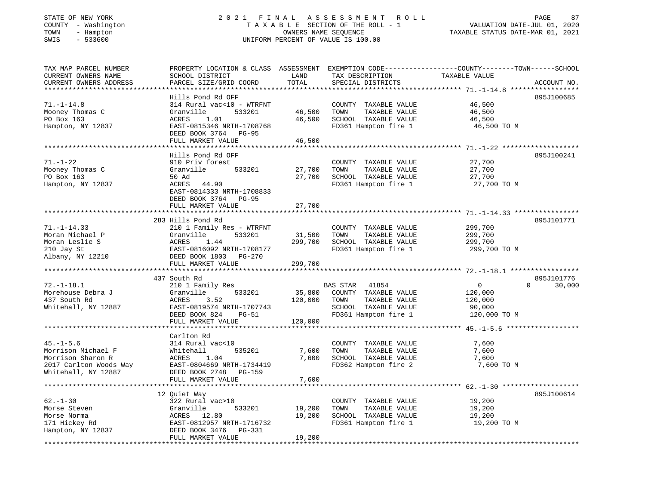# STATE OF NEW YORK 2 0 2 1 F I N A L A S S E S S M E N T R O L L PAGE 87COUNTY - Washington T A X A B L E SECTION OF THE ROLL - 1<br>
TOWN - Hampton COUNERS NAME SEQUENCE<br>
SWIS - 533600 SWIS - 533600 UNIFORM PERCENT OF VALUE IS 100.00

VALUATION DATE-JUL 01, 2020

| TAX MAP PARCEL NUMBER<br>CURRENT OWNERS NAME<br>CURRENT OWNERS ADDRESS | PROPERTY LOCATION & CLASS ASSESSMENT EXEMPTION CODE----------------COUNTY-------TOWN------SCHOOL<br>SCHOOL DISTRICT<br>PARCEL SIZE/GRID COORD | LAND<br>TOTAL | TAX DESCRIPTION<br>SPECIAL DISTRICTS | TAXABLE VALUE                                          | ACCOUNT NO. |
|------------------------------------------------------------------------|-----------------------------------------------------------------------------------------------------------------------------------------------|---------------|--------------------------------------|--------------------------------------------------------|-------------|
|                                                                        |                                                                                                                                               |               |                                      |                                                        |             |
|                                                                        | Hills Pond Rd OFF                                                                                                                             |               |                                      |                                                        | 895J100685  |
| $71. - 1 - 14.8$                                                       | 314 Rural vac<10 - WTRFNT                                                                                                                     |               | COUNTY TAXABLE VALUE                 | 46,500                                                 |             |
| Mooney Thomas C                                                        | Granville<br>533201                                                                                                                           | 46,500        | TOWN<br>TAXABLE VALUE                | 46,500                                                 |             |
| PO Box 163                                                             | ACRES<br>1.01                                                                                                                                 | 46,500        | SCHOOL TAXABLE VALUE                 | 46,500                                                 |             |
| Hampton, NY 12837                                                      | EAST-0815346 NRTH-1708768                                                                                                                     |               | FD361 Hampton fire 1                 | 46,500 TO M                                            |             |
|                                                                        | DEED BOOK 3764<br>PG-95                                                                                                                       |               |                                      |                                                        |             |
|                                                                        | FULL MARKET VALUE<br>********************************                                                                                         | 46,500        |                                      |                                                        |             |
|                                                                        |                                                                                                                                               |               |                                      |                                                        |             |
|                                                                        | Hills Pond Rd OFF                                                                                                                             |               |                                      |                                                        | 895J100241  |
| $71. - 1 - 22$                                                         | 910 Priv forest                                                                                                                               |               | COUNTY TAXABLE VALUE                 | 27,700                                                 |             |
| Mooney Thomas C                                                        | Granville<br>533201                                                                                                                           | 27,700        | TOWN<br>TAXABLE VALUE                | 27,700                                                 |             |
| PO Box 163                                                             | 50 Ad                                                                                                                                         | 27,700        | SCHOOL TAXABLE VALUE                 | 27,700                                                 |             |
| Hampton, NY 12837                                                      | ACRES<br>44.90                                                                                                                                |               | FD361 Hampton fire 1                 | 27,700 TO M                                            |             |
|                                                                        | EAST-0814333 NRTH-1708833                                                                                                                     |               |                                      |                                                        |             |
|                                                                        | DEED BOOK 3764 PG-95<br>FULL MARKET VALUE                                                                                                     | 27,700        |                                      |                                                        |             |
|                                                                        |                                                                                                                                               |               |                                      |                                                        |             |
|                                                                        | 283 Hills Pond Rd                                                                                                                             |               |                                      |                                                        | 895J101771  |
| $71. - 1 - 14.33$                                                      | 210 1 Family Res - WTRFNT                                                                                                                     |               | COUNTY TAXABLE VALUE                 | 299,700                                                |             |
| Moran Michael P                                                        | Granville<br>533201                                                                                                                           | 31,500        | TOWN<br>TAXABLE VALUE                | 299,700                                                |             |
| Moran Leslie S                                                         | ACRES<br>1.44                                                                                                                                 | 299,700       | SCHOOL TAXABLE VALUE                 | 299,700                                                |             |
| 210 Jay St                                                             | EAST-0816092 NRTH-1708177                                                                                                                     |               | FD361 Hampton fire 1                 | 299,700 TO M                                           |             |
| Albany, NY 12210                                                       | DEED BOOK 1803<br><b>PG-270</b>                                                                                                               |               |                                      |                                                        |             |
|                                                                        | FULL MARKET VALUE                                                                                                                             | 299,700       |                                      |                                                        |             |
|                                                                        |                                                                                                                                               |               |                                      |                                                        |             |
|                                                                        | 437 South Rd                                                                                                                                  |               |                                      |                                                        | 895J101776  |
| $72. - 1 - 18.1$                                                       | 210 1 Family Res                                                                                                                              |               | BAS STAR<br>41854                    | $\mathbf{0}$<br>$\Omega$                               | 30,000      |
| Morehouse Debra J                                                      | 533201<br>Granville                                                                                                                           | 35,800        | COUNTY TAXABLE VALUE                 | 120,000                                                |             |
| 437 South Rd                                                           | 3.52<br>ACRES                                                                                                                                 | 120,000       | TAXABLE VALUE<br>TOWN                | 120,000                                                |             |
| Whitehall, NY 12887                                                    | EAST-0819574 NRTH-1707743                                                                                                                     |               | SCHOOL TAXABLE VALUE                 | 90,000                                                 |             |
|                                                                        | DEED BOOK 824<br>$PG-51$                                                                                                                      |               | FD361 Hampton fire 1                 | 120,000 TO M                                           |             |
|                                                                        | FULL MARKET VALUE                                                                                                                             | 120,000       |                                      |                                                        |             |
|                                                                        | **********************                                                                                                                        |               |                                      |                                                        |             |
|                                                                        | Carlton Rd                                                                                                                                    |               |                                      |                                                        |             |
| $45. - 1 - 5.6$                                                        | 314 Rural vac<10                                                                                                                              |               | COUNTY TAXABLE VALUE                 | 7,600                                                  |             |
| Morrison Michael F                                                     | Whitehall<br>535201                                                                                                                           | 7,600         | TAXABLE VALUE<br>TOWN                | 7,600                                                  |             |
| Morrison Sharon R                                                      | ACRES<br>1.04                                                                                                                                 | 7,600         | SCHOOL TAXABLE VALUE                 | 7,600                                                  |             |
| 2017 Carlton Woods Way                                                 | EAST-0804669 NRTH-1734419                                                                                                                     |               | FD362 Hampton fire 2                 | 7,600 TO M                                             |             |
| Whitehall, NY 12887                                                    | DEED BOOK 2748 PG-159                                                                                                                         |               |                                      |                                                        |             |
|                                                                        | FULL MARKET VALUE                                                                                                                             | 7,600         |                                      |                                                        |             |
|                                                                        |                                                                                                                                               |               |                                      | ************************ 62.-1-30 ******************** |             |
|                                                                        | 12 Quiet Way                                                                                                                                  |               |                                      |                                                        | 895J100614  |
| $62 - 1 - 30$                                                          | 322 Rural vac>10                                                                                                                              |               | COUNTY TAXABLE VALUE                 | 19,200                                                 |             |
| Morse Steven                                                           | Granville<br>533201                                                                                                                           | 19,200        | TOWN<br>TAXABLE VALUE                | 19,200                                                 |             |
| Morse Norma                                                            | ACRES 12.80                                                                                                                                   | 19,200        | SCHOOL TAXABLE VALUE                 | 19,200                                                 |             |
| 171 Hickey Rd                                                          | EAST-0812957 NRTH-1716732                                                                                                                     |               | FD361 Hampton fire 1                 | 19,200 TO M                                            |             |
| Hampton, NY 12837                                                      | DEED BOOK 3476<br>PG-331                                                                                                                      |               |                                      |                                                        |             |
|                                                                        | FULL MARKET VALUE                                                                                                                             | 19,200        |                                      |                                                        |             |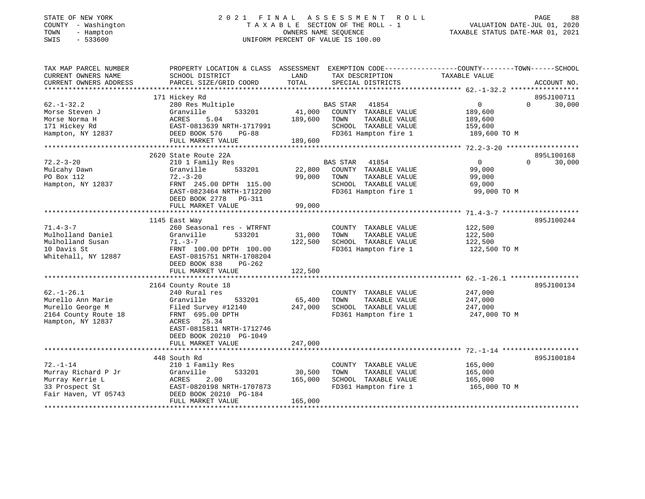# STATE OF NEW YORK 2 0 2 1 F I N A L A S S E S S M E N T R O L L PAGE 88COUNTY - Washington T A X A B L E SECTION OF THE ROLL - 1<br>
TOWN - Hampton DWNERS NAME SEQUENCE<br>
SWIS - 533600<br>
SWIS - 533600 SWIS - 533600 UNIFORM PERCENT OF VALUE IS 100.00

| TAX MAP PARCEL NUMBER  | PROPERTY LOCATION & CLASS ASSESSMENT          |         | EXEMPTION CODE-----------------COUNTY-------TOWN------SCHOOL |               |                    |
|------------------------|-----------------------------------------------|---------|--------------------------------------------------------------|---------------|--------------------|
| CURRENT OWNERS NAME    | SCHOOL DISTRICT                               | LAND    | TAX DESCRIPTION                                              | TAXABLE VALUE |                    |
| CURRENT OWNERS ADDRESS | PARCEL SIZE/GRID COORD                        | TOTAL   | SPECIAL DISTRICTS                                            |               | ACCOUNT NO.        |
| *********************  |                                               |         |                                                              |               |                    |
|                        | 171 Hickey Rd                                 |         |                                                              |               | 895J100711         |
| $62. - 1 - 32.2$       | 280 Res Multiple                              |         | <b>BAS STAR</b><br>41854                                     | $\mathbf{0}$  | $\Omega$<br>30,000 |
| Morse Steven J         | Granville<br>533201                           | 41,000  | COUNTY TAXABLE VALUE                                         | 189,600       |                    |
| Morse Norma H          | ACRES<br>5.04                                 | 189,600 | TAXABLE VALUE<br>TOWN                                        | 189,600       |                    |
| 171 Hickey Rd          | EAST-0813639 NRTH-1717991                     |         | SCHOOL TAXABLE VALUE                                         | 159,600       |                    |
| Hampton, NY 12837      | DEED BOOK 576<br>$PG-88$                      |         | FD361 Hampton fire 1                                         | 189,600 то м  |                    |
|                        | FULL MARKET VALUE                             | 189,600 |                                                              |               |                    |
|                        |                                               |         |                                                              |               |                    |
|                        | 2620 State Route 22A                          |         |                                                              |               | 895L100168         |
| $72.2 - 3 - 20$        | 210 1 Family Res                              |         | BAS STAR 41854                                               | $\Omega$      | $\Omega$<br>30,000 |
| Mulcahy Dawn           | 533201<br>Granville                           | 22,800  | COUNTY TAXABLE VALUE                                         | 99,000        |                    |
| PO Box 112             | $72. - 3 - 20$                                | 99,000  | TAXABLE VALUE<br>TOWN                                        | 99,000        |                    |
| Hampton, NY 12837      | FRNT 245.00 DPTH 115.00                       |         | SCHOOL TAXABLE VALUE                                         | 69,000        |                    |
|                        | EAST-0823464 NRTH-1712200                     |         | FD361 Hampton fire 1                                         | 99,000 TO M   |                    |
|                        | DEED BOOK 2778 PG-311                         |         |                                                              |               |                    |
|                        | FULL MARKET VALUE                             | 99,000  |                                                              |               |                    |
|                        |                                               |         |                                                              |               |                    |
|                        | 1145 East Way                                 |         |                                                              |               | 895J100244         |
| $71.4 - 3 - 7$         | 260 Seasonal res - WTRFNT                     |         | COUNTY TAXABLE VALUE                                         | 122,500       |                    |
| Mulholland Daniel      | Granville<br>533201                           | 31,000  | TOWN<br>TAXABLE VALUE                                        | 122,500       |                    |
| Mulholland Susan       | $71. - 3 - 7$                                 | 122,500 | SCHOOL TAXABLE VALUE                                         | 122,500       |                    |
| 10 Davis St            | FRNT 100.00 DPTH 100.00                       |         | FD361 Hampton fire 1                                         | 122,500 TO M  |                    |
| Whitehall, NY 12887    | EAST-0815751 NRTH-1708204                     |         |                                                              |               |                    |
|                        | DEED BOOK 838<br>PG-262                       |         |                                                              |               |                    |
|                        | FULL MARKET VALUE                             | 122,500 |                                                              |               |                    |
|                        |                                               |         |                                                              |               |                    |
|                        | 2164 County Route 18                          |         |                                                              |               | 895J100134         |
| $62. - 1 - 26.1$       | 240 Rural res                                 |         | COUNTY TAXABLE VALUE                                         | 247,000       |                    |
| Murello Ann Marie      | Granville<br>533201                           | 65,400  | TOWN<br>TAXABLE VALUE                                        | 247,000       |                    |
| Murello George M       | Filed Survey #12140                           | 247,000 | SCHOOL TAXABLE VALUE                                         | 247,000       |                    |
| 2164 County Route 18   | FRNT 695.00 DPTH                              |         | FD361 Hampton fire 1                                         | 247,000 TO M  |                    |
| Hampton, NY 12837      | ACRES 25.34                                   |         |                                                              |               |                    |
|                        | EAST-0815811 NRTH-1712746                     |         |                                                              |               |                    |
|                        |                                               |         |                                                              |               |                    |
|                        | DEED BOOK 20210 PG-1049                       | 247,000 |                                                              |               |                    |
|                        | FULL MARKET VALUE<br>************************ |         |                                                              |               |                    |
|                        |                                               |         |                                                              |               |                    |
| $72. - 1 - 14$         | 448 South Rd                                  |         |                                                              |               | 895J100184         |
| Murray Richard P Jr    | 210 1 Family Res                              |         | COUNTY TAXABLE VALUE                                         | 165,000       |                    |
|                        | Granville<br>533201                           | 30,500  | TAXABLE VALUE<br>TOWN                                        | 165,000       |                    |
| Murray Kerrie L        | 2.00<br>ACRES                                 | 165,000 | SCHOOL TAXABLE VALUE                                         | 165,000       |                    |
| 33 Prospect St         | EAST-0820198 NRTH-1707873                     |         | FD361 Hampton fire 1                                         | 165,000 TO M  |                    |
| Fair Haven, VT 05743   | DEED BOOK 20210 PG-184                        |         |                                                              |               |                    |
|                        | FULL MARKET VALUE                             | 165,000 |                                                              |               |                    |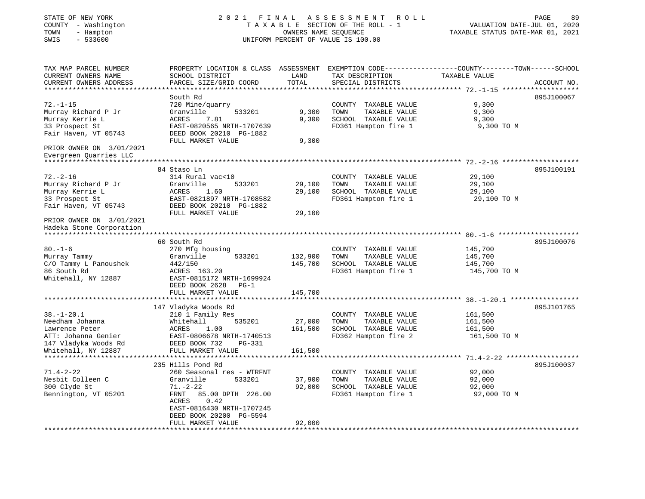| STATE OF NEW YORK<br>COUNTY - Washington<br>TOWN<br>- Hampton<br>$-533600$<br>SWIS | 2021 FINAL                                                                                                                                    |                    | A S S E S S M E N T<br>ROLL<br>TAXABLE SECTION OF THE ROLL - 1<br>OWNERS NAME SEQUENCE<br>UNIFORM PERCENT OF VALUE IS 100.00 | VALUATION DATE-JUL 01, 2020<br>TAXABLE STATUS DATE-MAR 01, 2021 | PAGE<br>89  |
|------------------------------------------------------------------------------------|-----------------------------------------------------------------------------------------------------------------------------------------------|--------------------|------------------------------------------------------------------------------------------------------------------------------|-----------------------------------------------------------------|-------------|
| TAX MAP PARCEL NUMBER<br>CURRENT OWNERS NAME<br>CURRENT OWNERS ADDRESS             | PROPERTY LOCATION & CLASS ASSESSMENT EXEMPTION CODE----------------COUNTY-------TOWN------SCHOOL<br>SCHOOL DISTRICT<br>PARCEL SIZE/GRID COORD | LAND<br>TOTAL      | TAX DESCRIPTION<br>SPECIAL DISTRICTS                                                                                         | TAXABLE VALUE                                                   | ACCOUNT NO. |
|                                                                                    | South Rd                                                                                                                                      |                    |                                                                                                                              |                                                                 |             |
| $72. - 1 - 15$                                                                     | 720 Mine/quarry                                                                                                                               |                    | COUNTY TAXABLE VALUE                                                                                                         | 9,300                                                           | 895J100067  |
| Murray Richard P Jr                                                                | Granville<br>533201                                                                                                                           | 9,300              | TOWN<br>TAXABLE VALUE                                                                                                        | 9,300                                                           |             |
| Murray Kerrie L                                                                    | ACRES<br>7.81                                                                                                                                 | 9,300              | SCHOOL TAXABLE VALUE                                                                                                         | 9,300                                                           |             |
| 33 Prospect St                                                                     | EAST-0820565 NRTH-1707639                                                                                                                     |                    | FD361 Hampton fire 1                                                                                                         | 9,300 TO M                                                      |             |
| Fair Haven, VT 05743                                                               | DEED BOOK 20210 PG-1882                                                                                                                       |                    |                                                                                                                              |                                                                 |             |
| PRIOR OWNER ON 3/01/2021                                                           | FULL MARKET VALUE                                                                                                                             | 9,300              |                                                                                                                              |                                                                 |             |
| Evergreen Quarries LLC                                                             |                                                                                                                                               |                    |                                                                                                                              |                                                                 |             |
|                                                                                    | 84 Staso Ln                                                                                                                                   |                    |                                                                                                                              |                                                                 | 895J100191  |
| $72. - 2 - 16$                                                                     | 314 Rural vac<10                                                                                                                              |                    | COUNTY TAXABLE VALUE                                                                                                         | 29,100                                                          |             |
| Murray Richard P Jr                                                                | Granville<br>533201                                                                                                                           | 29,100             | TOWN<br>TAXABLE VALUE                                                                                                        | 29,100                                                          |             |
| Murray Kerrie L                                                                    | ACRES<br>1.60                                                                                                                                 | 29,100             | SCHOOL TAXABLE VALUE                                                                                                         | 29,100                                                          |             |
| 33 Prospect St                                                                     | EAST-0821897 NRTH-1708582                                                                                                                     |                    | FD361 Hampton fire 1                                                                                                         | 29,100 TO M                                                     |             |
| Fair Haven, VT 05743                                                               | DEED BOOK 20210 PG-1882                                                                                                                       |                    |                                                                                                                              |                                                                 |             |
| PRIOR OWNER ON 3/01/2021<br>Hadeka Stone Corporation                               | FULL MARKET VALUE                                                                                                                             | 29,100             |                                                                                                                              |                                                                 |             |
|                                                                                    |                                                                                                                                               |                    |                                                                                                                              | $80. -1 - 6$ **********************                             |             |
| $80. - 1 - 6$                                                                      | 60 South Rd<br>270 Mfg housing                                                                                                                |                    | COUNTY TAXABLE VALUE                                                                                                         | 145,700                                                         | 895J100076  |
| Murray Tammy                                                                       | Granville<br>533201                                                                                                                           | 132,900            | TOWN<br>TAXABLE VALUE                                                                                                        | 145,700                                                         |             |
| C/O Tammy L Panoushek                                                              | 442/150                                                                                                                                       | 145,700            | SCHOOL TAXABLE VALUE                                                                                                         | 145,700                                                         |             |
| 86 South Rd                                                                        | ACRES 163.20                                                                                                                                  |                    | FD361 Hampton fire 1                                                                                                         | 145,700 TO M                                                    |             |
| Whitehall, NY 12887                                                                | EAST-0815172 NRTH-1699924                                                                                                                     |                    |                                                                                                                              |                                                                 |             |
|                                                                                    | DEED BOOK 2628 PG-1                                                                                                                           |                    |                                                                                                                              |                                                                 |             |
|                                                                                    | FULL MARKET VALUE                                                                                                                             | 145,700            |                                                                                                                              |                                                                 |             |
|                                                                                    | 147 Vladyka Woods Rd                                                                                                                          | *************      |                                                                                                                              |                                                                 | 895J101765  |
| $38. - 1 - 20.1$                                                                   | 210 1 Family Res                                                                                                                              |                    | COUNTY TAXABLE VALUE                                                                                                         | 161,500                                                         |             |
| Needham Johanna                                                                    | 535201<br>Whitehall                                                                                                                           | 27,000             | TOWN<br>TAXABLE VALUE                                                                                                        | 161,500                                                         |             |
| Lawrence Peter                                                                     | ACRES<br>1.00                                                                                                                                 | 161,500            | SCHOOL TAXABLE VALUE                                                                                                         | 161,500                                                         |             |
| ATT: Johanna Genier                                                                | EAST-0806678 NRTH-1740513                                                                                                                     |                    | FD362 Hampton fire 2                                                                                                         | 161,500 TO M                                                    |             |
| 147 Vladyka Woods Rd                                                               | DEED BOOK 732<br>PG-331                                                                                                                       |                    |                                                                                                                              |                                                                 |             |
| Whitehall, NY 12887<br>*********************                                       | FULL MARKET VALUE                                                                                                                             | 161,500            |                                                                                                                              |                                                                 |             |
|                                                                                    | 235 Hills Pond Rd                                                                                                                             |                    |                                                                                                                              |                                                                 | 895J100037  |
| $71.4 - 2 - 22$                                                                    | 260 Seasonal res - WTRFNT                                                                                                                     |                    | COUNTY TAXABLE VALUE                                                                                                         | 92,000                                                          |             |
| Nesbit Colleen C                                                                   | Granville<br>533201                                                                                                                           | 37,900             | TOWN<br>TAXABLE VALUE                                                                                                        | 92,000                                                          |             |
| 300 Clyde St                                                                       | $71. - 2 - 22$                                                                                                                                | 92,000             | SCHOOL TAXABLE VALUE                                                                                                         | 92,000                                                          |             |
| Bennington, VT 05201                                                               | 85.00 DPTH 226.00<br>FRNT                                                                                                                     |                    | FD361 Hampton fire 1                                                                                                         | 92,000 TO M                                                     |             |
|                                                                                    | ACRES<br>0.42                                                                                                                                 |                    |                                                                                                                              |                                                                 |             |
|                                                                                    | EAST-0816430 NRTH-1707245<br>DEED BOOK 20200 PG-5594                                                                                          |                    |                                                                                                                              |                                                                 |             |
|                                                                                    | FULL MARKET VALUE                                                                                                                             | 92,000             |                                                                                                                              |                                                                 |             |
|                                                                                    |                                                                                                                                               | ****************** |                                                                                                                              |                                                                 |             |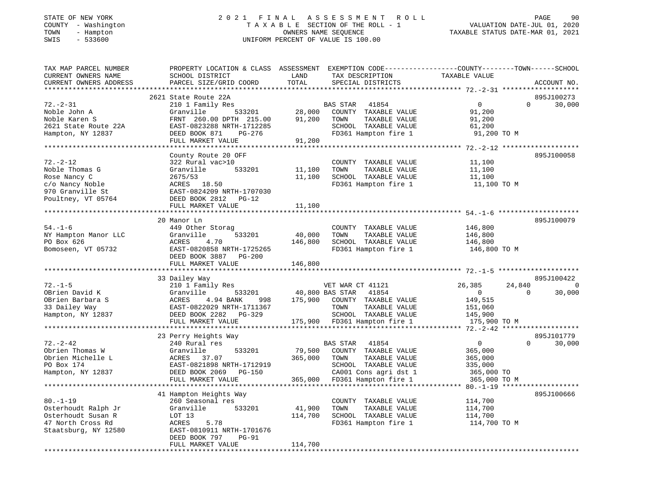# STATE OF NEW YORK 2 0 2 1 F I N A L A S S E S S M E N T R O L L PAGE 90COUNTY - Washington T A X A B L E SECTION OF THE ROLL - 1<br>
T A X A B L E SECTION OF THE ROLL - 1<br>
TOWN - Hampton DATES NAME SEQUENCE<br>
SWIS - 533600 SWIS - 533600 UNIFORM PERCENT OF VALUE IS 100.00

- سعدة السعودية VALUATION DATE-JUL 01, 2020<br>VALUATION DATE-JUL 01, 2020

| TAX MAP PARCEL NUMBER<br>CURRENT OWNERS NAME                                                             | PROPERTY LOCATION & CLASS ASSESSMENT EXEMPTION CODE---------------COUNTY-------TOWN------SCHOOL<br>SCHOOL DISTRICT                                                                        | LAND                                  | TAX DESCRIPTION                                                                                                                             | TAXABLE VALUE                                                                                |                                   |
|----------------------------------------------------------------------------------------------------------|-------------------------------------------------------------------------------------------------------------------------------------------------------------------------------------------|---------------------------------------|---------------------------------------------------------------------------------------------------------------------------------------------|----------------------------------------------------------------------------------------------|-----------------------------------|
| CURRENT OWNERS ADDRESS                                                                                   | PARCEL SIZE/GRID COORD                                                                                                                                                                    | TOTAL                                 | SPECIAL DISTRICTS                                                                                                                           |                                                                                              | ACCOUNT NO.                       |
|                                                                                                          | 2621 State Route 22A                                                                                                                                                                      |                                       |                                                                                                                                             |                                                                                              | 895J100273                        |
| $72. - 2 - 31$<br>Noble John A<br>Noble Karen S<br>2621 State Route 22A<br>Hampton, NY 12837             | 210 1 Family Res<br>Granville<br>533201<br>FRNT 260.00 DPTH 215.00<br>EAST-0823288 NRTH-1712285<br>DEED BOOK 871<br>$PG-276$                                                              | 28,000<br>91,200                      | BAS STAR<br>41854<br>COUNTY TAXABLE VALUE<br>TAXABLE VALUE<br>TOWN<br>SCHOOL TAXABLE VALUE<br>FD361 Hampton fire 1                          | $\overline{0}$<br>91,200<br>91,200<br>61,200<br>91,200 TO M                                  | $\Omega$<br>30,000                |
|                                                                                                          | FULL MARKET VALUE<br>*****************************                                                                                                                                        | 91,200                                |                                                                                                                                             |                                                                                              |                                   |
| $72. - 2 - 12$<br>Noble Thomas G<br>Rose Nancy C<br>c/o Nancy Noble<br>970 Granville St                  | County Route 20 OFF<br>322 Rural vac>10<br>Granville<br>533201<br>2675/53<br>ACRES 18.50<br>EAST-0824209 NRTH-1707030                                                                     | 11,100<br>11,100                      | COUNTY TAXABLE VALUE<br>TAXABLE VALUE<br>TOWN<br>SCHOOL TAXABLE VALUE<br>FD361 Hampton fire 1                                               | ***************** 72.-2-12 ********************<br>11,100<br>11,100<br>11,100<br>11,100 TO M | 895J100058                        |
| Poultney, VT 05764                                                                                       | DEED BOOK 2812<br>$PG-12$<br>FULL MARKET VALUE                                                                                                                                            | 11,100                                |                                                                                                                                             |                                                                                              |                                   |
|                                                                                                          | 20 Manor Ln                                                                                                                                                                               |                                       |                                                                                                                                             |                                                                                              | 895J100079                        |
| $54. - 1 - 6$<br>NY Hampton Manor LLC<br>PO Box 626<br>Bomoseen, VT 05732                                | 449 Other Storag<br>Granville<br>533201<br>ACRES<br>4.70<br>EAST-0820858 NRTH-1725265<br>DEED BOOK 3887<br><b>PG-200</b>                                                                  | 40,000<br>146,800                     | COUNTY TAXABLE VALUE<br>TAXABLE VALUE<br>TOWN<br>SCHOOL TAXABLE VALUE<br>FD361 Hampton fire 1                                               | 146,800<br>146,800<br>146,800<br>146,800 TO M                                                |                                   |
|                                                                                                          | FULL MARKET VALUE                                                                                                                                                                         | 146,800                               |                                                                                                                                             |                                                                                              |                                   |
|                                                                                                          | 33 Dailey Way                                                                                                                                                                             |                                       |                                                                                                                                             |                                                                                              | 895J100422                        |
| $72. - 1 - 5$<br>OBrien David K<br>OBrien Barbara S<br>33 Dailey Way<br>Hampton, NY 12837                | 210 1 Family Res<br>Granville<br>533201<br>ACRES<br>4.94 BANK<br>998<br>EAST-0822029 NRTH-1711367<br>DEED BOOK 2282<br>$PG-329$<br>FULL MARKET VALUE                                      | 40,800 BAS STAR<br>175,900<br>175,900 | VET WAR CT 41121<br>41854<br>COUNTY TAXABLE VALUE<br>TAXABLE VALUE<br>TOWN<br>SCHOOL TAXABLE VALUE<br>FD361 Hampton fire 1                  | 26,385<br>$\overline{0}$<br>149,515<br>151,060<br>145,900<br>175,900 TO M                    | 24,840<br>0<br>30,000<br>$\Omega$ |
|                                                                                                          |                                                                                                                                                                                           |                                       |                                                                                                                                             |                                                                                              |                                   |
| $72. - 2 - 42$<br>Obrien Thomas W<br>Obrien Michelle L<br>PO Box 174<br>Hampton, NY 12837                | 23 Perry Heights Way<br>240 Rural res<br>Granville<br>533201<br>ACRES<br>37.07<br>EAST-0821898 NRTH-1712919<br>DEED BOOK 2069<br>$PG-150$<br>FULL MARKET VALUE<br>*********************** | 79,500<br>365,000<br>365,000          | BAS STAR<br>41854<br>COUNTY TAXABLE VALUE<br>TAXABLE VALUE<br>TOWN<br>SCHOOL TAXABLE VALUE<br>CA001 Cons agri dst 1<br>FD361 Hampton fire 1 | $\mathbf 0$<br>365,000<br>365,000<br>335,000<br>365,000 TO<br>365,000 TO M                   | 895J101779<br>$\Omega$<br>30,000  |
|                                                                                                          | 41 Hampton Heights Way                                                                                                                                                                    |                                       |                                                                                                                                             |                                                                                              | 895J100666                        |
| $80. - 1 - 19$<br>Osterhoudt Ralph Jr<br>Osterhoudt Susan R<br>47 North Cross Rd<br>Staatsburg, NY 12580 | 260 Seasonal res<br>Granville<br>533201<br>LOT 13<br>5.78<br>ACRES<br>EAST-0810911 NRTH-1701676<br>DEED BOOK 797<br>$PG-91$                                                               | 41,900<br>114,700                     | COUNTY TAXABLE VALUE<br>TOWN<br>TAXABLE VALUE<br>SCHOOL TAXABLE VALUE<br>FD361 Hampton fire 1                                               | 114,700<br>114,700<br>114,700<br>114,700 TO M                                                |                                   |
|                                                                                                          | FULL MARKET VALUE                                                                                                                                                                         | 114,700                               |                                                                                                                                             |                                                                                              |                                   |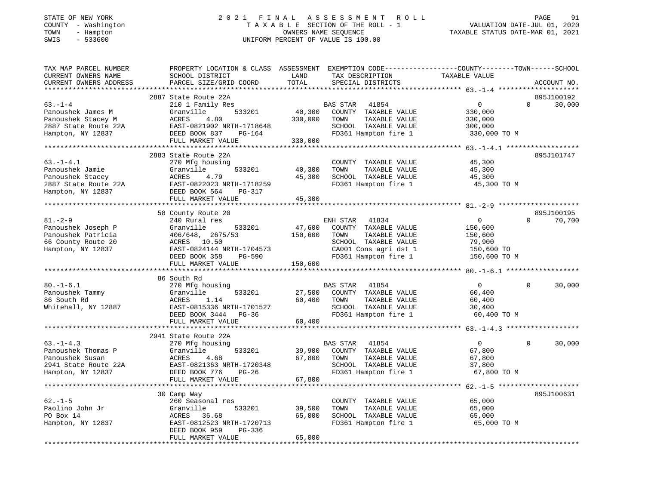# STATE OF NEW YORK 2 0 2 1 F I N A L A S S E S S M E N T R O L L PAGE 91COUNTY - Washington T A X A B L E SECTION OF THE ROLL - 1<br>
TOWN - Hampton - WASHINGTON DATE-JUL 000<br>
SWIS - 533600<br>
SWIS - 533600 SWIS - 533600 UNIFORM PERCENT OF VALUE IS 100.00

| TAX MAP PARCEL NUMBER<br>CURRENT OWNERS NAME<br>CURRENT OWNERS ADDRESS | PROPERTY LOCATION & CLASS ASSESSMENT<br>SCHOOL DISTRICT<br>PARCEL SIZE/GRID COORD | LAND<br>TOTAL | EXEMPTION CODE-----------------COUNTY-------TOWN------SCHOOL<br>TAX DESCRIPTION<br>SPECIAL DISTRICTS | TAXABLE VALUE  |          | ACCOUNT NO. |
|------------------------------------------------------------------------|-----------------------------------------------------------------------------------|---------------|------------------------------------------------------------------------------------------------------|----------------|----------|-------------|
| *************************                                              |                                                                                   |               |                                                                                                      |                |          |             |
|                                                                        | 2887 State Route 22A                                                              |               |                                                                                                      |                |          | 895J100192  |
| $63 - 1 - 4$                                                           | 210 1 Family Res                                                                  |               | 41854<br>BAS STAR                                                                                    | $\circ$        | $\Omega$ | 30,000      |
| Panoushek James M                                                      | 533201<br>Granville                                                               | 40,300        | COUNTY TAXABLE VALUE                                                                                 | 330,000        |          |             |
| Panoushek Stacey M                                                     | ACRES<br>4.80                                                                     | 330,000       | TAXABLE VALUE<br>TOWN                                                                                | 330,000        |          |             |
| 2887 State Route 22A                                                   | EAST-0821902 NRTH-1718648                                                         |               | SCHOOL TAXABLE VALUE                                                                                 | 300,000        |          |             |
| Hampton, NY 12837                                                      | DEED BOOK 837<br>PG-164                                                           |               | FD361 Hampton fire 1                                                                                 | 330,000 TO M   |          |             |
|                                                                        | FULL MARKET VALUE                                                                 | 330,000       |                                                                                                      |                |          |             |
|                                                                        | ********************************                                                  |               |                                                                                                      |                |          |             |
|                                                                        | 2883 State Route 22A                                                              |               |                                                                                                      |                |          | 895J101747  |
| $63. - 1 - 4.1$                                                        | 270 Mfg housing                                                                   |               | COUNTY TAXABLE VALUE                                                                                 | 45,300         |          |             |
| Panoushek Jamie                                                        | Granville<br>533201                                                               | 40,300        | TOWN<br>TAXABLE VALUE                                                                                | 45,300         |          |             |
| Panoushek Stacey                                                       | 4.79<br>ACRES                                                                     | 45,300        | SCHOOL TAXABLE VALUE                                                                                 | 45,300         |          |             |
| 2887 State Route 22A                                                   | EAST-0822023 NRTH-1718259                                                         |               | FD361 Hampton fire 1                                                                                 | 45,300 TO M    |          |             |
| Hampton, NY 12837                                                      | DEED BOOK 564<br>PG-317                                                           |               |                                                                                                      |                |          |             |
|                                                                        | FULL MARKET VALUE                                                                 | 45,300        |                                                                                                      |                |          |             |
|                                                                        |                                                                                   |               |                                                                                                      |                |          |             |
|                                                                        | 58 County Route 20                                                                |               |                                                                                                      |                |          | 895J100195  |
| $81 - 2 - 9$                                                           | 240 Rural res                                                                     |               | ENH STAR<br>41834                                                                                    | $\overline{0}$ | $\Omega$ | 70,700      |
| Panoushek Joseph P                                                     | Granville<br>533201                                                               | 47,600        | COUNTY TAXABLE VALUE                                                                                 | 150,600        |          |             |
| Panoushek Patricia                                                     | 406/648, 2675/53                                                                  | 150,600       | TOWN<br>TAXABLE VALUE                                                                                | 150,600        |          |             |
| 66 County Route 20                                                     | ACRES 10.50                                                                       |               | SCHOOL TAXABLE VALUE                                                                                 | 79,900         |          |             |
| Hampton, NY 12837                                                      | EAST-0824144 NRTH-1704573                                                         |               | CA001 Cons agri dst 1                                                                                | 150,600 TO     |          |             |
|                                                                        | DEED BOOK 358<br>$PG-590$                                                         |               | FD361 Hampton fire 1                                                                                 | 150,600 TO M   |          |             |
|                                                                        | FULL MARKET VALUE                                                                 | 150,600       |                                                                                                      |                |          |             |
|                                                                        |                                                                                   |               |                                                                                                      |                |          |             |
|                                                                        | 86 South Rd                                                                       |               |                                                                                                      |                |          |             |
| $80. - 1 - 6.1$                                                        | 270 Mfg housing                                                                   |               | 41854<br>BAS STAR                                                                                    | $\overline{0}$ | $\Omega$ | 30,000      |
| Panoushek Tammy                                                        | 533201<br>Granville                                                               | 27,500        | COUNTY TAXABLE VALUE                                                                                 | 60,400         |          |             |
| 86 South Rd                                                            | ACRES<br>1.14                                                                     | 60,400        | TOWN<br>TAXABLE VALUE                                                                                | 60,400         |          |             |
| Whitehall, NY 12887                                                    | EAST-0815336 NRTH-1701527                                                         |               | SCHOOL TAXABLE VALUE                                                                                 | 30,400         |          |             |
|                                                                        | DEED BOOK 3444 PG-36                                                              |               | FD361 Hampton fire 1                                                                                 | 60,400 TO M    |          |             |
|                                                                        | FULL MARKET VALUE                                                                 | 60,400        |                                                                                                      |                |          |             |
|                                                                        |                                                                                   |               |                                                                                                      |                |          |             |
|                                                                        | 2941 State Route 22A                                                              |               |                                                                                                      |                |          |             |
| $63. - 1 - 4.3$                                                        | 270 Mfg housing                                                                   |               | BAS STAR<br>41854                                                                                    | $\Omega$       | $\Omega$ | 30,000      |
| Panoushek Thomas P                                                     | Granville<br>533201                                                               | 39,900        | COUNTY TAXABLE VALUE                                                                                 | 67,800         |          |             |
| Panoushek Susan                                                        | ACRES<br>4.68                                                                     | 67,800        | TOWN<br>TAXABLE VALUE                                                                                | 67,800         |          |             |
| 2941 State Route 22A                                                   | EAST-0821363 NRTH-1720348                                                         |               | SCHOOL TAXABLE VALUE                                                                                 | 37,800         |          |             |
| Hampton, NY 12837                                                      | DEED BOOK 776<br>$PG-26$                                                          |               | FD361 Hampton fire 1                                                                                 | 67,800 TO M    |          |             |
|                                                                        | FULL MARKET VALUE                                                                 | 67,800        |                                                                                                      |                |          |             |
|                                                                        |                                                                                   |               |                                                                                                      |                |          |             |
|                                                                        | 30 Camp Way                                                                       |               |                                                                                                      |                |          | 895J100631  |
| $62. - 1 - 5$                                                          | 260 Seasonal res                                                                  |               | COUNTY TAXABLE VALUE                                                                                 | 65,000         |          |             |
| Paolino John Jr                                                        | 533201<br>Granville                                                               | 39,500        | TOWN<br>TAXABLE VALUE                                                                                | 65,000         |          |             |
| PO Box 14                                                              | ACRES<br>36.68                                                                    | 65,000        | SCHOOL TAXABLE VALUE                                                                                 | 65,000         |          |             |
| Hampton, NY 12837                                                      | EAST-0812523 NRTH-1720713                                                         |               | FD361 Hampton fire 1                                                                                 | 65,000 TO M    |          |             |
|                                                                        | DEED BOOK 959<br>$PG-336$                                                         |               |                                                                                                      |                |          |             |
|                                                                        | FULL MARKET VALUE                                                                 | 65,000        |                                                                                                      |                |          |             |
|                                                                        |                                                                                   |               |                                                                                                      |                |          |             |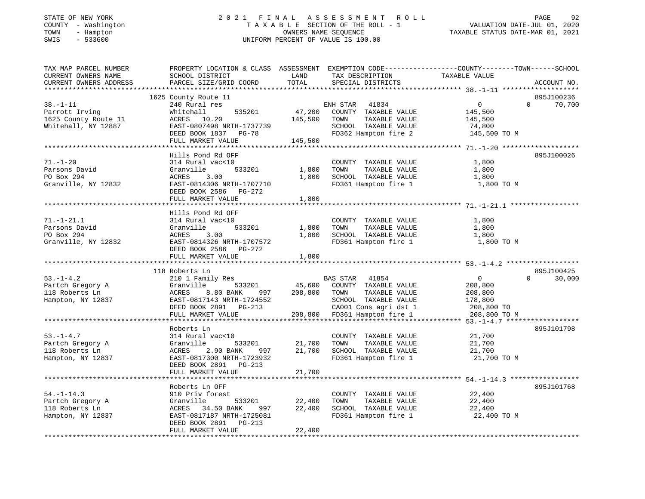#### STATE OF NEW YORK 2 0 2 1 F I N A L A S S E S S M E N T R O L L PAGE 92 COUNTY - Washington T A X A B L E SECTION OF THE ROLL - 1 VALUATION DATE-JUL 01, 2020 TOWN - Hampton OWNERS NAME SEQUENCE TAXABLE STATUS DATE-MAR 01, 2021 SWIS - 533600 UNIFORM PERCENT OF VALUE IS 100.00UNIFORM PERCENT OF VALUE IS 100.00

| TAX MAP PARCEL NUMBER       | PROPERTY LOCATION & CLASS ASSESSMENT EXEMPTION CODE---------------COUNTY-------TOWN------SCHOOL |            |                                          |                                                                  |                    |
|-----------------------------|-------------------------------------------------------------------------------------------------|------------|------------------------------------------|------------------------------------------------------------------|--------------------|
| CURRENT OWNERS NAME         | SCHOOL DISTRICT                                                                                 | LAND       | TAX DESCRIPTION                          | TAXABLE VALUE                                                    |                    |
| CURRENT OWNERS ADDRESS      | PARCEL SIZE/GRID COORD                                                                          | TOTAL      | SPECIAL DISTRICTS                        |                                                                  | ACCOUNT NO.        |
|                             |                                                                                                 |            |                                          |                                                                  |                    |
|                             | 1625 County Route 11                                                                            |            |                                          |                                                                  | 895J100236         |
| $38. - 1 - 11$              | 240 Rural res                                                                                   |            | ENH STAR 41834                           | $\overline{0}$                                                   | $\Omega$<br>70,700 |
| Parrott Irving              | 535201<br>Whitehall                                                                             | 47,200     | COUNTY TAXABLE VALUE                     | 145,500                                                          |                    |
| 1625 County Route 11        | ACRES 10.20                                                                                     | 145,500    | TOWN<br>TAXABLE VALUE                    | 145,500                                                          |                    |
| Whitehall, NY 12887         | EAST-0807498 NRTH-1737739                                                                       |            | SCHOOL TAXABLE VALUE                     | 74,800                                                           |                    |
|                             | DEED BOOK 1837 PG-78                                                                            |            | FD362 Hampton fire 2                     | 145,500 TO M                                                     |                    |
|                             | FULL MARKET VALUE<br>********************                                                       | 145,500    |                                          |                                                                  |                    |
|                             |                                                                                                 |            |                                          | ************* 71.-1-20 *****************                         |                    |
|                             | Hills Pond Rd OFF                                                                               |            |                                          |                                                                  | 895J100026         |
| $71. - 1 - 20$              | 314 Rural vac<10                                                                                |            | COUNTY TAXABLE VALUE                     | 1,800                                                            |                    |
| Parsons David<br>PO Box 294 | Granville<br>533201                                                                             | 1,800      | TOWN<br>TAXABLE VALUE                    | 1,800                                                            |                    |
|                             | ACRES<br>3.00                                                                                   | 1,800      | SCHOOL TAXABLE VALUE                     | 1,800                                                            |                    |
| Granville, NY 12832         | EAST-0814306 NRTH-1707710                                                                       |            | FD361 Hampton fire 1                     | 1,800 TO M                                                       |                    |
|                             | DEED BOOK 2586<br>PG-272<br>FULL MARKET VALUE                                                   | 1,800      |                                          |                                                                  |                    |
|                             | **********************                                                                          |            |                                          |                                                                  |                    |
|                             | Hills Pond Rd OFF                                                                               |            |                                          |                                                                  |                    |
| $71. - 1 - 21.1$            | 314 Rural vac<10                                                                                |            | COUNTY TAXABLE VALUE                     | 1,800                                                            |                    |
| Parsons David               | Granville<br>533201                                                                             | 1,800      | TAXABLE VALUE<br>TOWN                    | 1,800                                                            |                    |
| PO Box 294                  | ACRES<br>3.00                                                                                   | 1,800      | SCHOOL TAXABLE VALUE                     | 1,800                                                            |                    |
| Granville, NY 12832         | EAST-0814326 NRTH-1707572                                                                       |            | FD361 Hampton fire 1                     | 1,800 TO M                                                       |                    |
|                             | DEED BOOK 2586 PG-272                                                                           |            |                                          |                                                                  |                    |
|                             | FULL MARKET VALUE                                                                               | 1,800      |                                          |                                                                  |                    |
|                             |                                                                                                 |            | ****************************** 53.-1-4.2 |                                                                  |                    |
|                             | 118 Roberts Ln                                                                                  |            |                                          |                                                                  | 895J100425         |
| $53. - 1 - 4.2$             | 210 1 Family Res                                                                                |            | BAS STAR<br>41854                        | $\overline{0}$                                                   | $\Omega$<br>30,000 |
| Partch Gregory A            | Granville<br>533201                                                                             | 45,600     | COUNTY TAXABLE VALUE                     | 208,800                                                          |                    |
| 118 Roberts Ln              | ACRES<br>8.80 BANK<br>997                                                                       | 208,800    | TOWN<br>TAXABLE VALUE                    | 208,800                                                          |                    |
| Hampton, NY 12837           | EAST-0817143 NRTH-1724552                                                                       |            | SCHOOL TAXABLE VALUE                     | 178,800                                                          |                    |
|                             | DEED BOOK 2891 PG-213                                                                           |            | CA001 Cons agri dst 1                    | 208,800 TO                                                       |                    |
|                             | FULL MARKET VALUE                                                                               | 208,800    | FD361 Hampton fire 1                     | 208,800 TO M                                                     |                    |
|                             | ************************                                                                        |            |                                          | $53. -1 - 4.7$ *******************                               |                    |
|                             | Roberts Ln                                                                                      |            |                                          |                                                                  | 895J101798         |
| $53. - 1 - 4.7$             | 314 Rural vac<10                                                                                |            | COUNTY TAXABLE VALUE                     | 21,700                                                           |                    |
| Partch Gregory A            | Granville<br>533201                                                                             | 21,700     | TAXABLE VALUE<br>TOWN                    | 21,700                                                           |                    |
| 118 Roberts Ln              | ACRES<br>2.90 BANK<br>997                                                                       | 21,700     | SCHOOL TAXABLE VALUE                     | 21,700                                                           |                    |
| Hampton, NY 12837           | EAST-0817300 NRTH-1723932                                                                       |            | FD361 Hampton fire 1                     | 21,700 TO M                                                      |                    |
|                             | DEED BOOK 2891 PG-213                                                                           |            |                                          |                                                                  |                    |
|                             | FULL MARKET VALUE                                                                               | 21,700     |                                          |                                                                  |                    |
|                             | **********************                                                                          | ********** |                                          | ********************************** 54.-1-14.3 ****************** |                    |
|                             | Roberts Ln OFF                                                                                  |            |                                          |                                                                  | 895J101768         |
| $54. - 1 - 14.3$            | 910 Priv forest                                                                                 |            | COUNTY TAXABLE VALUE                     | 22,400                                                           |                    |
| Partch Gregory A            | Granville<br>533201                                                                             | 22,400     | TAXABLE VALUE<br>TOWN                    | 22,400                                                           |                    |
| 118 Roberts Ln              | ACRES 34.50 BANK<br>997                                                                         | 22,400     | SCHOOL TAXABLE VALUE                     | 22,400                                                           |                    |
| Hampton, NY 12837           | EAST-0817187 NRTH-1725081                                                                       |            | FD361 Hampton fire 1                     | 22,400 TO M                                                      |                    |
|                             | DEED BOOK 2891<br>$PG-213$                                                                      |            |                                          |                                                                  |                    |
|                             | FULL MARKET VALUE                                                                               | 22,400     |                                          |                                                                  |                    |
|                             |                                                                                                 |            |                                          |                                                                  |                    |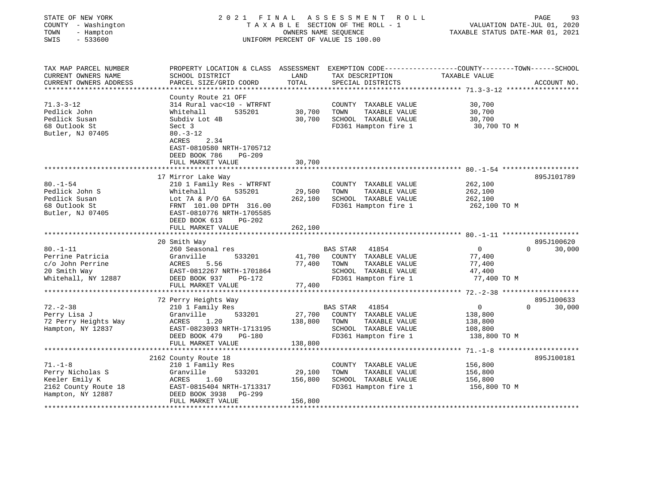| STATE OF NEW YORK<br>COUNTY - Washington<br>TOWN<br>- Hampton<br>$-533600$<br>SWIS | 2021 FINAL                                                  | OWNERS NAME SEQUENCE | A S S E S S M E N T<br>ROLL<br>TAXABLE SECTION OF THE ROLL - 1<br>UNIFORM PERCENT OF VALUE IS 100.00 | VALUATION DATE-JUL 01, 2020<br>TAXABLE STATUS DATE-MAR 01, 2021 | PAGE<br>93         |
|------------------------------------------------------------------------------------|-------------------------------------------------------------|----------------------|------------------------------------------------------------------------------------------------------|-----------------------------------------------------------------|--------------------|
| TAX MAP PARCEL NUMBER                                                              | PROPERTY LOCATION & CLASS ASSESSMENT                        |                      | EXEMPTION CODE-----------------COUNTY-------TOWN------SCHOOL                                         |                                                                 |                    |
| CURRENT OWNERS NAME                                                                | SCHOOL DISTRICT                                             | LAND                 | TAX DESCRIPTION                                                                                      | TAXABLE VALUE                                                   |                    |
| CURRENT OWNERS ADDRESS<br>******************                                       | PARCEL SIZE/GRID COORD                                      | TOTAL                | SPECIAL DISTRICTS                                                                                    |                                                                 | ACCOUNT NO.        |
|                                                                                    | County Route 21 OFF                                         |                      |                                                                                                      |                                                                 |                    |
| $71.3 - 3 - 12$                                                                    | 314 Rural vac<10 - WTRFNT                                   |                      | COUNTY TAXABLE VALUE                                                                                 | 30,700                                                          |                    |
| Pedlick John                                                                       | 535201<br>Whitehall                                         | 30,700               | TOWN<br>TAXABLE VALUE                                                                                | 30,700                                                          |                    |
| Pedlick Susan                                                                      | Subdiv Lot 4B                                               | 30,700               | SCHOOL TAXABLE VALUE                                                                                 | 30,700                                                          |                    |
| 68 Outlook St                                                                      | Sect 3                                                      |                      | FD361 Hampton fire 1                                                                                 | 30,700 TO M                                                     |                    |
| Butler, NJ 07405                                                                   | $80. -3 - 12$<br>ACRES<br>2.34<br>EAST-0810580 NRTH-1705712 |                      |                                                                                                      |                                                                 |                    |
|                                                                                    | DEED BOOK 786<br><b>PG-209</b><br>FULL MARKET VALUE         | 30,700               |                                                                                                      |                                                                 |                    |
|                                                                                    |                                                             | **************       |                                                                                                      |                                                                 |                    |
|                                                                                    | 17 Mirror Lake Way                                          |                      |                                                                                                      |                                                                 | 895J101789         |
| $80. - 1 - 54$                                                                     | 210 1 Family Res - WTRFNT                                   |                      | COUNTY TAXABLE VALUE                                                                                 | 262,100                                                         |                    |
| Pedlick John S                                                                     | Whitehall<br>535201                                         | 29,500               | TOWN<br>TAXABLE VALUE                                                                                | 262,100                                                         |                    |
| Pedlick Susan                                                                      | Lot $7A & P/O$ 6A                                           | 262,100              | SCHOOL TAXABLE VALUE                                                                                 | 262,100                                                         |                    |
| 68 Outlook St                                                                      | FRNT 101.00 DPTH 316.00<br>EAST-0810776 NRTH-1705585        |                      | FD361 Hampton fire 1                                                                                 | 262,100 TO M                                                    |                    |
| Butler, NJ 07405                                                                   | DEED BOOK 613<br>$PG-202$                                   |                      |                                                                                                      |                                                                 |                    |
|                                                                                    | FULL MARKET VALUE                                           | 262,100              |                                                                                                      |                                                                 |                    |
|                                                                                    |                                                             |                      |                                                                                                      |                                                                 |                    |
|                                                                                    | 20 Smith Way                                                |                      |                                                                                                      |                                                                 | 895J100620         |
| $80. - 1 - 11$                                                                     | 260 Seasonal res                                            |                      | BAS STAR<br>41854                                                                                    | $\overline{0}$                                                  | 30,000<br>$\Omega$ |
| Perrine Patricia                                                                   | Granville<br>533201                                         | 41,700               | COUNTY TAXABLE VALUE                                                                                 | 77,400                                                          |                    |
| c/o John Perrine<br>20 Smith Way                                                   | ACRES<br>5.56<br>EAST-0812267 NRTH-1701864                  | 77,400               | TOWN<br>TAXABLE VALUE<br>SCHOOL TAXABLE VALUE                                                        | 77,400<br>47,400                                                |                    |
| Whitehall, NY 12887                                                                | DEED BOOK 937<br>PG-172                                     |                      | FD361 Hampton fire 1                                                                                 | 77,400 TO M                                                     |                    |
|                                                                                    | FULL MARKET VALUE                                           | 77,400               |                                                                                                      |                                                                 |                    |
|                                                                                    | **********************                                      |                      | ***********************                                                                              | ************ 72.-2-38 ********************                      |                    |
|                                                                                    | 72 Perry Heights Way                                        |                      |                                                                                                      |                                                                 | 895J100633         |
| $72. - 2 - 38$                                                                     | 210 1 Family Res                                            |                      | BAS STAR<br>41854                                                                                    | $\overline{0}$                                                  | 30,000<br>$\Omega$ |
| Perry Lisa J<br>72 Perry Heights Way                                               | Granville<br>533201<br>ACRES<br>1.20                        | 27,700<br>138,800    | COUNTY TAXABLE VALUE<br>TOWN<br>TAXABLE VALUE                                                        | 138,800                                                         |                    |
| Hampton, NY 12837                                                                  | EAST-0823093 NRTH-1713195                                   |                      | SCHOOL TAXABLE VALUE                                                                                 | 138,800<br>108,800                                              |                    |
|                                                                                    | DEED BOOK 479<br><b>PG-180</b>                              |                      | FD361 Hampton fire 1                                                                                 | 138,800 TO M                                                    |                    |
|                                                                                    | FULL MARKET VALUE                                           | 138,800              |                                                                                                      |                                                                 |                    |
|                                                                                    | ******************************                              |                      |                                                                                                      |                                                                 |                    |
|                                                                                    | 2162 County Route 18                                        |                      |                                                                                                      |                                                                 | 895J100181         |
| $71. - 1 - 8$                                                                      | 210 1 Family Res                                            |                      | COUNTY TAXABLE VALUE                                                                                 | 156,800                                                         |                    |
| Perry Nicholas S                                                                   | 533201<br>Granville                                         | 29,100               | TOWN<br>TAXABLE VALUE                                                                                | 156,800                                                         |                    |
| Keeler Emily K<br>2162 County Route 18                                             | ACRES<br>1.60<br>EAST-0815404 NRTH-1713317                  | 156,800              | SCHOOL TAXABLE VALUE<br>FD361 Hampton fire 1                                                         | 156,800<br>156,800 TO M                                         |                    |
| Hampton, NY 12887                                                                  | DEED BOOK 3938<br>PG-299                                    |                      |                                                                                                      |                                                                 |                    |
|                                                                                    | FULL MARKET VALUE                                           | 156,800              |                                                                                                      |                                                                 |                    |
|                                                                                    |                                                             |                      |                                                                                                      |                                                                 |                    |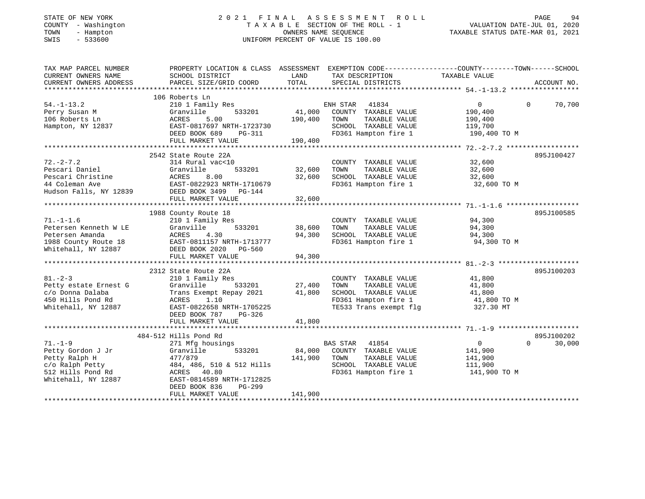#### STATE OF NEW YORK 2 0 2 1 F I N A L A S S E S S M E N T R O L L PAGE 94 COUNTY - Washington T A X A B L E SECTION OF THE ROLL - 1 VALUATION DATE-JUL 01, 2020 TOWN - Hampton OWNERS NAME SEQUENCE TAXABLE STATUS DATE-MAR 01, 2021 SWIS - 533600 UNIFORM PERCENT OF VALUE IS 100.00UNIFORM PERCENT OF VALUE IS 100.00

| TAX MAP PARCEL NUMBER<br>CURRENT OWNERS NAME<br>CURRENT OWNERS ADDRESS                                             | PROPERTY LOCATION & CLASS ASSESSMENT EXEMPTION CODE----------------COUNTY-------TOWN-----SCHOOL<br>SCHOOL DISTRICT<br>PARCEL SIZE/GRID COORD                                                                    | LAND<br>TOTAL                     | TAX DESCRIPTION<br>SPECIAL DISTRICTS                                                                                            | TAXABLE VALUE                                            | ACCOUNT NO.                      |
|--------------------------------------------------------------------------------------------------------------------|-----------------------------------------------------------------------------------------------------------------------------------------------------------------------------------------------------------------|-----------------------------------|---------------------------------------------------------------------------------------------------------------------------------|----------------------------------------------------------|----------------------------------|
| $54. - 1 - 13.2$<br>Perry Susan M<br>106 Roberts Ln<br>Hampton, NY 12837                                           | 106 Roberts Ln<br>210 1 Family Res<br>533201<br>Granville<br>5.00<br>ACRES<br>EAST-0817697 NRTH-1723730<br>DEED BOOK 689<br>PG-311<br>FULL MARKET VALUE                                                         | 41,000<br>190,400<br>190,400      | ENH STAR 41834<br>COUNTY TAXABLE VALUE<br>TAXABLE VALUE<br>TOWN<br>SCHOOL TAXABLE VALUE<br>FD361 Hampton fire 1                 | $\circ$<br>190,400<br>190,400<br>119,700<br>190,400 TO M | 70,700<br>$\Omega$               |
| $72. - 2 - 7.2$<br>Pescari Daniel<br>Pescari Christine ACRES<br>44 Coleman Ave<br>Hudson Falls, NY 12839           | 2542 State Route 22A<br>314 Rural vac<10<br>Granville<br>533201<br>8.00<br>EAST-0822923 NRTH-1710679<br>DEED BOOK 3499 PG-144<br>FULL MARKET VALUE                                                              | 32,600<br>32,600<br>32,600        | COUNTY TAXABLE VALUE<br>TOWN<br>TAXABLE VALUE<br>SCHOOL TAXABLE VALUE<br>FD361 Hampton fire 1                                   | 32,600<br>32,600<br>32,600<br>32,600 TO M                | 895J100427                       |
| $71. - 1 - 1.6$<br>Petersen Kenneth W LE<br>Whitehall, NY 12887 DEED BOOK 2020 PG-560                              | 1988 County Route 18<br>210 1 Family Res<br>Granville<br>533201<br>FULL MARKET VALUE                                                                                                                            | 38,600<br>94,300<br>94,300        | COUNTY TAXABLE VALUE<br>TOWN<br>TAXABLE VALUE<br>SCHOOL TAXABLE VALUE 94,300<br>FD361 Hampton fire 1                            | 94,300<br>94,300<br>94,300 TO M                          | 895J100585                       |
| $81 - 2 - 3$<br>Petty estate Ernest G<br>c/o Donna Dalaba<br>450 Hills Pond Rd<br>Whitehall, NY 12887              | 2312 State Route 22A<br>210 1 Family Res<br>Granville<br>Trans Exempt Repay 2021<br>ACRES<br>1.10<br>EAST-0822658 NRTH-1705225<br>DEED BOOK 787<br>PG-326<br>FULL MARKET VALUE                                  | 533201 27,400<br>41,800<br>41,800 | COUNTY TAXABLE VALUE<br>TAXABLE VALUE<br>TOWN<br>SCHOOL TAXABLE VALUE<br>FD361 Hampton fire 1<br>TE533 Trans exempt flg         | 41,800<br>41,800<br>41,800<br>41,800 TO M<br>327.30 MT   | 895J100203                       |
| $71. - 1 - 9$<br>Petty Gordon J Jr<br>Petty Ralph H<br>c/o Ralph Petty<br>512 Hills Pond Rd<br>Whitehall, NY 12887 | 484-512 Hills Pond Rd<br>271 Mfg housings<br>Granville<br>533201<br>477/879<br>477/879<br>484, 486, 510 & 512 Hills<br>ACRES 40.80<br>EAST-0814589 NRTH-1712825<br>DEED BOOK 836<br>PG-299<br>FULL MARKET VALUE | 84,000<br>141,900<br>141,900      | BAS STAR<br>41854<br>COUNTY TAXABLE VALUE<br>TAXABLE VALUE<br>TOWN<br>SCHOOL TAXABLE VALUE<br>FD361 Hampton fire 1 141,900 TO M | $\overline{0}$<br>141,900<br>141,900<br>111,900          | 895J100202<br>$\Omega$<br>30,000 |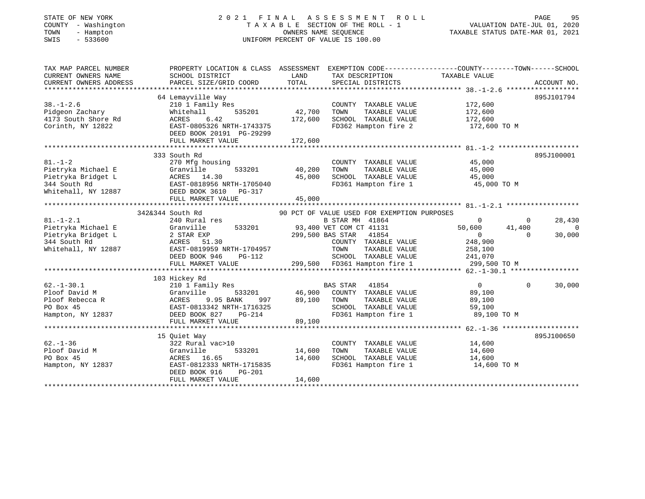| STATE OF NEW YORK<br>- Washington<br>COUNTY<br>- Hampton<br>TOWN<br>$-533600$<br>SWIS |                                                                        |                             | 2021 FINAL ASSESSMENT ROLL<br>TAXABLE SECTION OF THE ROLL - 1<br>OWNERS NAME SEOUENCE<br>UNIFORM PERCENT OF VALUE IS 100.00 |               | 95<br>PAGE<br>VALUATION DATE-JUL 01, 2020<br>TAXABLE STATUS DATE-MAR 01, 2021 |
|---------------------------------------------------------------------------------------|------------------------------------------------------------------------|-----------------------------|-----------------------------------------------------------------------------------------------------------------------------|---------------|-------------------------------------------------------------------------------|
| TAX MAP PARCEL NUMBER<br>CURRENT OWNERS NAME<br>CURRENT OWNERS ADDRESS                | PROPERTY LOCATION & CLASS<br>SCHOOL DISTRICT<br>PARCEL SIZE/GRID COORD | ASSESSMENT<br>LAND<br>TOTAL | EXEMPTION CODE-----------------COUNTY-------TOWN------SCHOOI<br>TAX DESCRIPTION<br>SPECIAL DISTRICTS                        | TAXABLE VALUE | ACCOUNT NO.                                                                   |

| PAGE                        | 95   |
|-----------------------------|------|
| VALUATION DATE-JUL 01, 2020 |      |
| ----------                  | ---- |

| TAX MAP PARCEL NUMBER  |                              |         |                                             | PROPERTY LOCATION & CLASS ASSESSMENT EXEMPTION CODE---------------COUNTY-------TOWN------SCHOOL |                |
|------------------------|------------------------------|---------|---------------------------------------------|-------------------------------------------------------------------------------------------------|----------------|
| CURRENT OWNERS NAME    | SCHOOL DISTRICT              | LAND    | TAX DESCRIPTION                             | TAXABLE VALUE                                                                                   |                |
| CURRENT OWNERS ADDRESS | PARCEL SIZE/GRID COORD       | TOTAL   | SPECIAL DISTRICTS                           |                                                                                                 | ACCOUNT NO.    |
|                        |                              |         |                                             |                                                                                                 |                |
|                        | 64 Lemayville Way            |         |                                             |                                                                                                 | 895J101794     |
| $38. - 1 - 2.6$        | 210 1 Family Res             |         | COUNTY TAXABLE VALUE                        | 172,600                                                                                         |                |
| Pidgeon Zachary        | 535201<br>Whitehall          | 42,700  | TOWN<br>TAXABLE VALUE                       | 172,600                                                                                         |                |
| 4173 South Shore Rd    | ACRES 6.42                   | 172,600 | SCHOOL TAXABLE VALUE                        | 172,600                                                                                         |                |
| Corinth, NY 12822      | EAST-0805326 NRTH-1743375    |         | FD362 Hampton fire 2                        | 172,600 TO M                                                                                    |                |
|                        | DEED BOOK 20191 PG-29299     |         |                                             |                                                                                                 |                |
|                        | FULL MARKET VALUE            | 172,600 |                                             |                                                                                                 |                |
|                        |                              |         |                                             |                                                                                                 |                |
|                        | 333 South Rd                 |         |                                             |                                                                                                 | 895J100001     |
| $81. - 1 - 2$          | 270 Mfg housing              |         | COUNTY TAXABLE VALUE                        | 45,000                                                                                          |                |
| Pietryka Michael E     | Granville<br>533201          | 40,200  | TOWN<br>TAXABLE VALUE                       | 45,000                                                                                          |                |
| Pietryka Bridget L     | ACRES 14.30                  | 45,000  | SCHOOL TAXABLE VALUE                        | 45,000                                                                                          |                |
| 344 South Rd           | EAST-0818956 NRTH-1705040    |         | FD361 Hampton fire 1                        | 45,000 TO M                                                                                     |                |
| Whitehall, NY 12887    | DEED BOOK 3610 PG-317        |         |                                             |                                                                                                 |                |
|                        | FULL MARKET VALUE            | 45,000  |                                             |                                                                                                 |                |
|                        |                              |         |                                             |                                                                                                 |                |
|                        | 342&344 South Rd             |         | 90 PCT OF VALUE USED FOR EXEMPTION PURPOSES |                                                                                                 |                |
| $81. - 1 - 2.1$        | 240 Rural res                |         | B STAR MH 41864                             | $\Omega$<br>$\overline{0}$                                                                      | 28,430         |
| Pietryka Michael E     | 533201<br>Granville          |         | 93,400 VET COM CT 41131                     | 50,600<br>41,400                                                                                | $\overline{0}$ |
| Pietryka Bridget L     |                              |         | 299,500 BAS STAR 41854                      | $\overline{0}$<br>$\Omega$                                                                      | 30,000         |
| 344 South Rd           | 2 STAR EAP<br>ACRES 51.30    |         | COUNTY TAXABLE VALUE                        | 248,900                                                                                         |                |
| Whitehall, NY 12887    | EAST-0819959 NRTH-1704957    |         | TOWN<br>TAXABLE VALUE                       | 258,100                                                                                         |                |
|                        | DEED BOOK 946<br>PG-112      |         | SCHOOL TAXABLE VALUE                        | 241,070                                                                                         |                |
|                        | FULL MARKET VALUE            |         | 299,500 FD361 Hampton fire 1                | 299,500 TO M                                                                                    |                |
|                        | **************************** |         |                                             |                                                                                                 |                |
|                        | 103 Hickey Rd                |         |                                             |                                                                                                 |                |
| $62. - 1 - 30.1$       | 210 1 Family Res             |         | BAS STAR 41854                              | $\overline{0}$<br>$\Omega$                                                                      | 30,000         |
| Ploof David M          | Granville<br>533201          | 46,900  | COUNTY TAXABLE VALUE                        | 89,100                                                                                          |                |
| Ploof Rebecca R        | ACRES 9.95 BANK<br>997       | 89,100  | TOWN<br>TAXABLE VALUE                       | 89,100                                                                                          |                |
| PO Box 45              | EAST-0813342 NRTH-1716325    |         | SCHOOL TAXABLE VALUE                        | 59,100                                                                                          |                |
| Hampton, NY 12837      | DEED BOOK 827<br>$PG-214$    |         | FD361 Hampton fire 1                        | 89,100 TO M                                                                                     |                |
|                        | FULL MARKET VALUE            | 89,100  |                                             |                                                                                                 |                |
|                        |                              |         |                                             |                                                                                                 |                |
|                        | 15 Quiet Way                 |         |                                             |                                                                                                 | 895J100650     |
| $62. - 1 - 36$         | 322 Rural vac>10             |         | COUNTY TAXABLE VALUE                        | 14,600                                                                                          |                |
| Ploof David M          | Granville<br>533201          | 14,600  | TOWN<br>TAXABLE VALUE                       | 14,600                                                                                          |                |
| PO Box 45              | ACRES 16.65                  | 14,600  | SCHOOL TAXABLE VALUE                        | 14,600                                                                                          |                |
| Hampton, NY 12837      | EAST-0812333 NRTH-1715835    |         | FD361 Hampton fire 1                        | 14,600 TO M                                                                                     |                |
|                        | DEED BOOK 916<br>$PG-201$    |         |                                             |                                                                                                 |                |
|                        | FULL MARKET VALUE            | 14,600  |                                             |                                                                                                 |                |
|                        |                              |         |                                             |                                                                                                 |                |
|                        |                              |         |                                             |                                                                                                 |                |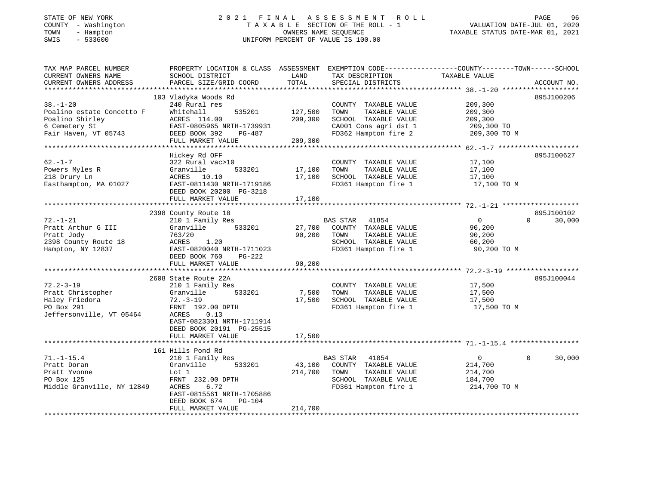## STATE OF NEW YORK 2 0 2 1 F I N A L A S S E S S M E N T R O L L PAGE 96 COUNTY - Washington T A X A B L E SECTION OF THE ROLL - 1 VALUATION DATE-JUL 01, 2020 TOWN - Hampton OWNERS NAME SEQUENCE TAXABLE STATUS DATE-MAR 01, 2021 SWIS - 533600 UNIFORM PERCENT OF VALUE IS 100.00

| TAX MAP PARCEL NUMBER<br>CURRENT OWNERS NAME<br>CURRENT OWNERS ADDRESS                                  | PROPERTY LOCATION & CLASS ASSESSMENT<br>SCHOOL DISTRICT<br>PARCEL SIZE/GRID COORD                                                                                         | LAND<br>TOTAL                 | TAX DESCRIPTION<br>SPECIAL DISTRICTS                                                                                   | EXEMPTION CODE-----------------COUNTY-------TOWN------SCHOOL<br>TAXABLE VALUE | ACCOUNT NO.        |
|---------------------------------------------------------------------------------------------------------|---------------------------------------------------------------------------------------------------------------------------------------------------------------------------|-------------------------------|------------------------------------------------------------------------------------------------------------------------|-------------------------------------------------------------------------------|--------------------|
| $38. - 1 - 20$<br>Poalino estate Concetto F<br>Poalino Shirley<br>6 Cemetery St<br>Fair Haven, VT 05743 | 103 Vladyka Woods Rd<br>240 Rural res<br>Whitehall<br>535201<br>ACRES 114.00<br>EAST-0805965 NRTH-1739931<br>DEED BOOK 392<br>PG-487<br>FULL MARKET VALUE                 | 127,500<br>209,300<br>209,300 | COUNTY TAXABLE VALUE<br>TOWN<br>TAXABLE VALUE<br>SCHOOL TAXABLE VALUE<br>CA001 Cons agri dst 1<br>FD362 Hampton fire 2 | 209,300<br>209,300<br>209,300<br>209,300 TO<br>209,300 TO M                   | 895J100206         |
| $62. - 1 - 7$<br>Powers Myles R<br>218 Drury Ln<br>Easthampton, MA 01027                                | Hickey Rd OFF<br>322 Rural vac>10<br>Granville<br>533201<br>ACRES 10.10<br>EAST-0811430 NRTH-1719186<br>DEED BOOK 20200 PG-3218<br>FULL MARKET VALUE                      | 17,100<br>17,100<br>17,100    | COUNTY TAXABLE VALUE<br>TOWN<br>TAXABLE VALUE<br>SCHOOL TAXABLE VALUE<br>FD361 Hampton fire 1                          | 17,100<br>17,100<br>17,100<br>17,100 TO M                                     | 895J100627         |
|                                                                                                         | 2398 County Route 18                                                                                                                                                      |                               |                                                                                                                        |                                                                               | 895J100102         |
| $72. - 1 - 21$<br>Pratt Arthur G III<br>Pratt Jody<br>2398 County Route 18<br>Hampton, NY 12837         | 210 1 Family Res<br>533201<br>Granville<br>763/20<br>ACRES<br>1.20<br>EAST-0820040 NRTH-1711023<br>DEED BOOK 760<br>PG-222<br>FULL MARKET VALUE                           | 27,700<br>90,200<br>90,200    | BAS STAR<br>41854<br>COUNTY TAXABLE VALUE<br>TAXABLE VALUE<br>TOWN<br>SCHOOL TAXABLE VALUE<br>FD361 Hampton fire 1     | $\Omega$<br>90,200<br>90,200<br>60,200<br>90,200 TO M                         | $\Omega$<br>30,000 |
|                                                                                                         |                                                                                                                                                                           |                               |                                                                                                                        |                                                                               |                    |
| $72.2 - 3 - 19$<br>Pratt Christopher<br>Haley Friedora<br>PO Box 291<br>Jeffersonville, VT 05464        | 2608 State Route 22A<br>210 1 Family Res<br>533201<br>Granville<br>72.-3-19<br>FRNT 192.00 DPTH<br>0.13<br>ACRES<br>EAST-0823301 NRTH-1711914<br>DEED BOOK 20191 PG-25515 | 7,500<br>17,500               | COUNTY TAXABLE VALUE<br>TAXABLE VALUE<br>TOWN<br>SCHOOL TAXABLE VALUE<br>FD361 Hampton fire 1                          | 17,500<br>17,500<br>17,500<br>17,500 TO M                                     | 895J100044         |
|                                                                                                         | FULL MARKET VALUE<br>******************************                                                                                                                       | 17,500<br>*************       |                                                                                                                        |                                                                               |                    |
|                                                                                                         | 161 Hills Pond Rd                                                                                                                                                         |                               |                                                                                                                        |                                                                               |                    |
| $71. - 1 - 15.4$<br>Pratt Doran<br>Pratt Yvonne<br>PO Box 125<br>Middle Granville, NY 12849             | 210 1 Family Res<br>533201<br>Granville<br>Lot 1<br>FRNT 232.00 DPTH<br>ACRES<br>6.72<br>EAST-0815561 NRTH-1705886<br>DEED BOOK 674<br>$PG-104$                           | 43,100<br>214,700             | BAS STAR<br>41854<br>COUNTY TAXABLE VALUE<br>TAXABLE VALUE<br>TOWN<br>SCHOOL TAXABLE VALUE<br>FD361 Hampton fire 1     | $\overline{0}$<br>214,700<br>214,700<br>184,700<br>214,700 TO M               | 30,000<br>$\Omega$ |
|                                                                                                         | FULL MARKET VALUE                                                                                                                                                         | 214,700                       |                                                                                                                        |                                                                               |                    |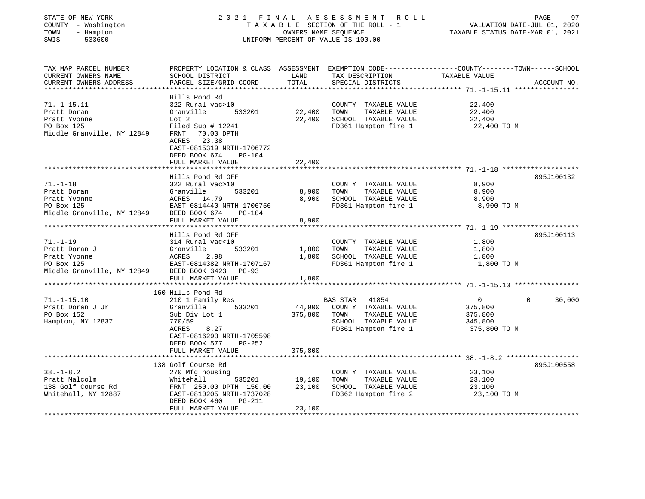| STATE OF NEW YORK<br>COUNTY - Washington<br>TOWN<br>- Hampton<br>SWIS<br>$-533600$                             | 2021 FINAL ASSESSMENT ROLL<br>TAXABLE SECTION OF THE ROLL - 1<br>UNIFORM PERCENT OF VALUE IS 100.00                                                                                      | PAGE<br>رو<br>2020 ,WALUATION DATE-JUL<br>2021, TAXABLE STATUS DATE-MAR |                                                                                                                    |                                                               |                    |
|----------------------------------------------------------------------------------------------------------------|------------------------------------------------------------------------------------------------------------------------------------------------------------------------------------------|-------------------------------------------------------------------------|--------------------------------------------------------------------------------------------------------------------|---------------------------------------------------------------|--------------------|
| TAX MAP PARCEL NUMBER                                                                                          | PROPERTY LOCATION & CLASS ASSESSMENT EXEMPTION CODE---------------COUNTY-------TOWN------SCHOOL                                                                                          |                                                                         |                                                                                                                    |                                                               |                    |
| CURRENT OWNERS NAME<br>CURRENT OWNERS ADDRESS                                                                  | SCHOOL DISTRICT<br>PARCEL SIZE/GRID COORD TOTAL                                                                                                                                          | LAND                                                                    | TAX DESCRIPTION TAXABLE VALUE<br>SPECIAL DISTRICTS                                                                 |                                                               | ACCOUNT NO.        |
|                                                                                                                |                                                                                                                                                                                          |                                                                         |                                                                                                                    |                                                               |                    |
| $71. - 1 - 15.11$<br>Pratt Doran<br>Pratt Yvonne<br>PO Box 125<br>Middle Granville, NY 12849                   | Hills Pond Rd<br>322 Rural vac>10<br>Granville<br>Lot 2<br>Filed Sub # 12241<br>FRNT 70.00 DPTH<br>ACRES 23.38<br>EAST-0815319 NRTH-1706772<br>DEED BOOK 674 PG-104                      | 533201 22,400 TOWN                                                      | COUNTY TAXABLE VALUE<br>22,400 SCHOOL TAXABLE VALUE<br>FD361 Hampton fire 1                                        | 22,400<br>TAXABLE VALUE 22,400<br>22,400<br>22,400 TO M       |                    |
|                                                                                                                | FULL MARKET VALUE                                                                                                                                                                        | 22,400                                                                  |                                                                                                                    |                                                               |                    |
|                                                                                                                | Hills Pond Rd OFF                                                                                                                                                                        |                                                                         |                                                                                                                    |                                                               | 895J100132         |
| $71. - 1 - 18$<br>Pratt Doran<br>Pratt Yvonne<br>PO Box 125<br>Middle Granville, NY 12849 DEED BOOK 674 PG-104 | 322 Rural vac>10<br>533201<br>Granville<br>ACRES 14.79<br>EAST-0814440 NRTH-1706756<br>FULL MARKET VALUE                                                                                 | 8,900 TOWN<br>8,900                                                     | COUNTY TAXABLE VALUE<br>TAXABLE VALUE<br>8,900 SCHOOL TAXABLE VALUE<br>FD361 Hampton fire 1 8,900 TO M             | 8,900<br>8,900<br>8,900                                       |                    |
|                                                                                                                |                                                                                                                                                                                          |                                                                         |                                                                                                                    |                                                               |                    |
| $71. - 1 - 19$<br>Pratt Doran J                                                                                | Hills Pond Rd OFF<br>314 Rural vac<10<br>533201<br>Granville<br>Pratt Yvonne<br>Pratt Yvonne<br>Po Box 125<br>Middle Granville, NY 12849<br>DEED BOOK 3423<br>PG-93<br>FULL MARKET VALUE | 1,800                                                                   | COUNTY TAXABLE VALUE 1,800<br>1,800 TOWN TAXABLE VALUE<br>1,800 SCHOOL TAXABLE VALUE 1,800<br>FD361 Hampton fire 1 | 1,800<br>1,800 TO M                                           | 895J100113         |
|                                                                                                                | 160 Hills Pond Rd                                                                                                                                                                        |                                                                         |                                                                                                                    |                                                               |                    |
| $71. - 1 - 15.10$<br>Pratt Doran J Jr<br>PO Box 152<br>Hampton, NY 12837                                       | 210 1 Family Res<br>Granville<br>533201<br>Sub Div Lot 1<br>770/59<br>ACRES<br>8.27<br>EAST-0816293 NRTH-1705598<br>DEED BOOK 577<br>PG-252<br>FULL MARKET VALUE                         | 375,800 TOWN<br>375,800                                                 | BAS STAR 41854<br>44,900 COUNTY TAXABLE VALUE<br>SCHOOL TAXABLE VALUE<br>FD361 Hampton fire 1 375,800 TO M         | $\overline{0}$<br>375,800<br>TAXABLE VALUE 375,800<br>345,800 | $\Omega$<br>30,000 |

\*\*\*\*\*\*\*\*\*\*\*\*\*\*\*\*\*\*\*\*\*\*\*\*\*\*\*\*\*\*\*\*\*\*\*\*\*\*\*\*\*\*\*\*\*\*\*\*\*\*\*\*\*\*\*\*\*\*\*\*\*\*\*\*\*\*\*\*\*\*\*\*\*\*\*\*\*\*\*\*\*\*\*\*\*\*\*\*\*\*\*\*\*\*\*\*\*\*\*\*\*\*\* 38.-1-8.2 \*\*\*\*\*\*\*\*\*\*\*\*\*\*\*\*\*\* 138 Golf Course Rd 895J10055838.-1-8.2 270 Mfg housing COUNTY TAXABLE VALUE 23,100 Pratt Malcolm Whitehall 535201 19,100 TOWN TAXABLE VALUE 23,100 138 Golf Course Rd FRNT 250.00 DPTH 150.00 23,100 SCHOOL TAXABLE VALUE 23,100 Whitehall, NY 12887 **EAST-0810205 NRTH-1737028** FD362 Hampton fire 2 23,100 TO M DEED BOOK 460 PG-211FULL MARKET VALUE 23,100

895J100558

\*\*\*\*\*\*\*\*\*\*\*\*\*\*\*\*\*\*\*\*\*\*\*\*\*\*\*\*\*\*\*\*\*\*\*\*\*\*\*\*\*\*\*\*\*\*\*\*\*\*\*\*\*\*\*\*\*\*\*\*\*\*\*\*\*\*\*\*\*\*\*\*\*\*\*\*\*\*\*\*\*\*\*\*\*\*\*\*\*\*\*\*\*\*\*\*\*\*\*\*\*\*\*\*\*\*\*\*\*\*\*\*\*\*\*\*\*\*\*\*\*\*\*\*\*\*\*\*\*\*\*\*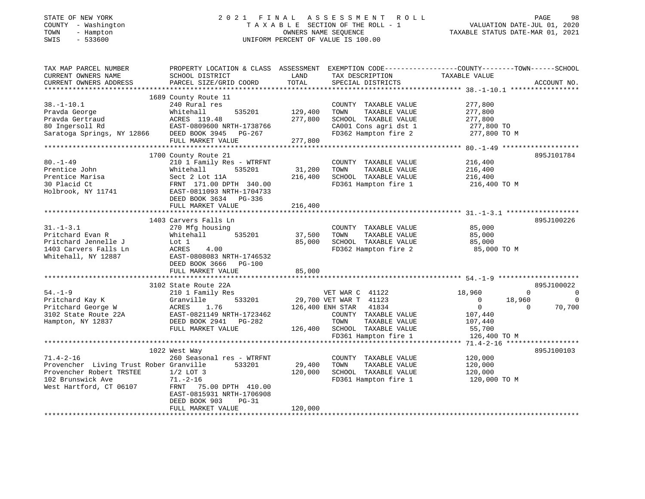# STATE OF NEW YORK 2 0 2 1 F I N A L A S S E S S M E N T R O L L PAGE 98COUNTY - Washington T A X A B L E SECTION OF THE ROLL - 1<br>
T A X A B L E SECTION OF THE ROLL - 1<br>
TOWN - Hampton DATES NAME SEQUENCE<br>
SWIS - 533600 SWIS - 533600 UNIFORM PERCENT OF VALUE IS 100.00

VALUATION DATE-JUL 01, 2020

| TAX MAP PARCEL NUMBER                   | PROPERTY LOCATION & CLASS ASSESSMENT EXEMPTION CODE---------------COUNTY-------TOWN-----SCHOOL |                  |                        |                       |                                |
|-----------------------------------------|------------------------------------------------------------------------------------------------|------------------|------------------------|-----------------------|--------------------------------|
| CURRENT OWNERS NAME                     | SCHOOL DISTRICT                                                                                | LAND             | TAX DESCRIPTION        | TAXABLE VALUE         |                                |
| CURRENT OWNERS ADDRESS                  | PARCEL SIZE/GRID COORD                                                                         | TOTAL            | SPECIAL DISTRICTS      |                       | ACCOUNT NO.                    |
|                                         |                                                                                                |                  |                        |                       |                                |
|                                         | 1689 County Route 11                                                                           |                  |                        |                       |                                |
| $38. - 1 - 10.1$                        | 240 Rural res                                                                                  |                  | COUNTY TAXABLE VALUE   | 277,800               |                                |
| Pravda George                           | 535201<br>Whitehall                                                                            | 129,400          | TAXABLE VALUE<br>TOWN  | 277,800               |                                |
|                                         |                                                                                                |                  |                        |                       |                                |
| Pravda Gertraud                         | ACRES 119.48                                                                                   | 277,800          | SCHOOL TAXABLE VALUE   | 277,800               |                                |
| 80 Ingersoll Rd                         | EAST-0809600 NRTH-1738766                                                                      |                  | CA001 Cons agri dst 1  | 277,800 TO            |                                |
| Saratoga Springs, NY 12866              | DEED BOOK 3945 PG-267                                                                          |                  | FD362 Hampton fire 2   | 277,800 TO M          |                                |
|                                         | FULL MARKET VALUE                                                                              | 277,800          |                        |                       |                                |
|                                         |                                                                                                |                  |                        |                       |                                |
|                                         | 1700 County Route 21                                                                           |                  |                        |                       | 895J101784                     |
| $80. - 1 - 49$                          | 210 1 Family Res - WTRFNT                                                                      |                  | COUNTY TAXABLE VALUE   | 216,400               |                                |
| Prentice John                           | Whitehall<br>535201                                                                            | 31,200           | TAXABLE VALUE<br>TOWN  | 216,400               |                                |
| Prentice Marisa                         | Sect 2 Lot 11A                                                                                 | 216,400          | SCHOOL TAXABLE VALUE   | 216,400               |                                |
| 30 Placid Ct                            | FRNT 171.00 DPTH 340.00                                                                        |                  | FD361 Hampton fire 1   | 216,400 TO M          |                                |
|                                         |                                                                                                |                  |                        |                       |                                |
| Holbrook, NY 11741                      | EAST-0811093 NRTH-1704733                                                                      |                  |                        |                       |                                |
|                                         | DEED BOOK 3634 PG-336                                                                          |                  |                        |                       |                                |
|                                         | FULL MARKET VALUE                                                                              | 216,400          |                        |                       |                                |
|                                         |                                                                                                |                  |                        |                       |                                |
|                                         | 1403 Carvers Falls Ln                                                                          |                  |                        |                       | 895J100226                     |
| $31. - 1 - 3.1$                         | 270 Mfg housing                                                                                |                  | COUNTY TAXABLE VALUE   | 85,000                |                                |
| Pritchard Evan R                        | Whitehall<br>535201                                                                            | 37,500           | TOWN<br>TAXABLE VALUE  | 85,000                |                                |
| Pritchard Jennelle J                    | Lot 1                                                                                          | 85,000           | SCHOOL TAXABLE VALUE   | 85,000                |                                |
| 1403 Carvers Falls Ln                   | 4.00<br>ACRES                                                                                  |                  | FD362 Hampton fire 2   | 85,000 TO M           |                                |
| Whitehall, NY 12887                     | EAST-0808083 NRTH-1746532                                                                      |                  |                        |                       |                                |
|                                         | DEED BOOK 3666 PG-100                                                                          |                  |                        |                       |                                |
|                                         |                                                                                                |                  |                        |                       |                                |
|                                         | FULL MARKET VALUE                                                                              | 85,000           |                        |                       |                                |
|                                         |                                                                                                |                  |                        |                       |                                |
|                                         | 3102 State Route 22A                                                                           |                  |                        |                       | 895J100022                     |
| $54. - 1 - 9$                           | 210 1 Family Res                                                                               |                  | VET WAR C 41122        | 18,960                | $\mathbf{0}$<br>$\overline{0}$ |
| Pritchard Kay K                         | Granville<br>533201                                                                            |                  | 29,700 VET WAR T 41123 | 18,960<br>$\mathbf 0$ |                                |
| Pritchard George W                      | ACRES<br>1.76                                                                                  | 126,400 ENH STAR | 41834                  | $\overline{0}$        | 70,700<br>$\Omega$             |
| 3102 State Route 22A                    | EAST-0821149 NRTH-1723462                                                                      |                  | COUNTY TAXABLE VALUE   | 107,440               |                                |
| Hampton, NY 12837                       | DEED BOOK 2941 PG-282                                                                          |                  | TOWN<br>TAXABLE VALUE  | 107,440               |                                |
|                                         | FULL MARKET VALUE                                                                              | 126,400          | SCHOOL TAXABLE VALUE   | 55,700                |                                |
|                                         |                                                                                                |                  | FD361 Hampton fire 1   | 126,400 TO M          |                                |
|                                         |                                                                                                |                  |                        |                       |                                |
|                                         | 1022 West Way                                                                                  |                  |                        |                       | 895J100103                     |
|                                         |                                                                                                |                  |                        |                       |                                |
| $71.4 - 2 - 16$                         | 260 Seasonal res - WTRFNT                                                                      |                  | COUNTY TAXABLE VALUE   | 120,000               |                                |
| Provencher Living Trust Rober Granville | 533201                                                                                         | 29,400           | TOWN<br>TAXABLE VALUE  | 120,000               |                                |
| Provencher Robert TRSTEE                | $1/2$ LOT 3                                                                                    | 120,000          | SCHOOL TAXABLE VALUE   | 120,000               |                                |
| 102 Brunswick Ave                       | $71. - 2 - 16$                                                                                 |                  | FD361 Hampton fire 1   | 120,000 TO M          |                                |
| West Hartford, CT 06107                 | FRNT 75.00 DPTH 410.00                                                                         |                  |                        |                       |                                |
|                                         | EAST-0815931 NRTH-1706908                                                                      |                  |                        |                       |                                |
|                                         | $PG-31$<br>DEED BOOK 903                                                                       |                  |                        |                       |                                |
|                                         | FULL MARKET VALUE                                                                              | 120,000          |                        |                       |                                |
|                                         |                                                                                                |                  |                        |                       |                                |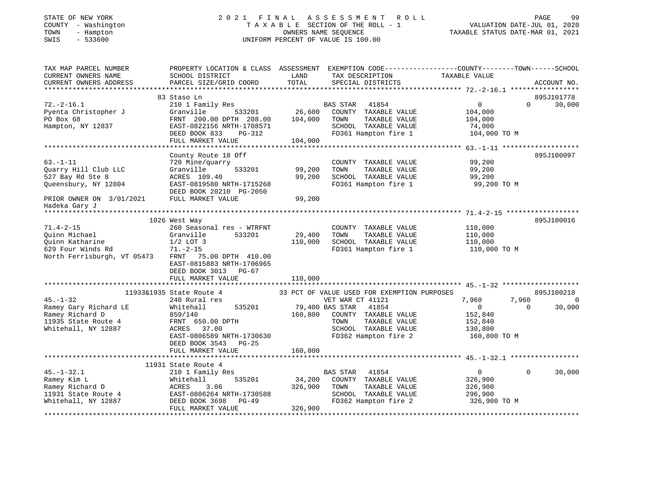# STATE OF NEW YORK 2 0 2 1 F I N A L A S S E S S M E N T R O L L PAGE 99COUNTY - Washington T A X A B L E SECTION OF THE ROLL - 1<br>
T A X A B L E SECTION OF THE ROLL - 1<br>
TOWN - Hampton DATES NAME SEQUENCE<br>
SWIS - 533600 SWIS - 533600 UNIFORM PERCENT OF VALUE IS 100.00

| TAX MAP PARCEL NUMBER<br>CURRENT OWNERS NAME<br>CURRENT OWNERS ADDRESS | SCHOOL DISTRICT<br>PARCEL SIZE/GRID COORD | LAND<br>TOTAL   | TAX DESCRIPTION<br>SPECIAL DISTRICTS        | PROPERTY LOCATION & CLASS ASSESSMENT EXEMPTION CODE---------------COUNTY-------TOWN-----SCHOOL<br>TAXABLE VALUE | ACCOUNT NO. |
|------------------------------------------------------------------------|-------------------------------------------|-----------------|---------------------------------------------|-----------------------------------------------------------------------------------------------------------------|-------------|
|                                                                        |                                           |                 |                                             |                                                                                                                 |             |
|                                                                        | 83 Staso Ln                               |                 |                                             |                                                                                                                 | 895J101778  |
| $72. - 2 - 16.1$                                                       | 210 1 Family Res                          |                 | BAS STAR<br>41854                           | $0 \qquad \qquad$<br>$\Omega$                                                                                   | 30,000      |
| Pyenta Christopher J                                                   | Granville                                 | 533201 26,600   | COUNTY TAXABLE VALUE                        | 104,000                                                                                                         |             |
| PO Box 68                                                              | FRNT 200.00 DPTH 208.00                   | 104,000         | TOWN<br>TAXABLE VALUE                       | 104,000                                                                                                         |             |
| Hampton, NY 12837                                                      | EAST-0822156 NRTH-1708571                 |                 | SCHOOL TAXABLE VALUE                        | 74,000                                                                                                          |             |
|                                                                        | DEED BOOK 833<br>PG-312                   |                 |                                             | FD361 Hampton fire 1 104,000 TO M                                                                               |             |
|                                                                        | FULL MARKET VALUE                         | 104,000         |                                             |                                                                                                                 |             |
|                                                                        |                                           |                 |                                             |                                                                                                                 |             |
|                                                                        | County Route 18 Off                       |                 |                                             |                                                                                                                 | 895J100097  |
| $63. - 1 - 11$                                                         | 720 Mine/quarry                           |                 | COUNTY TAXABLE VALUE                        | 99,200                                                                                                          |             |
| Quarry Hill Club LLC                                                   | 533201<br>Granville                       | 99,200          | TOWN<br>TAXABLE VALUE                       | 99,200                                                                                                          |             |
| 527 Bay Rd Ste 8                                                       | ACRES 109.40                              | 99,200          | SCHOOL TAXABLE VALUE                        | 99,200                                                                                                          |             |
| Queensbury, NY 12804                                                   | EAST-0819580 NRTH-1715268                 |                 | FD361 Hampton fire 1                        | 99,200 TO M                                                                                                     |             |
|                                                                        | DEED BOOK 20210 PG-2050                   |                 |                                             |                                                                                                                 |             |
| PRIOR OWNER ON 3/01/2021                                               | FULL MARKET VALUE                         | 99,200          |                                             |                                                                                                                 |             |
| Hadeka Gary J                                                          |                                           |                 |                                             |                                                                                                                 |             |
|                                                                        |                                           |                 |                                             |                                                                                                                 |             |
|                                                                        | 1026 West Way                             |                 |                                             |                                                                                                                 | 895J100016  |
| $71.4 - 2 - 15$                                                        | 260 Seasonal res - WTRFNT                 |                 | COUNTY TAXABLE VALUE                        | 110,000                                                                                                         |             |
| Quinn Michael                                                          | 533201<br>Granville                       | 29,400          | TOWN<br>TAXABLE VALUE                       | 110,000                                                                                                         |             |
| Ouinn Katharine                                                        | $1/2$ LOT 3                               | 110,000         | SCHOOL TAXABLE VALUE                        | 110,000                                                                                                         |             |
| 629 Four Winds Rd                                                      | 71.–2–15                                  |                 | FD361 Hampton fire 1                        | 110,000 TO M                                                                                                    |             |
| North Ferrisburgh, VT 05473                                            | FRNT 75.00 DPTH 410.00                    |                 |                                             |                                                                                                                 |             |
|                                                                        | EAST-0815883 NRTH-1706965                 |                 |                                             |                                                                                                                 |             |
|                                                                        | DEED BOOK 3013 PG-67                      |                 |                                             |                                                                                                                 |             |
|                                                                        | FULL MARKET VALUE                         | 110,000         |                                             |                                                                                                                 |             |
|                                                                        |                                           |                 |                                             |                                                                                                                 |             |
|                                                                        | 11933&1935 State Route 4                  |                 | 33 PCT OF VALUE USED FOR EXEMPTION PURPOSES |                                                                                                                 | 895J100218  |
| $45. - 1 - 32$                                                         | 240 Rural res                             |                 | VET WAR CT 41121                            | 7,960<br>7,960                                                                                                  | $\Omega$    |
| Ramey Gary Richard LE                                                  | 535201<br>Whitehall                       | 79,400 BAS STAR | 41854                                       | $\overline{0}$<br>$\overline{0}$                                                                                | 30,000      |
| Ramey Richard D                                                        | 859/140                                   | 160,800         | COUNTY TAXABLE VALUE                        | 152,840                                                                                                         |             |
| 11935 State Route 4                                                    | FRNT 650.00 DPTH                          |                 | TAXABLE VALUE<br>TOWN                       | 152,840                                                                                                         |             |
| Whitehall, NY 12887                                                    | ACRES 37.00                               |                 | SCHOOL TAXABLE VALUE                        | 130,800                                                                                                         |             |
|                                                                        | EAST-0806589 NRTH-1730630                 |                 | FD362 Hampton fire 2                        | 160,800 TO M                                                                                                    |             |
|                                                                        | DEED BOOK 3543 PG-25                      |                 |                                             |                                                                                                                 |             |
|                                                                        | FULL MARKET VALUE                         | 160,800         |                                             |                                                                                                                 |             |
|                                                                        |                                           |                 |                                             |                                                                                                                 |             |
|                                                                        | 11931 State Route 4                       |                 |                                             |                                                                                                                 |             |
| $45. - 1 - 32.1$                                                       | 210 1 Family Res                          |                 | <b>BAS STAR</b><br>41854                    | $\Omega$<br>$\overline{0}$                                                                                      | 30,000      |
| Ramey Kim L                                                            | Whitehall<br>535201                       | 34,200          | COUNTY TAXABLE VALUE                        | 326,900                                                                                                         |             |
| Ramey Richard D                                                        | ACRES<br>3.06                             | 326,900         | TOWN<br>TAXABLE VALUE                       | 326,900                                                                                                         |             |
| 11931 State Route 4<br>Whitehall, NY 12887                             | EAST-0806264 NRTH-1730588                 |                 | SCHOOL TAXABLE VALUE                        | 296,900                                                                                                         |             |
| Whitehall, NY 12887                                                    | DEED BOOK 3698 PG-49                      |                 | FD362 Hampton fire 2                        | 326,900 TO M                                                                                                    |             |
|                                                                        | FULL MARKET VALUE                         | 326,900         |                                             |                                                                                                                 |             |
|                                                                        |                                           |                 |                                             |                                                                                                                 |             |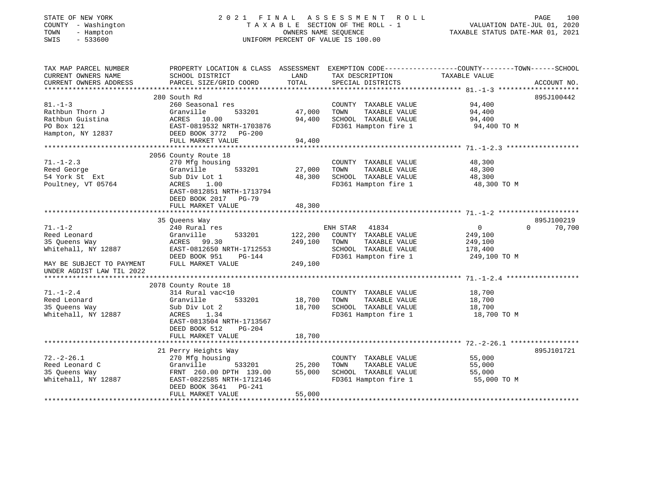## STATE OF NEW YORK 2 0 2 1 F I N A L A S S E S S M E N T R O L L PAGE 100 COUNTY - Washington T A X A B L E SECTION OF THE ROLL - 1 VALUATION DATE-JUL 01, 2020 TOWN - Hampton OWNERS NAME SEQUENCE TAXABLE STATUS DATE-MAR 01, 2021 SWIS - 533600 UNIFORM PERCENT OF VALUE IS 100.00UNIFORM PERCENT OF VALUE IS 100.00

| TAX MAP PARCEL NUMBER     |                                                    |         |                       | PROPERTY LOCATION & CLASS ASSESSMENT EXEMPTION CODE---------------COUNTY-------TOWN------SCHOOL |             |
|---------------------------|----------------------------------------------------|---------|-----------------------|-------------------------------------------------------------------------------------------------|-------------|
| CURRENT OWNERS NAME       | SCHOOL DISTRICT                                    | LAND    | TAX DESCRIPTION       | TAXABLE VALUE                                                                                   |             |
| CURRENT OWNERS ADDRESS    | PARCEL SIZE/GRID COORD                             | TOTAL   | SPECIAL DISTRICTS     |                                                                                                 | ACCOUNT NO. |
|                           |                                                    |         |                       |                                                                                                 |             |
|                           | 280 South Rd                                       |         |                       |                                                                                                 | 895J100442  |
| $81. - 1 - 3$             | 260 Seasonal res                                   |         | COUNTY TAXABLE VALUE  | 94,400                                                                                          |             |
| Rathbun Thorn J           | Granville<br>533201                                | 47,000  | TAXABLE VALUE<br>TOWN | 94,400                                                                                          |             |
| Rathbun Guistina          | ACRES 10.00                                        | 94,400  | SCHOOL TAXABLE VALUE  | 94,400                                                                                          |             |
| PO Box 121                | EAST-0819532 NRTH-1703876                          |         | FD361 Hampton fire 1  | 94,400 TO M                                                                                     |             |
| Hampton, NY 12837         | DEED BOOK 3772 PG-200                              |         |                       |                                                                                                 |             |
|                           | FULL MARKET VALUE                                  | 94,400  |                       |                                                                                                 |             |
|                           |                                                    |         |                       |                                                                                                 |             |
|                           | 2056 County Route 18                               |         |                       |                                                                                                 |             |
| $71. - 1 - 2.3$           | 270 Mfg housing                                    |         | COUNTY TAXABLE VALUE  | 48,300                                                                                          |             |
| Reed George               | 533201<br>Granville                                | 27,000  | TOWN<br>TAXABLE VALUE | 48,300                                                                                          |             |
| 54 York St Ext            | Sub Div Lot 1                                      | 48,300  | SCHOOL TAXABLE VALUE  | 48,300                                                                                          |             |
| Poultney, VT 05764        | ACRES<br>1.00                                      |         | FD361 Hampton fire 1  | 48,300 TO M                                                                                     |             |
|                           | EAST-0812851 NRTH-1713794                          |         |                       |                                                                                                 |             |
|                           | DEED BOOK 2017 PG-79                               |         |                       |                                                                                                 |             |
|                           | FULL MARKET VALUE                                  | 48,300  |                       |                                                                                                 |             |
|                           |                                                    |         |                       |                                                                                                 |             |
|                           | 35 Oueens Way                                      |         |                       |                                                                                                 | 895J100219  |
| $71. - 1 - 2$             | 240 Rural res                                      |         | ENH STAR 41834        | $\overline{0}$<br>$\Omega$                                                                      | 70,700      |
| Reed Leonard              | Granville<br>533201                                | 122,200 | COUNTY TAXABLE VALUE  | 249,100                                                                                         |             |
|                           | ACRES 99.30                                        | 249,100 | TAXABLE VALUE<br>TOWN |                                                                                                 |             |
| 35 Oueens Way             |                                                    |         |                       | 249,100                                                                                         |             |
| Whitehall, NY 12887       | EAST-0812650 NRTH-1712553                          |         | SCHOOL TAXABLE VALUE  | 178,400                                                                                         |             |
|                           | DEED BOOK 951<br>PG-144                            |         | FD361 Hampton fire 1  | 249,100 TO M                                                                                    |             |
| MAY BE SUBJECT TO PAYMENT | FULL MARKET VALUE                                  | 249,100 |                       |                                                                                                 |             |
| UNDER AGDIST LAW TIL 2022 |                                                    |         |                       |                                                                                                 |             |
|                           |                                                    |         |                       |                                                                                                 |             |
|                           | 2078 County Route 18                               |         |                       |                                                                                                 |             |
| $71. - 1 - 2.4$           | 314 Rural vac<10                                   |         | COUNTY TAXABLE VALUE  | 18,700                                                                                          |             |
| Reed Leonard              | Granville<br>533201                                | 18,700  | TAXABLE VALUE<br>TOWN | 18,700                                                                                          |             |
| 35 Queens Way             | Sub Div Lot 2                                      | 18,700  | SCHOOL TAXABLE VALUE  | 18,700                                                                                          |             |
| Whitehall, NY 12887       | ACRES<br>1.34                                      |         | FD361 Hampton fire 1  | 18,700 TO M                                                                                     |             |
|                           | EAST-0813504 NRTH-1713567                          |         |                       |                                                                                                 |             |
|                           | DEED BOOK 512<br>$PG-204$                          |         |                       |                                                                                                 |             |
|                           | FULL MARKET VALUE                                  | 18,700  |                       |                                                                                                 |             |
|                           |                                                    |         |                       |                                                                                                 |             |
|                           | 21 Perry Heights Way                               |         |                       |                                                                                                 | 895J101721  |
| $72. - 2 - 26.1$          | 270 Mfg housing                                    |         | COUNTY TAXABLE VALUE  | 55,000                                                                                          |             |
| Reed Leonard C            | Granville<br>533201                                | 25,200  | TAXABLE VALUE<br>TOWN | 55,000                                                                                          |             |
| 35 Oueens Way             | FRNT 260.00 DPTH 139.00                            | 55,000  | SCHOOL TAXABLE VALUE  | 55,000                                                                                          |             |
|                           |                                                    |         | FD361 Hampton fire 1  |                                                                                                 |             |
| Whitehall, NY 12887       | EAST-0822585 NRTH-1712146<br>DEED BOOK 3641 PG-241 |         |                       | 55,000 TO M                                                                                     |             |
|                           |                                                    |         |                       |                                                                                                 |             |
|                           | FULL MARKET VALUE                                  | 55,000  |                       |                                                                                                 |             |
|                           |                                                    |         |                       |                                                                                                 |             |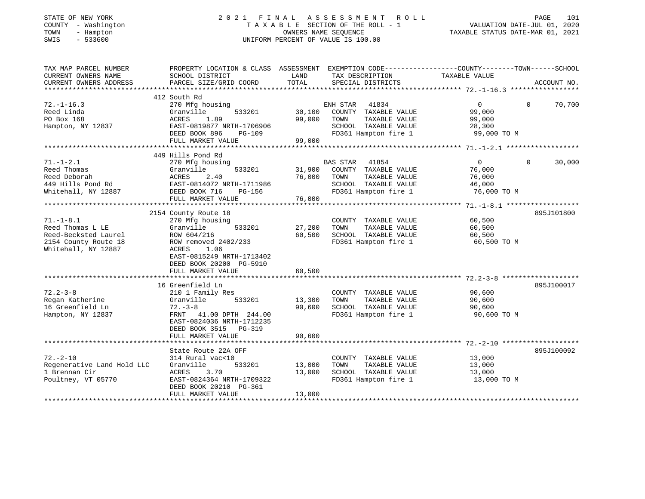| STATE OF NEW YORK<br>COUNTY<br>- Washington<br>TOWN<br>- Hampton<br>$-533600$<br>SWIS |                                                                                                |        | 2021 FINAL ASSESSMENT ROLL<br>U FINAL ASSESSMENT ROLL<br>TAXABLE SECTION OF THE ROLL - 1 VALUATION DATE-JUL 01, 2020<br>OWNERS NAME SEQUENCE TAXABLE STATUS DATE-MAR 01, 2021<br>UNIFORM PERCENT OF VALUE IS 100.00 |                   | PAGE           | 101    |
|---------------------------------------------------------------------------------------|------------------------------------------------------------------------------------------------|--------|---------------------------------------------------------------------------------------------------------------------------------------------------------------------------------------------------------------------|-------------------|----------------|--------|
| TAX MAP PARCEL NUMBER                                                                 | PROPERTY LOCATION & CLASS ASSESSMENT EXEMPTION CODE---------------COUNTY-------TOWN-----SCHOOL |        |                                                                                                                                                                                                                     |                   |                |        |
| CURRENT OWNERS NAME<br>CURRENT OWNERS ADDRESS                                         | SCHOOL DISTRICT<br><b>EXAMPLE TO A LAND</b><br>PARCEL SIZE/GRID COORD                          | TOTAL  | TAX DESCRIPTION TAXABLE VALUE<br>SPECIAL DISTRICTS                                                                                                                                                                  |                   | ACCOUNT NO.    |        |
|                                                                                       |                                                                                                |        |                                                                                                                                                                                                                     |                   |                |        |
|                                                                                       | 412 South Rd                                                                                   |        |                                                                                                                                                                                                                     |                   |                |        |
| $72. - 1 - 16.3$                                                                      | 270 Mfg housing                                                                                |        | ENH STAR 41834 0<br>30,100 COUNTY TAXABLE VALUE 99,000                                                                                                                                                              |                   | $\Omega$       | 70,700 |
| Reed Linda                                                                            | 533201<br>Granville                                                                            |        |                                                                                                                                                                                                                     |                   |                |        |
| PO Box 168                                                                            | ACRES 1.89                                                                                     | 99,000 | TOWN<br>TAXABLE VALUE 99,000                                                                                                                                                                                        |                   |                |        |
| Hampton, NY 12837                                                                     | EAST-0819877 NRTH-1706906                                                                      |        | SCHOOL TAXABLE VALUE 28,300                                                                                                                                                                                         |                   |                |        |
|                                                                                       | DEED BOOK 896<br>PG-109                                                                        |        | FD361 Hampton fire 1 99,000 TO M                                                                                                                                                                                    |                   |                |        |
|                                                                                       | FULL MARKET VALUE                                                                              | 99,000 |                                                                                                                                                                                                                     |                   |                |        |
|                                                                                       | 449 Hills Pond Rd                                                                              |        |                                                                                                                                                                                                                     |                   |                |        |
| $71. - 1 - 2.1$                                                                       | 270 Mfg housing                                                                                |        | BAS STAR 41854                                                                                                                                                                                                      | $0 \qquad \qquad$ | $\overline{0}$ | 30,000 |
| Reed Thomas                                                                           | 533201<br>Granville                                                                            |        | 31,900 COUNTY TAXABLE VALUE                                                                                                                                                                                         | 76,000            |                |        |
| Reed Deborah                                                                          | 2.40<br>ACRES                                                                                  | 76,000 | TOWN<br>TAXABLE VALUE                                                                                                                                                                                               | 76,000            |                |        |
| 449 Hills Pond Rd EAST-0814072 NRTH-1711986                                           |                                                                                                |        | SCHOOL TAXABLE VALUE 46,000                                                                                                                                                                                         |                   |                |        |
| Whitehall, NY 12887                                                                   | DEED BOOK 716<br>PG-156                                                                        |        | FD361 Hampton fire 1 76,000 TO M                                                                                                                                                                                    |                   |                |        |
|                                                                                       |                                                                                                |        |                                                                                                                                                                                                                     |                   |                |        |
|                                                                                       | 2154 County Route 18                                                                           |        |                                                                                                                                                                                                                     |                   | 895J101800     |        |
| $71. - 1 - 8.1$                                                                       | 270 Mfg housing                                                                                |        | COUNTY TAXABLE VALUE 60,500                                                                                                                                                                                         |                   |                |        |
| Reed Thomas L LE                                                                      | 533201<br>Granville                                                                            | 27,200 | TOWN<br>TAXABLE VALUE                                                                                                                                                                                               | 60,500            |                |        |
| Reed-Becksted Laurel                                                                  | ROW 604/216                                                                                    | 60,500 | SCHOOL TAXABLE VALUE                                                                                                                                                                                                | 60,500            |                |        |
| 2154 County Route 18                                                                  | ROW removed 2402/233                                                                           |        | FD361 Hampton fire 1 60,500 TO M                                                                                                                                                                                    |                   |                |        |
| Whitehall, NY 12887                                                                   | ACRES<br>1.06                                                                                  |        |                                                                                                                                                                                                                     |                   |                |        |
|                                                                                       | EAST-0815249 NRTH-1713402                                                                      |        |                                                                                                                                                                                                                     |                   |                |        |
|                                                                                       | DEED BOOK 20200 PG-5910                                                                        |        |                                                                                                                                                                                                                     |                   |                |        |
|                                                                                       | FULL MARKET VALUE                                                                              | 60,500 |                                                                                                                                                                                                                     |                   |                |        |

|                            | 16 Greenfield Ln                                                             |        |                         |             | 895J100017 |
|----------------------------|------------------------------------------------------------------------------|--------|-------------------------|-------------|------------|
| $72.2 - 3 - 8$             | 210 1 Family Res                                                             |        | COUNTY<br>TAXABLE VALUE | 90,600      |            |
| Regan Katherine            | 533201<br>Granville                                                          | 13,300 | TAXABLE VALUE<br>TOWN   | 90,600      |            |
| 16 Greenfield Ln           | $72 - 3 - 8$                                                                 | 90,600 | SCHOOL TAXABLE VALUE    | 90,600      |            |
| Hampton, NY 12837          | FRNT 41.00 DPTH 244.00<br>EAST-0824036 NRTH-1712235<br>DEED BOOK 3515 PG-319 |        | FD361 Hampton fire 1    | 90,600 TO M |            |
|                            | FULL MARKET VALUE                                                            | 90,600 |                         |             |            |
|                            |                                                                              |        |                         |             |            |
|                            | State Route 22A OFF                                                          |        |                         |             | 895J100092 |
| $72. - 2 - 10$             | 314 Rural vac<10                                                             |        | COUNTY<br>TAXABLE VALUE | 13,000      |            |
| Regenerative Land Hold LLC | 533201<br>Granville                                                          | 13,000 | TOWN<br>TAXABLE VALUE   | 13,000      |            |
| 1 Brennan Cir              | ACRES 3.70                                                                   | 13,000 | SCHOOL<br>TAXABLE VALUE | 13,000      |            |
| Poultney, VT 05770         | EAST-0824364 NRTH-1709322<br>DEED BOOK 20210 PG-361                          |        | FD361 Hampton fire 1    | 13,000 TO M |            |
|                            | FULL MARKET VALUE                                                            | 13,000 |                         |             |            |
|                            |                                                                              |        |                         |             |            |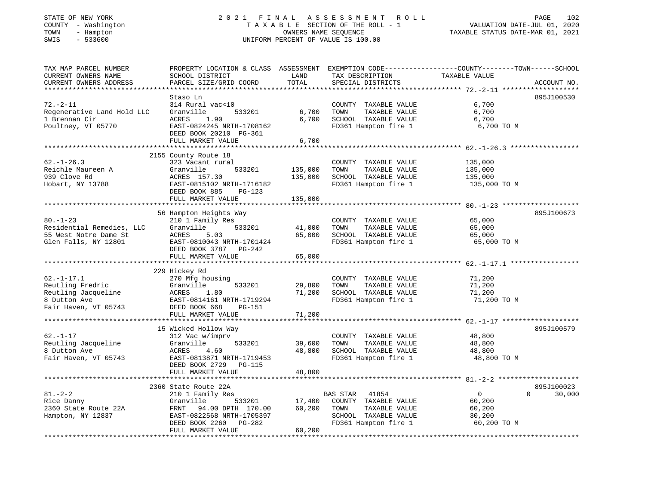## STATE OF NEW YORK 2 0 2 1 F I N A L A S S E S S M E N T R O L L PAGE 102 COUNTY - Washington T A X A B L E SECTION OF THE ROLL - 1 VALUATION DATE-JUL 01, 2020 TOWN - Hampton OWNERS NAME SEQUENCE TAXABLE STATUS DATE-MAR 01, 2021 SWIS - 533600 UNIFORM PERCENT OF VALUE IS 100.00

| TAX MAP PARCEL NUMBER<br>CURRENT OWNERS NAME                                  | PROPERTY LOCATION & CLASS ASSESSMENT<br>SCHOOL DISTRICT                                                                 | LAND<br>TOTAL                        | TAX DESCRIPTION                                                                               | EXEMPTION CODE-----------------COUNTY-------TOWN------SCHOOL<br>TAXABLE VALUE |             |
|-------------------------------------------------------------------------------|-------------------------------------------------------------------------------------------------------------------------|--------------------------------------|-----------------------------------------------------------------------------------------------|-------------------------------------------------------------------------------|-------------|
| CURRENT OWNERS ADDRESS<br>*********************                               | PARCEL SIZE/GRID COORD                                                                                                  |                                      | SPECIAL DISTRICTS                                                                             |                                                                               | ACCOUNT NO. |
| $72. - 2 - 11$<br>Regenerative Land Hold LLC                                  | Staso Ln<br>314 Rural vac<10<br>Granville<br>533201                                                                     | 6,700                                | COUNTY TAXABLE VALUE<br>TOWN<br>TAXABLE VALUE                                                 | 6,700<br>6,700                                                                | 895J100530  |
| 1 Brennan Cir<br>Poultney, VT 05770                                           | ACRES<br>1.90<br>EAST-0824245 NRTH-1708162<br>DEED BOOK 20210 PG-361                                                    | 6,700                                | SCHOOL TAXABLE VALUE<br>FD361 Hampton fire 1                                                  | 6,700<br>6,700 TO M                                                           |             |
|                                                                               | FULL MARKET VALUE<br>***************************                                                                        | 6,700<br>* * * * * * * * * * * * * * | *********************************** 62.-1-26.3 **                                             |                                                                               |             |
|                                                                               | 2155 County Route 18                                                                                                    |                                      |                                                                                               |                                                                               |             |
| $62. - 1 - 26.3$<br>Reichle Maureen A<br>939 Clove Rd<br>Hobart, NY 13788     | 323 Vacant rural<br>Granville<br>533201<br>ACRES 157.30<br>EAST-0815102 NRTH-1716182<br>DEED BOOK 885<br><b>PG-123</b>  | 135,000<br>135,000                   | COUNTY TAXABLE VALUE<br>TAXABLE VALUE<br>TOWN<br>SCHOOL TAXABLE VALUE<br>FD361 Hampton fire 1 | 135,000<br>135,000<br>135,000<br>135,000 TO M                                 |             |
|                                                                               | FULL MARKET VALUE                                                                                                       | 135,000                              |                                                                                               |                                                                               |             |
|                                                                               |                                                                                                                         |                                      | ********************************** 80.-1-23                                                   |                                                                               |             |
|                                                                               | 56 Hampton Heights Way                                                                                                  |                                      |                                                                                               |                                                                               | 895J100673  |
| $80. - 1 - 23$                                                                | 210 1 Family Res                                                                                                        |                                      | COUNTY TAXABLE VALUE                                                                          | 65,000                                                                        |             |
| Residential Remedies, LLC                                                     | 533201<br>Granville                                                                                                     | 41,000                               | TOWN<br>TAXABLE VALUE                                                                         | 65,000                                                                        |             |
| 55 West Notre Dame St                                                         | ACRES<br>5.03                                                                                                           | 65,000                               | SCHOOL TAXABLE VALUE                                                                          | 65,000                                                                        |             |
| Glen Falls, NY 12801                                                          | EAST-0810043 NRTH-1701424<br>DEED BOOK 3787 PG-242<br>FULL MARKET VALUE                                                 | 65,000                               | FD361 Hampton fire 1                                                                          | 65,000 TO M                                                                   |             |
|                                                                               |                                                                                                                         |                                      |                                                                                               |                                                                               |             |
|                                                                               | 229 Hickey Rd                                                                                                           |                                      |                                                                                               |                                                                               |             |
| $62. - 1 - 17.1$                                                              | 270 Mfg housing                                                                                                         |                                      | COUNTY TAXABLE VALUE                                                                          | 71,200                                                                        |             |
| Reutling Fredric                                                              | Granville<br>533201                                                                                                     | 29,800                               | TOWN<br>TAXABLE VALUE                                                                         | 71,200                                                                        |             |
| Reutling Jacqueline                                                           | ACRES<br>1.80                                                                                                           | 71,200                               | SCHOOL TAXABLE VALUE                                                                          | 71,200                                                                        |             |
| 8 Dutton Ave<br>Fair Haven, VT 05743                                          | EAST-0814161 NRTH-1719294<br>DEED BOOK 668<br><b>PG-151</b>                                                             |                                      | FD361 Hampton fire 1                                                                          | 71,200 TO M                                                                   |             |
|                                                                               | FULL MARKET VALUE                                                                                                       | 71,200                               |                                                                                               |                                                                               |             |
|                                                                               | 15 Wicked Hollow Way                                                                                                    |                                      |                                                                                               |                                                                               | 895J100579  |
| $62. - 1 - 17$<br>Reutling Jacqueline<br>8 Dutton Ave<br>Fair Haven, VT 05743 | 312 Vac w/imprv<br>533201<br>Granville<br>ACRES<br>4.60<br>EAST-0813871 NRTH-1719453<br>DEED BOOK 2729<br><b>PG-115</b> | 39,600<br>48,800                     | COUNTY TAXABLE VALUE<br>TOWN<br>TAXABLE VALUE<br>SCHOOL TAXABLE VALUE<br>FD361 Hampton fire 1 | 48,800<br>48,800<br>48,800<br>48,800 TO M                                     |             |
|                                                                               | FULL MARKET VALUE                                                                                                       | 48,800                               |                                                                                               |                                                                               |             |
|                                                                               |                                                                                                                         |                                      |                                                                                               |                                                                               |             |
|                                                                               | 2360 State Route 22A                                                                                                    |                                      |                                                                                               |                                                                               | 895J100023  |
| $81 - 2 - 2$                                                                  | 210 1 Family Res                                                                                                        |                                      | BAS STAR<br>41854                                                                             | $\mathbf{0}$<br>$\Omega$                                                      | 30,000      |
| Rice Danny                                                                    | Granville<br>533201                                                                                                     | 17,400                               | COUNTY TAXABLE VALUE                                                                          | 60,200                                                                        |             |
| 2360 State Route 22A                                                          | FRNT<br>94.00 DPTH 170.00                                                                                               | 60,200                               | TAXABLE VALUE<br>TOWN                                                                         | 60,200                                                                        |             |
| Hampton, NY 12837                                                             | EAST-0822568 NRTH-1705397                                                                                               |                                      | SCHOOL TAXABLE VALUE                                                                          | 30,200                                                                        |             |
|                                                                               | DEED BOOK 2260<br>$PG-282$<br>FULL MARKET VALUE                                                                         | 60,200                               | FD361 Hampton fire 1                                                                          | 60,200 TO M                                                                   |             |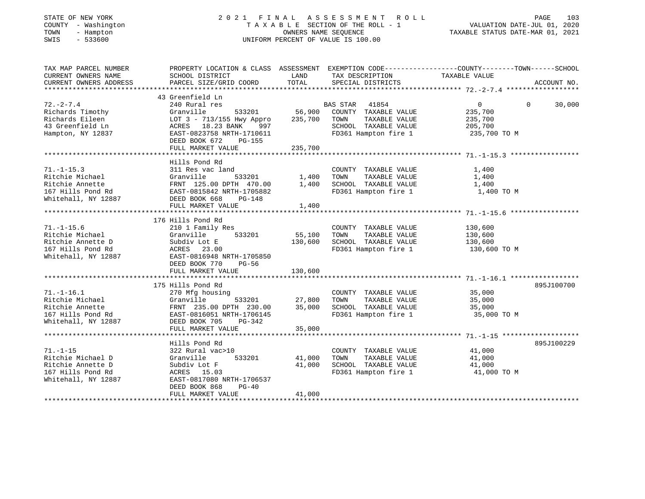| STATE OF NEW YORK    |  |                   |  |
|----------------------|--|-------------------|--|
| COUNTY               |  | - Washington      |  |
| TOWN                 |  | - Hampton         |  |
| $\sim$ $\sim$ $\sim$ |  | $F \cap T \cap A$ |  |

#### STATE OF NEW YORK 2 0 2 1 F I N A L A S S E S S M E N T R O L L PAGE 103 COUNTY - Washington T A X A B L E SECTION OF THE ROLL - 1 VALUATION DATE-JUL 01, 2020 TOWN - Hampton OWNERS NAME SEQUENCE TAXABLE STATUS DATE-MAR 01, 2021 SWIS - 533600 UNIFORM PERCENT OF VALUE IS 100.00UNIFORM PERCENT OF VALUE IS 100.00

| TAX MAP PARCEL NUMBER             | PROPERTY LOCATION & CLASS ASSESSMENT EXEMPTION CODE---------------COUNTY-------TOWN-----SCHOOL                                                                             |              |                                    |                |                    |
|-----------------------------------|----------------------------------------------------------------------------------------------------------------------------------------------------------------------------|--------------|------------------------------------|----------------|--------------------|
| CURRENT OWNERS NAME               | SCHOOL DISTRICT                                                                                                                                                            | LAND         | TAX DESCRIPTION TAXABLE VALUE      |                |                    |
| CURRENT OWNERS ADDRESS            | PARCEL SIZE/GRID COORD                                                                                                                                                     | TOTAL        | SPECIAL DISTRICTS                  |                | ACCOUNT NO.        |
|                                   |                                                                                                                                                                            |              |                                    |                |                    |
|                                   | 43 Greenfield Ln                                                                                                                                                           |              |                                    |                |                    |
| $72. - 2 - 7.4$                   | 240 Rural res                                                                                                                                                              |              | BAS STAR<br>41854                  | $\overline{0}$ | $\Omega$<br>30,000 |
| Richards Timothy                  | Granville                                                                                                                                                                  |              | 533201 56,900 COUNTY TAXABLE VALUE | 235,700        |                    |
| Richards Eileen                   | LOT 3 - 713/155 Hwy Appro                                                                                                                                                  | 235,700      | TAXABLE VALUE<br>TOWN              | 235,700        |                    |
| 43 Greenfield Ln                  | ACRES 18.23 BANK<br>997                                                                                                                                                    |              | SCHOOL TAXABLE VALUE               | 205,700        |                    |
| Hampton, NY 12837                 | EAST-0823758 NRTH-1710611                                                                                                                                                  |              | FD361 Hampton fire 1               | 235,700 TO M   |                    |
|                                   | DEED BOOK 672<br>PG-155                                                                                                                                                    |              |                                    |                |                    |
|                                   | FULL MARKET VALUE                                                                                                                                                          | 235,700      |                                    |                |                    |
|                                   |                                                                                                                                                                            |              |                                    |                |                    |
|                                   | Hills Pond Rd                                                                                                                                                              |              |                                    |                |                    |
| $71. - 1 - 15.3$                  | 311 Res vac land                                                                                                                                                           |              | COUNTY TAXABLE VALUE               | 1,400          |                    |
|                                   |                                                                                                                                                                            | 533201 1,400 | TOWN<br>TAXABLE VALUE              | 1,400          |                    |
|                                   | Ritchie Michael (1991)<br>Ritchie Annette (1991)<br>167 Hills Pond Rd (1995)<br>167 Hills Pond Rd (1995–1981)<br>1880–1981<br>1982 NRTH-1705882<br>FRNT 125.00 DPTH 470.00 | 1,400        | SCHOOL TAXABLE VALUE               | 1,400          |                    |
|                                   |                                                                                                                                                                            |              | FD361 Hampton fire 1 1,400 TO M    |                |                    |
| Whitehall, NY 12887 DEED BOOK 668 | PG-148                                                                                                                                                                     |              |                                    |                |                    |
|                                   | FULL MARKET VALUE                                                                                                                                                          | 1,400        |                                    |                |                    |
|                                   |                                                                                                                                                                            |              |                                    |                |                    |
|                                   | 176 Hills Pond Rd                                                                                                                                                          |              |                                    |                |                    |
| $71. - 1 - 15.6$                  | 210 1 Family Res                                                                                                                                                           |              | COUNTY TAXABLE VALUE               | 130,600        |                    |
| Ritchie Michael                   | 533201<br>Granville                                                                                                                                                        | 55,100       | TOWN<br>TAXABLE VALUE              | 130,600        |                    |
| Ritchie Annette D                 | Subdiv Lot E                                                                                                                                                               | 130,600      | SCHOOL TAXABLE VALUE 130,600       |                |                    |
| 167 Hills Pond Rd                 | ACRES 23.00                                                                                                                                                                |              | FD361 Hampton fire 1 130,600 TO M  |                |                    |
| Whitehall, NY 12887               | EAST-0816948 NRTH-1705850                                                                                                                                                  |              |                                    |                |                    |
|                                   | DEED BOOK 770<br>PG-56                                                                                                                                                     |              |                                    |                |                    |
|                                   | FULL MARKET VALUE                                                                                                                                                          | 130,600      |                                    |                |                    |
|                                   |                                                                                                                                                                            |              |                                    |                |                    |
|                                   | 175 Hills Pond Rd                                                                                                                                                          |              |                                    |                | 895J100700         |
| $71. - 1 - 16.1$                  | 270 Mfg housing                                                                                                                                                            |              | COUNTY TAXABLE VALUE 35,000        |                |                    |
| Ritchie Michael                   | Granville                                                                                                                                                                  |              | TOWN<br>TAXABLE VALUE              | 35,000         |                    |
| Ritchie Annette                   | FRNT 235.00 DPTH 230.00                                                                                                                                                    |              | SCHOOL TAXABLE VALUE               | 35,000         |                    |
| 167 Hills Pond Rd                 | EAST-0816051 NRTH-1706145                                                                                                                                                  |              | FD361 Hampton fire 1 35,000 TO M   |                |                    |
| Whitehall, NY 12887               | DEED BOOK 705<br>PG-342                                                                                                                                                    |              |                                    |                |                    |
|                                   | FULL MARKET VALUE                                                                                                                                                          | 35,000       |                                    |                |                    |
|                                   |                                                                                                                                                                            |              |                                    |                |                    |
|                                   |                                                                                                                                                                            |              |                                    |                | 895J100229         |
|                                   | Hills Pond Rd                                                                                                                                                              |              |                                    |                |                    |
| $71. - 1 - 15$                    | 322 Rural vac>10                                                                                                                                                           |              | COUNTY TAXABLE VALUE               | 41,000         |                    |
| Ritchie Michael D                 | Granville<br>533201                                                                                                                                                        | 41,000       | TAXABLE VALUE<br>TOWN              | 41,000         |                    |
| Ritchie Annette D                 | Subdiv Lot F                                                                                                                                                               | 41,000       | SCHOOL TAXABLE VALUE               | 41,000         |                    |
| 167 Hills Pond Rd                 | ACRES 15.03                                                                                                                                                                |              | FD361 Hampton fire 1               | 41,000 TO M    |                    |
| Whitehall, NY 12887               | EAST-0817080 NRTH-1706537                                                                                                                                                  |              |                                    |                |                    |
|                                   | DEED BOOK 868<br>$PG-40$                                                                                                                                                   |              |                                    |                |                    |
|                                   | FULL MARKET VALUE                                                                                                                                                          | 41,000       |                                    |                |                    |
|                                   |                                                                                                                                                                            |              |                                    |                |                    |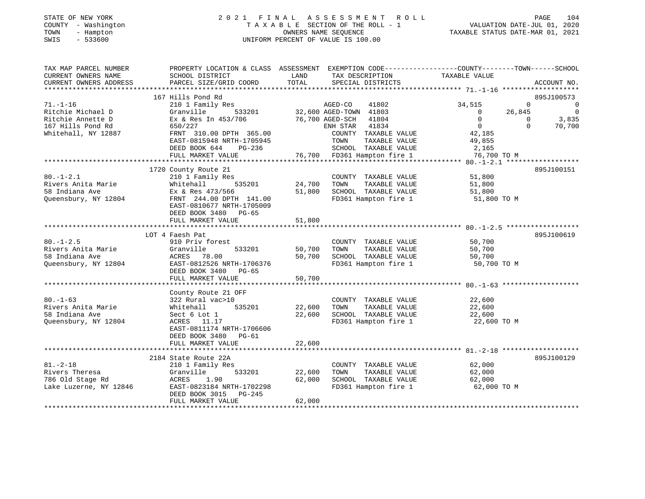## STATE OF NEW YORK 2 0 2 1 F I N A L A S S E S S M E N T R O L L PAGE 104 COUNTY - Washington T A X A B L E SECTION OF THE ROLL - 1 VALUATION DATE-JUL 01, 2020 TOWN - Hampton OWNERS NAME SEQUENCE TAXABLE STATUS DATE-MAR 01, 2021 SWIS - 533600 UNIFORM PERCENT OF VALUE IS 100.00

| TAX MAP PARCEL NUMBER<br>CURRENT OWNERS NAME                                                         | PROPERTY LOCATION & CLASS ASSESSMENT EXEMPTION CODE----------------COUNTY-------TOWN------SCHOOL<br>SCHOOL DISTRICT                                                                      | LAND                       | TAX DESCRIPTION                                                                                                                                                                  | TAXABLE VALUE                                                                                      |                                                                                                    |
|------------------------------------------------------------------------------------------------------|------------------------------------------------------------------------------------------------------------------------------------------------------------------------------------------|----------------------------|----------------------------------------------------------------------------------------------------------------------------------------------------------------------------------|----------------------------------------------------------------------------------------------------|----------------------------------------------------------------------------------------------------|
| CURRENT OWNERS ADDRESS                                                                               | PARCEL SIZE/GRID COORD                                                                                                                                                                   | TOTAL                      | SPECIAL DISTRICTS                                                                                                                                                                |                                                                                                    | ACCOUNT NO.                                                                                        |
|                                                                                                      | 167 Hills Pond Rd                                                                                                                                                                        |                            |                                                                                                                                                                                  |                                                                                                    | 895J100573                                                                                         |
| $71. - 1 - 16$<br>Ritchie Michael D<br>Ritchie Annette D<br>167 Hills Pond Rd<br>Whitehall, NY 12887 | 210 1 Family Res<br>Granville<br>533201<br>Ex & Res In 453/706<br>650/227<br>FRNT 310.00 DPTH 365.00<br>EAST-0815948 NRTH-1705945<br>DEED BOOK 644<br>$PG-236$<br>FULL MARKET VALUE      | 76,700 AGED-SCH            | AGED-CO<br>41802<br>32,600 AGED-TOWN 41803<br>41804<br>41834<br>ENH STAR<br>COUNTY TAXABLE VALUE<br>TOWN<br>TAXABLE VALUE<br>SCHOOL TAXABLE VALUE<br>76,700 FD361 Hampton fire 1 | 34,515<br>$\overline{0}$<br>$\overline{0}$<br>$\Omega$<br>42,185<br>49,855<br>2,165<br>76,700 TO M | $\Omega$<br>$\mathbf 0$<br>26,845<br>$\overline{0}$<br>3,835<br>$\mathbf{0}$<br>70,700<br>$\Omega$ |
| $80. - 1 - 2.1$<br>Rivers Anita Marie<br>58 Indiana Ave<br>Queensbury, NY 12804                      | 1720 County Route 21<br>210 1 Family Res<br>535201<br>Whitehall<br>Ex & Res 473/566<br>FRNT 244.00 DPTH 141.00<br>EAST-0810677 NRTH-1705009<br>DEED BOOK 3480 PG-65<br>FULL MARKET VALUE | 24,700<br>51,800<br>51,800 | COUNTY TAXABLE VALUE<br>TOWN<br>TAXABLE VALUE<br>SCHOOL TAXABLE VALUE<br>FD361 Hampton fire 1                                                                                    | 51,800<br>51,800<br>51,800<br>51,800 TO M                                                          | 895J100151                                                                                         |
|                                                                                                      | LOT 4 Faesh Pat                                                                                                                                                                          |                            |                                                                                                                                                                                  |                                                                                                    | 895J100619                                                                                         |
| $80. - 1 - 2.5$<br>Rivers Anita Marie<br>58 Indiana Ave<br>Queensbury, NY 12804                      | 910 Priv forest<br>533201<br>Granville<br>ACRES 78.00<br>EAST-0812526 NRTH-1706376<br>DEED BOOK 3480 PG-65<br>FULL MARKET VALUE                                                          | 50,700<br>50,700<br>50,700 | COUNTY TAXABLE VALUE<br>TOWN<br>TAXABLE VALUE<br>SCHOOL TAXABLE VALUE<br>FD361 Hampton fire 1                                                                                    | 50,700<br>50,700<br>50,700<br>50,700 TO M                                                          |                                                                                                    |
|                                                                                                      |                                                                                                                                                                                          |                            |                                                                                                                                                                                  |                                                                                                    |                                                                                                    |
| $80. - 1 - 63$<br>Rivers Anita Marie<br>58 Indiana Ave<br>Queensbury, NY 12804                       | County Route 21 OFF<br>322 Rural vac>10<br>535201<br>Whitehall<br>Sect 6 Lot 1<br>ACRES 11.17<br>EAST-0811174 NRTH-1706606<br>DEED BOOK 3480 PG-61<br>FULL MARKET VALUE                  | 22,600<br>22,600<br>22,600 | COUNTY TAXABLE VALUE<br>TAXABLE VALUE<br>TOWN<br>SCHOOL TAXABLE VALUE<br>FD361 Hampton fire 1                                                                                    | 22,600<br>22,600<br>22,600<br>22,600 TO M                                                          |                                                                                                    |
|                                                                                                      |                                                                                                                                                                                          |                            |                                                                                                                                                                                  |                                                                                                    |                                                                                                    |
| $81. - 2 - 18$<br>Rivers Theresa<br>786 Old Stage Rd<br>Lake Luzerne, NY 12846                       | 2184 State Route 22A<br>210 1 Family Res<br>Granville<br>533201<br>ACRES<br>1.90<br>EAST-0823184 NRTH-1702298<br>DEED BOOK 3015<br>PG-245<br>FULL MARKET VALUE                           | 22,600<br>62,000<br>62,000 | COUNTY TAXABLE VALUE<br>TAXABLE VALUE<br>TOWN<br>SCHOOL TAXABLE VALUE<br>FD361 Hampton fire 1                                                                                    | 62,000<br>62,000<br>62,000<br>62,000 TO M                                                          | 895J100129                                                                                         |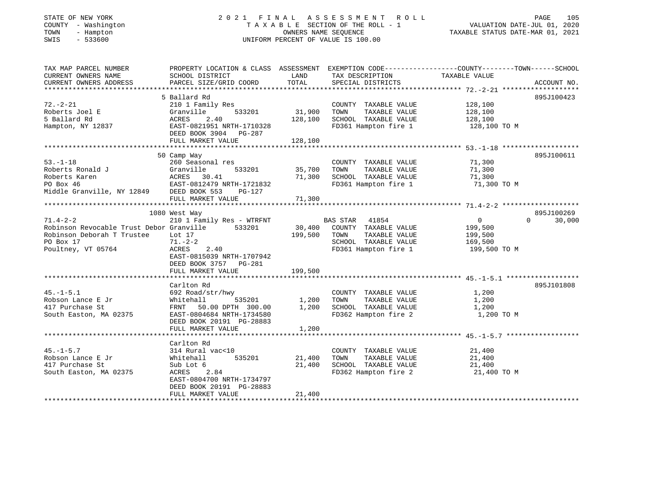| STATE OF NEW YORK |     |                      |
|-------------------|-----|----------------------|
| <b>COUNTY</b>     |     | - Washington         |
| TOWN              | $-$ | Hampton              |
| CFTT              |     | $F \cap C \cap \cap$ |

#### STATE OF NEW YORK 2 0 2 1 F I N A L A S S E S S M E N T R O L L PAGE 105 COUNTY - Washington T A X A B L E SECTION OF THE ROLL - 1 VALUATION DATE-JUL 01, 2020 TOWN - Hampton OWNERS NAME SEQUENCE TAXABLE STATUS DATE-MAR 01, 2021 SWIS - 533600 UNIFORM PERCENT OF VALUE IS 100.00UNIFORM PERCENT OF VALUE IS 100.00

| TAX MAP PARCEL NUMBER<br>CURRENT OWNERS NAME<br>CURRENT OWNERS ADDRESS | PROPERTY LOCATION & CLASS ASSESSMENT<br>SCHOOL DISTRICT<br>PARCEL SIZE/GRID COORD | LAND<br>TOTAL | TAX DESCRIPTION<br>SPECIAL DISTRICTS                  | EXEMPTION CODE-----------------COUNTY-------TOWN------SCHOOL<br>TAXABLE VALUE | ACCOUNT NO.        |
|------------------------------------------------------------------------|-----------------------------------------------------------------------------------|---------------|-------------------------------------------------------|-------------------------------------------------------------------------------|--------------------|
|                                                                        |                                                                                   |               |                                                       |                                                                               |                    |
|                                                                        | 5 Ballard Rd                                                                      |               |                                                       |                                                                               | 895J100423         |
| $72. - 2 - 21$                                                         | 210 1 Family Res                                                                  |               | COUNTY TAXABLE VALUE                                  | 128,100                                                                       |                    |
| Roberts Joel E                                                         | 533201<br>Granville                                                               | 31,900        | TAXABLE VALUE<br>TOWN                                 | 128,100                                                                       |                    |
| 5 Ballard Rd                                                           | 2.40<br>ACRES                                                                     | 128,100       | SCHOOL TAXABLE VALUE 128,100                          |                                                                               |                    |
| Hampton, NY 12837                                                      | EAST-0821951 NRTH-1710328                                                         |               | FD361 Hampton fire 1                                  | 128,100 TO M                                                                  |                    |
|                                                                        | DEED BOOK 3904 PG-287                                                             |               |                                                       |                                                                               |                    |
|                                                                        | FULL MARKET VALUE                                                                 | 128,100       |                                                       |                                                                               |                    |
|                                                                        |                                                                                   |               |                                                       |                                                                               |                    |
|                                                                        | 50 Camp Way                                                                       |               |                                                       |                                                                               | 895J100611         |
| $53. - 1 - 18$                                                         | 260 Seasonal res                                                                  |               | COUNTY TAXABLE VALUE                                  | 71,300                                                                        |                    |
| Roberts Ronald J                                                       | Granville<br>533201                                                               | 35,700        | TOWN<br>TAXABLE VALUE                                 | 71,300                                                                        |                    |
| Roberts Karen                                                          |                                                                                   | 71,300        | SCHOOL TAXABLE VALUE                                  | 71,300                                                                        |                    |
| PO Box 46                                                              | ACRES 30.41<br>EAST-0812479 NRTH-1721832                                          |               | FD361 Hampton fire 1                                  | 71,300 TO M                                                                   |                    |
| Middle Granville, NY 12849 DEED BOOK 553                               | PG-127                                                                            |               |                                                       |                                                                               |                    |
|                                                                        | FULL MARKET VALUE                                                                 | 71,300        |                                                       |                                                                               |                    |
|                                                                        |                                                                                   |               |                                                       |                                                                               |                    |
|                                                                        | 1080 West Way                                                                     |               |                                                       |                                                                               | 895J100269         |
| $71.4 - 2 - 2$                                                         | 210 1 Family Res - WTRFNT                                                         |               | BAS STAR 41854                                        | $\overline{0}$                                                                | $\Omega$<br>30,000 |
| Robinson Revocable Trust Debor Granville 533201                        |                                                                                   |               | 30,400 COUNTY TAXABLE VALUE                           | 199,500                                                                       |                    |
| Robinson Deborah T Trustee                                             | Lot 17                                                                            | 199,500       | TOWN<br>TAXABLE VALUE                                 | 199,500                                                                       |                    |
| PO Box 17                                                              | $71. - 2 - 2$                                                                     |               | SCHOOL TAXABLE VALUE 169,500                          |                                                                               |                    |
| Poultney, VT 05764                                                     | ACRES<br>2.40                                                                     |               | FD361 Hampton fire 1                                  | 199,500 TO M                                                                  |                    |
|                                                                        | EAST-0815039 NRTH-1707942                                                         |               |                                                       |                                                                               |                    |
|                                                                        | DEED BOOK 3757 PG-281                                                             |               |                                                       |                                                                               |                    |
|                                                                        | FULL MARKET VALUE                                                                 | 199,500       |                                                       |                                                                               |                    |
|                                                                        |                                                                                   |               |                                                       |                                                                               |                    |
|                                                                        | Carlton Rd                                                                        |               |                                                       |                                                                               | 895J101808         |
| $45. - 1 - 5.1$                                                        |                                                                                   |               |                                                       | 1,200                                                                         |                    |
| Robson Lance E Jr                                                      | 692 Road/str/hwy<br>Whitehall<br>535201                                           | 1,200         | COUNTY TAXABLE VALUE<br>TOWN<br>TAXABLE VALUE         | 1,200                                                                         |                    |
| 417 Purchase St                                                        |                                                                                   | 1,200         | TOWN       TAXABLE  VALUE<br>SCHOOL    TAXABLE  VALUE |                                                                               |                    |
|                                                                        | FRNT 50.00 DPTH 300.00                                                            |               |                                                       | 1,200                                                                         |                    |
| South Easton, MA 02375                                                 | EAST-0804684 NRTH-1734580                                                         |               | FD362 Hampton fire 2                                  | 1,200 TO M                                                                    |                    |
|                                                                        | DEED BOOK 20191 PG-28883                                                          |               |                                                       |                                                                               |                    |
|                                                                        | FULL MARKET VALUE                                                                 | 1,200         |                                                       |                                                                               |                    |
|                                                                        |                                                                                   |               |                                                       |                                                                               |                    |
|                                                                        | Carlton Rd                                                                        |               |                                                       |                                                                               |                    |
| $45. - 1 - 5.7$                                                        | 314 Rural vac<10                                                                  |               | COUNTY TAXABLE VALUE                                  | 21,400                                                                        |                    |
| Robson Lance E Jr                                                      | Whitehall<br>535201                                                               | 21,400        | TAXABLE VALUE<br>TOWN                                 | 21,400                                                                        |                    |
| 417 Purchase St                                                        | Sub Lot 6                                                                         | 21,400        | SCHOOL TAXABLE VALUE                                  | 21,400                                                                        |                    |
| South Easton, MA 02375                                                 | ACRES 2.84                                                                        |               | FD362 Hampton fire 2                                  | 21,400 TO M                                                                   |                    |
|                                                                        | EAST-0804700 NRTH-1734797                                                         |               |                                                       |                                                                               |                    |
|                                                                        | DEED BOOK 20191 PG-28883                                                          |               |                                                       |                                                                               |                    |
|                                                                        | FULL MARKET VALUE                                                                 | 21,400        |                                                       |                                                                               |                    |
|                                                                        |                                                                                   |               |                                                       |                                                                               |                    |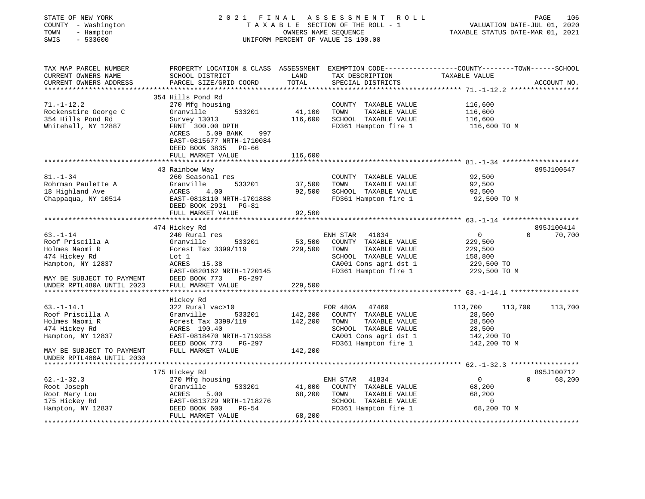| STATE OF NEW YORK<br>COUNTY - Washington<br>- Hampton<br>TOWN<br>SWIS<br>$-533600$ |                                                                                                                                              |                   | 2021 FINAL ASSESSMENT<br>ROLL<br>TAXABLE SECTION OF THE ROLL - 1<br>OWNERS NAME SEQUENCE<br>UNIFORM PERCENT OF VALUE IS 100.00 | TAXABLE STATUS DATE-MAR 01, 2021         | PAGE<br>106<br>VALUATION DATE-JUL 01, 2020 |
|------------------------------------------------------------------------------------|----------------------------------------------------------------------------------------------------------------------------------------------|-------------------|--------------------------------------------------------------------------------------------------------------------------------|------------------------------------------|--------------------------------------------|
| TAX MAP PARCEL NUMBER<br>CURRENT OWNERS NAME<br>CURRENT OWNERS ADDRESS             | PROPERTY LOCATION & CLASS ASSESSMENT EXEMPTION CODE---------------COUNTY-------TOWN------SCHOOL<br>SCHOOL DISTRICT<br>PARCEL SIZE/GRID COORD | LAND<br>TOTAL     | TAX DESCRIPTION<br>SPECIAL DISTRICTS                                                                                           | TAXABLE VALUE                            | ACCOUNT NO.                                |
|                                                                                    |                                                                                                                                              |                   |                                                                                                                                |                                          |                                            |
|                                                                                    | 354 Hills Pond Rd                                                                                                                            |                   |                                                                                                                                |                                          |                                            |
| $71. - 1 - 12.2$<br>Rockenstire George C                                           | 270 Mfg housing<br>533201<br>Granville                                                                                                       | 41,100            | COUNTY TAXABLE VALUE<br>TOWN<br>TAXABLE VALUE                                                                                  | 116,600<br>116,600                       |                                            |
| 354 Hills Pond Rd                                                                  | Survey 13013                                                                                                                                 | 116,600           | SCHOOL TAXABLE VALUE                                                                                                           | 116,600                                  |                                            |
| Whitehall, NY 12887                                                                | FRNT 300.00 DPTH                                                                                                                             |                   | FD361 Hampton fire 1                                                                                                           | 116,600 TO M                             |                                            |
|                                                                                    | ACRES<br>5.09 BANK<br>997<br>EAST-0815677 NRTH-1710084                                                                                       |                   |                                                                                                                                |                                          |                                            |
|                                                                                    | DEED BOOK 3835<br>PG-66                                                                                                                      |                   |                                                                                                                                |                                          |                                            |
|                                                                                    | FULL MARKET VALUE                                                                                                                            | 116,600           |                                                                                                                                |                                          |                                            |
|                                                                                    |                                                                                                                                              |                   |                                                                                                                                |                                          |                                            |
|                                                                                    | 43 Rainbow Way                                                                                                                               |                   |                                                                                                                                |                                          | 895J100547                                 |
| $81. - 1 - 34$                                                                     | 260 Seasonal res                                                                                                                             |                   | COUNTY TAXABLE VALUE                                                                                                           | 92,500                                   |                                            |
| Rohrman Paulette A                                                                 | Granville<br>533201                                                                                                                          | 37,500            | TAXABLE VALUE<br>TOWN                                                                                                          | 92,500                                   |                                            |
| 18 Highland Ave                                                                    | ACRES<br>4.00                                                                                                                                | 92,500            | SCHOOL TAXABLE VALUE                                                                                                           | 92,500                                   |                                            |
| Chappaqua, NY 10514                                                                | EAST-0818110 NRTH-1701888<br>DEED BOOK 2931<br>PG-81                                                                                         |                   | FD361 Hampton fire 1                                                                                                           | 92,500 TO M                              |                                            |
|                                                                                    | FULL MARKET VALUE                                                                                                                            | 92,500            |                                                                                                                                |                                          |                                            |
|                                                                                    |                                                                                                                                              |                   |                                                                                                                                | *********** 63.-1-14 ******************* |                                            |
|                                                                                    | 474 Hickey Rd                                                                                                                                |                   |                                                                                                                                |                                          | 895J100414                                 |
| $63. - 1 - 14$                                                                     | 240 Rural res                                                                                                                                |                   | 41834<br>ENH STAR                                                                                                              | $\mathbf 0$                              | 70,700<br>$\Omega$                         |
| Roof Priscilla A                                                                   | Granville<br>533201                                                                                                                          | 53,500<br>229,500 | COUNTY TAXABLE VALUE<br>TOWN                                                                                                   | 229,500                                  |                                            |
| Holmes Naomi R<br>474 Hickey Rd                                                    | Forest Tax 3399/119<br>Lot 1                                                                                                                 |                   | TAXABLE VALUE<br>SCHOOL TAXABLE VALUE                                                                                          | 229,500                                  |                                            |
|                                                                                    | ACRES<br>15.38                                                                                                                               |                   | CA001 Cons agri dst 1                                                                                                          | 158,800                                  |                                            |
| Hampton, NY 12837                                                                  | EAST-0820162 NRTH-1720145                                                                                                                    |                   | FD361 Hampton fire 1                                                                                                           | 229,500 TO<br>229,500 TO M               |                                            |
| MAY BE SUBJECT TO PAYMENT                                                          | DEED BOOK 773<br><b>PG-297</b>                                                                                                               |                   |                                                                                                                                |                                          |                                            |
| UNDER RPTL480A UNTIL 2023                                                          | FULL MARKET VALUE                                                                                                                            | 229,500           |                                                                                                                                |                                          |                                            |
|                                                                                    |                                                                                                                                              |                   |                                                                                                                                |                                          |                                            |
|                                                                                    | Hickey Rd                                                                                                                                    |                   |                                                                                                                                |                                          |                                            |
| $63. - 1 - 14.1$                                                                   | 322 Rural vac>10                                                                                                                             |                   | FOR 480A<br>47460                                                                                                              | 113,700                                  | 113,700<br>113,700                         |
| Roof Priscilla A                                                                   | Granville<br>533201                                                                                                                          | 142,200           | COUNTY TAXABLE VALUE                                                                                                           | 28,500                                   |                                            |
| Holmes Naomi R                                                                     | Forest Tax 3399/119                                                                                                                          | 142,200           | TOWN<br>TAXABLE VALUE                                                                                                          | 28,500                                   |                                            |
| 474 Hickey Rd                                                                      | ACRES 190.40                                                                                                                                 |                   | SCHOOL TAXABLE VALUE                                                                                                           | 28,500                                   |                                            |
| Hampton, NY 12837                                                                  | EAST-0818470 NRTH-1719358                                                                                                                    |                   | CA001 Cons agri dst 1                                                                                                          | 142,200 TO                               |                                            |
|                                                                                    | DEED BOOK 773<br>PG-297                                                                                                                      |                   | FD361 Hampton fire 1                                                                                                           | 142,200 TO M                             |                                            |
| MAY BE SUBJECT TO PAYMENT                                                          | FULL MARKET VALUE                                                                                                                            | 142,200           |                                                                                                                                |                                          |                                            |
| UNDER RPTL480A UNTIL 2030                                                          |                                                                                                                                              |                   |                                                                                                                                |                                          |                                            |
|                                                                                    | 175 Hickey Rd                                                                                                                                |                   |                                                                                                                                |                                          | 895J100712                                 |
| $62. - 1 - 32.3$                                                                   | 270 Mfg housing                                                                                                                              |                   | 41834<br>ENH STAR                                                                                                              | $\mathbf{0}$                             | $\Omega$<br>68,200                         |
| Root Joseph                                                                        | 533201<br>Granville                                                                                                                          | 41,000            | COUNTY TAXABLE VALUE                                                                                                           | 68,200                                   |                                            |
| Root Mary Lou                                                                      | ACRES<br>5.00                                                                                                                                | 68,200            | TOWN<br>TAXABLE VALUE                                                                                                          | 68,200                                   |                                            |
| 175 Hickey Rd                                                                      | EAST-0813729 NRTH-1718276                                                                                                                    |                   | SCHOOL TAXABLE VALUE                                                                                                           | $\mathbf 0$                              |                                            |
| Hampton, NY 12837                                                                  | $PG-54$<br>DEED BOOK 600<br>FULL MARKET VALUE                                                                                                | 68,200            | FD361 Hampton fire 1                                                                                                           | 68,200 TO M                              |                                            |
|                                                                                    |                                                                                                                                              |                   | ***********************                                                                                                        |                                          |                                            |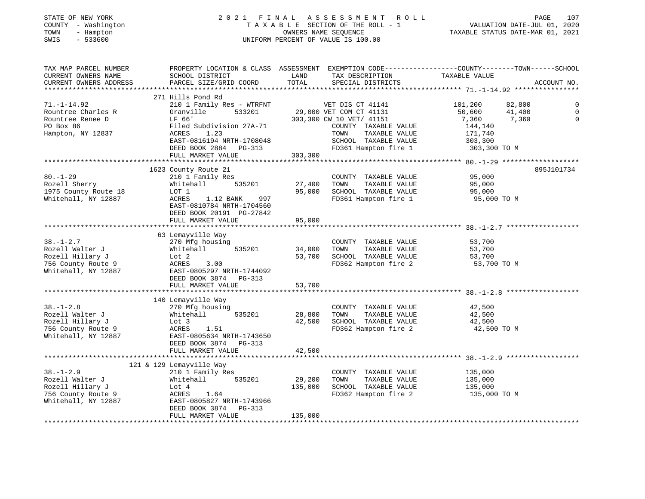#### STATE OF NEW YORK 2 0 2 1 F I N A L A S S E S S M E N T R O L L PAGE 107 COUNTY - Washington T A X A B L E SECTION OF THE ROLL - 1 VALUATION DATE-JUL 01, 2020 TOWN - Hampton OWNERS NAME SEQUENCE TAXABLE STATUS DATE-MAR 01, 2021 SWIS - 533600 UNIFORM PERCENT OF VALUE IS 100.00UNIFORM PERCENT OF VALUE IS 100.00

| TAX MAP PARCEL NUMBER<br>CURRENT OWNERS NAME<br>CURRENT OWNERS ADDRESS                              | SCHOOL DISTRICT<br>PARCEL SIZE/GRID COORD                                                                                                                                                               | LAND<br>TOTAL                | TAX DESCRIPTION<br>SPECIAL DISTRICTS                                                                                                                                     | PROPERTY LOCATION & CLASS ASSESSMENT EXEMPTION CODE---------------COUNTY-------TOWN------SCHOOL<br>TAXABLE VALUE<br>ACCOUNT NO. |                      |
|-----------------------------------------------------------------------------------------------------|---------------------------------------------------------------------------------------------------------------------------------------------------------------------------------------------------------|------------------------------|--------------------------------------------------------------------------------------------------------------------------------------------------------------------------|---------------------------------------------------------------------------------------------------------------------------------|----------------------|
| $71. - 1 - 14.92$<br>Rountree Charles R<br>Rountree Renee D<br>PO Box 86<br>Hampton, NY 12837       | 271 Hills Pond Rd<br>210 1 Family Res - WTRFNT<br>Granville<br>533201<br>LF 66'<br>Filed Subdivision 27A-71<br>1.23<br>ACRES<br>EAST-0816194 NRTH-1708048<br>DEED BOOK 2884 PG-313<br>FULL MARKET VALUE | 303,300                      | VET DIS CT 41141<br>29,000 VET COM CT 41131<br>303,300 CW_10_VET/ 41151<br>COUNTY TAXABLE VALUE<br>TOWN<br>TAXABLE VALUE<br>SCHOOL TAXABLE VALUE<br>FD361 Hampton fire 1 | 101,200<br>82,800<br>50,600<br>41,400<br>7,360<br>7,360<br>144,140<br>171,740<br>303,300<br>303,300 TO M                        | $\Omega$<br>$\Omega$ |
| $80. - 1 - 29$<br>Rozell Sherry<br>1975 County Route 18<br>Whitehall, NY 12887                      | 1623 County Route 21<br>210 1 Family Res<br>Whitehall<br>535201<br>LOT 1<br>ACRES<br>1.12 BANK<br>997<br>EAST-0810784 NRTH-1704560<br>DEED BOOK 20191 PG-27842<br>FULL MARKET VALUE                     | 27,400<br>95,000<br>95,000   | COUNTY TAXABLE VALUE<br>TOWN<br>TAXABLE VALUE<br>SCHOOL TAXABLE VALUE<br>FD361 Hampton fire 1                                                                            | 895J101734<br>95,000<br>95,000<br>95,000<br>95,000 TO M                                                                         |                      |
| $38. - 1 - 2.7$<br>Rozell Walter J<br>Rozell Hillary J<br>756 County Route 9<br>Whitehall, NY 12887 | 63 Lemayville Way<br>270 Mfg housing<br>Whitehall<br>535201<br>Lot 2<br>ACRES<br>3.00<br>EAST-0805297 NRTH-1744092<br>DEED BOOK 3874 PG-313<br>FULL MARKET VALUE                                        | 34,000<br>53,700<br>53,700   | COUNTY TAXABLE VALUE<br>TOWN<br>TAXABLE VALUE<br>SCHOOL TAXABLE VALUE<br>FD362 Hampton fire 2                                                                            | 53,700<br>53,700<br>53,700<br>53,700 TO M                                                                                       |                      |
| $38. - 1 - 2.8$<br>Rozell Walter J<br>Rozell Hillary J<br>756 County Route 9<br>Whitehall, NY 12887 | 140 Lemayville Way<br>270 Mfg housing<br>535201<br>Whitehall<br>Lot 3<br>1.51<br>ACRES<br>EAST-0805634 NRTH-1743650<br>DEED BOOK 3874 PG-313<br>FULL MARKET VALUE                                       | 28,800<br>42,500<br>42,500   | COUNTY TAXABLE VALUE<br>TAXABLE VALUE<br>TOWN<br>SCHOOL TAXABLE VALUE<br>FD362 Hampton fire 2                                                                            | 42,500<br>42,500<br>42,500<br>42,500 TO M                                                                                       |                      |
| $38. - 1 - 2.9$<br>Rozell Walter J<br>Rozell Hillary J<br>756 County Route 9<br>Whitehall, NY 12887 | 121 & 129 Lemayville Way<br>210 1 Family Res<br>535201<br>Whitehall<br>Lot 4<br>ACRES<br>1.64<br>EAST-0805827 NRTH-1743966<br>DEED BOOK 3874<br>PG-313<br>FULL MARKET VALUE                             | 29,200<br>135,000<br>135,000 | COUNTY TAXABLE VALUE<br>TOWN<br>TAXABLE VALUE<br>SCHOOL TAXABLE VALUE<br>FD362 Hampton fire 2                                                                            | 135,000<br>135,000<br>135,000<br>135,000 TO M                                                                                   |                      |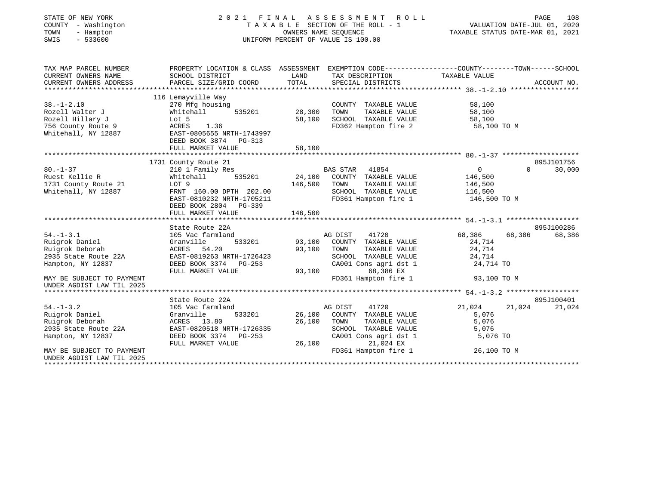| STATE OF NEW YORK<br>COUNTY - Washington<br>TOWN<br>- Hampton<br>$-533600$<br>SWIS | 2021 FINAL                                         | OWNERS NAME SEOUENCE | A S S E S S M E N T<br>ROLL<br>T A X A B L E SECTION OF THE ROLL - 1<br>UNIFORM PERCENT OF VALUE IS 100.00 | VALUATION DATE-JUL 01, 2020<br>TAXABLE STATUS DATE-MAR 01, 2021 | PAGE<br>108                      |
|------------------------------------------------------------------------------------|----------------------------------------------------|----------------------|------------------------------------------------------------------------------------------------------------|-----------------------------------------------------------------|----------------------------------|
| TAX MAP PARCEL NUMBER                                                              | PROPERTY LOCATION & CLASS ASSESSMENT               |                      |                                                                                                            | EXEMPTION CODE-----------------COUNTY-------TOWN------SCHOOL    |                                  |
| CURRENT OWNERS NAME                                                                | SCHOOL DISTRICT                                    | LAND                 | TAX DESCRIPTION                                                                                            | TAXABLE VALUE                                                   |                                  |
| CURRENT OWNERS ADDRESS<br>*********************                                    | PARCEL SIZE/GRID COORD                             | TOTAL                | SPECIAL DISTRICTS                                                                                          |                                                                 | ACCOUNT NO.                      |
|                                                                                    | 116 Lemayville Way                                 |                      |                                                                                                            |                                                                 |                                  |
| $38. - 1 - 2.10$                                                                   | 270 Mfg housing                                    |                      | COUNTY TAXABLE VALUE                                                                                       | 58,100                                                          |                                  |
| Rozell Walter J                                                                    | Whitehall<br>535201                                | 28,300               | TOWN<br>TAXABLE VALUE                                                                                      | 58,100                                                          |                                  |
| Rozell Hillary J                                                                   | Lot 5                                              | 58,100               | SCHOOL TAXABLE VALUE                                                                                       | 58,100                                                          |                                  |
| 756 County Route 9                                                                 | ACRES<br>1.36                                      |                      | FD362 Hampton fire 2                                                                                       | 58,100 TO M                                                     |                                  |
| Whitehall, NY 12887                                                                | EAST-0805655 NRTH-1743997<br>DEED BOOK 3874 PG-313 |                      |                                                                                                            |                                                                 |                                  |
|                                                                                    | FULL MARKET VALUE                                  | 58,100               |                                                                                                            |                                                                 |                                  |
|                                                                                    |                                                    |                      |                                                                                                            |                                                                 |                                  |
| $80. - 1 - 37$                                                                     | 1731 County Route 21<br>210 1 Family Res           |                      | <b>BAS STAR</b><br>41854                                                                                   | $\overline{0}$                                                  | 895J101756<br>30,000<br>$\Omega$ |
| Ruest Kellie R                                                                     | 535201<br>Whitehall                                | 24,100               | COUNTY TAXABLE VALUE                                                                                       | 146,500                                                         |                                  |
| 1731 County Route 21                                                               | LOT 9                                              | 146,500              | TAXABLE VALUE<br>TOWN                                                                                      | 146,500                                                         |                                  |
| Whitehall, NY 12887                                                                | FRNT 160.00 DPTH 202.00                            |                      | SCHOOL TAXABLE VALUE                                                                                       | 116,500                                                         |                                  |
|                                                                                    | EAST-0810232 NRTH-1705211                          |                      | FD361 Hampton fire 1                                                                                       | 146,500 TO M                                                    |                                  |
|                                                                                    | DEED BOOK 2804 PG-339                              |                      |                                                                                                            |                                                                 |                                  |
|                                                                                    | FULL MARKET VALUE                                  | 146,500              |                                                                                                            |                                                                 |                                  |
|                                                                                    | *************************                          |                      |                                                                                                            |                                                                 |                                  |
|                                                                                    | State Route 22A                                    |                      |                                                                                                            |                                                                 | 895J100286                       |
| $54. - 1 - 3.1$                                                                    | 105 Vac farmland                                   |                      | AG DIST<br>41720                                                                                           | 68,386<br>68,386                                                | 68,386                           |
| Ruigrok Daniel                                                                     | Granville<br>533201                                | 93,100               | COUNTY TAXABLE VALUE<br>TOWN                                                                               | 24,714                                                          |                                  |
| Ruigrok Deborah<br>2935 State Route 22A                                            | ACRES 54.20<br>EAST-0819263 NRTH-1726423           | 93,100               | TAXABLE VALUE<br>SCHOOL TAXABLE VALUE                                                                      | 24,714<br>24,714                                                |                                  |
| Hampton, NY 12837                                                                  | DEED BOOK 3374 PG-253                              |                      | CA001 Cons agri dst 1                                                                                      | 24,714 TO                                                       |                                  |
|                                                                                    | FULL MARKET VALUE                                  | 93,100               | 68,386 EX                                                                                                  |                                                                 |                                  |
| MAY BE SUBJECT TO PAYMENT<br>UNDER AGDIST LAW TIL 2025                             |                                                    |                      | FD361 Hampton fire 1                                                                                       | 93,100 TO M                                                     |                                  |
|                                                                                    |                                                    |                      |                                                                                                            |                                                                 |                                  |
|                                                                                    | State Route 22A                                    |                      |                                                                                                            |                                                                 | 895J100401                       |
| $54. - 1 - 3.2$                                                                    | 105 Vac farmland                                   |                      | 41720<br>AG DIST                                                                                           | 21,024<br>21,024                                                | 21,024                           |
| Ruigrok Daniel                                                                     | Granville<br>533201                                | 26,100               | COUNTY TAXABLE VALUE                                                                                       | 5,076                                                           |                                  |
| Ruigrok Deborah                                                                    | ACRES 13.80                                        | 26,100               | TAXABLE VALUE<br>TOWN                                                                                      | 5,076                                                           |                                  |
| 2935 State Route 22A                                                               | EAST-0820518 NRTH-1726335                          |                      | SCHOOL TAXABLE VALUE                                                                                       | 5,076                                                           |                                  |
| Hampton, NY 12837                                                                  | DEED BOOK 3374 PG-253                              | 26,100               | CA001 Cons agri dst 1<br>21,024 EX                                                                         | 5,076 TO                                                        |                                  |
| MAY BE SUBJECT TO PAYMENT                                                          | FULL MARKET VALUE                                  |                      | FD361 Hampton fire 1                                                                                       | 26,100 TO M                                                     |                                  |
| UNDER AGDIST LAW TIL 2025<br>**************************                            |                                                    |                      |                                                                                                            |                                                                 |                                  |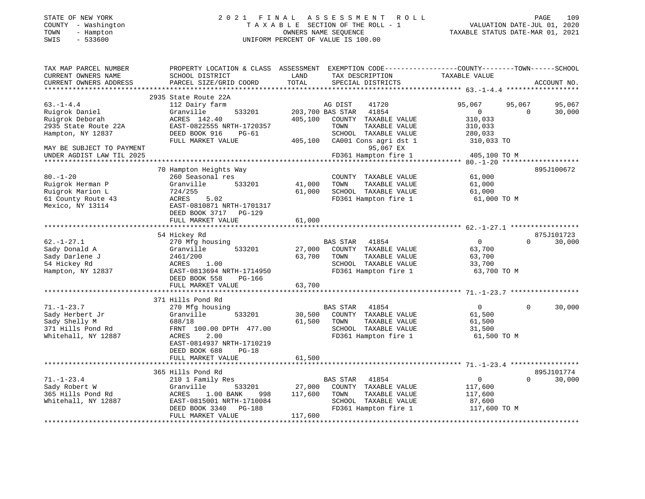### STATE OF NEW YORK 2 0 2 1 F I N A L A S S E S S M E N T R O L L PAGE 109 COUNTY - Washington T A X A B L E SECTION OF THE ROLL - 1 VALUATION DATE-JUL 01, 2020 TOWN - Hampton OWNERS NAME SEQUENCE TAXABLE STATUS DATE-MAR 01, 2021 SWIS - 533600 UNIFORM PERCENT OF VALUE IS 100.00UNIFORM PERCENT OF VALUE IS 100.00

| TAX MAP PARCEL NUMBER     | PROPERTY LOCATION & CLASS ASSESSMENT |         | EXEMPTION CODE-----------------COUNTY-------TOWN------SCHOOL |                  |                    |
|---------------------------|--------------------------------------|---------|--------------------------------------------------------------|------------------|--------------------|
| CURRENT OWNERS NAME       | SCHOOL DISTRICT                      | LAND    | TAX DESCRIPTION                                              | TAXABLE VALUE    |                    |
| CURRENT OWNERS ADDRESS    | PARCEL SIZE/GRID COORD               | TOTAL   | SPECIAL DISTRICTS                                            |                  | ACCOUNT NO.        |
| ************************* |                                      |         |                                                              |                  |                    |
|                           | 2935 State Route 22A                 |         |                                                              |                  |                    |
| $63. - 1 - 4.4$           | 112 Dairy farm                       |         | AG DIST<br>41720                                             | 95,067<br>95,067 | 95,067             |
| Ruigrok Daniel            | Granville<br>533201                  |         | 203,700 BAS STAR<br>41854                                    | $\Omega$         | $\Omega$<br>30,000 |
| Ruigrok Deborah           | ACRES 142.40                         | 405,100 | COUNTY TAXABLE VALUE                                         | 310,033          |                    |
| 2935 State Route 22A      | EAST-0822555 NRTH-1720357            |         | TOWN<br>TAXABLE VALUE                                        | 310,033          |                    |
| Hampton, NY 12837         | DEED BOOK 916<br>$PG-61$             |         | SCHOOL TAXABLE VALUE                                         | 280,033          |                    |
|                           | FULL MARKET VALUE                    | 405,100 | CA001 Cons agri dst 1                                        | 310,033 TO       |                    |
| MAY BE SUBJECT TO PAYMENT |                                      |         | 95,067 EX                                                    |                  |                    |
| UNDER AGDIST LAW TIL 2025 |                                      |         | FD361 Hampton fire 1                                         | 405,100 TO M     |                    |
| *************             | *********************                |         |                                                              | ****** 80.-1-20  |                    |
|                           | 70 Hampton Heights Way               |         |                                                              |                  | 895J100672         |
| $80. - 1 - 20$            | 260 Seasonal res                     |         | COUNTY TAXABLE VALUE                                         | 61,000           |                    |
| Ruigrok Herman P          | Granville<br>533201                  | 41,000  | TOWN<br>TAXABLE VALUE                                        | 61,000           |                    |
| Ruigrok Marion L          | 724/255                              | 61,000  | SCHOOL TAXABLE VALUE                                         | 61,000           |                    |
| 61 County Route 43        | ACRES<br>5.02                        |         | FD361 Hampton fire 1                                         | 61,000 TO M      |                    |
| Mexico, NY 13114          | EAST-0810871 NRTH-1701317            |         |                                                              |                  |                    |
|                           | DEED BOOK 3717 PG-129                |         |                                                              |                  |                    |
|                           | FULL MARKET VALUE                    | 61,000  |                                                              |                  |                    |
|                           |                                      |         |                                                              |                  |                    |
|                           | 54 Hickey Rd                         |         |                                                              |                  | 875J101723         |
| $62. - 1 - 27.1$          | 270 Mfg housing                      |         | <b>BAS STAR</b><br>41854                                     | $\overline{0}$   | $\Omega$<br>30,000 |
| Sady Donald A             | Granville<br>533201                  | 27,000  | COUNTY TAXABLE VALUE                                         | 63,700           |                    |
| Sady Darlene J            | 2461/200                             | 63,700  | TOWN<br>TAXABLE VALUE                                        | 63,700           |                    |
| 54 Hickey Rd              | ACRES<br>1.00                        |         | SCHOOL TAXABLE VALUE                                         | 33,700           |                    |
| Hampton, NY 12837         | EAST-0813694 NRTH-1714950            |         | FD361 Hampton fire 1                                         | 63,700 TO M      |                    |
|                           | DEED BOOK 558<br><b>PG-166</b>       |         |                                                              |                  |                    |
|                           | FULL MARKET VALUE                    | 63,700  |                                                              |                  |                    |
|                           | ************************             |         |                                                              |                  |                    |
|                           | 371 Hills Pond Rd                    |         |                                                              |                  |                    |
| $71. - 1 - 23.7$          | 270 Mfg housing                      |         | <b>BAS STAR</b><br>41854                                     | $\overline{0}$   | 30,000<br>$\Omega$ |
| Sady Herbert Jr           | 533201<br>Granville                  | 30,500  | COUNTY TAXABLE VALUE                                         | 61,500           |                    |
| Sady Shelly M             | 688/18                               | 61,500  | TOWN<br>TAXABLE VALUE                                        | 61,500           |                    |
| 371 Hills Pond Rd         | FRNT 100.00 DPTH 477.00              |         | SCHOOL TAXABLE VALUE                                         | 31,500           |                    |
| Whitehall, NY 12887       | <b>ACRES</b><br>2.00                 |         | FD361 Hampton fire 1                                         | 61,500 TO M      |                    |
|                           | EAST-0814937 NRTH-1710219            |         |                                                              |                  |                    |
|                           | DEED BOOK 688<br>$PG-18$             |         |                                                              |                  |                    |
|                           | FULL MARKET VALUE                    | 61,500  |                                                              |                  |                    |
|                           |                                      |         |                                                              |                  |                    |
|                           | 365 Hills Pond Rd                    |         |                                                              |                  | 895J101774         |
| $71. - 1 - 23.4$          | 210 1 Family Res                     |         | <b>BAS STAR</b><br>41854                                     | 0                | $\Omega$<br>30,000 |
| Sady Robert W             | 533201<br>Granville                  | 27,000  | COUNTY TAXABLE VALUE                                         | 117,600          |                    |
| 365 Hills Pond Rd         | 1.00 BANK<br>ACRES<br>998            | 117,600 | TOWN<br>TAXABLE VALUE                                        | 117,600          |                    |
| Whitehall, NY 12887       | EAST-0815001 NRTH-1710084            |         | SCHOOL TAXABLE VALUE                                         | 87,600           |                    |
|                           | DEED BOOK 3340<br>PG-188             |         | FD361 Hampton fire 1                                         | 117,600 TO M     |                    |
|                           | FULL MARKET VALUE                    | 117,600 |                                                              |                  |                    |
|                           | ***********************              |         |                                                              |                  |                    |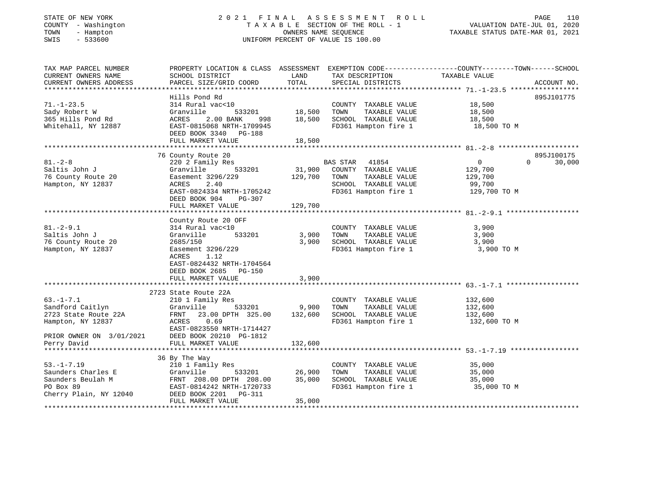### STATE OF NEW YORK 2 0 2 1 F I N A L A S S E S S M E N T R O L L PAGE 110 COUNTY - Washington T A X A B L E SECTION OF THE ROLL - 1 VALUATION DATE-JUL 01, 2020 TOWN - Hampton OWNERS NAME SEQUENCE TAXABLE STATUS DATE-MAR 01, 2021 SWIS - 533600 UNIFORM PERCENT OF VALUE IS 100.00UNIFORM PERCENT OF VALUE IS 100.00

| TAX MAP PARCEL NUMBER<br>CURRENT OWNERS NAME | PROPERTY LOCATION & CLASS ASSESSMENT<br>SCHOOL DISTRICT | LAND    | TAX DESCRIPTION TAXABLE VALUE | EXEMPTION CODE-----------------COUNTY-------TOWN------SCHOOL |                        |
|----------------------------------------------|---------------------------------------------------------|---------|-------------------------------|--------------------------------------------------------------|------------------------|
| CURRENT OWNERS ADDRESS                       | PARCEL SIZE/GRID COORD                                  | TOTAL   | SPECIAL DISTRICTS             |                                                              | ACCOUNT NO.            |
|                                              | Hills Pond Rd                                           |         |                               |                                                              | 895J101775             |
| $71. - 1 - 23.5$                             | 314 Rural vac<10                                        |         | COUNTY TAXABLE VALUE          | 18,500                                                       |                        |
| Sady Robert W                                | 533201<br>Granville                                     | 18,500  | TOWN<br>TAXABLE VALUE         | 18,500                                                       |                        |
| 365 Hills Pond Rd                            | ACRES<br>2.00 BANK<br>998                               | 18,500  | SCHOOL TAXABLE VALUE          | 18,500                                                       |                        |
| Whitehall, NY 12887                          | EAST-0815068 NRTH-1709945                               |         | FD361 Hampton fire 1          | 18,500 TO M                                                  |                        |
|                                              | DEED BOOK 3340 PG-188                                   |         |                               |                                                              |                        |
|                                              | FULL MARKET VALUE                                       | 18,500  |                               |                                                              |                        |
|                                              |                                                         |         |                               |                                                              |                        |
|                                              | 76 County Route 20                                      |         |                               | $\overline{0}$                                               | 895J100175<br>$\Omega$ |
| $81 - 2 - 8$                                 | 220 2 Family Res                                        |         | BAS STAR 41854                |                                                              | 30,000                 |
| Saltis John J                                | Granville<br>533201                                     | 31,900  | COUNTY TAXABLE VALUE          | 129,700                                                      |                        |
| 76 County Route 20                           | Easement 3296/229                                       | 129,700 | TOWN<br>TAXABLE VALUE         | 129,700                                                      |                        |
| Hampton, NY 12837                            | ACRES<br>2.40                                           |         | SCHOOL TAXABLE VALUE          | 99,700                                                       |                        |
|                                              | EAST-0824334 NRTH-1705242                               |         | FD361 Hampton fire 1          | 129,700 TO M                                                 |                        |
|                                              | DEED BOOK 904<br>PG-307                                 |         |                               |                                                              |                        |
|                                              | FULL MARKET VALUE                                       | 129,700 |                               |                                                              |                        |
|                                              |                                                         |         |                               |                                                              |                        |
|                                              | County Route 20 OFF                                     |         |                               |                                                              |                        |
| $81 - 2 - 9.1$                               | 314 Rural vac<10                                        |         | COUNTY TAXABLE VALUE          | 3,900                                                        |                        |
| Saltis John J                                | 533201<br>Granville                                     | 3,900   | TAXABLE VALUE<br>TOWN         | 3,900                                                        |                        |
| 76 County Route 20                           | 2685/150                                                | 3,900   | SCHOOL TAXABLE VALUE          | 3,900                                                        |                        |
| Hampton, NY 12837                            | Easement 3296/229                                       |         | FD361 Hampton fire 1          | 3,900 TO M                                                   |                        |
|                                              | ACRES<br>1.12                                           |         |                               |                                                              |                        |
|                                              | EAST-0824432 NRTH-1704564                               |         |                               |                                                              |                        |
|                                              | DEED BOOK 2685 PG-150                                   |         |                               |                                                              |                        |
|                                              | FULL MARKET VALUE                                       | 3,900   |                               |                                                              |                        |
|                                              |                                                         |         |                               |                                                              |                        |
|                                              | 2723 State Route 22A                                    |         |                               |                                                              |                        |
| $63. - 1 - 7.1$                              | 210 1 Family Res                                        |         | COUNTY TAXABLE VALUE          | 132,600                                                      |                        |
| Sandford Caitlyn                             | Granville<br>533201                                     | 9,900   | TAXABLE VALUE<br>TOWN         | 132,600                                                      |                        |
| 2723 State Route 22A                         | 23.00 DPTH 325.00<br>FRNT                               | 132,600 | SCHOOL TAXABLE VALUE          | 132,600                                                      |                        |
| Hampton, NY 12837                            | ACRES 0.69                                              |         | FD361 Hampton fire 1          | 132,600 TO M                                                 |                        |
|                                              | EAST-0823550 NRTH-1714427                               |         |                               |                                                              |                        |
| PRIOR OWNER ON 3/01/2021                     | DEED BOOK 20210 PG-1812                                 |         |                               |                                                              |                        |
| Perry David                                  | FULL MARKET VALUE                                       | 132,600 |                               |                                                              |                        |
|                                              |                                                         |         |                               |                                                              |                        |
|                                              | 36 By The Way                                           |         |                               |                                                              |                        |
| $53. - 1 - 7.19$                             | 210 1 Family Res                                        |         | COUNTY TAXABLE VALUE          | 35,000                                                       |                        |
| Saunders Charles E                           | Granville<br>533201                                     | 26,900  | TAXABLE VALUE<br>TOWN         | 35,000                                                       |                        |
| Saunders Beulah M                            | FRNT 208.00 DPTH 208.00                                 | 35,000  | SCHOOL TAXABLE VALUE          | 35,000                                                       |                        |
| PO Box 89                                    | EAST-0814242 NRTH-1720733                               |         | FD361 Hampton fire 1          | 35,000 TO M                                                  |                        |
| Cherry Plain, NY 12040                       | DEED BOOK 2201<br>PG-311                                |         |                               |                                                              |                        |
|                                              | FULL MARKET VALUE                                       | 35,000  |                               |                                                              |                        |
|                                              |                                                         |         |                               |                                                              |                        |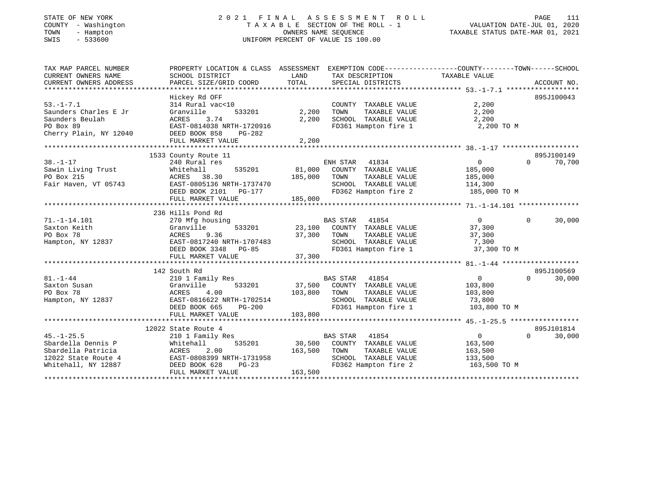## STATE OF NEW YORK 2 0 2 1 F I N A L A S S E S S M E N T R O L L PAGE 111 COUNTY - Washington T A X A B L E SECTION OF THE ROLL - 1 VALUATION DATE-JUL 01, 2020 TOWN - Hampton OWNERS NAME SEQUENCE TAXABLE STATUS DATE-MAR 01, 2021 SWIS - 533600 UNIFORM PERCENT OF VALUE IS 100.00UNIFORM PERCENT OF VALUE IS 100.00

| TAX MAP PARCEL NUMBER<br>CURRENT OWNERS NAME<br>CURRENT OWNERS ADDRESS                                     | PROPERTY LOCATION & CLASS ASSESSMENT<br>SCHOOL DISTRICT<br>PARCEL SIZE/GRID COORD                                                                             | LAND<br>TAX DESCRIPTION<br>TOTAL<br>SPECIAL DISTRICTS                                                                                                  | EXEMPTION CODE-----------------COUNTY-------TOWN------SCHOOL<br>TAXABLE VALUE<br>ACCOUNT NO.        |
|------------------------------------------------------------------------------------------------------------|---------------------------------------------------------------------------------------------------------------------------------------------------------------|--------------------------------------------------------------------------------------------------------------------------------------------------------|-----------------------------------------------------------------------------------------------------|
| $53. - 1 - 7.1$<br>Saunders Charles E Jr<br>Saunders Beulah<br>PO Box 89<br>Cherry Plain, NY 12040         | Hickey Rd OFF<br>314 Rural vac<10<br>533201<br>Granville<br>3.74<br>ACRES<br>EAST-0814038 NRTH-1720916<br>DEED BOOK 858<br>PG-282<br>FULL MARKET VALUE        | COUNTY TAXABLE VALUE<br>2,200<br>TOWN<br>TAXABLE VALUE<br>2,200<br>SCHOOL TAXABLE VALUE<br>FD361 Hampton fire 1<br>2,200                               | 895J100043<br>2,200<br>2,200<br>2,200<br>2,200 TO M                                                 |
| $38. - 1 - 17$<br>Sawin Living Trust<br>PO Box 215<br>Fair Haven, VT 05743                                 | 1533 County Route 11<br>240 Rural res<br>Whitehall<br>535201<br>ACRES 38.30<br>EAST-0805136 NRTH-1737470<br>DEED BOOK 2101<br>PG-177<br>FULL MARKET VALUE     | ENH STAR<br>41834<br>81,000<br>COUNTY TAXABLE VALUE<br>185,000<br>TOWN<br>TAXABLE VALUE<br>SCHOOL TAXABLE VALUE<br>FD362 Hampton fire 2<br>185,000     | 895J100149<br>$\overline{0}$<br>$\Omega$<br>70,700<br>185,000<br>185,000<br>114,300<br>185,000 TO M |
| $71. - 1 - 14.101$<br>Saxton Keith<br>PO Box 78<br>Hampton, NY 12837                                       | 236 Hills Pond Rd<br>270 Mfg housing<br>533201<br>Granville<br>9.36<br>ACRES<br>EAST-0817240 NRTH-1707483<br>DEED BOOK 3348 PG-85<br>FULL MARKET VALUE        | BAS STAR 41854<br>23,100 COUNTY TAXABLE VALUE<br>37,300<br>TOWN<br>TAXABLE VALUE<br>SCHOOL TAXABLE VALUE<br>FD361 Hampton fire 1<br>37,300             | $\overline{0}$<br>$\Omega$<br>30,000<br>37,300<br>37,300<br>7,300<br>37,300 TO M                    |
| $81. - 1 - 44$<br>Saxton Susan<br>PO Box 78<br>Hampton, NY 12837                                           | 142 South Rd<br>210 1 Family Res<br>533201<br>Granville<br>ACRES<br>4.00<br>EAST-0816622 NRTH-1702514<br>$PG-200$<br>DEED BOOK 665<br>FULL MARKET VALUE       | <b>BAS STAR</b><br>41854<br>37,500 COUNTY TAXABLE VALUE<br>103,800<br>TOWN<br>TAXABLE VALUE<br>SCHOOL TAXABLE VALUE<br>FD361 Hampton fire 1<br>103,800 | 895J100569<br>$\overline{0}$<br>$\Omega$<br>30,000<br>103,800<br>103,800<br>73,800<br>103,800 TO M  |
| $45. - 1 - 25.5$<br>Sbardella Dennis P<br>Sbardella Patricia<br>12022 State Route 4<br>Whitehall, NY 12887 | 12022 State Route 4<br>210 1 Family Res<br>535201<br>Whitehall<br>2.00<br>ACRES<br>EAST-0808399 NRTH-1731958<br>DEED BOOK 628<br>$PG-23$<br>FULL MARKET VALUE | <b>BAS STAR</b><br>41854<br>30,500 COUNTY TAXABLE VALUE<br>163,500<br>TOWN<br>TAXABLE VALUE<br>SCHOOL TAXABLE VALUE<br>FD362 Hampton fire 2<br>163,500 | 895J101814<br>$\overline{0}$<br>$\Omega$<br>30,000<br>163,500<br>163,500<br>133,500<br>163,500 TO M |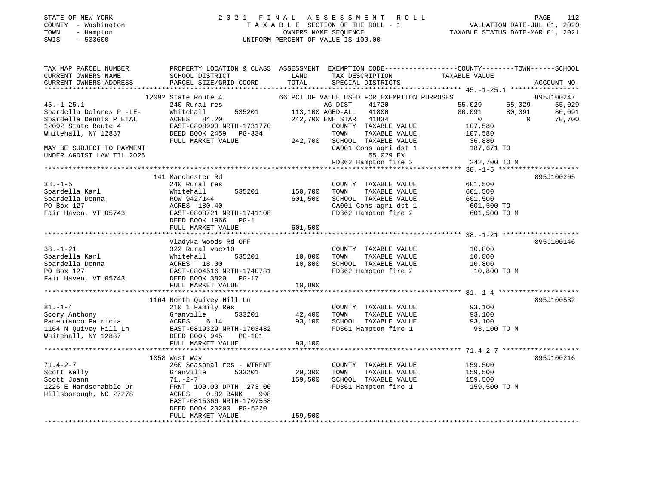# STATE OF NEW YORK 2 0 2 1 F I N A L A S S E S S M E N T R O L L PAGE 112 COUNTY - Washington T A X A B L E SECTION OF THE ROLL - 1 VALUATION DATE-JUL 01, 2020 TOWN - Hampton OWNERS NAME SEQUENCE TAXABLE STATUS DATE-MAR 01, 2021 SWIS - 533600 UNIFORM PERCENT OF VALUE IS 100.00

| TAX MAP PARCEL NUMBER                               |                                             |         |                                               | PROPERTY LOCATION & CLASS ASSESSMENT EXEMPTION CODE----------------COUNTY-------TOWN------SCHOOL |                  |
|-----------------------------------------------------|---------------------------------------------|---------|-----------------------------------------------|--------------------------------------------------------------------------------------------------|------------------|
| CURRENT OWNERS NAME                                 | SCHOOL DISTRICT                             | LAND    | TAX DESCRIPTION                               | TAXABLE VALUE                                                                                    |                  |
| CURRENT OWNERS ADDRESS                              | PARCEL SIZE/GRID COORD                      | TOTAL   | SPECIAL DISTRICTS                             |                                                                                                  | ACCOUNT NO.      |
|                                                     |                                             |         |                                               |                                                                                                  |                  |
|                                                     | 12092 State Route 4                         |         | 66 PCT OF VALUE USED FOR EXEMPTION PURPOSES   |                                                                                                  | 895J100247       |
| $45. - 1 - 25.1$                                    | 240 Rural res                               |         | AG DIST<br>41720<br>41800                     | 55,029<br>55,029                                                                                 | 55,029<br>80,091 |
| Sbardella Dolores P -LE-<br>Sbardella Dennis P ETAL | Whitehall<br>535201                         |         | 113,100 AGED-ALL                              | 80,091<br>80,091<br>$\mathbf 0$<br>$\Omega$                                                      |                  |
| 12092 State Route 4                                 | ACRES<br>84.20<br>EAST-0808990 NRTH-1731770 |         | 242,700 ENH STAR<br>41834                     |                                                                                                  | 70,700           |
| Whitehall, NY 12887                                 | DEED BOOK 2459 PG-334                       |         | COUNTY TAXABLE VALUE<br>TOWN<br>TAXABLE VALUE | 107,580<br>107,580                                                                               |                  |
|                                                     | FULL MARKET VALUE                           | 242,700 | SCHOOL TAXABLE VALUE                          | 36,880                                                                                           |                  |
| MAY BE SUBJECT TO PAYMENT                           |                                             |         | CA001 Cons agri dst 1                         | 187,671 TO                                                                                       |                  |
| UNDER AGDIST LAW TIL 2025                           |                                             |         | 55,029 EX                                     |                                                                                                  |                  |
|                                                     |                                             |         | FD362 Hampton fire 2                          | 242,700 TO M                                                                                     |                  |
|                                                     |                                             |         |                                               |                                                                                                  |                  |
|                                                     | 141 Manchester Rd                           |         |                                               |                                                                                                  | 895J100205       |
| $38. - 1 - 5$                                       | 240 Rural res                               |         | COUNTY TAXABLE VALUE                          | 601,500                                                                                          |                  |
| Sbardella Karl                                      | 535201<br>Whitehall                         | 150,700 | TAXABLE VALUE<br>TOWN                         | 601,500                                                                                          |                  |
| Sbardella Donna                                     | ROW 942/144                                 | 601,500 | SCHOOL TAXABLE VALUE                          | 601,500                                                                                          |                  |
| PO Box 127                                          | ACRES 180.40                                |         | CA001 Cons agri dst 1                         | 601,500 TO                                                                                       |                  |
| Fair Haven, VT 05743                                | EAST-0808721 NRTH-1741108                   |         | FD362 Hampton fire 2                          | 601,500 TO M                                                                                     |                  |
|                                                     | DEED BOOK 1966<br>$PG-1$                    |         |                                               |                                                                                                  |                  |
|                                                     | FULL MARKET VALUE                           | 601,500 |                                               |                                                                                                  |                  |
|                                                     |                                             |         |                                               |                                                                                                  |                  |
|                                                     | Vladyka Woods Rd OFF                        |         |                                               |                                                                                                  | 895J100146       |
| $38. - 1 - 21$                                      | 322 Rural vac>10                            |         | COUNTY TAXABLE VALUE                          | 10,800                                                                                           |                  |
| Sbardella Karl                                      | 535201<br>Whitehall                         | 10,800  | TOWN<br>TAXABLE VALUE                         | 10,800                                                                                           |                  |
| Sbardella Donna                                     | ACRES<br>18.00                              | 10,800  | SCHOOL TAXABLE VALUE                          | 10,800                                                                                           |                  |
| PO Box 127                                          | EAST-0804516 NRTH-1740781                   |         | FD362 Hampton fire 2                          | 10,800 TO M                                                                                      |                  |
| Fair Haven, VT 05743                                | DEED BOOK 3820 PG-17                        |         |                                               |                                                                                                  |                  |
|                                                     | FULL MARKET VALUE                           | 10,800  |                                               |                                                                                                  |                  |
|                                                     |                                             |         |                                               |                                                                                                  |                  |
|                                                     | 1164 North Quivey Hill Ln                   |         |                                               |                                                                                                  | 895J100532       |
| $81. - 1 - 4$                                       | 210 1 Family Res                            |         | COUNTY TAXABLE VALUE                          | 93,100                                                                                           |                  |
| Scory Anthony                                       | Granville<br>533201                         | 42,400  | TOWN<br>TAXABLE VALUE                         | 93,100                                                                                           |                  |
| Panebianco Patricia                                 | 6.14<br>ACRES                               | 93,100  | SCHOOL TAXABLE VALUE                          | 93,100                                                                                           |                  |
| 1164 N Quivey Hill Ln                               | EAST-0819329 NRTH-1703482                   |         | FD361 Hampton fire 1                          | 93,100 TO M                                                                                      |                  |
| Whitehall, NY 12887                                 | DEED BOOK 945<br><b>PG-101</b>              |         |                                               |                                                                                                  |                  |
|                                                     | FULL MARKET VALUE                           | 93,100  |                                               |                                                                                                  |                  |
|                                                     |                                             |         |                                               |                                                                                                  |                  |
| $71.4 - 2 - 7$                                      | 1058 West Way                               |         |                                               |                                                                                                  | 895J100216       |
|                                                     | 260 Seasonal res - WTRFNT                   |         | COUNTY TAXABLE VALUE                          | 159,500                                                                                          |                  |
| Scott Kelly                                         | 533201<br>Granville                         | 29,300  | TOWN<br>TAXABLE VALUE<br>SCHOOL TAXABLE VALUE | 159,500                                                                                          |                  |
| Scott Joann<br>1226 E Hardscrabble Dr               | $71. - 2 - 7$<br>FRNT 100.00 DPTH 273.00    | 159,500 | FD361 Hampton fire 1                          | 159,500<br>159,500 TO M                                                                          |                  |
| Hillsborough, NC 27278                              | <b>ACRES</b><br>$0.82$ BANK<br>998          |         |                                               |                                                                                                  |                  |
|                                                     | EAST-0815366 NRTH-1707558                   |         |                                               |                                                                                                  |                  |
|                                                     | DEED BOOK 20200 PG-5220                     |         |                                               |                                                                                                  |                  |
|                                                     | FULL MARKET VALUE                           | 159,500 |                                               |                                                                                                  |                  |
|                                                     |                                             |         |                                               |                                                                                                  |                  |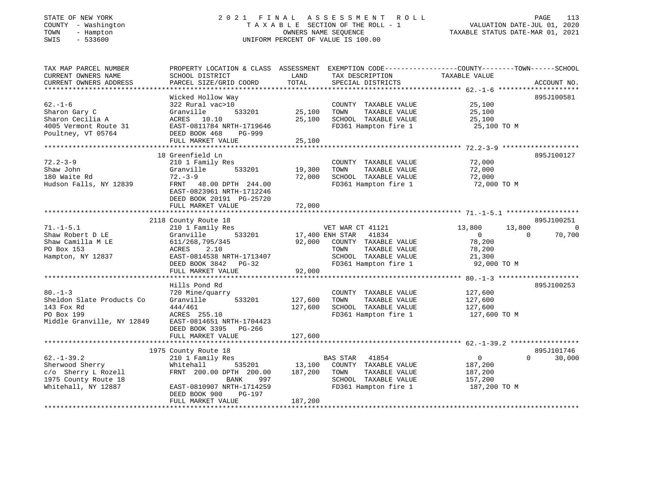### STATE OF NEW YORK 2 0 2 1 F I N A L A S S E S S M E N T R O L L PAGE 113 COUNTY - Washington T A X A B L E SECTION OF THE ROLL - 1 VALUATION DATE-JUL 01, 2020 TOWN - Hampton OWNERS NAME SEQUENCE TAXABLE STATUS DATE-MAR 01, 2021 SWIS - 533600 UNIFORM PERCENT OF VALUE IS 100.00UNIFORM PERCENT OF VALUE IS 100.00

| TAX MAP PARCEL NUMBER<br>CURRENT OWNERS NAME<br>CURRENT OWNERS ADDRESS                                    | SCHOOL DISTRICT<br>PARCEL SIZE/GRID COORD                                                                                                                                                     | LAND<br>TAX DESCRIPTION<br>TOTAL<br>SPECIAL DISTRICTS                                                                                                             | PROPERTY LOCATION & CLASS ASSESSMENT EXEMPTION CODE----------------COUNTY-------TOWN------SCHOOL<br>TAXABLE VALUE<br>ACCOUNT NO.      |
|-----------------------------------------------------------------------------------------------------------|-----------------------------------------------------------------------------------------------------------------------------------------------------------------------------------------------|-------------------------------------------------------------------------------------------------------------------------------------------------------------------|---------------------------------------------------------------------------------------------------------------------------------------|
| $62. - 1 - 6$<br>Sharon Gary C<br>Sharon Cecilia A<br>4005 Vermont Route 31<br>Poultney, VT 05764         | Wicked Hollow Way<br>322 Rural vac>10<br>533201<br>Granville<br>ACRES 10.10<br>EAST-0811784 NRTH-1719646<br>DEED BOOK 468<br>PG-999<br>FULL MARKET VALUE                                      | COUNTY TAXABLE VALUE<br>25,100<br>TAXABLE VALUE<br>TOWN<br>25,100<br>SCHOOL TAXABLE VALUE<br>FD361 Hampton fire 1<br>25,100                                       | 895J100581<br>25,100<br>25,100<br>25,100<br>25,100 TO M                                                                               |
| $72.2 - 3 - 9$<br>Shaw John<br>180 Waite Rd<br>Hudson Falls, NY 12839                                     | 18 Greenfield Ln<br>210 1 Family Res<br>Granville<br>533201<br>$72. - 3 - 9$<br>FRNT 48.00 DPTH 244.00<br>EAST-0823961 NRTH-1712246<br>DEED BOOK 20191 PG-25720<br>FULL MARKET VALUE          | COUNTY TAXABLE VALUE<br>19,300<br>TOWN<br>TAXABLE VALUE<br>72,000<br>SCHOOL TAXABLE VALUE<br>FD361 Hampton fire 1<br>72,000                                       | 895J100127<br>72,000<br>72,000<br>72,000<br>72,000 TO M                                                                               |
| $71. - 1 - 5.1$<br>Shaw Robert D LE<br>Shaw Camilla M LE<br>PO Box 153<br>Hampton, NY 12837               | 2118 County Route 18<br>210 1 Family Res<br>533201<br>Granville<br>611/268,795/345<br>ACRES<br>2.10<br>EAST-0814538 NRTH-1713407<br>DEED BOOK 3842 PG-32<br>FULL MARKET VALUE                 | VET WAR CT 41121<br>17,400 ENH STAR<br>41834<br>92,000<br>COUNTY TAXABLE VALUE<br>TOWN<br>TAXABLE VALUE<br>SCHOOL TAXABLE VALUE<br>FD361 Hampton fire 1<br>92,000 | 895J100251<br>13,800<br>13,800<br>$\overline{0}$<br>70,700<br>$\Omega$<br>$\overline{0}$<br>78,200<br>78,200<br>21,300<br>92,000 TO M |
| $80 - 1 - 3$<br>Sheldon Slate Products Co<br>143 Fox Rd<br>PO Box 199<br>Middle Granville, NY 12849       | Hills Pond Rd<br>720 Mine/quarry<br>533201<br>Granville<br>444/461<br>ACRES 255.10<br>EAST-0814651 NRTH-1704423<br>DEED BOOK 3395 PG-266<br>FULL MARKET VALUE                                 | COUNTY TAXABLE VALUE<br>127,600<br>TAXABLE VALUE<br>TOWN<br>127,600<br>SCHOOL TAXABLE VALUE<br>FD361 Hampton fire 1<br>127,600                                    | 895J100253<br>127,600<br>127,600<br>127,600<br>127,600 TO M                                                                           |
| $62. - 1 - 39.2$<br>Sherwood Sherry<br>c/o Sherry L Rozell<br>1975 County Route 18<br>Whitehall, NY 12887 | 1975 County Route 18<br>210 1 Family Res<br>535201<br>Whitehall<br>FRNT 200.00 DPTH 200.00<br>997<br><b>BANK</b><br>EAST-0810907 NRTH-1714259<br>DEED BOOK 900<br>PG-197<br>FULL MARKET VALUE | BAS STAR 41854<br>13,100<br>COUNTY TAXABLE VALUE<br>187,200<br>TAXABLE VALUE<br>TOWN<br>SCHOOL TAXABLE VALUE<br>FD361 Hampton fire 1<br>187,200                   | 895J101746<br>$\overline{0}$<br>$\Omega$<br>30,000<br>187,200<br>187,200<br>157,200<br>187,200 TO M                                   |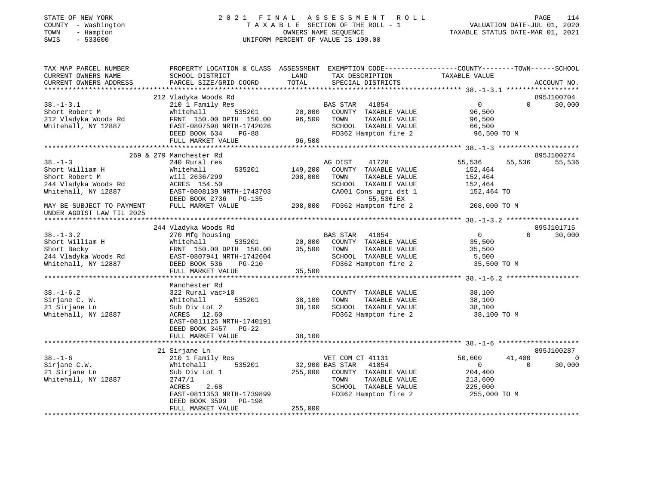| COUNTY - Washington<br>TOWN<br>- Hampton<br>SWIS<br>$-533600$                                                             | TAXABLE SECTION OF THE ROLL - 1<br>OWNERS NAME SEQUENCE<br>UNIFORM PERCENT OF VALUE IS 100.00   |                  |                              | VALUATION DATE-JUL 01, 2020<br>TAXABLE STATUS DATE-MAR 01, 2021 |                          |
|---------------------------------------------------------------------------------------------------------------------------|-------------------------------------------------------------------------------------------------|------------------|------------------------------|-----------------------------------------------------------------|--------------------------|
| TAX MAP PARCEL NUMBER                                                                                                     | PROPERTY LOCATION & CLASS ASSESSMENT EXEMPTION CODE----------------COUNTY-------TOWN-----SCHOOL |                  |                              |                                                                 |                          |
| CURRENT OWNERS NAME                                                                                                       | SCHOOL DISTRICT                                                                                 | LAND             | TAX DESCRIPTION              | TAXABLE VALUE                                                   |                          |
| CURRENT OWNERS ADDRESS                                                                                                    | PARCEL SIZE/GRID COORD                                                                          | TOTAL            | SPECIAL DISTRICTS            |                                                                 | ACCOUNT NO.              |
|                                                                                                                           |                                                                                                 |                  |                              |                                                                 |                          |
|                                                                                                                           | 212 Vladyka Woods Rd                                                                            |                  |                              |                                                                 | 895J100704               |
| $38. - 1 - 3.1$                                                                                                           | 210 1 Family Res                                                                                |                  | BAS STAR 41854               | $\overline{0}$                                                  | $\Omega$<br>30,000       |
| Short Robert M                                                                                                            | 535201<br>Whitehall                                                                             | 20,800<br>96,500 | 20,800 COUNTY TAXABLE VALUE  | 96,500                                                          |                          |
| 212 Vladyka Woods Rd                                                                                                      | FRNT 150.00 DPTH 150.00                                                                         |                  | TOWN<br>TAXABLE VALUE        | 96,500                                                          |                          |
| Whitehall, NY 12887                                                                                                       | EAST-0807598 NRTH-1742026                                                                       |                  | SCHOOL TAXABLE VALUE         | 66,500                                                          |                          |
|                                                                                                                           | DEED BOOK 634<br>$PG-88$                                                                        |                  | FD362 Hampton fire 2         | 96,500 TO M                                                     |                          |
|                                                                                                                           | FULL MARKET VALUE                                                                               | 96,500           |                              |                                                                 |                          |
|                                                                                                                           | 269 & 279 Manchester Rd                                                                         |                  |                              |                                                                 | 895J100274               |
| $38 - 1 - 3$                                                                                                              | 240 Rural res                                                                                   |                  | 41720<br>AG DIST             | 55,536                                                          | 55,536<br>55,536         |
| Short William H                                                                                                           | 535201<br>Whitehall                                                                             | 149,200          | COUNTY TAXABLE VALUE         | 152,464                                                         |                          |
| Short Robert M                                                                                                            | will 2636/299                                                                                   | 208,000          | TOWN<br>TAXABLE VALUE        | 152,464                                                         |                          |
| 244 Vladyka Woods Rd                                                                                                      | ACRES 154.50                                                                                    |                  | SCHOOL TAXABLE VALUE         | 152,464                                                         |                          |
| Whitehall, NY 12887                                                                                                       | EAST-0808139 NRTH-1743703                                                                       |                  | CA001 Cons agri dst 1        | 152,464 TO                                                      |                          |
|                                                                                                                           | DEED BOOK 2736 PG-135                                                                           |                  | 55,536 EX                    |                                                                 |                          |
| MAY BE SUBJECT TO PAYMENT<br>UNDER AGDIST LAW TIL 2025                                                                    | FULL MARKET VALUE                                                                               |                  | 208,000 FD362 Hampton fire 2 | 208,000 TO M                                                    |                          |
|                                                                                                                           |                                                                                                 |                  |                              |                                                                 |                          |
|                                                                                                                           | 244 Vladyka Woods Rd                                                                            |                  |                              |                                                                 | 895J101715               |
| $38. - 1 - 3.2$                                                                                                           | 270 Mfg housing                                                                                 |                  | BAS STAR 41854               | $\overline{0}$                                                  | $\Omega$<br>30,000       |
|                                                                                                                           | 535201                                                                                          |                  | 20,800 COUNTY TAXABLE VALUE  | 35,500                                                          |                          |
|                                                                                                                           | FRNT 150.00 DPTH 150.00                                                                         |                  | 35,500 TOWN<br>TAXABLE VALUE | 35,500                                                          |                          |
| Short William H Mhitehall 535201<br>Short Becky FRNT 150.00 DPTH 150.00<br>244 Vladyka Woods Rd EAST-0807941 NRTH-1742604 |                                                                                                 |                  | SCHOOL TAXABLE VALUE         | 5,500                                                           |                          |
| Whitehall, NY 12887                                                                                                       | DEED BOOK 536 PG-210                                                                            |                  | FD362 Hampton fire 2         | 35,500 TO M                                                     |                          |
|                                                                                                                           | FULL MARKET VALUE                                                                               | 35,500           |                              |                                                                 |                          |
|                                                                                                                           |                                                                                                 |                  |                              |                                                                 |                          |
|                                                                                                                           | Manchester Rd                                                                                   |                  |                              |                                                                 |                          |
| $38. - 1 - 6.2$                                                                                                           | 322 Rural vac>10                                                                                |                  | COUNTY TAXABLE VALUE         | 38,100                                                          |                          |
| Sirjane C. W.                                                                                                             | 535201<br>Whitehall                                                                             | 38,100           | TAXABLE VALUE<br>TOWN        | 38,100                                                          |                          |
| 21 Sirjane Ln                                                                                                             | Sub Div Lot 2                                                                                   | 38,100           | SCHOOL TAXABLE VALUE         | 38,100                                                          |                          |
| Whitehall, NY 12887                                                                                                       | ACRES 12.60<br>EAST-0811125 NRTH-1740191                                                        |                  | FD362 Hampton fire 2         | 38,100 TO M                                                     |                          |
|                                                                                                                           | DEED BOOK 3457 PG-22                                                                            |                  |                              |                                                                 |                          |
|                                                                                                                           | FULL MARKET VALUE                                                                               | 38,100           |                              |                                                                 |                          |
|                                                                                                                           | 21 Sirjane Ln                                                                                   |                  |                              |                                                                 | 895J100287               |
| $38. - 1 - 6$                                                                                                             | 210 1 Family Res                                                                                |                  | VET COM CT 41131             | 50,600                                                          | 41,400<br>$\overline{0}$ |
| Sirjane C.W.                                                                                                              | 535201<br>Whitehall                                                                             |                  | 32,900 BAS STAR 41854        | $\overline{0}$                                                  | $\overline{0}$<br>30,000 |
| 21 Sirjane Ln                                                                                                             | Sub Div Lot 1                                                                                   |                  | 255,000 COUNTY TAXABLE VALUE | 204,400                                                         |                          |
| Whitehall, NY 12887                                                                                                       | 2747/1                                                                                          |                  | TOWN<br>TAXABLE VALUE        | 213,600                                                         |                          |
|                                                                                                                           | ACRES<br>2.68                                                                                   |                  | SCHOOL TAXABLE VALUE         | 225,000                                                         |                          |
|                                                                                                                           | EAST-0811353 NRTH-1739899<br>DEED BOOK 3599 PG-198                                              |                  | FD362 Hampton fire 2         | 255,000 TO M                                                    |                          |
|                                                                                                                           | FULL MARKET VALUE                                                                               | 255,000          |                              |                                                                 |                          |
|                                                                                                                           |                                                                                                 |                  |                              |                                                                 |                          |

STATE OF NEW YORK 2021 FINAL ASSESSMENT ROLL PAGE

114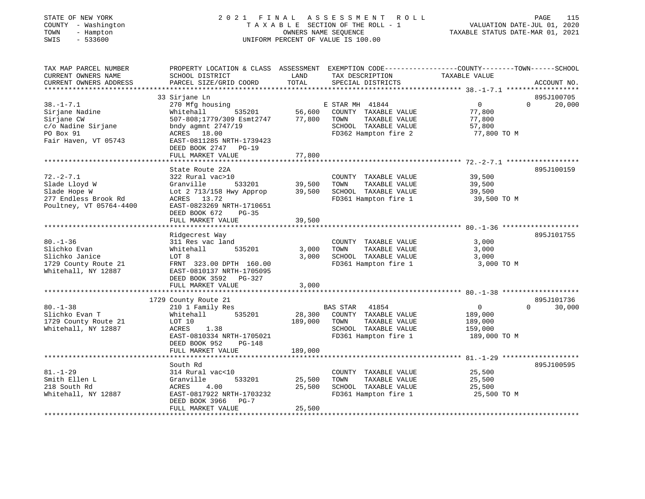### STATE OF NEW YORK 2 0 2 1 F I N A L A S S E S S M E N T R O L L PAGE 115 COUNTY - Washington T A X A B L E SECTION OF THE ROLL - 1 VALUATION DATE-JUL 01, 2020 TOWN - Hampton OWNERS NAME SEQUENCE TAXABLE STATUS DATE-MAR 01, 2021 SWIS - 533600 UNIFORM PERCENT OF VALUE IS 100.00UNIFORM PERCENT OF VALUE IS 100.00

| TAX MAP PARCEL NUMBER<br>CURRENT OWNERS NAME<br>CURRENT OWNERS ADDRESS                                     | PROPERTY LOCATION & CLASS ASSESSMENT EXEMPTION CODE----------------COUNTY-------TOWN------SCHOOL<br>SCHOOL DISTRICT<br>PARCEL SIZE/GRID COORD                            | LAND<br>TOTAL           | TAX DESCRIPTION<br>SPECIAL DISTRICTS                                                                             | TAXABLE VALUE                                                   | ACCOUNT NO.                      |
|------------------------------------------------------------------------------------------------------------|--------------------------------------------------------------------------------------------------------------------------------------------------------------------------|-------------------------|------------------------------------------------------------------------------------------------------------------|-----------------------------------------------------------------|----------------------------------|
|                                                                                                            |                                                                                                                                                                          |                         |                                                                                                                  |                                                                 |                                  |
|                                                                                                            | 33 Sirjane Ln                                                                                                                                                            |                         |                                                                                                                  |                                                                 | 895J100705                       |
| $38. - 1 - 7.1$<br>Sirjane Nadine<br>Sirjane CW<br>c/o Nadine Sirjane<br>PO Box 91<br>Fair Haven, VT 05743 | 270 Mfg housing<br>535201<br>Whitehall<br>507-808;1779/309 Esmt2747<br>bndy agmnt $2747/19$<br>ACRES 18.00<br>EAST-0811285 NRTH-1739423<br>DEED BOOK 2747 PG-19          | 56,600<br>77,800        | E STAR MH 41844<br>COUNTY TAXABLE VALUE<br>TOWN<br>TAXABLE VALUE<br>SCHOOL TAXABLE VALUE<br>FD362 Hampton fire 2 | $\overline{0}$<br>77,800<br>77,800<br>57,800<br>77,800 TO M     | 20,000<br>$\Omega$               |
|                                                                                                            | FULL MARKET VALUE                                                                                                                                                        | 77,800                  |                                                                                                                  |                                                                 |                                  |
| $72. - 2 - 7.1$<br>Slade Lloyd W                                                                           | State Route 22A<br>322 Rural vac>10<br>533201<br>Granville                                                                                                               | 39,500                  | COUNTY TAXABLE VALUE<br>TAXABLE VALUE<br>TOWN                                                                    | 39,500<br>39,500                                                | 895J100159                       |
| Slade Hope W<br>277 Endless Brook Rd<br>Poultney, VT 05764-4400                                            | Lot 2 713/158 Hwy Approp<br>ACRES 13.72<br>EAST-0823269 NRTH-1710651<br>DEED BOOK 672<br>$PG-35$                                                                         | 39,500                  | SCHOOL TAXABLE VALUE<br>FD361 Hampton fire 1                                                                     | 39,500<br>39,500 TO M                                           |                                  |
|                                                                                                            | FULL MARKET VALUE                                                                                                                                                        | 39,500                  |                                                                                                                  |                                                                 |                                  |
|                                                                                                            |                                                                                                                                                                          |                         |                                                                                                                  |                                                                 |                                  |
| $80. - 1 - 36$<br>Slichko Evan<br>Slichko Janice<br>1729 County Route 21<br>Whitehall, NY 12887            | Ridgecrest Way<br>311 Res vac land<br>Whitehall<br>535201<br>LOT 8<br>FRNT 323.00 DPTH 160.00<br>EAST-0810137 NRTH-1705095<br>DEED BOOK 3592 PG-327<br>FULL MARKET VALUE | 3,000<br>3,000<br>3,000 | COUNTY TAXABLE VALUE<br>TAXABLE VALUE<br>TOWN<br>SCHOOL TAXABLE VALUE<br>FD361 Hampton fire 1                    | 3,000<br>3,000<br>3,000<br>3,000 TO M                           | 895J101755                       |
|                                                                                                            |                                                                                                                                                                          |                         |                                                                                                                  |                                                                 |                                  |
| $80. - 1 - 38$<br>Slichko Evan T<br>1729 County Route 21<br>Whitehall, NY 12887                            | 1729 County Route 21<br>210 1 Family Res<br>535201<br>Whitehall<br>LOT 10<br>ACRES<br>1.38<br>EAST-0810334 NRTH-1705021<br>DEED BOOK 952<br>PG-148                       | 28,300<br>189,000       | BAS STAR 41854<br>COUNTY TAXABLE VALUE<br>TOWN<br>TAXABLE VALUE<br>SCHOOL TAXABLE VALUE<br>FD361 Hampton fire 1  | $\overline{0}$<br>189,000<br>189,000<br>159,000<br>189,000 TO M | 895J101736<br>30,000<br>$\Omega$ |
|                                                                                                            | FULL MARKET VALUE                                                                                                                                                        | 189,000                 |                                                                                                                  |                                                                 |                                  |
| $81. - 1 - 29$                                                                                             | South Rd<br>314 Rural vac<10                                                                                                                                             |                         | COUNTY TAXABLE VALUE                                                                                             | 25,500                                                          | 895J100595                       |
| Smith Ellen L<br>218 South Rd<br>Whitehall, NY 12887                                                       | Granville<br>533201<br>ACRES<br>4.00<br>EAST-0817922 NRTH-1703232<br>DEED BOOK 3966<br>$PG-7$                                                                            | 25,500<br>25,500        | TAXABLE VALUE<br>TOWN<br>SCHOOL TAXABLE VALUE<br>FD361 Hampton fire 1                                            | 25,500<br>25,500<br>25,500 TO M                                 |                                  |
|                                                                                                            | FULL MARKET VALUE                                                                                                                                                        | 25,500                  |                                                                                                                  |                                                                 |                                  |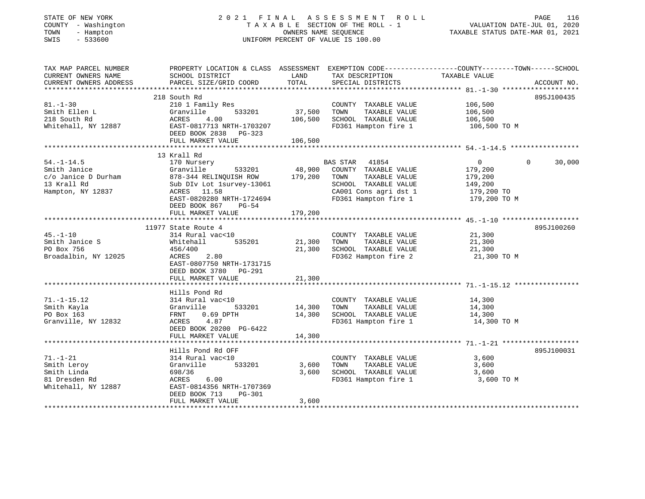| STATE OF NEW YORK |  |                     |  |
|-------------------|--|---------------------|--|
|                   |  | COUNTY - Washington |  |
| TOWN              |  | - Hampton           |  |
|                   |  | ------              |  |

### STATE OF NEW YORK 2 0 2 1 F I N A L A S S E S S M E N T R O L L PAGE 116 COUNTY - Washington T A X A B L E SECTION OF THE ROLL - 1 VALUATION DATE-JUL 01, 2020 TOWN - Hampton OWNERS NAME SEQUENCE TAXABLE STATUS DATE-MAR 01, 2021 SWIS - 533600 UNIFORM PERCENT OF VALUE IS 100.00UNIFORM PERCENT OF VALUE IS 100.00

| TAX MAP PARCEL NUMBER<br>CURRENT OWNERS NAME<br>CURRENT OWNERS ADDRESS                      | PROPERTY LOCATION & CLASS ASSESSMENT EXEMPTION CODE----------------COUNTY-------TOWN------SCHOOL<br>SCHOOL DISTRICT<br>PARCEL SIZE/GRID COORD                                                    | LAND<br>TOTAL                     | TAX DESCRIPTION<br>SPECIAL DISTRICTS                                                                                | TAXABLE VALUE                                                                                      | ACCOUNT NO.        |
|---------------------------------------------------------------------------------------------|--------------------------------------------------------------------------------------------------------------------------------------------------------------------------------------------------|-----------------------------------|---------------------------------------------------------------------------------------------------------------------|----------------------------------------------------------------------------------------------------|--------------------|
| $81. - 1 - 30$<br>Smith Ellen L<br>218 South Rd<br>Whitehall, NY 12887                      | 218 South Rd<br>210 1 Family Res<br>533201<br>Granville<br>4.00<br>ACRES<br>ACRES     4.00<br>EAST-0817713 NRTH-1703207<br>DEED BOOK 2838 PG-323<br>FULL MARKET VALUE                            | 37,500<br>106,500<br>106,500      | COUNTY TAXABLE VALUE<br>TAXABLE VALUE<br>TOWN<br>SCHOOL TAXABLE VALUE<br>FD361 Hampton fire 1                       | 106,500<br>106,500<br>106,500<br>106,500 TO M                                                      | 895J100435         |
| $54. - 1 - 14.5$<br>Smith Janice<br>c/o Janice D Durham<br>13 Krall Rd<br>Hampton, NY 12837 | 13 Krall Rd<br>170 Nursery<br>Granville<br>533201<br>878-344 RELINQUISH ROW<br>Sub DIv Lot 1survey-13061<br>ACRES 11.58<br>EAST-0820280 NRTH-1724694<br>DEED BOOK 867 PG-54<br>FULL MARKET VALUE | 48,900<br>179,200<br>179,200      | BAS STAR<br>41854<br>COUNTY TAXABLE VALUE<br>TAXABLE VALUE<br>TOWN<br>SCHOOL TAXABLE VALUE<br>CA001 Cons agri dst 1 | $\overline{0}$<br>179,200<br>179,200<br>149,200<br>179,200 TO<br>FD361 Hampton fire 1 179,200 TO M | $\Omega$<br>30,000 |
| $45. - 1 - 10$<br>Smith Janice S<br>PO Box 756<br>Broadalbin, NY 12025                      | 11977 State Route 4<br>314 Rural vac<10<br>Whitehall<br>456/400<br>2.80<br>ACRES<br>EAST-0807750 NRTH-1731715<br>DEED BOOK 3780 PG-291<br>FULL MARKET VALUE                                      | 535201 21,300<br>21,300           | COUNTY TAXABLE VALUE<br>TAXABLE VALUE<br>TOWN<br>21,300 SCHOOL TAXABLE VALUE<br>FD362 Hampton fire 2                | $\frac{21,300}{21}$<br>21,300<br>21,300 TO M                                                       | 895J100260         |
| $71. - 1 - 15.12$<br>Smith Kayla<br>PO Box 163<br>Granville, NY 12832                       | Hills Pond Rd<br>314 Rural vac<10<br>Granville<br>$0.69$ DPTH<br>FRNT<br>ACRES 4.87<br>DEED BOOK 20200 PG-6422<br>FULL MARKET VALUE                                                              | 533201 14,300<br>14,300<br>14,300 | COUNTY TAXABLE VALUE<br>TAXABLE VALUE<br>TOWN<br>SCHOOL TAXABLE VALUE<br>FD361 Hampton fire 1                       | 14,300<br>14,300<br>14,300<br>14,300 TO M                                                          |                    |
| $71. - 1 - 21$<br>Smith Leroy<br>Smith Linda<br>81 Dresden Rd<br>Whitehall, NY 12887        | Hills Pond Rd OFF<br>314 Rural vac<10<br>533201<br>Granville<br>698/36<br>6.00<br>ACRES<br>EAST-0814356 NRTH-1707369<br>DEED BOOK 713<br>PG-301<br>FULL MARKET VALUE                             | 3,600<br>3,600<br>3,600           | COUNTY TAXABLE VALUE<br>TAXABLE VALUE<br>TOWN<br>SCHOOL TAXABLE VALUE<br>FD361 Hampton fire 1                       | 3,600<br>3,600<br>3,600<br>3,600 TO M                                                              | 895J100031         |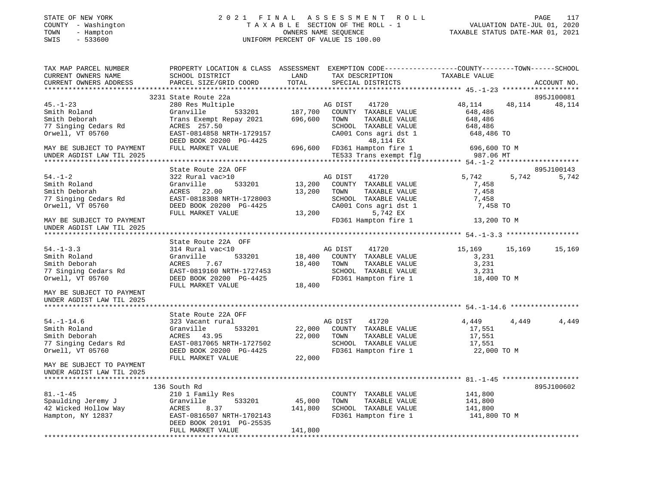# STATE OF NEW YORK 2 0 2 1 F I N A L A S S E S S M E N T R O L L PAGE 117 COUNTY - Washington T A X A B L E SECTION OF THE ROLL - 1 VALUATION DATE-JUL 01, 2020 TOWN - Hampton OWNERS NAME SEQUENCE TAXABLE STATUS DATE-MAR 01, 2021 SWIS - 533600 UNIFORM PERCENT OF VALUE IS 100.00

| TAX MAP PARCEL NUMBER<br>CURRENT OWNERS NAME                                                                      | PROPERTY LOCATION & CLASS ASSESSMENT EXEMPTION CODE---------------COUNTY-------TOWN-----SCHOOL<br>SCHOOL DISTRICT | LAND        | TAX DESCRIPTION                                                                 | TAXABLE VALUE         |       |             |
|-------------------------------------------------------------------------------------------------------------------|-------------------------------------------------------------------------------------------------------------------|-------------|---------------------------------------------------------------------------------|-----------------------|-------|-------------|
| CURRENT OWNERS ADDRESS                                                                                            | PARCEL SIZE/GRID COORD                                                                                            | TOTAL       | SPECIAL DISTRICTS                                                               |                       |       | ACCOUNT NO. |
|                                                                                                                   |                                                                                                                   |             |                                                                                 |                       |       |             |
|                                                                                                                   | 3231 State Route 22a                                                                                              |             |                                                                                 |                       |       | 895J100081  |
| $45. - 1 - 23$                                                                                                    | 280 Res Multiple                                                                                                  |             |                                                                                 | 48, 114 48, 114       |       | 48,114      |
| Smith Roland                                                                                                      | Granville                                                                                                         |             |                                                                                 | 648,486               |       |             |
| Smith Deborah                                                                                                     | Trans Exempt Repay 2021 696,600                                                                                   |             | TOWN<br>TAXABLE VALUE                                                           |                       |       |             |
| 77 Singing Cedars Rd                                                                                              | ACRES 257.50                                                                                                      |             | SCHOOL TAXABLE VALUE                                                            | 648,486<br>648,486    |       |             |
| Orwell, VT 05760                                                                                                  | EAST-0814858 NRTH-1729157                                                                                         |             | CA001 Cons agri dst 1                                                           | 648,486 TO            |       |             |
|                                                                                                                   | DEED BOOK 20200 PG-4425                                                                                           |             | 48,114 EX                                                                       |                       |       |             |
| MAY BE SUBJECT TO PAYMENT                                                                                         | FULL MARKET VALUE                                                                                                 |             |                                                                                 | 696,600 TO M          |       |             |
| UNDER AGDIST LAW TIL 2025                                                                                         |                                                                                                                   |             | 696,600 FD361 Hampton fire 1 696,600 TO<br>TE533 Trans exempt flg     987.06 MT |                       |       |             |
|                                                                                                                   |                                                                                                                   |             |                                                                                 |                       |       |             |
|                                                                                                                   | State Route 22A OFF                                                                                               |             |                                                                                 |                       |       | 895J100143  |
| $54. - 1 - 2$                                                                                                     | 322 Rural vac>10                                                                                                  |             | AG DIST 41720                                                                   | 5,742 5,742           |       | 5,742       |
| Smith Roland                                                                                                      | Granville 533201                                                                                                  |             | 13,200 COUNTY TAXABLE VALUE                                                     | 7,458                 |       |             |
| Smith Deborah                                                                                                     | ACRES 22.00                                                                                                       | 13,200 TOWN | TAXABLE VALUE                                                                   | 7,458                 |       |             |
| 77 Singing Cedars Rd                                                                                              | EAST-0818308 NRTH-1728003                                                                                         |             | SCHOOL TAXABLE VALUE<br>CA001 Cons agri dst 1                                   | 7,458                 |       |             |
| Orwell, VT 05760                                                                                                  | DEED BOOK 20200 PG-4425                                                                                           |             |                                                                                 | 7,458 TO              |       |             |
|                                                                                                                   | FULL MARKET VALUE                                                                                                 |             | 13,200<br>5,742 EX                                                              |                       |       |             |
| MAY BE SUBJECT TO PAYMENT                                                                                         |                                                                                                                   |             | FD361 Hampton fire 1                                                            | 13,200 TO M           |       |             |
| UNDER AGDIST LAW TIL 2025                                                                                         |                                                                                                                   |             |                                                                                 |                       |       |             |
|                                                                                                                   |                                                                                                                   |             |                                                                                 |                       |       |             |
|                                                                                                                   | State Route 22A OFF                                                                                               |             |                                                                                 |                       |       |             |
| $54. - 1 - 3.3$                                                                                                   | 314 Rural vac<10                                                                                                  |             | AG DIST 41720                                                                   | 15,169 15,169         |       | 15,169      |
| Smith Roland                                                                                                      | 533201<br>Granville                                                                                               |             | 18,400 COUNTY TAXABLE VALUE                                                     | 3,231                 |       |             |
| Smith Deborah                                                                                                     | ACRES $7.67$ 18,400 TOWN TAXABLE VALUE                                                                            |             |                                                                                 | 3,231                 |       |             |
| 77 Singing Cedars Rd                                                                                              | ACRES 7.67<br>EAST-0819160 NRTH-1727453<br>COOOL DG-4425                                                          |             | SCHOOL TAXABLE VALUE                                                            | 3,231                 |       |             |
| Orwell, VT 05760                                                                                                  |                                                                                                                   |             | FD361 Hampton fire 1                                                            | 18,400 TO M           |       |             |
|                                                                                                                   | FULL MARKET VALUE                                                                                                 | 18,400      |                                                                                 |                       |       |             |
| MAY BE SUBJECT TO PAYMENT                                                                                         |                                                                                                                   |             |                                                                                 |                       |       |             |
| UNDER AGDIST LAW TIL 2025                                                                                         |                                                                                                                   |             |                                                                                 |                       |       |             |
|                                                                                                                   |                                                                                                                   |             |                                                                                 |                       |       |             |
|                                                                                                                   | State Route 22A OFF                                                                                               |             |                                                                                 |                       |       |             |
| $54. - 1 - 14.6$                                                                                                  | 323 Vacant rural                                                                                                  |             | AG DIST<br>41720                                                                | 4,449                 | 4,449 | 4,449       |
| Smith Roland                                                                                                      | Granville                                                                                                         |             | 533201 22,000 COUNTY TAXABLE VALUE                                              | 17,551                |       |             |
| Smith Deborah                                                                                                     | ACRES 43.95                                                                                                       | 22,000 TOWN | TAXABLE VALUE                                                                   | 17,551                |       |             |
| 77 Singing Cedars Rd                                                                                              |                                                                                                                   |             | SCHOOL TAXABLE VALUE<br>FD361 Hampton fire 1                                    | 17,551<br>22,000 TO M |       |             |
| Orwell, VT 05760                                                                                                  | EAST-0817065 NRTH-1727502<br>DEED BOOK 20200 PG-4425<br>FIILL MARKET WALLER                                       |             |                                                                                 |                       |       |             |
|                                                                                                                   | FULL MARKET VALUE                                                                                                 | 22,000      |                                                                                 |                       |       |             |
| MAY BE SUBJECT TO PAYMENT                                                                                         |                                                                                                                   |             |                                                                                 |                       |       |             |
| UNDER AGDIST LAW TIL 2025                                                                                         |                                                                                                                   |             |                                                                                 |                       |       |             |
|                                                                                                                   |                                                                                                                   |             |                                                                                 |                       |       |             |
|                                                                                                                   | 136 South Rd                                                                                                      |             |                                                                                 |                       |       | 895J100602  |
| $81. - 1 - 45$                                                                                                    | 210 1 Family Res                                                                                                  | 45,000      | COUNTY TAXABLE VALUE                                                            | 141,800<br>141,800    |       |             |
|                                                                                                                   |                                                                                                                   |             | TAXABLE VALUE<br>TOWN                                                           |                       |       |             |
| Spaulding Jeremy J<br>42 Wicked Hollow Way<br>Hampton, NY 12837<br>Hampton, NY 12837<br>EAST-0816507 NRTH-1702143 |                                                                                                                   | 141,800     | SCHOOL TAXABLE VALUE<br>FD361 Hampton fire 1                                    | 141,800               |       |             |
|                                                                                                                   |                                                                                                                   |             |                                                                                 | 141,800 TO M          |       |             |
|                                                                                                                   | DEED BOOK 20191 PG-25535                                                                                          |             |                                                                                 |                       |       |             |
|                                                                                                                   | FULL MARKET VALUE                                                                                                 | 141,800     |                                                                                 |                       |       |             |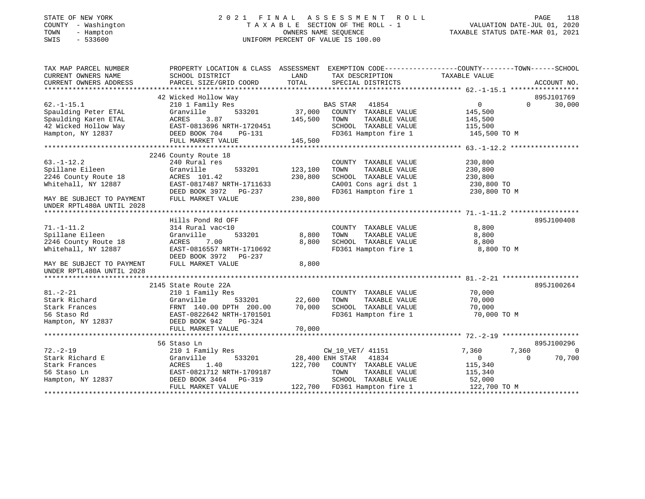# STATE OF NEW YORK 2 0 2 1 F I N A L A S S E S S M E N T R O L L PAGE 118 COUNTY - Washington T A X A B L E SECTION OF THE ROLL - 1 VALUATION DATE-JUL 01, 2020 TOWN - Hampton OWNERS NAME SEQUENCE TAXABLE STATUS DATE-MAR 01, 2021 SWIS - 533600 UNIFORM PERCENT OF VALUE IS 100.00UNIFORM PERCENT OF VALUE IS 100.00

| TAX MAP PARCEL NUMBER     | PROPERTY LOCATION & CLASS ASSESSMENT EXEMPTION CODE---------------COUNTY-------TOWN------SCHOOL |                 |                              |                |             |          |
|---------------------------|-------------------------------------------------------------------------------------------------|-----------------|------------------------------|----------------|-------------|----------|
| CURRENT OWNERS NAME       | SCHOOL DISTRICT                                                                                 | LAND            | TAX DESCRIPTION              | TAXABLE VALUE  |             |          |
| CURRENT OWNERS ADDRESS    | PARCEL SIZE/GRID COORD                                                                          | TOTAL           | SPECIAL DISTRICTS            |                | ACCOUNT NO. |          |
|                           |                                                                                                 |                 |                              |                |             |          |
|                           | 42 Wicked Hollow Way                                                                            |                 |                              |                | 895J101769  |          |
| $62. -1 - 15.1$           | 210 1 Family Res                                                                                |                 | <b>BAS STAR</b><br>41854     | $\overline{0}$ | $\Omega$    | 30,000   |
| Spaulding Peter ETAL      | Granville<br>533201                                                                             | 37,000          | COUNTY TAXABLE VALUE         | 145,500        |             |          |
| Spaulding Karen ETAL      | ACRES<br>3.87                                                                                   | 145,500         | TOWN<br>TAXABLE VALUE        | 145,500        |             |          |
| 42 Wicked Hollow Way      | EAST-0813696 NRTH-1720451                                                                       |                 | SCHOOL TAXABLE VALUE         | 115,500        |             |          |
| Hampton, NY 12837         | DEED BOOK 704<br>PG-131                                                                         |                 | FD361 Hampton fire 1         | 145,500 TO M   |             |          |
|                           | FULL MARKET VALUE                                                                               | 145,500         |                              |                |             |          |
|                           |                                                                                                 |                 |                              |                |             |          |
|                           | 2246 County Route 18                                                                            |                 |                              |                |             |          |
| $63. - 1 - 12.2$          | 240 Rural res                                                                                   |                 | COUNTY TAXABLE VALUE         | 230,800        |             |          |
| Spillane Eileen           | Granville<br>533201                                                                             | 123,100         | TOWN<br>TAXABLE VALUE        | 230,800        |             |          |
| 2246 County Route 18      | ACRES 101.42                                                                                    | 230,800         | SCHOOL TAXABLE VALUE         | 230,800        |             |          |
| Whitehall, NY 12887       | EAST-0817487 NRTH-1711633                                                                       |                 | CA001 Cons agri dst 1        | 230,800 TO     |             |          |
|                           | DEED BOOK 3972 PG-237                                                                           |                 | FD361 Hampton fire 1         | 230,800 TO M   |             |          |
| MAY BE SUBJECT TO PAYMENT | FULL MARKET VALUE                                                                               | 230,800         |                              |                |             |          |
| UNDER RPTL480A UNTIL 2028 |                                                                                                 |                 |                              |                |             |          |
|                           |                                                                                                 |                 |                              |                |             |          |
|                           | Hills Pond Rd OFF                                                                               |                 |                              |                | 895J100408  |          |
| $71. - 1 - 11.2$          | 314 Rural vac<10                                                                                |                 | COUNTY TAXABLE VALUE         | 8,800          |             |          |
| Spillane Eileen           | Granville<br>533201                                                                             | 8,800           | TOWN<br>TAXABLE VALUE        | 8,800          |             |          |
| 2246 County Route 18      | 7.00<br>ACRES                                                                                   | 8,800           | SCHOOL TAXABLE VALUE         | 8,800          |             |          |
| Whitehall, NY 12887       | EAST-0816557 NRTH-1710692                                                                       |                 | FD361 Hampton fire 1         | 8,800 TO M     |             |          |
|                           | DEED BOOK 3972<br><b>PG-237</b>                                                                 |                 |                              |                |             |          |
| MAY BE SUBJECT TO PAYMENT | FULL MARKET VALUE                                                                               | 8,800           |                              |                |             |          |
| UNDER RPTL480A UNTIL 2028 |                                                                                                 |                 |                              |                |             |          |
|                           |                                                                                                 |                 |                              |                |             |          |
|                           | 2145 State Route 22A                                                                            |                 |                              |                | 895J100264  |          |
| $81. - 2 - 21$            | 210 1 Family Res                                                                                |                 | COUNTY TAXABLE VALUE         | 70,000         |             |          |
| Stark Richard             | Granville<br>533201                                                                             | 22,600          | TOWN<br>TAXABLE VALUE        | 70,000         |             |          |
| Stark Frances             | FRNT 140.00 DPTH 200.00                                                                         | 70,000          | SCHOOL TAXABLE VALUE         | 70,000         |             |          |
| 56 Staso Rd               | EAST-0822642 NRTH-1701501                                                                       |                 | FD361 Hampton fire 1         | 70,000 TO M    |             |          |
| Hampton, NY 12837         | DEED BOOK 942<br>PG-324                                                                         |                 |                              |                |             |          |
|                           | FULL MARKET VALUE                                                                               | 70,000          |                              |                |             |          |
|                           |                                                                                                 |                 |                              |                |             |          |
|                           | 56 Staso Ln                                                                                     |                 |                              |                | 895J100296  |          |
| $72. - 2 - 19$            | 210 1 Family Res                                                                                |                 | CW 10 VET/ 41151             | 7,360          | 7,360       | $\Omega$ |
| Stark Richard E           | Granville<br>533201                                                                             | 28,400 ENH STAR | 41834                        | $\circ$        | $\Omega$    | 70,700   |
| Stark Frances             | ACRES<br>1.40                                                                                   |                 | 122,700 COUNTY TAXABLE VALUE | 115,340        |             |          |
| 56 Staso Ln               | EAST-0821712 NRTH-1709187                                                                       |                 | TOWN<br>TAXABLE VALUE        | 115,340        |             |          |
| Hampton, NY 12837         | DEED BOOK 3464<br>PG-319                                                                        |                 | SCHOOL TAXABLE VALUE         | 52,000         |             |          |
|                           | FULL MARKET VALUE                                                                               |                 | 122,700 FD361 Hampton fire 1 | 122,700 TO M   |             |          |
|                           |                                                                                                 |                 |                              |                |             |          |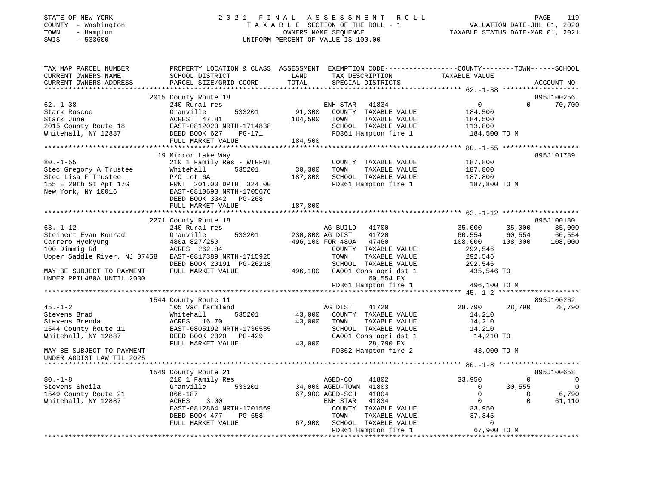# STATE OF NEW YORK 2 0 2 1 F I N A L A S S E S S M E N T R O L L PAGE 119 COUNTY - Washington T A X A B L E SECTION OF THE ROLL - 1 VALUATION DATE-JUL 01, 2020 TOWN - Hampton OWNERS NAME SEQUENCE TAXABLE STATUS DATE-MAR 01, 2021 SWIS - 533600 UNIFORM PERCENT OF VALUE IS 100.00

| TAX MAP PARCEL NUMBER                                  | PROPERTY LOCATION & CLASS ASSESSMENT EXEMPTION CODE---------------COUNTY-------TOWN-----SCHOOL |                 |                           |                |                |                |
|--------------------------------------------------------|------------------------------------------------------------------------------------------------|-----------------|---------------------------|----------------|----------------|----------------|
| CURRENT OWNERS NAME                                    | SCHOOL DISTRICT                                                                                | LAND            | TAX DESCRIPTION           | TAXABLE VALUE  |                |                |
| CURRENT OWNERS ADDRESS                                 | PARCEL SIZE/GRID COORD                                                                         | TOTAL           | SPECIAL DISTRICTS         |                |                | ACCOUNT NO.    |
|                                                        |                                                                                                |                 |                           |                |                |                |
|                                                        | 2015 County Route 18                                                                           |                 |                           |                |                | 895J100256     |
| $62. - 1 - 38$                                         | 240 Rural res                                                                                  |                 | ENH STAR<br>41834         | $\overline{0}$ | $\Omega$       | 70,700         |
| Stark Roscoe                                           | 533201<br>Granville                                                                            | 91,300          | COUNTY TAXABLE VALUE      | 184,500        |                |                |
| Stark June                                             | ACRES 47.81                                                                                    | 184,500         | TAXABLE VALUE<br>TOWN     | 184,500        |                |                |
| 2015 County Route 18                                   | EAST-0812023 NRTH-1714838                                                                      |                 | SCHOOL TAXABLE VALUE      | 113,800        |                |                |
| Whitehall, NY 12887                                    | DEED BOOK 627<br>PG-171                                                                        |                 | FD361 Hampton fire 1      | 184,500 TO M   |                |                |
|                                                        | FULL MARKET VALUE                                                                              | 184,500         |                           |                |                |                |
|                                                        | ****************************                                                                   |                 |                           |                |                |                |
|                                                        | 19 Mirror Lake Way                                                                             |                 |                           |                |                | 895J101789     |
| $80. - 1 - 55$                                         | 210 1 Family Res - WTRFNT                                                                      |                 | COUNTY TAXABLE VALUE      | 187,800        |                |                |
| Stec Gregory A Trustee                                 | Whitehall<br>535201                                                                            | 30,300          | TOWN<br>TAXABLE VALUE     | 187,800        |                |                |
| Stec Lisa F Trustee                                    | $P/O$ Lot $6A$                                                                                 | 187,800         | SCHOOL TAXABLE VALUE      | 187,800        |                |                |
| 155 E 29th St Apt 17G                                  | FRNT 201.00 DPTH 324.00                                                                        |                 | FD361 Hampton fire 1      | 187,800 TO M   |                |                |
| New York, NY 10016                                     | EAST-0810693 NRTH-1705676                                                                      |                 |                           |                |                |                |
|                                                        | DEED BOOK 3342 PG-268                                                                          |                 |                           |                |                |                |
|                                                        | FULL MARKET VALUE                                                                              | 187,800         |                           |                |                |                |
|                                                        |                                                                                                |                 |                           |                |                |                |
|                                                        | 2271 County Route 18                                                                           |                 |                           |                |                | 895J100180     |
| $63. - 1 - 12$                                         | 240 Rural res                                                                                  |                 | 41700<br>AG BUILD         | 35,000         | 35,000         | 35,000         |
| Steinert Evan Konrad                                   | 533201<br>Granville                                                                            | 230,800 AG DIST | 41720                     | 60,554         | 60,554         | 60,554         |
| Carrero Hyekyung                                       | 480a 827/250                                                                                   |                 | 496,100 FOR 480A<br>47460 | 108,000        | 108,000        | 108,000        |
| 100 Dimmig Rd                                          | ACRES 262.84                                                                                   |                 | COUNTY TAXABLE VALUE      | 292,546        |                |                |
| Upper Saddle River, NJ 07458 EAST-0817389 NRTH-1715925 |                                                                                                |                 | TOWN<br>TAXABLE VALUE     | 292,546        |                |                |
|                                                        | DEED BOOK 20191 PG-26218                                                                       |                 | SCHOOL TAXABLE VALUE      | 292,546        |                |                |
| MAY BE SUBJECT TO PAYMENT                              | FULL MARKET VALUE                                                                              | 496,100         | CA001 Cons agri dst 1     | 435,546 TO     |                |                |
| UNDER RPTL480A UNTIL 2030                              |                                                                                                |                 | 60,554 EX                 |                |                |                |
|                                                        |                                                                                                |                 | FD361 Hampton fire 1      | 496,100 TO M   |                |                |
|                                                        |                                                                                                |                 |                           |                |                |                |
|                                                        | 1544 County Route 11                                                                           |                 |                           |                |                | 895J100262     |
| $45. - 1 - 2$                                          | 105 Vac farmland                                                                               |                 | AG DIST<br>41720          | 28,790         | 28,790         | 28,790         |
| Stevens Brad                                           | 535201<br>Whitehall                                                                            | 43,000          | COUNTY TAXABLE VALUE      | 14,210         |                |                |
| Stevens Brenda                                         | ACRES 16.70                                                                                    | 43,000          | TOWN<br>TAXABLE VALUE     | 14,210         |                |                |
| 1544 County Route 11                                   | EAST-0805192 NRTH-1736535                                                                      |                 | SCHOOL TAXABLE VALUE      | 14,210         |                |                |
| Whitehall, NY 12887                                    | DEED BOOK 2020 PG-429                                                                          |                 | CA001 Cons agri dst 1     | 14,210 TO      |                |                |
|                                                        | FULL MARKET VALUE                                                                              | 43,000          | 28,790 EX                 |                |                |                |
| MAY BE SUBJECT TO PAYMENT                              |                                                                                                |                 | FD362 Hampton fire 2      | 43,000 TO M    |                |                |
| UNDER AGDIST LAW TIL 2025                              |                                                                                                |                 |                           |                |                |                |
|                                                        |                                                                                                |                 |                           |                |                |                |
|                                                        | 1549 County Route 21                                                                           |                 |                           |                |                | 895J100658     |
| $80. -1 - 8$                                           | 210 1 Family Res                                                                               |                 | AGED-CO<br>41802          | 33,950         | $\Omega$       | $\overline{0}$ |
| Stevens Sheila                                         | Granville<br>533201                                                                            |                 | 34,000 AGED-TOWN 41803    | $\mathbf{0}$   | 30,555         | $\Omega$       |
| 1549 County Route 21                                   | 866-187                                                                                        |                 | 67,900 AGED-SCH<br>41804  | $\mathbf 0$    | $\overline{0}$ | 6,790          |
| Whitehall, NY 12887                                    | 3.00<br>ACRES                                                                                  |                 | 41834<br>ENH STAR         | $\overline{0}$ | $\Omega$       | 61,110         |
|                                                        | EAST-0812864 NRTH-1701569                                                                      |                 | COUNTY TAXABLE VALUE      | 33,950         |                |                |
|                                                        | DEED BOOK 477<br>PG-658                                                                        |                 | TOWN<br>TAXABLE VALUE     | 37,345         |                |                |
|                                                        | FULL MARKET VALUE                                                                              | 67,900          | SCHOOL TAXABLE VALUE      | $\Omega$       |                |                |
|                                                        |                                                                                                |                 | FD361 Hampton fire 1      | 67,900 TO M    |                |                |
|                                                        |                                                                                                |                 |                           |                |                |                |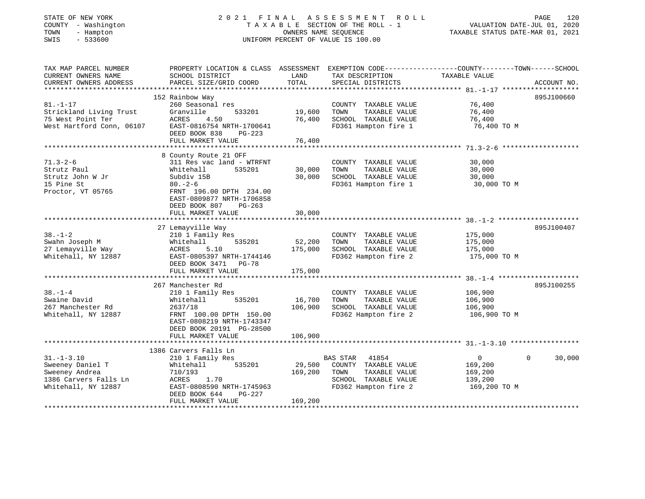### STATE OF NEW YORK 2 0 2 1 F I N A L A S S E S S M E N T R O L L PAGE 120 COUNTY - Washington T A X A B L E SECTION OF THE ROLL - 1 VALUATION DATE-JUL 01, 2020 TOWN - Hampton OWNERS NAME SEQUENCE TAXABLE STATUS DATE-MAR 01, 2021 SWIS - 533600 UNIFORM PERCENT OF VALUE IS 100.00UNIFORM PERCENT OF VALUE IS 100.00

| TAX MAP PARCEL NUMBER<br>CURRENT OWNERS NAME | PROPERTY LOCATION & CLASS ASSESSMENT<br>SCHOOL DISTRICT                           | LAND    | EXEMPTION CODE-----------------COUNTY-------TOWN------SCHOOL<br>TAX DESCRIPTION | TAXABLE VALUE  |                       |
|----------------------------------------------|-----------------------------------------------------------------------------------|---------|---------------------------------------------------------------------------------|----------------|-----------------------|
| CURRENT OWNERS ADDRESS                       | PARCEL SIZE/GRID COORD                                                            | TOTAL   | SPECIAL DISTRICTS                                                               |                | ACCOUNT NO.           |
|                                              |                                                                                   |         |                                                                                 |                |                       |
|                                              | 152 Rainbow Way                                                                   |         |                                                                                 |                | 895J100660            |
| $81. - 1 - 17$                               | 260 Seasonal res                                                                  |         | COUNTY TAXABLE VALUE                                                            | 76,400         |                       |
| Strickland Living Trust                      | Granville<br>533201                                                               | 19,600  | TAXABLE VALUE<br>TOWN                                                           | 76,400         |                       |
| 75 West Point Ter                            | ACRES<br>4.50                                                                     | 76,400  | SCHOOL TAXABLE VALUE                                                            | 76,400         |                       |
| West Hartford Conn, 06107                    | EAST-0816754 NRTH-1700641<br>DEED BOOK 838<br>$PG-223$                            |         | FD361 Hampton fire 1                                                            | 76,400 TO M    |                       |
|                                              | FULL MARKET VALUE                                                                 | 76,400  |                                                                                 |                |                       |
|                                              |                                                                                   |         |                                                                                 |                |                       |
|                                              | 8 County Route 21 OFF                                                             |         |                                                                                 |                |                       |
| $71.3 - 2 - 6$                               | 311 Res vac land - WTRFNT                                                         |         | COUNTY TAXABLE VALUE                                                            | 30,000         |                       |
| Strutz Paul                                  | Whitehall<br>535201                                                               | 30,000  | TOWN<br>TAXABLE VALUE                                                           | 30,000         |                       |
| Strutz John W Jr                             | Subdiv 15B                                                                        | 30,000  | SCHOOL TAXABLE VALUE                                                            | 30,000         |                       |
| 15 Pine St                                   | $80. - 2 - 6$                                                                     |         | FD361 Hampton fire 1                                                            | 30,000 TO M    |                       |
| Proctor, VT 05765                            | FRNT 196.00 DPTH 234.00<br>EAST-0809877 NRTH-1706858<br>DEED BOOK 807<br>$PG-263$ |         |                                                                                 |                |                       |
|                                              | FULL MARKET VALUE                                                                 | 30,000  |                                                                                 |                |                       |
|                                              |                                                                                   |         |                                                                                 |                |                       |
|                                              | 27 Lemayville Way                                                                 |         |                                                                                 |                | 895J100407            |
| $38. - 1 - 2$                                | 210 1 Family Res                                                                  |         | COUNTY TAXABLE VALUE                                                            | 175,000        |                       |
| Swahn Joseph M                               | 535201<br>Whitehall                                                               | 52,200  | TAXABLE VALUE<br>TOWN                                                           | 175,000        |                       |
| 27 Lemayville Way                            | ACRES<br>5.10                                                                     | 175,000 | SCHOOL TAXABLE VALUE                                                            | 175,000        |                       |
| Whitehall, NY 12887                          | EAST-0805397 NRTH-1744146<br>DEED BOOK 3471 PG-78                                 |         | FD362 Hampton fire 2                                                            | 175,000 TO M   |                       |
|                                              | FULL MARKET VALUE                                                                 | 175,000 |                                                                                 |                |                       |
|                                              |                                                                                   |         |                                                                                 |                |                       |
|                                              | 267 Manchester Rd                                                                 |         |                                                                                 |                | 895J100255            |
| $38. - 1 - 4$                                | 210 1 Family Res                                                                  |         | COUNTY TAXABLE VALUE                                                            | 106,900        |                       |
| Swaine David                                 | 535201<br>Whitehall                                                               | 16,700  | TOWN<br>TAXABLE VALUE                                                           | 106,900        |                       |
| 267 Manchester Rd                            | 2637/18                                                                           | 106,900 | SCHOOL TAXABLE VALUE                                                            | 106,900        |                       |
| Whitehall, NY 12887                          | FRNT 100.00 DPTH 150.00<br>EAST-0808219 NRTH-1743347<br>DEED BOOK 20191 PG-28500  |         | FD362 Hampton fire 2                                                            | 106,900 TO M   |                       |
|                                              | FULL MARKET VALUE                                                                 | 106,900 |                                                                                 |                |                       |
|                                              |                                                                                   |         |                                                                                 |                |                       |
|                                              | 1386 Carvers Falls Ln                                                             |         |                                                                                 |                |                       |
| $31. - 1 - 3.10$                             | 210 1 Family Res                                                                  |         | <b>BAS STAR</b><br>41854                                                        | $\overline{0}$ | $\mathbf 0$<br>30,000 |
| Sweeney Daniel T                             | 535201<br>Whitehall                                                               | 29,500  | COUNTY TAXABLE VALUE                                                            | 169,200        |                       |
| Sweeney Andrea                               | 710/193                                                                           | 169,200 | TAXABLE VALUE<br>TOWN                                                           | 169,200        |                       |
| 1386 Carvers Falls Ln                        | ACRES<br>1.70                                                                     |         | SCHOOL TAXABLE VALUE                                                            | 139,200        |                       |
| Whitehall, NY 12887                          | EAST-0808590 NRTH-1745963<br>DEED BOOK 644<br>PG-227                              |         | FD362 Hampton fire 2                                                            | 169,200 TO M   |                       |
|                                              | FULL MARKET VALUE                                                                 | 169,200 |                                                                                 |                |                       |
|                                              |                                                                                   |         |                                                                                 |                |                       |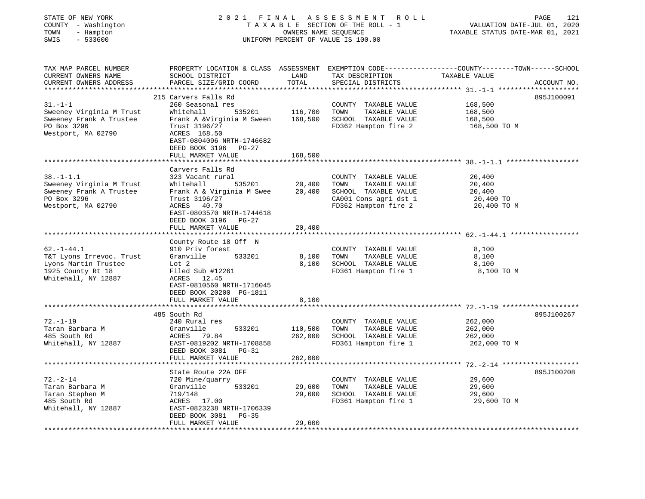| COUNTY<br>- Washington<br>TOWN<br>- Hampton<br>$-533600$<br>SWIS                      | TAXABLE SECTION OF THE ROLL - 1<br>UNIFORM PERCENT OF VALUE IS 100.00                                                                    | VALUATION DATE-JUL 01, 2020<br>TAXABLE STATUS DATE-MAR 01, 2021 |                                                                                                |                                                                                                                  |             |
|---------------------------------------------------------------------------------------|------------------------------------------------------------------------------------------------------------------------------------------|-----------------------------------------------------------------|------------------------------------------------------------------------------------------------|------------------------------------------------------------------------------------------------------------------|-------------|
| TAX MAP PARCEL NUMBER<br>CURRENT OWNERS NAME<br>CURRENT OWNERS ADDRESS                | SCHOOL DISTRICT<br>PARCEL SIZE/GRID COORD                                                                                                | LAND<br>TOTAL                                                   | TAX DESCRIPTION<br>SPECIAL DISTRICTS                                                           | PROPERTY LOCATION & CLASS ASSESSMENT EXEMPTION CODE----------------COUNTY-------TOWN-----SCHOOL<br>TAXABLE VALUE | ACCOUNT NO. |
|                                                                                       | 215 Carvers Falls Rd                                                                                                                     |                                                                 |                                                                                                |                                                                                                                  | 895J100091  |
| $31. - 1 - 1$                                                                         | 260 Seasonal res                                                                                                                         |                                                                 | COUNTY TAXABLE VALUE                                                                           | 168,500                                                                                                          |             |
| Sweeney Virginia M Trust                                                              | Whitehall<br>535201                                                                                                                      | 116,700                                                         | TOWN<br>TAXABLE VALUE                                                                          | 168,500                                                                                                          |             |
| Sweeney Frank A Trustee<br>PO Box 3296<br>Westport, MA 02790                          | Frank A &Virginia M Sween<br>Trust 3196/27<br>ACRES 168.50<br>EAST-0804096 NRTH-1746682<br>DEED BOOK 3196 PG-27                          | 168,500                                                         | SCHOOL TAXABLE VALUE<br>FD362 Hampton fire 2                                                   | 168,500<br>168,500 TO M                                                                                          |             |
|                                                                                       | FULL MARKET VALUE                                                                                                                        | 168,500                                                         |                                                                                                |                                                                                                                  |             |
| $38. - 1 - 1.1$<br>Sweeney Virginia M Trust<br>Sweeney Frank A Trustee<br>PO Box 3296 | ***************************<br>Carvers Falls Rd<br>323 Vacant rural<br>Whitehall<br>535201<br>Frank A & Virginia M Swee<br>Trust 3196/27 | 20,400<br>20,400                                                | COUNTY TAXABLE VALUE<br>TOWN<br>TAXABLE VALUE<br>SCHOOL TAXABLE VALUE<br>CA001 Cons agri dst 1 | 20,400<br>20,400<br>20,400<br>20,400 TO                                                                          |             |
| Westport, MA 02790                                                                    | ACRES 40.70<br>EAST-0803570 NRTH-1744618<br>DEED BOOK 3196 PG-27<br>FULL MARKET VALUE<br>********************                            | 20,400                                                          | FD362 Hampton fire 2                                                                           | 20,400 TO M                                                                                                      |             |
| $62. - 1 - 44.1$                                                                      | County Route 18 Off N<br>910 Priv forest                                                                                                 |                                                                 | COUNTY TAXABLE VALUE                                                                           | 8,100                                                                                                            |             |
| T&T Lyons Irrevoc. Trust                                                              | Granville<br>533201                                                                                                                      | 8,100                                                           | TAXABLE VALUE<br>TOWN                                                                          | 8,100                                                                                                            |             |
| Lyons Martin Trustee<br>1925 County Rt 18                                             | Lot 2<br>Filed Sub #12261                                                                                                                | 8,100                                                           | SCHOOL TAXABLE VALUE<br>FD361 Hampton fire 1                                                   | 8,100<br>8,100 TO M                                                                                              |             |
| Whitehall, NY 12887                                                                   | ACRES 12.45<br>EAST-0810560 NRTH-1716045<br>DEED BOOK 20200 PG-1811<br>FULL MARKET VALUE                                                 | 8,100                                                           |                                                                                                |                                                                                                                  |             |
|                                                                                       |                                                                                                                                          |                                                                 |                                                                                                | *********** 72.-1-19                                                                                             |             |
|                                                                                       | 485 South Rd                                                                                                                             |                                                                 |                                                                                                |                                                                                                                  | 895J100267  |
| $72. - 1 - 19$                                                                        | 240 Rural res                                                                                                                            |                                                                 | COUNTY TAXABLE VALUE                                                                           | 262,000                                                                                                          |             |
| Taran Barbara M<br>485 South Rd                                                       | Granville<br>533201<br>ACRES 79.84                                                                                                       | 110,500<br>262,000                                              | TOWN<br>TAXABLE VALUE<br>SCHOOL TAXABLE VALUE                                                  | 262,000<br>262,000                                                                                               |             |
| Whitehall, NY 12887                                                                   | EAST-0819202 NRTH-1708858<br>DEED BOOK 3081 PG-31                                                                                        |                                                                 | FD361 Hampton fire 1                                                                           | 262,000 TO M                                                                                                     |             |
|                                                                                       | FULL MARKET VALUE                                                                                                                        | 262,000                                                         |                                                                                                |                                                                                                                  |             |
|                                                                                       |                                                                                                                                          |                                                                 |                                                                                                |                                                                                                                  |             |
|                                                                                       | State Route 22A OFF                                                                                                                      |                                                                 |                                                                                                |                                                                                                                  | 895J100208  |
| $72. - 2 - 14$<br>Taran Barbara M                                                     | 720 Mine/quarry<br>533201                                                                                                                | 29,600                                                          | COUNTY TAXABLE VALUE<br>TOWN<br>TAXABLE VALUE                                                  | 29,600                                                                                                           |             |
| Taran Stephen M                                                                       | Granville<br>719/148                                                                                                                     | 29,600                                                          | SCHOOL TAXABLE VALUE                                                                           | 29,600<br>29,600                                                                                                 |             |
| 485 South Rd                                                                          | ACRES 17.00                                                                                                                              |                                                                 | FD361 Hampton fire 1                                                                           | 29,600 TO M                                                                                                      |             |
| Whitehall, NY 12887                                                                   | EAST-0823238 NRTH-1706339<br>DEED BOOK 3081<br>$PG-35$                                                                                   |                                                                 |                                                                                                |                                                                                                                  |             |
| ************************                                                              | FULL MARKET VALUE                                                                                                                        | 29,600                                                          |                                                                                                |                                                                                                                  |             |

STATE OF NEW YORK 2 0 2 1 F I N A L A S S E S S M E N T R O L L PAGE 121

121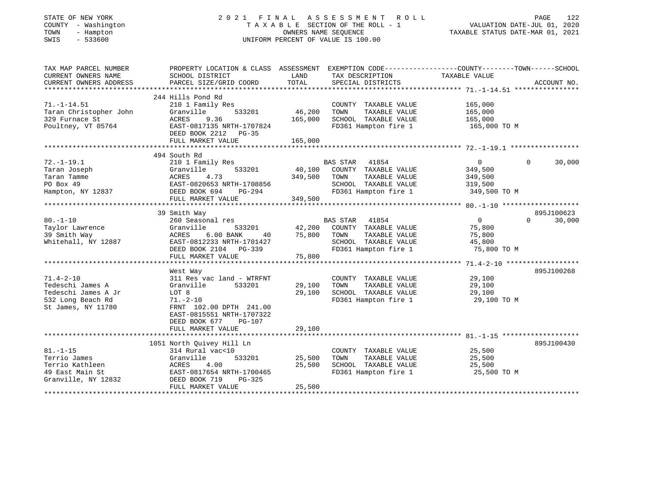| STATE OF NEW YORK<br>COUNTY - Washington<br>TOWN<br>- Hampton<br>SWIS<br>$-533600$                    | 2021 FINAL<br>TAXABLE SECTION OF THE ROLL - 1<br>UNIFORM PERCENT OF VALUE IS 100.00                                                                                               | TAXABLE STATUS DATE-MAR 01, 2021 | PAGE<br>122<br>VALUATION DATE-JUL 01, 2020                                                                                |                                                             |                    |
|-------------------------------------------------------------------------------------------------------|-----------------------------------------------------------------------------------------------------------------------------------------------------------------------------------|----------------------------------|---------------------------------------------------------------------------------------------------------------------------|-------------------------------------------------------------|--------------------|
| TAX MAP PARCEL NUMBER<br>CURRENT OWNERS NAME<br>CURRENT OWNERS ADDRESS                                | PROPERTY LOCATION & CLASS ASSESSMENT EXEMPTION CODE---------------COUNTY-------TOWN------SCHOOL<br>SCHOOL DISTRICT<br>PARCEL SIZE/GRID COORD                                      | LAND<br>TOTAL                    | TAX DESCRIPTION<br>SPECIAL DISTRICTS                                                                                      | TAXABLE VALUE                                               | ACCOUNT NO.        |
|                                                                                                       |                                                                                                                                                                                   |                                  |                                                                                                                           |                                                             |                    |
| $71. - 1 - 14.51$<br>Taran Christopher John<br>329 Furnace St<br>Poultney, VT 05764                   | 244 Hills Pond Rd<br>210 1 Family Res<br>Granville<br>533201<br>ACRES<br>9.36<br>EAST-0817135 NRTH-1707824<br>DEED BOOK 2212 PG-35                                                | 46,200<br>165,000                | COUNTY TAXABLE VALUE<br>TOWN<br>TAXABLE VALUE<br>SCHOOL TAXABLE VALUE<br>FD361 Hampton fire 1                             | 165,000<br>165,000<br>165,000<br>165,000 TO M               |                    |
|                                                                                                       | FULL MARKET VALUE                                                                                                                                                                 | 165,000                          |                                                                                                                           |                                                             |                    |
|                                                                                                       |                                                                                                                                                                                   |                                  |                                                                                                                           |                                                             |                    |
| $72. - 1 - 19.1$<br>Taran Joseph                                                                      | 494 South Rd<br>210 1 Family Res<br>533201<br>Granville                                                                                                                           | 40,100                           | BAS STAR<br>41854<br>COUNTY TAXABLE VALUE                                                                                 | $\mathbf{0}$<br>349,500                                     | $\Omega$<br>30,000 |
| Taran Tamme<br>PO Box 49<br>Hampton, NY 12837                                                         | ACRES<br>4.73<br>EAST-0820653 NRTH-1708856<br>DEED BOOK 694<br>$PG-294$                                                                                                           | 349,500                          | TAXABLE VALUE<br>TOWN<br>SCHOOL TAXABLE VALUE<br>FD361 Hampton fire 1                                                     | 349,500<br>319,500<br>349,500 TO M                          |                    |
|                                                                                                       | FULL MARKET VALUE                                                                                                                                                                 | 349,500                          |                                                                                                                           |                                                             |                    |
|                                                                                                       |                                                                                                                                                                                   |                                  |                                                                                                                           |                                                             | 895J100623         |
| $80. - 1 - 10$<br>Taylor Lawrence<br>39 Smith Way<br>Whitehall, NY 12887                              | 39 Smith Way<br>260 Seasonal res<br>Granville<br>533201<br><b>ACRES</b><br>6.00 BANK<br>40<br>EAST-0812233 NRTH-1701427<br>DEED BOOK 2104 PG-339                                  | 42,200<br>75,800                 | 41854<br><b>BAS STAR</b><br>COUNTY TAXABLE VALUE<br>TAXABLE VALUE<br>TOWN<br>SCHOOL TAXABLE VALUE<br>FD361 Hampton fire 1 | $\overline{0}$<br>75,800<br>75,800<br>45,800<br>75,800 TO M | $\Omega$<br>30,000 |
|                                                                                                       | FULL MARKET VALUE<br>***************************                                                                                                                                  | 75,800                           |                                                                                                                           |                                                             |                    |
| $71.4 - 2 - 10$<br>Tedeschi James A<br>Tedeschi James A Jr<br>532 Long Beach Rd<br>St James, NY 11780 | West Way<br>311 Res vac land - WTRFNT<br>Granville<br>533201<br>LOT 8<br>$71. - 2 - 10$<br>FRNT 102.00 DPTH 241.00<br>EAST-0815551 NRTH-1707322<br>DEED BOOK 677<br><b>PG-107</b> | 29,100<br>29,100                 | COUNTY TAXABLE VALUE<br>TAXABLE VALUE<br>TOWN<br>SCHOOL TAXABLE VALUE<br>FD361 Hampton fire 1                             | 29,100<br>29,100<br>29,100<br>29,100 TO M                   | 895J100268         |
|                                                                                                       | FULL MARKET VALUE                                                                                                                                                                 | 29,100                           |                                                                                                                           |                                                             |                    |
|                                                                                                       |                                                                                                                                                                                   |                                  |                                                                                                                           |                                                             |                    |
| $81. - 1 - 15$<br>Terrio James<br>Terrio Kathleen<br>49 East Main St<br>Granville, NY 12832           | 1051 North Quivey Hill Ln<br>314 Rural vac<10<br>Granville<br>533201<br>ACRES<br>4.00<br>EAST-0817654 NRTH-1700465<br>DEED BOOK 719<br>PG-325                                     | 25,500<br>25,500                 | COUNTY TAXABLE VALUE<br>TOWN<br>TAXABLE VALUE<br>SCHOOL TAXABLE VALUE<br>FD361 Hampton fire 1                             | 25,500<br>25,500<br>25,500<br>25,500 TO M                   | 895J100430         |
|                                                                                                       | FULL MARKET VALUE                                                                                                                                                                 | 25,500                           |                                                                                                                           |                                                             |                    |
|                                                                                                       |                                                                                                                                                                                   |                                  |                                                                                                                           |                                                             |                    |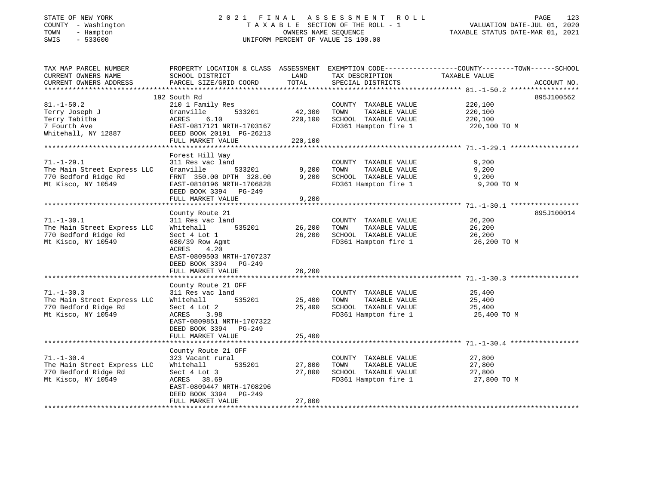## STATE OF NEW YORK 2 0 2 1 F I N A L A S S E S S M E N T R O L L PAGE 123 COUNTY - Washington T A X A B L E SECTION OF THE ROLL - 1 VALUATION DATE-JUL 01, 2020 TOWN - Hampton OWNERS NAME SEQUENCE TAXABLE STATUS DATE-MAR 01, 2021 SWIS - 533600 UNIFORM PERCENT OF VALUE IS 100.00UNIFORM PERCENT OF VALUE IS 100.00

| TAX MAP PARCEL NUMBER<br>CURRENT OWNERS NAME<br>CURRENT OWNERS ADDRESS                        | PROPERTY LOCATION & CLASS ASSESSMENT<br>SCHOOL DISTRICT<br>PARCEL SIZE/GRID COORD                                                                                                         | LAND<br>TOTAL                | TAX DESCRIPTION<br>SPECIAL DISTRICTS                                                                                  | EXEMPTION CODE-----------------COUNTY-------TOWN------SCHOOL<br>TAXABLE VALUE | ACCOUNT NO. |
|-----------------------------------------------------------------------------------------------|-------------------------------------------------------------------------------------------------------------------------------------------------------------------------------------------|------------------------------|-----------------------------------------------------------------------------------------------------------------------|-------------------------------------------------------------------------------|-------------|
| $81. - 1 - 50.2$<br>Terry Joseph J<br>Terry Tabitha<br>7 Fourth Ave<br>Whitehall, NY 12887    | 192 South Rd<br>210 1 Family Res<br>533201<br>Granville<br>6.10<br>ACRES<br>EAST-0817121 NRTH-1703167<br>DEED BOOK 20191 PG-26213<br>FULL MARKET VALUE                                    | 42,300<br>220,100<br>220,100 | COUNTY TAXABLE VALUE<br>TOWN<br>TAXABLE VALUE<br>SCHOOL TAXABLE VALUE<br>FD361 Hampton fire 1                         | 220,100<br>220,100<br>220,100<br>220,100 TO M                                 | 895J100562  |
| $71. - 1 - 29.1$<br>The Main Street Express LLC<br>770 Bedford Ridge Rd<br>Mt Kisco, NY 10549 | Forest Hill Way<br>311 Res vac land<br>Granville<br>533201<br>FRNT 350.00 DPTH 328.00<br>EAST-0810196 NRTH-1706828<br>DEED BOOK 3394 PG-249<br>FULL MARKET VALUE                          | 9,200<br>9,200<br>9,200      | COUNTY TAXABLE VALUE<br>TOWN<br>TAXABLE VALUE<br>SCHOOL TAXABLE VALUE<br>FD361 Hampton fire 1                         | 9.200<br>9,200<br>9,200<br>9,200 TO M                                         |             |
| $71. - 1 - 30.1$<br>The Main Street Express LLC<br>770 Bedford Ridge Rd<br>Mt Kisco, NY 10549 | County Route 21<br>311 Res vac land<br>535201<br>Whitehall<br>Sect 4 Lot 1<br>680/39 Row Agmt<br>ACRES<br>4.20<br>EAST-0809503 NRTH-1707237<br>DEED BOOK 3394 PG-249<br>FULL MARKET VALUE | 26,200<br>26,200<br>26,200   | COUNTY TAXABLE VALUE<br>TOWN<br>TAXABLE VALUE<br>SCHOOL TAXABLE VALUE<br>SCHOOL TAXABLE VALUE<br>FD361 Hampton fire 1 | 26,200<br>26,200<br>26,200<br>26,200 TO M                                     | 895J100014  |
| $71. - 1 - 30.3$<br>The Main Street Express LLC<br>770 Bedford Ridge Rd<br>Mt Kisco, NY 10549 | County Route 21 OFF<br>311 Res vac land<br>Whitehall<br>535201<br>Sect 4 Lot 2<br>ACRES<br>3.98<br>EAST-0809851 NRTH-1707322<br>DEED BOOK 3394 PG-249<br>FULL MARKET VALUE                | 25,400<br>25,400<br>25,400   | COUNTY TAXABLE VALUE<br>TOWN<br>TAXABLE VALUE<br>SCHOOL TAXABLE VALUE<br>FD361 Hampton fire 1                         | 25,400<br>25,400<br>25,400<br>25,400 TO M                                     |             |
| $71. - 1 - 30.4$<br>The Main Street Express LLC<br>770 Bedford Ridge Rd<br>Mt Kisco, NY 10549 | County Route 21 OFF<br>323 Vacant rural<br>Whitehall<br>535201<br>Sect 4 Lot 3<br>ACRES 38.69<br>EAST-0809447 NRTH-1708296<br>DEED BOOK 3394<br>PG-249<br>FULL MARKET VALUE               | 27,800<br>27,800<br>27,800   | COUNTY TAXABLE VALUE<br>TOWN<br>TAXABLE VALUE<br>SCHOOL TAXABLE VALUE<br>FD361 Hampton fire 1                         | 27,800<br>27,800<br>27,800<br>27,800 TO M                                     |             |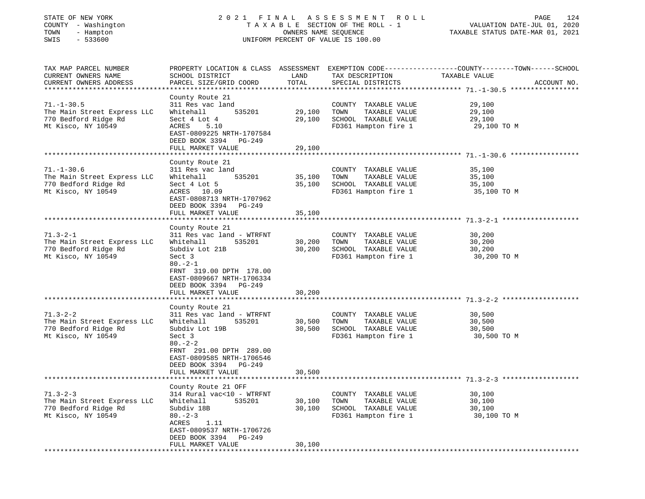| STATE OF NEW YORK |  |                   |              |  |
|-------------------|--|-------------------|--------------|--|
| COUNTY            |  |                   | - Washington |  |
| TOWN              |  | - Hampton         |              |  |
| $\Gamma$          |  | $F \cap C \cap C$ |              |  |

# STATE OF NEW YORK 2 0 2 1 F I N A L A S S E S S M E N T R O L L PAGE 124 COUNTY - Washington T A X A B L E SECTION OF THE ROLL - 1 VALUATION DATE-JUL 01, 2020 TOWN - Hampton OWNERS NAME SEQUENCE TAXABLE STATUS DATE-MAR 01, 2021 SWIS - 533600 UNIFORM PERCENT OF VALUE IS 100.00

TAX MAP PARCEL NUMBER PROPERTY LOCATION & CLASS ASSESSMENT EXEMPTION CODE------------------COUNTY--------TOWN------SCHOOL

| CURRENT OWNERS NAME                                                                           | SCHOOL DISTRICT                                                                                                          | LAND             | TAX DESCRIPTION                                                                               | TAXABLE VALUE                             |
|-----------------------------------------------------------------------------------------------|--------------------------------------------------------------------------------------------------------------------------|------------------|-----------------------------------------------------------------------------------------------|-------------------------------------------|
| CURRENT OWNERS ADDRESS                                                                        | PARCEL SIZE/GRID COORD                                                                                                   | TOTAL            | SPECIAL DISTRICTS                                                                             | ACCOUNT NO.                               |
|                                                                                               |                                                                                                                          |                  |                                                                                               |                                           |
| $71. - 1 - 30.5$<br>The Main Street Express LLC<br>770 Bedford Ridge Rd<br>Mt Kisco, NY 10549 | County Route 21<br>311 Res vac land<br>Whitehall<br>535201<br>Sect 4 Lot 4<br>ACRES<br>5.10<br>EAST-0809225 NRTH-1707584 | 29,100<br>29,100 | COUNTY TAXABLE VALUE<br>TAXABLE VALUE<br>TOWN<br>SCHOOL TAXABLE VALUE<br>FD361 Hampton fire 1 | 29,100<br>29,100<br>29,100<br>29,100 TO M |
|                                                                                               | DEED BOOK 3394 PG-249                                                                                                    |                  |                                                                                               |                                           |
|                                                                                               | FULL MARKET VALUE                                                                                                        | 29,100           |                                                                                               |                                           |
| ******************************                                                                |                                                                                                                          |                  |                                                                                               |                                           |
|                                                                                               | County Route 21                                                                                                          |                  |                                                                                               |                                           |
| $71. - 1 - 30.6$                                                                              | 311 Res vac land                                                                                                         |                  | COUNTY TAXABLE VALUE                                                                          | 35,100                                    |
|                                                                                               |                                                                                                                          |                  |                                                                                               |                                           |
| The Main Street Express LLC                                                                   | 535201<br>Whitehall                                                                                                      | 35,100           | TOWN<br>TAXABLE VALUE                                                                         | 35,100                                    |
| 770 Bedford Ridge Rd                                                                          | Sect 4 Lot 5                                                                                                             | 35,100           | SCHOOL TAXABLE VALUE                                                                          | 35,100                                    |
| Mt Kisco, NY 10549                                                                            | ACRES 10.09                                                                                                              |                  | FD361 Hampton fire 1                                                                          | 35,100 TO M                               |
|                                                                                               | EAST-0808713 NRTH-1707962                                                                                                |                  |                                                                                               |                                           |
|                                                                                               | DEED BOOK 3394 PG-249                                                                                                    |                  |                                                                                               |                                           |
|                                                                                               | FULL MARKET VALUE                                                                                                        | 35,100           |                                                                                               |                                           |
|                                                                                               |                                                                                                                          |                  |                                                                                               |                                           |
|                                                                                               | County Route 21                                                                                                          |                  |                                                                                               |                                           |
| $71.3 - 2 - 1$                                                                                | 311 Res vac land - WTRFNT                                                                                                |                  | COUNTY TAXABLE VALUE                                                                          | 30,200                                    |
| The Main Street Express LLC                                                                   | Whitehall<br>535201                                                                                                      | 30,200           | TOWN<br>TAXABLE VALUE                                                                         | 30,200                                    |
| 770 Bedford Ridge Rd                                                                          | Subdiv Lot 21B                                                                                                           | 30,200           | SCHOOL TAXABLE VALUE                                                                          | 30,200                                    |
| Mt Kisco, NY 10549                                                                            | Sect 3                                                                                                                   |                  | FD361 Hampton fire 1                                                                          | 30,200 TO M                               |
| ******************************                                                                | $80. -2 - 1$<br>FRNT 319.00 DPTH 178.00<br>EAST-0809667 NRTH-1706334<br>DEED BOOK 3394 PG-249<br>FULL MARKET VALUE       | 30,200           |                                                                                               |                                           |
|                                                                                               |                                                                                                                          |                  |                                                                                               |                                           |
| $71.3 - 2 - 2$<br>The Main Street Express LLC<br>770 Bedford Ridge Rd<br>Mt Kisco, NY 10549   | County Route 21<br>311 Res vac land - WTRFNT<br>Whitehall<br>535201<br>Subdiv Lot 19B<br>Sect 3<br>$80 - 2 - 2$          | 30,500<br>30,500 | COUNTY TAXABLE VALUE<br>TAXABLE VALUE<br>TOWN<br>SCHOOL TAXABLE VALUE<br>FD361 Hampton fire 1 | 30,500<br>30,500<br>30,500<br>30,500 TO M |
|                                                                                               | FRNT 291.00 DPTH 289.00<br>EAST-0809585 NRTH-1706546<br>DEED BOOK 3394 PG-249<br>FULL MARKET VALUE                       | 30,500           |                                                                                               |                                           |
|                                                                                               | County Route 21 OFF                                                                                                      |                  |                                                                                               |                                           |
| $71.3 - 2 - 3$                                                                                | 314 Rural vac<10 - WTRFNT                                                                                                |                  | COUNTY TAXABLE VALUE                                                                          | 30,100                                    |
| The Main Street Express LLC                                                                   | 535201<br>Whitehall                                                                                                      | 30,100           | TOWN<br>TAXABLE VALUE                                                                         | 30,100                                    |
| 770 Bedford Ridge Rd                                                                          | Subdiv 18B                                                                                                               | 30,100           | SCHOOL TAXABLE VALUE                                                                          | 30,100                                    |
| Mt Kisco, NY 10549                                                                            | $80 - 2 - 3$<br>ACRES<br>1.11<br>EAST-0809537 NRTH-1706726<br>DEED BOOK 3394 PG-249                                      |                  | FD361 Hampton fire 1                                                                          | 30,100 TO M                               |
|                                                                                               | FULL MARKET VALUE                                                                                                        | 30,100           |                                                                                               |                                           |
|                                                                                               |                                                                                                                          |                  |                                                                                               |                                           |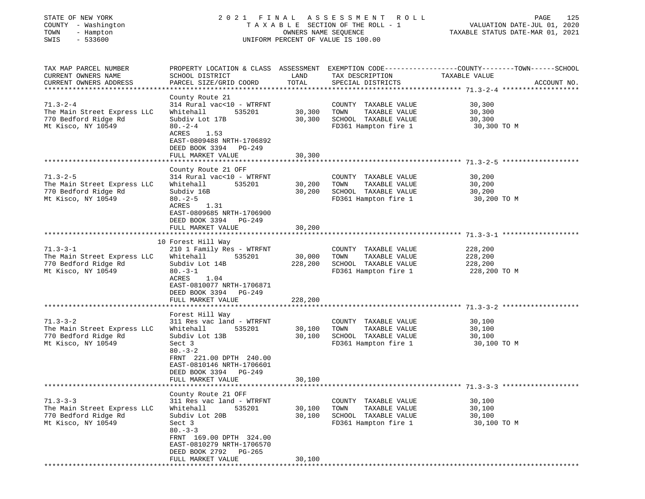### STATE OF NEW YORK 2 0 2 1 F I N A L A S S E S S M E N T R O L L PAGE 125 COUNTY - Washington T A X A B L E SECTION OF THE ROLL - 1 VALUATION DATE-JUL 01, 2020 TOWN - Hampton OWNERS NAME SEQUENCE TAXABLE STATUS DATE-MAR 01, 2021 SWIS - 533600 UNIFORM PERCENT OF VALUE IS 100.00UNIFORM PERCENT OF VALUE IS 100.00

| TAX MAP PARCEL NUMBER<br>CURRENT OWNERS NAME<br>CURRENT OWNERS ADDRESS<br>************************** | SCHOOL DISTRICT<br>PARCEL SIZE/GRID COORD                                                                                                                                                                                                                           | LAND<br>TOTAL                | TAX DESCRIPTION<br>SPECIAL DISTRICTS                                                                                 | PROPERTY LOCATION & CLASS ASSESSMENT EXEMPTION CODE---------------COUNTY-------TOWN------SCHOOL<br>TAXABLE VALUE<br>ACCOUNT NO. |  |
|------------------------------------------------------------------------------------------------------|---------------------------------------------------------------------------------------------------------------------------------------------------------------------------------------------------------------------------------------------------------------------|------------------------------|----------------------------------------------------------------------------------------------------------------------|---------------------------------------------------------------------------------------------------------------------------------|--|
| $71.3 - 2 - 4$<br>The Main Street Express LLC<br>770 Bedford Ridge Rd<br>Mt Kisco, NY 10549          | County Route 21<br>314 Rural vac<10 - WTRFNT<br>Whitehall<br>535201<br>Subdiv Lot 17B<br>$80 - 2 - 4$<br>ACRES<br>1.53<br>EAST-0809488 NRTH-1706892<br>DEED BOOK 3394 PG-249<br>FULL MARKET VALUE                                                                   | 30,300<br>30,300<br>30,300   | COUNTY TAXABLE VALUE<br>TOWN<br>TAXABLE VALUE<br>SCHOOL TAXABLE VALUE<br>FD361 Hampton fire 1                        | 30,300<br>30,300<br>30,300<br>30,300 TO M                                                                                       |  |
| $71.3 - 2 - 5$<br>The Main Street Express LLC<br>770 Bedford Ridge Rd<br>Mt Kisco, NY 10549          | County Route 21 OFF<br>314 Rural vac<10 - WTRFNT<br>535201<br>Whitehall<br>Subdiv 16B<br>$80. - 2 - 5$<br>ACRES<br>1.31<br>EAST-0809685 NRTH-1706900<br>DEED BOOK 3394<br>PG-249<br>FULL MARKET VALUE                                                               | 30,200<br>30,200<br>30,200   | COUNTY TAXABLE VALUE<br>TOWN<br>TAXABLE VALUE<br>SCHOOL TAXABLE VALUE<br>FD361 Hampton fire 1                        | 30,200<br>30,200<br>30,200<br>30,200 TO M<br>****************************** 71.3-3-1 *****                                      |  |
| $71.3 - 3 - 1$<br>The Main Street Express LLC<br>770 Bedford Ridge Rd<br>Mt Kisco, NY 10549          | 10 Forest Hill Way<br>210 1 Family Res - WTRFNT<br>535201<br>Whitehall<br>Subdiv Lot 14B<br>$80. -3 - 1$<br>ACRES<br>1.04<br>EAST-0810077 NRTH-1706871<br>DEED BOOK 3394<br>PG-249<br>FULL MARKET VALUE                                                             | 30,000<br>228,200<br>228,200 | COUNTY TAXABLE VALUE<br>TOWN<br>TAXABLE VALUE<br>SCHOOL TAXABLE VALUE<br>FD361 Hampton fire 1                        | 228,200<br>228,200<br>228,200<br>228,200 TO M                                                                                   |  |
| $71.3 - 3 - 2$<br>The Main Street Express LLC<br>770 Bedford Ridge Rd<br>Mt Kisco, NY 10549          | Forest Hill Way<br>311 Res vac land - WTRFNT<br>Whitehall<br>535201<br>Subdiv Lot 13B<br>Sect 3<br>$80 - 3 - 2$<br>FRNT 221.00 DPTH 240.00<br>EAST-0810146 NRTH-1706601<br>DEED BOOK 3394<br><b>PG-249</b><br>FULL MARKET VALUE                                     | 30,100<br>30,100<br>30,100   | COUNTY TAXABLE VALUE<br>TOWN<br>TAXABLE VALUE<br>SCHOOL TAXABLE VALUE<br>FD361 Hampton fire 1                        | 30,100<br>30,100<br>30,100<br>30,100 TO M                                                                                       |  |
| $71.3 - 3 - 3$<br>The Main Street Express LLC<br>770 Bedford Ridge Rd<br>Mt Kisco, NY 10549          | * * * * * * * * * * * * * * * * * *<br>County Route 21 OFF<br>311 Res vac land - WTRFNT<br>Whitehall<br>535201<br>Subdiv Lot 20B<br>Sect 3<br>$80 - 3 - 3$<br>FRNT 169.00 DPTH 324.00<br>EAST-0810279 NRTH-1706570<br>DEED BOOK 2792<br>PG-265<br>FULL MARKET VALUE | 30,100<br>30,100<br>30,100   | COUNTY TAXABLE VALUE<br>TOWN<br>TAXABLE VALUE<br>SCHOOL TAXABLE VALUE<br>FD361 Hampton fire 1<br>******************* | ******************************** 71.3-3-3<br>30,100<br>30,100<br>30,100<br>30,100 TO M                                          |  |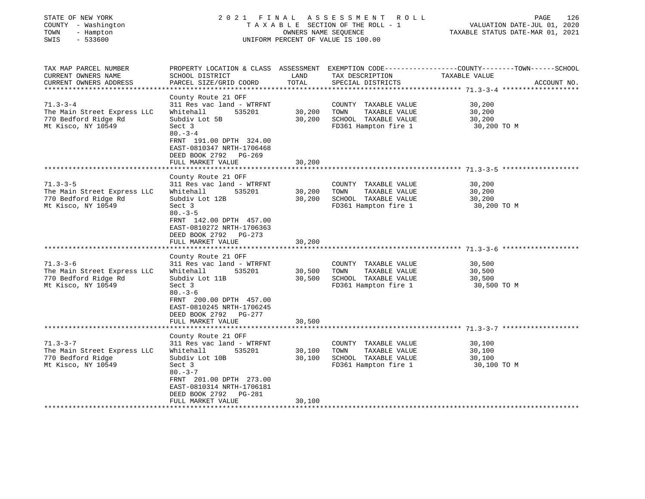| STATE OF NEW YORK<br>COUNTY - Washington<br>TOWN<br>- Hampton<br>SWIS<br>$-533600$                                    | 2021 FINAL<br>TAXABLE SECTION OF THE ROLL - 1<br>UNIFORM PERCENT OF VALUE IS 100.00                                                                                                                                          | 126<br>PAGE<br>VALUATION DATE-JUL 01, 2020<br>TAXABLE STATUS DATE-MAR 01, 2021 |                                                                                               |                                                                                                                                 |
|-----------------------------------------------------------------------------------------------------------------------|------------------------------------------------------------------------------------------------------------------------------------------------------------------------------------------------------------------------------|--------------------------------------------------------------------------------|-----------------------------------------------------------------------------------------------|---------------------------------------------------------------------------------------------------------------------------------|
| TAX MAP PARCEL NUMBER<br>CURRENT OWNERS NAME<br>CURRENT OWNERS ADDRESS                                                | SCHOOL DISTRICT<br>PARCEL SIZE/GRID COORD                                                                                                                                                                                    | LAND<br>TOTAL                                                                  | TAX DESCRIPTION<br>SPECIAL DISTRICTS                                                          | PROPERTY LOCATION & CLASS ASSESSMENT EXEMPTION CODE----------------COUNTY-------TOWN-----SCHOOL<br>TAXABLE VALUE<br>ACCOUNT NO. |
| **********************<br>$71.3 - 3 - 4$<br>The Main Street Express LLC<br>770 Bedford Ridge Rd<br>Mt Kisco, NY 10549 | County Route 21 OFF<br>311 Res vac land - WTRFNT<br>535201<br>Whitehall<br>Subdiv Lot 5B<br>Sect 3<br>$80 - 3 - 4$<br>FRNT 191.00 DPTH 324.00<br>EAST-0810347 NRTH-1706468<br>DEED BOOK 2792 PG-269<br>FULL MARKET VALUE     | 30,200<br>30,200<br>30,200                                                     | COUNTY TAXABLE VALUE<br>TAXABLE VALUE<br>TOWN<br>SCHOOL TAXABLE VALUE<br>FD361 Hampton fire 1 | 30,200<br>30,200<br>30,200<br>30,200 TO M                                                                                       |
|                                                                                                                       | ***********************************                                                                                                                                                                                          |                                                                                |                                                                                               | ************************************** 71.3-3-5 *********************                                                           |
| $71.3 - 3 - 5$<br>The Main Street Express LLC<br>770 Bedford Ridge Rd<br>Mt Kisco, NY 10549                           | County Route 21 OFF<br>311 Res vac land - WTRFNT<br>Whitehall<br>535201<br>Subdiv Lot 12B<br>Sect 3<br>$80 - 3 - 5$<br>FRNT 142.00 DPTH 457.00<br>EAST-0810272 NRTH-1706363<br>DEED BOOK 2792 PG-273<br>FULL MARKET VALUE    | 30,200<br>30,200<br>30,200                                                     | COUNTY TAXABLE VALUE<br>TOWN<br>TAXABLE VALUE<br>SCHOOL TAXABLE VALUE<br>FD361 Hampton fire 1 | 30,200<br>30,200<br>30,200<br>30,200 TO M                                                                                       |
| $71.3 - 3 - 6$<br>The Main Street Express LLC<br>770 Bedford Ridge Rd<br>Mt Kisco, NY 10549                           | County Route 21 OFF<br>311 Res vac land - WTRFNT<br>535201<br>Whitehall<br>Subdiv Lot 11B<br>Sect 3<br>$80 - 3 - 6$<br>FRNT 200.00 DPTH 457.00<br>EAST-0810245 NRTH-1706245<br>DEED BOOK 2792 PG-277<br>FULL MARKET VALUE    | 30,500<br>30,500<br>30,500                                                     | COUNTY TAXABLE VALUE<br>TOWN<br>TAXABLE VALUE<br>SCHOOL TAXABLE VALUE<br>FD361 Hampton fire 1 | 30,500<br>30,500<br>30,500<br>30,500 TO M                                                                                       |
|                                                                                                                       |                                                                                                                                                                                                                              |                                                                                |                                                                                               |                                                                                                                                 |
| $71.3 - 3 - 7$<br>The Main Street Express LLC<br>770 Bedford Ridge<br>Mt Kisco, NY 10549                              | County Route 21 OFF<br>311 Res vac land - WTRFNT<br>Whitehall<br>535201<br>Subdiv Lot 10B<br>Sect 3<br>$80. -3 - 7$<br>FRNT 201.00 DPTH 273.00<br>EAST-0810314 NRTH-1706181<br>DEED BOOK 2792<br>PG-281<br>FULL MARKET VALUE | 30,100<br>30,100<br>30,100                                                     | COUNTY TAXABLE VALUE<br>TAXABLE VALUE<br>TOWN<br>SCHOOL TAXABLE VALUE<br>FD361 Hampton fire 1 | 30,100<br>30,100<br>30,100<br>30,100 TO M                                                                                       |
|                                                                                                                       |                                                                                                                                                                                                                              |                                                                                |                                                                                               |                                                                                                                                 |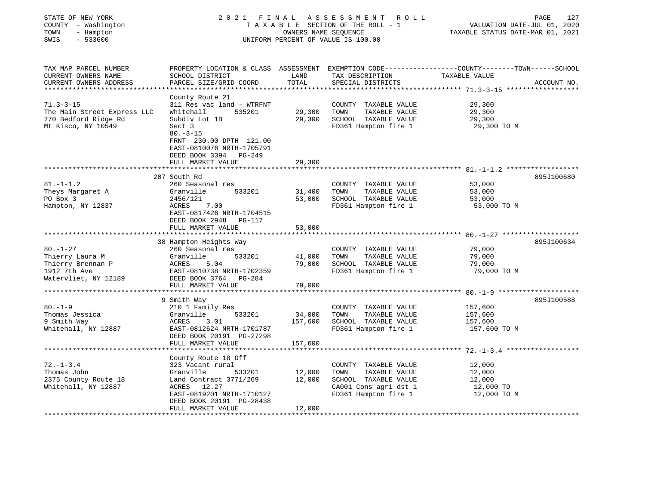| STATE OF NEW YORK<br>COUNTY - Washington<br>TOWN<br>- Hampton<br>SWIS<br>$-533600$             | 2021 FINAL<br>TAXABLE SECTION OF THE ROLL - 1<br>UNIFORM PERCENT OF VALUE IS 100.00                                                                                                                                    | PAGE<br>127<br>VALUATION DATE-JUL 01, 2020<br>TAXABLE STATUS DATE-MAR 01, 2021 |                                                                                                                        |                                                                                                                                  |
|------------------------------------------------------------------------------------------------|------------------------------------------------------------------------------------------------------------------------------------------------------------------------------------------------------------------------|--------------------------------------------------------------------------------|------------------------------------------------------------------------------------------------------------------------|----------------------------------------------------------------------------------------------------------------------------------|
| TAX MAP PARCEL NUMBER<br>CURRENT OWNERS NAME<br>CURRENT OWNERS ADDRESS                         | SCHOOL DISTRICT<br>PARCEL SIZE/GRID COORD                                                                                                                                                                              | LAND<br>TOTAL                                                                  | TAX DESCRIPTION<br>SPECIAL DISTRICTS                                                                                   | PROPERTY LOCATION & CLASS ASSESSMENT EXEMPTION CODE----------------COUNTY-------TOWN------SCHOOL<br>TAXABLE VALUE<br>ACCOUNT NO. |
| $71.3 - 3 - 15$<br>The Main Street Express LLC<br>770 Bedford Ridge Rd<br>Mt Kisco, NY 10549   | County Route 21<br>311 Res vac land - WTRFNT<br>Whitehall<br>535201<br>Subdiv Lot 1B<br>Sect 3<br>$80. - 3 - 15$<br>FRNT 230.00 DPTH 121.00<br>EAST-0810076 NRTH-1705791<br>DEED BOOK 3394 PG-249<br>FULL MARKET VALUE | 29,300<br>29,300<br>29,300                                                     | COUNTY TAXABLE VALUE<br>TOWN<br>TAXABLE VALUE<br>SCHOOL TAXABLE VALUE<br>FD361 Hampton fire 1                          | 29,300<br>29,300<br>29,300<br>29,300 TO M                                                                                        |
|                                                                                                |                                                                                                                                                                                                                        |                                                                                |                                                                                                                        |                                                                                                                                  |
| $81. - 1 - 1.2$<br>Theys Margaret A<br>PO Box 3<br>Hampton, NY 12837                           | 207 South Rd<br>260 Seasonal res<br>533201<br>Granville<br>2456/121<br>ACRES<br>7.00<br>EAST-0817426 NRTH-1704515<br>DEED BOOK 2948<br>PG-117<br>FULL MARKET VALUE                                                     | 31,400<br>53,000<br>53,000                                                     | COUNTY TAXABLE VALUE<br>TAXABLE VALUE<br>TOWN<br>SCHOOL TAXABLE VALUE<br>FD361 Hampton fire 1                          | 895J100680<br>53,000<br>53,000<br>53,000<br>53,000 TO M                                                                          |
|                                                                                                |                                                                                                                                                                                                                        |                                                                                |                                                                                                                        | 895J100634                                                                                                                       |
| $80. - 1 - 27$<br>Thierry Laura M<br>Thierry Brennan P<br>1912 7th Ave<br>Watervliet, NY 12189 | 38 Hampton Heights Way<br>260 Seasonal res<br>Granville<br>533201<br>ACRES<br>5.04<br>EAST-0810738 NRTH-1702359<br>DEED BOOK 3764 PG-284<br>FULL MARKET VALUE                                                          | 41,000<br>79,000<br>79,000                                                     | COUNTY TAXABLE VALUE<br>TOWN<br>TAXABLE VALUE<br>SCHOOL TAXABLE VALUE<br>FD361 Hampton fire 1                          | 79,000<br>79,000<br>79,000<br>79,000 TO M                                                                                        |
|                                                                                                |                                                                                                                                                                                                                        |                                                                                |                                                                                                                        |                                                                                                                                  |
| $80. - 1 - 9$<br>Thomas Jessica<br>9 Smith Way<br>Whitehall, NY 12887                          | 9 Smith Way<br>210 1 Family Res<br>Granville<br>533201<br>3.01<br>ACRES<br>EAST-0812624 NRTH-1701787<br>DEED BOOK 20191 PG-27298                                                                                       | 34,000<br>157,600                                                              | COUNTY TAXABLE VALUE<br>TOWN<br>TAXABLE VALUE<br>SCHOOL TAXABLE VALUE<br>FD361 Hampton fire 1                          | 895J100588<br>157,600<br>157,600<br>157,600<br>157,600 TO M                                                                      |
|                                                                                                | FULL MARKET VALUE                                                                                                                                                                                                      | 157,600                                                                        |                                                                                                                        |                                                                                                                                  |
| $72. - 1 - 3.4$<br>Thomas John<br>2375 County Route 18<br>Whitehall, NY 12887                  | County Route 18 Off<br>323 Vacant rural<br>Granville<br>533201<br>Land Contract 3771/269<br>ACRES 12.27<br>EAST-0819201 NRTH-1710127<br>DEED BOOK 20191 PG-28438<br>FULL MARKET VALUE                                  | 12,000<br>12,000<br>12,000                                                     | COUNTY TAXABLE VALUE<br>TOWN<br>TAXABLE VALUE<br>SCHOOL TAXABLE VALUE<br>CA001 Cons agri dst 1<br>FD361 Hampton fire 1 | 12,000<br>12,000<br>12,000<br>12,000 TO<br>12,000 TO M                                                                           |
| *************************                                                                      | **************************                                                                                                                                                                                             | *****************                                                              |                                                                                                                        |                                                                                                                                  |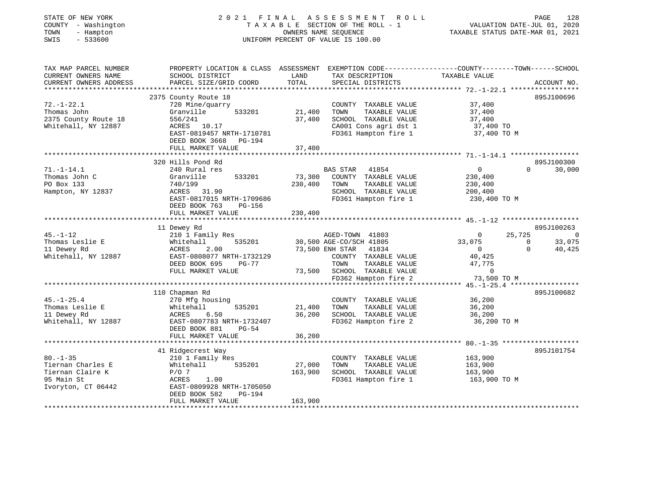| STATE OF NEW YORK<br>COUNTY - Washington<br>TOWN<br>- Hampton<br>SWIS<br>$-533600$ | 2021 FINAL ASSESSMENT ROLL<br>T A X A B L E SECTION OF THE ROLL - 1<br>UNIFORM PERCENT OF VALUE IS 100.00 | PAGE<br>128<br>VALUATION DATE-JUL 01, 2020<br>TAXABLE STATUS DATE-MAR 01, 2021 |                                                      |                          |                                    |
|------------------------------------------------------------------------------------|-----------------------------------------------------------------------------------------------------------|--------------------------------------------------------------------------------|------------------------------------------------------|--------------------------|------------------------------------|
| TAX MAP PARCEL NUMBER                                                              | PROPERTY LOCATION & CLASS ASSESSMENT EXEMPTION CODE----------------COUNTY-------TOWN------SCHOOL          | LAND                                                                           |                                                      |                          |                                    |
| CURRENT OWNERS NAME<br>CURRENT OWNERS ADDRESS                                      | SCHOOL DISTRICT<br>PARCEL SIZE/GRID COORD                                                                 | TOTAL                                                                          | TAX DESCRIPTION<br>SPECIAL DISTRICTS                 | TAXABLE VALUE            | ACCOUNT NO.                        |
| ***********************                                                            |                                                                                                           |                                                                                |                                                      |                          |                                    |
|                                                                                    | 2375 County Route 18                                                                                      |                                                                                |                                                      |                          | 895J100696                         |
| $72. - 1 - 22.1$<br>Thomas John                                                    | 720 Mine/quarry<br>533201<br>Granville                                                                    | 21,400                                                                         | COUNTY TAXABLE VALUE<br>TOWN<br>TAXABLE VALUE        | 37,400<br>37,400         |                                    |
| 2375 County Route 18                                                               | 556/241                                                                                                   | 37,400                                                                         | SCHOOL TAXABLE VALUE                                 | 37,400                   |                                    |
| Whitehall, NY 12887                                                                | ACRES 10.17                                                                                               |                                                                                | CA001 Cons agri dst 1                                | 37,400 TO                |                                    |
|                                                                                    | EAST-0819457 NRTH-1710781<br>DEED BOOK 3668 PG-194                                                        |                                                                                | FD361 Hampton fire 1                                 | 37,400 TO M              |                                    |
|                                                                                    | FULL MARKET VALUE                                                                                         | 37,400                                                                         |                                                      |                          |                                    |
|                                                                                    | **********************                                                                                    |                                                                                |                                                      |                          |                                    |
| $71. - 1 - 14.1$                                                                   | 320 Hills Pond Rd<br>240 Rural res                                                                        |                                                                                | BAS STAR<br>41854                                    | $\overline{0}$           | 895J100300<br>30,000<br>$\Omega$   |
| Thomas John C                                                                      | 533201<br>Granville                                                                                       | 73,300                                                                         | COUNTY TAXABLE VALUE                                 | 230,400                  |                                    |
| PO Box 133                                                                         | 740/199                                                                                                   | 230,400                                                                        | TAXABLE VALUE<br>TOWN                                | 230,400                  |                                    |
| Hampton, NY 12837                                                                  | ACRES 31.90                                                                                               |                                                                                | SCHOOL TAXABLE VALUE                                 | 200,400                  |                                    |
|                                                                                    | EAST-0817015 NRTH-1709686                                                                                 |                                                                                | FD361 Hampton fire 1                                 | 230,400 TO M             |                                    |
|                                                                                    | DEED BOOK 763<br>PG-156                                                                                   |                                                                                |                                                      |                          |                                    |
|                                                                                    | FULL MARKET VALUE                                                                                         | 230,400                                                                        |                                                      |                          |                                    |
|                                                                                    | 11 Dewey Rd                                                                                               |                                                                                |                                                      |                          | 895J100263                         |
| $45. - 1 - 12$                                                                     | 210 1 Family Res                                                                                          |                                                                                | AGED-TOWN 41803                                      | $\overline{0}$<br>25,725 | $\overline{0}$                     |
| Thomas Leslie E                                                                    | 535201<br>Whitehall                                                                                       |                                                                                | 30,500 AGE-CO/SCH 41805                              | 33,075                   | $\overline{\phantom{0}}$<br>33,075 |
| 11 Dewey Rd                                                                        | 2.00<br>ACRES                                                                                             |                                                                                | 73,500 ENH STAR 41834                                | $\overline{0}$           | 40,425<br>$\Omega$                 |
| Whitehall, NY 12887                                                                | EAST-0808077 NRTH-1732129                                                                                 |                                                                                | COUNTY TAXABLE VALUE                                 | 40,425                   |                                    |
|                                                                                    | DEED BOOK 695<br>PG-77<br>FULL MARKET VALUE                                                               |                                                                                | TOWN<br>TAXABLE VALUE<br>73,500 SCHOOL TAXABLE VALUE | 47,775<br>$\overline{0}$ |                                    |
|                                                                                    |                                                                                                           |                                                                                | FD362 Hampton fire 2                                 | 73,500 TO M              |                                    |
|                                                                                    |                                                                                                           |                                                                                |                                                      |                          |                                    |
|                                                                                    | 110 Chapman Rd                                                                                            |                                                                                |                                                      |                          | 895J100682                         |
| $45. - 1 - 25.4$                                                                   | 270 Mfg housing                                                                                           |                                                                                | COUNTY TAXABLE VALUE                                 | 36,200                   |                                    |
| Thomas Leslie E                                                                    | Whitehall<br>ACRES (<br>535201                                                                            | 21,400                                                                         | TOWN<br>TAXABLE VALUE                                | 36,200                   |                                    |
| 11 Dewey Rd                                                                        | 6.50                                                                                                      | 36,200                                                                         | SCHOOL TAXABLE VALUE                                 | 36,200                   |                                    |
| Whitehall, NY 12887                                                                | EAST-0807783 NRTH-1732407                                                                                 |                                                                                | FD362 Hampton fire 2                                 | 36,200 TO M              |                                    |
|                                                                                    | $PG-54$<br>DEED BOOK 881                                                                                  | 36,200                                                                         |                                                      |                          |                                    |
|                                                                                    | FULL MARKET VALUE<br>***********************                                                              | **********                                                                     |                                                      |                          |                                    |
|                                                                                    | 41 Ridgecrest Way                                                                                         |                                                                                |                                                      |                          | 895J101754                         |
| $80. - 1 - 35$                                                                     | 210 1 Family Res                                                                                          |                                                                                | COUNTY TAXABLE VALUE                                 | 163,900                  |                                    |
| Tiernan Charles E                                                                  | Whitehall<br>535201                                                                                       | 27,000                                                                         | TOWN<br>TAXABLE VALUE                                | 163,900                  |                                    |
| Tiernan Claire K                                                                   | $P/O$ 7                                                                                                   | 163,900                                                                        | SCHOOL TAXABLE VALUE                                 | 163,900                  |                                    |
| 95 Main St                                                                         | ACRES 1.00                                                                                                |                                                                                | FD361 Hampton fire 1                                 | 163,900 TO M             |                                    |
| Ivoryton, CT 06442                                                                 | EAST-0809928 NRTH-1705050                                                                                 |                                                                                |                                                      |                          |                                    |
|                                                                                    | DEED BOOK 582<br>PG-194                                                                                   |                                                                                |                                                      |                          |                                    |
|                                                                                    | FULL MARKET VALUE                                                                                         | 163,900                                                                        |                                                      |                          |                                    |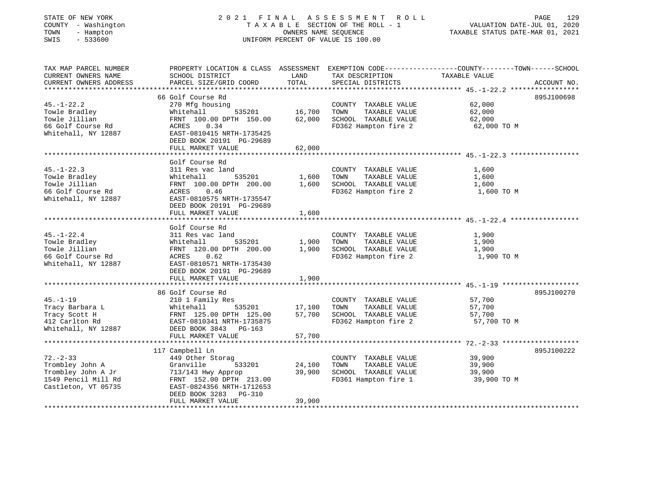| STATE OF NEW YORK    |  |                     |  |
|----------------------|--|---------------------|--|
|                      |  | COUNTY - Washington |  |
| TOWN                 |  | - Hampton           |  |
| $\sim$ $\sim$ $\sim$ |  | $\blacksquare$      |  |

# STATE OF NEW YORK 2 0 2 1 F I N A L A S S E S S M E N T R O L L PAGE 129 COUNTY - Washington T A X A B L E SECTION OF THE ROLL - 1 VALUATION DATE-JUL 01, 2020 TOWN - Hampton OWNERS NAME SEQUENCE TAXABLE STATUS DATE-MAR 01, 2021 SWIS - 533600 UNIFORM PERCENT OF VALUE IS 100.00

| TAX MAP PARCEL NUMBER<br>CURRENT OWNERS NAME<br>CURRENT OWNERS ADDRESS                               | PROPERTY LOCATION & CLASS ASSESSMENT EXEMPTION CODE---------------COUNTY-------TOWN-----SCHOOL<br>SCHOOL DISTRICT<br>PARCEL SIZE/GRID COORD                                               | LAND<br>TOTAL                     | TAX DESCRIPTION<br>SPECIAL DISTRICTS                                                          | TAXABLE VALUE                             | ACCOUNT NO. |
|------------------------------------------------------------------------------------------------------|-------------------------------------------------------------------------------------------------------------------------------------------------------------------------------------------|-----------------------------------|-----------------------------------------------------------------------------------------------|-------------------------------------------|-------------|
| $45. - 1 - 22.2$<br>Towle Bradley<br>Towle Jillian<br>66 Golf Course Rd<br>Whitehall, NY 12887       | 66 Golf Course Rd<br>270 Mfg housing<br>Whitehall<br>FRNT 100.00 DPTH 150.00<br>0.34<br>ACRES<br>EAST-0810415 NRTH-1735425<br>DEED BOOK 20191 PG-29689<br>FULL MARKET VALUE               | 535201 16,700<br>62,000<br>62,000 | COUNTY TAXABLE VALUE<br>TOWN<br>TAXABLE VALUE<br>SCHOOL TAXABLE VALUE<br>FD362 Hampton fire 2 | 62,000<br>62,000<br>62,000<br>62,000 TO M | 895J100698  |
| $45. - 1 - 22.3$<br>Towle Bradley<br>Towle Jillian<br>66 Golf Course Rd<br>Whitehall, NY 12887       | Golf Course Rd<br>311 Res vac land<br>Whitehall<br>FRNT 100.00 DPTH 200.00 1,600<br>0.46<br>ACRES<br>EAST-0810575 NRTH-1735547<br>DEED BOOK 20191 PG-29689<br>FULL MARKET VALUE           | 535201 1,600<br>1,600             | COUNTY TAXABLE VALUE<br>TAXABLE VALUE<br>TOWN<br>SCHOOL TAXABLE VALUE<br>FD362 Hampton fire 2 | 1,600<br>1,600<br>1,600<br>1,600 TO M     |             |
| $45. - 1 - 22.4$<br>Towle Bradley<br>Towle Jillian<br>66 Golf Course Rd<br>Whitehall, NY 12887       | Golf Course Rd<br>311 Res vac land<br>535201<br>Whitehall<br>FRNT 120.00 DPTH 200.00 1,900<br>0.62<br>ACRES<br>EAST-0810571 NRTH-1735430<br>DEED BOOK 20191 PG-29689<br>FULL MARKET VALUE | 1,900<br>1,900                    | COUNTY TAXABLE VALUE<br>TOWN<br>TAXABLE VALUE<br>SCHOOL TAXABLE VALUE<br>FD362 Hampton fire 2 | 1,900<br>1,900<br>1,900<br>1,900 TO M     |             |
| $45. - 1 - 19$<br>Tracy Barbara L<br>Tracy Scott H<br>412 Carlton Rd<br>Whitehall, NY 12887          | 86 Golf Course Rd<br>210 1 Family Res<br>Whitehall<br>FRNT 125.00 PF.11 --<br>EAST-0810341 NRTH-1735875<br>EAST-0813 PG-163<br>FULL MARKET VALUE                                          | 535201 17,100<br>57,700<br>57,700 | COUNTY TAXABLE VALUE<br>TAXABLE VALUE<br>TOWN<br>SCHOOL TAXABLE VALUE<br>FD362 Hampton fire 2 | 57,700<br>57,700<br>57,700<br>57,700 TO M | 895J100270  |
| $72 - 2 - 33$<br>Trombley John A<br>Trombley John A Jr<br>1549 Pencil Mill Rd<br>Castleton, VT 05735 | 117 Campbell Ln<br>449 Other Storag<br>Granville<br>533201<br>713/143 Hwy Approp<br>FRNT 152.00 DPTH 213.00<br>EAST-0824356 NRTH-1712653<br>DEED BOOK 3283 PG-310<br>FULL MARKET VALUE    | 24,100<br>39,900<br>39,900        | COUNTY TAXABLE VALUE<br>TOWN<br>TAXABLE VALUE<br>SCHOOL TAXABLE VALUE<br>FD361 Hampton fire 1 | 39,900<br>39,900<br>39,900<br>39,900 TO M | 895J100222  |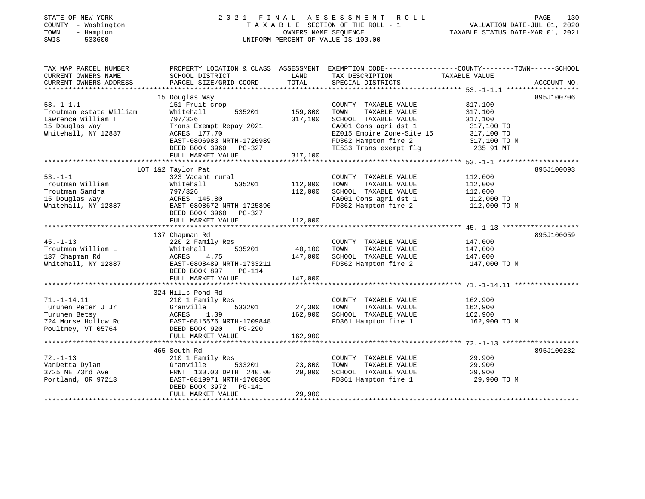## STATE OF NEW YORK 2 0 2 1 F I N A L A S S E S S M E N T R O L L PAGE 130 COUNTY - Washington T A X A B L E SECTION OF THE ROLL - 1 VALUATION DATE-JUL 01, 2020 TOWN - Hampton OWNERS NAME SEQUENCE TAXABLE STATUS DATE-MAR 01, 2021 SWIS - 533600 UNIFORM PERCENT OF VALUE IS 100.00UNIFORM PERCENT OF VALUE IS 100.00

| TAX MAP PARCEL NUMBER   | PROPERTY LOCATION & CLASS ASSESSMENT |         | EXEMPTION CODE----------------COUNTY-------TOWN------SCHOOL |               |             |
|-------------------------|--------------------------------------|---------|-------------------------------------------------------------|---------------|-------------|
| CURRENT OWNERS NAME     | SCHOOL DISTRICT                      | LAND    | TAX DESCRIPTION                                             | TAXABLE VALUE |             |
| CURRENT OWNERS ADDRESS  | PARCEL SIZE/GRID COORD               | TOTAL   | SPECIAL DISTRICTS                                           |               | ACCOUNT NO. |
| **********************  |                                      |         |                                                             |               |             |
|                         | 15 Douglas Way                       |         |                                                             |               | 895J100706  |
| $53. - 1 - 1.1$         | 151 Fruit crop                       |         | COUNTY TAXABLE VALUE                                        | 317,100       |             |
| Troutman estate William | Whitehall<br>535201                  | 159,800 | TAXABLE VALUE<br>TOWN                                       | 317,100       |             |
| Lawrence William T      | 797/326                              | 317,100 | SCHOOL TAXABLE VALUE                                        | 317,100       |             |
| 15 Douglas Way          | Trans Exempt Repay 2021              |         | CA001 Cons agri dst 1                                       | 317,100 TO    |             |
| Whitehall, NY 12887     | ACRES 177.70                         |         | EZ015 Empire Zone-Site 15                                   | 317,100 TO    |             |
|                         | EAST-0806983 NRTH-1726989            |         | FD362 Hampton fire 2                                        | 317,100 TO M  |             |
|                         | DEED BOOK 3960 PG-327                |         | TE533 Trans exempt flg                                      | 235.91 MT     |             |
|                         | FULL MARKET VALUE                    | 317,100 |                                                             |               |             |
|                         |                                      |         |                                                             |               |             |
|                         | LOT 1&2 Taylor Pat                   |         |                                                             |               | 895J100093  |
| $53. - 1 - 1$           | 323 Vacant rural                     |         | COUNTY TAXABLE VALUE                                        | 112,000       |             |
| Troutman William        | 535201<br>Whitehall                  | 112,000 | TAXABLE VALUE<br>TOWN                                       | 112,000       |             |
| Troutman Sandra         | 797/326                              | 112,000 | SCHOOL TAXABLE VALUE                                        | 112,000       |             |
| 15 Douglas Way          | ACRES 145.80                         |         | CA001 Cons agri dst 1                                       | 112,000 TO    |             |
| Whitehall, NY 12887     | EAST-0808672 NRTH-1725896            |         | FD362 Hampton fire 2                                        | 112,000 TO M  |             |
|                         | DEED BOOK 3960 PG-327                |         |                                                             |               |             |
|                         | FULL MARKET VALUE                    | 112,000 |                                                             |               |             |
|                         |                                      |         |                                                             |               |             |
|                         | 137 Chapman Rd                       |         |                                                             |               | 895J100059  |
| $45. - 1 - 13$          | 220 2 Family Res                     |         | COUNTY TAXABLE VALUE                                        | 147,000       |             |
| Troutman William L      | 535201<br>Whitehall                  | 40,100  | TOWN<br>TAXABLE VALUE                                       | 147,000       |             |
| 137 Chapman Rd          | ACRES<br>4.75                        | 147,000 | SCHOOL TAXABLE VALUE                                        | 147,000       |             |
| Whitehall, NY 12887     | EAST-0808489 NRTH-1733211            |         | FD362 Hampton fire 2                                        | 147,000 TO M  |             |
|                         | DEED BOOK 897<br><b>PG-114</b>       |         |                                                             |               |             |
|                         | FULL MARKET VALUE                    | 147,000 |                                                             |               |             |
|                         |                                      |         |                                                             |               |             |
|                         | 324 Hills Pond Rd                    |         |                                                             |               |             |
| $71. - 1 - 14.11$       | 210 1 Family Res                     |         | COUNTY TAXABLE VALUE                                        | 162,900       |             |
| Turunen Peter J Jr      | Granville<br>533201                  | 27,300  | TOWN<br>TAXABLE VALUE                                       | 162,900       |             |
| Turunen Betsy           | ACRES<br>1.09                        | 162,900 | SCHOOL TAXABLE VALUE                                        | 162,900       |             |
| 724 Morse Hollow Rd     | EAST-0815576 NRTH-1709848            |         | FD361 Hampton fire 1                                        | 162,900 TO M  |             |
| Poultney, VT 05764      | DEED BOOK 920<br>$PG-290$            |         |                                                             |               |             |
|                         | FULL MARKET VALUE                    | 162,900 |                                                             |               |             |
|                         |                                      |         |                                                             |               |             |
|                         | 465 South Rd                         |         |                                                             |               | 895J100232  |
| $72. - 1 - 13$          | 210 1 Family Res                     |         | COUNTY TAXABLE VALUE                                        | 29,900        |             |
| VanDetta Dylan          | Granville<br>533201                  | 23,800  | TAXABLE VALUE<br>TOWN                                       | 29,900        |             |
| 3725 NE 73rd Ave        | FRNT 130.00 DPTH 240.00              | 29,900  | SCHOOL TAXABLE VALUE                                        | 29,900        |             |
| Portland, OR 97213      | EAST-0819971 NRTH-1708305            |         | FD361 Hampton fire 1                                        | 29,900 TO M   |             |
|                         | DEED BOOK 3972<br>PG-141             |         |                                                             |               |             |
|                         | FULL MARKET VALUE                    | 29,900  |                                                             |               |             |
|                         | ********************************     |         |                                                             |               |             |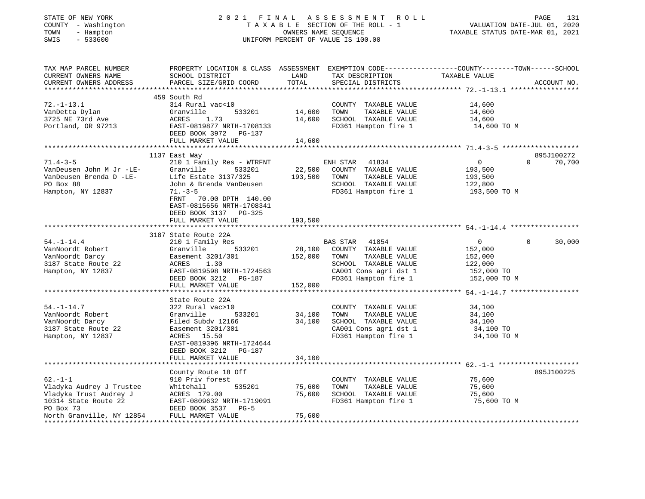|                                                                                                                                                                                                                                                                      | PAGE 131<br>TAXABLE SECTION OF THE ROLL - 1 VALUATION DATE-JUL 01, 2020<br>TAXABLE STATUS DATE-MAR 01, 2021<br>OWNERS NAME SEQUENCE<br>UNIFORM PERCENT OF VALUE IS 100.00 |                                     |                                               |                                                                    |          |                                   |
|----------------------------------------------------------------------------------------------------------------------------------------------------------------------------------------------------------------------------------------------------------------------|---------------------------------------------------------------------------------------------------------------------------------------------------------------------------|-------------------------------------|-----------------------------------------------|--------------------------------------------------------------------|----------|-----------------------------------|
| TAX MAP PARCEL NUMBER THE PROPERTY LOCATION & CLASS ASSESSMENT EXEMPTION CODE--------------COUNTY-------TOWN------SCHOOL<br>SCHOOL DISTRICT                                                                                                                          |                                                                                                                                                                           |                                     |                                               | LAND TAX DESCRIPTION TAXABLE VALUE                                 |          |                                   |
| CURRENT OWNERS ADDRESS PARCEL SIZE/GRID COORD TOTAL SPECIAL DISTRICTS                                                                                                                                                                                                |                                                                                                                                                                           |                                     |                                               |                                                                    |          | ACCOUNT NO.                       |
| 459 South Rd                                                                                                                                                                                                                                                         |                                                                                                                                                                           |                                     |                                               |                                                                    |          |                                   |
| 314 Rural vac<10<br>Granville<br>3725 NE 73rd Ave               ACRES     1.73<br>Portland, OR 97213               EAST-0819877 N<br>ACRES 1.73 14,600 SCHOOL TAXABLE VALUE 14,600<br>EAST-0819877 NRTH-1708133 FD361 Hampton fire 1 14,600<br>DEED BOOK 3972 PG-137 | 533201 14,600                                                                                                                                                             | TOWN                                | COUNTY TAXABLE VALUE                          | 14,600<br>TAXABLE VALUE 14,600<br>FD361 Hampton fire 1 14,600 TO M |          |                                   |
| FULL MARKET VALUE                                                                                                                                                                                                                                                    |                                                                                                                                                                           |                                     |                                               |                                                                    |          |                                   |
|                                                                                                                                                                                                                                                                      |                                                                                                                                                                           |                                     |                                               |                                                                    |          |                                   |
| VanDeusen John M Jr -LE- Granville<br>John & Brenda VanDeusen<br>$71. - 3 - 5$<br>70.00 DPTH 140.00<br>FRNT<br>EAST-0815656 NRTH-1708341                                                                                                                             |                                                                                                                                                                           |                                     | TAXABLE VALUE<br>TAXABLE VALUE                | $\overline{0}$<br>193,500<br>193,500<br>122,800                    | $\Omega$ | 895J100272<br>70,700              |
|                                                                                                                                                                                                                                                                      | 1137 East Way<br>DEED BOOK 3137 PG-325                                                                                                                                    | 14,600<br>210 1 Family Res - WTRFNT | ENH STAR<br>Life Estate 3137/325 193,500 TOWN | 41834<br>533201 22,500 COUNTY<br>SCHOOL TAXABLE VALUE              |          | FD361 Hampton fire 1 193,500 TO M |

|                           | 3187 State Route 22A      |         |                         |                                  |            |
|---------------------------|---------------------------|---------|-------------------------|----------------------------------|------------|
| $54. - 1 - 14.4$          | 210 1 Family Res          |         | 41854<br>BAS STAR       | $\overline{0}$<br>$\overline{0}$ | 30,000     |
| VanNoordt Robert          | Granville<br>533201       | 28,100  | COUNTY<br>TAXABLE VALUE | 152,000                          |            |
| VanNoordt Darcy           | Easement 3201/301         | 152,000 | TOWN<br>TAXABLE VALUE   | 152,000                          |            |
| 3187 State Route 22       | 1.30<br>ACRES             |         | SCHOOL TAXABLE VALUE    | 122,000                          |            |
| Hampton, NY 12837         | EAST-0819598 NRTH-1724563 |         | CA001 Cons agri dst 1   | 152,000 TO                       |            |
|                           | DEED BOOK 3212 PG-187     |         | FD361 Hampton fire 1    | 152,000 TO M                     |            |
|                           | FULL MARKET VALUE         | 152,000 |                         |                                  |            |
|                           |                           |         |                         |                                  |            |
|                           | State Route 22A           |         |                         |                                  |            |
| $54. - 1 - 14.7$          | 322 Rural vac>10          |         | COUNTY<br>TAXABLE VALUE | 34,100                           |            |
| VanNoordt Robert          | Granville<br>533201       | 34,100  | TOWN<br>TAXABLE VALUE   | 34,100                           |            |
| VanNoordt Darcy           | Filed Subdy 12166         | 34,100  | SCHOOL TAXABLE VALUE    | 34,100                           |            |
| 3187 State Route 22       | Easement 3201/301         |         | CA001 Cons agri dst 1   | 34,100 TO                        |            |
| Hampton, NY 12837         | ACRES 15.50               |         | FD361 Hampton fire 1    | 34,100 TO M                      |            |
|                           | EAST-0819396 NRTH-1724644 |         |                         |                                  |            |
|                           | DEED BOOK 3212 PG-187     |         |                         |                                  |            |
|                           | FULL MARKET VALUE         | 34,100  |                         |                                  |            |
|                           |                           |         |                         |                                  |            |
|                           | County Route 18 Off       |         |                         |                                  | 895J100225 |
| $62. - 1 - 1$             | 910 Priv forest           |         | COUNTY<br>TAXABLE VALUE | 75,600                           |            |
| Vladyka Audrey J Trustee  | 535201<br>Whitehall       | 75,600  | TOWN<br>TAXABLE VALUE   | 75,600                           |            |
| Vladyka Trust Audrey J    | ACRES 179.00              | 75,600  | SCHOOL<br>TAXABLE VALUE | 75,600                           |            |
| 10314 State Route 22      | EAST-0809632 NRTH-1719091 |         | FD361 Hampton fire 1    | 75,600 TO M                      |            |
| PO Box 73                 | DEED BOOK 3537 PG-5       |         |                         |                                  |            |
| North Granville, NY 12854 | FULL MARKET VALUE         | 75,600  |                         |                                  |            |
|                           |                           |         |                         |                                  |            |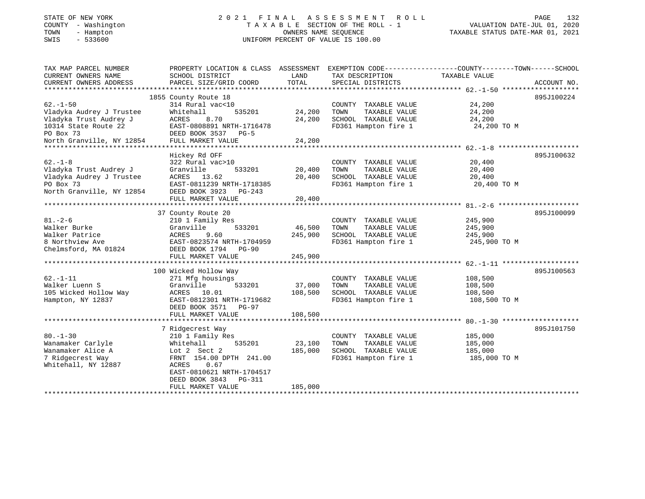## STATE OF NEW YORK 2 0 2 1 F I N A L A S S E S S M E N T R O L L PAGE 132 COUNTY - Washington T A X A B L E SECTION OF THE ROLL - 1 VALUATION DATE-JUL 01, 2020 TOWN - Hampton OWNERS NAME SEQUENCE TAXABLE STATUS DATE-MAR 01, 2021 SWIS - 533600 UNIFORM PERCENT OF VALUE IS 100.00UNIFORM PERCENT OF VALUE IS 100.00

| TOTAL<br>CURRENT OWNERS ADDRESS<br>PARCEL SIZE/GRID COORD<br>SPECIAL DISTRICTS               | ACCOUNT NO. |
|----------------------------------------------------------------------------------------------|-------------|
|                                                                                              |             |
| 895J100224<br>1855 County Route 18                                                           |             |
| $62. - 1 - 50$<br>24,200<br>314 Rural vac<10<br>COUNTY TAXABLE VALUE                         |             |
| 24,200<br>Vladyka Audrey J Trustee<br>535201<br>24,200<br>TAXABLE VALUE<br>Whitehall<br>TOWN |             |
| Vladyka Trust Audrey J<br><b>ACRES</b><br>8.70<br>24,200<br>SCHOOL TAXABLE VALUE<br>24,200   |             |
| 10314 State Route 22<br>EAST-0808891 NRTH-1716478<br>FD361 Hampton fire 1<br>24,200 TO M     |             |
| PO Box 73<br>DEED BOOK 3537 PG-5                                                             |             |
| North Granville, NY 12854<br>FULL MARKET VALUE<br>24,200                                     |             |
|                                                                                              |             |
| Hickey Rd OFF<br>895J100632                                                                  |             |
| $62. -1 - 8$<br>COUNTY TAXABLE VALUE<br>20,400<br>322 Rural vac>10                           |             |
| Vladyka Trust Audrey J<br>Granville<br>533201<br>20,400<br>TOWN<br>TAXABLE VALUE<br>20,400   |             |
| Vladyka Audrey J Trustee<br>ACRES 13.62<br>20,400<br>SCHOOL TAXABLE VALUE<br>20,400          |             |
| PO Box 73<br>FD361 Hampton fire 1<br>EAST-0811239 NRTH-1718385<br>20,400 TO M                |             |
| North Granville, NY 12854<br>DEED BOOK 3923 PG-243                                           |             |
| 20,400<br>FULL MARKET VALUE                                                                  |             |
|                                                                                              |             |
| 37 County Route 20<br>895J100099                                                             |             |
| $81. - 2 - 6$<br>210 1 Family Res<br>245,900<br>COUNTY TAXABLE VALUE                         |             |
| Walker Burke<br>533201<br>Granville<br>46,500<br>TOWN<br>TAXABLE VALUE<br>245,900            |             |
| ACRES<br>9.60<br>245,900<br>Walker Patrice<br>SCHOOL TAXABLE VALUE<br>245,900                |             |
| 8 Northview Ave<br>EAST-0823574 NRTH-1704959<br>FD361 Hampton fire 1<br>245,900 TO M         |             |
| Chelmsford, MA 01824<br>DEED BOOK 1794 PG-90                                                 |             |
| FULL MARKET VALUE<br>245,900                                                                 |             |
|                                                                                              |             |
| 100 Wicked Hollow Way<br>895J100563                                                          |             |
| $62. - 1 - 11$<br>271 Mfg housings<br>COUNTY TAXABLE VALUE<br>108,500                        |             |
| Walker Luenn S<br>Granville<br>533201<br>37,000<br>TOWN<br>TAXABLE VALUE<br>108,500          |             |
| 108,500<br>105 Wicked Hollow Way<br>ACRES 10.01<br>SCHOOL TAXABLE VALUE<br>108,500           |             |
| FD361 Hampton fire 1<br>Hampton, NY 12837<br>EAST-0812301 NRTH-1719682<br>108,500 TO M       |             |
| DEED BOOK 3571 PG-97                                                                         |             |
| 108,500<br>FULL MARKET VALUE                                                                 |             |
|                                                                                              |             |
| 7 Ridgecrest Way<br>895J101750                                                               |             |
| $80. - 1 - 30$<br>210 1 Family Res<br>COUNTY TAXABLE VALUE<br>185,000                        |             |
| Wanamaker Carlyle<br>Whitehall<br>535201<br>23,100<br>TAXABLE VALUE<br>185,000<br>TOWN       |             |
| Wanamaker Alice A<br>Lot 2 Sect 2<br>185,000<br>SCHOOL TAXABLE VALUE<br>185,000              |             |
| 7 Ridgecrest Way<br>FRNT 154.00 DPTH 241.00<br>FD361 Hampton fire 1<br>185,000 TO M          |             |
| Whitehall, NY 12887<br>ACRES<br>0.67                                                         |             |
| EAST-0810621 NRTH-1704517                                                                    |             |
| DEED BOOK 3843<br>PG-311                                                                     |             |
| 185,000<br>FULL MARKET VALUE                                                                 |             |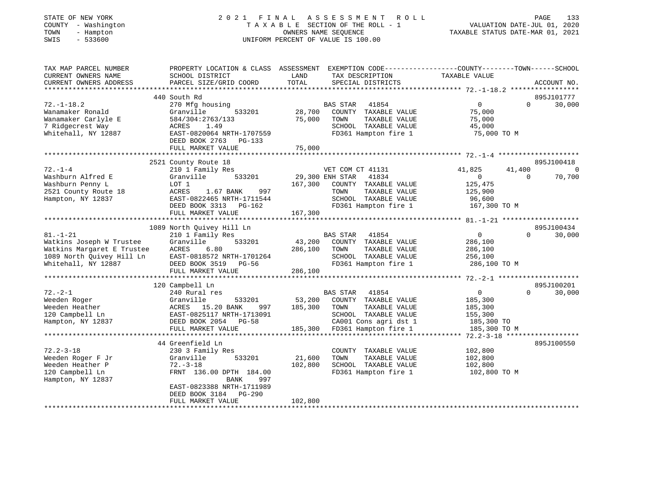### STATE OF NEW YORK 2 0 2 1 F I N A L A S S E S S M E N T R O L L PAGE 133 COUNTY - Washington T A X A B L E SECTION OF THE ROLL - 1 VALUATION DATE-JUL 01, 2020 TOWN - Hampton OWNERS NAME SEQUENCE TAXABLE STATUS DATE-MAR 01, 2021 SWIS - 533600 UNIFORM PERCENT OF VALUE IS 100.00UNIFORM PERCENT OF VALUE IS 100.00

| TAX MAP PARCEL NUMBER<br>CURRENT OWNERS NAME<br>CURRENT OWNERS ADDRESS                                                       | PROPERTY LOCATION & CLASS ASSESSMENT<br>SCHOOL DISTRICT<br>PARCEL SIZE/GRID COORD                                                                                                               | LAND<br>TOTAL                                           | TAX DESCRIPTION<br>SPECIAL DISTRICTS                                                                                    | EXEMPTION CODE-----------------COUNTY-------TOWN------SCHOOL<br>TAXABLE VALUE      | ACCOUNT NO.                                  |
|------------------------------------------------------------------------------------------------------------------------------|-------------------------------------------------------------------------------------------------------------------------------------------------------------------------------------------------|---------------------------------------------------------|-------------------------------------------------------------------------------------------------------------------------|------------------------------------------------------------------------------------|----------------------------------------------|
|                                                                                                                              | 440 South Rd                                                                                                                                                                                    |                                                         |                                                                                                                         |                                                                                    | 895J101777                                   |
| $72. - 1 - 18.2$<br>Wanamaker Ronald<br>Wanamaker Carlyle E<br>7 Ridgecrest Way<br>Whitehall, NY 12887                       | 270 Mfg housing<br>533201<br>Granville<br>584/304:2763/133<br>1.49<br>ACRES<br>EAST-0820064 NRTH-1707559<br>DEED BOOK 2763<br>PG-133<br>FULL MARKET VALUE                                       | <b>BAS STAR</b><br>28,700<br>75,000<br>TOWN<br>75,000   | 41854<br>COUNTY TAXABLE VALUE<br>TAXABLE VALUE<br>SCHOOL TAXABLE VALUE<br>FD361 Hampton fire 1                          | $\overline{0}$<br>75,000<br>75,000<br>45,000<br>75,000 TO M                        | 30,000<br>$\Omega$                           |
|                                                                                                                              |                                                                                                                                                                                                 |                                                         |                                                                                                                         |                                                                                    |                                              |
| $72. - 1 - 4$<br>Washburn Alfred E<br>Washburn Penny L<br>2521 County Route 18<br>Hampton, NY 12837                          | 2521 County Route 18<br>210 1 Family Res<br>Granville<br>533201<br>LOT 1<br>ACRES<br>1.67 BANK<br>997<br>EAST-0822465 NRTH-1711544<br>DEED BOOK 3313<br>PG-162<br>FULL MARKET VALUE             | 29,300 ENH STAR<br>167,300<br>TOWN<br>167,300           | VET COM CT 41131<br>41834<br>COUNTY TAXABLE VALUE<br>TAXABLE VALUE<br>SCHOOL TAXABLE VALUE<br>FD361 Hampton fire 1      | 41,825<br>41,400<br>$\overline{0}$<br>125,475<br>125,900<br>96,600<br>167,300 TO M | 895J100418<br>$\Omega$<br>70,700<br>$\Omega$ |
|                                                                                                                              | 1089 North Quivey Hill Ln                                                                                                                                                                       |                                                         |                                                                                                                         |                                                                                    | 895J100434                                   |
| $81. - 1 - 21$<br>Watkins Joseph W Trustee<br>Watkins Margaret E Trustee<br>1089 North Quivey Hill Ln<br>Whitehall, NY 12887 | 210 1 Family Res<br>Granville<br>533201<br>ACRES<br>6.80<br>EAST-0818572 NRTH-1701264<br>DEED BOOK 3519 PG-56<br>FULL MARKET VALUE                                                              | BAS STAR<br>43,200<br>286,100<br>TOWN<br>286,100        | 41854<br>COUNTY TAXABLE VALUE<br>TAXABLE VALUE<br>SCHOOL TAXABLE VALUE<br>FD361 Hampton fire 1                          | $\overline{0}$<br>286,100<br>286,100<br>256,100<br>286,100 TO M                    | $\Omega$<br>30,000                           |
|                                                                                                                              | 120 Campbell Ln                                                                                                                                                                                 |                                                         |                                                                                                                         |                                                                                    | 895J100201                                   |
| $72. - 2 - 1$<br>Weeden Roger<br>Weeden Heather<br>120 Campbell Ln<br>Hampton, NY 12837                                      | 240 Rural res<br>Granville<br>533201<br>ACRES 15.20 BANK<br>997<br>EAST-0825117 NRTH-1713091<br>DEED BOOK 2054<br>$PG-58$<br>FULL MARKET VALUE                                                  | <b>BAS STAR</b><br>53,200<br>185,300<br>TOWN<br>185,300 | 41854<br>COUNTY TAXABLE VALUE<br>TAXABLE VALUE<br>SCHOOL TAXABLE VALUE<br>CA001 Cons agri dst 1<br>FD361 Hampton fire 1 | $\overline{0}$<br>185,300<br>185,300<br>155,300<br>185,300 TO<br>185,300 TO M      | $\Omega$<br>30,000                           |
|                                                                                                                              | 44 Greenfield Ln                                                                                                                                                                                |                                                         |                                                                                                                         |                                                                                    | 895J100550                                   |
| $72.2 - 3 - 18$<br>Weeden Roger F Jr<br>Weeden Heather P<br>120 Campbell Ln<br>Hampton, NY 12837                             | 230 3 Family Res<br>Granville<br>533201<br>$72. - 3 - 18$<br>FRNT 136.00 DPTH 184.00<br>997<br><b>BANK</b><br>EAST-0823388 NRTH-1711989<br>DEED BOOK 3184<br><b>PG-290</b><br>FULL MARKET VALUE | 21,600<br>TOWN<br>102,800<br>102,800                    | COUNTY TAXABLE VALUE<br>TAXABLE VALUE<br>SCHOOL TAXABLE VALUE<br>FD361 Hampton fire 1                                   | 102,800<br>102,800<br>102,800<br>102,800 TO M                                      |                                              |
|                                                                                                                              |                                                                                                                                                                                                 |                                                         |                                                                                                                         |                                                                                    |                                              |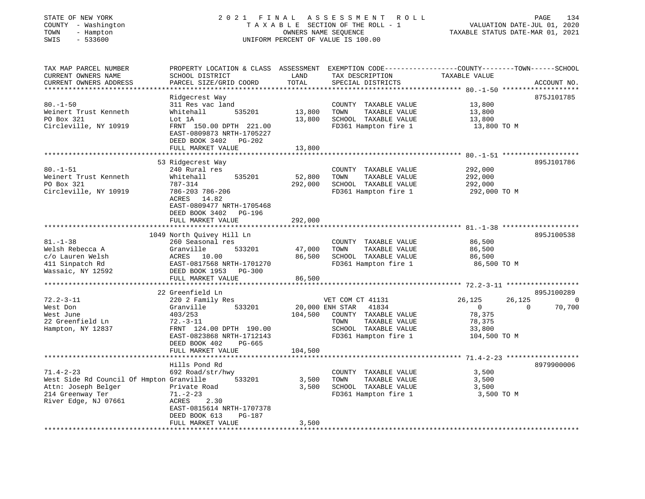| STATE OF NEW YORK<br>COUNTY - Washington<br>- Hampton<br>TOWN<br>SWIS<br>$-533600$ | ASSESSMENT<br>2021 FINAL<br>ROLL<br>TAXABLE SECTION OF THE ROLL - 1<br>OWNERS NAME SEQUENCE<br>UNIFORM PERCENT OF VALUE IS 100.00 |               |                                      | PAGE<br>VALUATION DATE-JUL 01, 2020<br>TAXABLE STATUS DATE-MAR 01, 2021                                          | 134            |
|------------------------------------------------------------------------------------|-----------------------------------------------------------------------------------------------------------------------------------|---------------|--------------------------------------|------------------------------------------------------------------------------------------------------------------|----------------|
| TAX MAP PARCEL NUMBER<br>CURRENT OWNERS NAME<br>CURRENT OWNERS ADDRESS             | SCHOOL DISTRICT<br>PARCEL SIZE/GRID COORD                                                                                         | LAND<br>TOTAL | TAX DESCRIPTION<br>SPECIAL DISTRICTS | PROPERTY LOCATION & CLASS ASSESSMENT EXEMPTION CODE----------------COUNTY-------TOWN-----SCHOOL<br>TAXABLE VALUE | ACCOUNT NO.    |
|                                                                                    | Ridgecrest Way                                                                                                                    |               |                                      |                                                                                                                  | 875J101785     |
| $80. - 1 - 50$                                                                     | 311 Res vac land                                                                                                                  |               | COUNTY TAXABLE VALUE                 | 13,800                                                                                                           |                |
| Weinert Trust Kenneth                                                              | 535201<br>Whitehall                                                                                                               | 13,800        | TOWN<br>TAXABLE VALUE                | 13,800                                                                                                           |                |
| PO Box 321                                                                         | Lot 1A                                                                                                                            | 13,800        | SCHOOL TAXABLE VALUE                 | 13,800                                                                                                           |                |
| Circleville, NY 10919                                                              | FRNT 150.00 DPTH 221.00<br>EAST-0809873 NRTH-1705227<br>DEED BOOK 3402 PG-202                                                     |               | FD361 Hampton fire 1                 | 13,800 TO M                                                                                                      |                |
|                                                                                    | FULL MARKET VALUE                                                                                                                 | 13,800        |                                      |                                                                                                                  |                |
|                                                                                    |                                                                                                                                   |               |                                      |                                                                                                                  |                |
| $80. - 1 - 51$                                                                     | 53 Ridgecrest Way<br>240 Rural res                                                                                                |               | COUNTY TAXABLE VALUE                 | 292,000                                                                                                          | 895J101786     |
| Weinert Trust Kenneth                                                              | Whitehall<br>535201                                                                                                               | 52,800        | TOWN<br>TAXABLE VALUE                | 292,000                                                                                                          |                |
| PO Box 321                                                                         | 787-314                                                                                                                           | 292,000       | SCHOOL TAXABLE VALUE                 | 292,000                                                                                                          |                |
| Circleville, NY 10919                                                              | 786-203 786-206                                                                                                                   |               | FD361 Hampton fire 1                 | 292,000 TO M                                                                                                     |                |
|                                                                                    | ACRES 14.82<br>EAST-0809477 NRTH-1705468<br>DEED BOOK 3402 PG-196                                                                 |               |                                      |                                                                                                                  |                |
|                                                                                    | FULL MARKET VALUE<br>*************************                                                                                    | 292,000       |                                      | ************************************ 81.-1-38 *******************                                                |                |
|                                                                                    | 1049 North Quivey Hill Ln                                                                                                         |               |                                      |                                                                                                                  | 895J100538     |
| $81. - 1 - 38$                                                                     | 260 Seasonal res                                                                                                                  |               | COUNTY TAXABLE VALUE                 | 86,500                                                                                                           |                |
| Welsh Rebecca A                                                                    | 533201<br>Granville                                                                                                               | 47,000        | TOWN<br>TAXABLE VALUE                | 86,500                                                                                                           |                |
| c/o Lauren Welsh                                                                   | ACRES 10.00                                                                                                                       | 86,500        | SCHOOL TAXABLE VALUE                 | 86,500                                                                                                           |                |
| 411 Sinpatch Rd                                                                    | EAST-0817568 NRTH-1701270                                                                                                         |               | FD361 Hampton fire 1                 | 86,500 TO M                                                                                                      |                |
| Wassaic, NY 12592                                                                  | DEED BOOK 1953 PG-300                                                                                                             |               |                                      |                                                                                                                  |                |
|                                                                                    | FULL MARKET VALUE<br>**************************                                                                                   | 86,500        |                                      |                                                                                                                  |                |
|                                                                                    | 22 Greenfield Ln                                                                                                                  |               |                                      |                                                                                                                  | 895J100289     |
| $72.2 - 3 - 11$                                                                    | 220 2 Family Res                                                                                                                  |               | VET COM CT 41131                     | 26,125<br>26,125                                                                                                 | $\overline{0}$ |
| West Don                                                                           | 533201<br>Granville                                                                                                               |               | 20,000 ENH STAR 41834                | $\overline{0}$<br>$\Omega$                                                                                       | 70,700         |
| West June                                                                          | 403/253                                                                                                                           | 104,500       | COUNTY TAXABLE VALUE                 | 78,375                                                                                                           |                |
| 22 Greenfield Ln                                                                   | $72.-3-11$                                                                                                                        |               | TAXABLE VALUE<br>TOWN                | 78,375                                                                                                           |                |
| Hampton, NY 12837                                                                  | FRNT 124.00 DPTH 190.00                                                                                                           |               | SCHOOL TAXABLE VALUE                 | 33,800                                                                                                           |                |
|                                                                                    | EAST-0823868 NRTH-1712143<br>DEED BOOK 402<br>PG-665                                                                              |               | FD361 Hampton fire 1                 | 104,500 TO M                                                                                                     |                |
|                                                                                    | FULL MARKET VALUE<br>*****************                                                                                            | 104,500       |                                      | ************************************* 71.4-2-23 *******************                                              |                |
|                                                                                    | Hills Pond Rd                                                                                                                     |               |                                      |                                                                                                                  | 8979900006     |
| $71.4 - 2 - 23$                                                                    | 692 Road/str/hwy                                                                                                                  |               | COUNTY TAXABLE VALUE                 | 3,500                                                                                                            |                |
| West Side Rd Council Of Hmpton Granville                                           | 533201                                                                                                                            | 3,500         | TOWN<br>TAXABLE VALUE                | 3,500                                                                                                            |                |
| Attn: Joseph Belger                                                                | Private Road                                                                                                                      | 3,500         | SCHOOL TAXABLE VALUE                 | 3,500                                                                                                            |                |
| 214 Greenway Ter                                                                   | $71. - 2 - 23$                                                                                                                    |               | FD361 Hampton fire 1                 | 3,500 TO M                                                                                                       |                |
| River Edge, NJ 07661                                                               | 2.30<br>ACRES                                                                                                                     |               |                                      |                                                                                                                  |                |
|                                                                                    | EAST-0815614 NRTH-1707378                                                                                                         |               |                                      |                                                                                                                  |                |
|                                                                                    | DEED BOOK 613<br>PG-187<br>FULL MARKET VALUE                                                                                      | 3,500         |                                      |                                                                                                                  |                |
|                                                                                    |                                                                                                                                   |               |                                      |                                                                                                                  |                |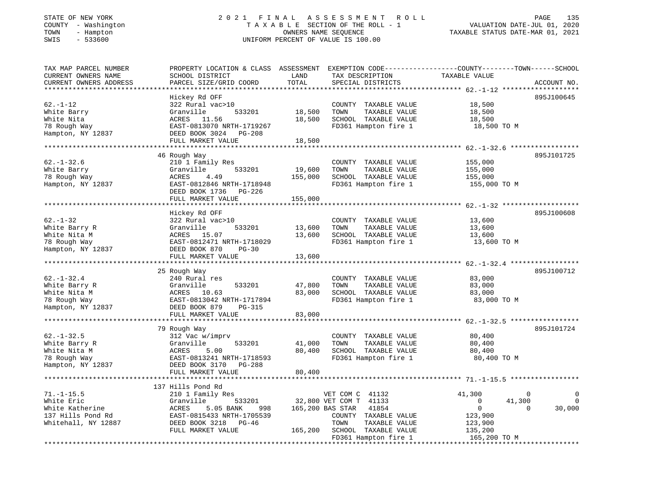### STATE OF NEW YORK 2 0 2 1 F I N A L A S S E S S M E N T R O L L PAGE 135 COUNTY - Washington T A X A B L E SECTION OF THE ROLL - 1 VALUATION DATE-JUL 01, 2020 TOWN - Hampton OWNERS NAME SEQUENCE TAXABLE STATUS DATE-MAR 01, 2021 SWIS - 533600 UNIFORM PERCENT OF VALUE IS 100.00UNIFORM PERCENT OF VALUE IS 100.00

| TAX MAP PARCEL NUMBER  | PROPERTY LOCATION & CLASS ASSESSMENT |         |                                             | EXEMPTION CODE-----------------COUNTY-------TOWN------SCHOOL |                     |
|------------------------|--------------------------------------|---------|---------------------------------------------|--------------------------------------------------------------|---------------------|
| CURRENT OWNERS NAME    | SCHOOL DISTRICT                      | LAND    | TAX DESCRIPTION                             | TAXABLE VALUE                                                |                     |
| CURRENT OWNERS ADDRESS | PARCEL SIZE/GRID COORD               | TOTAL   | SPECIAL DISTRICTS                           |                                                              | ACCOUNT NO.         |
| ********************** |                                      |         |                                             |                                                              | ******************* |
|                        | Hickey Rd OFF                        |         |                                             |                                                              | 895J100645          |
| $62. - 1 - 12$         | 322 Rural vac>10                     |         | COUNTY TAXABLE VALUE                        | 18,500                                                       |                     |
| White Barry            | Granville<br>533201                  | 18,500  | TOWN<br>TAXABLE VALUE                       | 18,500                                                       |                     |
| White Nita             | ACRES 11.56                          | 18,500  | SCHOOL TAXABLE VALUE                        | 18,500                                                       |                     |
| 78 Rough Way           | EAST-0813070 NRTH-1719267            |         | FD361 Hampton fire 1                        | 18,500 TO M                                                  |                     |
| Hampton, NY 12837      | DEED BOOK 3024 PG-208                |         |                                             |                                                              |                     |
|                        | FULL MARKET VALUE                    | 18,500  |                                             |                                                              |                     |
|                        | **********************               |         | ******************************** 62.-1-32.6 |                                                              |                     |
|                        | 46 Rough Way                         |         |                                             |                                                              | 895J101725          |
| $62. - 1 - 32.6$       | 210 1 Family Res                     |         | COUNTY TAXABLE VALUE                        | 155,000                                                      |                     |
| White Barry            | Granville<br>533201                  | 19,600  | TOWN<br>TAXABLE VALUE                       | 155,000                                                      |                     |
| 78 Rough Way           | <b>ACRES</b><br>4.49                 | 155,000 | SCHOOL TAXABLE VALUE                        | 155,000                                                      |                     |
| Hampton, NY 12837      | EAST-0812846 NRTH-1718948            |         | FD361 Hampton fire 1                        | 155,000 TO M                                                 |                     |
|                        | DEED BOOK 1736<br>PG-226             |         |                                             |                                                              |                     |
|                        |                                      |         |                                             |                                                              |                     |
|                        | FULL MARKET VALUE                    | 155,000 |                                             | ***************** 62.-1-32                                   |                     |
|                        |                                      |         |                                             |                                                              |                     |
| $62 - 1 - 32$          | Hickey Rd OFF                        |         |                                             |                                                              | 895J100608          |
|                        | 322 Rural vac>10                     |         | COUNTY TAXABLE VALUE                        | 13,600                                                       |                     |
| White Barry R          | Granville<br>533201                  | 13,600  | TAXABLE VALUE<br>TOWN                       | 13,600                                                       |                     |
| White Nita M           | ACRES 15.07                          | 13,600  | SCHOOL TAXABLE VALUE                        | 13,600                                                       |                     |
| 78 Rough Way           | EAST-0812471 NRTH-1718029            |         | FD361 Hampton fire 1                        | 13,600 TO M                                                  |                     |
| Hampton, NY 12837      | DEED BOOK 870<br>$PG-30$             |         |                                             |                                                              |                     |
|                        | FULL MARKET VALUE                    | 13,600  |                                             |                                                              |                     |
|                        | ***********************              |         |                                             |                                                              |                     |
|                        | 25 Rough Way                         |         |                                             |                                                              | 895J100712          |
| $62. - 1 - 32.4$       | 240 Rural res                        |         | COUNTY TAXABLE VALUE                        | 83,000                                                       |                     |
| White Barry R          | Granville<br>533201                  | 47,800  | TOWN<br>TAXABLE VALUE                       | 83,000                                                       |                     |
| White Nita M           | ACRES 10.63                          | 83,000  | SCHOOL TAXABLE VALUE                        | 83,000                                                       |                     |
| 78 Rough Way           | EAST-0813042 NRTH-1717894            |         | FD361 Hampton fire 1                        | 83,000 TO M                                                  |                     |
| Hampton, NY 12837      | DEED BOOK 879<br>$PG-315$            |         |                                             |                                                              |                     |
|                        | FULL MARKET VALUE                    | 83,000  |                                             |                                                              |                     |
|                        |                                      |         |                                             | ********** 62.-1-32.5                                        |                     |
|                        | 79 Rough Way                         |         |                                             |                                                              | 895J101724          |
| $62. - 1 - 32.5$       | 312 Vac w/imprv                      |         | COUNTY TAXABLE VALUE                        | 80,400                                                       |                     |
| White Barry R          | Granville<br>533201                  | 41,000  | TOWN<br>TAXABLE VALUE                       | 80,400                                                       |                     |
| White Nita M           | 5.00<br>ACRES                        | 80,400  | SCHOOL TAXABLE VALUE                        | 80,400                                                       |                     |
| 78 Rough Way           | EAST-0813241 NRTH-1718593            |         | FD361 Hampton fire 1                        | 80,400 TO M                                                  |                     |
| Hampton, NY 12837      | DEED BOOK 3170 PG-288                |         |                                             |                                                              |                     |
|                        | FULL MARKET VALUE                    | 80,400  |                                             |                                                              |                     |
|                        |                                      |         |                                             |                                                              |                     |
|                        | 137 Hills Pond Rd                    |         |                                             |                                                              |                     |
| $71. - 1 - 15.5$       | 210 1 Family Res                     |         | VET COM C 41132                             | 41,300                                                       | $\mathbf 0$         |
| White Eric             | Granville<br>533201                  |         | 32,800 VET COM T 41133                      | 41,300<br>0                                                  |                     |
| White Katherine        | ACRES<br>5.05 BANK<br>998            |         | 165,200 BAS STAR<br>41854                   | $\mathbf{0}$                                                 | $\Omega$<br>30,000  |
| 137 Hills Pond Rd      | EAST-0815433 NRTH-1705539            |         | COUNTY TAXABLE VALUE                        | 123,900                                                      |                     |
| Whitehall, NY 12887    | DEED BOOK 3218 PG-46                 |         | TOWN<br>TAXABLE VALUE                       | 123,900                                                      |                     |
|                        | FULL MARKET VALUE                    | 165,200 | SCHOOL TAXABLE VALUE                        | 135,200                                                      |                     |
|                        |                                      |         | FD361 Hampton fire 1                        | 165,200 TO M                                                 |                     |
|                        |                                      |         | ********************************            | ******************************                               |                     |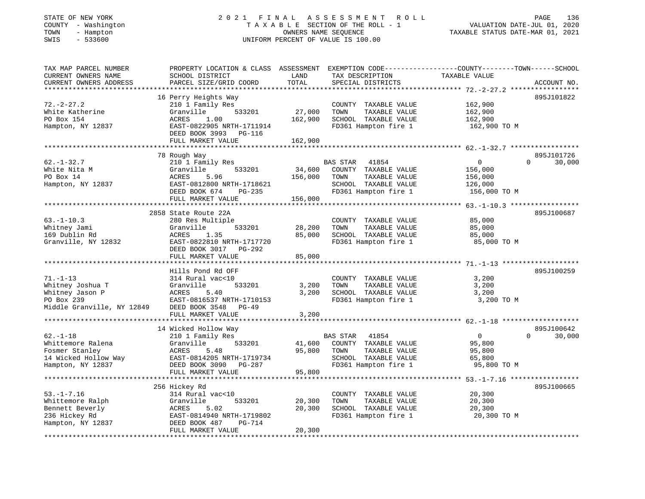# STATE OF NEW YORK 2 0 2 1 F I N A L A S S E S S M E N T R O L L PAGE 136 COUNTY - Washington T A X A B L E SECTION OF THE ROLL - 1 VALUATION DATE-JUL 01, 2020 TOWN - Hampton OWNERS NAME SEQUENCE TAXABLE STATUS DATE-MAR 01, 2021 SWIS - 533600 UNIFORM PERCENT OF VALUE IS 100.00

| CURRENT OWNERS NAME<br>SCHOOL DISTRICT<br>LAND<br>TAX DESCRIPTION<br>TAXABLE VALUE<br>TOTAL<br>CURRENT OWNERS ADDRESS<br>PARCEL SIZE/GRID COORD<br>SPECIAL DISTRICTS<br>ACCOUNT NO.<br>16 Perry Heights Way<br>895J101822<br>$72. - 2 - 27.2$<br>210 1 Family Res<br>162,900<br>COUNTY TAXABLE VALUE<br>533201<br>27,000<br>162,900<br>White Katherine<br>Granville<br>TOWN<br>TAXABLE VALUE<br>PO Box 154<br>SCHOOL TAXABLE VALUE<br>ACRES<br>1.00<br>162,900<br>162,900<br>Hampton, NY 12837<br>EAST-0822905 NRTH-1711914<br>FD361 Hampton fire 1<br>162,900 TO M<br>DEED BOOK 3993 PG-116<br>162,900<br>FULL MARKET VALUE<br>.<br>********* 62. -1-32.7 ***********<br>78 Rough Way<br>895J101726<br>$62. - 1 - 32.7$<br>210 1 Family Res<br>BAS STAR<br>$\mathbf 0$<br>$\Omega$<br>30,000<br>41854<br>533201<br>34,600<br>COUNTY TAXABLE VALUE<br>Granville<br>156,000<br><b>ACRES</b><br>5.96<br>156,000<br>TAXABLE VALUE<br>TOWN<br>156,000<br>EAST-0812800 NRTH-1718621<br>SCHOOL TAXABLE VALUE<br>126,000<br>FD361 Hampton fire 1<br>156,000 TO M<br>DEED BOOK 674<br>PG-235<br>FULL MARKET VALUE<br>156,000<br>********* 63.-1-10.3 ***<br>2858 State Route 22A<br>895J100687<br>280 Res Multiple<br>COUNTY TAXABLE VALUE<br>85,000<br>533201<br>28,200<br>TAXABLE VALUE<br>85,000<br>Granville<br>TOWN<br>85,000<br>SCHOOL TAXABLE VALUE<br>85,000<br>ACRES<br>1.35<br>Granville, NY 12832<br>FD361 Hampton fire 1<br>EAST-0822810 NRTH-1717720<br>85,000 TO M<br>DEED BOOK 3017 PG-292<br>85,000<br>FULL MARKET VALUE<br>*********************************** 71.-1-13<br>Hills Pond Rd OFF<br>895J100259<br>314 Rural vac<10<br>COUNTY TAXABLE VALUE<br>3,200<br>533201<br>Whitney Joshua T<br>Granville<br>3,200<br>TAXABLE VALUE<br>3,200<br>TOWN<br>Whitney Jason P<br>5.40<br>3,200<br>SCHOOL TAXABLE VALUE<br>3,200<br>ACRES<br>PO Box 239<br>EAST-0816537 NRTH-1710153<br>FD361 Hampton fire 1<br>3,200 TO M<br>Middle Granville, NY 12849<br>DEED BOOK 3548<br>PG-49<br>FULL MARKET VALUE<br>3,200<br>14 Wicked Hollow Way<br>895J100642<br>$62. - 1 - 18$<br>210 1 Family Res<br>BAS STAR<br>41854<br>$\overline{0}$<br>$\Omega$<br>30,000<br>Whittemore Ralena<br>533201<br>95,800<br>41,600<br>COUNTY TAXABLE VALUE<br>Granville<br>Fosmer Stanley<br>ACRES<br>5.48<br>95,800<br>TOWN<br>TAXABLE VALUE<br>95,800<br>14 Wicked Hollow Way<br>EAST-0814205 NRTH-1719734<br>SCHOOL TAXABLE VALUE<br>65,800<br>FD361 Hampton fire 1<br>95,800 TO M<br>Hampton, NY 12837<br>DEED BOOK 3090<br>PG-287<br>95,800<br>FULL MARKET VALUE<br>***********************<br>******************************** 53.-1-7.16 *****************<br>895J100665<br>256 Hickey Rd<br>$53. - 1 - 7.16$<br>COUNTY TAXABLE VALUE<br>20,300<br>314 Rural vac<10<br>Whittemore Ralph<br>533201<br>Granville<br>20,300<br>TOWN<br>TAXABLE VALUE<br>20,300<br>20,300<br>Bennett Beverly<br>ACRES<br>5.02<br>SCHOOL TAXABLE VALUE<br>20,300<br>236 Hickey Rd<br>EAST-0814940 NRTH-1719802<br>FD361 Hampton fire 1<br>20,300 TO M<br>Hampton, NY 12837<br>DEED BOOK 487<br>$PG-714$<br>FULL MARKET VALUE<br>20,300 | TAX MAP PARCEL NUMBER | PROPERTY LOCATION & CLASS ASSESSMENT |  | EXEMPTION CODE-----------------COUNTY-------TOWN------SCHOOL |  |
|--------------------------------------------------------------------------------------------------------------------------------------------------------------------------------------------------------------------------------------------------------------------------------------------------------------------------------------------------------------------------------------------------------------------------------------------------------------------------------------------------------------------------------------------------------------------------------------------------------------------------------------------------------------------------------------------------------------------------------------------------------------------------------------------------------------------------------------------------------------------------------------------------------------------------------------------------------------------------------------------------------------------------------------------------------------------------------------------------------------------------------------------------------------------------------------------------------------------------------------------------------------------------------------------------------------------------------------------------------------------------------------------------------------------------------------------------------------------------------------------------------------------------------------------------------------------------------------------------------------------------------------------------------------------------------------------------------------------------------------------------------------------------------------------------------------------------------------------------------------------------------------------------------------------------------------------------------------------------------------------------------------------------------------------------------------------------------------------------------------------------------------------------------------------------------------------------------------------------------------------------------------------------------------------------------------------------------------------------------------------------------------------------------------------------------------------------------------------------------------------------------------------------------------------------------------------------------------------------------------------------------------------------------------------------------------------------------------------------------------------------------------------------------------------------------------------------------------------------------------------------------------------------------------------------------------------------------------------------------------------------------------------------------------------------------------------------------------------------------|-----------------------|--------------------------------------|--|--------------------------------------------------------------|--|
|                                                                                                                                                                                                                                                                                                                                                                                                                                                                                                                                                                                                                                                                                                                                                                                                                                                                                                                                                                                                                                                                                                                                                                                                                                                                                                                                                                                                                                                                                                                                                                                                                                                                                                                                                                                                                                                                                                                                                                                                                                                                                                                                                                                                                                                                                                                                                                                                                                                                                                                                                                                                                                                                                                                                                                                                                                                                                                                                                                                                                                                                                                        |                       |                                      |  |                                                              |  |
|                                                                                                                                                                                                                                                                                                                                                                                                                                                                                                                                                                                                                                                                                                                                                                                                                                                                                                                                                                                                                                                                                                                                                                                                                                                                                                                                                                                                                                                                                                                                                                                                                                                                                                                                                                                                                                                                                                                                                                                                                                                                                                                                                                                                                                                                                                                                                                                                                                                                                                                                                                                                                                                                                                                                                                                                                                                                                                                                                                                                                                                                                                        |                       |                                      |  |                                                              |  |
|                                                                                                                                                                                                                                                                                                                                                                                                                                                                                                                                                                                                                                                                                                                                                                                                                                                                                                                                                                                                                                                                                                                                                                                                                                                                                                                                                                                                                                                                                                                                                                                                                                                                                                                                                                                                                                                                                                                                                                                                                                                                                                                                                                                                                                                                                                                                                                                                                                                                                                                                                                                                                                                                                                                                                                                                                                                                                                                                                                                                                                                                                                        |                       |                                      |  |                                                              |  |
|                                                                                                                                                                                                                                                                                                                                                                                                                                                                                                                                                                                                                                                                                                                                                                                                                                                                                                                                                                                                                                                                                                                                                                                                                                                                                                                                                                                                                                                                                                                                                                                                                                                                                                                                                                                                                                                                                                                                                                                                                                                                                                                                                                                                                                                                                                                                                                                                                                                                                                                                                                                                                                                                                                                                                                                                                                                                                                                                                                                                                                                                                                        |                       |                                      |  |                                                              |  |
|                                                                                                                                                                                                                                                                                                                                                                                                                                                                                                                                                                                                                                                                                                                                                                                                                                                                                                                                                                                                                                                                                                                                                                                                                                                                                                                                                                                                                                                                                                                                                                                                                                                                                                                                                                                                                                                                                                                                                                                                                                                                                                                                                                                                                                                                                                                                                                                                                                                                                                                                                                                                                                                                                                                                                                                                                                                                                                                                                                                                                                                                                                        |                       |                                      |  |                                                              |  |
|                                                                                                                                                                                                                                                                                                                                                                                                                                                                                                                                                                                                                                                                                                                                                                                                                                                                                                                                                                                                                                                                                                                                                                                                                                                                                                                                                                                                                                                                                                                                                                                                                                                                                                                                                                                                                                                                                                                                                                                                                                                                                                                                                                                                                                                                                                                                                                                                                                                                                                                                                                                                                                                                                                                                                                                                                                                                                                                                                                                                                                                                                                        |                       |                                      |  |                                                              |  |
|                                                                                                                                                                                                                                                                                                                                                                                                                                                                                                                                                                                                                                                                                                                                                                                                                                                                                                                                                                                                                                                                                                                                                                                                                                                                                                                                                                                                                                                                                                                                                                                                                                                                                                                                                                                                                                                                                                                                                                                                                                                                                                                                                                                                                                                                                                                                                                                                                                                                                                                                                                                                                                                                                                                                                                                                                                                                                                                                                                                                                                                                                                        |                       |                                      |  |                                                              |  |
|                                                                                                                                                                                                                                                                                                                                                                                                                                                                                                                                                                                                                                                                                                                                                                                                                                                                                                                                                                                                                                                                                                                                                                                                                                                                                                                                                                                                                                                                                                                                                                                                                                                                                                                                                                                                                                                                                                                                                                                                                                                                                                                                                                                                                                                                                                                                                                                                                                                                                                                                                                                                                                                                                                                                                                                                                                                                                                                                                                                                                                                                                                        |                       |                                      |  |                                                              |  |
|                                                                                                                                                                                                                                                                                                                                                                                                                                                                                                                                                                                                                                                                                                                                                                                                                                                                                                                                                                                                                                                                                                                                                                                                                                                                                                                                                                                                                                                                                                                                                                                                                                                                                                                                                                                                                                                                                                                                                                                                                                                                                                                                                                                                                                                                                                                                                                                                                                                                                                                                                                                                                                                                                                                                                                                                                                                                                                                                                                                                                                                                                                        |                       |                                      |  |                                                              |  |
|                                                                                                                                                                                                                                                                                                                                                                                                                                                                                                                                                                                                                                                                                                                                                                                                                                                                                                                                                                                                                                                                                                                                                                                                                                                                                                                                                                                                                                                                                                                                                                                                                                                                                                                                                                                                                                                                                                                                                                                                                                                                                                                                                                                                                                                                                                                                                                                                                                                                                                                                                                                                                                                                                                                                                                                                                                                                                                                                                                                                                                                                                                        |                       |                                      |  |                                                              |  |
|                                                                                                                                                                                                                                                                                                                                                                                                                                                                                                                                                                                                                                                                                                                                                                                                                                                                                                                                                                                                                                                                                                                                                                                                                                                                                                                                                                                                                                                                                                                                                                                                                                                                                                                                                                                                                                                                                                                                                                                                                                                                                                                                                                                                                                                                                                                                                                                                                                                                                                                                                                                                                                                                                                                                                                                                                                                                                                                                                                                                                                                                                                        |                       |                                      |  |                                                              |  |
|                                                                                                                                                                                                                                                                                                                                                                                                                                                                                                                                                                                                                                                                                                                                                                                                                                                                                                                                                                                                                                                                                                                                                                                                                                                                                                                                                                                                                                                                                                                                                                                                                                                                                                                                                                                                                                                                                                                                                                                                                                                                                                                                                                                                                                                                                                                                                                                                                                                                                                                                                                                                                                                                                                                                                                                                                                                                                                                                                                                                                                                                                                        |                       |                                      |  |                                                              |  |
|                                                                                                                                                                                                                                                                                                                                                                                                                                                                                                                                                                                                                                                                                                                                                                                                                                                                                                                                                                                                                                                                                                                                                                                                                                                                                                                                                                                                                                                                                                                                                                                                                                                                                                                                                                                                                                                                                                                                                                                                                                                                                                                                                                                                                                                                                                                                                                                                                                                                                                                                                                                                                                                                                                                                                                                                                                                                                                                                                                                                                                                                                                        | White Nita M          |                                      |  |                                                              |  |
|                                                                                                                                                                                                                                                                                                                                                                                                                                                                                                                                                                                                                                                                                                                                                                                                                                                                                                                                                                                                                                                                                                                                                                                                                                                                                                                                                                                                                                                                                                                                                                                                                                                                                                                                                                                                                                                                                                                                                                                                                                                                                                                                                                                                                                                                                                                                                                                                                                                                                                                                                                                                                                                                                                                                                                                                                                                                                                                                                                                                                                                                                                        | PO Box 14             |                                      |  |                                                              |  |
|                                                                                                                                                                                                                                                                                                                                                                                                                                                                                                                                                                                                                                                                                                                                                                                                                                                                                                                                                                                                                                                                                                                                                                                                                                                                                                                                                                                                                                                                                                                                                                                                                                                                                                                                                                                                                                                                                                                                                                                                                                                                                                                                                                                                                                                                                                                                                                                                                                                                                                                                                                                                                                                                                                                                                                                                                                                                                                                                                                                                                                                                                                        | Hampton, NY 12837     |                                      |  |                                                              |  |
|                                                                                                                                                                                                                                                                                                                                                                                                                                                                                                                                                                                                                                                                                                                                                                                                                                                                                                                                                                                                                                                                                                                                                                                                                                                                                                                                                                                                                                                                                                                                                                                                                                                                                                                                                                                                                                                                                                                                                                                                                                                                                                                                                                                                                                                                                                                                                                                                                                                                                                                                                                                                                                                                                                                                                                                                                                                                                                                                                                                                                                                                                                        |                       |                                      |  |                                                              |  |
|                                                                                                                                                                                                                                                                                                                                                                                                                                                                                                                                                                                                                                                                                                                                                                                                                                                                                                                                                                                                                                                                                                                                                                                                                                                                                                                                                                                                                                                                                                                                                                                                                                                                                                                                                                                                                                                                                                                                                                                                                                                                                                                                                                                                                                                                                                                                                                                                                                                                                                                                                                                                                                                                                                                                                                                                                                                                                                                                                                                                                                                                                                        |                       |                                      |  |                                                              |  |
|                                                                                                                                                                                                                                                                                                                                                                                                                                                                                                                                                                                                                                                                                                                                                                                                                                                                                                                                                                                                                                                                                                                                                                                                                                                                                                                                                                                                                                                                                                                                                                                                                                                                                                                                                                                                                                                                                                                                                                                                                                                                                                                                                                                                                                                                                                                                                                                                                                                                                                                                                                                                                                                                                                                                                                                                                                                                                                                                                                                                                                                                                                        |                       |                                      |  |                                                              |  |
|                                                                                                                                                                                                                                                                                                                                                                                                                                                                                                                                                                                                                                                                                                                                                                                                                                                                                                                                                                                                                                                                                                                                                                                                                                                                                                                                                                                                                                                                                                                                                                                                                                                                                                                                                                                                                                                                                                                                                                                                                                                                                                                                                                                                                                                                                                                                                                                                                                                                                                                                                                                                                                                                                                                                                                                                                                                                                                                                                                                                                                                                                                        |                       |                                      |  |                                                              |  |
|                                                                                                                                                                                                                                                                                                                                                                                                                                                                                                                                                                                                                                                                                                                                                                                                                                                                                                                                                                                                                                                                                                                                                                                                                                                                                                                                                                                                                                                                                                                                                                                                                                                                                                                                                                                                                                                                                                                                                                                                                                                                                                                                                                                                                                                                                                                                                                                                                                                                                                                                                                                                                                                                                                                                                                                                                                                                                                                                                                                                                                                                                                        | $63. - 1 - 10.3$      |                                      |  |                                                              |  |
|                                                                                                                                                                                                                                                                                                                                                                                                                                                                                                                                                                                                                                                                                                                                                                                                                                                                                                                                                                                                                                                                                                                                                                                                                                                                                                                                                                                                                                                                                                                                                                                                                                                                                                                                                                                                                                                                                                                                                                                                                                                                                                                                                                                                                                                                                                                                                                                                                                                                                                                                                                                                                                                                                                                                                                                                                                                                                                                                                                                                                                                                                                        | Whitney Jami          |                                      |  |                                                              |  |
|                                                                                                                                                                                                                                                                                                                                                                                                                                                                                                                                                                                                                                                                                                                                                                                                                                                                                                                                                                                                                                                                                                                                                                                                                                                                                                                                                                                                                                                                                                                                                                                                                                                                                                                                                                                                                                                                                                                                                                                                                                                                                                                                                                                                                                                                                                                                                                                                                                                                                                                                                                                                                                                                                                                                                                                                                                                                                                                                                                                                                                                                                                        | 169 Dublin Rd         |                                      |  |                                                              |  |
|                                                                                                                                                                                                                                                                                                                                                                                                                                                                                                                                                                                                                                                                                                                                                                                                                                                                                                                                                                                                                                                                                                                                                                                                                                                                                                                                                                                                                                                                                                                                                                                                                                                                                                                                                                                                                                                                                                                                                                                                                                                                                                                                                                                                                                                                                                                                                                                                                                                                                                                                                                                                                                                                                                                                                                                                                                                                                                                                                                                                                                                                                                        |                       |                                      |  |                                                              |  |
|                                                                                                                                                                                                                                                                                                                                                                                                                                                                                                                                                                                                                                                                                                                                                                                                                                                                                                                                                                                                                                                                                                                                                                                                                                                                                                                                                                                                                                                                                                                                                                                                                                                                                                                                                                                                                                                                                                                                                                                                                                                                                                                                                                                                                                                                                                                                                                                                                                                                                                                                                                                                                                                                                                                                                                                                                                                                                                                                                                                                                                                                                                        |                       |                                      |  |                                                              |  |
|                                                                                                                                                                                                                                                                                                                                                                                                                                                                                                                                                                                                                                                                                                                                                                                                                                                                                                                                                                                                                                                                                                                                                                                                                                                                                                                                                                                                                                                                                                                                                                                                                                                                                                                                                                                                                                                                                                                                                                                                                                                                                                                                                                                                                                                                                                                                                                                                                                                                                                                                                                                                                                                                                                                                                                                                                                                                                                                                                                                                                                                                                                        |                       |                                      |  |                                                              |  |
|                                                                                                                                                                                                                                                                                                                                                                                                                                                                                                                                                                                                                                                                                                                                                                                                                                                                                                                                                                                                                                                                                                                                                                                                                                                                                                                                                                                                                                                                                                                                                                                                                                                                                                                                                                                                                                                                                                                                                                                                                                                                                                                                                                                                                                                                                                                                                                                                                                                                                                                                                                                                                                                                                                                                                                                                                                                                                                                                                                                                                                                                                                        |                       |                                      |  |                                                              |  |
|                                                                                                                                                                                                                                                                                                                                                                                                                                                                                                                                                                                                                                                                                                                                                                                                                                                                                                                                                                                                                                                                                                                                                                                                                                                                                                                                                                                                                                                                                                                                                                                                                                                                                                                                                                                                                                                                                                                                                                                                                                                                                                                                                                                                                                                                                                                                                                                                                                                                                                                                                                                                                                                                                                                                                                                                                                                                                                                                                                                                                                                                                                        |                       |                                      |  |                                                              |  |
|                                                                                                                                                                                                                                                                                                                                                                                                                                                                                                                                                                                                                                                                                                                                                                                                                                                                                                                                                                                                                                                                                                                                                                                                                                                                                                                                                                                                                                                                                                                                                                                                                                                                                                                                                                                                                                                                                                                                                                                                                                                                                                                                                                                                                                                                                                                                                                                                                                                                                                                                                                                                                                                                                                                                                                                                                                                                                                                                                                                                                                                                                                        | $71. - 1 - 13$        |                                      |  |                                                              |  |
|                                                                                                                                                                                                                                                                                                                                                                                                                                                                                                                                                                                                                                                                                                                                                                                                                                                                                                                                                                                                                                                                                                                                                                                                                                                                                                                                                                                                                                                                                                                                                                                                                                                                                                                                                                                                                                                                                                                                                                                                                                                                                                                                                                                                                                                                                                                                                                                                                                                                                                                                                                                                                                                                                                                                                                                                                                                                                                                                                                                                                                                                                                        |                       |                                      |  |                                                              |  |
|                                                                                                                                                                                                                                                                                                                                                                                                                                                                                                                                                                                                                                                                                                                                                                                                                                                                                                                                                                                                                                                                                                                                                                                                                                                                                                                                                                                                                                                                                                                                                                                                                                                                                                                                                                                                                                                                                                                                                                                                                                                                                                                                                                                                                                                                                                                                                                                                                                                                                                                                                                                                                                                                                                                                                                                                                                                                                                                                                                                                                                                                                                        |                       |                                      |  |                                                              |  |
|                                                                                                                                                                                                                                                                                                                                                                                                                                                                                                                                                                                                                                                                                                                                                                                                                                                                                                                                                                                                                                                                                                                                                                                                                                                                                                                                                                                                                                                                                                                                                                                                                                                                                                                                                                                                                                                                                                                                                                                                                                                                                                                                                                                                                                                                                                                                                                                                                                                                                                                                                                                                                                                                                                                                                                                                                                                                                                                                                                                                                                                                                                        |                       |                                      |  |                                                              |  |
|                                                                                                                                                                                                                                                                                                                                                                                                                                                                                                                                                                                                                                                                                                                                                                                                                                                                                                                                                                                                                                                                                                                                                                                                                                                                                                                                                                                                                                                                                                                                                                                                                                                                                                                                                                                                                                                                                                                                                                                                                                                                                                                                                                                                                                                                                                                                                                                                                                                                                                                                                                                                                                                                                                                                                                                                                                                                                                                                                                                                                                                                                                        |                       |                                      |  |                                                              |  |
|                                                                                                                                                                                                                                                                                                                                                                                                                                                                                                                                                                                                                                                                                                                                                                                                                                                                                                                                                                                                                                                                                                                                                                                                                                                                                                                                                                                                                                                                                                                                                                                                                                                                                                                                                                                                                                                                                                                                                                                                                                                                                                                                                                                                                                                                                                                                                                                                                                                                                                                                                                                                                                                                                                                                                                                                                                                                                                                                                                                                                                                                                                        |                       |                                      |  |                                                              |  |
|                                                                                                                                                                                                                                                                                                                                                                                                                                                                                                                                                                                                                                                                                                                                                                                                                                                                                                                                                                                                                                                                                                                                                                                                                                                                                                                                                                                                                                                                                                                                                                                                                                                                                                                                                                                                                                                                                                                                                                                                                                                                                                                                                                                                                                                                                                                                                                                                                                                                                                                                                                                                                                                                                                                                                                                                                                                                                                                                                                                                                                                                                                        |                       |                                      |  |                                                              |  |
|                                                                                                                                                                                                                                                                                                                                                                                                                                                                                                                                                                                                                                                                                                                                                                                                                                                                                                                                                                                                                                                                                                                                                                                                                                                                                                                                                                                                                                                                                                                                                                                                                                                                                                                                                                                                                                                                                                                                                                                                                                                                                                                                                                                                                                                                                                                                                                                                                                                                                                                                                                                                                                                                                                                                                                                                                                                                                                                                                                                                                                                                                                        |                       |                                      |  |                                                              |  |
|                                                                                                                                                                                                                                                                                                                                                                                                                                                                                                                                                                                                                                                                                                                                                                                                                                                                                                                                                                                                                                                                                                                                                                                                                                                                                                                                                                                                                                                                                                                                                                                                                                                                                                                                                                                                                                                                                                                                                                                                                                                                                                                                                                                                                                                                                                                                                                                                                                                                                                                                                                                                                                                                                                                                                                                                                                                                                                                                                                                                                                                                                                        |                       |                                      |  |                                                              |  |
|                                                                                                                                                                                                                                                                                                                                                                                                                                                                                                                                                                                                                                                                                                                                                                                                                                                                                                                                                                                                                                                                                                                                                                                                                                                                                                                                                                                                                                                                                                                                                                                                                                                                                                                                                                                                                                                                                                                                                                                                                                                                                                                                                                                                                                                                                                                                                                                                                                                                                                                                                                                                                                                                                                                                                                                                                                                                                                                                                                                                                                                                                                        |                       |                                      |  |                                                              |  |
|                                                                                                                                                                                                                                                                                                                                                                                                                                                                                                                                                                                                                                                                                                                                                                                                                                                                                                                                                                                                                                                                                                                                                                                                                                                                                                                                                                                                                                                                                                                                                                                                                                                                                                                                                                                                                                                                                                                                                                                                                                                                                                                                                                                                                                                                                                                                                                                                                                                                                                                                                                                                                                                                                                                                                                                                                                                                                                                                                                                                                                                                                                        |                       |                                      |  |                                                              |  |
|                                                                                                                                                                                                                                                                                                                                                                                                                                                                                                                                                                                                                                                                                                                                                                                                                                                                                                                                                                                                                                                                                                                                                                                                                                                                                                                                                                                                                                                                                                                                                                                                                                                                                                                                                                                                                                                                                                                                                                                                                                                                                                                                                                                                                                                                                                                                                                                                                                                                                                                                                                                                                                                                                                                                                                                                                                                                                                                                                                                                                                                                                                        |                       |                                      |  |                                                              |  |
|                                                                                                                                                                                                                                                                                                                                                                                                                                                                                                                                                                                                                                                                                                                                                                                                                                                                                                                                                                                                                                                                                                                                                                                                                                                                                                                                                                                                                                                                                                                                                                                                                                                                                                                                                                                                                                                                                                                                                                                                                                                                                                                                                                                                                                                                                                                                                                                                                                                                                                                                                                                                                                                                                                                                                                                                                                                                                                                                                                                                                                                                                                        |                       |                                      |  |                                                              |  |
|                                                                                                                                                                                                                                                                                                                                                                                                                                                                                                                                                                                                                                                                                                                                                                                                                                                                                                                                                                                                                                                                                                                                                                                                                                                                                                                                                                                                                                                                                                                                                                                                                                                                                                                                                                                                                                                                                                                                                                                                                                                                                                                                                                                                                                                                                                                                                                                                                                                                                                                                                                                                                                                                                                                                                                                                                                                                                                                                                                                                                                                                                                        |                       |                                      |  |                                                              |  |
|                                                                                                                                                                                                                                                                                                                                                                                                                                                                                                                                                                                                                                                                                                                                                                                                                                                                                                                                                                                                                                                                                                                                                                                                                                                                                                                                                                                                                                                                                                                                                                                                                                                                                                                                                                                                                                                                                                                                                                                                                                                                                                                                                                                                                                                                                                                                                                                                                                                                                                                                                                                                                                                                                                                                                                                                                                                                                                                                                                                                                                                                                                        |                       |                                      |  |                                                              |  |
|                                                                                                                                                                                                                                                                                                                                                                                                                                                                                                                                                                                                                                                                                                                                                                                                                                                                                                                                                                                                                                                                                                                                                                                                                                                                                                                                                                                                                                                                                                                                                                                                                                                                                                                                                                                                                                                                                                                                                                                                                                                                                                                                                                                                                                                                                                                                                                                                                                                                                                                                                                                                                                                                                                                                                                                                                                                                                                                                                                                                                                                                                                        |                       |                                      |  |                                                              |  |
|                                                                                                                                                                                                                                                                                                                                                                                                                                                                                                                                                                                                                                                                                                                                                                                                                                                                                                                                                                                                                                                                                                                                                                                                                                                                                                                                                                                                                                                                                                                                                                                                                                                                                                                                                                                                                                                                                                                                                                                                                                                                                                                                                                                                                                                                                                                                                                                                                                                                                                                                                                                                                                                                                                                                                                                                                                                                                                                                                                                                                                                                                                        |                       |                                      |  |                                                              |  |
|                                                                                                                                                                                                                                                                                                                                                                                                                                                                                                                                                                                                                                                                                                                                                                                                                                                                                                                                                                                                                                                                                                                                                                                                                                                                                                                                                                                                                                                                                                                                                                                                                                                                                                                                                                                                                                                                                                                                                                                                                                                                                                                                                                                                                                                                                                                                                                                                                                                                                                                                                                                                                                                                                                                                                                                                                                                                                                                                                                                                                                                                                                        |                       |                                      |  |                                                              |  |
|                                                                                                                                                                                                                                                                                                                                                                                                                                                                                                                                                                                                                                                                                                                                                                                                                                                                                                                                                                                                                                                                                                                                                                                                                                                                                                                                                                                                                                                                                                                                                                                                                                                                                                                                                                                                                                                                                                                                                                                                                                                                                                                                                                                                                                                                                                                                                                                                                                                                                                                                                                                                                                                                                                                                                                                                                                                                                                                                                                                                                                                                                                        |                       |                                      |  |                                                              |  |
|                                                                                                                                                                                                                                                                                                                                                                                                                                                                                                                                                                                                                                                                                                                                                                                                                                                                                                                                                                                                                                                                                                                                                                                                                                                                                                                                                                                                                                                                                                                                                                                                                                                                                                                                                                                                                                                                                                                                                                                                                                                                                                                                                                                                                                                                                                                                                                                                                                                                                                                                                                                                                                                                                                                                                                                                                                                                                                                                                                                                                                                                                                        |                       |                                      |  |                                                              |  |
|                                                                                                                                                                                                                                                                                                                                                                                                                                                                                                                                                                                                                                                                                                                                                                                                                                                                                                                                                                                                                                                                                                                                                                                                                                                                                                                                                                                                                                                                                                                                                                                                                                                                                                                                                                                                                                                                                                                                                                                                                                                                                                                                                                                                                                                                                                                                                                                                                                                                                                                                                                                                                                                                                                                                                                                                                                                                                                                                                                                                                                                                                                        |                       |                                      |  |                                                              |  |
|                                                                                                                                                                                                                                                                                                                                                                                                                                                                                                                                                                                                                                                                                                                                                                                                                                                                                                                                                                                                                                                                                                                                                                                                                                                                                                                                                                                                                                                                                                                                                                                                                                                                                                                                                                                                                                                                                                                                                                                                                                                                                                                                                                                                                                                                                                                                                                                                                                                                                                                                                                                                                                                                                                                                                                                                                                                                                                                                                                                                                                                                                                        |                       |                                      |  |                                                              |  |
|                                                                                                                                                                                                                                                                                                                                                                                                                                                                                                                                                                                                                                                                                                                                                                                                                                                                                                                                                                                                                                                                                                                                                                                                                                                                                                                                                                                                                                                                                                                                                                                                                                                                                                                                                                                                                                                                                                                                                                                                                                                                                                                                                                                                                                                                                                                                                                                                                                                                                                                                                                                                                                                                                                                                                                                                                                                                                                                                                                                                                                                                                                        |                       |                                      |  |                                                              |  |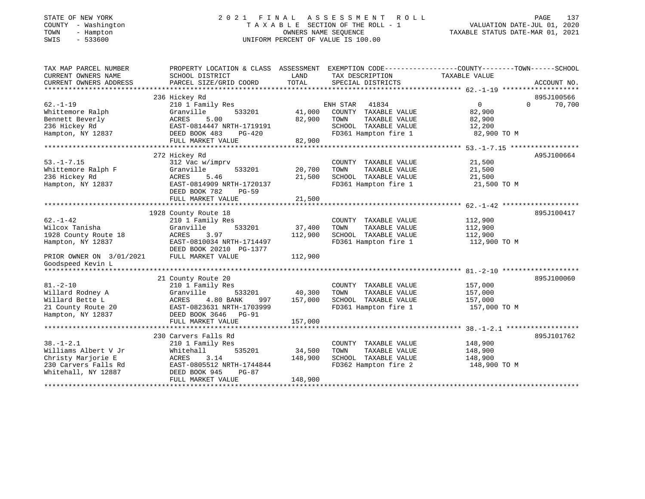# STATE OF NEW YORK 2 0 2 1 F I N A L A S S E S S M E N T R O L L PAGE 137 COUNTY - Washington T A X A B L E SECTION OF THE ROLL - 1 VALUATION DATE-JUL 01, 2020 TOWN - Hampton OWNERS NAME SEQUENCE TAXABLE STATUS DATE-MAR 01, 2021 SWIS - 533600 UNIFORM PERCENT OF VALUE IS 100.00

| TAX MAP PARCEL NUMBER<br>CURRENT OWNERS NAME<br>CURRENT OWNERS ADDRESS<br>*************************                            | PROPERTY LOCATION & CLASS ASSESSMENT<br>SCHOOL DISTRICT<br>PARCEL SIZE/GRID COORD                                                                                         | LAND<br>TOTAL                | EXEMPTION CODE-----------------COUNTY-------TOWN------SCHOOL<br>TAX DESCRIPTION<br>SPECIAL DISTRICTS                  | TAXABLE VALUE                                         | ACCOUNT NO.                      |
|--------------------------------------------------------------------------------------------------------------------------------|---------------------------------------------------------------------------------------------------------------------------------------------------------------------------|------------------------------|-----------------------------------------------------------------------------------------------------------------------|-------------------------------------------------------|----------------------------------|
| $62. - 1 - 19$<br>Whittemore Ralph<br>Bennett Beverly<br>236 Hickey Rd<br>Hampton, NY 12837                                    | 236 Hickey Rd<br>210 1 Family Res<br>Granville<br>533201<br>5.00<br>ACRES<br>EAST-0814447 NRTH-1719191<br>DEED BOOK 483<br>$PG-420$<br>FULL MARKET VALUE                  | 41,000<br>82,900<br>82,900   | 41834<br>ENH STAR<br>COUNTY<br>TAXABLE VALUE<br>TOWN<br>TAXABLE VALUE<br>SCHOOL TAXABLE VALUE<br>FD361 Hampton fire 1 | $\Omega$<br>82,900<br>82,900<br>12,200<br>82,900 TO M | 895J100566<br>$\Omega$<br>70,700 |
| $53. - 1 - 7.15$<br>Whittemore Ralph F<br>236 Hickey Rd<br>Hampton, NY 12837                                                   | 272 Hickey Rd<br>312 Vac w/imprv<br>Granville<br>533201<br>ACRES<br>5.46<br>EAST-0814909 NRTH-1720137<br>DEED BOOK 782<br>$PG-59$<br>FULL MARKET VALUE                    | 20,700<br>21,500<br>21,500   | COUNTY TAXABLE VALUE<br>TAXABLE VALUE<br>TOWN<br>SCHOOL TAXABLE VALUE<br>FD361 Hampton fire 1                         | 21,500<br>21,500<br>21,500<br>21,500 TO M             | A95J100664                       |
| $62. - 1 - 42$<br>Wilcox Tanisha<br>1928 County Route 18<br>Hampton, NY 12837<br>PRIOR OWNER ON 3/01/2021<br>Goodspeed Kevin L | 1928 County Route 18<br>210 1 Family Res<br>533201<br>Granville<br>ACRES<br>3.97<br>EAST-0810034 NRTH-1714497<br>DEED BOOK 20210 PG-1377<br>FULL MARKET VALUE             | 37,400<br>112,900<br>112,900 | COUNTY TAXABLE VALUE<br>TOWN<br>TAXABLE VALUE<br>SCHOOL TAXABLE VALUE<br>FD361 Hampton fire 1                         | 112,900<br>112,900<br>112,900<br>112,900 TO M         | 895J100417                       |
| $81. - 2 - 10$<br>Willard Rodney A<br>Willard Bette L<br>21 County Route 20<br>Hampton, NY 12837                               | 21 County Route 20<br>210 1 Family Res<br>Granville<br>533201<br>4.80 BANK<br>ACRES<br>997<br>EAST-0823631 NRTH-1703999<br>DEED BOOK 3646<br>$PG-91$<br>FULL MARKET VALUE | 40,300<br>157,000<br>157,000 | COUNTY TAXABLE VALUE<br>TOWN<br>TAXABLE VALUE<br>SCHOOL TAXABLE VALUE<br>FD361 Hampton fire 1                         | 157,000<br>157,000<br>157,000<br>157,000 TO M         | 895J100060                       |
| $38. - 1 - 2.1$<br>Williams Albert V Jr<br>Christy Marjorie E<br>230 Carvers Falls Rd<br>Whitehall, NY 12887                   | 230 Carvers Falls Rd<br>210 1 Family Res<br>535201<br>Whitehall<br>3.14<br>ACRES<br>EAST-0805512 NRTH-1744844<br>DEED BOOK 945<br>$PG-87$<br>FULL MARKET VALUE            | 34,500<br>148,900<br>148,900 | COUNTY TAXABLE VALUE<br>TOWN<br>TAXABLE VALUE<br>SCHOOL TAXABLE VALUE<br>FD362 Hampton fire 2                         | 148,900<br>148,900<br>148,900<br>148,900 TO M         | 895J101762                       |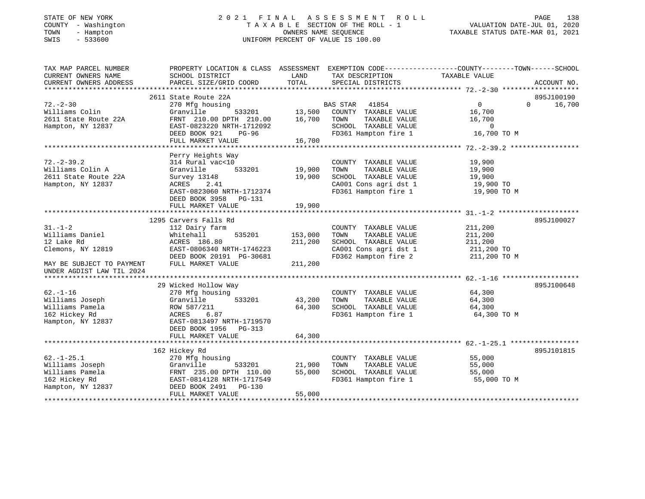| STATE OF NEW YORK |              |
|-------------------|--------------|
| COUNTY            | - Washington |
| TOWN              | - Hampton    |
| CMT C             | E22600       |

### STATE OF NEW YORK 2 0 2 1 F I N A L A S S E S S M E N T R O L L PAGE 138 COUNTY - Washington T A X A B L E SECTION OF THE ROLL - 1 VALUATION DATE-JUL 01, 2020 TOWN - Hampton OWNERS NAME SEQUENCE TAXABLE STATUS DATE-MAR 01, 2021 SWIS - 533600 UNIFORM PERCENT OF VALUE IS 100.00UNIFORM PERCENT OF VALUE IS 100.00

| TAX MAP PARCEL NUMBER<br>CURRENT OWNERS NAME<br>CURRENT OWNERS ADDRESS                                                        | PROPERTY LOCATION & CLASS ASSESSMENT<br>SCHOOL DISTRICT<br>PARCEL SIZE/GRID COORD                                                                                         | LAND<br>TOTAL                     | EXEMPTION CODE-----------------COUNTY-------TOWN------SCHOOL<br>TAX DESCRIPTION<br>SPECIAL DISTRICTS                   | TAXABLE VALUE                                                       | ACCOUNT NO.                      |
|-------------------------------------------------------------------------------------------------------------------------------|---------------------------------------------------------------------------------------------------------------------------------------------------------------------------|-----------------------------------|------------------------------------------------------------------------------------------------------------------------|---------------------------------------------------------------------|----------------------------------|
| $72 - 2 - 30$<br>Williams Colin<br>2611 State Route 22A<br>Hampton, NY 12837                                                  | 2611 State Route 22A<br>270 Mfg housing<br>Granville<br>FRNT 210.00 DPTH 210.00<br>EAST-0823220 NRTH-1712092<br>DEED BOOK 921<br>PG-96<br>FULL MARKET VALUE               | 533201 13,500<br>16,700<br>16,700 | BAS STAR<br>41854<br>COUNTY TAXABLE VALUE<br>TOWN<br>TAXABLE VALUE<br>SCHOOL TAXABLE VALUE<br>FD361 Hampton fire 1     | $\overline{0}$<br>16,700<br>16,700<br>$\overline{0}$<br>16,700 TO M | 895J100190<br>$\Omega$<br>16,700 |
| $72. - 2 - 39.2$<br>Williams Colin A<br>2611 State Route 22A<br>Hampton, NY 12837                                             | Perry Heights Way<br>314 Rural vac<10<br>Granville<br>533201<br>Survey 13148<br>ACRES<br>2.41<br>EAST-0823060 NRTH-1712374<br>DEED BOOK 3958 PG-131<br>FULL MARKET VALUE  | 19,900<br>19,900<br>19,900        | COUNTY TAXABLE VALUE<br>TAXABLE VALUE<br>TOWN<br>SCHOOL TAXABLE VALUE<br>CA001 Cons agri dst 1<br>FD361 Hampton fire 1 | 19,900<br>19,900<br>19,900<br>19,900 TO<br>19,900 TO M              |                                  |
| $31. - 1 - 2$<br>Williams Daniel<br>12 Lake Rd<br>Clemons, NY 12819<br>MAY BE SUBJECT TO PAYMENT<br>UNDER AGDIST LAW TIL 2024 | 1295 Carvers Falls Rd<br>112 Dairy farm<br>Whitehall<br>535201<br>ACRES 186.80<br>EAST-0806340 NRTH-1746223<br>DEED BOOK 20191 PG-30681<br>FULL MARKET VALUE              | 153,000<br>211,200<br>211,200     | COUNTY TAXABLE VALUE<br>TAXABLE VALUE<br>TOWN<br>SCHOOL TAXABLE VALUE<br>CA001 Cons agri dst 1<br>FD362 Hampton fire 2 | 211,200<br>211,200<br>211,200<br>211,200 TO<br>211,200 TO M         | 895J100027                       |
| $62. - 1 - 16$<br>Williams Joseph<br>Williams Pamela<br>162 Hickey Rd<br>Hampton, NY 12837                                    | 29 Wicked Hollow Way<br>270 Mfg housing<br>Granville<br>533201<br>ROW 587/211<br>6.87<br>ACRES<br>EAST-0813497 NRTH-1719570<br>DEED BOOK 1956 PG-313<br>FULL MARKET VALUE | 43,200<br>64,300<br>64,300        | COUNTY TAXABLE VALUE<br>TOWN<br>TAXABLE VALUE<br>SCHOOL TAXABLE VALUE<br>FD361 Hampton fire 1                          | 64,300<br>64,300<br>64,300<br>64,300 TO M                           | 895J100648                       |
| $62. - 1 - 25.1$<br>Williams Joseph<br>Williams Pamela<br>162 Hickey Rd<br>Hampton, NY 12837                                  | 162 Hickey Rd<br>270 Mfg housing<br>Granville<br>533201<br>FRNT 235.00 DPTH 110.00<br>EAST-0814128 NRTH-1717549<br>DEED BOOK 2491 PG-130<br>FULL MARKET VALUE             | 21,900<br>55,000<br>55,000        | COUNTY TAXABLE VALUE<br>TAXABLE VALUE<br>TOWN<br>SCHOOL TAXABLE VALUE<br>FD361 Hampton fire 1                          | 55,000<br>55,000<br>55,000<br>55,000 TO M                           | 895J101815                       |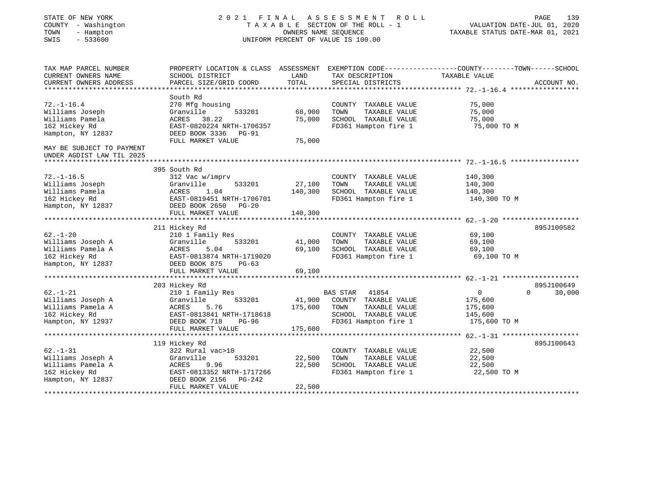| STATE OF NEW YORK<br>COUNTY - Washington<br>- Hampton<br>TOWN<br>$-533600$<br>SWIS | 2021 FINAL                                                                                                         | OWNERS NAME SEQUENCE | ASSESSMENT<br>ROLL<br>TAXABLE SECTION OF THE ROLL - 1<br>UNIFORM PERCENT OF VALUE IS 100.00 | PAGE<br>139<br>VALUATION DATE-JUL 01, 2020<br>TAXABLE STATUS DATE-MAR 01, 2021 |                    |  |
|------------------------------------------------------------------------------------|--------------------------------------------------------------------------------------------------------------------|----------------------|---------------------------------------------------------------------------------------------|--------------------------------------------------------------------------------|--------------------|--|
| TAX MAP PARCEL NUMBER<br>CURRENT OWNERS NAME                                       | PROPERTY LOCATION & CLASS ASSESSMENT EXEMPTION CODE---------------COUNTY-------TOWN------SCHOOL<br>SCHOOL DISTRICT | LAND                 | TAX DESCRIPTION                                                                             | TAXABLE VALUE                                                                  |                    |  |
| CURRENT OWNERS ADDRESS                                                             | PARCEL SIZE/GRID COORD                                                                                             | TOTAL                | SPECIAL DISTRICTS                                                                           |                                                                                | ACCOUNT NO.        |  |
| ******************************                                                     |                                                                                                                    |                      |                                                                                             |                                                                                |                    |  |
|                                                                                    | South Rd                                                                                                           |                      |                                                                                             |                                                                                |                    |  |
| $72. - 1 - 16.4$                                                                   | 270 Mfg housing                                                                                                    |                      | COUNTY TAXABLE VALUE                                                                        | 75,000                                                                         |                    |  |
| Williams Joseph                                                                    | Granville<br>533201                                                                                                | 68,900               | TAXABLE VALUE<br>TOWN                                                                       | 75,000                                                                         |                    |  |
| Williams Pamela                                                                    | 38.22<br>ACRES                                                                                                     | 75,000               | SCHOOL TAXABLE VALUE                                                                        | 75,000                                                                         |                    |  |
| 162 Hickey Rd                                                                      | EAST-0820224 NRTH-1706357                                                                                          |                      | FD361 Hampton fire 1                                                                        | 75,000 TO M                                                                    |                    |  |
| Hampton, NY 12837                                                                  | DEED BOOK 3336 PG-91<br>FULL MARKET VALUE                                                                          | 75,000               |                                                                                             |                                                                                |                    |  |
| MAY BE SUBJECT TO PAYMENT<br>UNDER AGDIST LAW TIL 2025                             |                                                                                                                    |                      |                                                                                             |                                                                                |                    |  |
|                                                                                    |                                                                                                                    |                      |                                                                                             |                                                                                |                    |  |
|                                                                                    | 395 South Rd                                                                                                       |                      |                                                                                             |                                                                                |                    |  |
| $72. - 1 - 16.5$                                                                   | 312 Vac w/imprv                                                                                                    |                      | COUNTY TAXABLE VALUE                                                                        | 140,300                                                                        |                    |  |
| Williams Joseph                                                                    | Granville<br>533201                                                                                                | 27,100               | TAXABLE VALUE<br>TOWN                                                                       | 140,300                                                                        |                    |  |
| Williams Pamela                                                                    | 1.04<br>ACRES                                                                                                      | 140,300              | SCHOOL TAXABLE VALUE                                                                        | 140,300                                                                        |                    |  |
| 162 Hickey Rd                                                                      | EAST-0819451 NRTH-1706701                                                                                          |                      | FD361 Hampton fire 1                                                                        | 140,300 TO M                                                                   |                    |  |
| Hampton, NY 12837                                                                  | DEED BOOK 2650<br>$PG-20$<br>FULL MARKET VALUE                                                                     | 140,300              |                                                                                             |                                                                                |                    |  |
|                                                                                    | ********************                                                                                               |                      |                                                                                             | *************************** 62.-1-20 ********************                      |                    |  |
|                                                                                    | 211 Hickey Rd                                                                                                      |                      |                                                                                             |                                                                                | 895J100582         |  |
| $62. - 1 - 20$                                                                     | 210 1 Family Res                                                                                                   |                      | COUNTY TAXABLE VALUE                                                                        | 69,100                                                                         |                    |  |
| Williams Joseph A                                                                  | Granville<br>533201                                                                                                | 41,000               | TOWN<br>TAXABLE VALUE                                                                       | 69,100                                                                         |                    |  |
| Williams Pamela A                                                                  | ACRES<br>5.04                                                                                                      | 69,100               | SCHOOL TAXABLE VALUE                                                                        | 69,100                                                                         |                    |  |
| 162 Hickey Rd                                                                      | EAST-0813874 NRTH-1719020                                                                                          |                      | FD361 Hampton fire 1                                                                        | 69,100 TO M                                                                    |                    |  |
| Hampton, NY 12837                                                                  | DEED BOOK 875<br>$PG-63$                                                                                           |                      |                                                                                             |                                                                                |                    |  |
|                                                                                    | FULL MARKET VALUE                                                                                                  | 69,100               |                                                                                             |                                                                                |                    |  |
|                                                                                    |                                                                                                                    |                      |                                                                                             |                                                                                |                    |  |
|                                                                                    | 203 Hickey Rd                                                                                                      |                      |                                                                                             |                                                                                | 895J100649         |  |
| $62. - 1 - 21$                                                                     | 210 1 Family Res                                                                                                   |                      | <b>BAS STAR</b><br>41854                                                                    | $\mathbf 0$                                                                    | $\Omega$<br>30,000 |  |
| Williams Joseph A                                                                  | Granville<br>533201                                                                                                | 41,900               | COUNTY TAXABLE VALUE                                                                        | 175,600                                                                        |                    |  |
| Williams Pamela A                                                                  | ACRES<br>5.76                                                                                                      | 175,600              | TOWN<br>TAXABLE VALUE                                                                       | 175,600                                                                        |                    |  |
| 162 Hickey Rd<br>Hampton, NY 12937                                                 | EAST-0813841 NRTH-1718618<br>$PG-96$                                                                               |                      | SCHOOL TAXABLE VALUE<br>FD361 Hampton fire 1                                                | 145,600<br>175,600 TO M                                                        |                    |  |
|                                                                                    | DEED BOOK 718<br>FULL MARKET VALUE                                                                                 | 175,600              |                                                                                             |                                                                                |                    |  |
|                                                                                    |                                                                                                                    |                      |                                                                                             |                                                                                |                    |  |
|                                                                                    | 119 Hickey Rd                                                                                                      |                      |                                                                                             |                                                                                | 895J100643         |  |
| $62. - 1 - 31$                                                                     | 322 Rural vac>10                                                                                                   |                      | COUNTY TAXABLE VALUE                                                                        | 22,500                                                                         |                    |  |
| Williams Joseph A                                                                  | 533201<br>Granville                                                                                                | 22,500               | TAXABLE VALUE<br>TOWN                                                                       | 22,500                                                                         |                    |  |
| Williams Pamela A                                                                  | ACRES<br>9.96                                                                                                      | 22,500               | SCHOOL TAXABLE VALUE                                                                        | 22,500                                                                         |                    |  |
| 162 Hickey Rd                                                                      | EAST-0813352 NRTH-1717266                                                                                          |                      | FD361 Hampton fire 1                                                                        | 22,500 TO M                                                                    |                    |  |
| Hampton, NY 12837                                                                  | DEED BOOK 2156<br>$PG-242$                                                                                         |                      |                                                                                             |                                                                                |                    |  |
|                                                                                    | FULL MARKET VALUE                                                                                                  | 22,500               |                                                                                             |                                                                                |                    |  |
|                                                                                    |                                                                                                                    |                      |                                                                                             |                                                                                |                    |  |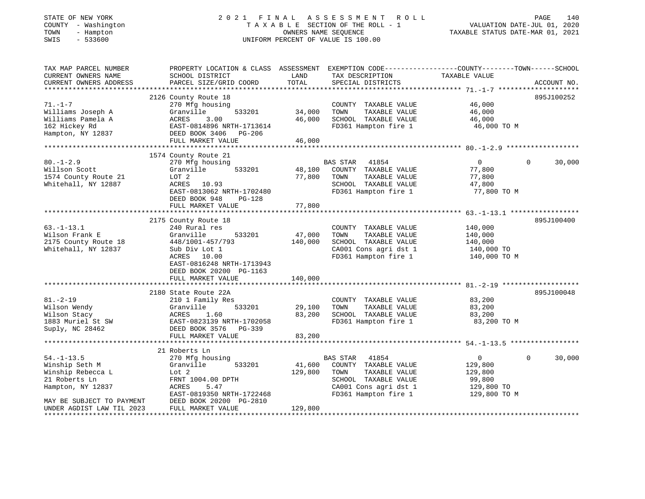# STATE OF NEW YORK 2 0 2 1 F I N A L A S S E S S M E N T R O L L PAGE 140 COUNTY - Washington T A X A B L E SECTION OF THE ROLL - 1 VALUATION DATE-JUL 01, 2020 TOWN - Hampton OWNERS NAME SEQUENCE TAXABLE STATUS DATE-MAR 01, 2021 SWIS - 533600 UNIFORM PERCENT OF VALUE IS 100.00

| TAX MAP PARCEL NUMBER<br>CURRENT OWNERS NAME<br>CURRENT OWNERS ADDRESS                        | PROPERTY LOCATION & CLASS ASSESSMENT<br>SCHOOL DISTRICT<br>PARCEL SIZE/GRID COORD                                                                                        | LAND<br>TOTAL                        | EXEMPTION CODE-----------------COUNTY-------TOWN------SCHOOL<br>TAX DESCRIPTION<br>SPECIAL DISTRICTS                                               | TAXABLE VALUE                                                                | ACCOUNT NO.        |
|-----------------------------------------------------------------------------------------------|--------------------------------------------------------------------------------------------------------------------------------------------------------------------------|--------------------------------------|----------------------------------------------------------------------------------------------------------------------------------------------------|------------------------------------------------------------------------------|--------------------|
| $71. - 1 - 7$<br>Williams Joseph A<br>Williams Pamela A<br>162 Hickey Rd<br>Hampton, NY 12837 | 2126 County Route 18<br>270 Mfg housing<br>533201<br>Granville<br>3.00<br>ACRES<br>EAST-0814896 NRTH-1713614<br>DEED BOOK 3406 PG-206<br>FULL MARKET VALUE               | 34,000<br>46,000<br>46,000           | COUNTY TAXABLE VALUE<br>TOWN<br>TAXABLE VALUE<br>SCHOOL TAXABLE VALUE<br>FD361 Hampton fire 1                                                      | 46,000<br>46,000<br>46,000<br>46,000 TO M                                    | 895J100252         |
|                                                                                               | 1574 County Route 21                                                                                                                                                     |                                      |                                                                                                                                                    |                                                                              |                    |
| $80. - 1 - 2.9$<br>Willson Scott<br>1574 County Route 21<br>Whitehall, NY 12887               | 270 Mfg housing<br>Granville<br>533201<br>LOT 2<br>ACRES 10.93<br>EAST-0813062 NRTH-1702480<br>DEED BOOK 948<br><b>PG-128</b><br>FULL MARKET VALUE                       | 48,100<br>77,800<br>77,800           | <b>BAS STAR</b><br>41854<br>COUNTY TAXABLE VALUE<br>TAXABLE VALUE<br>TOWN<br>SCHOOL TAXABLE VALUE<br>FD361 Hampton fire 1                          | $\mathbf{0}$<br>77,800<br>77,800<br>47,800<br>77,800 TO M                    | 30,000<br>$\Omega$ |
|                                                                                               |                                                                                                                                                                          |                                      |                                                                                                                                                    |                                                                              |                    |
| $63. - 1 - 13.1$<br>Wilson Frank E<br>2175 County Route 18<br>Whitehall, NY 12837             | 2175 County Route 18<br>240 Rural res<br>Granville<br>533201<br>448/1001-457/793<br>Sub Div Lot 1<br>ACRES 10.00<br>EAST-0816248 NRTH-1713943<br>DEED BOOK 20200 PG-1163 | 47,000<br>140,000                    | COUNTY TAXABLE VALUE<br>TAXABLE VALUE<br>TOWN<br>SCHOOL TAXABLE VALUE<br>CA001 Cons agri dst 1<br>FD361 Hampton fire 1                             | 140,000<br>140,000<br>140,000<br>140,000 TO<br>140,000 TO M                  | 895J100400         |
|                                                                                               | FULL MARKET VALUE<br>*****************************                                                                                                                       | 140,000<br>* * * * * * * * * * * * * |                                                                                                                                                    |                                                                              |                    |
| $81. - 2 - 19$<br>Wilson Wendy<br>Wilson Stacy<br>1883 Muriel St SW<br>Suply, NC 28462        | 2180 State Route 22A<br>210 1 Family Res<br>533201<br>Granville<br>ACRES<br>1.60<br>EAST-0823139 NRTH-1702058<br>DEED BOOK 3576 PG-339                                   | 29,100<br>83,200                     | COUNTY TAXABLE VALUE<br>TOWN<br>TAXABLE VALUE<br>SCHOOL TAXABLE VALUE<br>FD361 Hampton fire 1                                                      | 83,200<br>83,200<br>83,200<br>83,200 TO M                                    | 895J100048         |
|                                                                                               | FULL MARKET VALUE                                                                                                                                                        | 83,200                               |                                                                                                                                                    |                                                                              |                    |
|                                                                                               | 21 Roberts Ln                                                                                                                                                            |                                      |                                                                                                                                                    |                                                                              |                    |
| $54. - 1 - 13.5$<br>Winship Seth M<br>Winship Rebecca L<br>21 Roberts Ln<br>Hampton, NY 12837 | 270 Mfg housing<br>Granville<br>533201<br>Lot 2<br>FRNT 1004.00 DPTH<br>ACRES<br>5.47<br>EAST-0819350 NRTH-1722468                                                       | 41,600<br>129,800                    | <b>BAS STAR</b><br>41854<br>COUNTY TAXABLE VALUE<br>TOWN<br>TAXABLE VALUE<br>SCHOOL TAXABLE VALUE<br>CA001 Cons agri dst 1<br>FD361 Hampton fire 1 | $\overline{0}$<br>129,800<br>129,800<br>99,800<br>129,800 TO<br>129,800 TO M | 30,000<br>$\Omega$ |
| MAY BE SUBJECT TO PAYMENT<br>UNDER AGDIST LAW TIL 2023                                        | DEED BOOK 20200 PG-2810<br>FULL MARKET VALUE                                                                                                                             | 129,800                              |                                                                                                                                                    |                                                                              |                    |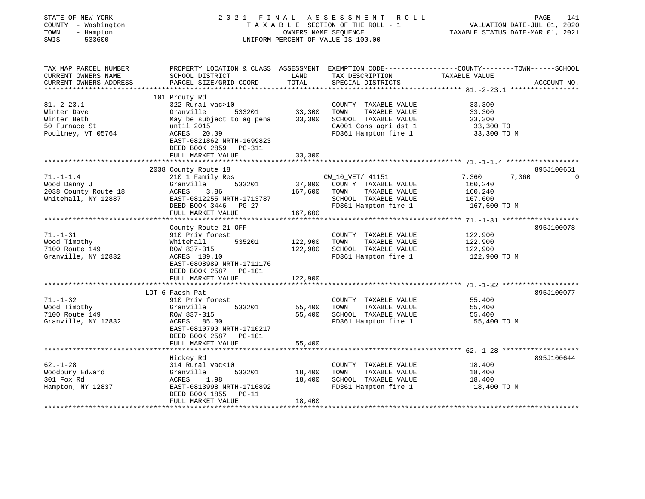| STATE OF NEW YORK<br>COUNTY - Washington<br>TOWN<br>- Hampton<br>SWIS<br>$-533600$ |                                                                                                                   | OWNERS NAME SEOUENCE | 2021 FINAL ASSESSMENT<br>R O L L<br>TAXABLE SECTION OF THE ROLL - 1<br>UNIFORM PERCENT OF VALUE IS 100.00 | VALUATION DATE-JUL 01, 2020<br>TAXABLE STATUS DATE-MAR 01, 2021 | PAGE<br>141                  |
|------------------------------------------------------------------------------------|-------------------------------------------------------------------------------------------------------------------|----------------------|-----------------------------------------------------------------------------------------------------------|-----------------------------------------------------------------|------------------------------|
| TAX MAP PARCEL NUMBER<br>CURRENT OWNERS NAME                                       | PROPERTY LOCATION & CLASS ASSESSMENT EXEMPTION CODE---------------COUNTY-------TOWN-----SCHOOL<br>SCHOOL DISTRICT | LAND                 | TAX DESCRIPTION                                                                                           | TAXABLE VALUE                                                   |                              |
| CURRENT OWNERS ADDRESS                                                             | PARCEL SIZE/GRID COORD                                                                                            | TOTAL                | SPECIAL DISTRICTS                                                                                         |                                                                 | ACCOUNT NO.                  |
|                                                                                    | ***************************                                                                                       |                      |                                                                                                           |                                                                 |                              |
|                                                                                    | 101 Prouty Rd                                                                                                     |                      |                                                                                                           |                                                                 |                              |
| $81 - 2 - 23.1$<br>Winter Dave                                                     | 322 Rural vac>10<br>533201<br>Granville                                                                           | 33,300               | COUNTY TAXABLE VALUE<br>TOWN<br>TAXABLE VALUE                                                             | 33,300<br>33,300                                                |                              |
| Winter Beth                                                                        | May be subject to ag pena                                                                                         | 33,300               | SCHOOL TAXABLE VALUE                                                                                      | 33,300                                                          |                              |
| 50 Furnace St                                                                      | until 2015                                                                                                        |                      | CA001 Cons agri dst 1                                                                                     | 33,300 TO                                                       |                              |
| Poultney, VT 05764                                                                 | ACRES 20.09<br>EAST-0821862 NRTH-1699823<br>DEED BOOK 2859 PG-311                                                 |                      | FD361 Hampton fire 1                                                                                      | 33,300 TO M                                                     |                              |
|                                                                                    | FULL MARKET VALUE                                                                                                 | 33,300               |                                                                                                           |                                                                 |                              |
|                                                                                    |                                                                                                                   |                      |                                                                                                           |                                                                 |                              |
| $71. - 1 - 1.4$                                                                    | 2038 County Route 18<br>210 1 Family Res                                                                          |                      | CW_10_VET/ 41151                                                                                          | 7,360<br>7,360                                                  | 895J100651<br>$\overline{0}$ |
| Wood Danny J                                                                       | 533201<br>Granville                                                                                               | 37,000               | COUNTY TAXABLE VALUE                                                                                      | 160,240                                                         |                              |
| 2038 County Route 18                                                               | ACRES<br>3.86                                                                                                     | 167,600              | TAXABLE VALUE<br>TOWN                                                                                     | 160,240                                                         |                              |
| Whitehall, NY 12887                                                                | EAST-0812255 NRTH-1713787                                                                                         |                      | SCHOOL TAXABLE VALUE                                                                                      | 167,600                                                         |                              |
|                                                                                    | DEED BOOK 3446 PG-27                                                                                              |                      | FD361 Hampton fire 1                                                                                      | 167,600 TO M                                                    |                              |
|                                                                                    | FULL MARKET VALUE<br>**********************                                                                       | 167,600              | ***************************                                                                               |                                                                 |                              |
|                                                                                    | County Route 21 OFF                                                                                               |                      |                                                                                                           | ***************** 71.__1_31 ********************                | 895J100078                   |
| $71. - 1 - 31$                                                                     | 910 Priv forest                                                                                                   |                      | COUNTY TAXABLE VALUE                                                                                      | 122,900                                                         |                              |
| Wood Timothy                                                                       | 535201<br>Whitehall                                                                                               | 122,900              | TOWN<br>TAXABLE VALUE                                                                                     | 122,900                                                         |                              |
| 7100 Route 149                                                                     | ROW 837-315                                                                                                       | 122,900              | SCHOOL TAXABLE VALUE                                                                                      | 122,900                                                         |                              |
| Granville, NY 12832                                                                | ACRES 189.10                                                                                                      |                      | FD361 Hampton fire 1                                                                                      | 122,900 TO M                                                    |                              |
|                                                                                    | EAST-0808989 NRTH-1711176                                                                                         |                      |                                                                                                           |                                                                 |                              |
|                                                                                    | DEED BOOK 2587 PG-101                                                                                             |                      |                                                                                                           |                                                                 |                              |
|                                                                                    | FULL MARKET VALUE                                                                                                 | 122,900              |                                                                                                           | ************************ 71.-1-32 ********************          |                              |
|                                                                                    | LOT 6 Faesh Pat                                                                                                   |                      |                                                                                                           |                                                                 | 895J100077                   |
| $71. - 1 - 32$                                                                     | 910 Priv forest                                                                                                   |                      | COUNTY TAXABLE VALUE                                                                                      | 55,400                                                          |                              |
| Wood Timothy                                                                       | 533201<br>Granville                                                                                               | 55,400               | TOWN<br>TAXABLE VALUE                                                                                     | 55,400                                                          |                              |
| 7100 Route 149                                                                     | ROW 837-315                                                                                                       | 55,400               | SCHOOL TAXABLE VALUE                                                                                      | 55,400                                                          |                              |
| Granville, NY 12832                                                                | ACRES 85.30                                                                                                       |                      | FD361 Hampton fire 1                                                                                      | 55,400 TO M                                                     |                              |
|                                                                                    | EAST-0810790 NRTH-1710217                                                                                         |                      |                                                                                                           |                                                                 |                              |
|                                                                                    | DEED BOOK 2587 PG-101<br>FULL MARKET VALUE                                                                        | 55,400               |                                                                                                           |                                                                 |                              |
|                                                                                    | *******************                                                                                               |                      |                                                                                                           |                                                                 |                              |
|                                                                                    | Hickey Rd                                                                                                         |                      |                                                                                                           |                                                                 | 895J100644                   |
| $62. - 1 - 28$                                                                     | 314 Rural vac<10                                                                                                  |                      | COUNTY TAXABLE VALUE                                                                                      | 18,400                                                          |                              |
| Woodbury Edward                                                                    | 533201<br>Granville                                                                                               | 18,400               | TOWN<br>TAXABLE VALUE                                                                                     | 18,400                                                          |                              |
| 301 Fox Rd                                                                         | ACRES<br>1.98                                                                                                     | 18,400               | SCHOOL TAXABLE VALUE                                                                                      | 18,400                                                          |                              |
| Hampton, NY 12837                                                                  | EAST-0813998 NRTH-1716892                                                                                         |                      | FD361 Hampton fire 1                                                                                      | 18,400 TO M                                                     |                              |
|                                                                                    | DEED BOOK 1855<br>$PG-11$<br>FULL MARKET VALUE                                                                    | 18,400               |                                                                                                           |                                                                 |                              |
|                                                                                    |                                                                                                                   |                      |                                                                                                           |                                                                 |                              |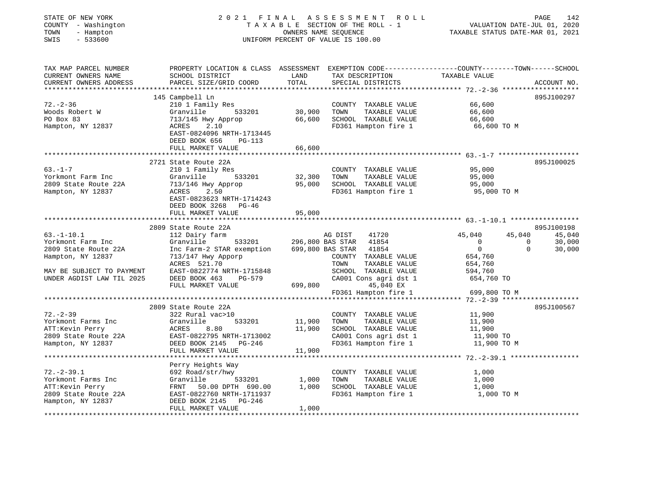| STATE OF NEW YORK<br>COUNTY - Washington<br>- Hampton<br>TOWN<br>$-533600$<br>SWIS |                                                                                                           |               | 2021 FINAL ASSESSMENT<br>R O L L<br>TAXABLE SECTION OF THE ROLL - 1<br>OWNERS NAME SEQUENCE<br>UNIFORM PERCENT OF VALUE IS 100.00 | VALUATION DATE-JUL 01, 2020<br>TAXABLE STATUS DATE-MAR 01, 2021                                 | PAGE<br>142      |
|------------------------------------------------------------------------------------|-----------------------------------------------------------------------------------------------------------|---------------|-----------------------------------------------------------------------------------------------------------------------------------|-------------------------------------------------------------------------------------------------|------------------|
| TAX MAP PARCEL NUMBER<br>CURRENT OWNERS NAME<br>CURRENT OWNERS ADDRESS             | SCHOOL DISTRICT<br>PARCEL SIZE/GRID COORD                                                                 | LAND<br>TOTAL | TAX DESCRIPTION TAXABLE VALUE<br>SPECIAL DISTRICTS                                                                                | PROPERTY LOCATION & CLASS ASSESSMENT EXEMPTION CODE----------------COUNTY-------TOWN-----SCHOOL | ACCOUNT NO.      |
|                                                                                    |                                                                                                           |               |                                                                                                                                   |                                                                                                 |                  |
|                                                                                    | 145 Campbell Ln                                                                                           |               |                                                                                                                                   |                                                                                                 | 895J100297       |
| $72. - 2 - 36$                                                                     | 210 1 Family Res                                                                                          |               | COUNTY TAXABLE VALUE                                                                                                              | 66,600                                                                                          |                  |
| Woods Robert W                                                                     | 533201<br>Granville                                                                                       | 30,900        | TOWN<br>TAXABLE VALUE                                                                                                             | 66,600                                                                                          |                  |
| PO Box 83<br>Hampton, NY 12837                                                     | 713/145 Hwy Approp<br>ACRES<br>2.10                                                                       | 66,600        | SCHOOL TAXABLE VALUE<br>FD361 Hampton fire 1                                                                                      | 66,600<br>66,600 TO M                                                                           |                  |
|                                                                                    | EAST-0824096 NRTH-1713445                                                                                 |               |                                                                                                                                   |                                                                                                 |                  |
|                                                                                    | DEED BOOK 656<br><b>PG-113</b>                                                                            |               |                                                                                                                                   |                                                                                                 |                  |
|                                                                                    | FULL MARKET VALUE                                                                                         | 66,600        |                                                                                                                                   |                                                                                                 |                  |
|                                                                                    |                                                                                                           |               |                                                                                                                                   |                                                                                                 |                  |
| $63. - 1 - 7$                                                                      | 2721 State Route 22A                                                                                      |               | COUNTY TAXABLE VALUE                                                                                                              | 95,000                                                                                          | 895J100025       |
| Yorkmont Farm Inc                                                                  | 210 1 Family Res<br>Granville<br>533201                                                                   | 32,300        | TOWN<br>TAXABLE VALUE                                                                                                             | 95,000                                                                                          |                  |
| 2809 State Route 22A                                                               | 713/146 Hwy Approp                                                                                        | 95,000        | SCHOOL TAXABLE VALUE                                                                                                              | 95,000                                                                                          |                  |
| Hampton, NY 12837                                                                  | ACRES<br>2.50                                                                                             |               | FD361 Hampton fire 1                                                                                                              | 95,000 TO M                                                                                     |                  |
|                                                                                    | EAST-0823623 NRTH-1714243                                                                                 |               |                                                                                                                                   |                                                                                                 |                  |
|                                                                                    | DEED BOOK 3268 PG-46                                                                                      |               |                                                                                                                                   |                                                                                                 |                  |
|                                                                                    | FULL MARKET VALUE<br>*************************                                                            | 95,000        |                                                                                                                                   |                                                                                                 |                  |
|                                                                                    | 2809 State Route 22A                                                                                      |               |                                                                                                                                   |                                                                                                 | 895J100198       |
| $63. - 1 - 10.1$                                                                   |                                                                                                           |               |                                                                                                                                   |                                                                                                 |                  |
|                                                                                    |                                                                                                           |               |                                                                                                                                   |                                                                                                 |                  |
| Yorkmont Farm Inc                                                                  | 112 Dairy farm<br>Granville                                                                               |               | 41720<br>AG DIST                                                                                                                  | 45,040<br>45,040<br>$\sim$ 0 $\sim$ 0<br>$\overline{0}$                                         | 45,040<br>30,000 |
| 2809 State Route 22A                                                               | Inc Farm-2 STAR exemption 699,800 BAS STAR                                                                |               | 533201 296,800 BAS STAR 41854<br>41854                                                                                            | $\overline{0}$<br>$\Omega$                                                                      | 30,000           |
| Hampton, NY 12837                                                                  | 713/147 Hwy Apporp                                                                                        |               | COUNTY TAXABLE VALUE                                                                                                              | 654,760                                                                                         |                  |
|                                                                                    | ACRES 521.70                                                                                              |               | TOWN<br>TAXABLE VALUE                                                                                                             | 654,760                                                                                         |                  |
| MAY BE SUBJECT TO PAYMENT                                                          | EAST-0822774 NRTH-1715848                                                                                 |               | SCHOOL TAXABLE VALUE                                                                                                              | 594,760                                                                                         |                  |
| UNDER AGDIST LAW TIL 2025                                                          | DEED BOOK 463 PG-579                                                                                      |               | CA001 Cons agri dst 1                                                                                                             | 654,760 TO                                                                                      |                  |
|                                                                                    | FULL MARKET VALUE                                                                                         | 699,800       | 45,040 EX<br>FD361 Hampton fire 1                                                                                                 | 699,800 TO M                                                                                    |                  |
|                                                                                    |                                                                                                           |               |                                                                                                                                   |                                                                                                 |                  |
|                                                                                    | 2809 State Route 22A                                                                                      |               |                                                                                                                                   |                                                                                                 | 895J100567       |
| $72. - 2 - 39$                                                                     | 322 Rural vac>10                                                                                          |               | COUNTY TAXABLE VALUE                                                                                                              | 11,900                                                                                          |                  |
| Yorkmont Farms Inc                                                                 | 533201<br>Granville                                                                                       | 11,900        | TOWN<br>TAXABLE VALUE                                                                                                             | 11,900                                                                                          |                  |
| ATT:Kevin Perry                                                                    |                                                                                                           | 11,900        | SCHOOL TAXABLE VALUE                                                                                                              | 11,900                                                                                          |                  |
| 2809 State Route 22A<br>Hampton, NY 12837                                          | DEED BOOK 2145 PG-246                                                                                     |               | CA001 Cons agri dst 1<br>FD361 Hampton fire 1                                                                                     | 11,900 TO<br>11,900 TO M                                                                        |                  |
|                                                                                    | Granville 533201<br>ACRES 8.80<br>EAST-0822795 NRTH-1713002<br>DEED BOOK 2145 PG-246<br>FULL MARKET VALUE | 11,900        |                                                                                                                                   |                                                                                                 |                  |
|                                                                                    |                                                                                                           |               |                                                                                                                                   |                                                                                                 |                  |
|                                                                                    | Perry Heights Way                                                                                         |               |                                                                                                                                   |                                                                                                 |                  |
| $72. - 2 - 39.1$                                                                   | 692 Road/str/hwy                                                                                          |               | COUNTY TAXABLE VALUE                                                                                                              | 1,000                                                                                           |                  |
| Yorkmont Farms Inc                                                                 | 533201<br>Granville                                                                                       | 1,000         | TOWN<br>TAXABLE VALUE                                                                                                             | 1,000                                                                                           |                  |
| ATT:Kevin Perry                                                                    | FRNT 50.00 DPTH 690.00<br>EAST-0822760 NRTH-1711937                                                       | 1,000         | SCHOOL TAXABLE VALUE                                                                                                              | 1,000<br>1,000 TO M                                                                             |                  |
| 2809 State Route 22A<br>Hampton, NY 12837                                          | DEED BOOK 2145 PG-246                                                                                     |               | FD361 Hampton fire 1                                                                                                              |                                                                                                 |                  |
|                                                                                    | FULL MARKET VALUE                                                                                         | 1,000         |                                                                                                                                   |                                                                                                 |                  |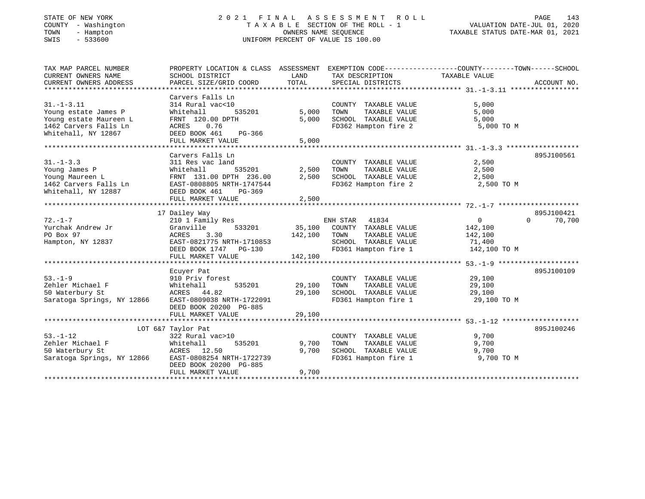# STATE OF NEW YORK 2 0 2 1 F I N A L A S S E S S M E N T R O L L PAGE 143 COUNTY - Washington T A X A B L E SECTION OF THE ROLL - 1 VALUATION DATE-JUL 01, 2020 TOWN - Hampton OWNERS NAME SEQUENCE TAXABLE STATUS DATE-MAR 01, 2021 SWIS - 533600 UNIFORM PERCENT OF VALUE IS 100.00

| TAX MAP PARCEL NUMBER<br>CURRENT OWNERS NAME<br>CURRENT OWNERS ADDRESS                                             | PROPERTY LOCATION & CLASS ASSESSMENT<br>SCHOOL DISTRICT<br>PARCEL SIZE/GRID COORD                                                                | LAND<br>TOTAL              | EXEMPTION CODE-----------------COUNTY-------TOWN------SCHOOL<br>TAX DESCRIPTION<br>SPECIAL DISTRICTS                   | TAXABLE VALUE                                                     | ACCOUNT NO.                      |
|--------------------------------------------------------------------------------------------------------------------|--------------------------------------------------------------------------------------------------------------------------------------------------|----------------------------|------------------------------------------------------------------------------------------------------------------------|-------------------------------------------------------------------|----------------------------------|
| $31. - 1 - 3.11$<br>Young estate James P<br>Young estate Maureen L<br>1462 Carvers Falls Ln<br>Whitehall, NY 12867 | Carvers Falls Ln<br>314 Rural vac<10<br>535201<br>Whitehall<br>FRNT 120.00 DPTH<br>0.76<br>ACRES<br>DEED BOOK 461<br>PG-366<br>FULL MARKET VALUE | 5,000<br>5,000<br>5,000    | COUNTY TAXABLE VALUE<br>TOWN<br>TAXABLE VALUE<br>SCHOOL TAXABLE VALUE<br>FD362 Hampton fire 2                          | 5,000<br>5,000<br>5,000<br>5,000 TO M                             |                                  |
| $31 - 1 - 3.3$                                                                                                     | Carvers Falls Ln<br>311 Res vac land                                                                                                             |                            | COUNTY TAXABLE VALUE                                                                                                   | 2,500                                                             | 895J100561                       |
| Young James P<br>Young Maureen L<br>1462 Carvers Falls Ln<br>Whitehall, NY 12887                                   | Whitehall<br>535201<br>FRNT 131.00 DPTH 236.00<br>EAST-0808805 NRTH-1747544<br>DEED BOOK 461<br>$PG-369$<br>FULL MARKET VALUE                    | 2,500<br>2,500<br>2,500    | TOWN<br>TAXABLE VALUE<br>SCHOOL TAXABLE VALUE<br>FD362 Hampton fire 2                                                  | 2,500<br>2,500<br>2,500 TO M                                      |                                  |
|                                                                                                                    |                                                                                                                                                  |                            |                                                                                                                        |                                                                   |                                  |
| $72. - 1 - 7$<br>Yurchak Andrew Jr<br>PO Box 97<br>Hampton, NY 12837                                               | 17 Dailey Way<br>210 1 Family Res<br>533201<br>Granville<br>3.30<br>ACRES<br>EAST-0821775 NRTH-1710853<br>DEED BOOK 1747 PG-130                  | 142,100                    | ENH STAR 41834<br>35,100 COUNTY TAXABLE VALUE<br>TOWN<br>TAXABLE VALUE<br>SCHOOL TAXABLE VALUE<br>FD361 Hampton fire 1 | $0 \qquad \qquad$<br>142,100<br>142,100<br>71,400<br>142,100 TO M | 895J100421<br>70,700<br>$\Omega$ |
|                                                                                                                    | FULL MARKET VALUE                                                                                                                                | 142,100                    |                                                                                                                        |                                                                   |                                  |
| $53. - 1 - 9$<br>Zehler Michael F<br>50 Waterbury St<br>Saratoga Springs, NY 12866                                 | Ecuyer Pat<br>910 Priv forest<br>Whitehall<br>535201<br>ACRES 44.82<br>EAST-0809038 NRTH-1722091<br>DEED BOOK 20200 PG-885<br>FULL MARKET VALUE  | 29,100<br>29,100<br>29,100 | COUNTY TAXABLE VALUE<br>TOWN<br>TAXABLE VALUE<br>SCHOOL TAXABLE VALUE<br>FD361 Hampton fire 1                          | 29,100<br>29,100<br>29,100<br>29,100 TO M                         | 895J100109                       |
|                                                                                                                    | LOT 6&7 Taylor Pat                                                                                                                               |                            |                                                                                                                        |                                                                   | 895J100246                       |
| $53. - 1 - 12$<br>Zehler Michael F<br>50 Waterbury St<br>Saratoga Springs, NY 12866                                | 322 Rural vac>10<br>535201<br>Whitehall<br>ACRES 12.50<br>EAST-0808254 NRTH-1722739<br>DEED BOOK 20200 PG-885<br>FULL MARKET VALUE               | 9,700<br>9,700<br>9,700    | COUNTY TAXABLE VALUE<br>TOWN<br>TAXABLE VALUE<br>SCHOOL TAXABLE VALUE<br>FD361 Hampton fire 1                          | 9,700<br>9,700<br>9,700<br>9,700 TO M                             |                                  |
|                                                                                                                    |                                                                                                                                                  |                            |                                                                                                                        |                                                                   |                                  |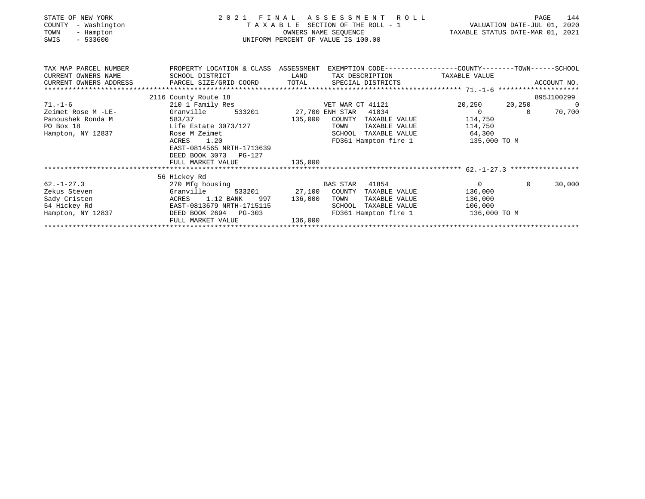| STATE OF NEW YORK<br>COUNTY<br>- Washington<br>TOWN<br>- Hampton<br>$-533600$<br>SWIS |                                                                  | OWNERS NAME SEQUENCE<br>UNIFORM PERCENT OF VALUE IS 100.00 | PAGE 144 R A S S E S S M E N T R O L L<br>T A X A B L E SECTION OF THE ROLL - 1 VALUATION DATE-JUL 01, 2020<br>TAXABLE STATUS DATE-MAR 01, 2021 |
|---------------------------------------------------------------------------------------|------------------------------------------------------------------|------------------------------------------------------------|-------------------------------------------------------------------------------------------------------------------------------------------------|
| CURRENT OWNERS NAME                                                                   | SCHOOL DISTRICT                                                  | LAND TAX DESCRIPTION TAXABLE VALUE                         | TAX MAP PARCEL NUMBER THE PROPERTY LOCATION & CLASS ASSESSMENT EXEMPTION CODE--------------COUNTY-------TOWN-----SCHOOL                         |
|                                                                                       |                                                                  |                                                            |                                                                                                                                                 |
|                                                                                       |                                                                  |                                                            |                                                                                                                                                 |
|                                                                                       | 2116 County Route 18                                             |                                                            | 895J100299                                                                                                                                      |
| $71. - 1 - 6$                                                                         | 210 1 Family Res                                                 | VET WAR CT 41121                                           | 20,250 20,250<br>$\overline{0}$                                                                                                                 |
| Zeimet Rose M -LE-                                                                    | 533201<br>Granville                                              | 27,700 ENH STAR<br>41834                                   | $\overline{0}$<br>70,700<br>$\Omega$                                                                                                            |
| Panoushek Ronda M                                                                     | 583/37                                                           | 135,000<br>COUNTY TAXABLE VALUE                            | 114,750                                                                                                                                         |
| PO Box 18                                                                             | Life Estate 3073/127<br>Rose M Zeimet                            | TOWN                                                       | TAXABLE VALUE 114,750                                                                                                                           |
| Hampton, NY 12837                                                                     |                                                                  | SCHOOL TAXABLE VALUE 64,300                                |                                                                                                                                                 |
|                                                                                       | ACRES 1.20<br>EAST-0814565 NRTH-1713639<br>DEED BOOK 3073 PG-127 |                                                            | FD361 Hampton fire 1 135,000 TO M                                                                                                               |
|                                                                                       | FULL MARKET VALUE                                                | 135,000                                                    |                                                                                                                                                 |
|                                                                                       |                                                                  |                                                            |                                                                                                                                                 |
|                                                                                       | 56 Hickey Rd                                                     |                                                            |                                                                                                                                                 |
| $62. - 1 - 27.3$                                                                      | 270 Mfg housing and the Marian State of the Maria                | BAS STAR 41854                                             | $\overline{0}$<br>$\Omega$<br>30,000                                                                                                            |
| Zekus Steven                                                                          | Granville                                                        | 533201 27,100 COUNTY TAXABLE VALUE                         | 136,000                                                                                                                                         |
| Sady Cristen                                                                          | ACRES 1.12 BANK<br>997                                           | 136,000<br>TOWN<br>TAXABLE VALUE                           | 136,000                                                                                                                                         |
| 54 Hickey Rd                                                                          | EAST-0813679 NRTH-1715115                                        | TAXABLE VALUE<br>SCHOOL                                    | 106,000                                                                                                                                         |
| Hampton, NY 12837                                                                     | DEED BOOK 2694 PG-303<br>FULL MARKET VALUE                       | 136,000                                                    | FD361 Hampton fire 1 136,000 TO M                                                                                                               |
|                                                                                       |                                                                  |                                                            |                                                                                                                                                 |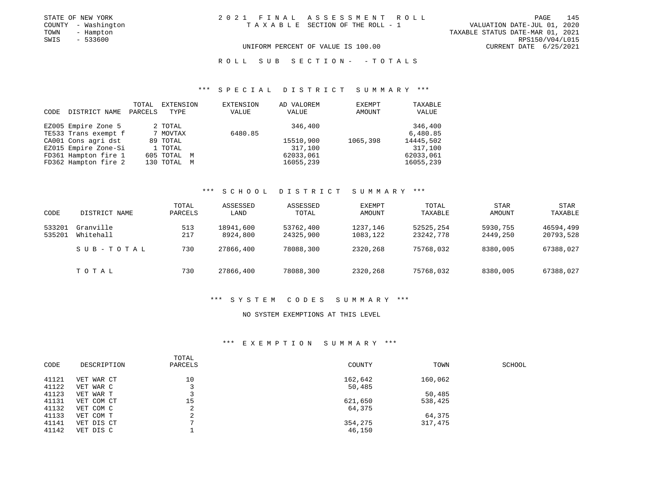| STATE OF NEW YORK   | 2021 FINAL ASSESSMENT ROLL         | 145<br>PAGE                      |
|---------------------|------------------------------------|----------------------------------|
| COUNTY - Washington | TAXABLE SECTION OF THE ROLL - 1    | VALUATION DATE-JUL 01, 2020      |
| TOWN<br>- Hampton   |                                    | TAXABLE STATUS DATE-MAR 01, 2021 |
| - 533600<br>SWIS    |                                    | RPS150/V04/L015                  |
|                     | UNIFORM PERCENT OF VALUE IS 100.00 | CURRENT DATE 6/25/2021           |

#### R O L L S U B S E C T I O N - - T O T A L S

# \*\*\* S P E C I A L D I S T R I C T S U M M A R Y \*\*\*

| CODE | DISTRICT NAME        | TOTAL<br>PARCELS | EXTENSION<br>TYPE | EXTENSION<br>VALUE | AD VALOREM<br>VALUE | EXEMPT<br>AMOUNT | TAXABLE<br>VALUE |
|------|----------------------|------------------|-------------------|--------------------|---------------------|------------------|------------------|
|      | EZ005 Empire Zone 5  |                  | 2 TOTAL           |                    | 346,400             |                  | 346,400          |
|      | TE533 Trans exempt f |                  | 7 MOVTAX          | 6480.85            |                     |                  | 6,480.85         |
|      | CA001 Cons agri dst  |                  | 89 TOTAL          |                    | 15510,900           | 1065,398         | 14445,502        |
|      | EZ015 Empire Zone-Si |                  | 1 TOTAL           |                    | 317,100             |                  | 317,100          |
|      | FD361 Hampton fire 1 |                  | 605 TOTAL M       |                    | 62033,061           |                  | 62033,061        |
|      | FD362 Hampton fire 2 |                  | 130 TOTAL M       |                    | 16055,239           |                  | 16055,239        |

### \*\*\* S C H O O L D I S T R I C T S U M M A R Y \*\*\*

| CODE             | DISTRICT NAME          | TOTAL<br>PARCELS | ASSESSED<br>LAND      | ASSESSED<br>TOTAL      | <b>EXEMPT</b><br>AMOUNT | TOTAL<br>TAXABLE       | STAR<br><b>AMOUNT</b> | STAR<br>TAXABLE        |
|------------------|------------------------|------------------|-----------------------|------------------------|-------------------------|------------------------|-----------------------|------------------------|
| 533201<br>535201 | Granville<br>Whitehall | 513<br>217       | 18941,600<br>8924,800 | 53762,400<br>24325,900 | 1237,146<br>1083,122    | 52525,254<br>23242,778 | 5930,755<br>2449,250  | 46594,499<br>20793,528 |
|                  | SUB-TOTAL              | 730              | 27866,400             | 78088,300              | 2320,268                | 75768,032              | 8380,005              | 67388,027              |
|                  | TOTAL                  | 730              | 27866,400             | 78088,300              | 2320,268                | 75768,032              | 8380,005              | 67388,027              |

#### \*\*\* S Y S T E M C O D E S S U M M A R Y \*\*\*

### NO SYSTEM EXEMPTIONS AT THIS LEVEL

| CODE  | DESCRIPTION | TOTAL<br>PARCELS | COUNTY  | TOWN    | SCHOOL |
|-------|-------------|------------------|---------|---------|--------|
| 41121 | VET WAR CT  | 10               | 162,642 | 160,062 |        |
| 41122 | VET WAR C   |                  | 50,485  |         |        |
| 41123 | VET WAR T   |                  |         | 50,485  |        |
| 41131 | VET COM CT  | 15               | 621,650 | 538,425 |        |
| 41132 | VET COM C   | ∠                | 64,375  |         |        |
| 41133 | VET COM T   | ∠                |         | 64,375  |        |
| 41141 | VET DIS CT  |                  | 354,275 | 317,475 |        |
| 41142 | VET DIS C   |                  | 46,150  |         |        |
|       |             |                  |         |         |        |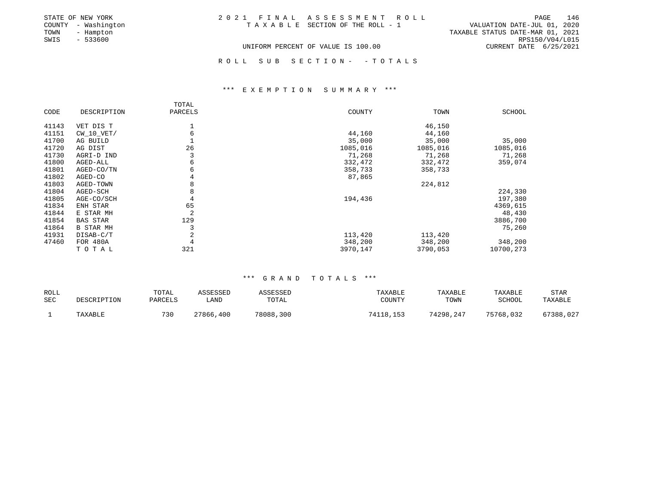| STATE OF NEW YORK   | 2021 FINAL ASSESSMENT ROLL         | 146<br>PAGE                      |
|---------------------|------------------------------------|----------------------------------|
| COUNTY - Washington | TAXABLE SECTION OF THE ROLL - 1    | VALUATION DATE-JUL 01, 2020      |
| TOWN<br>- Hampton   |                                    | TAXABLE STATUS DATE-MAR 01, 2021 |
| SWIS<br>- 533600    |                                    | RPS150/V04/L015                  |
|                     | UNIFORM PERCENT OF VALUE IS 100.00 | CURRENT DATE 6/25/2021           |
|                     |                                    |                                  |
|                     | ROLL SUB SECTION- -TOTALS          |                                  |

### \*\*\* E X E M P T I O N S U M M A R Y \*\*\*

|       |                  | TOTAL   |          |          |               |
|-------|------------------|---------|----------|----------|---------------|
| CODE  | DESCRIPTION      | PARCELS | COUNTY   | TOWN     | <b>SCHOOL</b> |
|       |                  |         |          |          |               |
| 41143 | VET DIS T        |         |          | 46,150   |               |
| 41151 | $CW_10_VET/$     | 6       | 44,160   | 44,160   |               |
| 41700 | AG BUILD         |         | 35,000   | 35,000   | 35,000        |
| 41720 | AG DIST          | 26      | 1085,016 | 1085,016 | 1085,016      |
| 41730 | AGRI-D IND       |         | 71,268   | 71,268   | 71,268        |
| 41800 | AGED-ALL         | 6       | 332,472  | 332,472  | 359,074       |
| 41801 | AGED-CO/TN       | б       | 358,733  | 358,733  |               |
| 41802 | AGED-CO          | 4       | 87,865   |          |               |
| 41803 | AGED-TOWN        |         |          | 224,812  |               |
| 41804 | AGED-SCH         | 8       |          |          | 224,330       |
| 41805 | AGE-CO/SCH       | 4       | 194,436  |          | 197,380       |
| 41834 | ENH STAR         | 65      |          |          | 4369,615      |
| 41844 | E STAR MH        | 2       |          |          | 48,430        |
| 41854 | <b>BAS STAR</b>  | 129     |          |          | 3886,700      |
| 41864 | <b>B STAR MH</b> |         |          |          | 75,260        |
| 41931 | DISAB-C/T        | 2       | 113,420  | 113,420  |               |
| 47460 | FOR 480A         | 4       | 348,200  | 348,200  | 348,200       |
|       | TOTAL            | 321     | 3970,147 | 3790,053 | 10700,273     |

| ROLL |             | TOTAL   | ASSESSED  | ASSESSED  | TAXABLE   | TAXABLE   | <b>TAXABLE</b> | STAR      |
|------|-------------|---------|-----------|-----------|-----------|-----------|----------------|-----------|
| SEC  | DESCRIPTION | PARCELS | . AND     | TOTAL     | COUNTY    | TOWN      | SCHOOL         | TAXABLE   |
|      | TAXABLE     | 730     | 27866,400 | 78088,300 | 74118,153 | 74298.247 | 75768,032      | 67388,027 |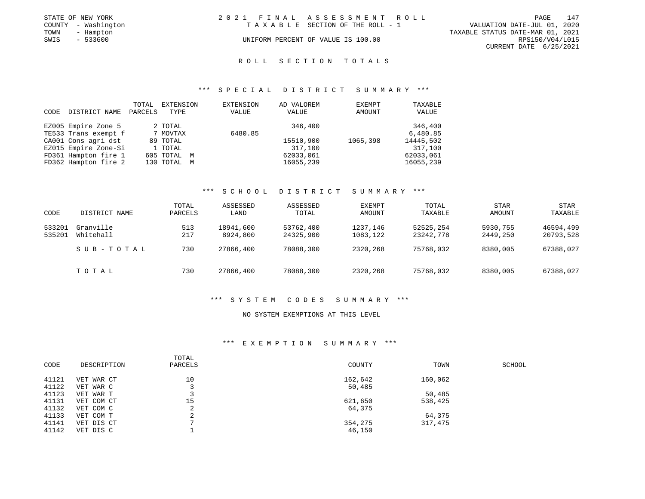|      | STATE OF NEW YORK   | 2021 FINAL ASSESSMENT ROLL         |                                  | PAGE                   | 147 |
|------|---------------------|------------------------------------|----------------------------------|------------------------|-----|
|      | COUNTY - Washington | TAXABLE SECTION OF THE ROLL - 1    | VALUATION DATE-JUL 01, 2020      |                        |     |
| TOWN | - Hampton           |                                    | TAXABLE STATUS DATE-MAR 01, 2021 |                        |     |
| SWIS | $-533600$           | UNIFORM PERCENT OF VALUE IS 100.00 |                                  | RPS150/V04/L015        |     |
|      |                     |                                    |                                  | CURRENT DATE 6/25/2021 |     |
|      |                     |                                    |                                  |                        |     |

#### \*\*\* S P E C I A L D I S T R I C T S U M M A R Y \*\*\*

| CODE | DISTRICT NAME                               | TOTAL<br>PARCELS | EXTENSION<br>TYPE   | EXTENSION<br>VALUE | AD VALOREM<br>VALUE | EXEMPT<br>AMOUNT | TAXABLE<br>VALUE    |
|------|---------------------------------------------|------------------|---------------------|--------------------|---------------------|------------------|---------------------|
|      | EZ005 Empire Zone 5<br>TE533 Trans exempt f |                  | 2 TOTAL<br>7 MOVTAX | 6480.85            | 346,400             |                  | 346,400<br>6,480.85 |
|      | CA001 Cons agri dst                         |                  | 89 TOTAL            |                    | 15510,900           | 1065,398         | 14445,502           |
|      | EZ015 Empire Zone-Si                        |                  | 1 TOTAL             |                    | 317,100             |                  | 317,100             |
|      | FD361 Hampton fire 1                        |                  | 605 TOTAL M         |                    | 62033,061           |                  | 62033,061           |
|      | FD362 Hampton fire 2                        |                  | 130 TOTAL M         |                    | 16055,239           |                  | 16055,239           |

### \*\*\* S C H O O L D I S T R I C T S U M M A R Y \*\*\*

| CODE             | DISTRICT NAME          | TOTAL<br>PARCELS | ASSESSED<br>LAND      | ASSESSED<br>TOTAL      | <b>EXEMPT</b><br>AMOUNT | TOTAL<br>TAXABLE       | <b>STAR</b><br>AMOUNT | <b>STAR</b><br>TAXABLE |
|------------------|------------------------|------------------|-----------------------|------------------------|-------------------------|------------------------|-----------------------|------------------------|
| 533201<br>535201 | Granville<br>Whitehall | 513<br>217       | 18941,600<br>8924,800 | 53762,400<br>24325,900 | 1237,146<br>1083,122    | 52525,254<br>23242,778 | 5930,755<br>2449,250  | 46594,499<br>20793,528 |
|                  | SUB-TOTAL              | 730              | 27866,400             | 78088,300              | 2320,268                | 75768,032              | 8380,005              | 67388,027              |
|                  | TOTAL                  | 730              | 27866,400             | 78088,300              | 2320,268                | 75768,032              | 8380,005              | 67388,027              |

#### \*\*\* S Y S T E M C O D E S S U M M A R Y \*\*\*

### NO SYSTEM EXEMPTIONS AT THIS LEVEL

| CODE  | DESCRIPTION | TOTAL<br>PARCELS         | COUNTY  | TOWN    | SCHOOL |
|-------|-------------|--------------------------|---------|---------|--------|
| 41121 | VET WAR CT  | 10                       | 162,642 | 160,062 |        |
| 41122 | VET WAR C   |                          | 50,485  |         |        |
| 41123 | VET WAR T   |                          |         | 50,485  |        |
| 41131 | VET COM CT  | 15                       | 621,650 | 538,425 |        |
| 41132 | VET COM C   | z.                       | 64,375  |         |        |
| 41133 | VET COM T   | $\overline{\phantom{a}}$ |         | 64,375  |        |
| 41141 | VET DIS CT  |                          | 354,275 | 317,475 |        |
| 41142 | VET DIS C   |                          | 46,150  |         |        |
|       |             |                          |         |         |        |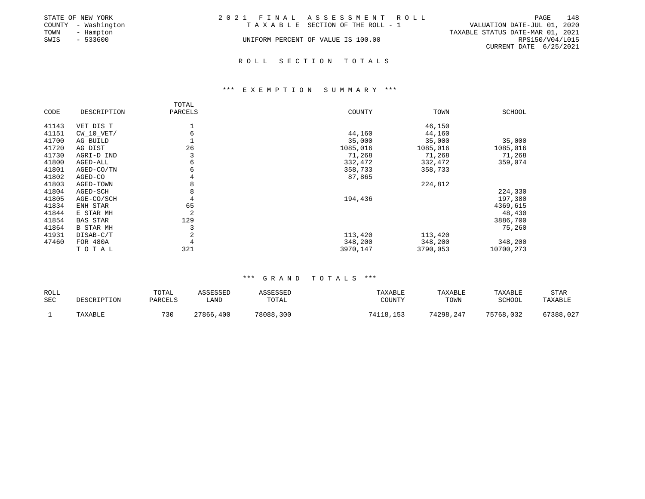|      | STATE OF NEW YORK   | 2021 FINAL ASSESSMENT ROLL         | 148<br>PAGE                      |
|------|---------------------|------------------------------------|----------------------------------|
|      | COUNTY - Washington | TAXABLE SECTION OF THE ROLL - 1    | VALUATION DATE-JUL 01, 2020      |
| TOWN | - Hampton           |                                    | TAXABLE STATUS DATE-MAR 01, 2021 |
| SWIS | - 533600            | UNIFORM PERCENT OF VALUE IS 100.00 | RPS150/V04/L015                  |
|      |                     |                                    | CURRENT DATE 6/25/2021           |
|      |                     |                                    |                                  |

### \*\*\* E X E M P T I O N S U M M A R Y \*\*\*

|       |                  | TOTAL          |          |          |           |
|-------|------------------|----------------|----------|----------|-----------|
| CODE  | DESCRIPTION      | PARCELS        | COUNTY   | TOWN     | SCHOOL    |
|       |                  |                |          |          |           |
| 41143 | VET DIS T        |                |          | 46,150   |           |
| 41151 | $CW_10_VET/$     | 6              | 44,160   | 44,160   |           |
| 41700 | AG BUILD         |                | 35,000   | 35,000   | 35,000    |
| 41720 | AG DIST          | 26             | 1085,016 | 1085,016 | 1085,016  |
| 41730 | AGRI-D IND       |                | 71,268   | 71,268   | 71,268    |
| 41800 | AGED-ALL         | 6              | 332,472  | 332,472  | 359,074   |
| 41801 | AGED-CO/TN       | 6              | 358,733  | 358,733  |           |
| 41802 | AGED-CO          | 4              | 87,865   |          |           |
| 41803 | AGED-TOWN        | 8              |          | 224,812  |           |
| 41804 | AGED-SCH         | 8              |          |          | 224,330   |
| 41805 | AGE-CO/SCH       | 4              | 194,436  |          | 197,380   |
| 41834 | ENH STAR         | 65             |          |          | 4369,615  |
| 41844 | E STAR MH        | $\overline{2}$ |          |          | 48,430    |
| 41854 | <b>BAS STAR</b>  | 129            |          |          | 3886,700  |
| 41864 | <b>B STAR MH</b> |                |          |          | 75,260    |
| 41931 | DISAB-C/T        | 2              | 113,420  | 113,420  |           |
| 47460 | FOR 480A         | 4              | 348,200  | 348,200  | 348,200   |
|       | TOTAL            | 321            | 3970,147 | 3790,053 | 10700,273 |

| <b>ROLL</b> |             | TOTAL   | ASSESSED  | ASSESSED  | TAXABLE   | TAXABLE   | TAXABLE   | <b>STAR</b> |
|-------------|-------------|---------|-----------|-----------|-----------|-----------|-----------|-------------|
| <b>SEC</b>  | DESCRIPTION | PARCELS | ∟AND      | TOTAL     | COUNTY    | TOWN      | SCHOOL    | TAXABLE     |
|             | TAXABLE     | 730     | 27866,400 | 78088,300 | 74118,153 | 74298,247 | 75768,032 | 67388,027   |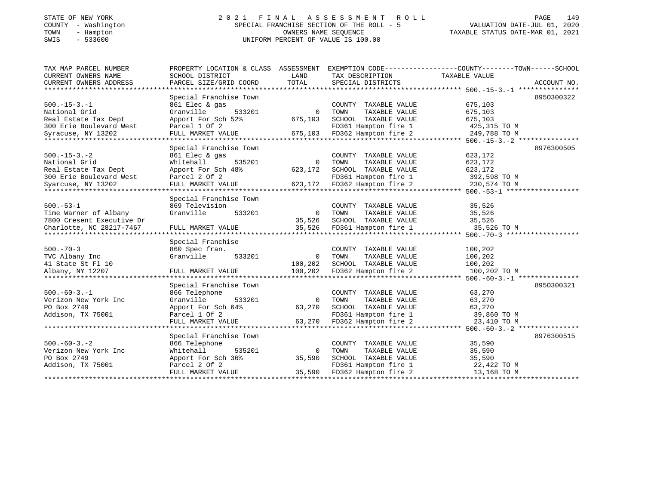# STATE OF NEW YORK 2 0 2 1 F I N A L A S S E S S M E N T R O L L PAGE 149 COUNTY - Washington SPECIAL FRANCHISE SECTION OF THE ROLL - 5 VALUATION DATE-JUL 01, 2020 TOWN - Hampton OWNERS NAME SEQUENCE TAXABLE STATUS DATE-MAR 01, 2021 SWIS - 533600 UNIFORM PERCENT OF VALUE IS 100.00

| TAX MAP PARCEL NUMBER<br>CURRENT OWNERS NAME | PROPERTY LOCATION & CLASS ASSESSMENT<br>SCHOOL DISTRICT | LAND                   | TAX DESCRIPTION                               | EXEMPTION CODE----------------COUNTY-------TOWN------SCHOOL<br>TAXABLE VALUE |             |
|----------------------------------------------|---------------------------------------------------------|------------------------|-----------------------------------------------|------------------------------------------------------------------------------|-------------|
| CURRENT OWNERS ADDRESS                       | PARCEL SIZE/GRID COORD                                  | TOTAL                  | SPECIAL DISTRICTS                             |                                                                              | ACCOUNT NO. |
|                                              |                                                         |                        |                                               |                                                                              | 8950300322  |
| $500. -15 - 3. -1$                           | Special Franchise Town<br>861 Elec & gas                |                        | COUNTY TAXABLE VALUE                          | 675,103                                                                      |             |
| National Grid                                | Granville<br>533201                                     | $\mathbf 0$            | TOWN<br>TAXABLE VALUE                         | 675,103                                                                      |             |
| Real Estate Tax Dept                         | Apport For Sch 52%                                      | 675,103                | SCHOOL TAXABLE VALUE                          | 675,103                                                                      |             |
| 300 Erie Boulevard West                      | Parcel 1 Of 2                                           |                        | FD361 Hampton fire 1                          | 425,315 TO M                                                                 |             |
| Syracuse, NY 13202                           | FULL MARKET VALUE                                       | 675,103                | FD362 Hampton fire 2                          | 249,788 TO M                                                                 |             |
|                                              |                                                         |                        |                                               |                                                                              |             |
|                                              | Special Franchise Town                                  |                        |                                               |                                                                              | 8976300505  |
| $500. -15 - 3. -2$                           | 861 Elec & gas                                          |                        | COUNTY TAXABLE VALUE                          | 623,172                                                                      |             |
| National Grid<br>Real Estate Tax Dept        | 535201<br>Whitehall                                     | $\mathbf 0$<br>623,172 | TAXABLE VALUE<br>TOWN<br>SCHOOL TAXABLE VALUE | 623,172<br>623,172                                                           |             |
| 300 Erie Boulevard West                      | Apport For Sch 48%<br>Parcel 2 Of 2                     |                        | FD361 Hampton fire 1                          | 392,598 TO M                                                                 |             |
| Syarcuse, NY 13202                           | FULL MARKET VALUE                                       | 623,172                | FD362 Hampton fire 2                          | 230,574 TO M                                                                 |             |
|                                              |                                                         |                        |                                               |                                                                              |             |
|                                              | Special Franchise Town                                  |                        |                                               |                                                                              |             |
| $500.-53-1$                                  | 869 Television                                          |                        | COUNTY TAXABLE VALUE                          | 35,526                                                                       |             |
| Time Warner of Albany                        | Granville<br>533201                                     | $\circ$                | TAXABLE VALUE<br>TOWN                         | 35,526                                                                       |             |
| 7800 Cresent Executive Dr                    |                                                         | 35,526                 | SCHOOL TAXABLE VALUE                          | 35,526                                                                       |             |
| Charlotte, NC 28217-7467                     | FULL MARKET VALUE                                       | 35,526                 | FD361 Hampton fire 1                          | 35,526 TO M                                                                  |             |
|                                              |                                                         |                        |                                               |                                                                              |             |
| $500. - 70 - 3$                              | Special Franchise                                       |                        | COUNTY TAXABLE VALUE                          |                                                                              |             |
| TVC Albany Inc                               | 860 Spec fran.<br>Granville<br>533201                   | $\mathbf 0$            | TOWN<br>TAXABLE VALUE                         | 100,202<br>100,202                                                           |             |
| 41 State St Fl 10                            |                                                         | 100,202                | SCHOOL TAXABLE VALUE                          | 100,202                                                                      |             |
| Albany, NY 12207                             | FULL MARKET VALUE                                       | 100,202                | FD362 Hampton fire 2                          | 100,202 TO M                                                                 |             |
|                                              |                                                         |                        |                                               |                                                                              |             |
|                                              | Special Franchise Town                                  |                        |                                               |                                                                              | 8950300321  |
| $500. -60 - 3. - 1$                          | 866 Telephone                                           |                        | COUNTY TAXABLE VALUE                          | 63,270                                                                       |             |
| Verizon New York Inc                         | Granville<br>533201                                     | $\Omega$               | TOWN<br>TAXABLE VALUE                         | 63,270                                                                       |             |
| PO Box 2749                                  | Apport For Sch 64%                                      | 63,270                 | SCHOOL TAXABLE VALUE                          | 63,270                                                                       |             |
| Addison, TX 75001                            | Parcel 1 Of 2                                           |                        | FD361 Hampton fire 1                          | 39,860 TO M                                                                  |             |
|                                              | FULL MARKET VALUE                                       | 63,270                 | FD362 Hampton fire 2                          | 23,410 TO M                                                                  |             |
|                                              | Special Franchise Town                                  |                        |                                               |                                                                              | 8976300515  |
| $500. -60 - 3. - 2$                          | 866 Telephone                                           |                        | COUNTY TAXABLE VALUE                          | 35,590                                                                       |             |
| Verizon New York Inc                         | Whitehall<br>535201                                     | $\mathbf 0$            | TOWN<br>TAXABLE VALUE                         | 35,590                                                                       |             |
| PO Box 2749                                  | Apport For Sch 36%                                      | 35,590                 | SCHOOL TAXABLE VALUE                          | 35,590                                                                       |             |
| Addison, TX 75001                            | Parcel 2 Of 2                                           |                        | FD361 Hampton fire 1                          | 22,422 TO M                                                                  |             |
|                                              | FULL MARKET VALUE                                       | 35,590                 | FD362 Hampton fire 2                          | 13,168 TO M                                                                  |             |
|                                              |                                                         |                        |                                               |                                                                              |             |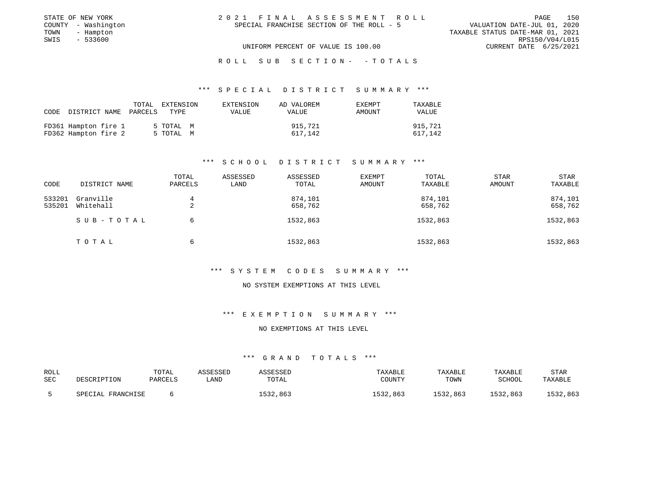| STATE OF NEW YORK   | 2021 FINAL ASSESSMENT ROLL                | 150<br>PAGE                      |
|---------------------|-------------------------------------------|----------------------------------|
| COUNTY - Washington | SPECIAL FRANCHISE SECTION OF THE ROLL - 5 | VALUATION DATE-JUL 01, 2020      |
| TOWN<br>- Hampton   |                                           | TAXABLE STATUS DATE-MAR 01, 2021 |
| - 533600<br>SWIS    |                                           | RPS150/V04/L015                  |
|                     | UNIFORM PERCENT OF VALUE IS 100.00        | CURRENT DATE 6/25/2021           |
|                     |                                           |                                  |

### R O L L S U B S E C T I O N - - T O T A L S

### \*\*\* S P E C I A L D I S T R I C T S U M M A R Y \*\*\*

|                                              | CODE DISTRICT NAME PARCELS TYPE | TOTAL EXTENSION        | EXTENSION<br><b>VALUE</b> | AD VALOREM<br>VALUE | <b>EXEMPT</b><br>AMOUNT | TAXABLE<br><b>VALUE</b> |
|----------------------------------------------|---------------------------------|------------------------|---------------------------|---------------------|-------------------------|-------------------------|
| FD361 Hampton fire 1<br>FD362 Hampton fire 2 |                                 | 5 ТОТАL М<br>5 TOTAL M |                           | 915,721<br>617.142  |                         | 915,721<br>617,142      |

### \*\*\* S C H O O L D I S T R I C T S U M M A R Y \*\*\*

| CODE             | DISTRICT NAME          | TOTAL<br>PARCELS | ASSESSED<br>LAND | ASSESSED<br>TOTAL  | EXEMPT<br>AMOUNT | TOTAL<br>TAXABLE   | STAR<br><b>AMOUNT</b> | <b>STAR</b><br>TAXABLE |
|------------------|------------------------|------------------|------------------|--------------------|------------------|--------------------|-----------------------|------------------------|
| 533201<br>535201 | Granville<br>Whitehall | 4<br>2           |                  | 874,101<br>658,762 |                  | 874,101<br>658,762 |                       | 874,101<br>658,762     |
|                  | SUB-TOTAL              | 6                |                  | 1532,863           |                  | 1532,863           |                       | 1532,863               |
|                  | TOTAL                  | 6                |                  | 1532,863           |                  | 1532,863           |                       | 1532,863               |

### \*\*\* S Y S T E M C O D E S S U M M A R Y \*\*\*

### NO SYSTEM EXEMPTIONS AT THIS LEVEL

### \*\*\* E X E M P T I O N S U M M A R Y \*\*\*

### NO EXEMPTIONS AT THIS LEVEL

| ROLL | DESCRIPTION       | TOTAL   | ASSESSED | ASSESSED | TAXABLE  | TAXABLE  | TAXABLE  | <b>STAR</b> |
|------|-------------------|---------|----------|----------|----------|----------|----------|-------------|
| SEC  |                   | PARCELS | LAND     | TOTAL    | COUNTY   | TOWN     | SCHOOL   | TAXABLE     |
|      | SPECIAL FRANCHISE |         |          | 1532,863 | 1532.863 | 1532,863 | 1532,863 | 1532,863    |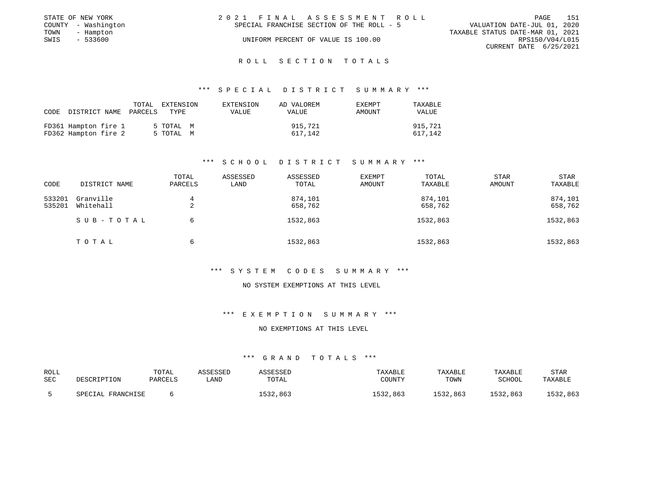| PAGE                             | 151 |
|----------------------------------|-----|
| VALUATION DATE-JUL 01, 2020      |     |
| TAXABLE STATUS DATE-MAR 01, 2021 |     |
| RPS150/V04/L015                  |     |
| CURRENT DATE 6/25/2021           |     |
|                                  |     |

### \*\*\* S P E C I A L D I S T R I C T S U M M A R Y \*\*\*

|                                              | TOTAL<br>CODE DISTRICT NAME PARCELS | EXTENSION<br>TYPE      | EXTENSION<br>VALUE | AD VALOREM<br>VALUE | <b>EXEMPT</b><br>AMOUNT | TAXABLE<br><b>VALUE</b> |
|----------------------------------------------|-------------------------------------|------------------------|--------------------|---------------------|-------------------------|-------------------------|
| FD361 Hampton fire 1<br>FD362 Hampton fire 2 |                                     | 5 ТОТАL М<br>5 TOTAL M |                    | 915,721<br>617,142  |                         | 915,721<br>617,142      |

### \*\*\* S C H O O L D I S T R I C T S U M M A R Y \*\*\*

| CODE             | DISTRICT NAME          | TOTAL<br>PARCELS | ASSESSED<br>LAND | ASSESSED<br>TOTAL  | <b>EXEMPT</b><br>AMOUNT | TOTAL<br>TAXABLE   | STAR<br><b>AMOUNT</b> | STAR<br>TAXABLE    |
|------------------|------------------------|------------------|------------------|--------------------|-------------------------|--------------------|-----------------------|--------------------|
| 533201<br>535201 | Granville<br>Whitehall | 4<br>2           |                  | 874,101<br>658,762 |                         | 874,101<br>658,762 |                       | 874,101<br>658,762 |
|                  | SUB-TOTAL              | 6                |                  | 1532,863           |                         | 1532,863           |                       | 1532,863           |
|                  | TOTAL                  | 6                |                  | 1532,863           |                         | 1532,863           |                       | 1532,863           |

### \*\*\* S Y S T E M C O D E S S U M M A R Y \*\*\*

### NO SYSTEM EXEMPTIONS AT THIS LEVEL

### \*\*\* E X E M P T I O N S U M M A R Y \*\*\*

### NO EXEMPTIONS AT THIS LEVEL

| ROLL | DESCRIPTION       | TOTAL   | ASSESSED | ASSESSED | TAXABLE  | TAXABLE  | TAXABLE  | <b>STAR</b> |
|------|-------------------|---------|----------|----------|----------|----------|----------|-------------|
| SEC  |                   | PARCELS | LAND     | TOTAL    | COUNTY   | TOWN     | SCHOOL   | TAXABLE     |
|      | SPECIAL FRANCHISE |         |          | 1532,863 | 1532.863 | 1532,863 | 1532,863 | 1532,863    |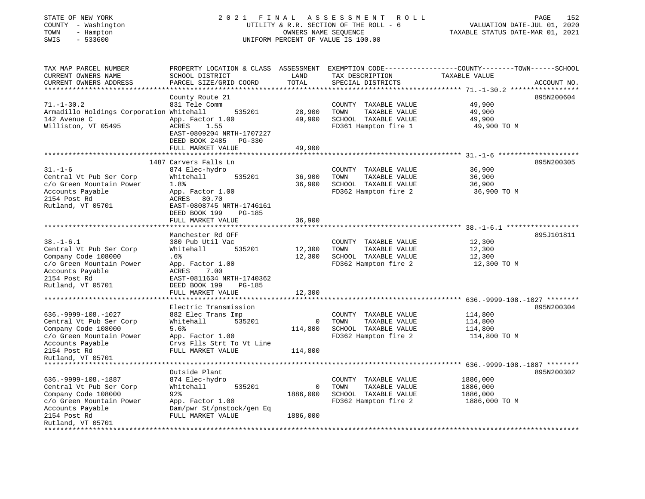| STATE OF NEW YORK<br>COUNTY - Washington<br>- Hampton<br>TOWN<br>$-533600$<br>SWIS                                                                                | 2021                                                                                                                                                                                    | FINAL                             | ASSESSMENT<br>ROLL<br>UTILITY & R.R. SECTION OF THE ROLL - 6<br>OWNERS NAME SEQUENCE<br>UNIFORM PERCENT OF VALUE IS 100.00 | PAGE<br>152<br>VALUATION DATE-JUL 01, 2020<br>TAXABLE STATUS DATE-MAR 01, 2021                                                  |
|-------------------------------------------------------------------------------------------------------------------------------------------------------------------|-----------------------------------------------------------------------------------------------------------------------------------------------------------------------------------------|-----------------------------------|----------------------------------------------------------------------------------------------------------------------------|---------------------------------------------------------------------------------------------------------------------------------|
| TAX MAP PARCEL NUMBER<br>CURRENT OWNERS NAME<br>CURRENT OWNERS ADDRESS<br>***********************                                                                 | SCHOOL DISTRICT<br>PARCEL SIZE/GRID COORD                                                                                                                                               | LAND<br>TOTAL                     | TAX DESCRIPTION<br>SPECIAL DISTRICTS                                                                                       | PROPERTY LOCATION & CLASS ASSESSMENT EXEMPTION CODE---------------COUNTY-------TOWN------SCHOOL<br>TAXABLE VALUE<br>ACCOUNT NO. |
| $71. - 1 - 30.2$<br>Armadillo Holdings Corporation Whitehall<br>142 Avenue C<br>Williston, VT 05495                                                               | County Route 21<br>831 Tele Comm<br>535201<br>App. Factor 1.00<br>ACRES<br>1.55<br>EAST-0809204 NRTH-1707227<br>DEED BOOK 2485<br>PG-330<br>FULL MARKET VALUE                           | 28,900<br>49,900<br>49,900        | COUNTY TAXABLE VALUE<br>TOWN<br>TAXABLE VALUE<br>SCHOOL TAXABLE VALUE<br>FD361 Hampton fire 1                              | 895N200604<br>49,900<br>49,900<br>49,900<br>49,900 TO M                                                                         |
| $31. - 1 - 6$<br>Central Vt Pub Ser Corp<br>c/o Green Mountain Power<br>Accounts Payable<br>2154 Post Rd<br>Rutland, VT 05701                                     | 1487 Carvers Falls Ln<br>874 Elec-hydro<br>Whitehall<br>535201<br>1.8%<br>App. Factor 1.00<br>ACRES<br>80.70<br>EAST-0808745 NRTH-1746161<br>DEED BOOK 199<br><b>PG-185</b>             | 36,900<br>36,900                  | COUNTY TAXABLE VALUE<br>TAXABLE VALUE<br>TOWN<br>SCHOOL TAXABLE VALUE<br>FD362 Hampton fire 2                              | ***************** 31.-1-6 *********************<br>895N200305<br>36,900<br>36,900<br>36,900<br>36,900 TO M                      |
|                                                                                                                                                                   | FULL MARKET VALUE                                                                                                                                                                       | 36,900                            |                                                                                                                            | $38. - 1 - 6.1$ *******                                                                                                         |
| $38. - 1 - 6.1$<br>Central Vt Pub Ser Corp<br>Company Code 108000<br>c/o Green Mountain Power<br>Accounts Payable<br>2154 Post Rd<br>Rutland, VT 05701            | Manchester Rd OFF<br>380 Pub Util Vac<br>Whitehall<br>535201<br>.6%<br>App. Factor 1.00<br>7.00<br>ACRES<br>EAST-0811634 NRTH-1740362<br>DEED BOOK 199<br>$PG-185$<br>FULL MARKET VALUE | 12,300<br>12,300<br>12,300        | COUNTY TAXABLE VALUE<br>TOWN<br>TAXABLE VALUE<br>SCHOOL TAXABLE VALUE<br>FD362 Hampton fire 2                              | 895J101811<br>12,300<br>12,300<br>12,300<br>12,300 TO M                                                                         |
| **************************                                                                                                                                        | *******************                                                                                                                                                                     | ********                          |                                                                                                                            | ********************************    636.-9999-108.-1027                     ********                                            |
| $636. -9999 - 108. - 1027$<br>Central Vt Pub Ser Corp<br>Company Code 108000<br>c/o Green Mountain Power<br>Accounts Payable<br>2154 Post Rd<br>Rutland, VT 05701 | Electric Transmission<br>882 Elec Trans Imp<br>Whitehall<br>535201<br>5.6%<br>App. Factor 1.00<br>Crvs Flls Strt To Vt Line<br>FULL MARKET VALUE                                        | $\mathbf 0$<br>114,800<br>114,800 | COUNTY TAXABLE VALUE<br>TOWN<br>TAXABLE VALUE<br>SCHOOL TAXABLE VALUE<br>FD362 Hampton fire 2                              | 895N200304<br>114,800<br>114,800<br>114,800<br>114,800 TO M                                                                     |
|                                                                                                                                                                   | Outside Plant                                                                                                                                                                           |                                   |                                                                                                                            |                                                                                                                                 |
| $636. -9999 - 108. - 1887$<br>Central Vt Pub Ser Corp<br>Company Code 108000<br>c/o Green Mountain Power<br>Accounts Payable                                      | 874 Elec-hydro<br>Whitehall<br>535201<br>92<br>App. Factor 1.00<br>Dam/pwr St/pnstock/gen Eq                                                                                            | 0<br>1886,000                     | COUNTY TAXABLE VALUE<br>TOWN<br>TAXABLE VALUE<br>SCHOOL TAXABLE VALUE<br>FD362 Hampton fire 2                              | 895N200302<br>1886,000<br>1886,000<br>1886,000<br>1886,000 TO M                                                                 |
| 2154 Post Rd<br>Rutland, VT 05701                                                                                                                                 | FULL MARKET VALUE                                                                                                                                                                       | 1886,000                          |                                                                                                                            |                                                                                                                                 |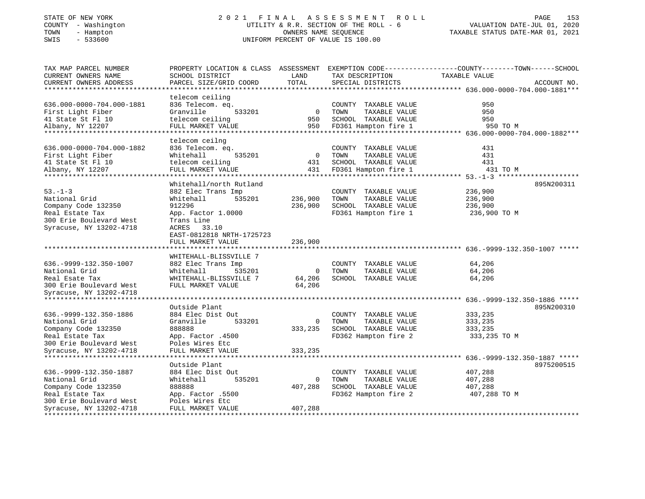# STATE OF NEW YORK 2 0 2 1 F I N A L A S S E S S M E N T R O L L PAGE 153COUNTY - Washington UTILITY & R.R. SECTION OF THE ROLL - 6 VALUATION DATE-JUL 01, 2020 SWIS - 533600 UNIFORM PERCENT OF VALUE IS 100.00

TAXABLE STATUS DATE-MAR 01, 2021

| TAX MAP PARCEL NUMBER<br>CURRENT OWNERS NAME<br>CURRENT OWNERS ADDRESS                                                                                                    | PROPERTY LOCATION & CLASS ASSESSMENT<br>SCHOOL DISTRICT<br>PARCEL SIZE/GRID COORD                                                                                                   | LAND<br>TOTAL                        | TAX DESCRIPTION<br>SPECIAL DISTRICTS                                                          | EXEMPTION CODE-----------------COUNTY-------TOWN------SCHOOL<br>TAXABLE VALUE<br>ACCOUNT NO. |  |
|---------------------------------------------------------------------------------------------------------------------------------------------------------------------------|-------------------------------------------------------------------------------------------------------------------------------------------------------------------------------------|--------------------------------------|-----------------------------------------------------------------------------------------------|----------------------------------------------------------------------------------------------|--|
| 636.000-0000-704.000-1881<br>First Light Fiber<br>41 State St Fl 10<br>Albany, NY 12207<br>**************                                                                 | telecom ceiling<br>836 Telecom. eq.<br>Granville<br>533201<br>telecom ceiling<br>FULL MARKET VALUE<br>**********************                                                        | $\overline{0}$<br>950<br>950         | COUNTY TAXABLE VALUE<br>TOWN<br>TAXABLE VALUE<br>SCHOOL TAXABLE VALUE<br>FD361 Hampton fire 1 | 950<br>950<br>950<br>950 TO M                                                                |  |
| 636.000-0000-704.000-1882<br>First Light Fiber<br>41 State St Fl 10<br>Albany, NY 12207                                                                                   | telecom ceilng<br>836 Telecom. eq.<br>535201<br>Whitehall<br>telecom ceiling<br>FULL MARKET VALUE                                                                                   | $\overline{0}$<br>431<br>431         | COUNTY TAXABLE VALUE<br>TAXABLE VALUE<br>TOWN<br>SCHOOL TAXABLE VALUE<br>FD361 Hampton fire 1 | 431<br>431<br>431<br>431 TO M                                                                |  |
| $53. - 1 - 3$<br>National Grid<br>Company Code 132350<br>Real Estate Tax<br>300 Erie Boulevard West<br>Syracuse, NY 13202-4718                                            | Whitehall/north Rutland<br>882 Elec Trans Imp<br>Whitehall<br>535201<br>912296<br>App. Factor 1.0000<br>Trans Line<br>ACRES 33.10<br>EAST-0812818 NRTH-1725723<br>FULL MARKET VALUE | 236,900<br>236,900<br>236,900        | COUNTY TAXABLE VALUE<br>TAXABLE VALUE<br>TOWN<br>SCHOOL TAXABLE VALUE<br>FD361 Hampton fire 1 | 895N200311<br>236,900<br>236,900<br>236,900<br>236,900 TO M                                  |  |
| 636. - 9999 - 132. 350 - 1007<br>National Grid<br>Real Esate Tax<br>300 Erie Boulevard West                                                                               | *********************<br>WHITEHALL-BLISSVILLE 7<br>882 Elec Trans Imp<br>Whitehall<br>535201<br>WHITEHALL-BLISSVILLE 7<br>FULL MARKET VALUE                                         | 0<br>64,206<br>64,206                | COUNTY TAXABLE VALUE<br>TOWN<br>TAXABLE VALUE<br>SCHOOL TAXABLE VALUE                         | ****************************** 636.-9999-132.350-1007 *****<br>64,206<br>64,206<br>64,206    |  |
| Syracuse, NY 13202-4718<br>636. - 9999 - 132. 350 - 1886<br>National Grid<br>Company Code 132350<br>Real Estate Tax<br>300 Erie Boulevard West<br>Syracuse, NY 13202-4718 | Outside Plant<br>884 Elec Dist Out<br>Granville<br>533201<br>888888<br>App. Factor .4500<br>Poles Wires Etc<br>FULL MARKET VALUE                                                    | $\overline{0}$<br>333,235<br>333,235 | COUNTY TAXABLE VALUE<br>TAXABLE VALUE<br>TOWN<br>SCHOOL TAXABLE VALUE<br>FD362 Hampton fire 2 | 895N200310<br>333,235<br>333,235<br>333,235<br>333,235 TO M                                  |  |
| 636. - 9999 - 132. 350 - 1887<br>National Grid<br>Company Code 132350<br>Real Estate Tax<br>300 Erie Boulevard West<br>Syracuse, NY 13202-4718<br>******************      | Outside Plant<br>884 Elec Dist Out<br>Whitehall<br>535201<br>888888<br>App. Factor .5500<br>Poles Wires Etc<br>FULL MARKET VALUE<br>****************                                | $\mathbf 0$<br>407,288<br>407,288    | COUNTY TAXABLE VALUE<br>TAXABLE VALUE<br>TOWN<br>SCHOOL TAXABLE VALUE<br>FD362 Hampton fire 2 | 8975200515<br>407,288<br>407,288<br>407,288<br>407,288 TO M                                  |  |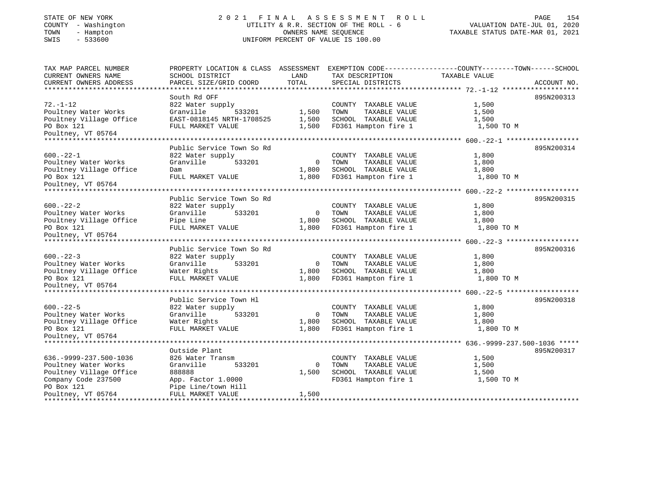# STATE OF NEW YORK 2 0 2 1 F I N A L A S S E S S M E N T R O L L PAGE 154 COUNTY - Washington UTILITY & R.R. SECTION OF THE ROLL - 6 VALUATION DATE-JUL 01, 2020 TOWN - Hampton - Hampton Communication Communication Communication Communication Communication Communication C<br>
TAXABLE STATUS DATE-MAR 01, 2021<br>
SWIS - 533600 SWIS - 533600 UNIFORM PERCENT OF VALUE IS 100.00

| TAX MAP PARCEL NUMBER         | PROPERTY LOCATION & CLASS ASSESSMENT |              | EXEMPTION CODE----------------COUNTY-------TOWN------SCHOOL |               |             |
|-------------------------------|--------------------------------------|--------------|-------------------------------------------------------------|---------------|-------------|
| CURRENT OWNERS NAME           | SCHOOL DISTRICT                      | LAND         | TAX DESCRIPTION                                             | TAXABLE VALUE |             |
| CURRENT OWNERS ADDRESS        | PARCEL SIZE/GRID COORD               | TOTAL        | SPECIAL DISTRICTS                                           |               | ACCOUNT NO. |
|                               |                                      |              |                                                             |               |             |
|                               | South Rd OFF                         |              |                                                             |               | 895N200313  |
| $72. - 1 - 12$                | 822 Water supply                     |              | COUNTY TAXABLE VALUE                                        | 1,500         |             |
| Poultney Water Works          | Granville<br>533201                  | 1,500        | TOWN<br>TAXABLE VALUE                                       | 1,500         |             |
| Poultney Village Office       | EAST-0818145 NRTH-1708525            | 1,500        | SCHOOL TAXABLE VALUE                                        | 1,500         |             |
| PO Box 121                    | FULL MARKET VALUE                    | 1,500        | FD361 Hampton fire 1                                        | 1,500 TO M    |             |
| Poultney, VT 05764            |                                      |              |                                                             |               |             |
| **************                |                                      |              |                                                             |               |             |
|                               | Public Service Town So Rd            |              |                                                             |               | 895N200314  |
| $600. -22 - 1$                | 822 Water supply                     |              | COUNTY TAXABLE VALUE                                        | 1,800         |             |
| Poultney Water Works          | Granville<br>533201                  | $\mathbf{0}$ | TOWN<br>TAXABLE VALUE                                       | 1,800         |             |
| Poultney Village Office       | Dam                                  | 1,800        | SCHOOL TAXABLE VALUE                                        | 1,800         |             |
| PO Box 121                    | FULL MARKET VALUE                    | 1,800        | FD361 Hampton fire 1                                        | 1,800 TO M    |             |
| Poultney, VT 05764            |                                      |              |                                                             |               |             |
| **********************        |                                      |              |                                                             |               |             |
|                               | Public Service Town So Rd            |              |                                                             |               | 895N200315  |
| $600. -22 - 2$                | 822 Water supply                     |              | COUNTY TAXABLE VALUE                                        | 1,800         |             |
| Poultney Water Works          | Granville<br>533201                  | $\mathbf{0}$ | TOWN<br>TAXABLE VALUE                                       | 1,800         |             |
| Poultney Village Office       | Pipe Line                            | 1,800        | SCHOOL TAXABLE VALUE                                        | 1,800         |             |
| PO Box 121                    | FULL MARKET VALUE                    | 1,800        | FD361 Hampton fire 1                                        | 1,800 TO M    |             |
| Poultney, VT 05764            |                                      |              |                                                             |               |             |
|                               | Public Service Town So Rd            |              |                                                             |               | 895N200316  |
| $600 - 22 - 3$                | 822 Water supply                     |              | COUNTY TAXABLE VALUE                                        | 1,800         |             |
| Poultney Water Works          | Granville<br>533201                  | $\mathbf{0}$ | TOWN<br>TAXABLE VALUE                                       | 1,800         |             |
| Poultney Village Office       | Water Rights                         | 1,800        | SCHOOL TAXABLE VALUE                                        | 1,800         |             |
| PO Box 121                    | FULL MARKET VALUE                    | 1,800        | FD361 Hampton fire 1                                        | 1,800 TO M    |             |
| Poultney, VT 05764            |                                      |              |                                                             |               |             |
| ***************               |                                      |              |                                                             |               |             |
|                               | Public Service Town Hl               |              |                                                             |               | 895N200318  |
| $600. -22 - 5$                | 822 Water supply                     |              | COUNTY TAXABLE VALUE                                        | 1,800         |             |
| Poultney Water Works          | Granville<br>533201                  | $\circ$      | TAXABLE VALUE<br>TOWN                                       | 1,800         |             |
| Poultney Village Office       | Water Rights                         | 1,800        | SCHOOL TAXABLE VALUE                                        | 1,800         |             |
| PO Box 121                    | FULL MARKET VALUE                    | 1,800        | FD361 Hampton fire 1                                        | 1,800 TO M    |             |
| Poultney, VT 05764            |                                      |              |                                                             |               |             |
|                               |                                      |              |                                                             |               |             |
|                               | Outside Plant                        |              |                                                             |               | 895N200317  |
| 636. - 9999 - 237. 500 - 1036 | 826 Water Transm                     |              | COUNTY TAXABLE VALUE                                        | 1,500         |             |
| Poultney Water Works          | Granville<br>533201                  | $\mathbf{0}$ | TAXABLE VALUE<br>TOWN                                       | 1,500         |             |
| Poultney Village Office       | 888888                               | 1,500        | SCHOOL TAXABLE VALUE                                        | 1,500         |             |
| Company Code 237500           | App. Factor 1.0000                   |              | FD361 Hampton fire 1                                        | 1,500 TO M    |             |
| PO Box 121                    | Pipe Line/town Hill                  |              |                                                             |               |             |
| Poultney, VT 05764            | FULL MARKET VALUE                    | 1,500        |                                                             |               |             |
|                               |                                      |              |                                                             |               |             |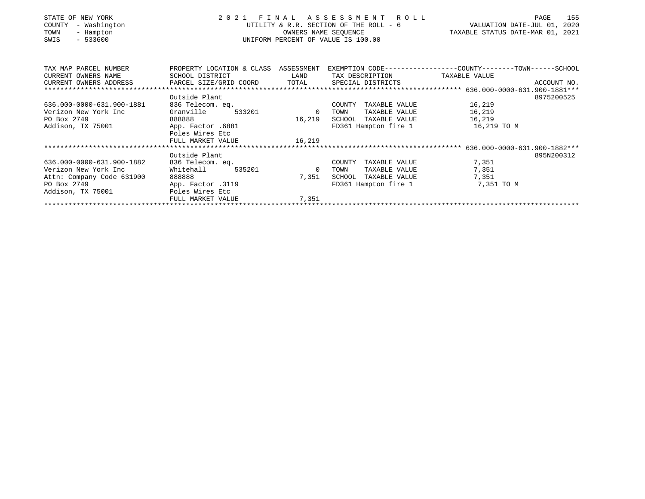| STATE OF NEW YORK<br>- Washington<br>COUNTY<br>TOWN<br>- Hampton<br>$-533600$<br>SWIS | 2021 FINAL ASSESSMENT ROLL<br>UTILITY & R.R. SECTION OF THE ROLL - 6<br>UNIFORM PERCENT OF VALUE IS 100.00                | VALUATION DATE-JUL 01, 2020<br>TAXABLE STATUS DATE-MAR 01, 2021 | 155<br>PAGE                        |             |            |
|---------------------------------------------------------------------------------------|---------------------------------------------------------------------------------------------------------------------------|-----------------------------------------------------------------|------------------------------------|-------------|------------|
|                                                                                       | TAX MAP PARCEL NUMBER THE PROPERTY LOCATION & CLASS ASSESSMENT EXEMPTION CODE---------------COUNTY-------TOWN------SCHOOL |                                                                 |                                    |             |            |
| CURRENT OWNERS NAME                                                                   | SCHOOL DISTRICT                                                                                                           |                                                                 | LAND TAX DESCRIPTION TAXABLE VALUE |             |            |
|                                                                                       | Outside Plant                                                                                                             |                                                                 |                                    |             | 8975200525 |
| 636.000-0000-631.900-1881                                                             | 836 Telecom. eq.                                                                                                          |                                                                 | COUNTY TAXABLE VALUE               | 16,219      |            |
| Verizon New York Inc                                                                  | 533201<br>Granville                                                                                                       | $\overline{0}$                                                  | TAXABLE VALUE<br>TOWN              | 16,219      |            |
| PO Box 2749                                                                           | 888888                                                                                                                    | 16,219                                                          | SCHOOL TAXABLE VALUE               | 16,219      |            |
| Addison, TX 75001                                                                     | App. Factor .6881<br>Poles Wires Etc                                                                                      |                                                                 | FD361 Hampton fire 1               | 16,219 TO M |            |
|                                                                                       | FULL MARKET VALUE                                                                                                         | 16,219                                                          |                                    |             |            |
|                                                                                       |                                                                                                                           |                                                                 |                                    |             |            |
|                                                                                       | Outside Plant                                                                                                             |                                                                 |                                    |             | 895N200312 |
| 636.000-0000-631.900-1882                                                             | 836 Telecom. eq.                                                                                                          |                                                                 | TAXABLE VALUE<br>COUNTY            | 7,351       |            |
| Verizon New York Inc                                                                  | Whitehall<br>535201                                                                                                       | $\overline{0}$                                                  | TAXABLE VALUE<br>TOWN              | 7,351       |            |
| Attn: Company Code 631900                                                             | 888888                                                                                                                    | 7,351                                                           | SCHOOL TAXABLE VALUE               | 7,351       |            |
| PO Box 2749<br>Addison, TX 75001                                                      | App. Factor .3119<br>Poles Wires Etc                                                                                      |                                                                 | FD361 Hampton fire 1 7,351 TO M    |             |            |
|                                                                                       | FULL MARKET VALUE                                                                                                         | 7,351                                                           |                                    |             |            |
|                                                                                       |                                                                                                                           |                                                                 |                                    |             |            |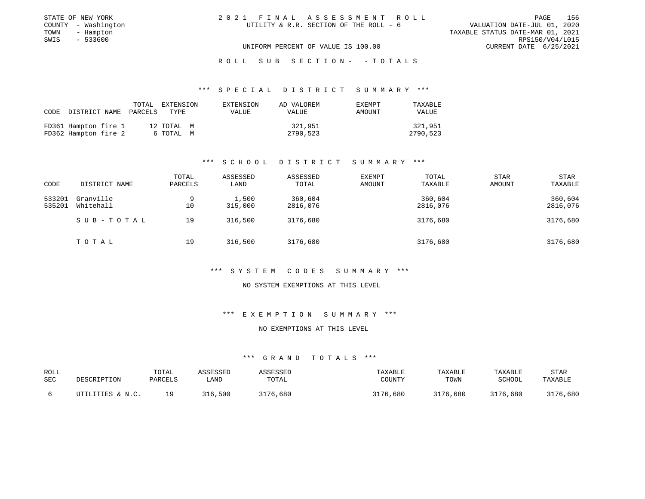| STATE OF NEW YORK   | 2021 FINAL ASSESSMENT ROLL             | 156<br>PAGE                      |
|---------------------|----------------------------------------|----------------------------------|
| COUNTY - Washington | UTILITY & R.R. SECTION OF THE ROLL - 6 | VALUATION DATE-JUL 01, 2020      |
| TOWN<br>- Hampton   |                                        | TAXABLE STATUS DATE-MAR 01, 2021 |
| SWIS - 533600       |                                        | RPS150/V04/L015                  |
|                     | UNIFORM PERCENT OF VALUE IS 100.00     | CURRENT DATE 6/25/2021           |
|                     |                                        |                                  |

#### R O L L S U B S E C T I O N - - T O T A L S

### \*\*\* S P E C I A L D I S T R I C T S U M M A R Y \*\*\*

| CODE |                                              | TOTAL<br>DISTRICT NAME PARCELS TYPE | EXTENSION               | EXTENSION<br>VALUE | AD VALOREM<br><b>VALUE</b> | <b>EXEMPT</b><br>AMOUNT | TAXABLE<br><b>VALUE</b> |
|------|----------------------------------------------|-------------------------------------|-------------------------|--------------------|----------------------------|-------------------------|-------------------------|
|      | FD361 Hampton fire 1<br>FD362 Hampton fire 2 |                                     | 12 TOTAL M<br>6 ТОТАЬ М |                    | 321,951<br>2790,523        |                         | 321,951<br>2790,523     |

### \*\*\* S C H O O L D I S T R I C T S U M M A R Y \*\*\*

| CODE             | DISTRICT NAME          | TOTAL<br>PARCELS | ASSESSED<br>LAND | ASSESSED<br>TOTAL   | EXEMPT<br>AMOUNT | TOTAL<br>TAXABLE    | <b>STAR</b><br><b>AMOUNT</b> | <b>STAR</b><br>TAXABLE |
|------------------|------------------------|------------------|------------------|---------------------|------------------|---------------------|------------------------------|------------------------|
| 533201<br>535201 | Granville<br>Whitehall | 9<br>10          | 1,500<br>315,000 | 360,604<br>2816,076 |                  | 360,604<br>2816,076 |                              | 360,604<br>2816,076    |
|                  | SUB-TOTAL              | 19               | 316,500          | 3176,680            |                  | 3176,680            |                              | 3176,680               |
|                  | TOTAL                  | 19               | 316,500          | 3176,680            |                  | 3176,680            |                              | 3176,680               |

### \*\*\* S Y S T E M C O D E S S U M M A R Y \*\*\*

### NO SYSTEM EXEMPTIONS AT THIS LEVEL

### \*\*\* E X E M P T I O N S U M M A R Y \*\*\*

### NO EXEMPTIONS AT THIS LEVEL

| ROLL | DESCRIPTION      | TOTAL   | ASSESSED | <i><b>ISSESSED</b></i> | TAXABLE  | TAXABLE  | TAXABLE       | <b>STAR</b> |
|------|------------------|---------|----------|------------------------|----------|----------|---------------|-------------|
| SEC  |                  | PARCELS | LAND     | TOTAL                  | COUNTY   | TOWN     | <b>SCHOOL</b> | TAXABLE     |
|      | UTILITIES & N.C. | 1 Q     | 316,500  | 3176,680               | 3176,680 | 3176,680 | 3176,680      | 3176,680    |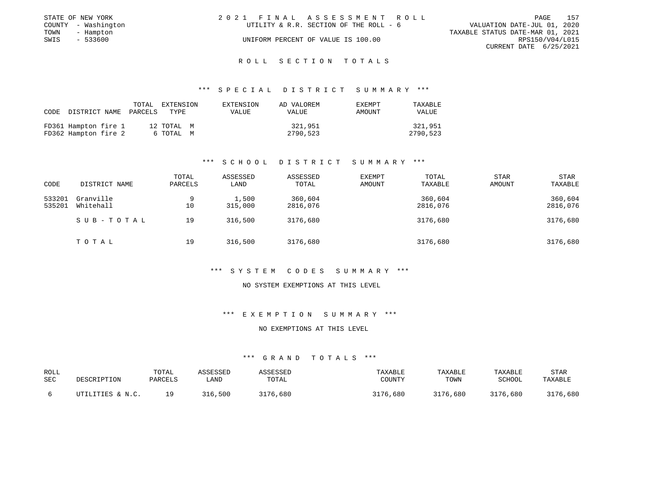| STATE OF NEW YORK |                     | 2021 FINAL ASSESSMENT ROLL |                                        |                                  |                        | PAGE | 157 |
|-------------------|---------------------|----------------------------|----------------------------------------|----------------------------------|------------------------|------|-----|
|                   | COUNTY - Washington |                            | UTILITY & R.R. SECTION OF THE ROLL - 6 | VALUATION DATE-JUL 01, 2020      |                        |      |     |
| TOWN              | - Hampton           |                            |                                        | TAXABLE STATUS DATE-MAR 01, 2021 |                        |      |     |
| SWIS              | - 533600            |                            | UNIFORM PERCENT OF VALUE IS 100.00     |                                  | RPS150/V04/L015        |      |     |
|                   |                     |                            |                                        |                                  | CURRENT DATE 6/25/2021 |      |     |

### \*\*\* S P E C I A L D I S T R I C T S U M M A R Y \*\*\*

| CODE | DISTRICT NAME PARCELS                        | TOTAL | EXTENSION<br>TYPE       | EXTENSION<br>VALUE | AD VALOREM<br>VALUE | EXEMPT<br>AMOUNT | TAXABLE<br><b>VALUE</b> |
|------|----------------------------------------------|-------|-------------------------|--------------------|---------------------|------------------|-------------------------|
|      | FD361 Hampton fire 1<br>FD362 Hampton fire 2 |       | 12 TOTAL M<br>6 ТОТАL М |                    | 321,951<br>2790,523 |                  | 321,951<br>2790,523     |

### \*\*\* S C H O O L D I S T R I C T S U M M A R Y \*\*\*

| CODE             | DISTRICT NAME          | TOTAL<br>PARCELS | ASSESSED<br>LAND | ASSESSED<br>TOTAL   | EXEMPT<br>AMOUNT | TOTAL<br>TAXABLE    | <b>STAR</b><br>AMOUNT | <b>STAR</b><br>TAXABLE |
|------------------|------------------------|------------------|------------------|---------------------|------------------|---------------------|-----------------------|------------------------|
| 533201<br>535201 | Granville<br>Whitehall | 9<br>10          | 1,500<br>315,000 | 360,604<br>2816,076 |                  | 360,604<br>2816,076 |                       | 360,604<br>2816,076    |
|                  | SUB-TOTAL              | 19               | 316,500          | 3176,680            |                  | 3176,680            |                       | 3176,680               |
|                  | T O T A L              | 19               | 316,500          | 3176,680            |                  | 3176,680            |                       | 3176,680               |

### \*\*\* S Y S T E M C O D E S S U M M A R Y \*\*\*

### NO SYSTEM EXEMPTIONS AT THIS LEVEL

### \*\*\* E X E M P T I O N S U M M A R Y \*\*\*

### NO EXEMPTIONS AT THIS LEVEL

| ROLL | DESCRIPTION      | TOTAL   | ASSESSED | <i><b>ISSESSED</b></i> | TAXABLE  | TAXABLE  | TAXABLE       | <b>STAR</b> |
|------|------------------|---------|----------|------------------------|----------|----------|---------------|-------------|
| SEC  |                  | PARCELS | LAND     | TOTAL                  | COUNTY   | TOWN     | <b>SCHOOL</b> | TAXABLE     |
|      | UTILITIES & N.C. | 1 Q     | 316,500  | 3176,680               | 3176,680 | 3176,680 | 3176,680      | 3176,680    |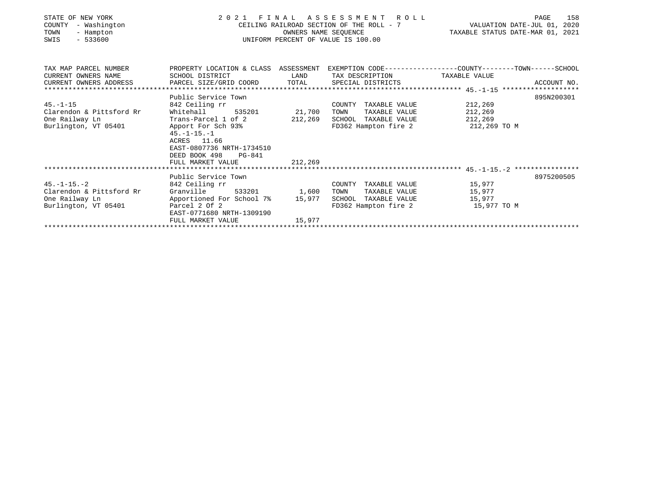| STATE OF NEW YORK<br>COUNTY<br>- Washington<br>TOWN<br>- Hampton<br>$-533600$<br>SWIS | 2021 FINAL ASSESSMENT ROLL<br>UNIFORM PERCENT OF VALUE IS 100.00                                                  | CEILING RAILROAD SECTION OF THE ROLL - 7 VALUATION DATE-JUL 01, 2020<br>TAXABLE STATUS DATE-MAR 01, 2021 | 158<br>PAGE                                          |                                   |             |
|---------------------------------------------------------------------------------------|-------------------------------------------------------------------------------------------------------------------|----------------------------------------------------------------------------------------------------------|------------------------------------------------------|-----------------------------------|-------------|
| TAX MAP PARCEL NUMBER<br>CURRENT OWNERS NAME                                          | PROPERTY LOCATION & CLASS ASSESSMENT EXEMPTION CODE---------------COUNTY-------TOWN-----SCHOOL<br>SCHOOL DISTRICT | LAND                                                                                                     | TAX DESCRIPTION TAXABLE VALUE                        |                                   |             |
| CURRENT OWNERS ADDRESS                                                                | PARCEL SIZE/GRID COORD TOTAL                                                                                      |                                                                                                          | SPECIAL DISTRICTS                                    |                                   | ACCOUNT NO. |
|                                                                                       |                                                                                                                   |                                                                                                          |                                                      |                                   |             |
|                                                                                       | Public Service Town                                                                                               |                                                                                                          |                                                      |                                   | 895N200301  |
| $45. - 1 - 15$                                                                        | 842 Ceiling rr                                                                                                    |                                                                                                          | COUNTY TAXABLE VALUE                                 | 212,269                           |             |
| Clarendon & Pittsford Rr                                                              | Whitehall                                                                                                         | 535201 21,700                                                                                            | TAXABLE VALUE<br>TOWN                                | 212,269                           |             |
| One Railway Ln                                                                        | Trans-Parcel 1 of 2 212,269                                                                                       |                                                                                                          | SCHOOL TAXABLE VALUE                                 | 212,269                           |             |
| Burlington, VT 05401                                                                  | Apport For Sch 93%<br>$45. - 1 - 15. - 1$<br>ACRES 11.66<br>EAST-0807736 NRTH-1734510<br>DEED BOOK 498<br>PG-841  |                                                                                                          |                                                      | FD362 Hampton fire 2 212,269 TO M |             |
|                                                                                       | FULL MARKET VALUE                                                                                                 | 212,269                                                                                                  |                                                      |                                   |             |
|                                                                                       |                                                                                                                   |                                                                                                          |                                                      |                                   |             |
| $45. - 1 - 15. - 2$                                                                   | Public Service Town                                                                                               |                                                                                                          |                                                      |                                   | 8975200505  |
| Clarendon & Pittsford Rr                                                              | 842 Ceiling rr<br>Granville 533201 1,600                                                                          |                                                                                                          | COUNTY TAXABLE VALUE 15,977<br>TAXABLE VALUE<br>TOWN | 15,977                            |             |
| One Railway Ln                                                                        | Apportioned For School 7% 15,977                                                                                  |                                                                                                          | SCHOOL TAXABLE VALUE 15,977                          |                                   |             |
| Burlington, VT 05401                                                                  | Parcel 2 Of 2<br>EAST-0771680 NRTH-1309190                                                                        |                                                                                                          |                                                      | FD362 Hampton fire 2 15,977 TO M  |             |
|                                                                                       | FULL MARKET VALUE                                                                                                 | 15,977                                                                                                   |                                                      |                                   |             |
|                                                                                       |                                                                                                                   |                                                                                                          |                                                      |                                   |             |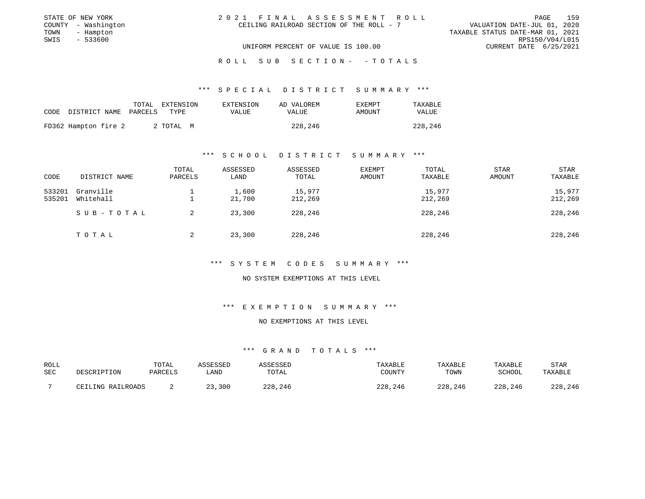| STATE OF NEW YORK   | 2021 FINAL ASSESSMENT ROLL               | 159<br>PAGE                      |
|---------------------|------------------------------------------|----------------------------------|
| COUNTY - Washington | CEILING RAILROAD SECTION OF THE ROLL - 7 | VALUATION DATE-JUL 01, 2020      |
| TOWN<br>- Hampton   |                                          | TAXABLE STATUS DATE-MAR 01, 2021 |
| - 533600<br>SWIS    |                                          | RPS150/V04/L015                  |
|                     | UNIFORM PERCENT OF VALUE IS 100.00       | CURRENT DATE 6/25/2021           |
|                     |                                          |                                  |

#### R O L L S U B S E C T I O N - - T O T A L S

### \*\*\* S P E C I A L D I S T R I C T S U M M A R Y \*\*\*

| CODE | DISTRICT NAME PARCELS | TOTAL | EXTENSION<br>TYPE | EXTENSION<br>VALUE | AD VALOREM<br>VALUE | <b>EXEMPT</b><br>AMOUNT | TAXABLE<br>VALUE |
|------|-----------------------|-------|-------------------|--------------------|---------------------|-------------------------|------------------|
|      | FD362 Hampton fire 2  |       | 2 ТОТАЬ М         |                    | 228,246             |                         | 228,246          |

### \*\*\* S C H O O L D I S T R I C T S U M M A R Y \*\*\*

| CODE             | DISTRICT NAME          | TOTAL<br>PARCELS | ASSESSED<br>LAND | ASSESSED<br>TOTAL | <b>EXEMPT</b><br>AMOUNT | TOTAL<br>TAXABLE  | STAR<br><b>AMOUNT</b> | STAR<br>TAXABLE   |
|------------------|------------------------|------------------|------------------|-------------------|-------------------------|-------------------|-----------------------|-------------------|
| 533201<br>535201 | Granville<br>Whitehall |                  | 1,600<br>21,700  | 15,977<br>212,269 |                         | 15,977<br>212,269 |                       | 15,977<br>212,269 |
|                  | SUB-TOTAL              |                  | 23,300           | 228,246           |                         | 228,246           |                       | 228,246           |
|                  | TOTAL                  |                  | 23,300           | 228,246           |                         | 228,246           |                       | 228,246           |

### \*\*\* S Y S T E M C O D E S S U M M A R Y \*\*\*

### NO SYSTEM EXEMPTIONS AT THIS LEVEL

### \*\*\* E X E M P T I O N S U M M A R Y \*\*\*

### NO EXEMPTIONS AT THIS LEVEL

| ROLL | DESCRIPTION       | TOTAL   | ASSESSED | <b><i>ISSESSED</i></b> | TAXABLE | TAXABLE | TAXABLE | STAR    |
|------|-------------------|---------|----------|------------------------|---------|---------|---------|---------|
| SEC  |                   | PARCELS | ∟AND     | TOTAL                  | COUNTY  | TOWN    | SCHOOL  | TAXABLE |
|      | CEILING RAILROADS |         | 23,300   | 228,246                | 228,246 | 228,246 | 228,246 | 228,246 |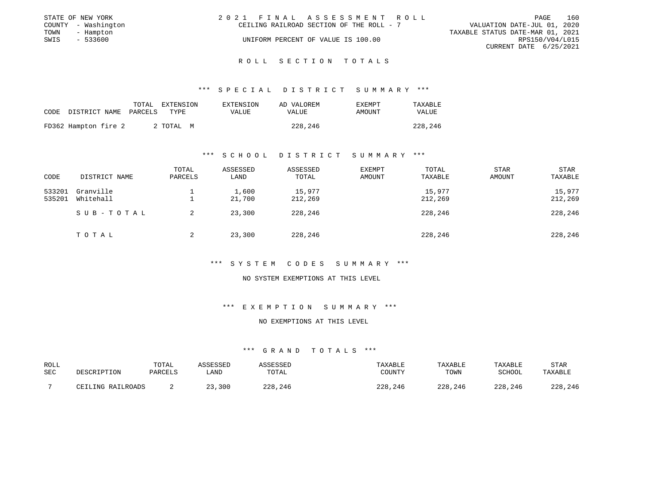|      | STATE OF NEW YORK   | 2021 FINAL ASSESSMENT ROLL               |                                  |                        | PAGE | 160 |
|------|---------------------|------------------------------------------|----------------------------------|------------------------|------|-----|
|      | COUNTY - Washington | CEILING RAILROAD SECTION OF THE ROLL - 7 | VALUATION DATE-JUL 01, 2020      |                        |      |     |
| TOWN | - Hampton           |                                          | TAXABLE STATUS DATE-MAR 01, 2021 |                        |      |     |
| SWIS | $-533600$           | UNIFORM PERCENT OF VALUE IS 100.00       |                                  | RPS150/V04/L015        |      |     |
|      |                     |                                          |                                  | CURRENT DATE 6/25/2021 |      |     |

\*\*\* S P E C I A L D I S T R I C T S U M M A R Y \*\*\*

| CODE | DISTRICT NAME PARCELS | TOTAL | EXTENSION<br>TYPE. | EXTENSION<br>VALUE | AD VALOREM<br>VALUE | EXEMPT<br>AMOUNT | TAXABLE<br>VALUE |
|------|-----------------------|-------|--------------------|--------------------|---------------------|------------------|------------------|
|      | FD362 Hampton fire 2  |       | 2 TOTAL M          |                    | 228,246             |                  | 228,246          |

### \*\*\* S C H O O L D I S T R I C T S U M M A R Y \*\*\*

| CODE             | DISTRICT NAME          | TOTAL<br>PARCELS | ASSESSED<br>LAND | ASSESSED<br>TOTAL | <b>EXEMPT</b><br>AMOUNT | TOTAL<br>TAXABLE  | STAR<br><b>AMOUNT</b> | <b>STAR</b><br>TAXABLE |
|------------------|------------------------|------------------|------------------|-------------------|-------------------------|-------------------|-----------------------|------------------------|
| 533201<br>535201 | Granville<br>Whitehall |                  | 1,600<br>21,700  | 15,977<br>212,269 |                         | 15,977<br>212,269 |                       | 15,977<br>212,269      |
|                  | SUB-TOTAL              | 2                | 23,300           | 228,246           |                         | 228,246           |                       | 228,246                |
|                  | TOTAL                  | 2                | 23,300           | 228,246           |                         | 228,246           |                       | 228,246                |

### \*\*\* S Y S T E M C O D E S S U M M A R Y \*\*\*

### NO SYSTEM EXEMPTIONS AT THIS LEVEL

## \*\*\* E X E M P T I O N S U M M A R Y \*\*\*

### NO EXEMPTIONS AT THIS LEVEL

| ROLL       | DESCRIPTION       | TOTAL   | ASSESSED   | ASSESSED | TAXABLE | <b>TAXABLE</b> | TAXABLE | STAR    |
|------------|-------------------|---------|------------|----------|---------|----------------|---------|---------|
| <b>SEC</b> |                   | PARCELS | <b>AND</b> | TOTAL    | COUNTY  | TOWN           | SCHOOL  | TAXABLE |
|            | CEILING RAILROADS |         | 23,300     | 228,246  | 228,246 | 228,246        | 228,246 | 228,246 |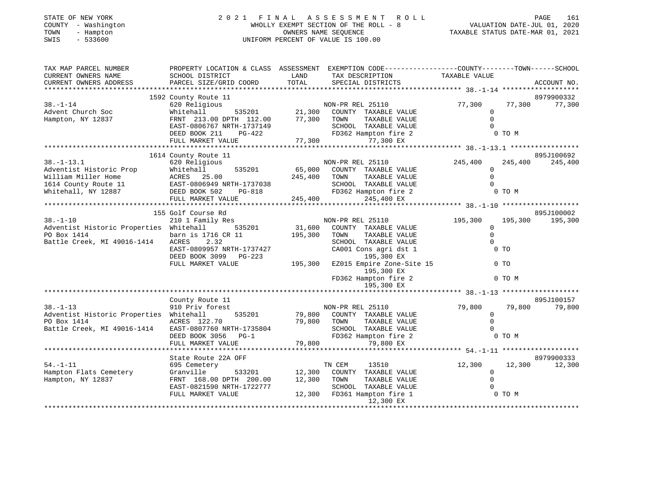| STATE OF NEW YORK<br>COUNTY - Washington<br>- Hampton<br>TOWN<br>$-533600$<br>SWIS | 2021 FINAL                                                                                                        |                             | A S S E S S M E N T<br>ROLL<br>WHOLLY EXEMPT SECTION OF THE ROLL - 8<br>OWNERS NAME SEQUENCE<br>UNIFORM PERCENT OF VALUE IS 100.00 | PAGE<br>161<br>VALUATION DATE-JUL 01, 2020<br>TAXABLE STATUS DATE-MAR 01, 2021 |         |             |  |
|------------------------------------------------------------------------------------|-------------------------------------------------------------------------------------------------------------------|-----------------------------|------------------------------------------------------------------------------------------------------------------------------------|--------------------------------------------------------------------------------|---------|-------------|--|
| TAX MAP PARCEL NUMBER<br>CURRENT OWNERS NAME                                       | PROPERTY LOCATION & CLASS ASSESSMENT EXEMPTION CODE---------------COUNTY-------TOWN-----SCHOOL<br>SCHOOL DISTRICT | LAND                        | TAX DESCRIPTION                                                                                                                    | TAXABLE VALUE                                                                  |         |             |  |
| CURRENT OWNERS ADDRESS                                                             | PARCEL SIZE/GRID COORD                                                                                            | TOTAL                       | SPECIAL DISTRICTS                                                                                                                  |                                                                                |         | ACCOUNT NO. |  |
| * * * * * * * * * * * * * *                                                        |                                                                                                                   |                             |                                                                                                                                    | ***************** 38. -1-14 ********************                               |         |             |  |
|                                                                                    | 1592 County Route 11                                                                                              |                             |                                                                                                                                    |                                                                                |         | 8979900332  |  |
| $38. - 1 - 14$                                                                     | 620 Religious                                                                                                     |                             | NON-PR REL 25110                                                                                                                   | 77,300<br>$\Omega$                                                             | 77,300  | 77,300      |  |
| Advent Church Soc<br>Hampton, NY 12837                                             | Whitehall<br>535201<br>FRNT 213.00 DPTH 112.00                                                                    |                             | 21,300 COUNTY TAXABLE VALUE<br>77,300 TOWN<br>TAXABLE VALUE                                                                        | $\Omega$                                                                       |         |             |  |
|                                                                                    | EAST-0806767 NRTH-1737149                                                                                         |                             | SCHOOL TAXABLE VALUE                                                                                                               | $\Omega$                                                                       |         |             |  |
|                                                                                    | DEED BOOK 211<br>PG-422                                                                                           |                             | FD362 Hampton fire 2                                                                                                               |                                                                                | 0 TO M  |             |  |
|                                                                                    | FULL MARKET VALUE                                                                                                 | 77,300                      | 77,300 EX                                                                                                                          |                                                                                |         |             |  |
|                                                                                    | **************************                                                                                        | * * * * * * * * * * * * * * |                                                                                                                                    |                                                                                |         |             |  |
|                                                                                    | 1614 County Route 11                                                                                              |                             |                                                                                                                                    |                                                                                |         | 895J100692  |  |
| $38. - 1 - 13.1$                                                                   | 620 Religious                                                                                                     |                             | NON-PR REL 25110                                                                                                                   | 245,400                                                                        | 245,400 | 245,400     |  |
| Adventist Historic Prop                                                            | 535201<br>Whitehall                                                                                               | 65,000                      | COUNTY TAXABLE VALUE                                                                                                               | $\Omega$                                                                       |         |             |  |
| William Miller Home                                                                | ACRES 25.00                                                                                                       | 245,400                     | TAXABLE VALUE<br>TOWN                                                                                                              | $\Omega$                                                                       |         |             |  |
| 1614 County Route 11                                                               | EAST-0806949 NRTH-1737038                                                                                         |                             | SCHOOL TAXABLE VALUE                                                                                                               | $\Omega$                                                                       |         |             |  |
| Whitehall, NY 12887                                                                | DEED BOOK 502 PG-818                                                                                              | 245,400                     | FD362 Hampton fire 2<br>245,400 EX                                                                                                 |                                                                                | 0 TO M  |             |  |
|                                                                                    | FULL MARKET VALUE                                                                                                 |                             |                                                                                                                                    | ************** 38. -1-10 ******************                                    |         |             |  |
|                                                                                    | 155 Golf Course Rd                                                                                                |                             |                                                                                                                                    |                                                                                |         | 895J100002  |  |
| $38. - 1 - 10$                                                                     | 210 1 Family Res                                                                                                  |                             | NON-PR REL 25110                                                                                                                   | 195,300                                                                        | 195,300 | 195,300     |  |
| Adventist Historic Properties Whitehall                                            | 535201                                                                                                            | 31,600                      | COUNTY TAXABLE VALUE                                                                                                               | $\mathbf 0$                                                                    |         |             |  |
| PO Box 1414                                                                        | barn is 1716 CR 11                                                                                                | 195,300                     | TAXABLE VALUE<br>TOWN                                                                                                              | $\Omega$                                                                       |         |             |  |
| Battle Creek, MI 49016-1414                                                        | <b>ACRES</b><br>2.32                                                                                              |                             | SCHOOL TAXABLE VALUE                                                                                                               | $\Omega$                                                                       |         |             |  |
|                                                                                    | EAST-0809957 NRTH-1737427                                                                                         |                             | CA001 Cons agri dst 1                                                                                                              |                                                                                | $0$ TO  |             |  |
|                                                                                    | DEED BOOK 3099 PG-223                                                                                             |                             | 195,300 EX                                                                                                                         |                                                                                |         |             |  |
|                                                                                    | FULL MARKET VALUE                                                                                                 | 195,300                     | EZ015 Empire Zone-Site 15<br>195,300 EX                                                                                            |                                                                                | $0$ TO  |             |  |
|                                                                                    |                                                                                                                   |                             | FD362 Hampton fire 2                                                                                                               |                                                                                | 0 TO M  |             |  |
|                                                                                    |                                                                                                                   |                             | 195,300 EX                                                                                                                         |                                                                                |         |             |  |
|                                                                                    | County Route 11                                                                                                   |                             |                                                                                                                                    |                                                                                |         | 895J100157  |  |
| $38. - 1 - 13$                                                                     | 910 Priv forest                                                                                                   |                             | NON-PR REL 25110                                                                                                                   | 79,800                                                                         | 79,800  | 79,800      |  |
| Adventist Historic Properties Whitehall                                            | 535201                                                                                                            | 79,800                      | COUNTY TAXABLE VALUE                                                                                                               | $\mathbf 0$                                                                    |         |             |  |
| PO Box 1414                                                                        | ACRES 122.70                                                                                                      | 79,800 TOWN                 | TAXABLE VALUE                                                                                                                      | $\mathbf 0$                                                                    |         |             |  |
| Battle Creek, MI 49016-1414                                                        | EAST-0807760 NRTH-1735804                                                                                         |                             | SCHOOL TAXABLE VALUE                                                                                                               | $\Omega$                                                                       |         |             |  |
|                                                                                    | DEED BOOK 3056<br>$PG-1$                                                                                          |                             | FD362 Hampton fire 2                                                                                                               |                                                                                | 0 TO M  |             |  |
|                                                                                    | FULL MARKET VALUE                                                                                                 | 79,800                      | 79,800 EX                                                                                                                          |                                                                                |         |             |  |
|                                                                                    |                                                                                                                   |                             |                                                                                                                                    |                                                                                |         |             |  |
|                                                                                    | State Route 22A OFF                                                                                               |                             |                                                                                                                                    |                                                                                |         | 8979900333  |  |
| $54. - 1 - 11$                                                                     | 695 Cemetery                                                                                                      |                             | TN CEM<br>13510                                                                                                                    | 12,300<br>$\Omega$                                                             | 12,300  | 12,300      |  |
| Hampton Flats Cemetery<br>Hampton, NY 12837                                        | Granville<br>533201<br>FRNT 168.00 DPTH 200.00                                                                    | 12,300<br>12,300            | COUNTY TAXABLE VALUE<br>TOWN<br>TAXABLE VALUE                                                                                      | $\Omega$                                                                       |         |             |  |
|                                                                                    | EAST-0821590 NRTH-1722777                                                                                         |                             | SCHOOL TAXABLE VALUE                                                                                                               | 0                                                                              |         |             |  |
|                                                                                    | FULL MARKET VALUE                                                                                                 |                             | 12,300 FD361 Hampton fire 1                                                                                                        |                                                                                | 0 TO M  |             |  |
|                                                                                    |                                                                                                                   |                             | 12,300 EX                                                                                                                          |                                                                                |         |             |  |
|                                                                                    |                                                                                                                   |                             |                                                                                                                                    |                                                                                |         |             |  |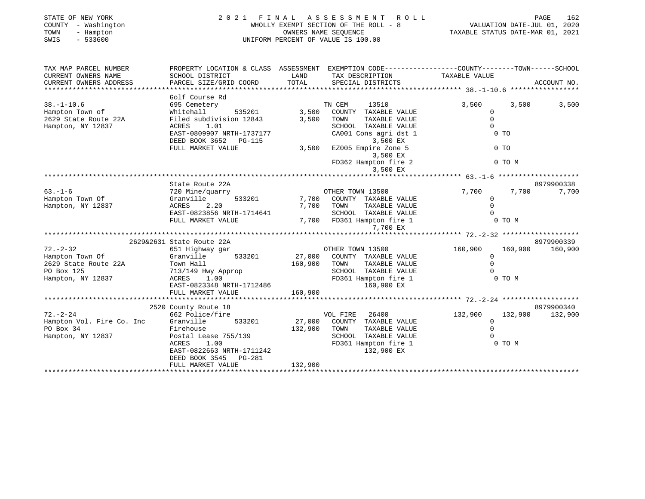| STATE OF NEW YORK<br>COUNTY - Washington<br>TOWN<br>- Hampton<br>SWIS<br>$-533600$ | 2021 FINAL                                                                                      |               | A S S E S S M E N T<br>ROLL<br>WHOLLY EXEMPT SECTION OF THE ROLL - 8<br>OWNERS NAME SEQUENCE<br>UNIFORM PERCENT OF VALUE IS 100.00 | PAGE 162<br>162 VALUATION DATE-JUL 01, 2020<br>1202 TAXABLE STATUS DATE-MAR 01, 20 |                    |
|------------------------------------------------------------------------------------|-------------------------------------------------------------------------------------------------|---------------|------------------------------------------------------------------------------------------------------------------------------------|------------------------------------------------------------------------------------|--------------------|
| TAX MAP PARCEL NUMBER                                                              | PROPERTY LOCATION & CLASS ASSESSMENT EXEMPTION CODE---------------COUNTY-------TOWN------SCHOOL |               |                                                                                                                                    |                                                                                    |                    |
| CURRENT OWNERS NAME<br>CURRENT OWNERS ADDRESS                                      | SCHOOL DISTRICT<br>PARCEL SIZE/GRID COORD                                                       | LAND<br>TOTAL | TAX DESCRIPTION TAXABLE VALUE<br>SPECIAL DISTRICTS                                                                                 |                                                                                    | ACCOUNT NO.        |
|                                                                                    |                                                                                                 |               |                                                                                                                                    |                                                                                    |                    |
|                                                                                    | Golf Course Rd                                                                                  |               |                                                                                                                                    |                                                                                    |                    |
| $38. - 1 - 10.6$                                                                   | 695 Cemetery                                                                                    |               | TN CEM<br>13510                                                                                                                    | 3,500                                                                              | 3,500<br>3,500     |
| Hampton Town of                                                                    | Whitehall<br>535201                                                                             | 3,500         | COUNTY TAXABLE VALUE                                                                                                               | $\Omega$                                                                           |                    |
| 2629 State Route 22A                                                               | Filed subdivision 12843                                                                         | 3,500         | TOWN<br>TAXABLE VALUE                                                                                                              | $\mathsf{O}$                                                                       |                    |
| Hampton, NY 12837                                                                  | 1.01<br>ACRES                                                                                   |               | SCHOOL TAXABLE VALUE                                                                                                               | $\Omega$                                                                           |                    |
|                                                                                    | EAST-0809907 NRTH-1737177                                                                       |               | CA001 Cons agri dst 1                                                                                                              | $0$ TO                                                                             |                    |
|                                                                                    | DEED BOOK 3652 PG-115                                                                           |               | 3,500 EX                                                                                                                           |                                                                                    |                    |
|                                                                                    | FULL MARKET VALUE                                                                               | 3,500         | EZ005 Empire Zone 5                                                                                                                | 0 <sub>T</sub>                                                                     |                    |
|                                                                                    |                                                                                                 |               | 3,500 EX                                                                                                                           |                                                                                    |                    |
|                                                                                    |                                                                                                 |               | FD362 Hampton fire 2                                                                                                               | 0 TO M                                                                             |                    |
|                                                                                    |                                                                                                 |               | 3,500 EX                                                                                                                           |                                                                                    |                    |
|                                                                                    |                                                                                                 |               |                                                                                                                                    | ******************* 63.-1-6 *********************                                  |                    |
|                                                                                    | State Route 22A                                                                                 |               |                                                                                                                                    |                                                                                    | 8979900338         |
| $63. - 1 - 6$                                                                      | 720 Mine/quarry                                                                                 |               | OTHER TOWN 13500                                                                                                                   | 7,700                                                                              | 7,700<br>7,700     |
| Hampton Town Of                                                                    | 533201<br>Granville                                                                             |               | 7,700 COUNTY TAXABLE VALUE                                                                                                         | $\Omega$                                                                           |                    |
| Hampton, NY 12837                                                                  | ACRES<br>2.20                                                                                   |               | 7,700 TOWN<br>TAXABLE VALUE                                                                                                        | $\Omega$                                                                           |                    |
|                                                                                    | EAST-0823856 NRTH-1714641                                                                       |               | SCHOOL TAXABLE VALUE                                                                                                               | $\Omega$                                                                           |                    |
|                                                                                    | FULL MARKET VALUE                                                                               |               | 7,700 FD361 Hampton fire 1                                                                                                         | $0$ TO M                                                                           |                    |
|                                                                                    |                                                                                                 |               | 7,700 EX                                                                                                                           |                                                                                    |                    |
|                                                                                    |                                                                                                 |               |                                                                                                                                    |                                                                                    |                    |
|                                                                                    | 2629&2631 State Route 22A                                                                       |               |                                                                                                                                    |                                                                                    | 8979900339         |
| $72. - 2 - 32$                                                                     | 651 Highway gar                                                                                 |               | OTHER TOWN 13500                                                                                                                   | 160,900                                                                            | 160,900<br>160,900 |
| Hampton Town Of                                                                    | Granville<br>533201                                                                             | 27,000        | COUNTY TAXABLE VALUE                                                                                                               | $\mathbf 0$                                                                        |                    |
| 2629 State Route 22A                                                               | Town Hall                                                                                       | 160,900       | TAXABLE VALUE<br>TOWN                                                                                                              | $\Omega$                                                                           |                    |
| PO Box 125                                                                         | 713/149 Hwy Approp                                                                              |               | SCHOOL TAXABLE VALUE                                                                                                               | $\Omega$                                                                           |                    |
| Hampton, NY 12837                                                                  | ACRES 1.00                                                                                      |               | FD361 Hampton fire 1                                                                                                               | 0 TO M                                                                             |                    |
|                                                                                    | EAST-0823348 NRTH-1712486                                                                       |               | 160,900 EX                                                                                                                         |                                                                                    |                    |
|                                                                                    | FULL MARKET VALUE                                                                               | 160,900       |                                                                                                                                    |                                                                                    |                    |
|                                                                                    |                                                                                                 |               |                                                                                                                                    |                                                                                    | 8979900340         |
|                                                                                    | 2520 County Route 18                                                                            |               |                                                                                                                                    |                                                                                    |                    |
| $72. - 2 - 24$<br>Hampton Vol. Fire Co. Inc                                        | 662 Police/fire<br>Granville<br>533201                                                          | 27,000        | VOL FIRE<br>26400<br>COUNTY TAXABLE VALUE                                                                                          | 132,900<br>$\mathbf 0$                                                             | 132,900<br>132,900 |
| PO Box 34                                                                          | Firehouse                                                                                       | 132,900       | TOWN<br>TAXABLE VALUE                                                                                                              | $\Omega$                                                                           |                    |
| Hampton, NY 12837                                                                  | Postal Lease 755/139                                                                            |               | SCHOOL TAXABLE VALUE                                                                                                               | $\Omega$                                                                           |                    |
|                                                                                    | ACRES 1.00                                                                                      |               | FD361 Hampton fire 1                                                                                                               | 0 TO M                                                                             |                    |
|                                                                                    | EAST-0822663 NRTH-1711242                                                                       |               | 132,900 EX                                                                                                                         |                                                                                    |                    |
|                                                                                    | DEED BOOK 3545<br>PG-281                                                                        |               |                                                                                                                                    |                                                                                    |                    |
|                                                                                    | FULL MARKET VALUE                                                                               | 132,900       |                                                                                                                                    |                                                                                    |                    |
|                                                                                    |                                                                                                 |               |                                                                                                                                    |                                                                                    |                    |

\*\*\*\*\*\*\*\*\*\*\*\*\*\*\*\*\*\*\*\*\*\*\*\*\*\*\*\*\*\*\*\*\*\*\*\*\*\*\*\*\*\*\*\*\*\*\*\*\*\*\*\*\*\*\*\*\*\*\*\*\*\*\*\*\*\*\*\*\*\*\*\*\*\*\*\*\*\*\*\*\*\*\*\*\*\*\*\*\*\*\*\*\*\*\*\*\*\*\*\*\*\*\*\*\*\*\*\*\*\*\*\*\*\*\*\*\*\*\*\*\*\*\*\*\*\*\*\*\*\*\*\*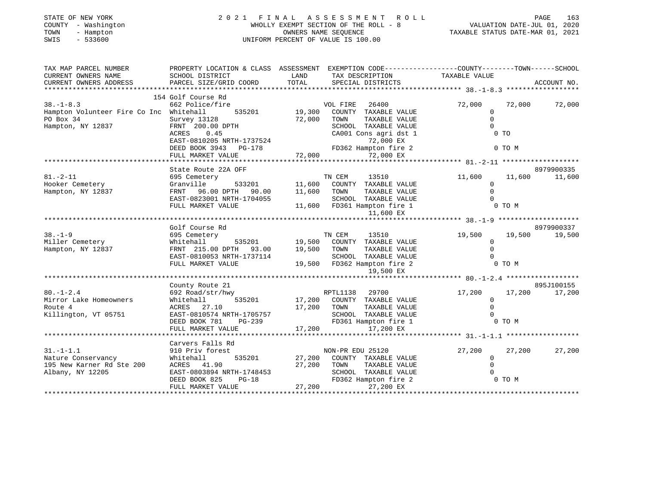| STATE OF NEW YORK |              |
|-------------------|--------------|
| COUNTY            | - Washington |
| TOWN<br>$-$       | Hampton      |
| SMTS              | $-533600$    |

# STATE OF NEW YORK 2 0 2 1 F I N A L A S S E S S M E N T R O L L PAGE 163 COUNTY - Washington WHOLLY EXEMPT SECTION OF THE ROLL - 8 VALUATION DATE-JUL 01, 2020 TOWN - Hampton OWNERS NAME SEQUENCE TAXABLE STATUS DATE-MAR 01, 2021 SWIS - 533600 UNIFORM PERCENT OF VALUE IS 100.00

| TAX MAP PARCEL NUMBER<br>CURRENT OWNERS NAME<br>CURRENT OWNERS ADDRESS                       | PROPERTY LOCATION & CLASS ASSESSMENT<br>SCHOOL DISTRICT<br>PARCEL SIZE/GRID COORD                                                                                 | LAND<br>TOTAL           | EXEMPTION CODE-----------------COUNTY-------TOWN------SCHOOL<br>TAX DESCRIPTION TAXABLE VALUE<br>SPECIAL DISTRICTS                                       |                                                                | ACCOUNT NO.                    |
|----------------------------------------------------------------------------------------------|-------------------------------------------------------------------------------------------------------------------------------------------------------------------|-------------------------|----------------------------------------------------------------------------------------------------------------------------------------------------------|----------------------------------------------------------------|--------------------------------|
| $38. - 1 - 8.3$<br>Hampton Volunteer Fire Co Inc Whitehall<br>PO Box 34<br>Hampton, NY 12837 | 154 Golf Course Rd<br>662 Police/fire<br>535201 19,300<br>Survey 13128<br>FRNT 200.00 DPTH<br>0.45<br>ACRES<br>EAST-0810205 NRTH-1737524<br>DEED BOOK 3943 PG-178 | 72,000                  | 26400<br>VOL FIRE<br>COUNTY TAXABLE VALUE<br>TAXABLE VALUE<br>TOWN<br>SCHOOL TAXABLE VALUE<br>CA001 Cons agri dst 1<br>72,000 EX<br>FD362 Hampton fire 2 | 72,000<br>0<br>$\Omega$<br>$\Omega$<br>$0$ TO<br>0 TO M        | 72,000<br>72,000               |
|                                                                                              |                                                                                                                                                                   |                         |                                                                                                                                                          |                                                                |                                |
| $81. - 2 - 11$<br>Hooker Cemetery<br>Hampton, NY 12837                                       | State Route 22A OFF<br>695 Cemetery<br>Granville<br>FRNT<br>96.00 DPTH 90.00<br>EAST-0823001 NRTH-1704055<br>FULL MARKET VALUE                                    | 533201 11,600<br>11,600 | TN CEM<br>13510<br>COUNTY TAXABLE VALUE<br>TAXABLE VALUE<br>TOWN<br>SCHOOL TAXABLE VALUE<br>11,600 FD361 Hampton fire 1<br>11,600 EX                     | 11,600<br>$\Omega$<br>$\mathbf 0$<br>$\Omega$<br>0 TO M        | 8979900335<br>11,600<br>11,600 |
|                                                                                              | Golf Course Rd                                                                                                                                                    |                         |                                                                                                                                                          |                                                                | 8979900337                     |
| $38. - 1 - 9$<br>Miller Cemetery<br>Hampton, NY 12837                                        | 695 Cemetery<br>Whitehall<br>FRNT 215.00 DPTH 93.00<br>EAST-0810053 NRTH-1737114<br>FULL MARKET VALUE                                                             | 19,500                  | TN CEM<br>13510<br>535201 19,500 COUNTY TAXABLE VALUE<br>TOWN<br>TAXABLE VALUE<br>SCHOOL TAXABLE VALUE<br>19,500 FD362 Hampton fire 2                    | 19,500 19,500<br>$\mathbf 0$<br>$\Omega$<br>$\Omega$<br>0 TO M | 19,500                         |
|                                                                                              |                                                                                                                                                                   |                         | 19,500 EX                                                                                                                                                |                                                                |                                |
|                                                                                              | County Route 21                                                                                                                                                   |                         |                                                                                                                                                          |                                                                | 895J100155                     |
| $80. - 1 - 2.4$<br>Mirror Lake Homeowners<br>Route 4<br>Killington, VT 05751                 | 692 Road/str/hwy<br>Whitehall<br>535201<br>ACRES<br>27.10<br>EAST-0810574 NRTH-1705757<br>DEED BOOK 781<br>PG-239<br>FULL MARKET VALUE                            | 17,200<br>17,200        | RPTL1138<br>29700<br>17,200 COUNTY TAXABLE VALUE<br>TAXABLE VALUE<br>TOWN<br>SCHOOL TAXABLE VALUE<br>FD361 Hampton fire 1<br>17,200 EX                   | 17,200<br>$\circ$<br>$\Omega$<br>0 TO M                        | 17,200<br>17,200               |
|                                                                                              |                                                                                                                                                                   |                         |                                                                                                                                                          |                                                                |                                |
| $31. - 1 - 1.1$<br>Nature Conservancy<br>195 New Karner Rd Ste 200<br>Albany, NY 12205       | Carvers Falls Rd<br>910 Priv forest<br>535201<br>Whitehall<br>ACRES 41.90<br>EAST-0803894 NRTH-1748453<br>$PG-18$<br>DEED BOOK 825<br>FULL MARKET VALUE           | 27,200                  | NON-PR EDU 25120<br>27,200 COUNTY TAXABLE VALUE<br>TOWN<br>TAXABLE VALUE<br>SCHOOL TAXABLE VALUE<br>FD362 Hampton fire 2<br>27,200<br>27,200 EX          | 27,200<br>$\mathbf 0$<br>$\Omega$<br>0 TO M                    | 27,200<br>27,200               |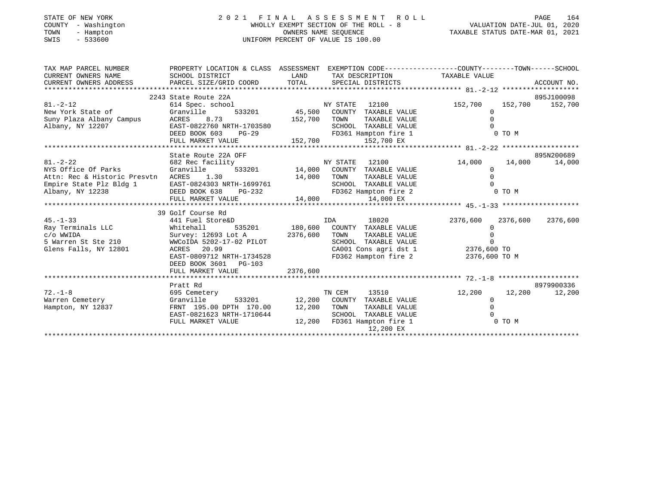| STATE OF NEW YORK |  |              |
|-------------------|--|--------------|
| COUNTY            |  | - Washington |
| TOWN              |  | - Hampton    |
| CLIT <sub>C</sub> |  | E 22500      |

# STATE OF NEW YORK 2 0 2 1 F I N A L A S S E S S M E N T R O L L PAGE 164 COUNTY - Washington WHOLLY EXEMPT SECTION OF THE ROLL - 8 VALUATION DATE-JUL 01, 2020 TOWN - Hampton OWNERS NAME SEQUENCE TAXABLE STATUS DATE-MAR 01, 2021 SWIS - 533600 UNIFORM PERCENT OF VALUE IS 100.00UNIFORM PERCENT OF VALUE IS 100.00

| SCHOOL DISTRICT                                                                                                                                             |                                                                                                                                                    |                                                                                   |                                                                                                                                                                                                                                                                                                                                                                                                                                 |                                                                                                                                                                                                                                          |
|-------------------------------------------------------------------------------------------------------------------------------------------------------------|----------------------------------------------------------------------------------------------------------------------------------------------------|-----------------------------------------------------------------------------------|---------------------------------------------------------------------------------------------------------------------------------------------------------------------------------------------------------------------------------------------------------------------------------------------------------------------------------------------------------------------------------------------------------------------------------|------------------------------------------------------------------------------------------------------------------------------------------------------------------------------------------------------------------------------------------|
| 2243 State Route 22A                                                                                                                                        |                                                                                                                                                    |                                                                                   |                                                                                                                                                                                                                                                                                                                                                                                                                                 | 895J100098<br>152,700 152,700                                                                                                                                                                                                            |
| New York State of Granville                                                                                                                                 |                                                                                                                                                    | TAXABLE VALUE                                                                     | $\Omega$<br>$\Omega$                                                                                                                                                                                                                                                                                                                                                                                                            |                                                                                                                                                                                                                                          |
|                                                                                                                                                             |                                                                                                                                                    | FD361 Hampton fire 1                                                              | 0 TO M                                                                                                                                                                                                                                                                                                                                                                                                                          |                                                                                                                                                                                                                                          |
|                                                                                                                                                             |                                                                                                                                                    |                                                                                   |                                                                                                                                                                                                                                                                                                                                                                                                                                 |                                                                                                                                                                                                                                          |
| State Route 22A OFF                                                                                                                                         |                                                                                                                                                    |                                                                                   |                                                                                                                                                                                                                                                                                                                                                                                                                                 | 895N200689                                                                                                                                                                                                                               |
| 682 Rec facility<br>Granville<br>Attn: Rec & Historic Presvtn ACRES 1.30<br>EAST-0824303 NRTH-1699761<br>39 Golf Course Rd<br>441 Fuel Store&D<br>Whitehall |                                                                                                                                                    | TAXABLE VALUE<br>SCHOOL TAXABLE VALUE<br>18020                                    | 14,000<br>14,000<br>$\Omega$<br>$\Omega$<br>2376,600 2376,600<br>$\Omega$                                                                                                                                                                                                                                                                                                                                                       | 14,000<br>2376,600                                                                                                                                                                                                                       |
| ACRES 20.99<br>DEED BOOK 3601 PG-103<br>FULL MARKET VALUE                                                                                                   |                                                                                                                                                    | SCHOOL TAXABLE VALUE                                                              | $\Omega$<br>2376,600 TO M                                                                                                                                                                                                                                                                                                                                                                                                       |                                                                                                                                                                                                                                          |
|                                                                                                                                                             |                                                                                                                                                    |                                                                                   |                                                                                                                                                                                                                                                                                                                                                                                                                                 |                                                                                                                                                                                                                                          |
| 695 Cemetery<br>Granville<br>EAST-0821623 NRTH-1710644<br>FULL MARKET VALUE                                                                                 |                                                                                                                                                    | TAXABLE VALUE<br>SCHOOL TAXABLE VALUE<br>12,200 EX                                | 12,200<br>$\Omega$<br>$\Omega$<br>0 TO M                                                                                                                                                                                                                                                                                                                                                                                        | 8979900336<br>12,200                                                                                                                                                                                                                     |
|                                                                                                                                                             | 614 Spec. school<br>Suny Plaza Albany Campus ACRES 8.73<br>Albany, NY 12207 EAST-0822760 N<br>FULL MARKET VALUE<br>Survey: 12693 Lot A<br>Pratt Rd | <b>LAND</b><br>EAST-0822760 NRTH-1703580<br>EAST-0809712 NRTH-1734528<br>2376,600 | <b>NY STATE</b> 12100<br>533201 45,500 COUNTY TAXABLE VALUE<br>152,700 TOWN<br>SCHOOL TAXABLE VALUE<br>DEED BOOK 603 PG-29<br>152,700 152,700 EX<br>$NY$ STATE 12100<br>533201 14,000 COUNTY TAXABLE VALUE<br>14,000 TOWN<br>IDA<br>535201 180,600 COUNTY TAXABLE VALUE<br>2376,600 TOWN<br>TAXABLE VALUE<br>TN CEM<br>533201 12,200 COUNTY TAXABLE VALUE<br>FRNT 195.00 DPTH 170.00 12,200 TOWN<br>12,200 FD361 Hampton fire 1 | PROPERTY LOCATION & CLASS ASSESSMENT EXEMPTION CODE---------------COUNTY-------TOWN-----SCHOOL<br>TAX DESCRIPTION TAXABLE VALUE<br>152,700<br>$\frac{6000}{2376,600}$ TO $\frac{1}{2376,600}$ TO<br>FD362 Hampton fire 2<br>13510 12,200 |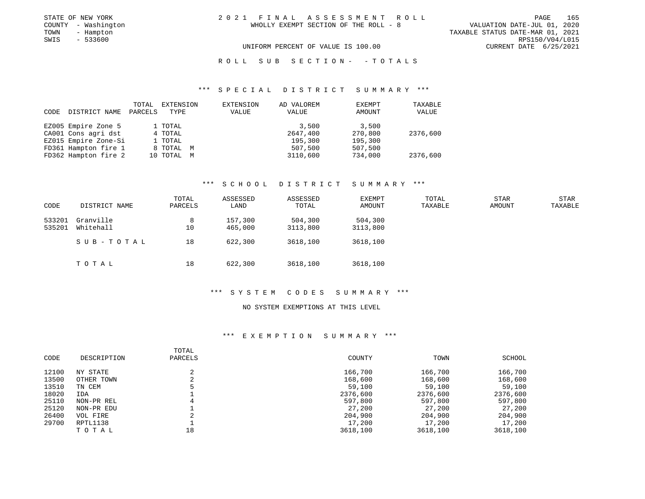| STATE OF NEW YORK   | 2021 FINAL ASSESSMENT ROLL            | 165<br>PAGE                      |
|---------------------|---------------------------------------|----------------------------------|
| COUNTY - Washington | WHOLLY EXEMPT SECTION OF THE ROLL - 8 | VALUATION DATE-JUL 01, 2020      |
| TOWN<br>- Hampton   |                                       | TAXABLE STATUS DATE-MAR 01, 2021 |
| - 533600<br>SWIS    |                                       | RPS150/V04/L015                  |
|                     | UNIFORM PERCENT OF VALUE IS 100.00    | CURRENT DATE 6/25/2021           |

# R O L L S U B S E C T I O N - - T O T A L S

#### \*\*\* S P E C I A L D I S T R I C T S U M M A R Y \*\*\*

| CODE | DISTRICT NAME        | TOTAL<br>PARCELS | EXTENSION<br>TYPE | EXTENSION<br>VALUE | AD VALOREM<br>VALUE | EXEMPT<br>AMOUNT | TAXABLE<br>VALUE |
|------|----------------------|------------------|-------------------|--------------------|---------------------|------------------|------------------|
|      | EZ005 Empire Zone 5  |                  | 1 TOTAL           |                    | 3,500               | 3,500            |                  |
|      | CA001 Cons agri dst  |                  | 4 TOTAL           |                    | 2647,400            | 270,800          | 2376,600         |
|      | EZ015 Empire Zone-Si |                  | 1 TOTAL           |                    | 195,300             | 195,300          |                  |
|      | FD361 Hampton fire 1 |                  | 8 TOTAL M         |                    | 507,500             | 507,500          |                  |
|      | FD362 Hampton fire 2 |                  | 10 TOTAL M        |                    | 3110,600            | 734,000          | 2376,600         |

### \*\*\* S C H O O L D I S T R I C T S U M M A R Y \*\*\*

| CODE             | DISTRICT NAME          | TOTAL<br>PARCELS | ASSESSED<br>LAND   | ASSESSED<br>TOTAL   | <b>EXEMPT</b><br>AMOUNT | TOTAL<br>TAXABLE | <b>STAR</b><br><b>AMOUNT</b> | <b>STAR</b><br>TAXABLE |
|------------------|------------------------|------------------|--------------------|---------------------|-------------------------|------------------|------------------------------|------------------------|
| 533201<br>535201 | Granville<br>Whitehall | 8<br>10          | 157,300<br>465,000 | 504,300<br>3113,800 | 504,300<br>3113,800     |                  |                              |                        |
|                  | SUB-TOTAL              | 18               | 622,300            | 3618,100            | 3618,100                |                  |                              |                        |
|                  | TOTAL                  | 18               | 622,300            | 3618,100            | 3618,100                |                  |                              |                        |

#### \*\*\* S Y S T E M C O D E S S U M M A R Y \*\*\*

### NO SYSTEM EXEMPTIONS AT THIS LEVEL

| CODE  | DESCRIPTION | TOTAL<br>PARCELS | COUNTY   | TOWN     | SCHOOL   |
|-------|-------------|------------------|----------|----------|----------|
| 12100 | NY STATE    | ∠                | 166,700  | 166,700  | 166,700  |
| 13500 | OTHER TOWN  |                  | 168,600  | 168,600  | 168,600  |
| 13510 | TN CEM      |                  | 59,100   | 59,100   | 59,100   |
| 18020 | IDA         |                  | 2376,600 | 2376,600 | 2376,600 |
| 25110 | NON-PR REL  |                  | 597,800  | 597,800  | 597,800  |
| 25120 | NON-PR EDU  |                  | 27,200   | 27,200   | 27,200   |
| 26400 | VOL FIRE    | $\sim$<br>z.     | 204,900  | 204,900  | 204,900  |
| 29700 | RPTL1138    |                  | 17,200   | 17,200   | 17,200   |
|       | TOTAL       | 18               | 3618,100 | 3618,100 | 3618,100 |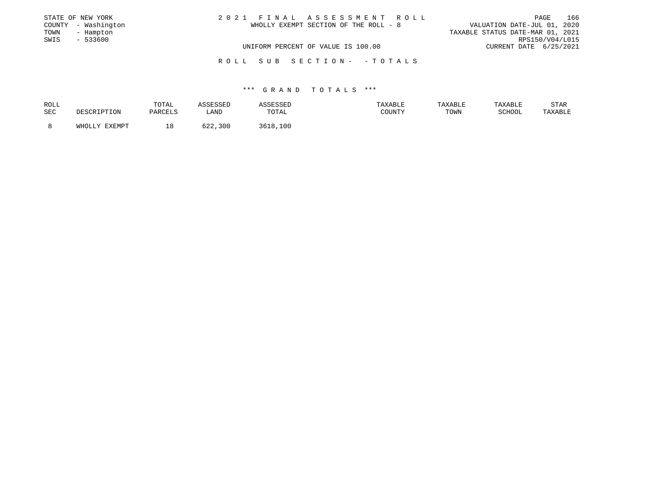|      | STATE OF NEW YORK   | 2021 FINAL ASSESSMENT ROLL            |                                  | PAGE | 166 |
|------|---------------------|---------------------------------------|----------------------------------|------|-----|
|      | COUNTY - Washington | WHOLLY EXEMPT SECTION OF THE ROLL - 8 | VALUATION DATE-JUL 01, 2020      |      |     |
| TOWN | - Hampton           |                                       | TAXABLE STATUS DATE-MAR 01, 2021 |      |     |
| SWIS | $-533600$           |                                       | RPS150/V04/L015                  |      |     |
|      |                     | UNIFORM PERCENT OF VALUE IS 100.00    | CURRENT DATE 6/25/2021           |      |     |
|      |                     | ROLL SUB SECTION- - TOTALS            |                                  |      |     |

| ROLL |               | TOTAL   | SSESSED                       |          | TAXABLE | TAXABLE | TAXABLE | STAR    |
|------|---------------|---------|-------------------------------|----------|---------|---------|---------|---------|
| SEC  | DESCRIPTION   | PARCELS | LAND                          | TOTAL    | COUNTY  | TOWN    | SCHOOL  | TAXABLE |
|      |               |         |                               |          |         |         |         |         |
|      | WHOLLY EXEMPT | ⊥8⊥     | $\epsilon \cap \gamma$<br>300 | 3618,100 |         |         |         |         |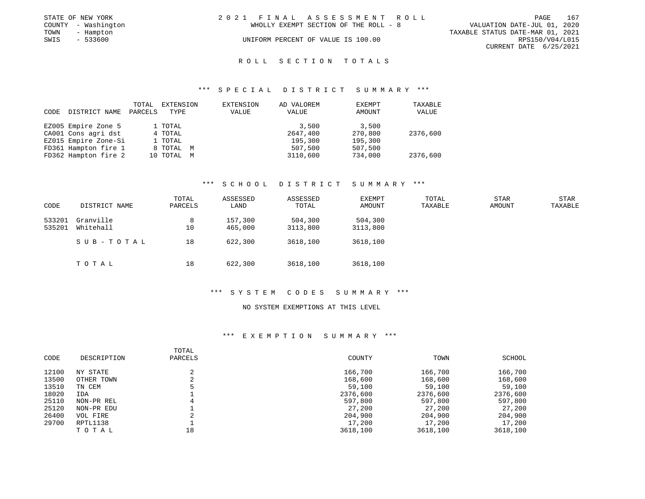| STATE OF NEW YORK   | 2021 FINAL ASSESSMENT ROLL            | 167<br>PAGE                      |
|---------------------|---------------------------------------|----------------------------------|
| COUNTY - Washington | WHOLLY EXEMPT SECTION OF THE ROLL - 8 | VALUATION DATE-JUL 01, 2020      |
| TOWN<br>- Hampton   |                                       | TAXABLE STATUS DATE-MAR 01, 2021 |
| SWIS<br>- 533600    | UNIFORM PERCENT OF VALUE IS 100.00    | RPS150/V04/L015                  |
|                     |                                       | CURRENT DATE 6/25/2021           |
|                     |                                       |                                  |

#### \*\*\* S P E C I A L D I S T R I C T S U M M A R Y \*\*\*

| CODE | DISTRICT NAME        | TOTAL<br>PARCELS | EXTENSION<br>TYPE | EXTENSION<br>VALUE | AD VALOREM<br>VALUE | EXEMPT<br>AMOUNT | TAXABLE<br>VALUE |
|------|----------------------|------------------|-------------------|--------------------|---------------------|------------------|------------------|
|      | EZ005 Empire Zone 5  |                  | 1 TOTAL           |                    | 3,500               | 3,500            |                  |
|      | CA001 Cons agri dst  |                  | 4 TOTAL           |                    | 2647,400            | 270,800          | 2376,600         |
|      | EZ015 Empire Zone-Si |                  | 1 TOTAL           |                    | 195,300             | 195,300          |                  |
|      | FD361 Hampton fire 1 |                  | 8 TOTAL M         |                    | 507,500             | 507,500          |                  |
|      | FD362 Hampton fire 2 |                  | 10 TOTAL M        |                    | 3110,600            | 734,000          | 2376,600         |

## \*\*\* S C H O O L D I S T R I C T S U M M A R Y \*\*\*

| CODE             | DISTRICT NAME          | TOTAL<br>PARCELS | ASSESSED<br>LAND   | ASSESSED<br>TOTAL   | <b>EXEMPT</b><br>AMOUNT | TOTAL<br>TAXABLE | <b>STAR</b><br><b>AMOUNT</b> | <b>STAR</b><br>TAXABLE |
|------------------|------------------------|------------------|--------------------|---------------------|-------------------------|------------------|------------------------------|------------------------|
| 533201<br>535201 | Granville<br>Whitehall | 8<br>10          | 157,300<br>465,000 | 504,300<br>3113,800 | 504,300<br>3113,800     |                  |                              |                        |
|                  | SUB-TOTAL              | 18               | 622,300            | 3618,100            | 3618,100                |                  |                              |                        |
|                  | TOTAL                  | 18               | 622,300            | 3618,100            | 3618,100                |                  |                              |                        |

#### \*\*\* S Y S T E M C O D E S S U M M A R Y \*\*\*

### NO SYSTEM EXEMPTIONS AT THIS LEVEL

| CODE  | DESCRIPTION | TOTAL<br>PARCELS | COUNTY   | TOWN     | SCHOOL   |
|-------|-------------|------------------|----------|----------|----------|
| 12100 | NY STATE    |                  | 166,700  | 166,700  | 166,700  |
| 13500 | OTHER TOWN  |                  | 168,600  | 168,600  | 168,600  |
| 13510 | TN CEM      |                  | 59,100   | 59,100   | 59,100   |
| 18020 | IDA         |                  | 2376,600 | 2376,600 | 2376,600 |
| 25110 | NON-PR REL  |                  | 597,800  | 597,800  | 597,800  |
| 25120 | NON-PR EDU  |                  | 27,200   | 27,200   | 27,200   |
| 26400 | VOL FIRE    |                  | 204,900  | 204,900  | 204,900  |
| 29700 | RPTL1138    |                  | 17,200   | 17,200   | 17,200   |
|       | TOTAL       | 18               | 3618,100 | 3618,100 | 3618,100 |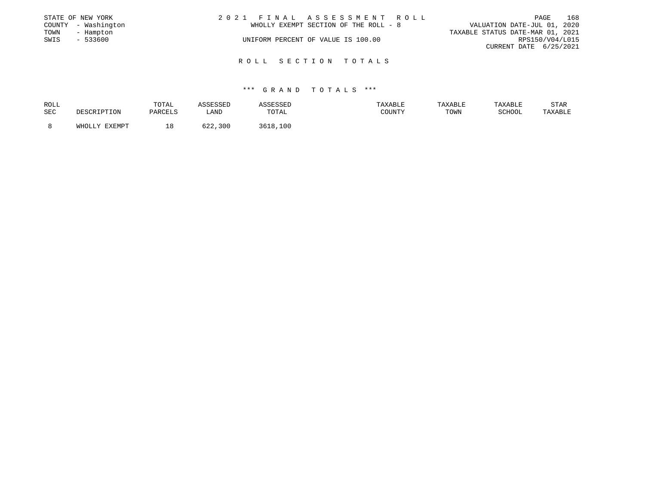|      | STATE OF NEW YORK   | 2021 FINAL ASSESSMENT ROLL            |                                  | PAGE | 168 |
|------|---------------------|---------------------------------------|----------------------------------|------|-----|
|      | COUNTY - Washington | WHOLLY EXEMPT SECTION OF THE ROLL - 8 | VALUATION DATE-JUL 01, 2020      |      |     |
| TOWN | - Hampton           |                                       | TAXABLE STATUS DATE-MAR 01, 2021 |      |     |
| SWIS | $-533600$           | UNIFORM PERCENT OF VALUE IS 100.00    | RPS150/V04/L015                  |      |     |
|      |                     |                                       | CURRENT DATE 6/25/2021           |      |     |
|      |                     |                                       |                                  |      |     |
|      |                     | ROLL SECTION TOTALS                   |                                  |      |     |

| ROLL |               | TOTAL   | SSESSED     |          | TAXABLE | TAXABLE | TAXABLE | STAR    |
|------|---------------|---------|-------------|----------|---------|---------|---------|---------|
| SEC  | DESCRIPTION   | PARCELS | LAND        | TOTAL    | COUNTY  | TOWN    | SCHOOL  | TAXABLE |
|      | WHOLLY EXEMPT | ⊥8      | 622<br>,300 | 3618,100 |         |         |         |         |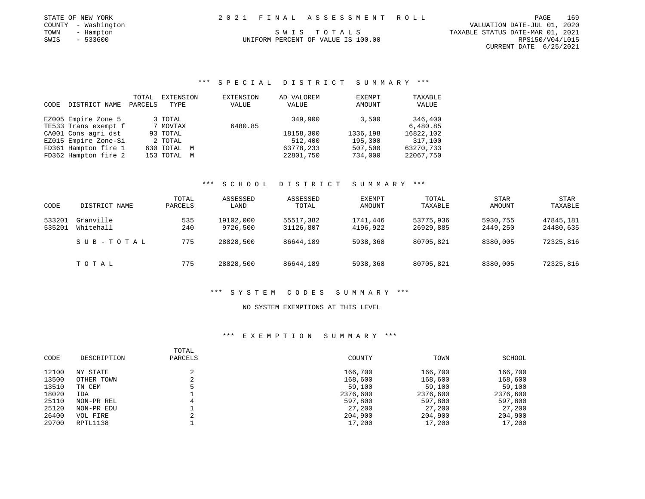| STATE OF NEW YORK   |  | 2021 FINAL ASSESSMENT ROLL         |                                  | PAGE            | 169 |
|---------------------|--|------------------------------------|----------------------------------|-----------------|-----|
| COUNTY - Washington |  |                                    | VALUATION DATE-JUL 01, 2020      |                 |     |
| TOWN<br>- Hampton   |  | SWIS TOTALS                        | TAXABLE STATUS DATE-MAR 01, 2021 |                 |     |
| SWIS - 533600       |  | UNIFORM PERCENT OF VALUE IS 100.00 |                                  | RPS150/V04/L015 |     |

CURRENT DATE 6/25/2021

### \*\*\* S P E C I A L D I S T R I C T S U M M A R Y \*\*\*

| CODE | DISTRICT NAME        | TOTAL<br>PARCELS | EXTENSION<br>TYPE | EXTENSION<br>VALUE | AD VALOREM<br>VALUE | EXEMPT<br>AMOUNT | TAXABLE<br>VALUE |
|------|----------------------|------------------|-------------------|--------------------|---------------------|------------------|------------------|
|      | EZ005 Empire Zone 5  |                  | 3 TOTAL           |                    | 349,900             | 3,500            | 346,400          |
|      | TE533 Trans exempt f |                  | 7 MOVTAX          | 6480.85            |                     |                  | 6,480.85         |
|      | CA001 Cons agri dst  |                  | 93 TOTAL          |                    | 18158,300           | 1336,198         | 16822,102        |
|      | EZ015 Empire Zone-Si |                  | 2 TOTAL           |                    | 512,400             | 195,300          | 317,100          |
|      | FD361 Hampton fire 1 |                  | 630 TOTAL<br>M    |                    | 63778,233           | 507,500          | 63270,733        |
|      | FD362 Hampton fire 2 |                  | 153 TOTAL<br>M    |                    | 22801,750           | 734,000          | 22067,750        |

### \*\*\* S C H O O L D I S T R I C T S U M M A R Y \*\*\*

| CODE             | DISTRICT NAME          | TOTAL<br>PARCELS | ASSESSED<br>LAND      | ASSESSED<br>TOTAL      | EXEMPT<br>AMOUNT     | TOTAL<br>TAXABLE       | STAR<br>AMOUNT       | <b>STAR</b><br>TAXABLE |
|------------------|------------------------|------------------|-----------------------|------------------------|----------------------|------------------------|----------------------|------------------------|
| 533201<br>535201 | Granville<br>Whitehall | 535<br>240       | 19102,000<br>9726,500 | 55517,382<br>31126,807 | 1741,446<br>4196,922 | 53775,936<br>26929,885 | 5930,755<br>2449,250 | 47845,181<br>24480,635 |
|                  | SUB-TOTAL              | 775              | 28828,500             | 86644,189              | 5938,368             | 80705,821              | 8380,005             | 72325,816              |
|                  | TOTAL                  | 775              | 28828,500             | 86644,189              | 5938,368             | 80705,821              | 8380,005             | 72325,816              |

### \*\*\* S Y S T E M C O D E S S U M M A R Y \*\*\*

### NO SYSTEM EXEMPTIONS AT THIS LEVEL

| CODE  | DESCRIPTION | TOTAL<br>PARCELS | COUNTY   | TOWN     | SCHOOL   |
|-------|-------------|------------------|----------|----------|----------|
| 12100 | NY STATE    |                  | 166,700  | 166,700  | 166,700  |
| 13500 | OTHER TOWN  | $\sim$<br>∠      | 168,600  | 168,600  | 168,600  |
| 13510 | TN CEM      |                  | 59,100   | 59,100   | 59,100   |
| 18020 | IDA         |                  | 2376,600 | 2376,600 | 2376,600 |
| 25110 | NON-PR REL  |                  | 597,800  | 597,800  | 597,800  |
| 25120 | NON-PR EDU  |                  | 27,200   | 27,200   | 27,200   |
| 26400 | VOL FIRE    |                  | 204,900  | 204,900  | 204,900  |
| 29700 | RPTL1138    |                  | 17,200   | 17,200   | 17,200   |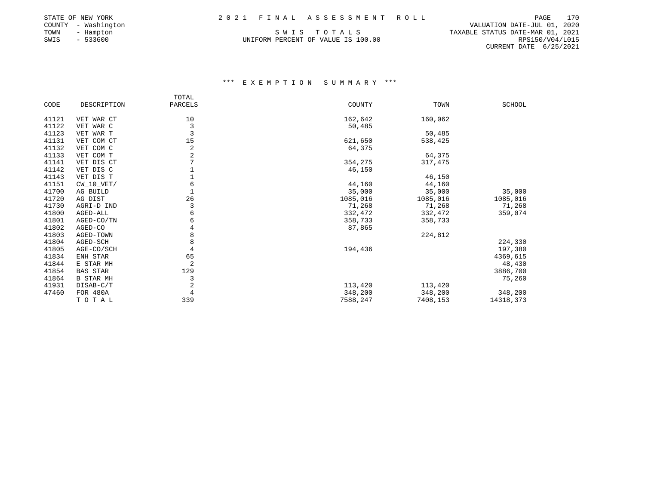| STATE OF NEW YORK |     |              |
|-------------------|-----|--------------|
| COUNTY            |     | - Washington |
| TOWN              |     | - Hampton    |
| SWIS              | $-$ | 533600       |

UNIFORM PERCENT OF VALUE IS 100.00

 COUNTY - Washington VALUATION DATE-JUL 01, 2020 S W I S T O T A L S<br>M PERCENT OF VALUE IS 100.00 CURRENT DATE 6/25/2021

|       |                 | TOTAL          |          |          |           |
|-------|-----------------|----------------|----------|----------|-----------|
| CODE  | DESCRIPTION     | PARCELS        | COUNTY   | TOWN     | SCHOOL    |
| 41121 | VET WAR CT      | 10             | 162,642  | 160,062  |           |
| 41122 | VET WAR C       | 3              | 50,485   |          |           |
| 41123 | VET WAR T       | $\overline{3}$ |          | 50,485   |           |
| 41131 | VET COM CT      | 15             | 621,650  | 538,425  |           |
| 41132 | VET COM C       | $\overline{c}$ | 64,375   |          |           |
| 41133 | VET COM T       | 2              |          | 64,375   |           |
| 41141 | VET DIS CT      |                | 354,275  | 317,475  |           |
| 41142 | VET DIS C       |                | 46,150   |          |           |
| 41143 | VET DIS T       |                |          | 46,150   |           |
| 41151 | $CW_10_VET/$    | 6              | 44,160   | 44,160   |           |
| 41700 | AG BUILD        |                | 35,000   | 35,000   | 35,000    |
| 41720 | AG DIST         | 26             | 1085,016 | 1085,016 | 1085,016  |
| 41730 | AGRI-D IND      | 3              | 71,268   | 71,268   | 71,268    |
| 41800 | AGED-ALL        | 6              | 332,472  | 332,472  | 359,074   |
| 41801 | AGED-CO/TN      | 6              | 358,733  | 358,733  |           |
| 41802 | AGED-CO         | 4              | 87,865   |          |           |
| 41803 | AGED-TOWN       | 8              |          | 224,812  |           |
| 41804 | AGED-SCH        | 8              |          |          | 224,330   |
| 41805 | AGE-CO/SCH      | 4              | 194,436  |          | 197,380   |
| 41834 | ENH STAR        | 65             |          |          | 4369,615  |
| 41844 | E STAR MH       | $\overline{2}$ |          |          | 48,430    |
| 41854 | <b>BAS STAR</b> | 129            |          |          | 3886,700  |
| 41864 | B STAR MH       | 3              |          |          | 75,260    |
| 41931 | DISAB-C/T       | $\overline{c}$ | 113,420  | 113,420  |           |
| 47460 | FOR 480A        | 4              | 348,200  | 348,200  | 348,200   |
|       | TOTAL           | 339            | 7588,247 | 7408,153 | 14318,373 |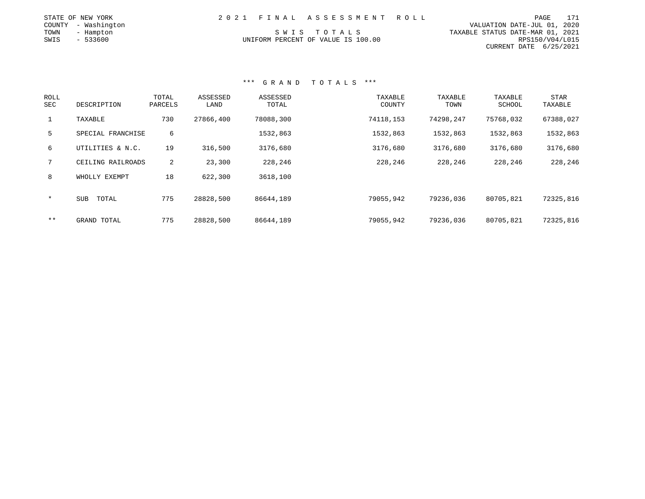|      | STATE OF NEW YORK   |  | 2021 FINAL ASSESSMENT ROLL         |                                  | PAGE            | 171 |
|------|---------------------|--|------------------------------------|----------------------------------|-----------------|-----|
|      | COUNTY - Washington |  |                                    | VALUATION DATE-JUL 01, 2020      |                 |     |
| TOWN | - Hampton           |  | SWIS TOTALS                        | TAXABLE STATUS DATE-MAR 01, 2021 |                 |     |
| SWIS | - 533600            |  | UNIFORM PERCENT OF VALUE IS 100.00 |                                  | RPS150/V04/L015 |     |
|      |                     |  |                                    | CURRENT DATE 6/25/2021           |                 |     |

| <b>ROLL</b><br>SEC | DESCRIPTION         | TOTAL<br>PARCELS | ASSESSED<br>LAND | ASSESSED<br>TOTAL | TAXABLE<br>COUNTY | TAXABLE<br>TOWN | TAXABLE<br>SCHOOL | STAR<br>TAXABLE |
|--------------------|---------------------|------------------|------------------|-------------------|-------------------|-----------------|-------------------|-----------------|
| $\mathbf{1}$       | TAXABLE             | 730              | 27866,400        | 78088,300         | 74118,153         | 74298,247       | 75768,032         | 67388,027       |
| 5                  | SPECIAL FRANCHISE   | 6                |                  | 1532,863          | 1532,863          | 1532,863        | 1532,863          | 1532,863        |
| 6                  | UTILITIES & N.C.    | 19               | 316,500          | 3176,680          | 3176,680          | 3176,680        | 3176,680          | 3176,680        |
| $7^{\circ}$        | CEILING RAILROADS   | 2                | 23,300           | 228,246           | 228,246           | 228,246         | 228,246           | 228,246         |
| 8                  | WHOLLY EXEMPT       | 18               | 622,300          | 3618,100          |                   |                 |                   |                 |
| $\star$            | <b>SUB</b><br>TOTAL | 775              | 28828,500        | 86644,189         | 79055,942         | 79236,036       | 80705,821         | 72325,816       |
| $* *$              | GRAND TOTAL         | 775              | 28828,500        | 86644,189         | 79055,942         | 79236,036       | 80705,821         | 72325,816       |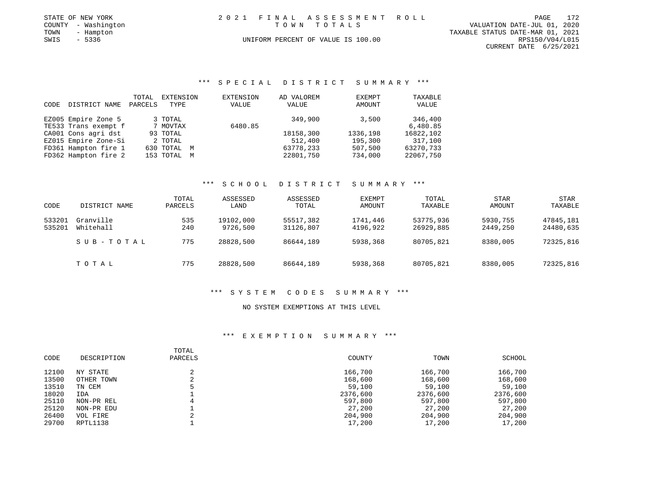| STATE OF NEW YORK   | 2021 FINAL ASSESSMENT ROLL         | 172<br>PAGE                      |
|---------------------|------------------------------------|----------------------------------|
| COUNTY - Washington | TOWN TOTALS                        | VALUATION DATE-JUL 01, 2020      |
| TOWN<br>- Hampton   |                                    | TAXABLE STATUS DATE-MAR 01, 2021 |
| SWIS<br>$-5336$     | UNIFORM PERCENT OF VALUE IS 100.00 | RPS150/V04/L015                  |
|                     |                                    | CURRENT DATE 6/25/2021           |

## \*\*\* S P E C I A L D I S T R I C T S U M M A R Y \*\*\*

|      |                      | TOTAL   | EXTENSION   | <b>EXTENSION</b> | AD VALOREM | EXEMPT   | TAXABLE   |
|------|----------------------|---------|-------------|------------------|------------|----------|-----------|
| CODE | DISTRICT NAME        | PARCELS | TYPE        | VALUE            | VALUE      | AMOUNT   | VALUE     |
|      | EZ005 Empire Zone 5  |         | 3 TOTAL     |                  | 349,900    | 3,500    | 346,400   |
|      | TE533 Trans exempt f |         | 7 MOVTAX    | 6480.85          |            |          | 6,480.85  |
|      | CA001 Cons agri dst  |         | 93 TOTAL    |                  | 18158,300  | 1336,198 | 16822,102 |
|      | EZ015 Empire Zone-Si |         | 2 TOTAL     |                  | 512,400    | 195,300  | 317,100   |
|      | FD361 Hampton fire 1 |         | 630 TOTAL M |                  | 63778,233  | 507,500  | 63270,733 |
|      | FD362 Hampton fire 2 |         | 153 TOTAL M |                  | 22801,750  | 734,000  | 22067,750 |

### \*\*\* S C H O O L D I S T R I C T S U M M A R Y \*\*\*

| CODE             | DISTRICT NAME          | TOTAL<br>PARCELS | ASSESSED<br>LAND      | ASSESSED<br>TOTAL      | <b>EXEMPT</b><br>AMOUNT | TOTAL<br>TAXABLE       | <b>STAR</b><br>AMOUNT | <b>STAR</b><br>TAXABLE |
|------------------|------------------------|------------------|-----------------------|------------------------|-------------------------|------------------------|-----------------------|------------------------|
| 533201<br>535201 | Granville<br>Whitehall | 535<br>240       | 19102,000<br>9726,500 | 55517,382<br>31126,807 | 1741,446<br>4196,922    | 53775,936<br>26929,885 | 5930,755<br>2449,250  | 47845,181<br>24480,635 |
|                  | SUB-TOTAL              | 775              | 28828,500             | 86644,189              | 5938,368                | 80705,821              | 8380,005              | 72325,816              |
|                  | TOTAL                  | 775              | 28828,500             | 86644,189              | 5938,368                | 80705,821              | 8380,005              | 72325,816              |

#### \*\*\* S Y S T E M C O D E S S U M M A R Y \*\*\*

### NO SYSTEM EXEMPTIONS AT THIS LEVEL

| CODE  | DESCRIPTION | TOTAL<br>PARCELS | COUNTY   | TOWN     | SCHOOL   |
|-------|-------------|------------------|----------|----------|----------|
| 12100 | NY STATE    |                  | 166,700  | 166,700  | 166,700  |
| 13500 | OTHER TOWN  | $\sim$<br>∠      | 168,600  | 168,600  | 168,600  |
| 13510 | TN CEM      |                  | 59,100   | 59,100   | 59,100   |
| 18020 | IDA         |                  | 2376,600 | 2376,600 | 2376,600 |
| 25110 | NON-PR REL  |                  | 597,800  | 597,800  | 597,800  |
| 25120 | NON-PR EDU  |                  | 27,200   | 27,200   | 27,200   |
| 26400 | VOL FIRE    |                  | 204,900  | 204,900  | 204,900  |
| 29700 | RPTL1138    |                  | 17,200   | 17,200   | 17,200   |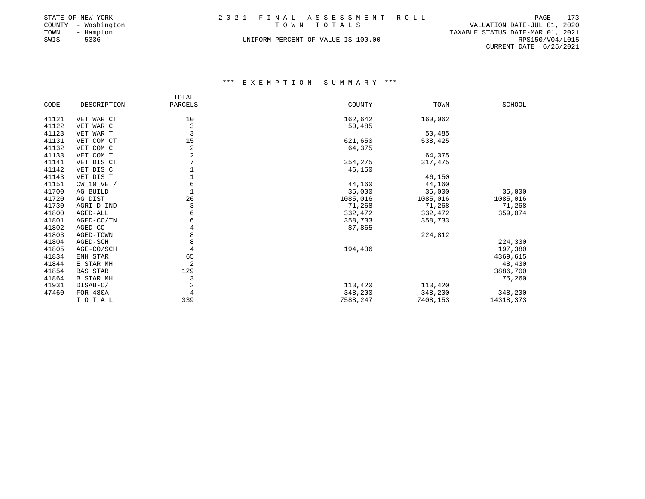|      | STATE OF NEW YORK   |  | 2021 FINAL ASSESSMENT ROLL         |                                  | PAGE            | 173 |
|------|---------------------|--|------------------------------------|----------------------------------|-----------------|-----|
|      | COUNTY - Washington |  | TOWN TOTALS                        | VALUATION DATE-JUL 01, 2020      |                 |     |
| TOWN | - Hampton           |  |                                    | TAXABLE STATUS DATE-MAR 01, 2021 |                 |     |
| SWIS | $-5336$             |  | UNIFORM PERCENT OF VALUE IS 100.00 |                                  | RPS150/V04/L015 |     |
|      |                     |  |                                    | CURRENT DATE $6/25/2021$         |                 |     |

|       |                  | TOTAL          |          |          |           |
|-------|------------------|----------------|----------|----------|-----------|
| CODE  | DESCRIPTION      | PARCELS        | COUNTY   | TOWN     | SCHOOL    |
| 41121 | VET WAR CT       | 10             | 162,642  | 160,062  |           |
| 41122 | VET WAR C        | $\mathsf 3$    | 50,485   |          |           |
| 41123 | VET WAR T        | $\overline{3}$ |          | 50,485   |           |
| 41131 | VET COM CT       | 15             | 621,650  | 538,425  |           |
| 41132 | VET COM C        | $\overline{c}$ | 64,375   |          |           |
| 41133 | VET COM T        | $\sqrt{2}$     |          | 64,375   |           |
| 41141 | VET DIS CT       | $\overline{7}$ | 354,275  | 317,475  |           |
| 41142 | VET DIS C        | $1\,$          | 46,150   |          |           |
| 41143 | VET DIS T        | $\overline{1}$ |          | 46,150   |           |
| 41151 | $CW_10_VET/$     | 6              | 44,160   | 44,160   |           |
| 41700 | AG BUILD         | $\mathbf{1}$   | 35,000   | 35,000   | 35,000    |
| 41720 | AG DIST          | 26             | 1085,016 | 1085,016 | 1085,016  |
| 41730 | AGRI-D IND       | $\mathsf 3$    | 71,268   | 71,268   | 71,268    |
| 41800 | AGED-ALL         | 6              | 332,472  | 332,472  | 359,074   |
| 41801 | AGED-CO/TN       | 6              | 358,733  | 358,733  |           |
| 41802 | AGED-CO          | $\overline{4}$ | 87,865   |          |           |
| 41803 | AGED-TOWN        | 8              |          | 224,812  |           |
| 41804 | AGED-SCH         | 8              |          |          | 224,330   |
| 41805 | AGE-CO/SCH       | $\overline{4}$ | 194,436  |          | 197,380   |
| 41834 | ENH STAR         | 65             |          |          | 4369,615  |
| 41844 | E STAR MH        | $\overline{2}$ |          |          | 48,430    |
| 41854 | <b>BAS STAR</b>  | 129            |          |          | 3886,700  |
| 41864 | <b>B STAR MH</b> | 3              |          |          | 75,260    |
| 41931 | DISAB-C/T        | $\sqrt{2}$     | 113,420  | 113,420  |           |
| 47460 | FOR 480A         | $\overline{4}$ | 348,200  | 348,200  | 348,200   |
|       | TOTAL            | 339            | 7588,247 | 7408,153 | 14318,373 |